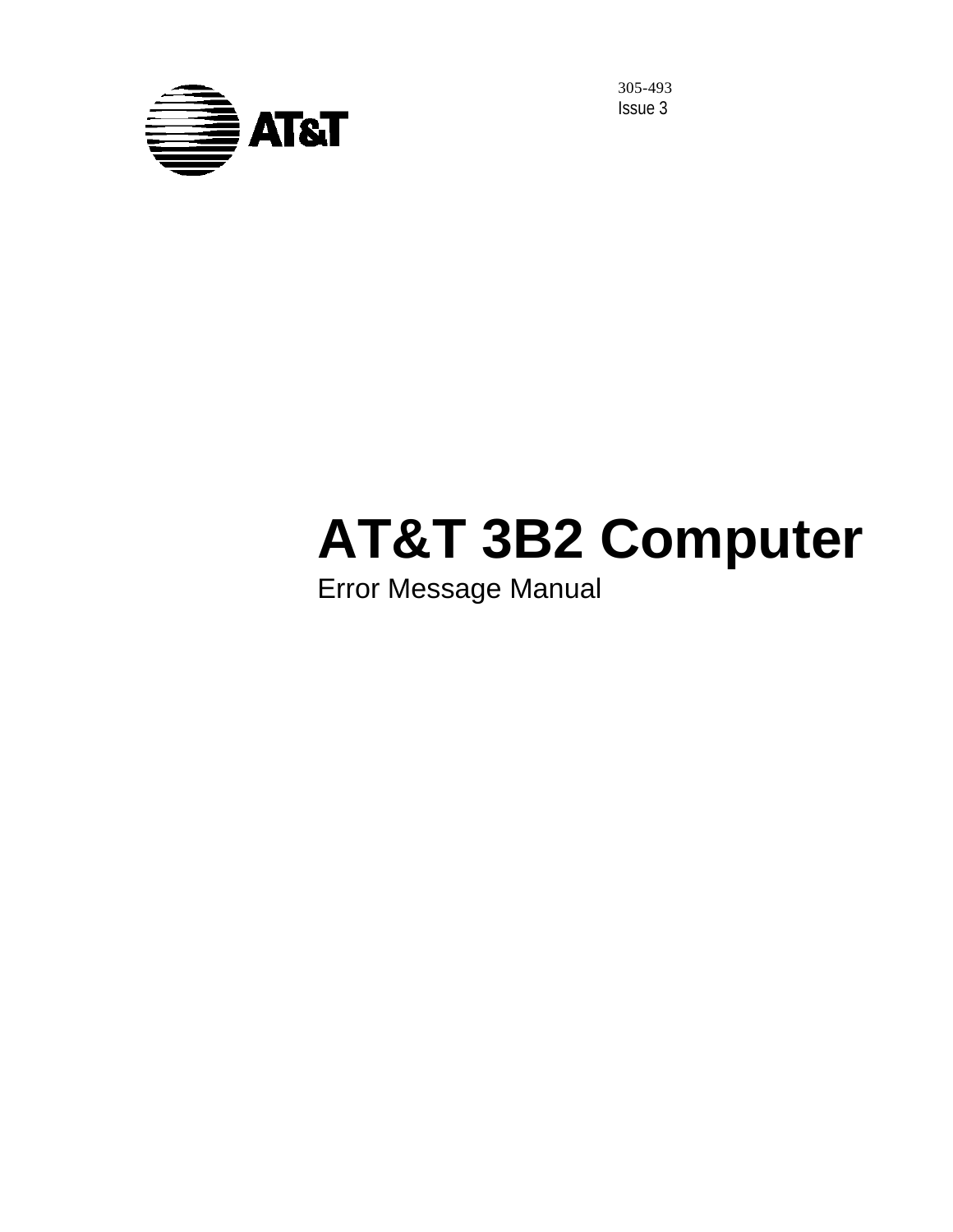

305-493 Issue 3

# **AT&T 3B2 Computer**

# Error Message Manual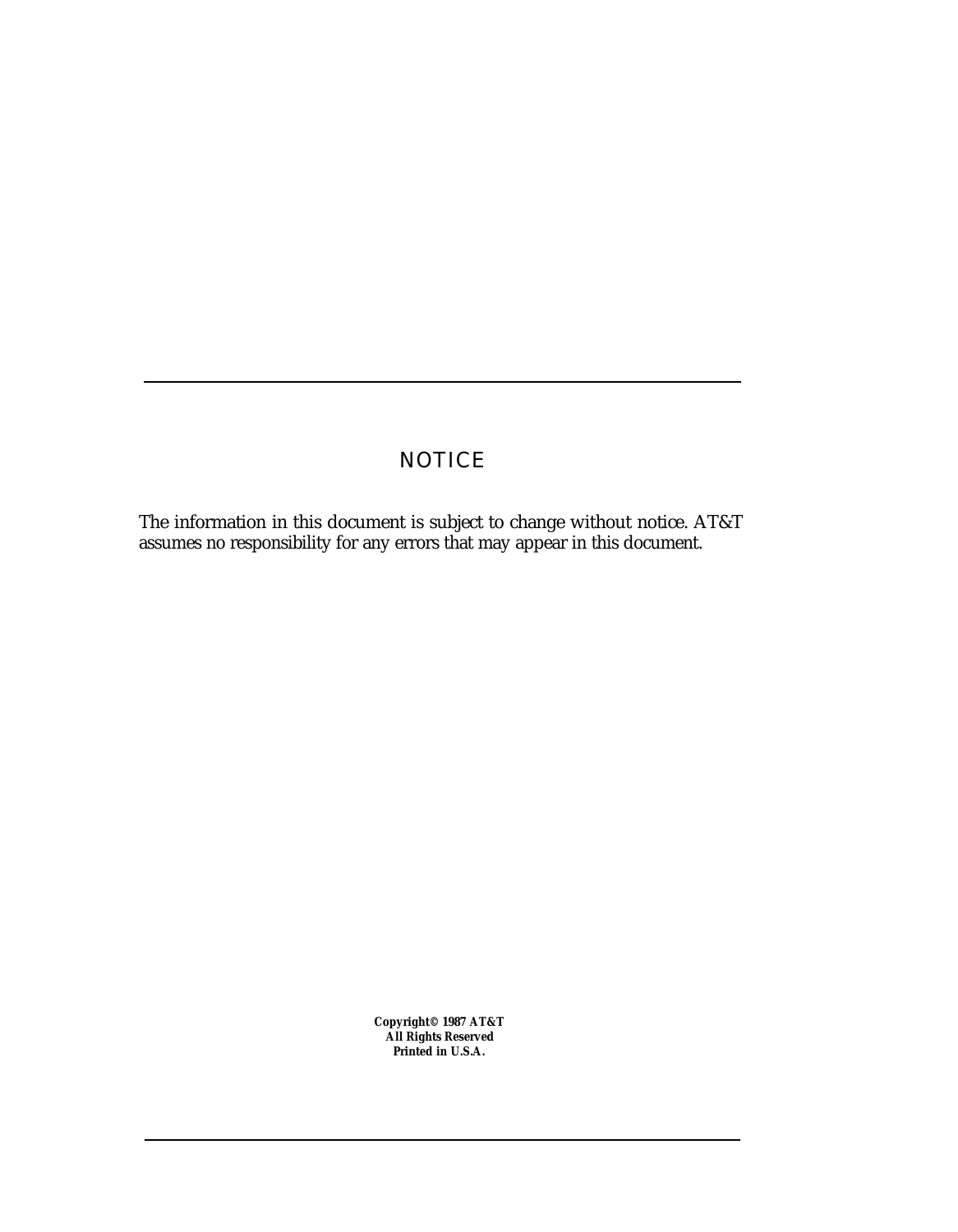# **NOTICE**

The information in this document is subject to change without notice. AT&T assumes no responsibility for any errors that may appear in this document.

> **Copyright© 1987 AT&T All Rights Reserved Printed in U.S.A.**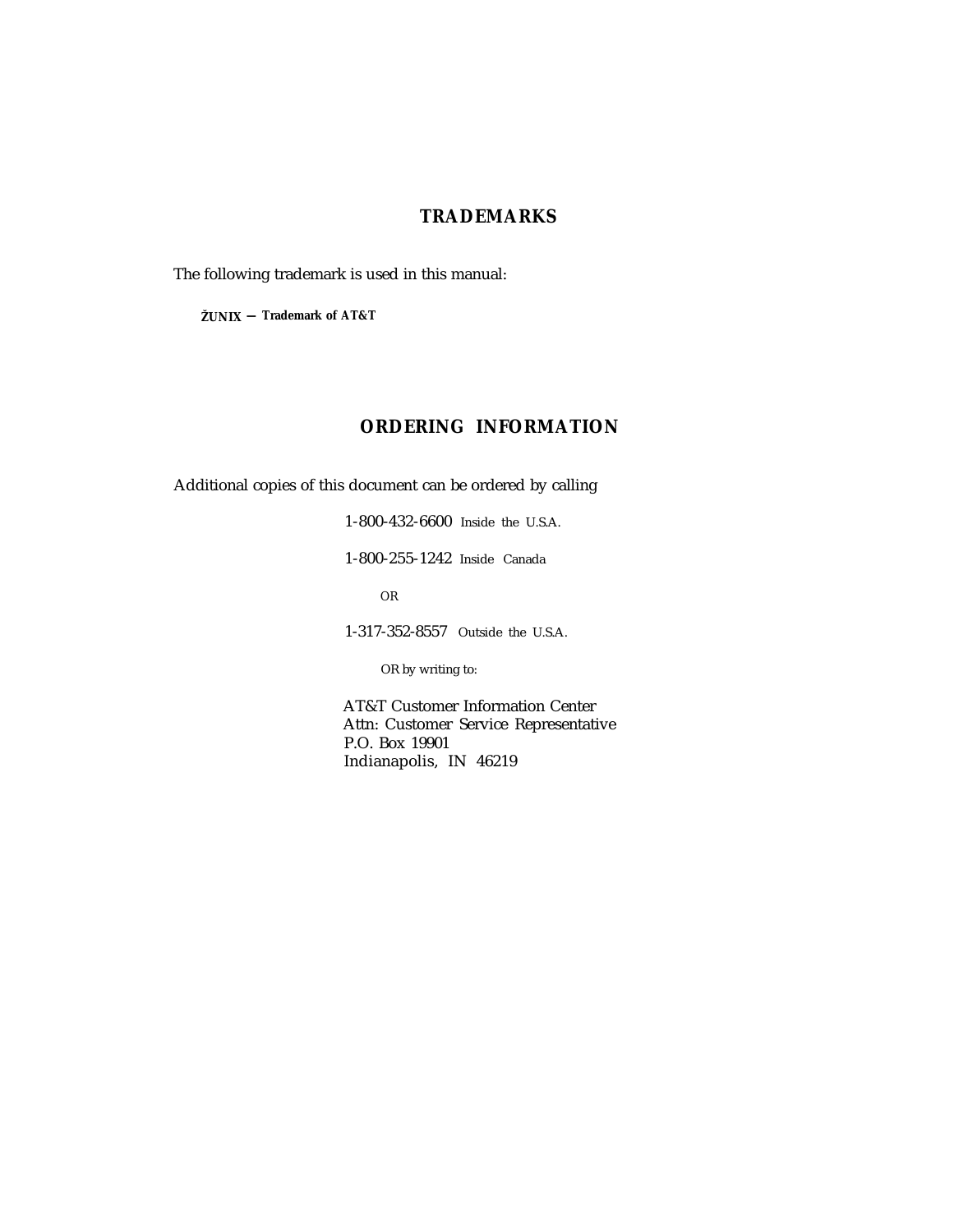# **TRADEMARKS**

The following trademark is used in this manual:

**ŽUNIX — Trademark of AT&T**

# **ORDERING INFORMATION**

Additional copies of this document can be ordered by calling

1-800-432-6600 Inside the U.S.A. 1-800-255-1242 Inside Canada OR 1-317-352-8557 Outside the U.S.A.

OR by writing to:

AT&T Customer Information Center Attn: Customer Service Representative P.O. Box 19901 Indianapolis, IN 46219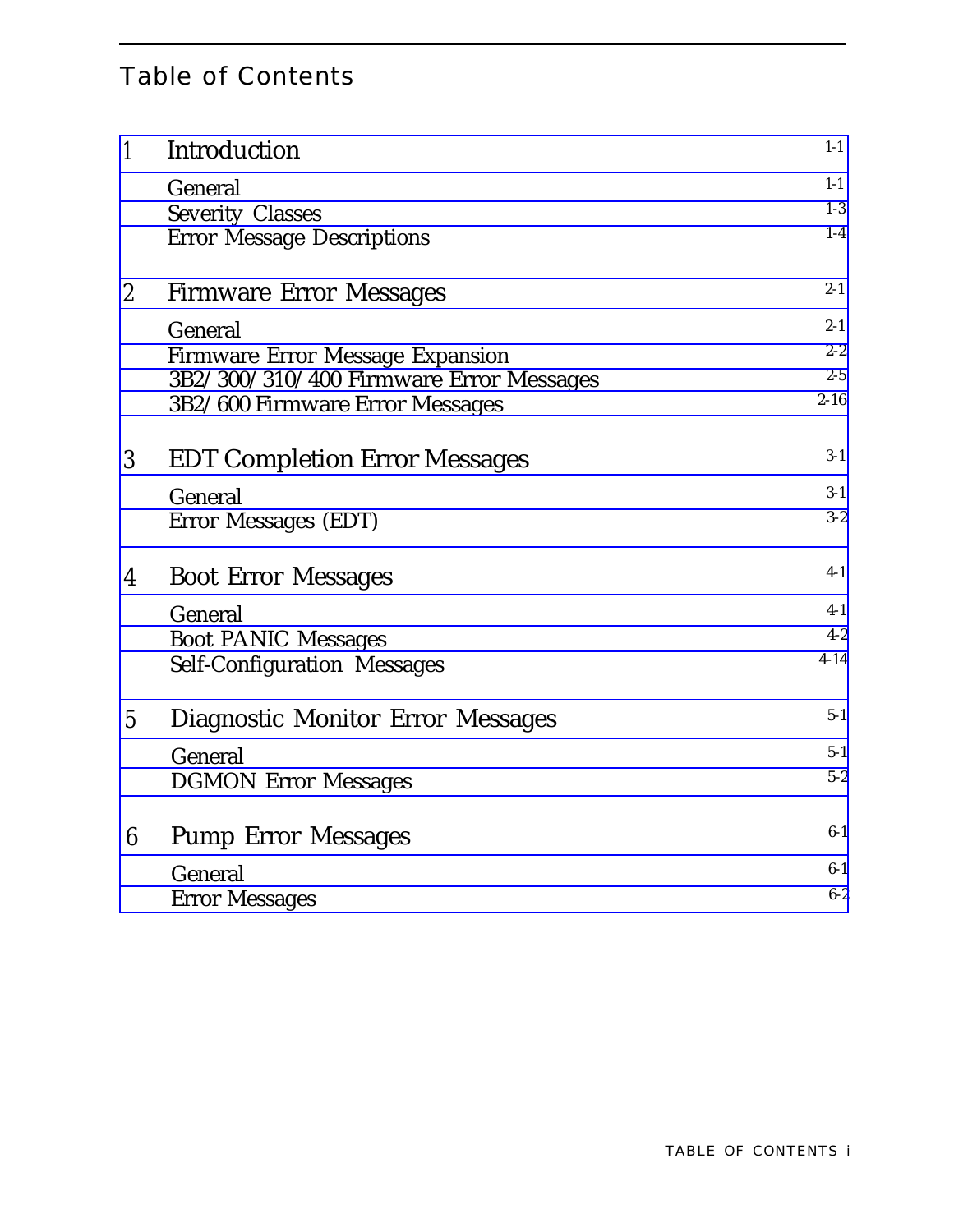# Table of Contents

| $\mathbf{1}$     | Introduction                            | $1-1$    |
|------------------|-----------------------------------------|----------|
|                  | General                                 | $1-1$    |
|                  | <b>Severity Classes</b>                 | $1-3$    |
|                  | <b>Error Message Descriptions</b>       | $1-4$    |
| $\boldsymbol{2}$ | <b>Firmware Error Messages</b>          | $2 - 1$  |
|                  | General                                 | $2 - 1$  |
|                  | <b>Firmware Error Message Expansion</b> | $2 - 2$  |
|                  | 3B2/300/310/400 Firmware Error Messages | $2 - 5$  |
|                  | 3B2/600 Firmware Error Messages         | $2 - 16$ |
| 3                | <b>EDT Completion Error Messages</b>    | $3-1$    |
|                  | General                                 | $3-1$    |
|                  | Error Messages (EDT)                    | $3-2$    |
| 4                | <b>Boot Error Messages</b>              | $4-1$    |
|                  | General                                 | $4-1$    |
|                  | <b>Boot PANIC Messages</b>              | $4 - 2$  |
|                  | <b>Self-Configuration Messages</b>      | $4 - 14$ |
| $\overline{5}$   | Diagnostic Monitor Error Messages       | $5-1$    |
|                  | General                                 | $5-1$    |
|                  | <b>DGMON Error Messages</b>             | $5 - 2$  |
| 6                | <b>Pump Error Messages</b>              | $6-1$    |
|                  | General                                 | $6-1$    |
|                  | <b>Error Messages</b>                   | $6 - 2$  |
|                  |                                         |          |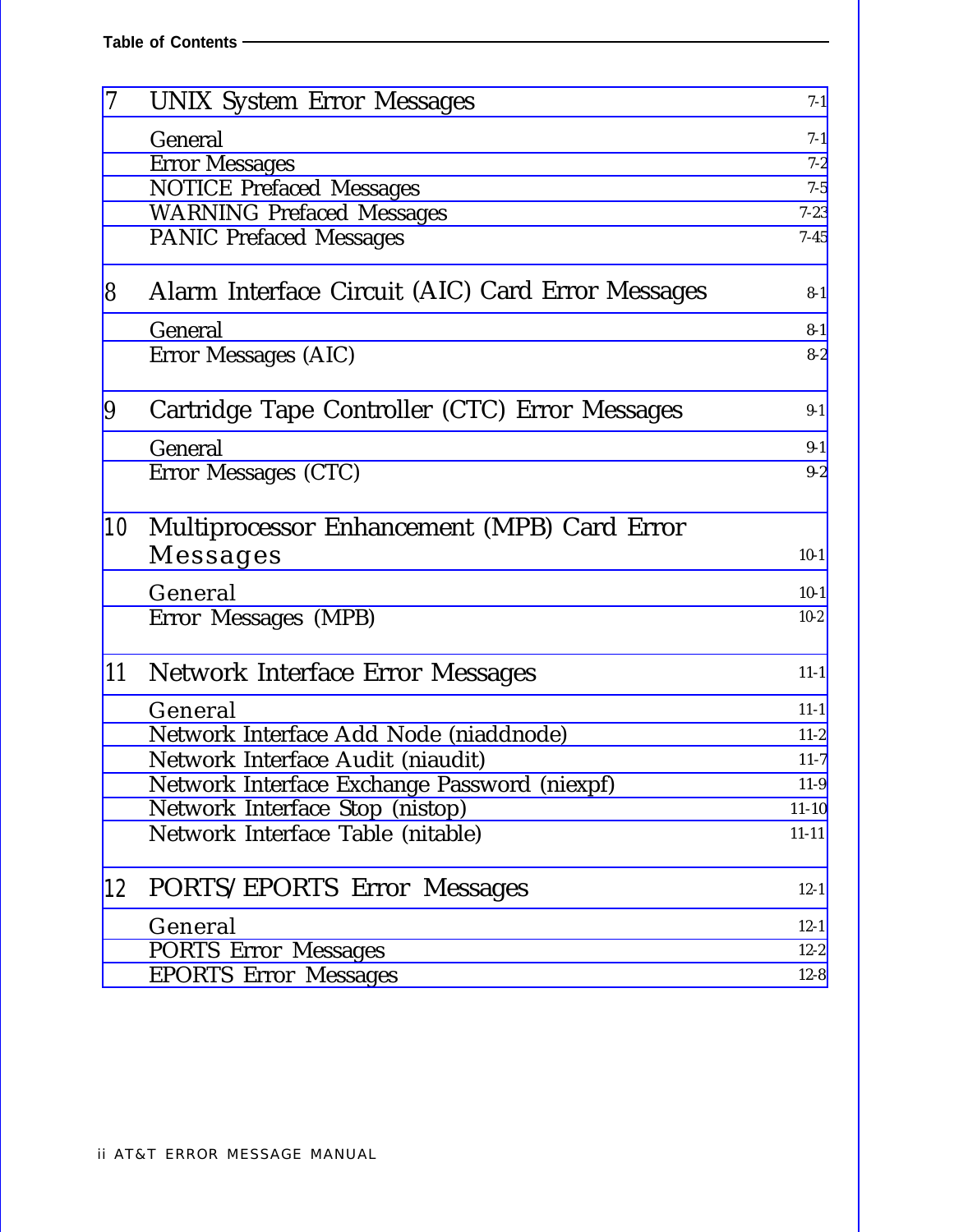| $\overline{\mathcal{U}}$ | <b>UNIX System Error Messages</b>                 | $7-1$          |
|--------------------------|---------------------------------------------------|----------------|
|                          | General                                           | $7-1$          |
|                          | <b>Error Messages</b>                             | $7 - 2$        |
|                          | <b>NOTICE Prefaced Messages</b>                   | $7 - 5$        |
|                          | <b>WARNING Prefaced Messages</b>                  | $7 - 23$       |
|                          | <b>PANIC Prefaced Messages</b>                    | $7 - 45$       |
| 8                        | Alarm Interface Circuit (AIC) Card Error Messages | $8 - 1$        |
|                          | General                                           | $8 - 1$        |
|                          | Error Messages (AIC)                              | $8 - 2$        |
| 9                        | Cartridge Tape Controller (CTC) Error Messages    | $9-1$          |
|                          |                                                   |                |
|                          | General<br>Error Messages (CTC)                   | $9-1$<br>$9-2$ |
|                          |                                                   |                |
| 10                       | Multiprocessor Enhancement (MPB) Card Error       |                |
|                          | Messages                                          | $10-1$         |
|                          | General                                           | $10-1$         |
|                          | Error Messages (MPB)                              | $10 - 2$       |
| 11                       | Network Interface Error Messages                  | $11 - 1$       |
|                          | General                                           | $11 - 1$       |
|                          | Network Interface Add Node (niaddnode)            | $11-2$         |
|                          | Network Interface Audit (niaudit)                 | $11-7$         |
|                          | Network Interface Exchange Password (niexpf)      | $11-9$         |
|                          | Network Interface Stop (nistop)                   | $11 - 10$      |
|                          | Network Interface Table (nitable)                 | $11 - 11$      |
| 12                       | PORTS/EPORTS Error Messages                       | $12 - 1$       |
|                          | General                                           | $12 - 1$       |
|                          | <b>PORTS Error Messages</b>                       | $12 - 2$       |
|                          | <b>EPORTS Error Messages</b>                      | $12 - 8$       |
|                          |                                                   |                |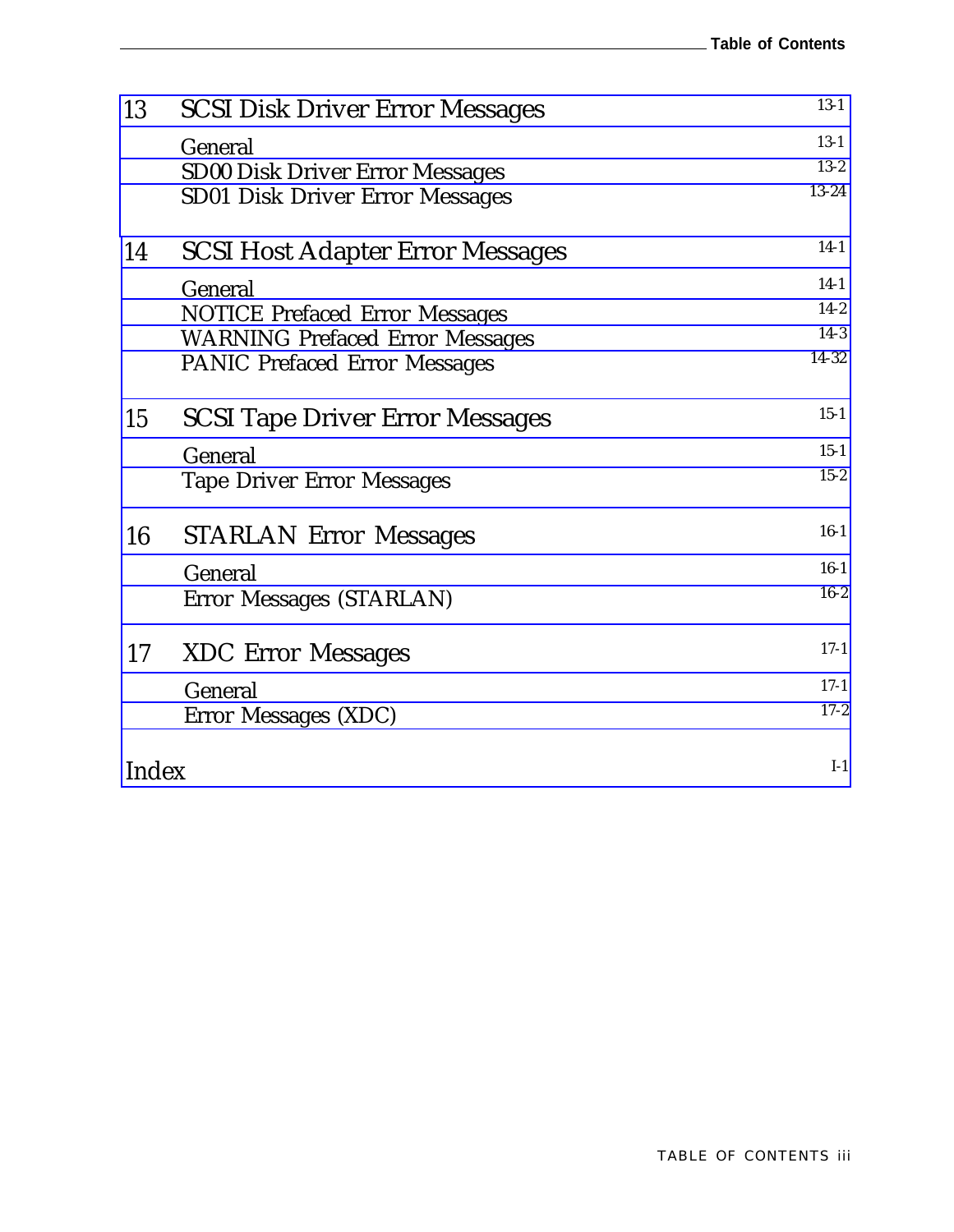| 13    | <b>SCSI Disk Driver Error Messages</b>  | $13-1$   |
|-------|-----------------------------------------|----------|
|       | General                                 | $13-1$   |
|       | <b>SD00 Disk Driver Error Messages</b>  | $13 - 2$ |
|       | <b>SD01 Disk Driver Error Messages</b>  | 13-24    |
| 14    | <b>SCSI Host Adapter Error Messages</b> | $14-1$   |
|       | General                                 | $14-1$   |
|       | <b>NOTICE Prefaced Error Messages</b>   | $14-2$   |
|       | <b>WARNING Prefaced Error Messages</b>  | $14-3$   |
|       | <b>PANIC Prefaced Error Messages</b>    | 14-32    |
| 15    | <b>SCSI Tape Driver Error Messages</b>  | $15-1$   |
|       | General                                 | $15 - 1$ |
|       | <b>Tape Driver Error Messages</b>       | $15 - 2$ |
| 16    | <b>STARLAN Error Messages</b>           | $16-1$   |
|       | General                                 | $16-1$   |
|       | Error Messages (STARLAN)                | $16 - 2$ |
| 17    | <b>XDC</b> Error Messages               | $17-1$   |
|       | General                                 | $17-1$   |
|       | Error Messages (XDC)                    | $17 - 2$ |
| Index |                                         | $I-1$    |
|       |                                         |          |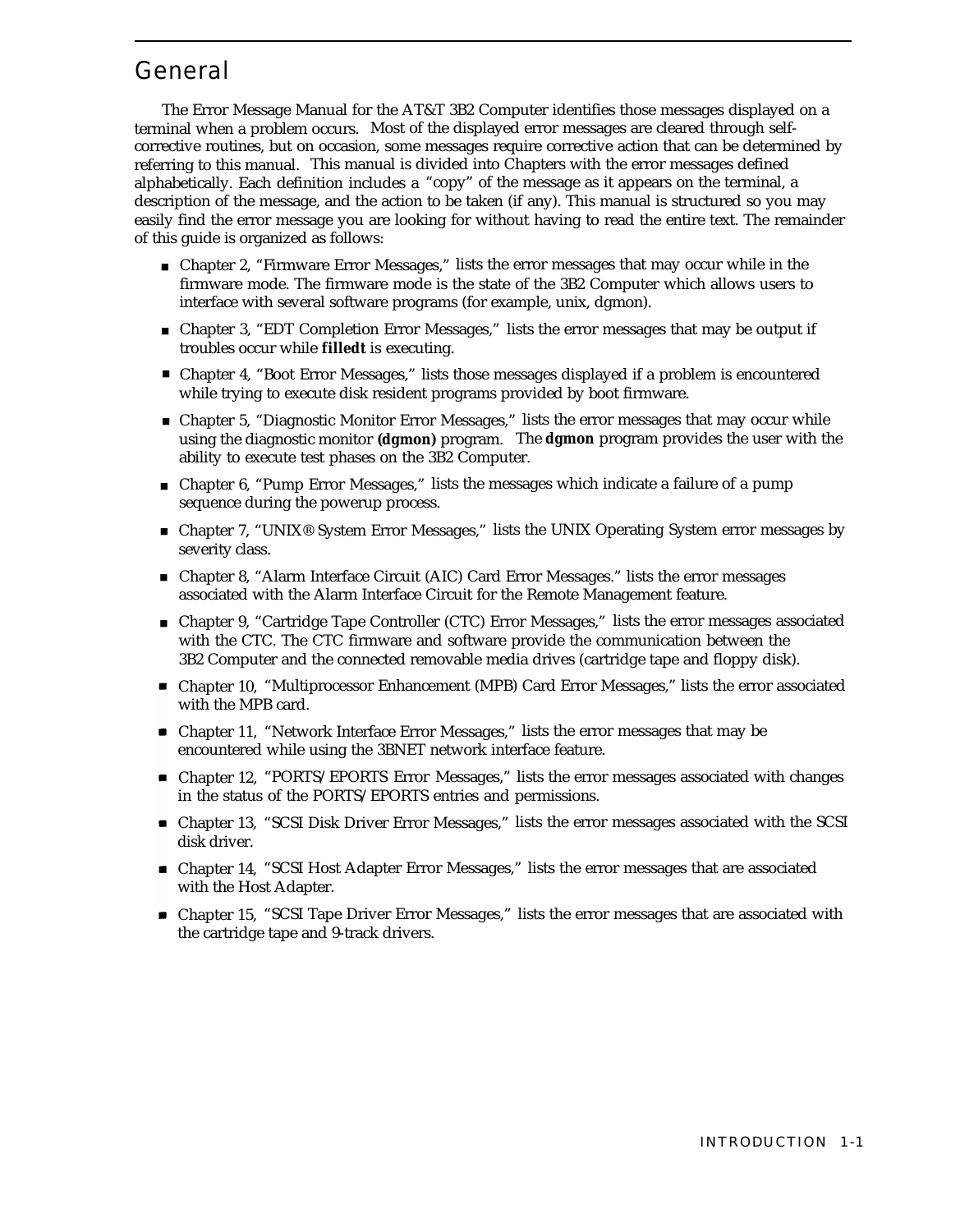# <span id="page-6-1"></span><span id="page-6-0"></span>General

The Error Message Manual for the AT&T 3B2 Computer identifies those messages displayed on a terminal when a problem occurs. Most of the displayed error messages are cleared through selfcorrective routines, but on occasion, some messages require corrective action that can be determined by referring to this manual. This manual is divided into Chapters with the error messages defined alphabetically. Each definition includes a "copy" of the message as it appears on the terminal, a description of the message, and the action to be taken (if any). This manual is structured so you may easily find the error message you are looking for without having to read the entire text. The remainder of this guide is organized as follows:

- Chapter 2, "Firmware Error Messages," lists the error messages that may occur while in the firmware mode. The firmware mode is the state of the 3B2 Computer which allows users to interface with several software programs (for example, unix, dgmon).
- Chapter 3, "EDT Completion Error Messages," lists the error messages that may be output if troubles occur while **filledt** is executing.
- Chapter 4, "Boot Error Messages," lists those messages displayed if a problem is encountered while trying to execute disk resident programs provided by boot firmware.
- Chapter 5, "Diagnostic Monitor Error Messages," lists the error messages that may occur while using the diagnostic monitor **(dgmon)** program. The **dgmon** program provides the user with the ability to execute test phases on the 3B2 Computer.
- Chapter 6, "Pump Error Messages," lists the messages which indicate a failure of a pump sequence during the powerup process.
- Chapter 7, "UNIX® System Error Messages," lists the UNIX Operating System error messages by severity class.
- Chapter 8, "Alarm Interface Circuit (AIC) Card Error Messages." lists the error messages associated with the Alarm Interface Circuit for the Remote Management feature.
- Chapter 9, "Cartridge Tape Controller (CTC) Error Messages," lists the error messages associated with the CTC. The CTC firmware and software provide the communication between the 3B2 Computer and the connected removable media drives (cartridge tape and floppy disk).
- Chapter 10, "Multiprocessor Enhancement (MPB) Card Error Messages," lists the error associated with the MPB card.
- Chapter 11, "Network Interface Error Messages," lists the error messages that may be encountered while using the 3BNET network interface feature.
- Chapter 12, "PORTS/EPORTS Error Messages," lists the error messages associated with changes in the status of the PORTS/EPORTS entries and permissions.
- Chapter 13, "SCSI Disk Driver Error Messages," lists the error messages associated with the SCSI disk driver.
- Chapter 14, "SCSI Host Adapter Error Messages," lists the error messages that are associated with the Host Adapter.
- Chapter 15, "SCSI Tape Driver Error Messages," lists the error messages that are associated with the cartridge tape and 9-track drivers.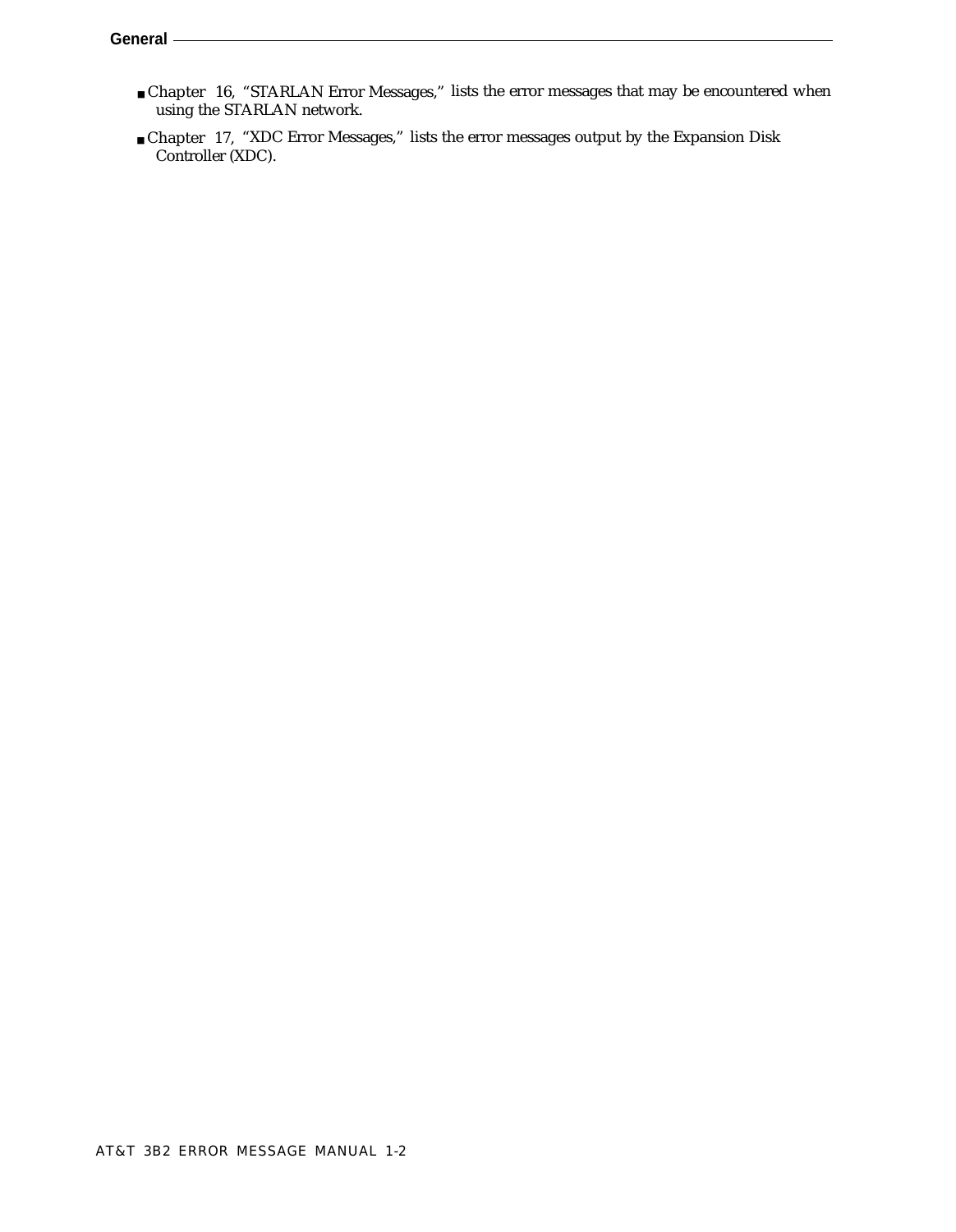- Chapter 16, "STARLAN Error Messages," lists the error messages that may be encountered when using the STARLAN network.
- Chapter 17, "XDC Error Messages," lists the error messages output by the Expansion Disk Controller (XDC).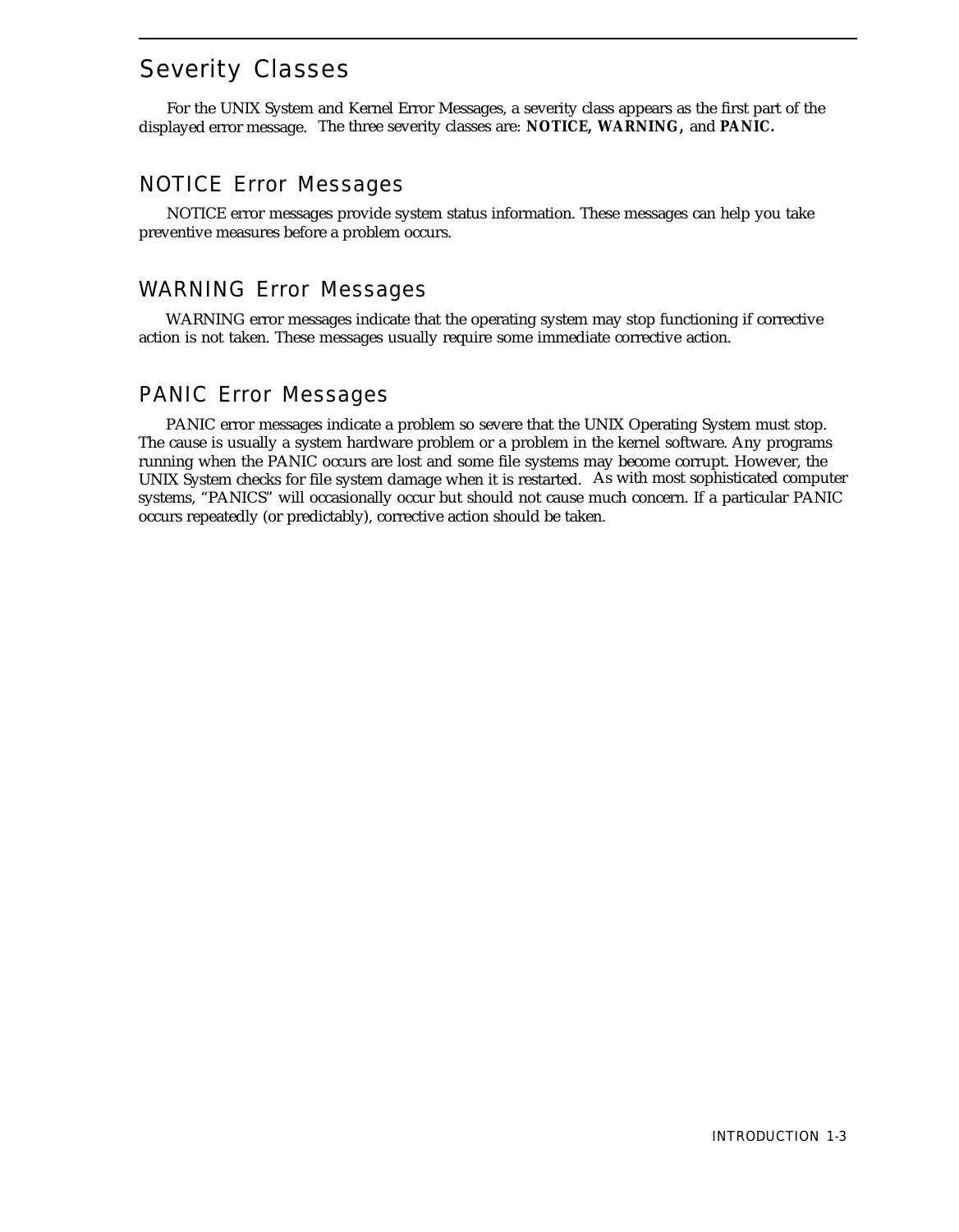# <span id="page-8-0"></span>Severity Classes

For the UNIX System and Kernel Error Messages, a severity class appears as the first part of the displayed error message. The three severity classes are: **NOTICE, WARNING,** and **PANIC.**

# NOTICE Error Messages

NOTICE error messages provide system status information. These messages can help you take preventive measures before a problem occurs.

# WARNING Error Messages

WARNING error messages indicate that the operating system may stop functioning if corrective action is not taken. These messages usually require some immediate corrective action.

# PANIC Error Messages

PANIC error messages indicate a problem so severe that the UNIX Operating System must stop. The cause is usually a system hardware problem or a problem in the kernel software. Any programs running when the PANIC occurs are lost and some file systems may become corrupt. However, the UNIX System checks for file system damage when it is restarted. As with most sophisticated computer systems, "PANICS" will occasionally occur but should not cause much concern. If a particular PANIC occurs repeatedly (or predictably), corrective action should be taken.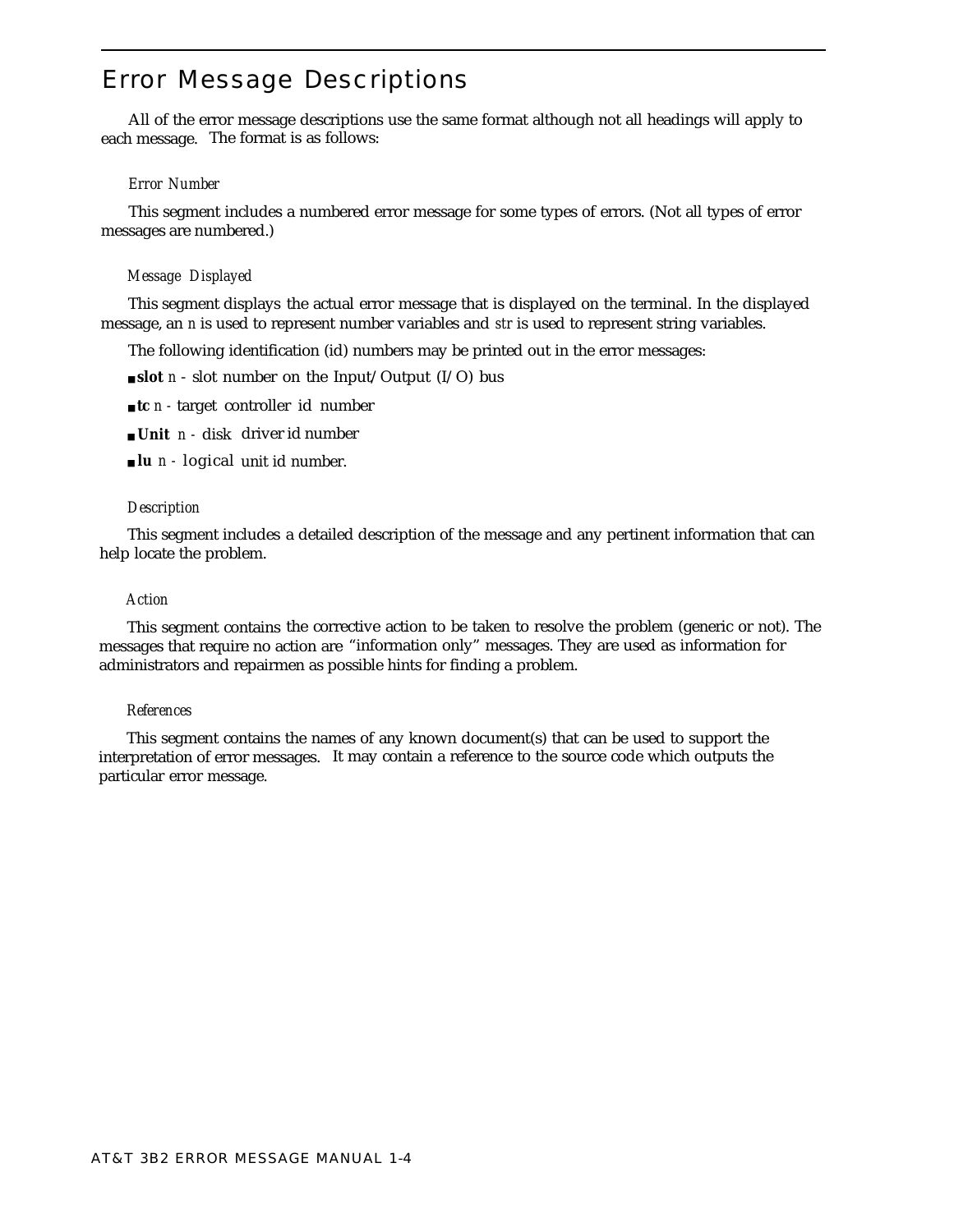# <span id="page-9-0"></span>Error Message Descriptions

All of the error message descriptions use the same format although not all headings will apply to each message. The format is as follows:

# *Error Number*

This segment includes a numbered error message for some types of errors. (Not all types of error messages are numbered.)

## *Message Displayed*

This segment displays the actual error message that is displayed on the terminal. In the displayed message, an *n* is used to represent number variables and *str* is used to represent string variables.

The following identification (id) numbers may be printed out in the error messages:

- **slot** *n* slot number on the Input/Output (I/O) bus
- **tc** *n* target controller id number
- **Unit** *n* disk driver id number
- **lu** *n* logical unit id number.

#### *Description*

This segment includes a detailed description of the message and any pertinent information that can help locate the problem.

#### *Action*

This segment contains the corrective action to be taken to resolve the problem (generic or not). The messages that require no action are "information only" messages. They are used as information for administrators and repairmen as possible hints for finding a problem.

#### *References*

This segment contains the names of any known document(s) that can be used to support the interpretation of error messages. It may contain a reference to the source code which outputs the particular error message.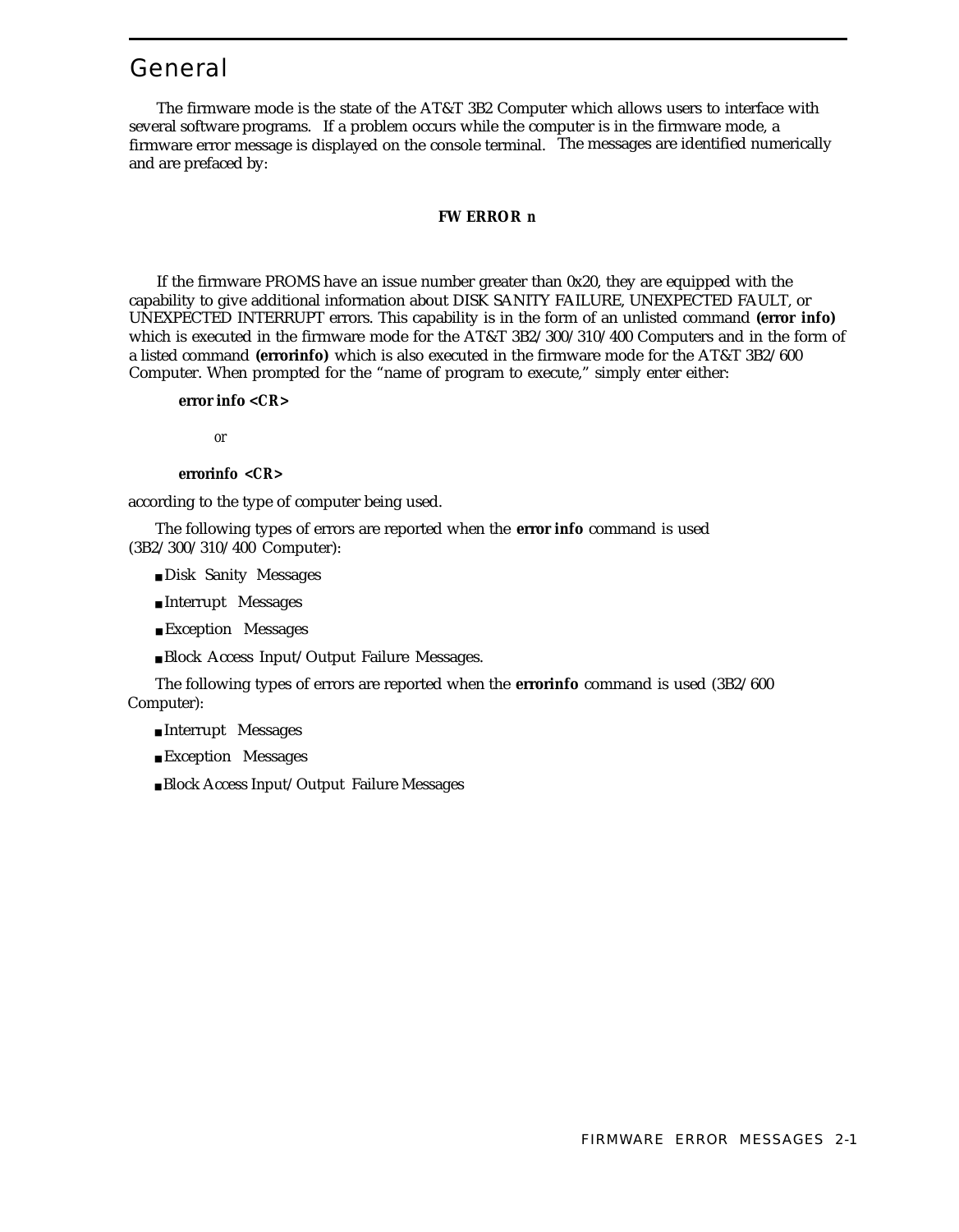# <span id="page-10-1"></span><span id="page-10-0"></span>General

The firmware mode is the state of the AT&T 3B2 Computer which allows users to interface with several software programs. If a problem occurs while the computer is in the firmware mode, a firmware error message is displayed on the console terminal. The messages are identified numerically and are prefaced by:

#### **FW ERROR** *n*

If the firmware PROMS have an issue number greater than 0x20, they are equipped with the capability to give additional information about DISK SANITY FAILURE, UNEXPECTED FAULT, or UNEXPECTED INTERRUPT errors. This capability is in the form of an unlisted command **(error info)** which is executed in the firmware mode for the AT&T 3B2/300/310/400 Computers and in the form of a listed command **(errorinfo)** which is also executed in the firmware mode for the AT&T 3B2/600 Computer. When prompted for the "name of program to execute," simply enter either:

**error info** *<CR>*

*or*

#### **errorinfo** *<CR>*

according to the type of computer being used.

The following types of errors are reported when the **error info** command is used (3B2/300/310/400 Computer):

- Disk Sanity Messages
- Interrupt Messages
- Exception Messages
- Block Access Input/Output Failure Messages.

The following types of errors are reported when the **errorinfo** command is used (3B2/600 Computer):

- Interrupt Messages
- Exception Messages
- Block Access Input/Output Failure Messages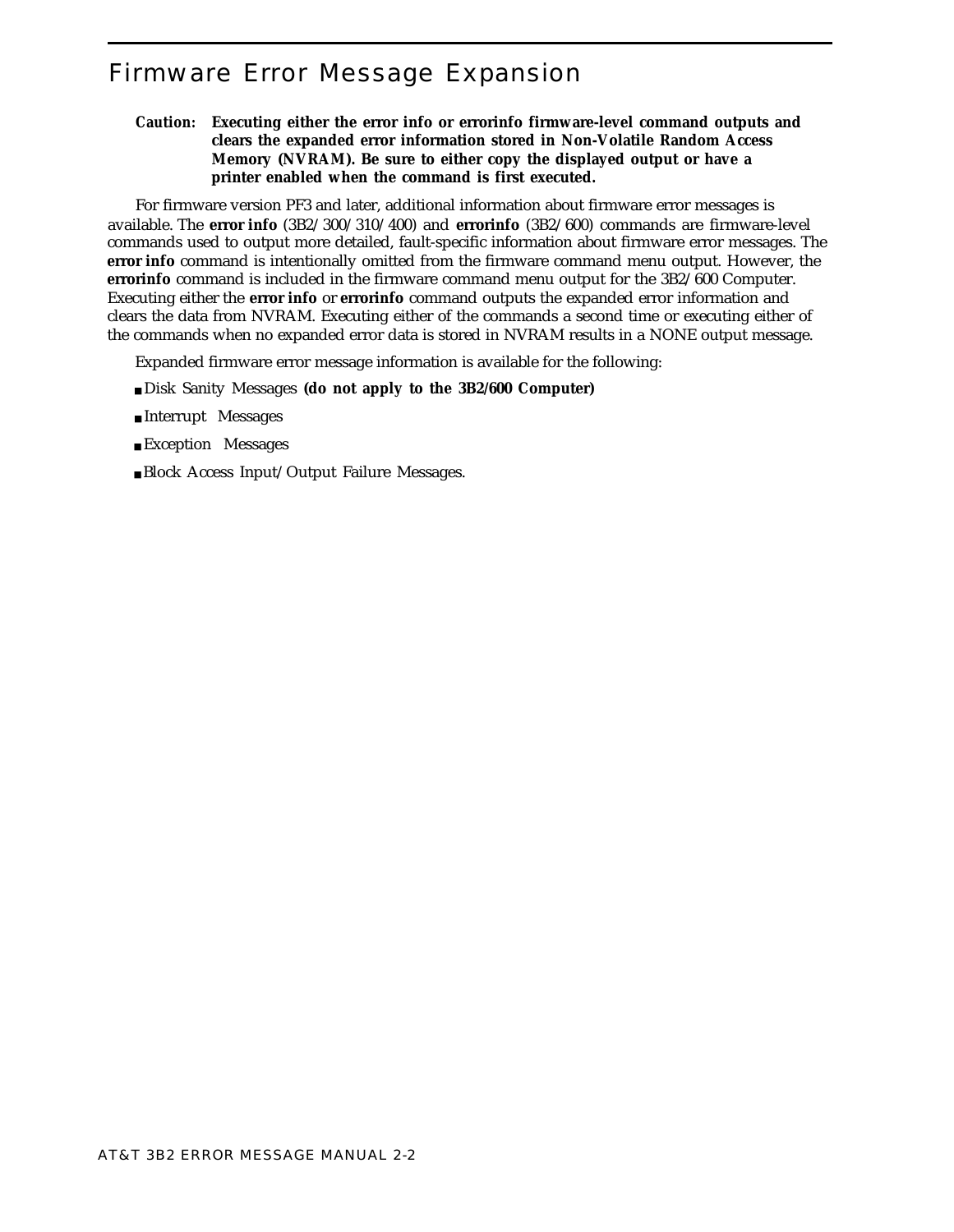# <span id="page-11-1"></span><span id="page-11-0"></span>Firmware Error Message Expansion

**Caution: Executing either the error info or errorinfo firmware-level command outputs and clears the expanded error information stored in Non-Volatile Random Access Memory (NVRAM). Be sure to either copy the displayed output or have a printer enabled when the command is first executed.**

For firmware version PF3 and later, additional information about firmware error messages is available. The **error info** (3B2/300/310/400) and **errorinfo** (3B2/600) commands are firmware-level commands used to output more detailed, fault-specific information about firmware error messages. The **error info** command is intentionally omitted from the firmware command menu output. However, the **errorinfo** command is included in the firmware command menu output for the 3B2/600 Computer. Executing either the **error info** or **errorinfo** command outputs the expanded error information and clears the data from NVRAM. Executing either of the commands a second time or executing either of the commands when no expanded error data is stored in NVRAM results in a NONE output message.

Expanded firmware error message information is available for the following:

- Disk Sanity Messages **(do not apply to the 3B2/600 Computer)**
- Interrupt Messages
- Exception Messages
- Block Access Input/Output Failure Messages.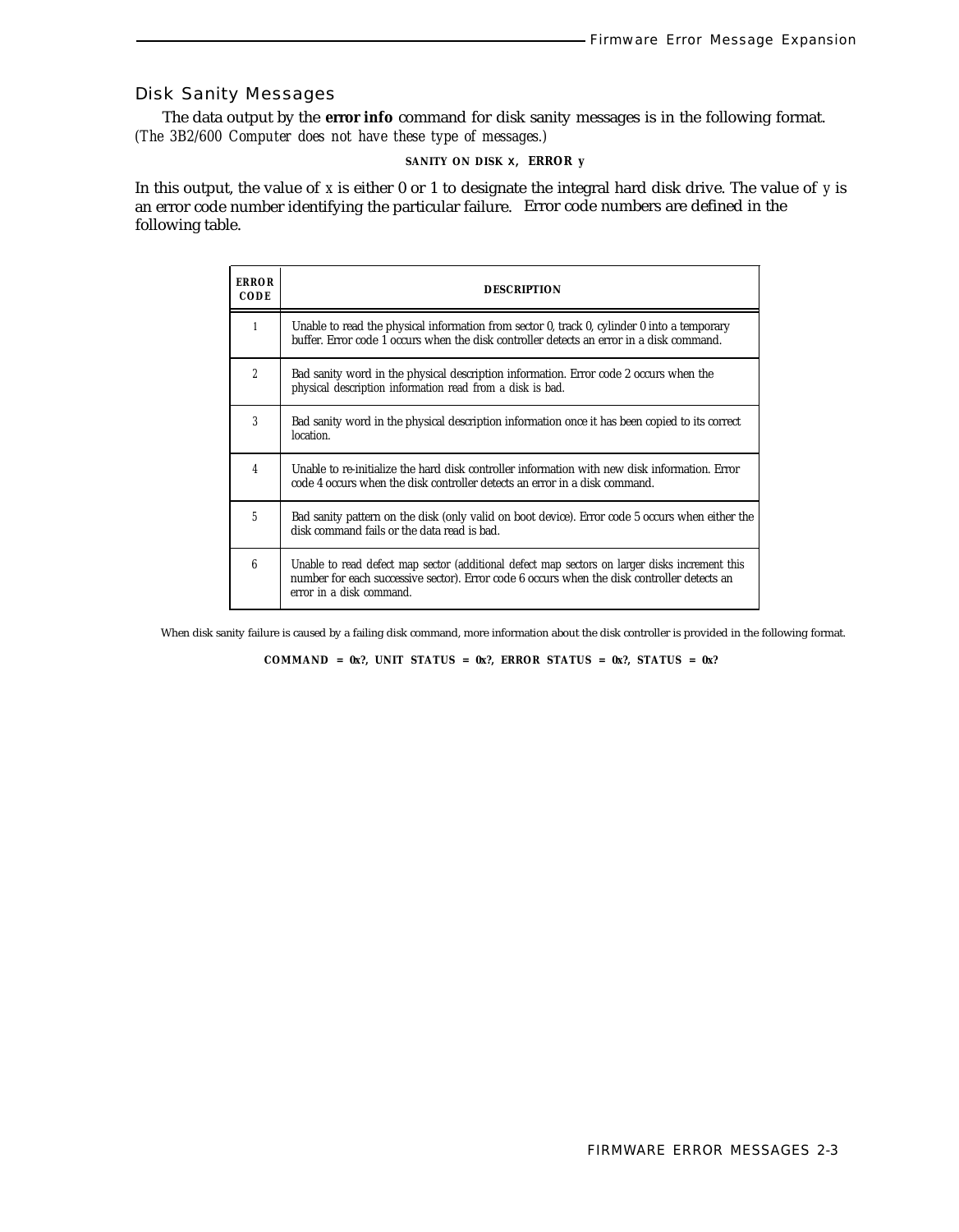# Disk Sanity Messages

The data output by the **error info** command for disk sanity messages is in the following format. *(The 3B2/600 Computer does not have these type of messages.)*

# **SANITY ON DISK X, ERROR** *y*

In this output, the value of *x* is either 0 or 1 to designate the integral hard disk drive. The value of *y* is an error code number identifying the particular failure. Error code numbers are defined in the following table.

| <b>ERROR</b><br><b>CODE</b> | <b>DESCRIPTION</b>                                                                                                                                                                                                        |
|-----------------------------|---------------------------------------------------------------------------------------------------------------------------------------------------------------------------------------------------------------------------|
| 1                           | Unable to read the physical information from sector $0$ , track $0$ , cylinder $0$ into a temporary<br>buffer. Error code 1 occurs when the disk controller detects an error in a disk command.                           |
| $\overline{2}$              | Bad sanity word in the physical description information. Error code 2 occurs when the<br>physical description information read from a disk is bad.                                                                        |
| 3                           | Bad sanity word in the physical description information once it has been copied to its correct<br>location.                                                                                                               |
| 4                           | Unable to re-initialize the hard disk controller information with new disk information. Error<br>code 4 occurs when the disk controller detects an error in a disk command.                                               |
| 5                           | Bad sanity pattern on the disk (only valid on boot device). Error code 5 occurs when either the<br>disk command fails or the data read is bad.                                                                            |
| 6                           | Unable to read defect map sector (additional defect map sectors on larger disks increment this<br>number for each successive sector). Error code 6 occurs when the disk controller detects an<br>error in a disk command. |

When disk sanity failure is caused by a failing disk command, more information about the disk controller is provided in the following format.

**COMMAND = 0x?, UNIT STATUS = 0x?, ERROR STATUS = 0x?, STATUS = 0x?**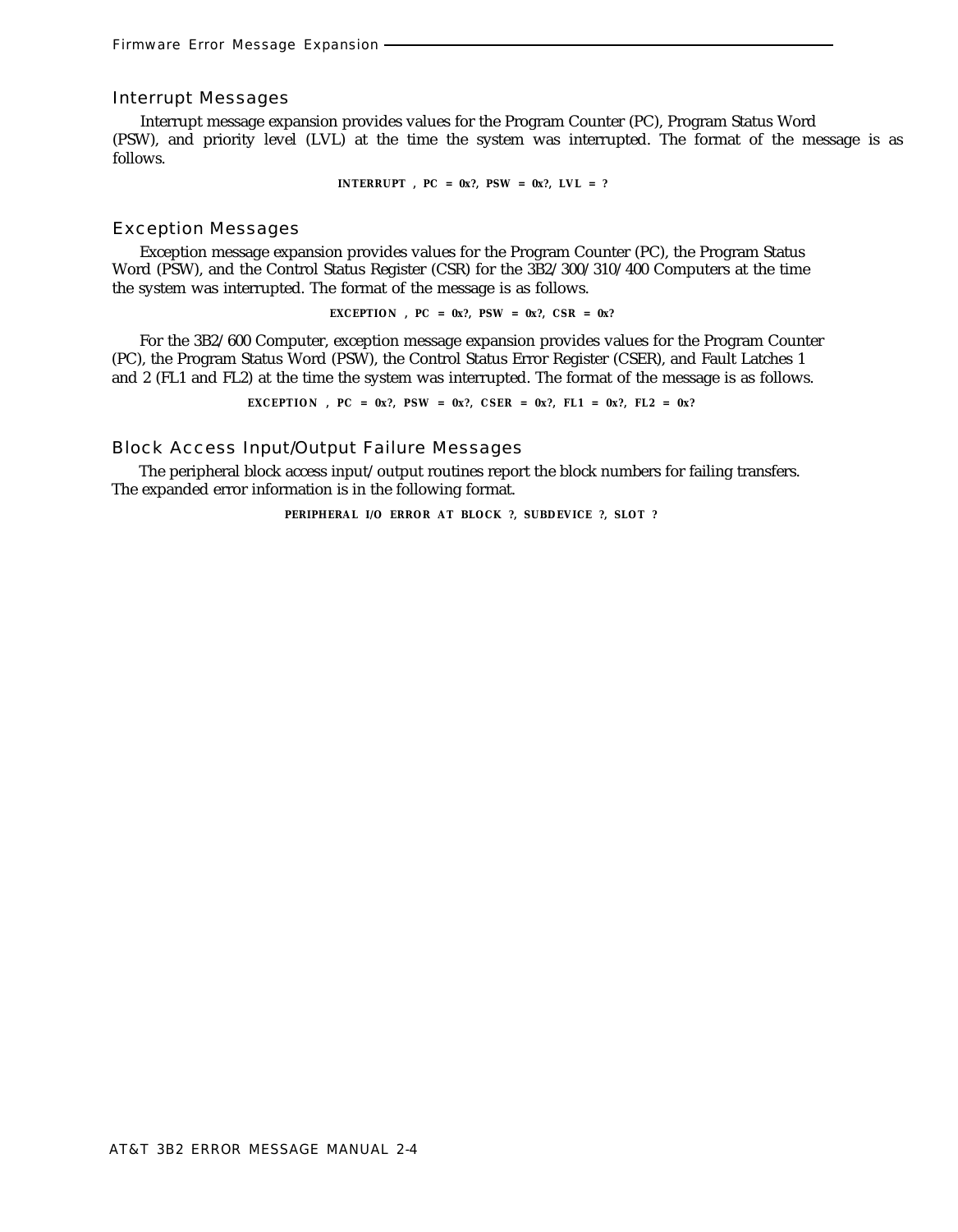#### Interrupt Messages

Interrupt message expansion provides values for the Program Counter (PC), Program Status Word (PSW), and priority level (LVL) at the time the system was interrupted. The format of the message is as follows.

**INTERRUPT , PC = 0x?, PSW = 0x?, LVL = ?**

#### Exception Messages

Exception message expansion provides values for the Program Counter (PC), the Program Status Word (PSW), and the Control Status Register (CSR) for the 3B2/300/310/400 Computers at the time the system was interrupted. The format of the message is as follows.

**EXCEPTION** ,  $PC = 0x$ ?,  $PSW = 0x$ ?,  $CSR = 0x$ ?

For the 3B2/600 Computer, exception message expansion provides values for the Program Counter (PC), the Program Status Word (PSW), the Control Status Error Register (CSER), and Fault Latches 1 and 2 (FL1 and FL2) at the time the system was interrupted. The format of the message is as follows.

**EXCEPTION**,  $PC = 0x$ ?,  $PSW = 0x$ ?,  $CSER = 0x$ ?,  $FL1 = 0x$ ?,  $FL2 = 0x$ ?

# Block Access Input/Output Failure Messages

The peripheral block access input/output routines report the block numbers for failing transfers. The expanded error information is in the following format.

**PERIPHERAL I/O ERROR AT BLOCK ?, SUBDEVICE ?, SLOT ?**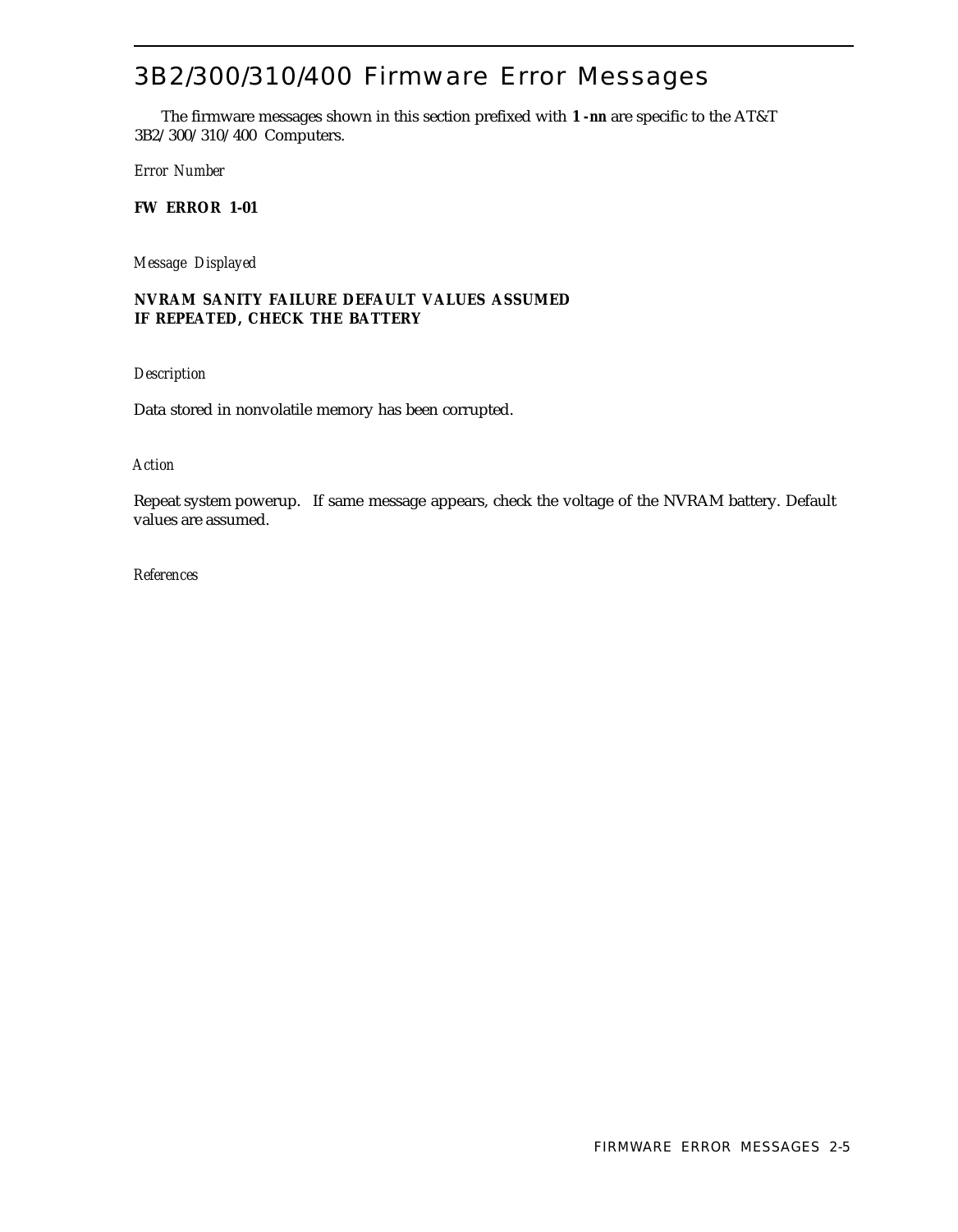# 3B2/300/310/400 Firmware Error Messages

The firmware messages shown in this section prefixed with **1** *-nn* are specific to the AT&T 3B2/300/310/400 Computers.

*Error Number*

**FW ERROR 1-01**

*Message Displayed*

# **NVRAM SANITY FAILURE DEFAULT VALUES ASSUMED IF REPEATED, CHECK THE BATTERY**

*Description*

Data stored in nonvolatile memory has been corrupted.

## *Action*

Repeat system powerup. If same message appears, check the voltage of the NVRAM battery. Default values are assumed.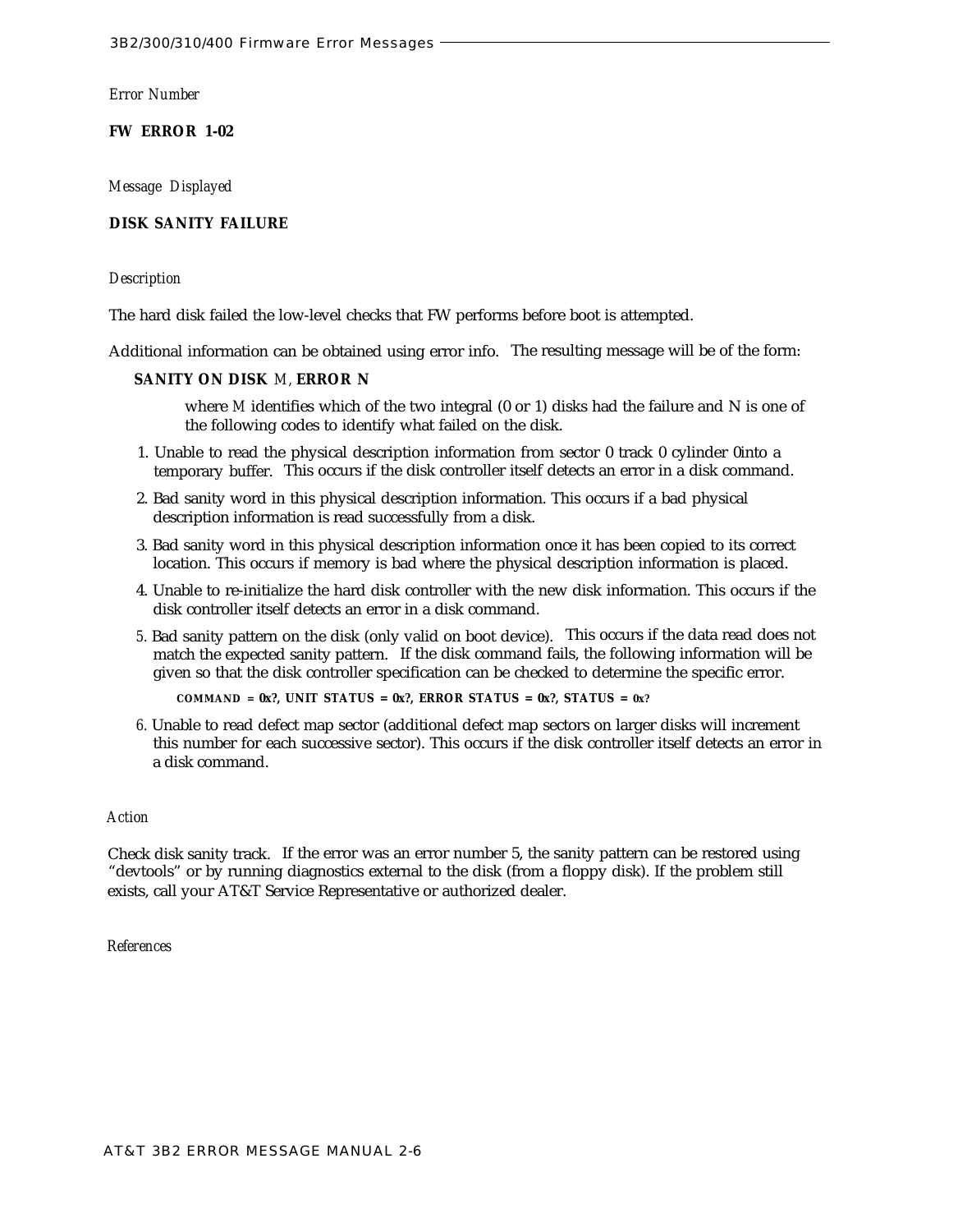**FW ERROR 1-02**

*Message Displayed*

# **DISK SANITY FAILURE**

## *Description*

The hard disk failed the low-level checks that FW performs before boot is attempted.

Additional information can be obtained using error info. The resulting message will be of the form:

# **SANITY ON DISK** *M,* **ERROR N**

where *M* identifies which of the two integral (0 or 1) disks had the failure and N is one of the following codes to identify what failed on the disk.

- 1. Unable to read the physical description information from sector 0 track 0 cylinder 0into a temporary buffer. This occurs if the disk controller itself detects an error in a disk command.
- 2. Bad sanity word in this physical description information. This occurs if a bad physical description information is read successfully from a disk.
- 3. Bad sanity word in this physical description information once it has been copied to its correct location. This occurs if memory is bad where the physical description information is placed.
- 4. Unable to re-initialize the hard disk controller with the new disk information. This occurs if the disk controller itself detects an error in a disk command.
- *5.* Bad sanity pattern on the disk (only valid on boot device). This occurs if the data read does not match the expected sanity pattern. If the disk command fails, the following information will be given so that the disk controller specification can be checked to determine the specific error.

**COMMAND = 0x?, UNIT STATUS = 0x?, ERROR STATUS = 0x?, STATUS = 0x?**

*6.* Unable to read defect map sector (additional defect map sectors on larger disks will increment this number for each successive sector). This occurs if the disk controller itself detects an error in a disk command.

#### *Action*

Check disk sanity track. If the error was an error number 5, the sanity pattern can be restored using "devtools" or by running diagnostics external to the disk (from a floppy disk). If the problem still exists, call your AT&T Service Representative or authorized dealer.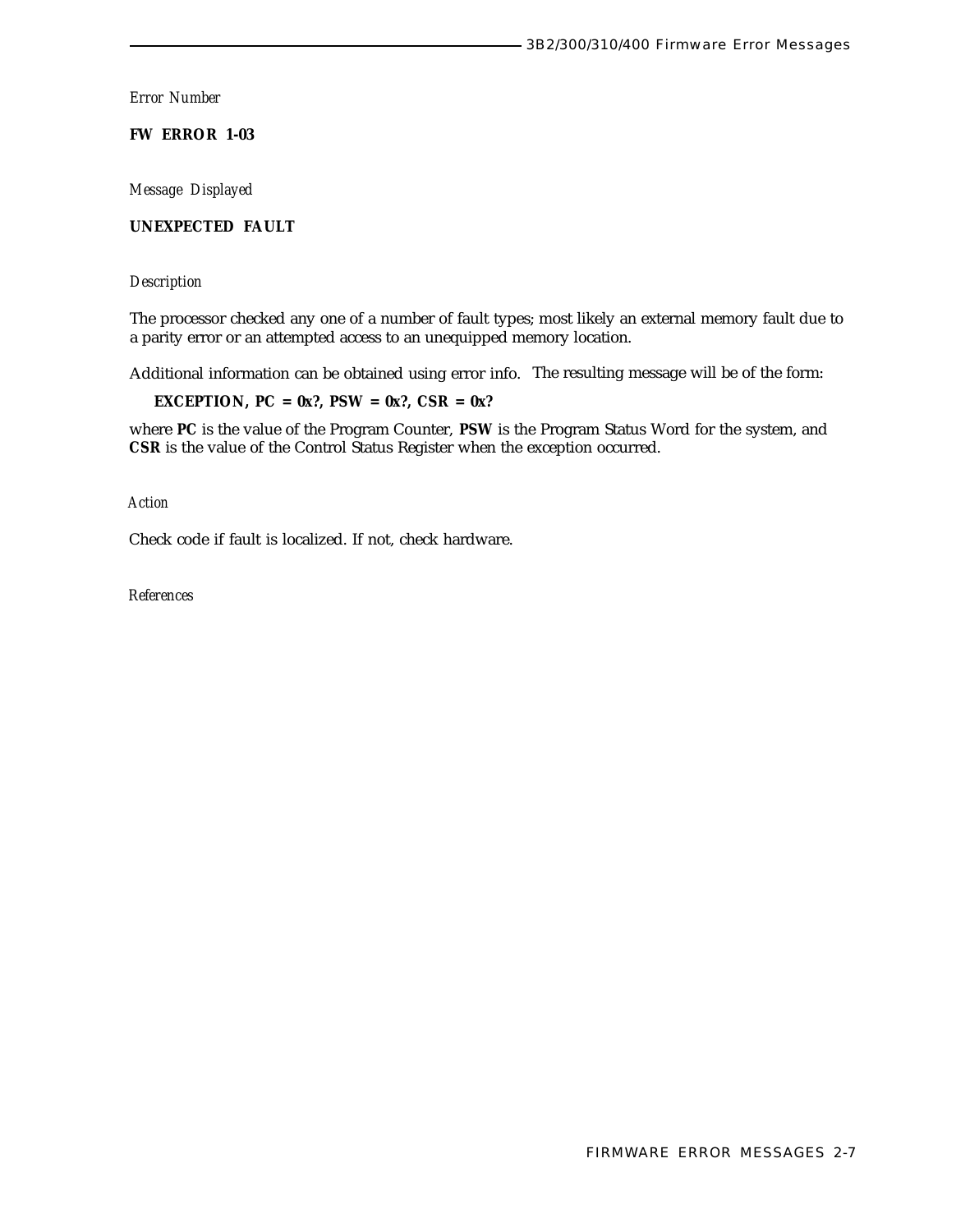**FW ERROR 1-03**

*Message Displayed*

# **UNEXPECTED FAULT**

*Description*

The processor checked any one of a number of fault types; most likely an external memory fault due to a parity error or an attempted access to an unequipped memory location.

Additional information can be obtained using error info. The resulting message will be of the form:

**EXCEPTION, PC = 0x?, PSW = 0x?, CSR = 0x?**

where **PC** is the value of the Program Counter, **PSW** is the Program Status Word for the system, and **CSR** is the value of the Control Status Register when the exception occurred.

*Action*

Check code if fault is localized. If not, check hardware.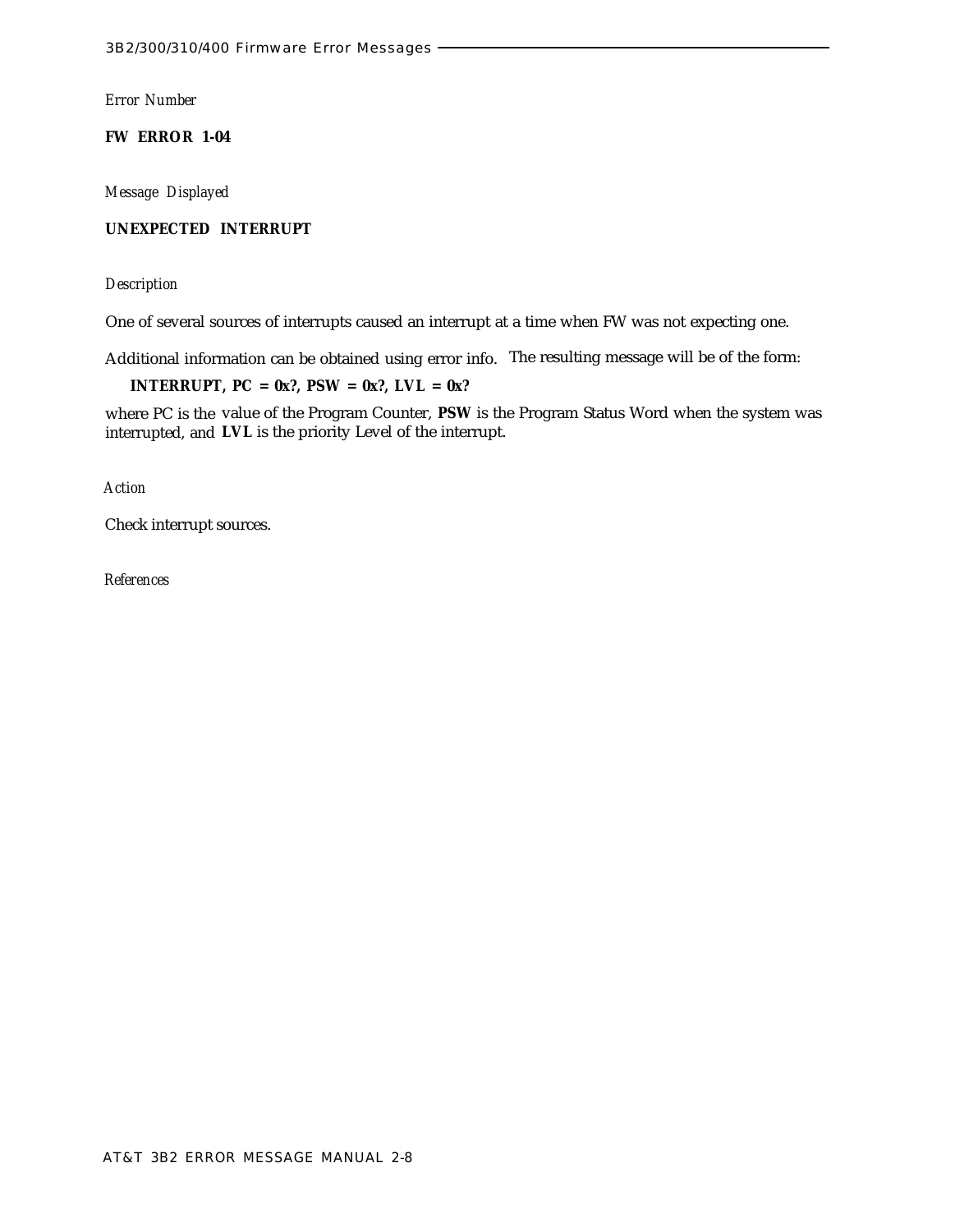**FW ERROR 1-04**

*Message Displayed*

# **UNEXPECTED INTERRUPT**

# *Description*

One of several sources of interrupts caused an interrupt at a time when FW was not expecting one.

Additional information can be obtained using error info. The resulting message will be of the form:

**INTERRUPT, PC = 0x?, PSW = 0x?, LVL = 0x?**

where PC is the value of the Program Counter, **PSW** is the Program Status Word when the system was interrupted, and **LVL** is the priority Level of the interrupt.

*Action*

Check interrupt sources.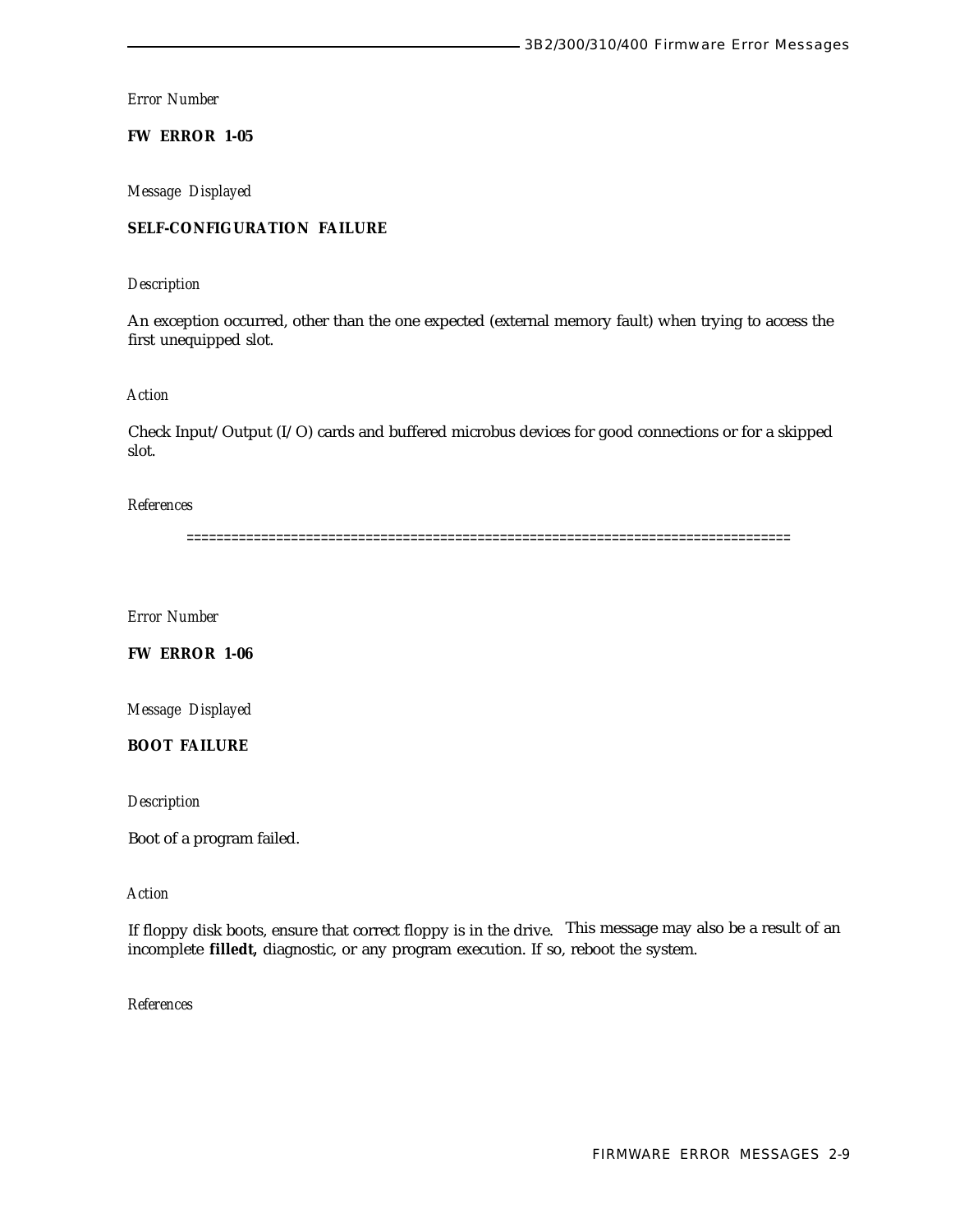**FW ERROR 1-05**

*Message Displayed*

# **SELF-CONFIGURATION FAILURE**

# *Description*

An exception occurred, other than the one expected (external memory fault) when trying to access the first unequipped slot.

# *Action*

Check Input/Output (I/O) cards and buffered microbus devices for good connections or for a skipped slot.

#### *References*

=================================================================================

*Error Number*

**FW ERROR 1-06**

*Message Displayed*

# **BOOT FAILURE**

*Description*

Boot of a program failed.

# *Action*

If floppy disk boots, ensure that correct floppy is in the drive. This message may also be a result of an incomplete **filledt,** diagnostic, or any program execution. If so, reboot the system.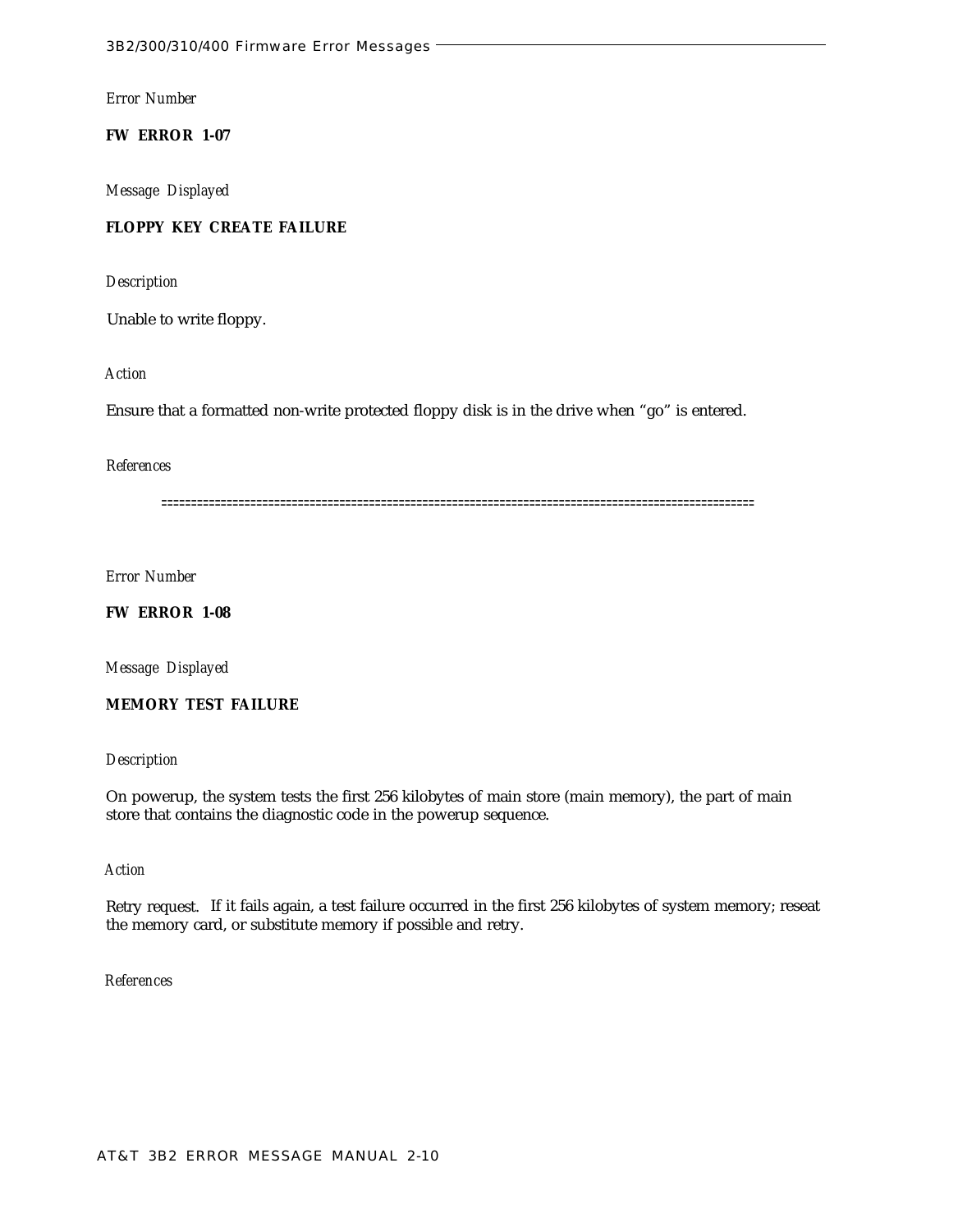**FW ERROR 1-07**

*Message Displayed*

# **FLOPPY KEY CREATE FAILURE**

*Description*

Unable to write floppy.

*Action*

Ensure that a formatted non-write protected floppy disk is in the drive when "go" is entered.

# *References*

====================================================================================================

*Error Number*

**FW ERROR 1-08**

*Message Displayed*

**MEMORY TEST FAILURE**

## *Description*

On powerup, the system tests the first 256 kilobytes of main store (main memory), the part of main store that contains the diagnostic code in the powerup sequence.

# *Action*

Retry request. If it fails again, a test failure occurred in the first 256 kilobytes of system memory; reseat the memory card, or substitute memory if possible and retry.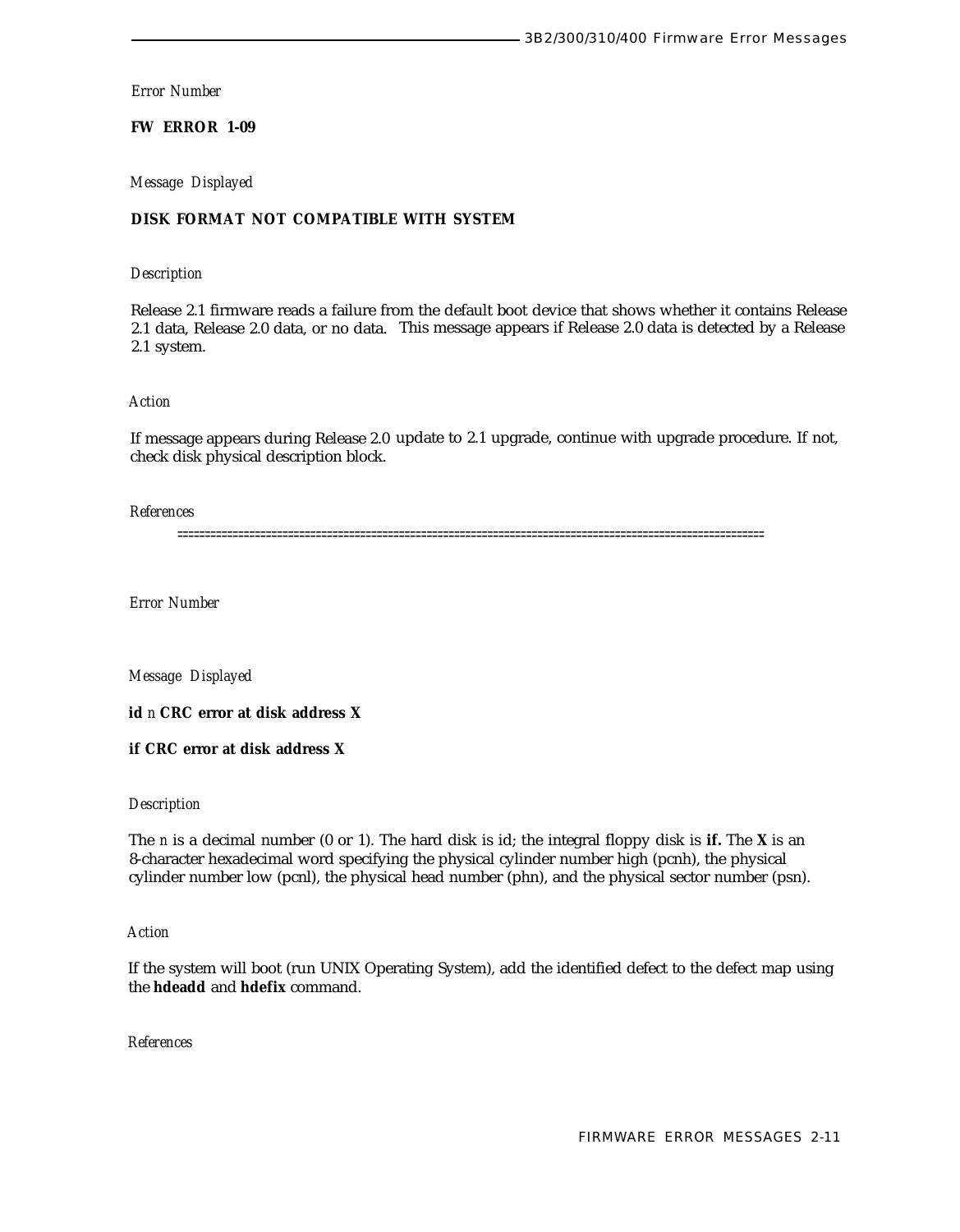# **FW ERROR 1-09**

*Message Displayed*

# **DISK FORMAT NOT COMPATIBLE WITH SYSTEM**

## *Description*

Release 2.1 firmware reads a failure from the default boot device that shows whether it contains Release 2.1 data, Release 2.0 data, or no data. This message appears if Release 2.0 data is detected by a Release 2.1 system.

## *Action*

If message appears during Release 2.0 update to 2.1 upgrade, continue with upgrade procedure. If not, check disk physical description block.

*References*

==========================================================================================================

*Error Number*

*Message Displayed*

**id** *n* **CRC error at disk address X**

**if CRC error at disk address X**

# *Description*

The *n* is a decimal number (0 or 1). The hard disk is id; the integral floppy disk is **if.** The **X** is an 8-character hexadecimal word specifying the physical cylinder number high (pcnh), the physical cylinder number low (pcnl), the physical head number (phn), and the physical sector number (psn).

## *Action*

If the system will boot (run UNIX Operating System), add the identified defect to the defect map using the **hdeadd** and **hdefix** command.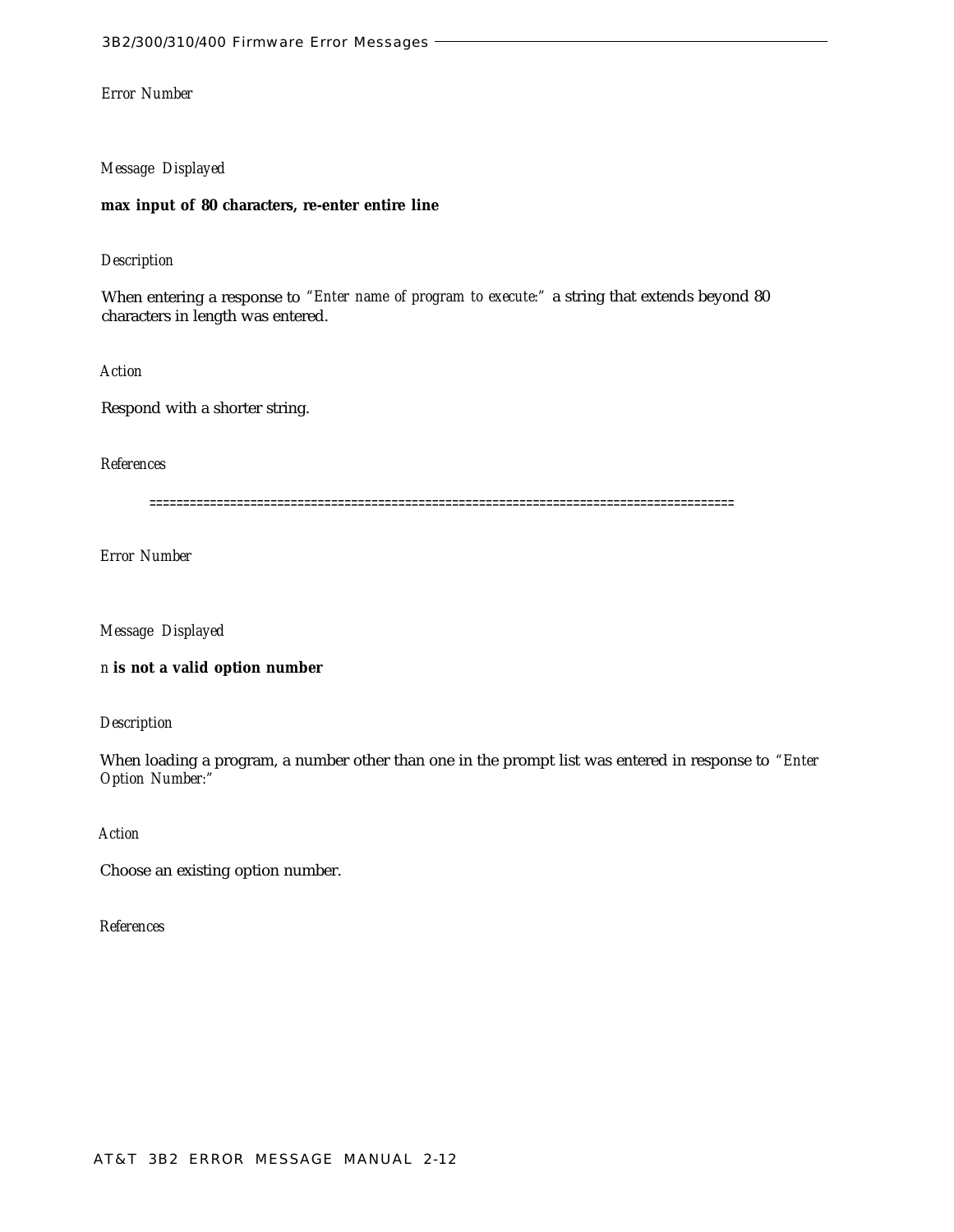#### *Message Displayed*

## **max input of 80 characters, re-enter entire line**

# *Description*

When entering a response to *"Enter name of program to execute:"* a string that extends beyond 80 characters in length was entered.

*Action*

Respond with a shorter string.

*References*

=======================================================================================

*Error Number*

*Message Displayed*

*n* **is not a valid option number**

*Description*

When loading a program, a number other than one in the prompt list was entered in response to *"Enter Option Number:"*

*Action*

Choose an existing option number.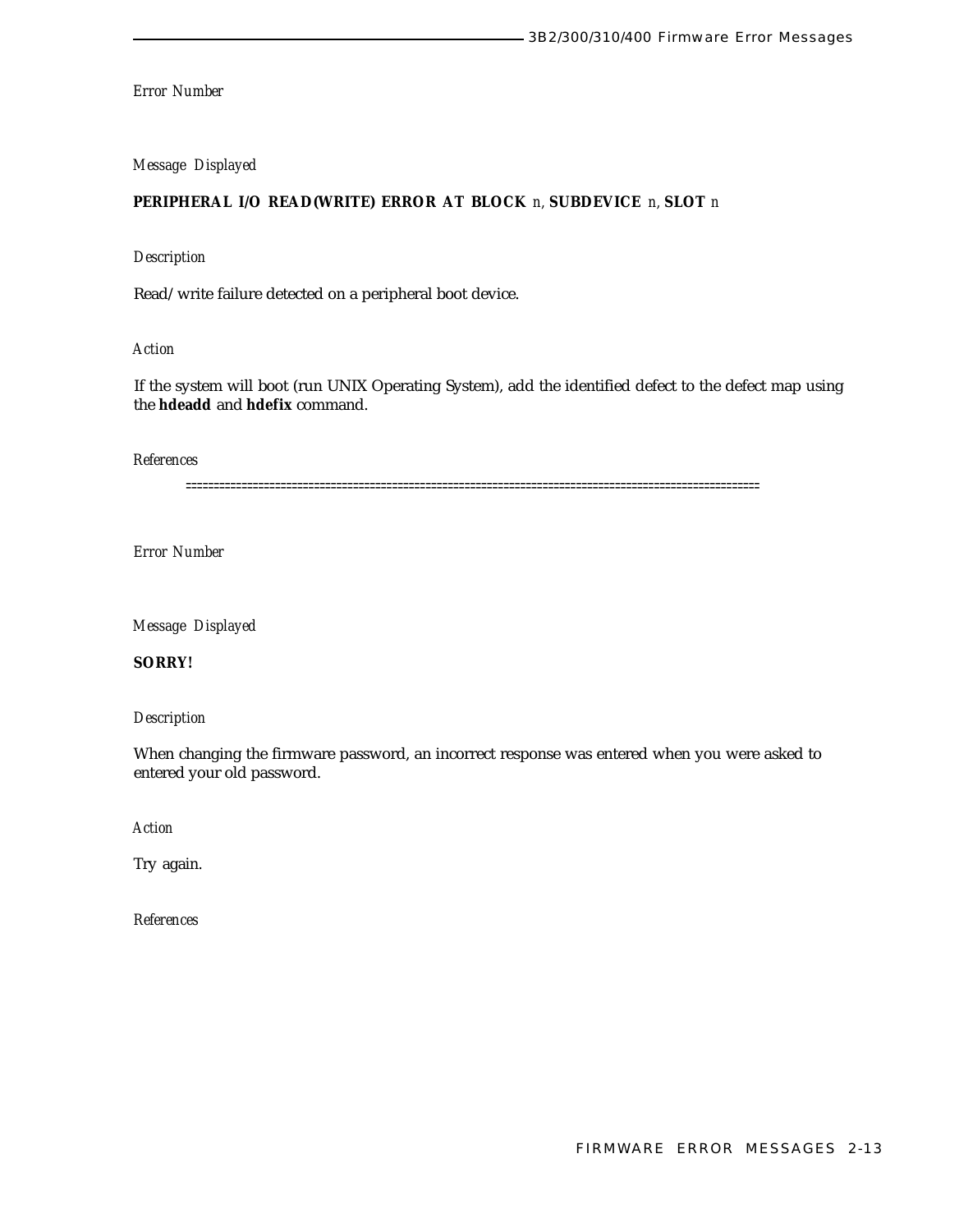# *Message Displayed*

# **PERIPHERAL I/O READ(WRITE) ERROR AT BLOCK** *n,* **SUBDEVICE** *n,* **SLOT** *n*

# *Description*

Read/write failure detected on a peripheral boot device.

# *Action*

If the system will boot (run UNIX Operating System), add the identified defect to the defect map using the **hdeadd** and **hdefix** command.

*References*

=======================================================================================================

*Error Number*

*Message Displayed*

# **SORRY!**

*Description*

When changing the firmware password, an incorrect response was entered when you were asked to entered your old password.

*Action*

Try again.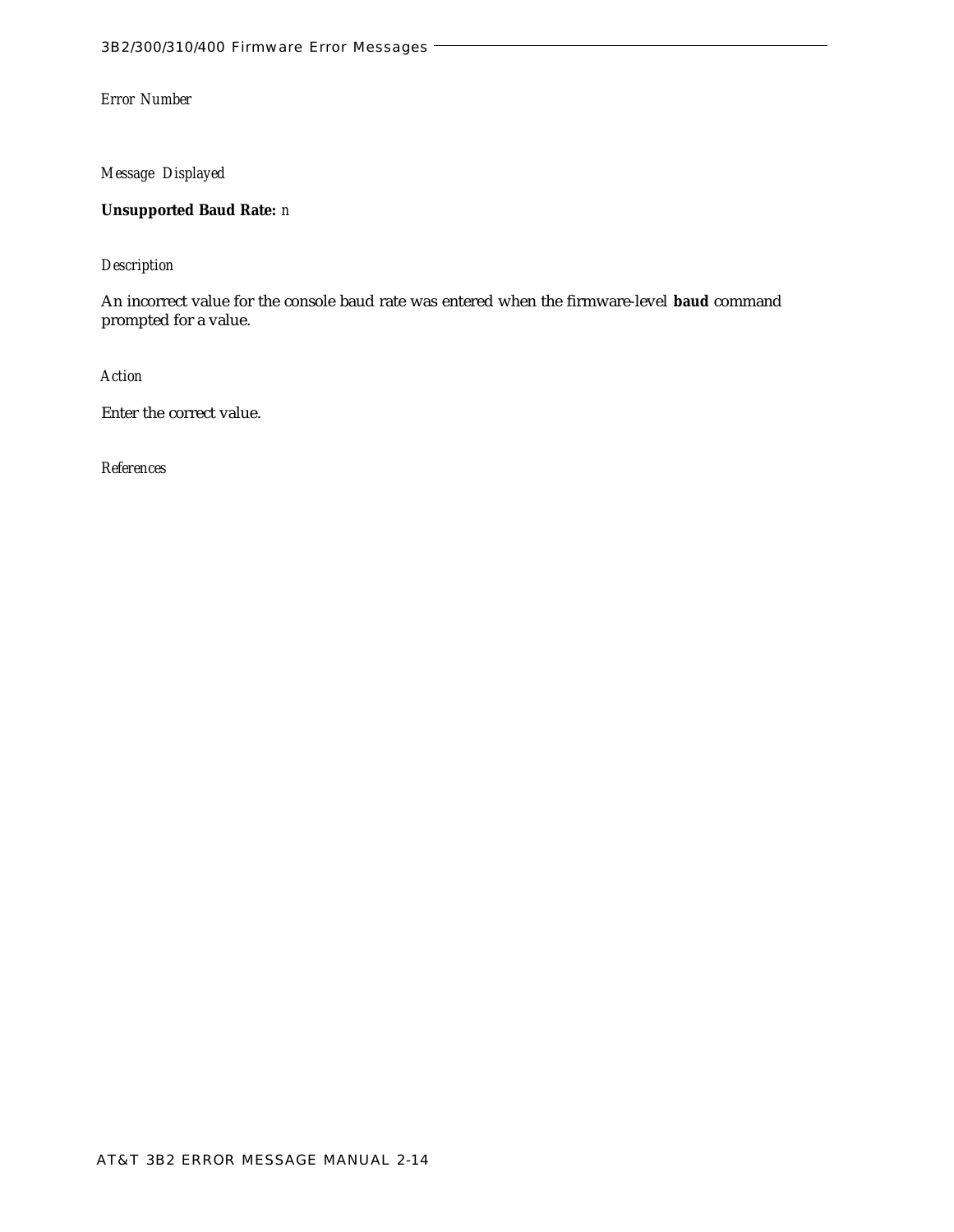*Message Displayed*

**Unsupported Baud Rate:** *n*

*Description*

An incorrect value for the console baud rate was entered when the firmware-level **baud** command prompted for a value.

*Action*

Enter the correct value.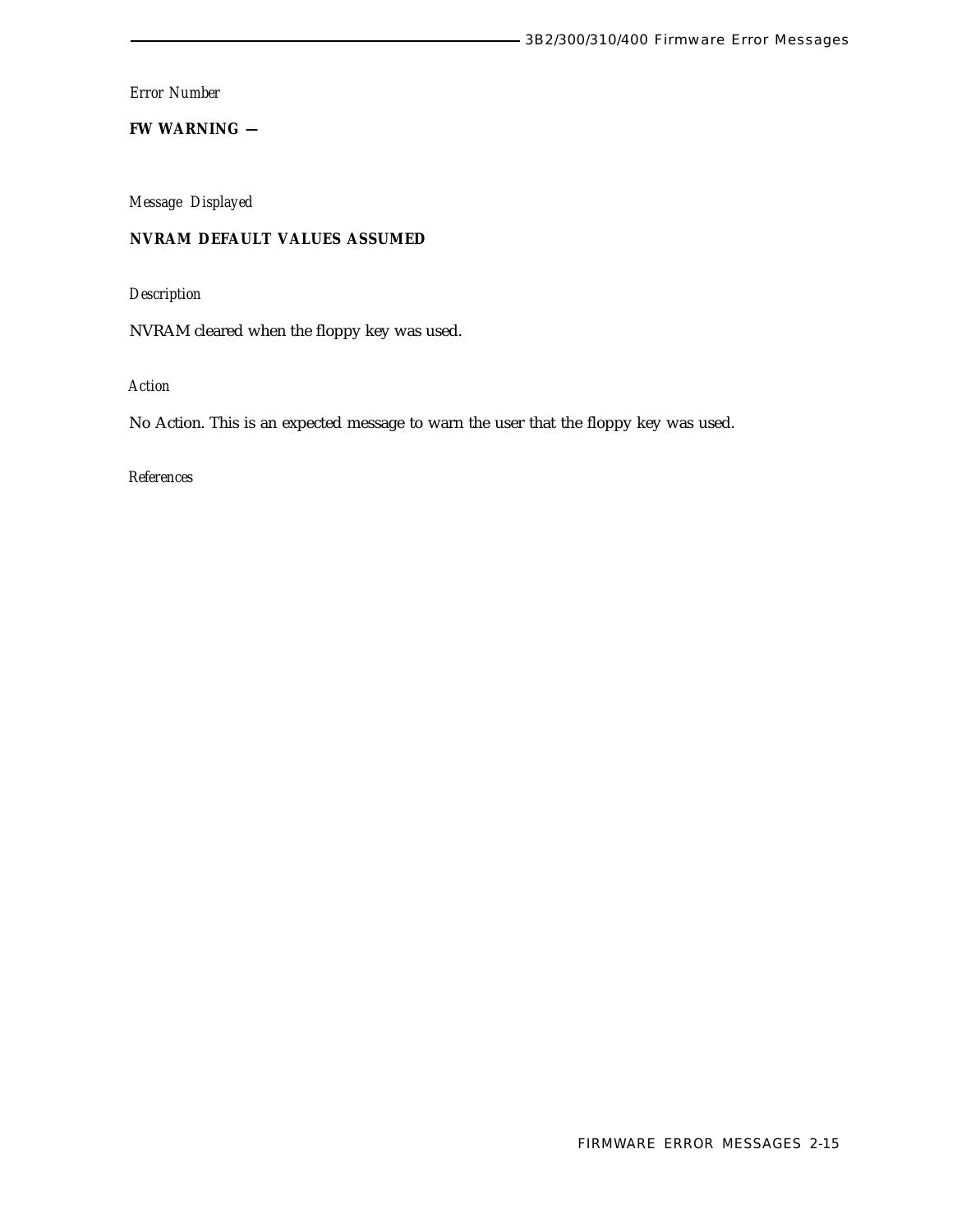**FW WARNING —**

*Message Displayed*

# **NVRAM DEFAULT VALUES ASSUMED**

*Description*

NVRAM cleared when the floppy key was used.

*Action*

No Action. This is an expected message to warn the user that the floppy key was used.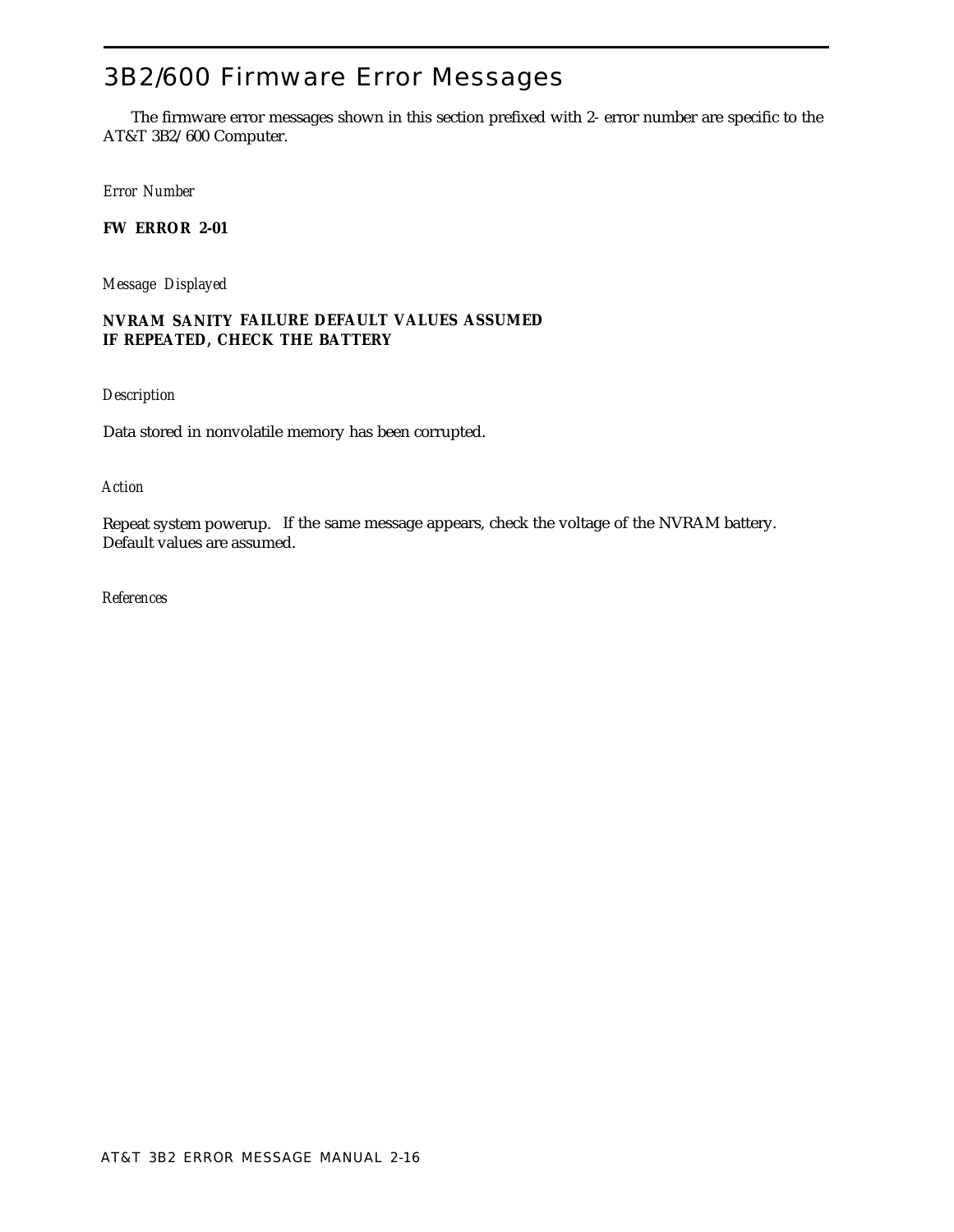# <span id="page-25-0"></span>3B2/600 Firmware Error Messages

The firmware error messages shown in this section prefixed with 2- error number are specific to the AT&T 3B2/600 Computer.

*Error Number*

**FW ERROR 2-01**

*Message Displayed*

# **NVRAM SANITY FAILURE DEFAULT VALUES ASSUMED IF REPEATED, CHECK THE BATTERY**

*Description*

Data stored in nonvolatile memory has been corrupted.

*Action*

Repeat system powerup. If the same message appears, check the voltage of the NVRAM battery. Default values are assumed.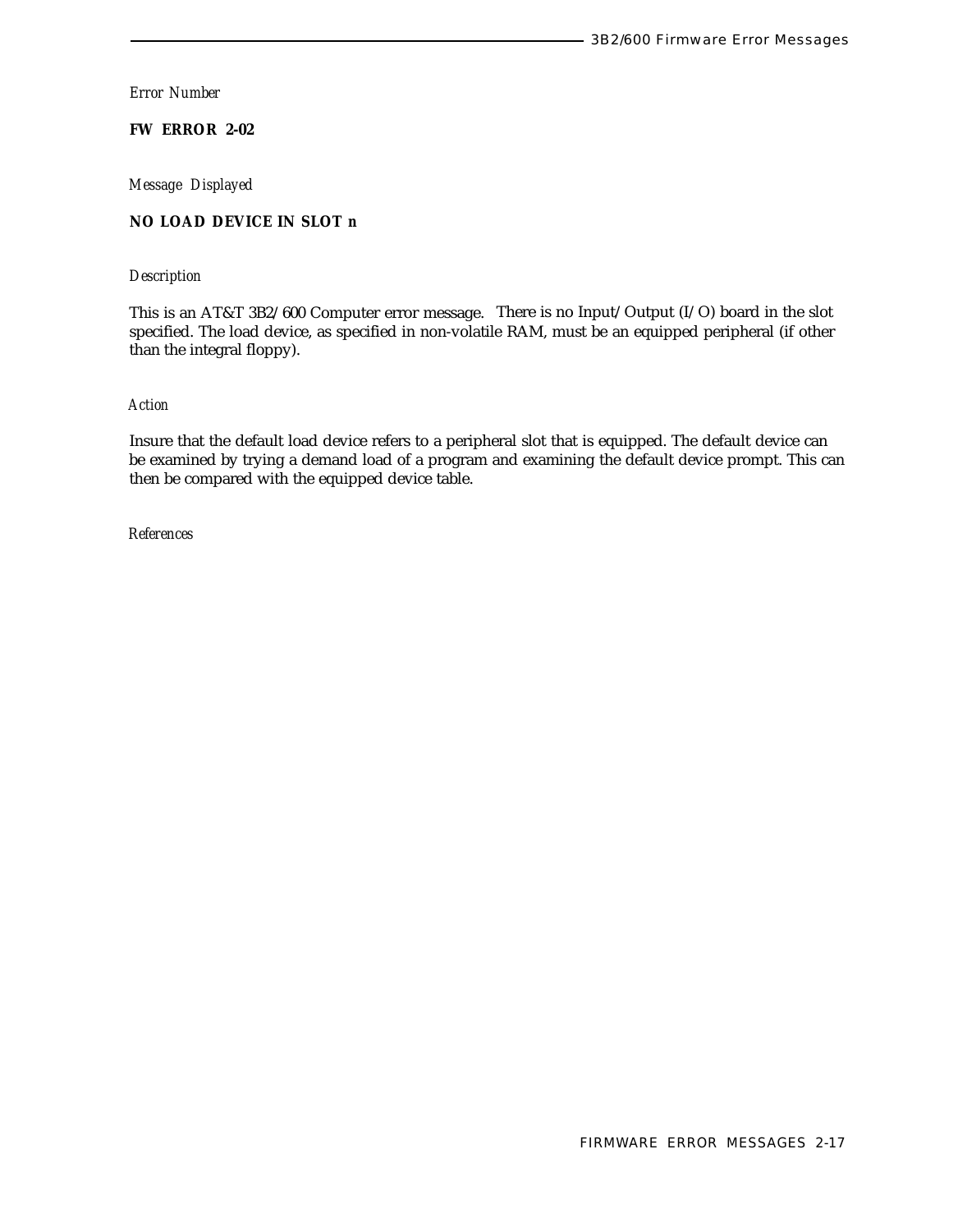**FW ERROR 2-02**

*Message Displayed*

# **NO LOAD DEVICE IN SLOT** *n*

# *Description*

This is an AT&T 3B2/600 Computer error message. There is no Input/Output (I/O) board in the slot specified. The load device, as specified in non-volatile RAM, must be an equipped peripheral (if other than the integral floppy).

## *Action*

Insure that the default load device refers to a peripheral slot that is equipped. The default device can be examined by trying a demand load of a program and examining the default device prompt. This can then be compared with the equipped device table.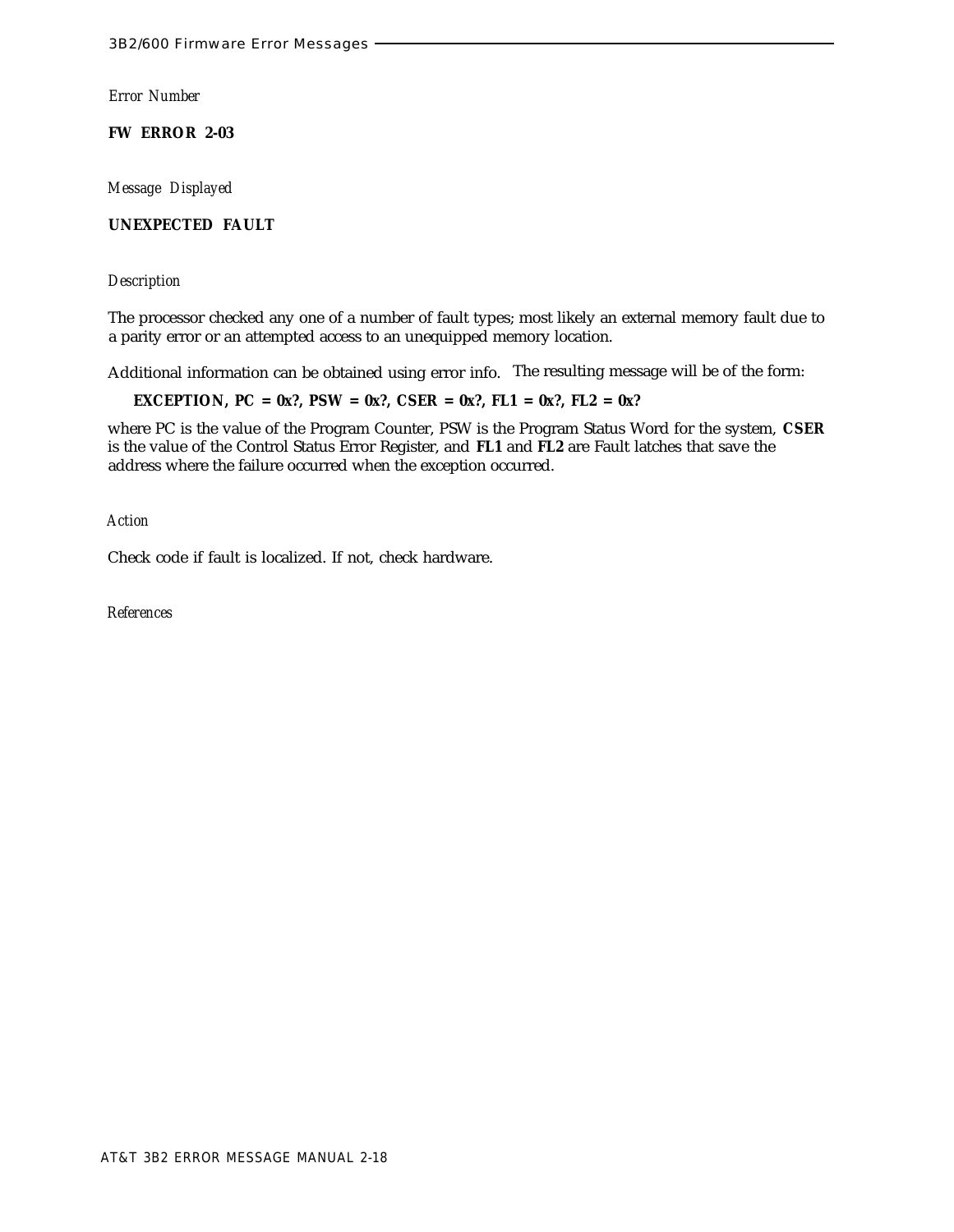**FW ERROR 2-03**

*Message Displayed*

**UNEXPECTED FAULT**

*Description*

The processor checked any one of a number of fault types; most likely an external memory fault due to a parity error or an attempted access to an unequipped memory location.

Additional information can be obtained using error info. The resulting message will be of the form:

**EXCEPTION, PC = 0x?, PSW = 0x?, CSER = 0x?, FL1 = 0x?, FL2 = 0x?**

where PC is the value of the Program Counter, PSW is the Program Status Word for the system, **CSER** is the value of the Control Status Error Register, and **FL1** and **FL2** are Fault latches that save the address where the failure occurred when the exception occurred.

*Action*

Check code if fault is localized. If not, check hardware.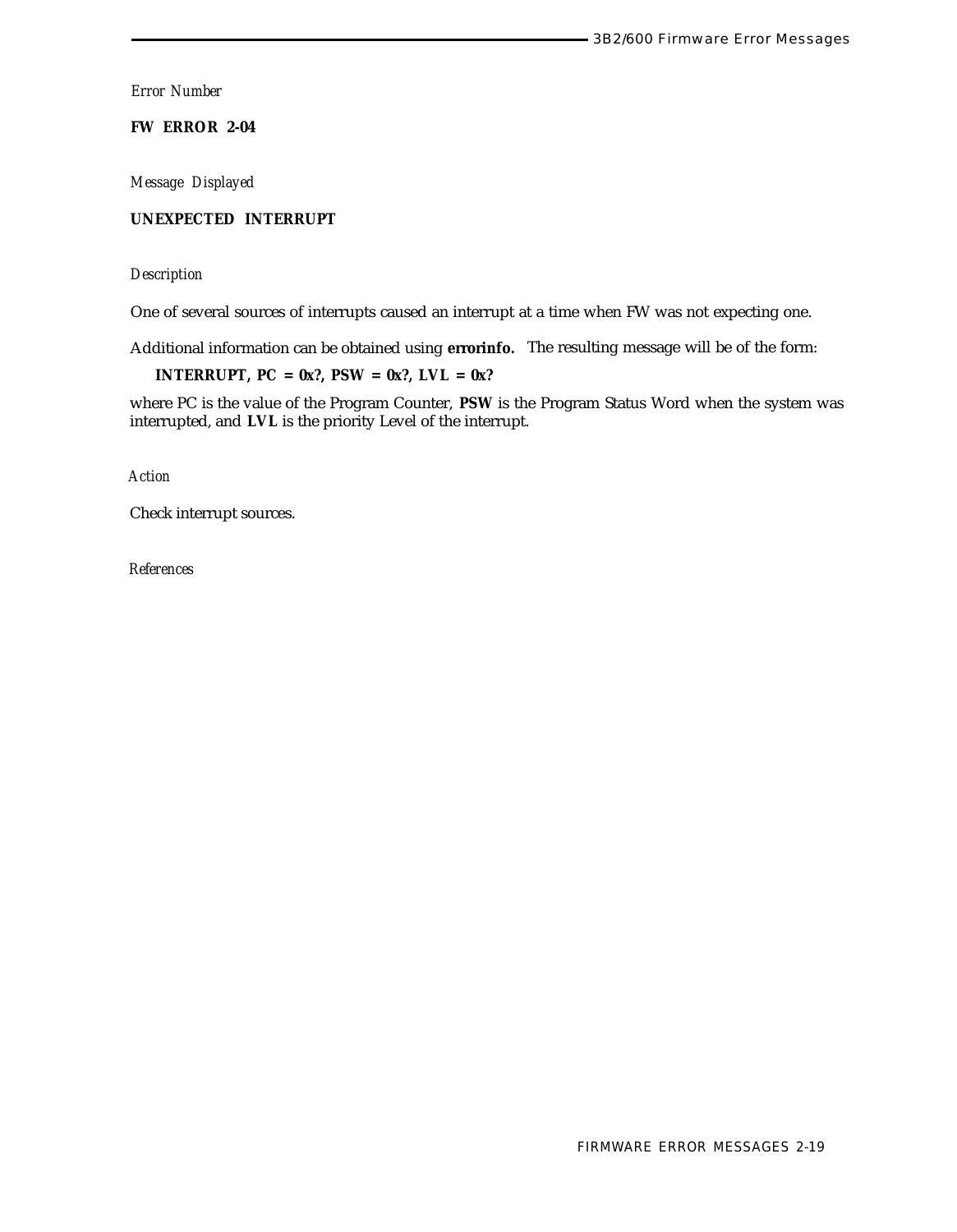**FW ERROR 2-04**

*Message Displayed*

# **UNEXPECTED INTERRUPT**

*Description*

One of several sources of interrupts caused an interrupt at a time when FW was not expecting one.

Additional information can be obtained using **errorinfo.** The resulting message will be of the form:

**INTERRUPT, PC = 0x?, PSW = 0x?, LVL = 0x?**

where PC is the value of the Program Counter, **PSW** is the Program Status Word when the system was interrupted, and **LVL** is the priority Level of the interrupt.

*Action*

Check interrupt sources.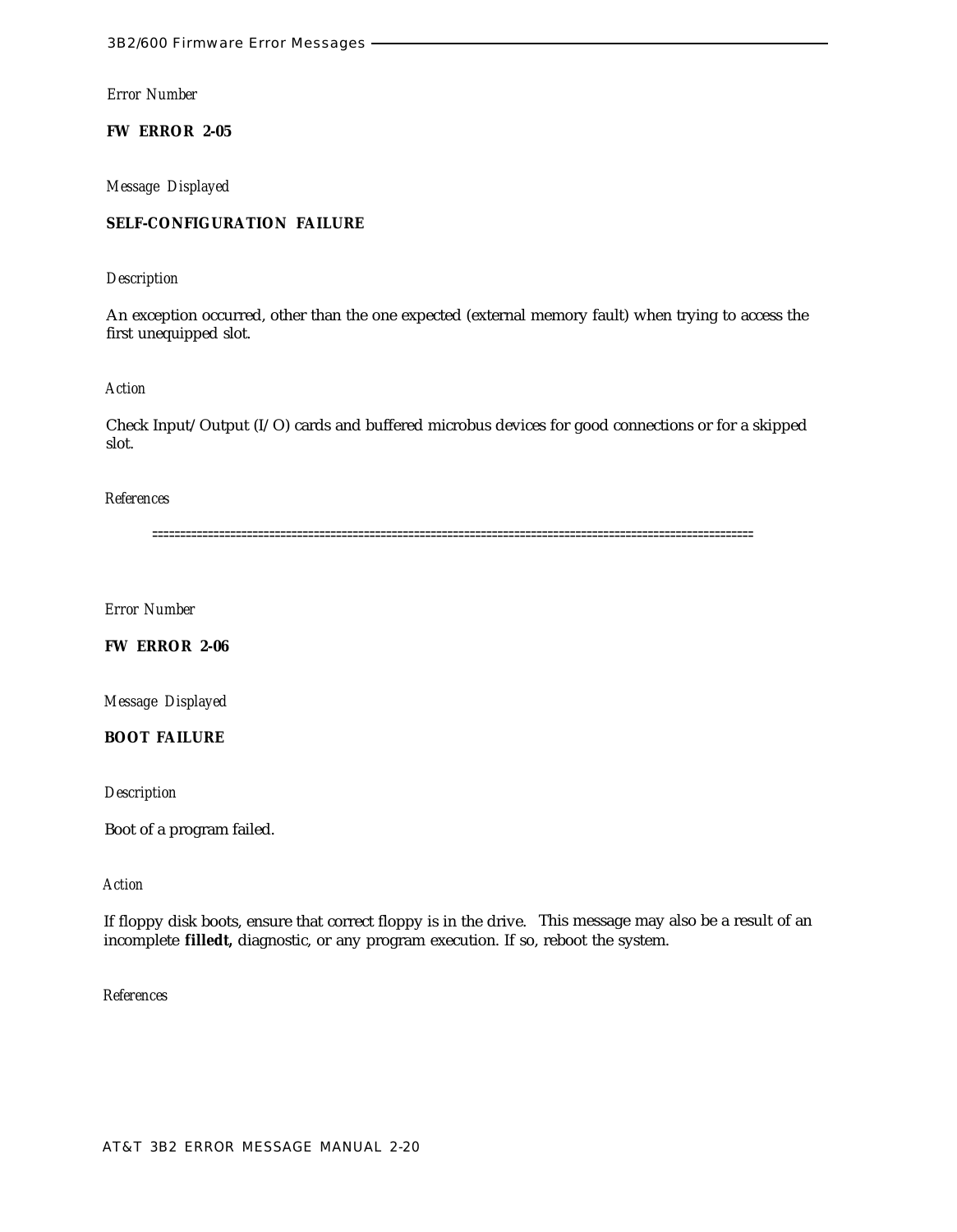**FW ERROR 2-05**

*Message Displayed*

# **SELF-CONFIGURATION FAILURE**

*Description*

An exception occurred, other than the one expected (external memory fault) when trying to access the first unequipped slot.

*Action*

Check Input/Output (I/O) cards and buffered microbus devices for good connections or for a skipped slot.

## *References*

============================================================================================================

*Error Number*

**FW ERROR 2-06**

*Message Displayed*

**BOOT FAILURE**

*Description*

Boot of a program failed.

# *Action*

If floppy disk boots, ensure that correct floppy is in the drive. This message may also be a result of an incomplete **filledt,** diagnostic, or any program execution. If so, reboot the system.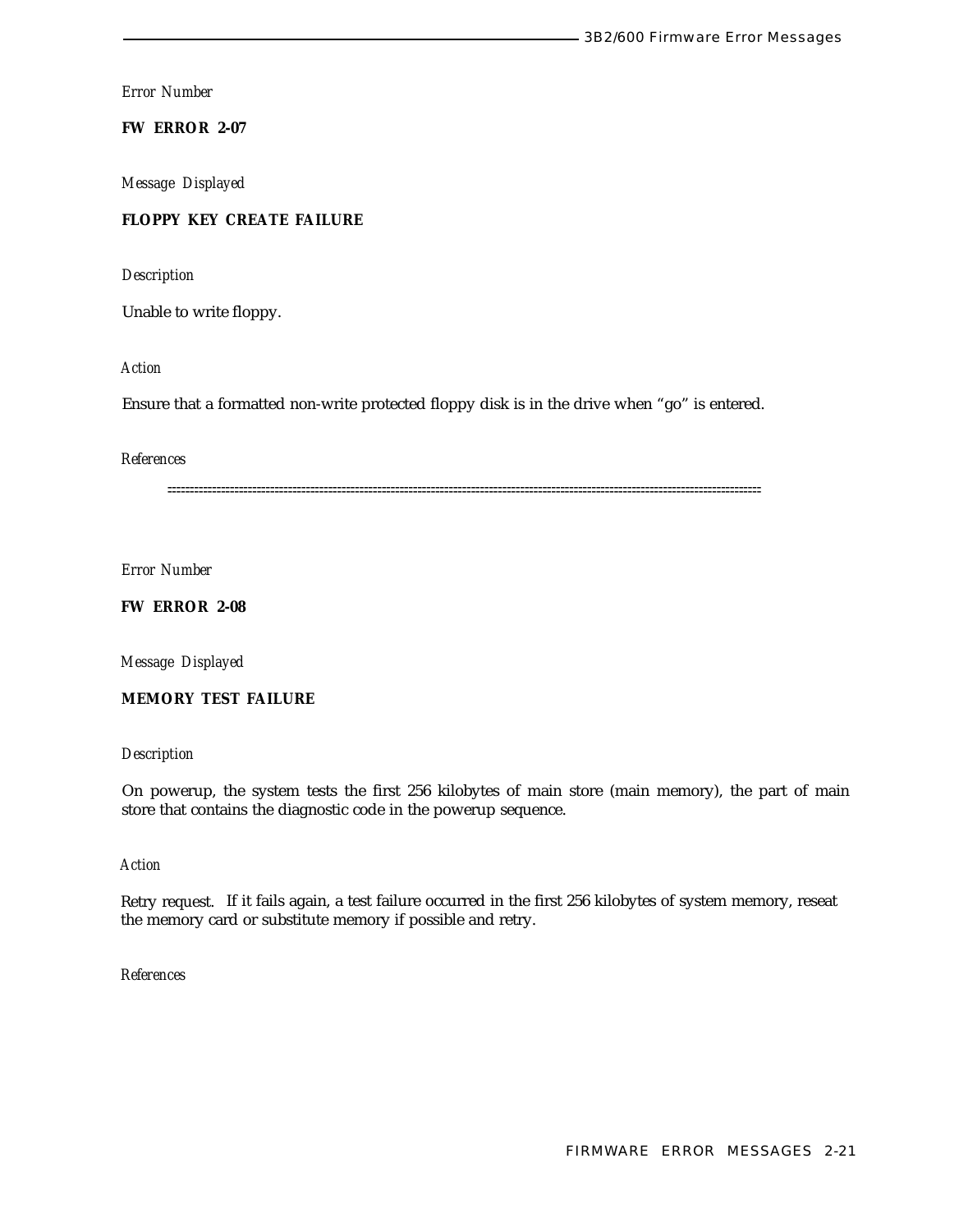# **FW ERROR 2-07**

*Message Displayed*

# **FLOPPY KEY CREATE FAILURE**

*Description*

Unable to write floppy.

*Action*

Ensure that a formatted non-write protected floppy disk is in the drive when "go" is entered.

#### *References*

=====================================================================================================================================

*Error Number*

**FW ERROR 2-08**

*Message Displayed*

**MEMORY TEST FAILURE**

## *Description*

On powerup, the system tests the first 256 kilobytes of main store (main memory), the part of main store that contains the diagnostic code in the powerup sequence.

# *Action*

Retry request. If it fails again, a test failure occurred in the first 256 kilobytes of system memory, reseat the memory card or substitute memory if possible and retry.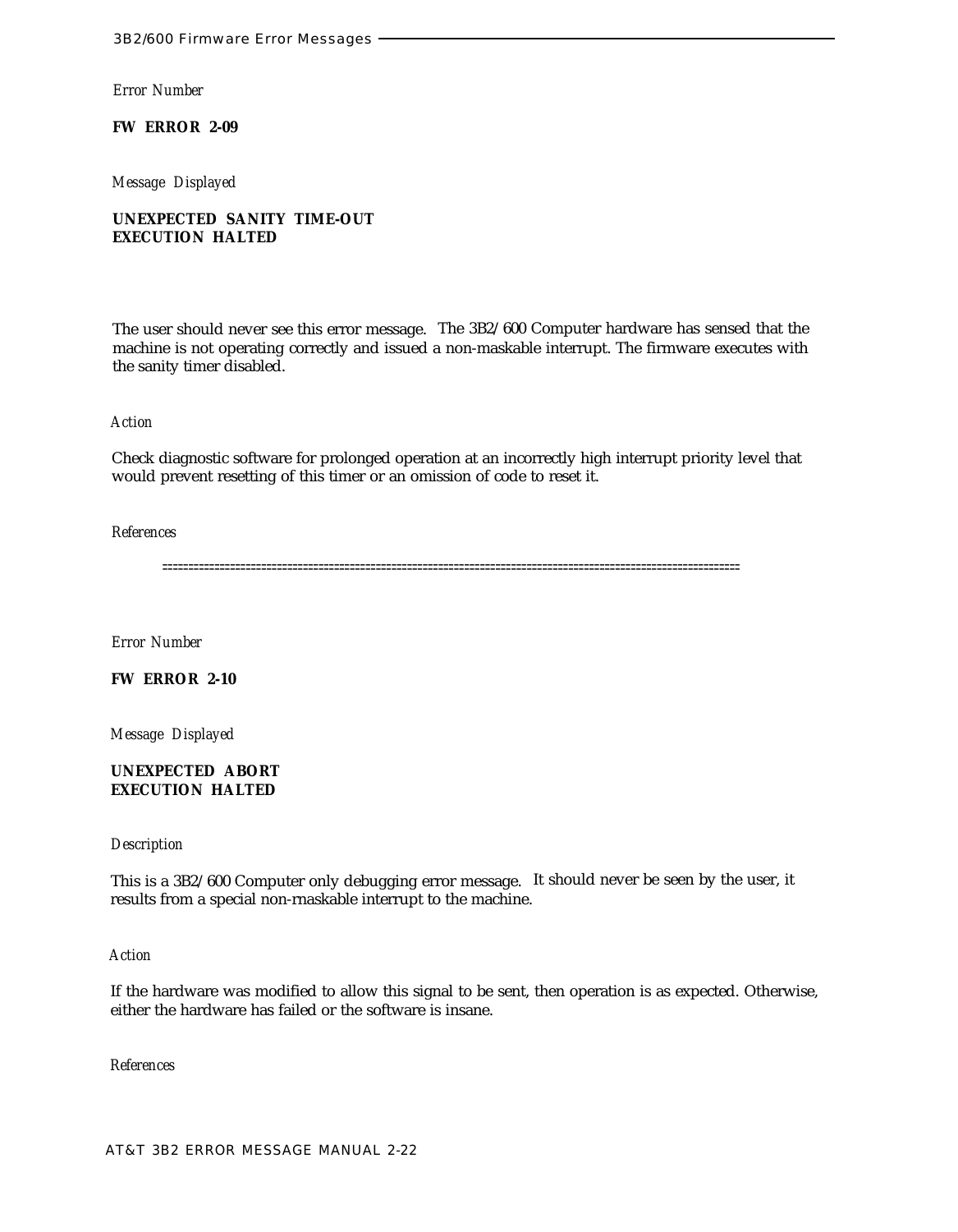**FW ERROR 2-09**

*Message Displayed*

**UNEXPECTED SANITY TIME-OUT EXECUTION HALTED**

The user should never see this error message. The 3B2/600 Computer hardware has sensed that the machine is not operating correctly and issued a non-maskable interrupt. The firmware executes with the sanity timer disabled.

## *Action*

Check diagnostic software for prolonged operation at an incorrectly high interrupt priority level that would prevent resetting of this timer or an omission of code to reset it.

## *References*

===============================================================================================================

*Error Number*

# **FW ERROR 2-10**

*Message Displayed*

# **UNEXPECTED ABORT EXECUTION HALTED**

# *Description*

This is a 3B2/600 Computer only debugging error message. It should never be seen by the user, it results from a special non-rnaskable interrupt to the machine.

## *Action*

If the hardware was modified to allow this signal to be sent, then operation is as expected. Otherwise, either the hardware has failed or the software is insane.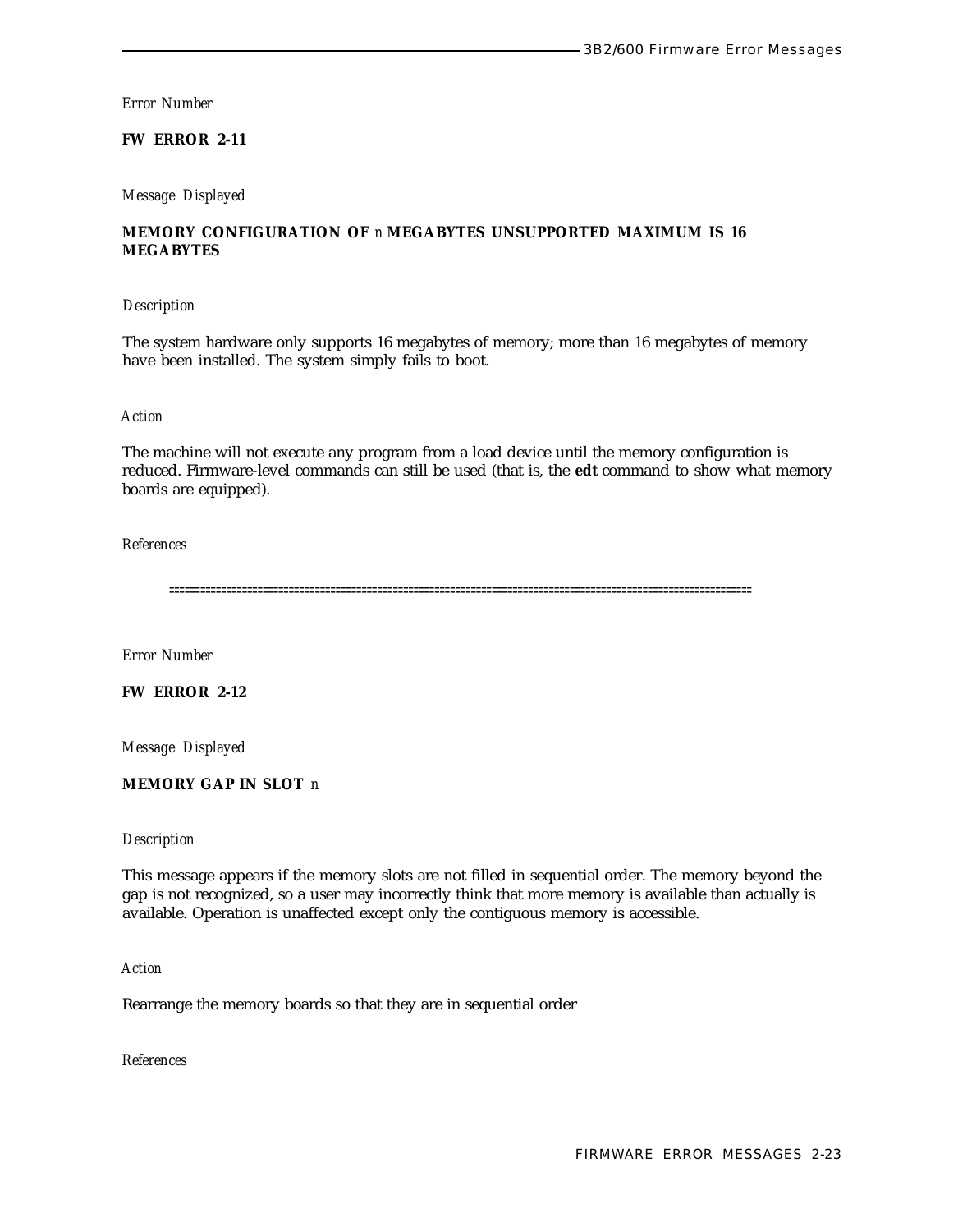# **FW ERROR 2-11**

#### *Message Displayed*

# **MEMORY CONFIGURATION OF** *n* **MEGABYTES UNSUPPORTED MAXIMUM IS 16 MEGABYTES**

#### *Description*

The system hardware only supports 16 megabytes of memory; more than 16 megabytes of memory have been installed. The system simply fails to boot.

## *Action*

The machine will not execute any program from a load device until the memory configuration is reduced. Firmware-level commands can still be used (that is, the **edt** command to show what memory boards are equipped).

#### *References*

================================================================================================================

*Error Number*

# **FW ERROR 2-12**

*Message Displayed*

# **MEMORY GAP IN SLOT** *n*

#### *Description*

This message appears if the memory slots are not filled in sequential order. The memory beyond the gap is not recognized, so a user may incorrectly think that more memory is available than actually is available. Operation is unaffected except only the contiguous memory is accessible.

#### *Action*

Rearrange the memory boards so that they are in sequential order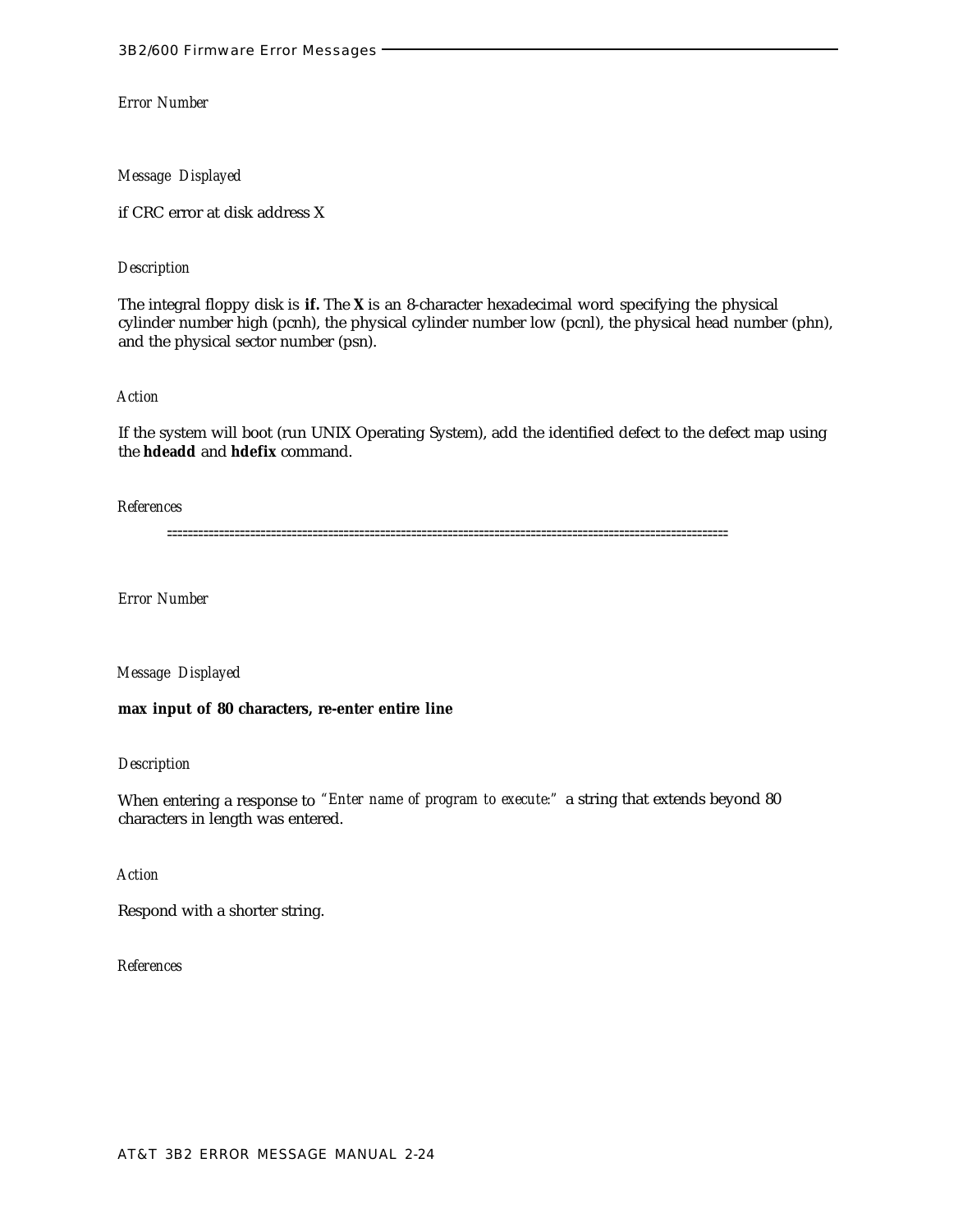*Message Displayed*

if CRC error at disk address X

## *Description*

The integral floppy disk is **if.** The **X** is an 8-character hexadecimal word specifying the physical cylinder number high (pcnh), the physical cylinder number low (pcnl), the physical head number (phn), and the physical sector number (psn).

#### *Action*

If the system will boot (run UNIX Operating System), add the identified defect to the defect map using the **hdeadd** and **hdefix** command.

#### *References*

============================================================================================================

*Error Number*

*Message Displayed*

**max input of 80 characters, re-enter entire line**

#### *Description*

When entering a response to *"Enter name of program to execute:"* a string that extends beyond 80 characters in length was entered.

## *Action*

Respond with a shorter string.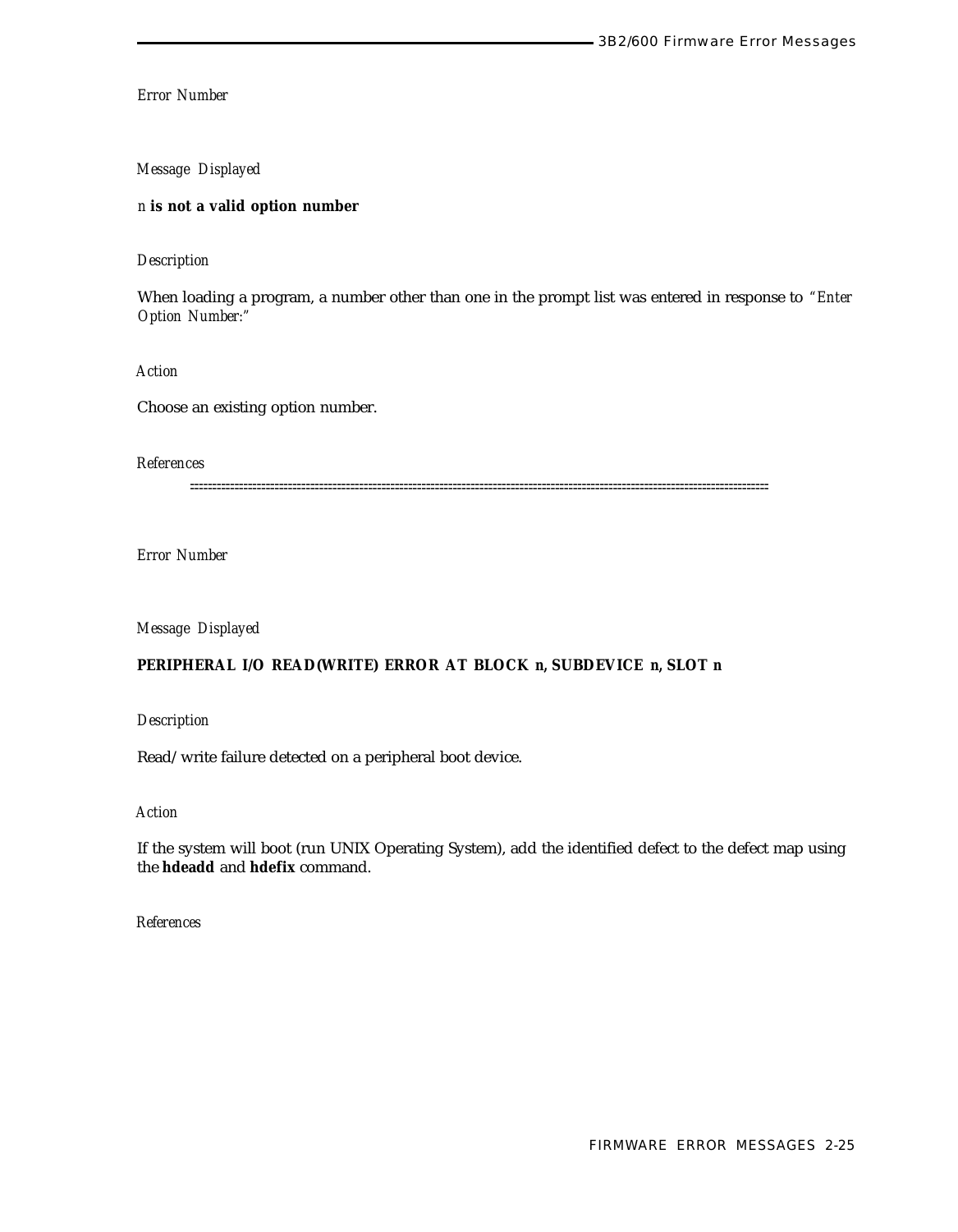# *Message Displayed*

# *n* **is not a valid option number**

## *Description*

When loading a program, a number other than one in the prompt list was entered in response to *"Enter Option Number:"*

*Action*

Choose an existing option number.

*References*

==================================================================================================================================

*Error Number*

*Message Displayed*

## **PERIPHERAL I/O READ(WRITE) ERROR AT BLOCK** *n,* **SUBDEVICE** *n,* **SLOT** *n*

*Description*

Read/write failure detected on a peripheral boot device.

*Action*

If the system will boot (run UNIX Operating System), add the identified defect to the defect map using the **hdeadd** and **hdefix** command.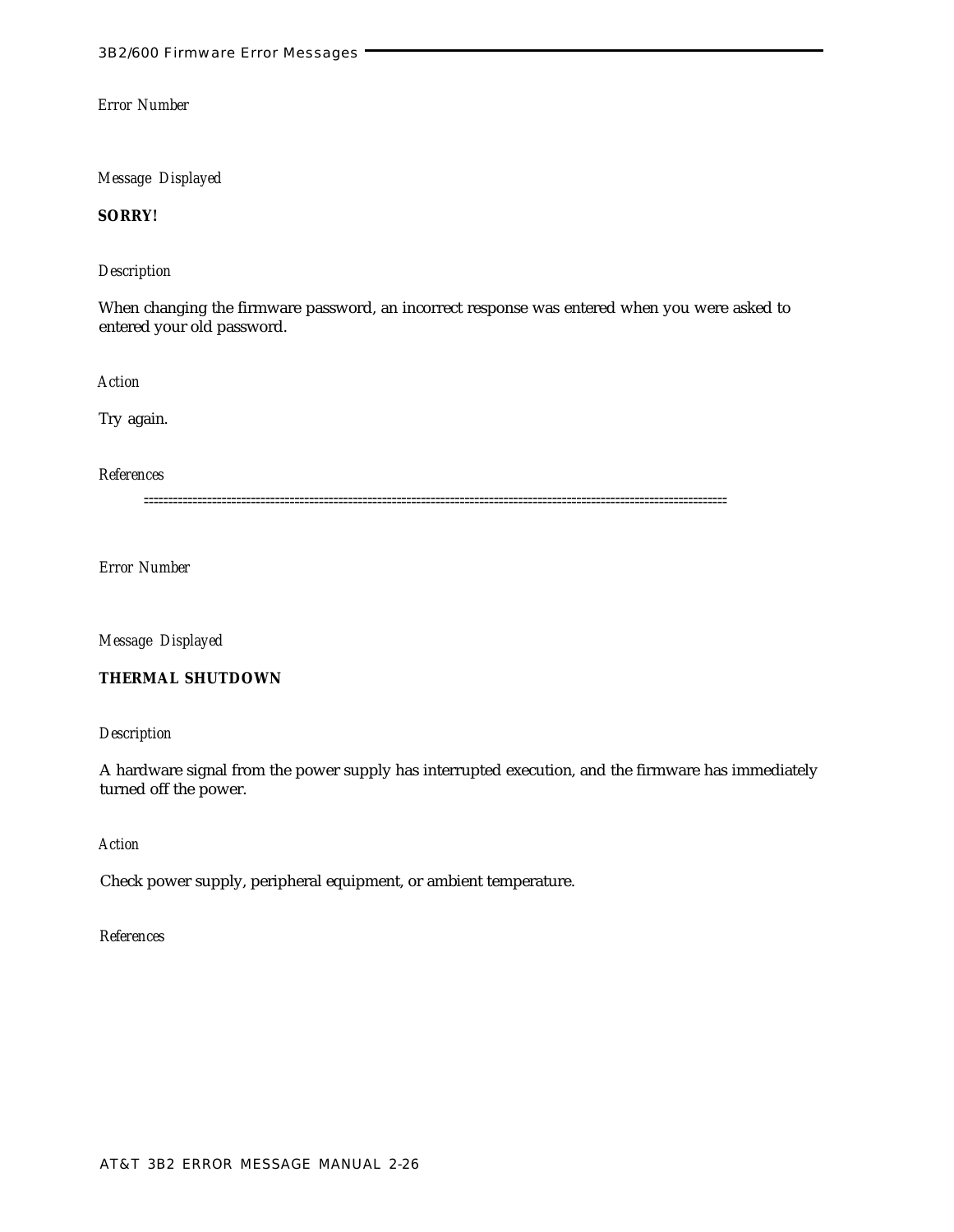*Message Displayed*

**SORRY!**

# *Description*

When changing the firmware password, an incorrect response was entered when you were asked to entered your old password.

*Action*

Try again.

*References*

========================================================================================================================

*Error Number*

*Message Displayed*

# **THERMAL SHUTDOWN**

*Description*

A hardware signal from the power supply has interrupted execution, and the firmware has immediately turned off the power.

# *Action*

Check power supply, peripheral equipment, or ambient temperature.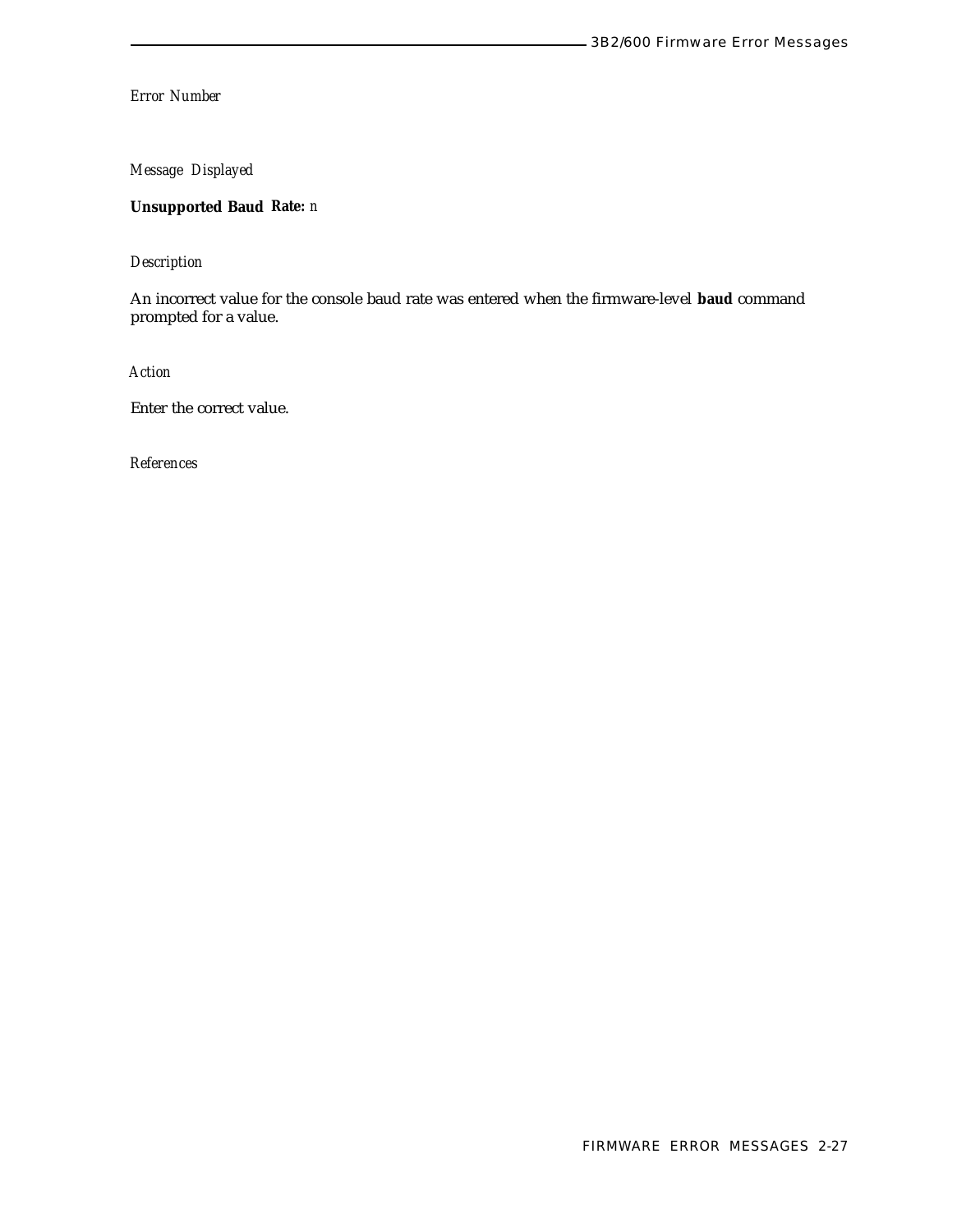*Message Displayed*

**Unsupported Baud Rate:** *n*

*Description*

An incorrect value for the console baud rate was entered when the firmware-level **baud** command prompted for a value.

*Action*

Enter the correct value.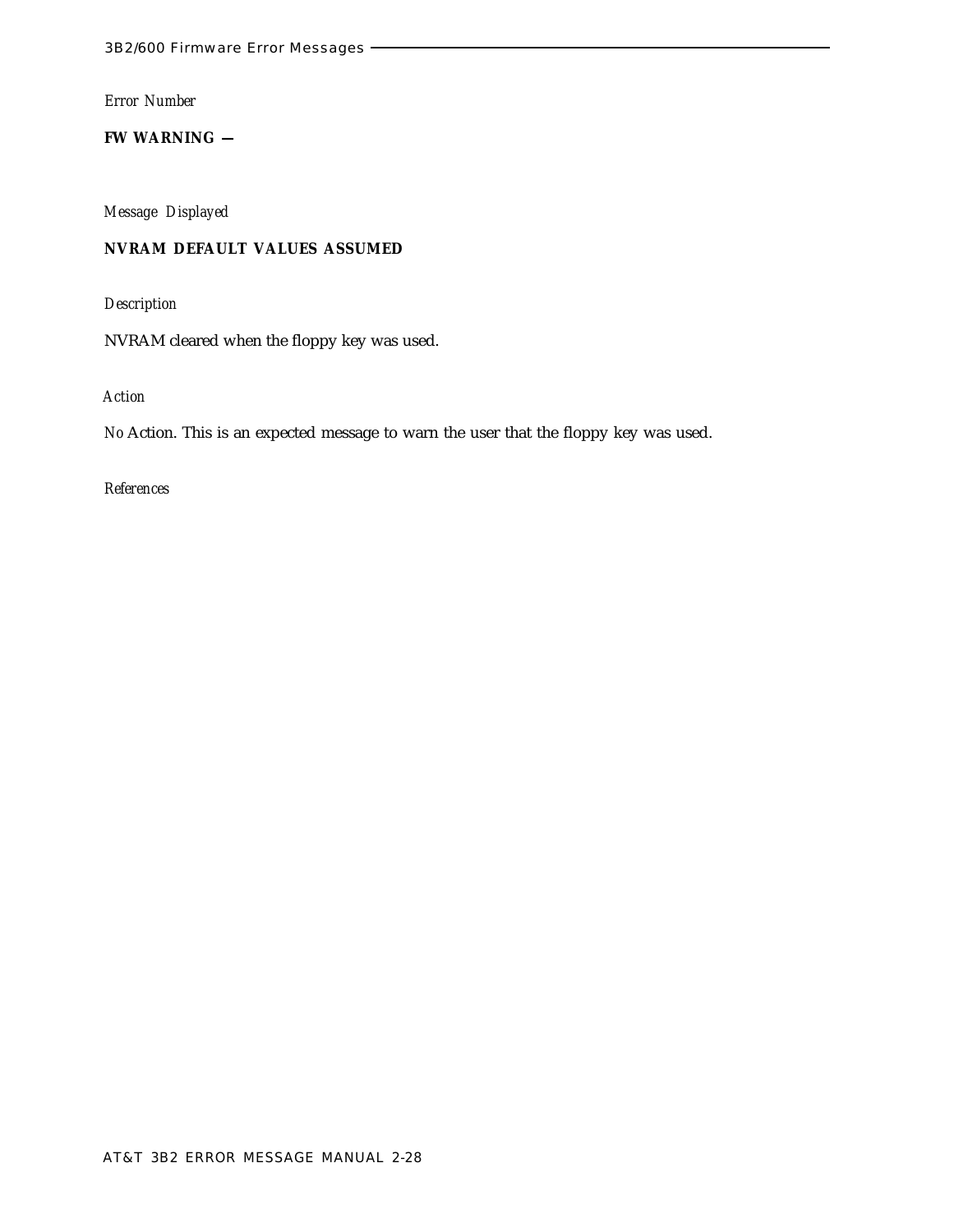**FW WARNING —**

*Message Displayed*

# **NVRAM DEFAULT VALUES ASSUMED**

*Description*

NVRAM cleared when the floppy key was used.

*Action*

*No* Action. This is an expected message to warn the user that the floppy key was used.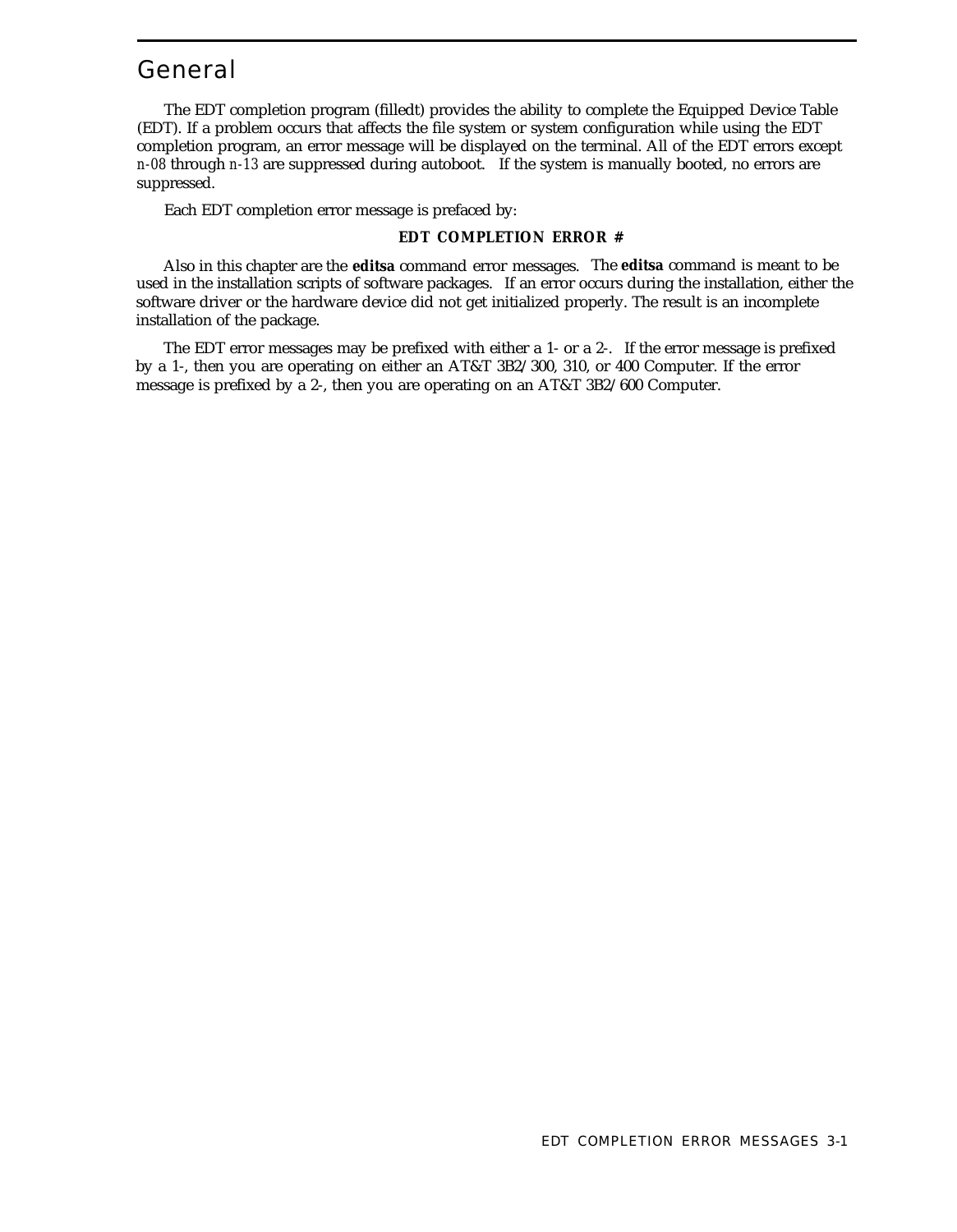# General

The EDT completion program (filledt) provides the ability to complete the Equipped Device Table (EDT). If a problem occurs that affects the file system or system configuration while using the EDT completion program, an error message will be displayed on the terminal. All of the EDT errors except *n-08* through *n-13* are suppressed during autoboot. If the system is manually booted, no errors are suppressed.

Each EDT completion error message is prefaced by:

#### **EDT COMPLETION ERROR #**

Also in this chapter are the **editsa** command error messages. The **editsa** command is meant to be used in the installation scripts of software packages. If an error occurs during the installation, either the software driver or the hardware device did not get initialized properly. The result is an incomplete installation of the package.

The EDT error messages may be prefixed with either a 1- or a 2-. If the error message is prefixed by a 1-, then you are operating on either an AT&T 3B2/300, 310, or 400 Computer. If the error message is prefixed by a 2-, then you are operating on an AT&T 3B2/600 Computer.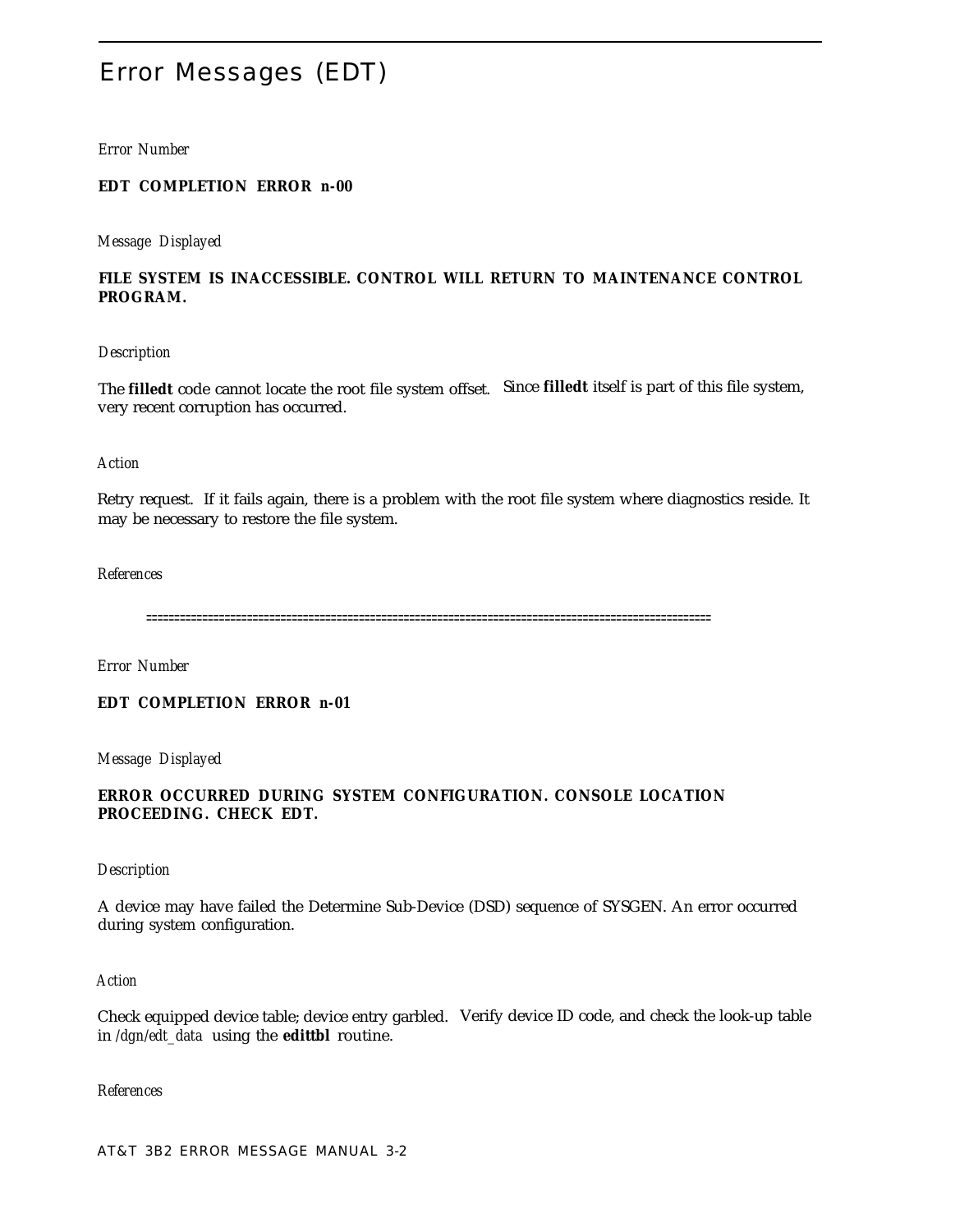# Error Messages (EDT)

#### *Error Number*

## **EDT COMPLETION ERROR** *n-00*

*Message Displayed*

# **FILE SYSTEM IS INACCESSIBLE. CONTROL WILL RETURN TO MAINTENANCE CONTROL PROGRAM.**

#### *Description*

The **filledt** code cannot locate the root file system offset. Since **filledt** itself is part of this file system, very recent corruption has occurred.

#### *Action*

Retry request. If it fails again, there is a problem with the root file system where diagnostics reside. It may be necessary to restore the file system.

## *References*

=====================================================================================================

*Error Number*

**EDT COMPLETION ERROR** *n-01*

*Message Displayed*

# **ERROR OCCURRED DURING SYSTEM CONFIGURATION. CONSOLE LOCATION PROCEEDING. CHECK EDT.**

#### *Description*

A device may have failed the Determine Sub-Device (DSD) sequence of SYSGEN. An error occurred during system configuration.

#### *Action*

Check equipped device table; device entry garbled. Verify device ID code, and check the look-up table in */dgn/edt\_data* using the **edittbl** routine.

*References*

AT&T 3B2 ERROR MESSAGE MANUAL 3-2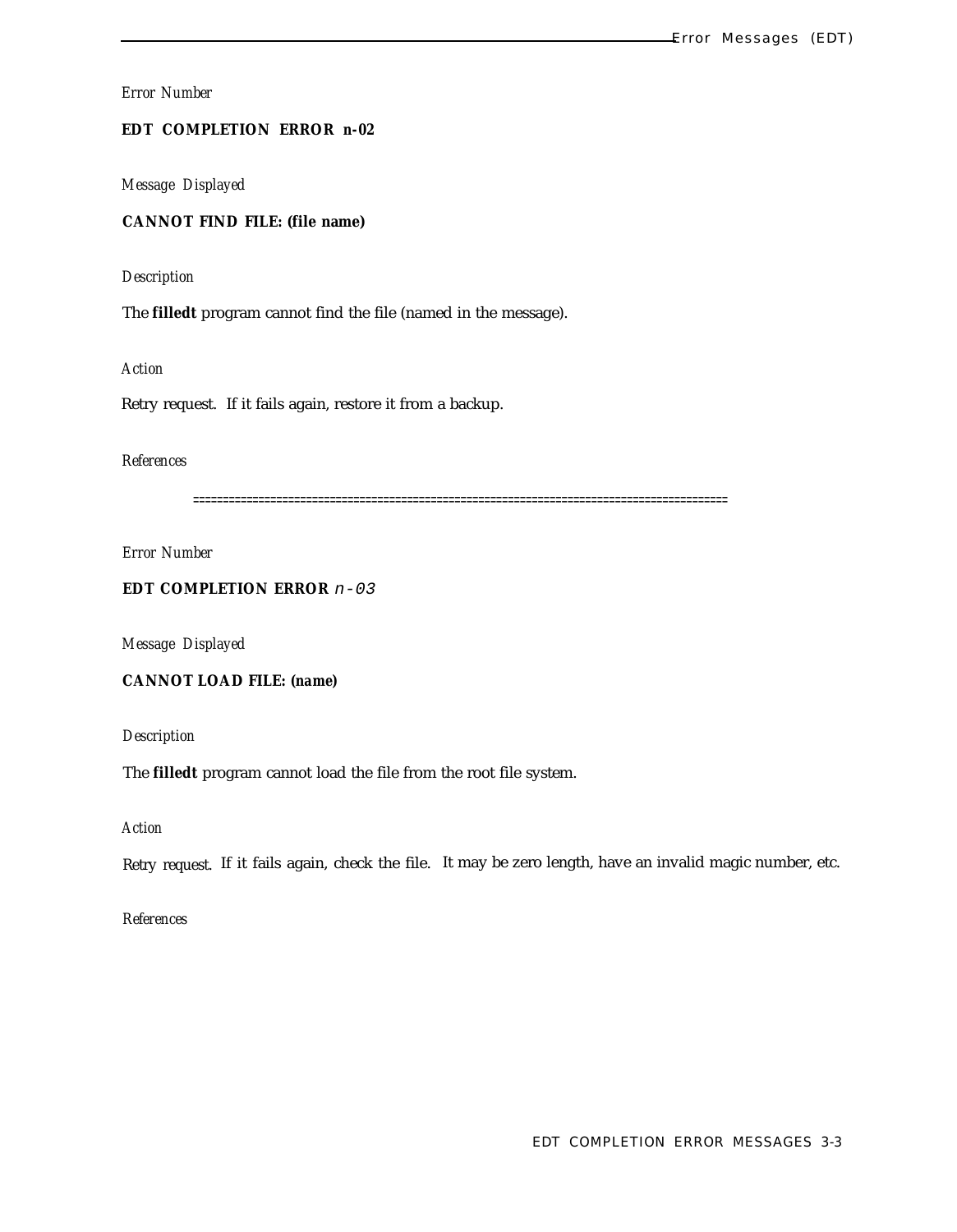**EDT COMPLETION ERROR** *n-02*

*Message Displayed*

**CANNOT FIND FILE: (file name)**

*Description*

The **filledt** program cannot find the file (named in the message).

*Action*

Retry request. If it fails again, restore it from a backup.

## *References*

==========================================================================================

*Error Number*

**EDT COMPLETION ERROR**  $n-03$ 

*Message Displayed*

**CANNOT LOAD FILE:** *(name)*

*Description*

The **filledt** program cannot load the file from the root file system.

*Action*

Retry request. If it fails again, check the file. It may be zero length, have an invalid magic number, etc.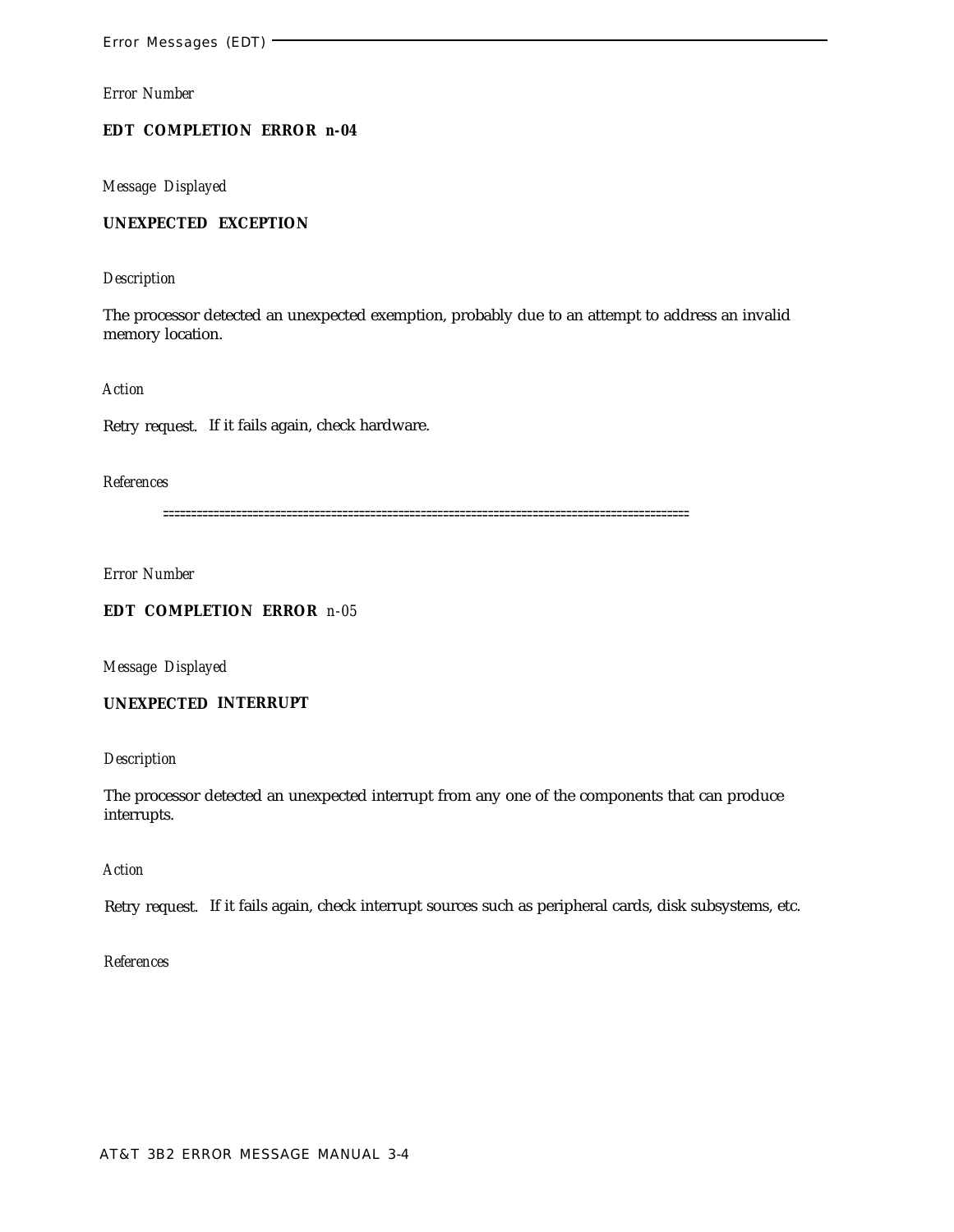# **EDT COMPLETION ERROR** *n-04*

*Message Displayed*

# **UNEXPECTED EXCEPTION**

## *Description*

The processor detected an unexpected exemption, probably due to an attempt to address an invalid memory location.

*Action*

Retry request. If it fails again, check hardware.

## *References*

==============================================================================================

*Error Number*

# **EDT COMPLETION ERROR** *n-05*

*Message Displayed*

# **UNEXPECTED INTERRUPT**

# *Description*

The processor detected an unexpected interrupt from any one of the components that can produce interrupts.

# *Action*

Retry request. If it fails again, check interrupt sources such as peripheral cards, disk subsystems, etc.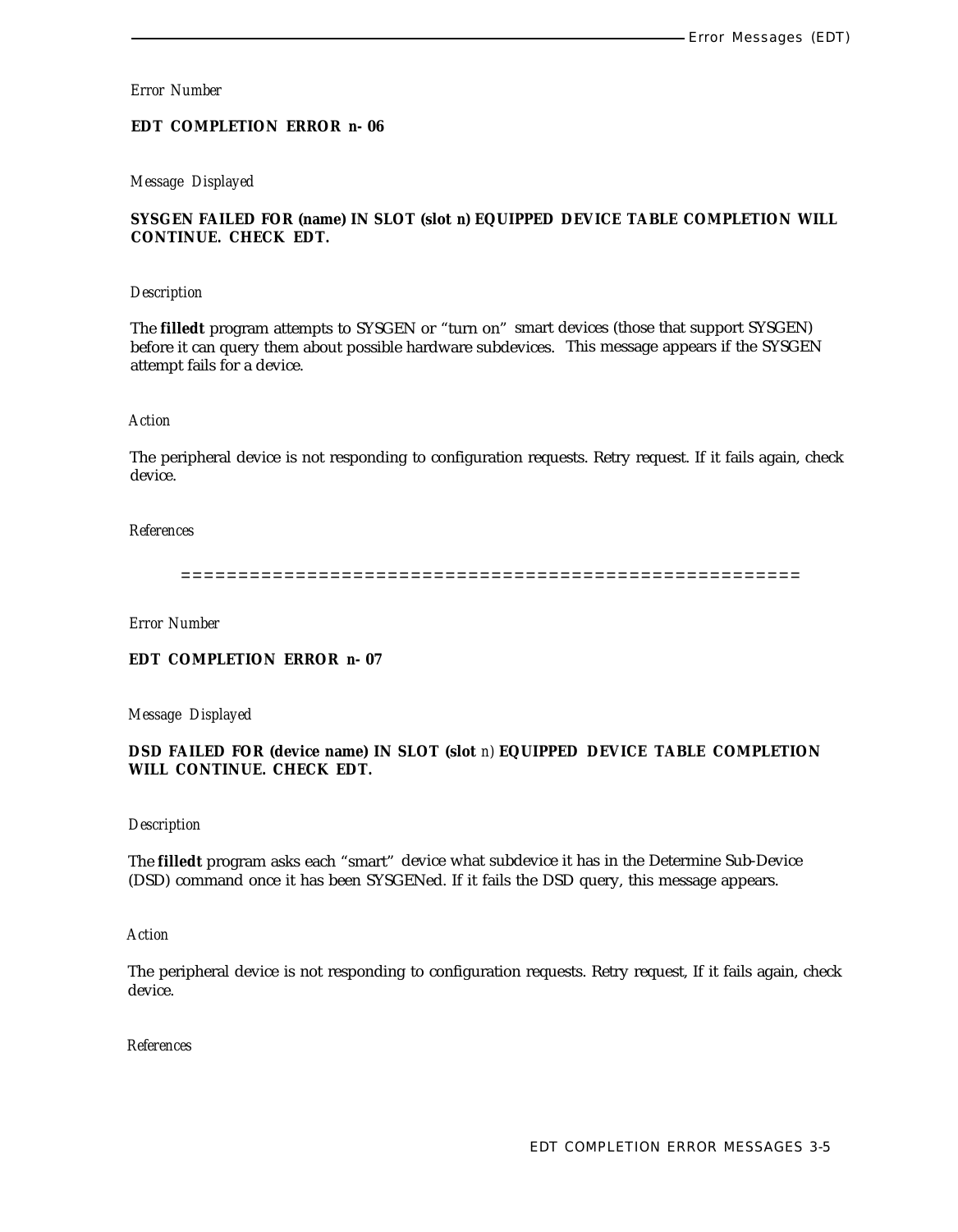## **EDT COMPLETION ERROR** *n-* **06**

## *Message Displayed*

# **SYSGEN FAILED FOR (name) IN SLOT (slot** *n)* **EQUIPPED DEVICE TABLE COMPLETION WILL CONTINUE. CHECK EDT.**

#### *Description*

The **filledt** program attempts to SYSGEN or "turn on" smart devices (those that support SYSGEN) before it can query them about possible hardware subdevices. This message appears if the SYSGEN attempt fails for a device.

# *Action*

The peripheral device is not responding to configuration requests. Retry request. If it fails again, check device.

#### *References*

======================================================

*Error Number*

**EDT COMPLETION ERROR** *n-* **07**

*Message Displayed*

**DSD FAILED FOR (device name) IN SLOT (slot** *n)* **EQUIPPED DEVICE TABLE COMPLETION WILL CONTINUE. CHECK EDT.**

#### *Description*

The **filledt** program asks each "smart" device what subdevice it has in the Determine Sub-Device (DSD) command once it has been SYSGENed. If it fails the DSD query, this message appears.

#### *Action*

The peripheral device is not responding to configuration requests. Retry request, If it fails again, check device.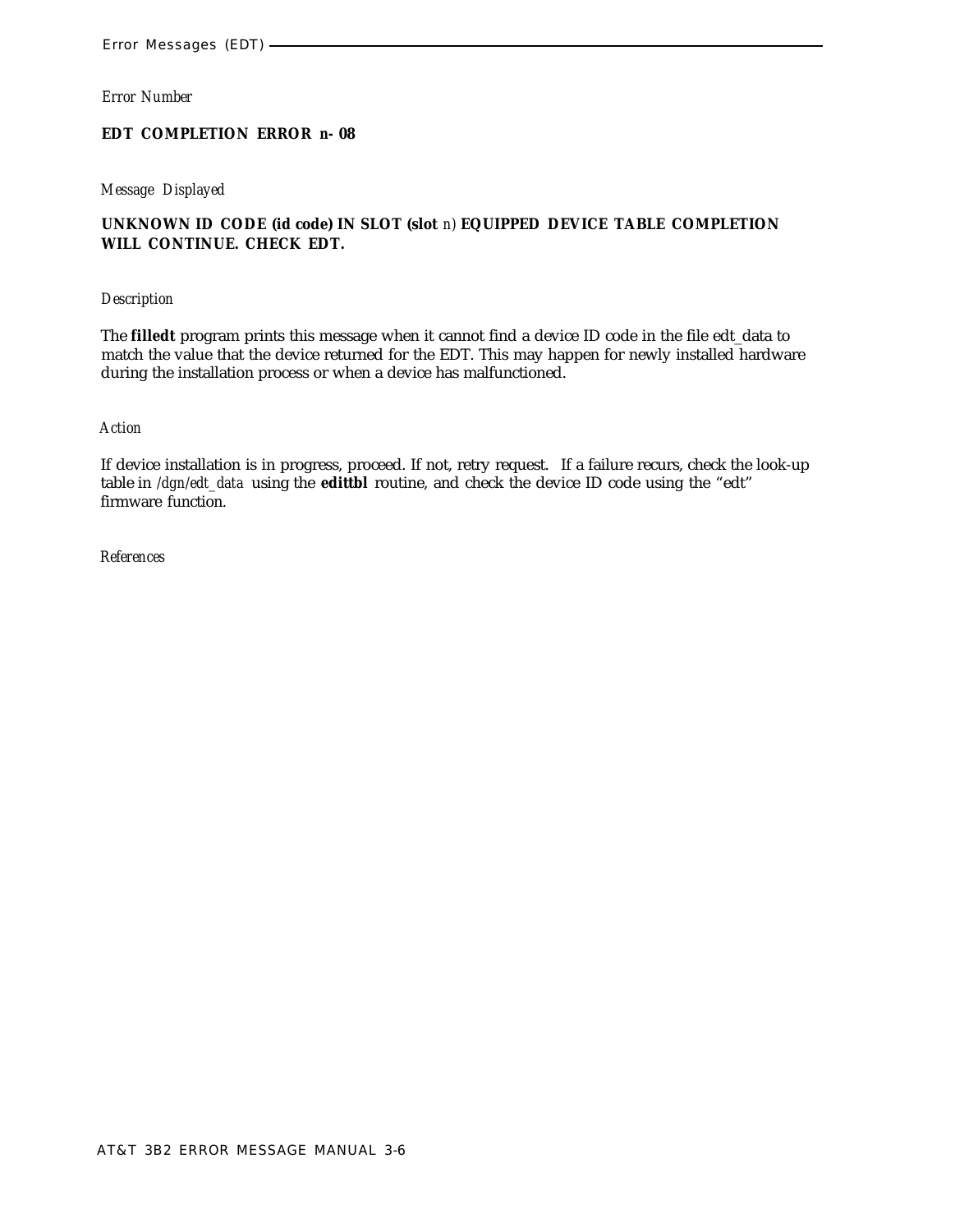# **EDT COMPLETION ERROR** *n-* **08**

## *Message Displayed*

# **UNKNOWN ID CODE (id code) IN SLOT (slot** *n)* **EQUIPPED DEVICE TABLE COMPLETION WILL CONTINUE. CHECK EDT.**

#### *Description*

The **filledt** program prints this message when it cannot find a device ID code in the file edt\_data to match the value that the device returned for the EDT. This may happen for newly installed hardware during the installation process or when a device has malfunctioned.

#### *Action*

If device installation is in progress, proceed. If not, retry request. If a failure recurs, check the look-up table in */dgn/edt\_data* using the **edittbl** routine, and check the device ID code using the "edt" firmware function.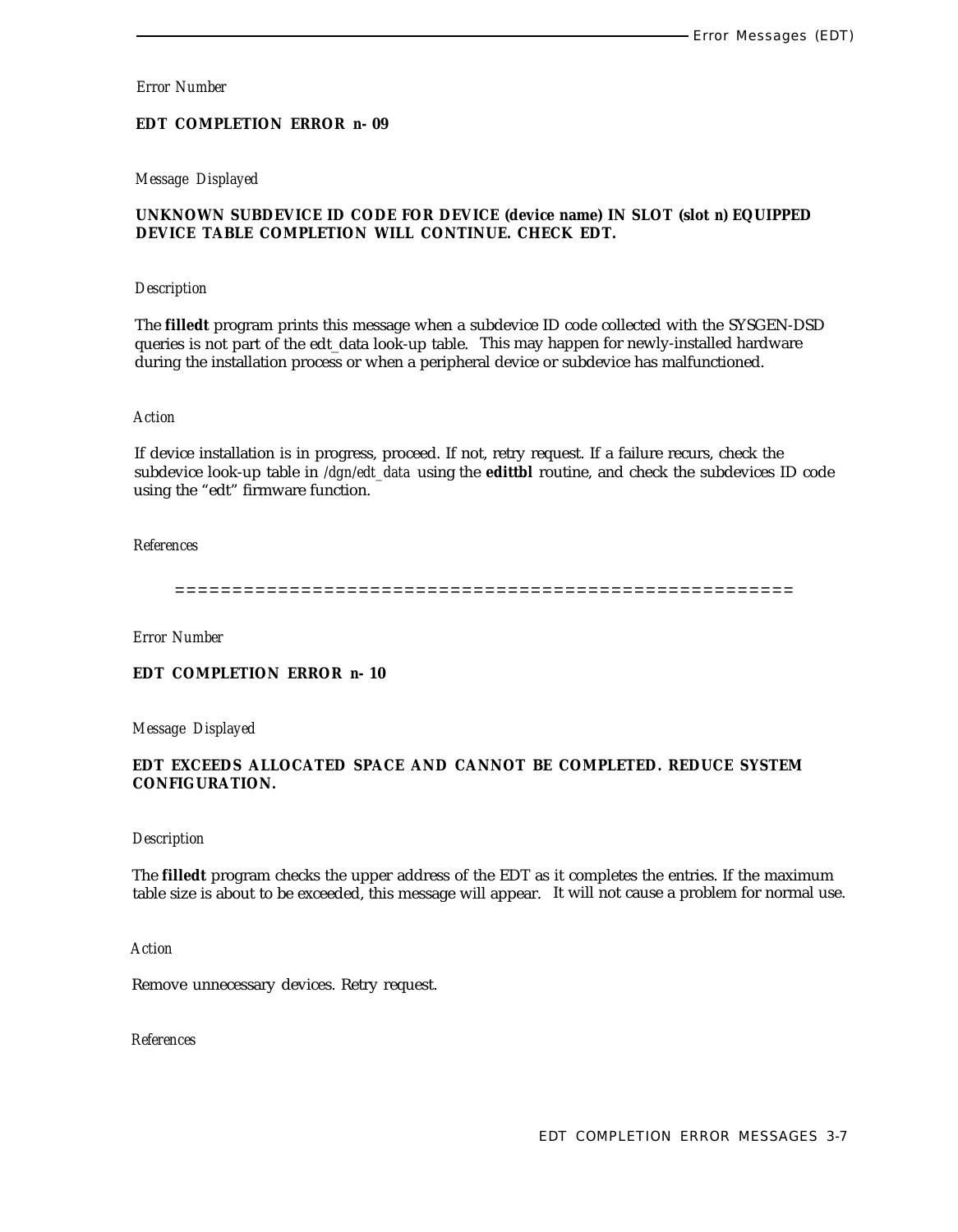# **EDT COMPLETION ERROR** *n-* **09**

# *Message Displayed*

# **UNKNOWN SUBDEVICE ID CODE FOR DEVICE (device name) IN SLOT (slot** *n)* **EQUIPPED DEVICE TABLE COMPLETION WILL CONTINUE. CHECK EDT.**

#### *Description*

The **filledt** program prints this message when a subdevice ID code collected with the SYSGEN-DSD queries is not part of the edt\_data look-up table. This may happen for newly-installed hardware during the installation process or when a peripheral device or subdevice has malfunctioned.

#### *Action*

If device installation is in progress, proceed. If not, retry request. If a failure recurs, check the subdevice look-up table in */dgn/edt\_data* using the **edittbl** routine, and check the subdevices ID code using the "edt" firmware function.

## *References*

======================================================

*Error Number*

# **EDT COMPLETION ERROR** *n-* **10**

*Message Displayed*

# **EDT EXCEEDS ALLOCATED SPACE AND CANNOT BE COMPLETED. REDUCE SYSTEM CONFIGURATION.**

#### *Description*

The **filledt** program checks the upper address of the EDT as it completes the entries. If the maximum table size is about to be exceeded, this message will appear. It will not cause a problem for normal use.

*Action*

Remove unnecessary devices. Retry request.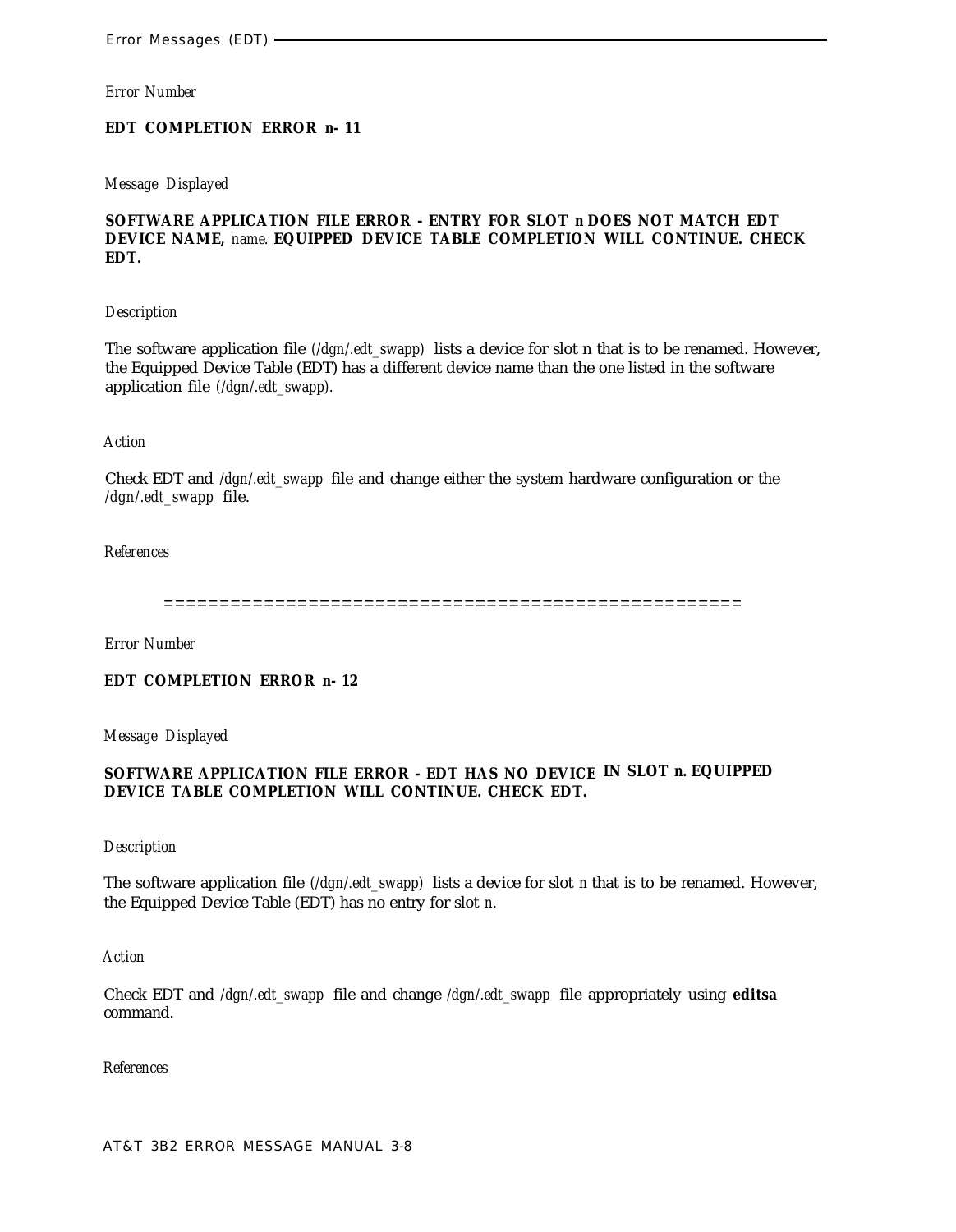#### **EDT COMPLETION ERROR** *n-* **11**

#### *Message Displayed*

# **SOFTWARE APPLICATION FILE ERROR - ENTRY FOR SLOT** *n* **DOES NOT MATCH EDT DEVICE NAME,** *name.* **EQUIPPED DEVICE TABLE COMPLETION WILL CONTINUE. CHECK EDT.**

## *Description*

The software application file *(/dgn/.edt\_swapp)* lists a device for slot n that is to be renamed. However, the Equipped Device Table (EDT) has a different device name than the one listed in the software application file *(/dgn/.edt\_swapp).*

#### *Action*

Check EDT and */dgn/.edt\_swapp* file and change either the system hardware configuration or the */dgn/.edt\_swapp* file.

#### *References*

====================================================

*Error Number*

# **EDT COMPLETION ERROR** *n-* **12**

*Message Displayed*

## **SOFTWARE APPLICATION FILE ERROR - EDT HAS NO DEVICE IN SLOT** *n.* **EQUIPPED DEVICE TABLE COMPLETION WILL CONTINUE. CHECK EDT.**

#### *Description*

The software application file *(/dgn/.edt\_swapp)* lists a device for slot *n* that is to be renamed. However, the Equipped Device Table (EDT) has no entry for slot *n.*

#### *Action*

Check EDT and */dgn/.edt\_swapp* file and change */dgn/.edt\_swapp* file appropriately using **editsa** command.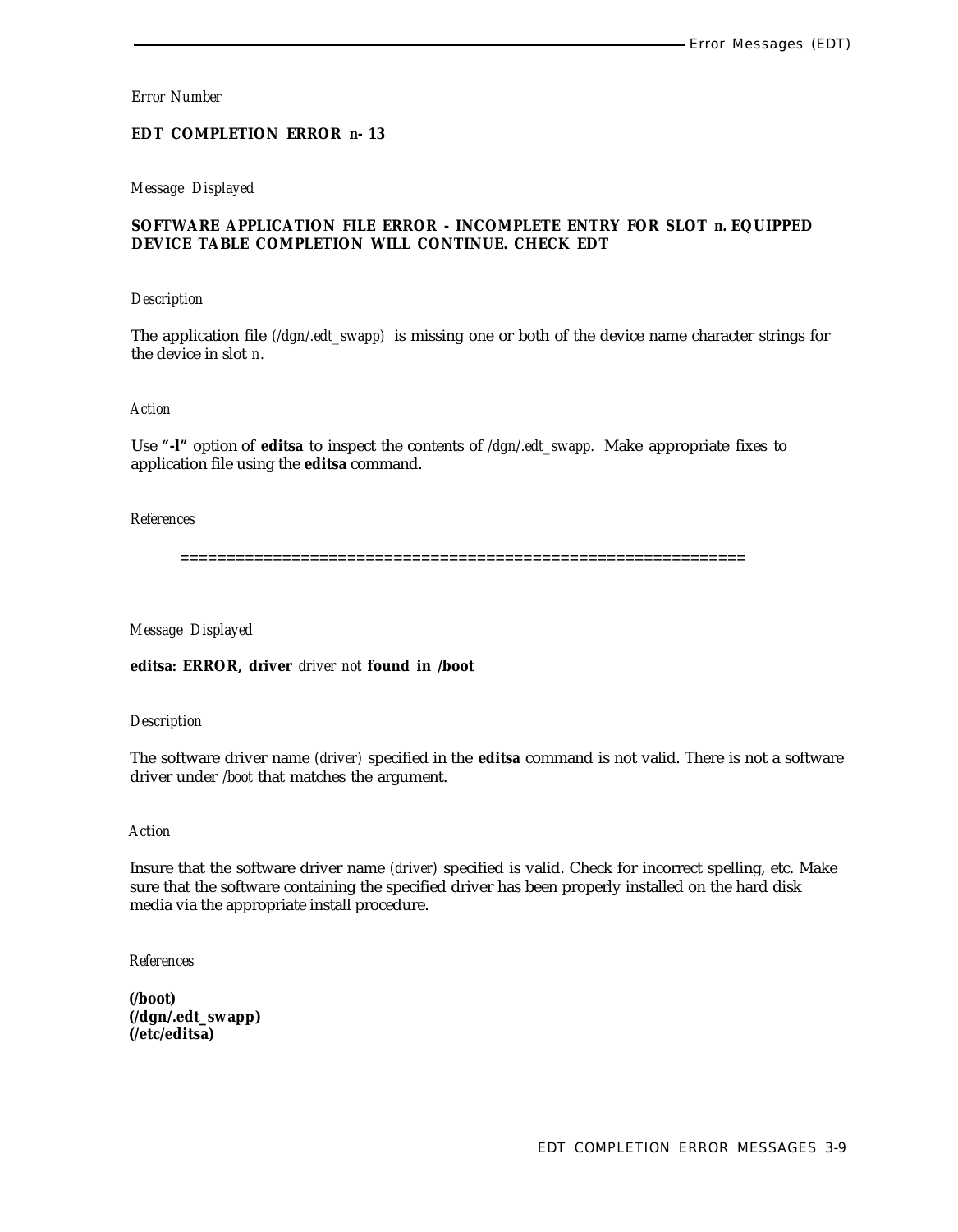# **EDT COMPLETION ERROR** *n-* **13**

## *Message Displayed*

# **SOFTWARE APPLICATION FILE ERROR - INCOMPLETE ENTRY FOR SLOT** *n.* **EQUIPPED DEVICE TABLE COMPLETION WILL CONTINUE. CHECK EDT**

#### *Description*

The application file *(/dgn/.edt\_swapp)* is missing one or both of the device name character strings for the device in slot *n.*

#### *Action*

Use **"-l"** option of **editsa** to inspect the contents of */dgn/.edt\_swapp.* Make appropriate fixes to application file using the **editsa** command.

# *References*

=============================================================

# *Message Displayed*

**editsa: ERROR, driver** *driver not* **found in /boot**

## *Description*

The software driver name *(driver)* specified in the **editsa** command is not valid. There is not a software driver under */boot* that matches the argument.

## *Action*

Insure that the software driver name *(driver)* specified is valid. Check for incorrect spelling, etc. Make sure that the software containing the specified driver has been properly installed on the hard disk media via the appropriate install procedure.

*References*

**(/boot) (/dgn/.edt\_swapp) (/etc/editsa)**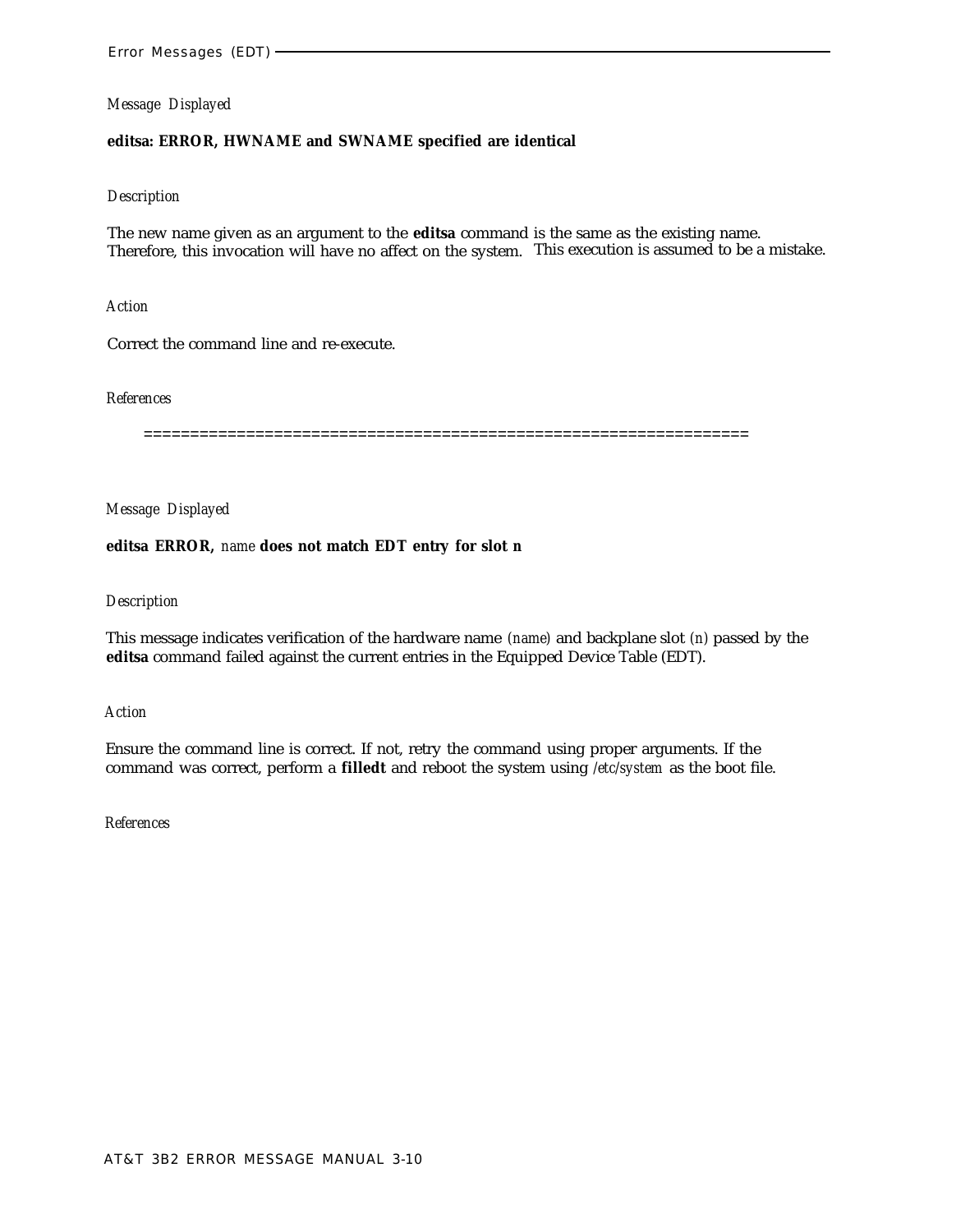## **editsa: ERROR, HWNAME and SWNAME specified are identical**

#### *Description*

The new name given as an argument to the **editsa** command is the same as the existing name. Therefore, this invocation will have no affect on the system. This execution is assumed to be a mistake.

*Action*

Correct the command line and re-execute.

#### *References*

=================================================================

*Message Displayed*

## **editsa ERROR,** *name* **does not match EDT entry for slot** *n*

#### *Description*

This message indicates verification of the hardware name *(name)* and backplane slot *(n)* passed by the **editsa** command failed against the current entries in the Equipped Device Table (EDT).

*Action*

Ensure the command line is correct. If not, retry the command using proper arguments. If the command was correct, perform a **filledt** and reboot the system using */etc/system* as the boot file.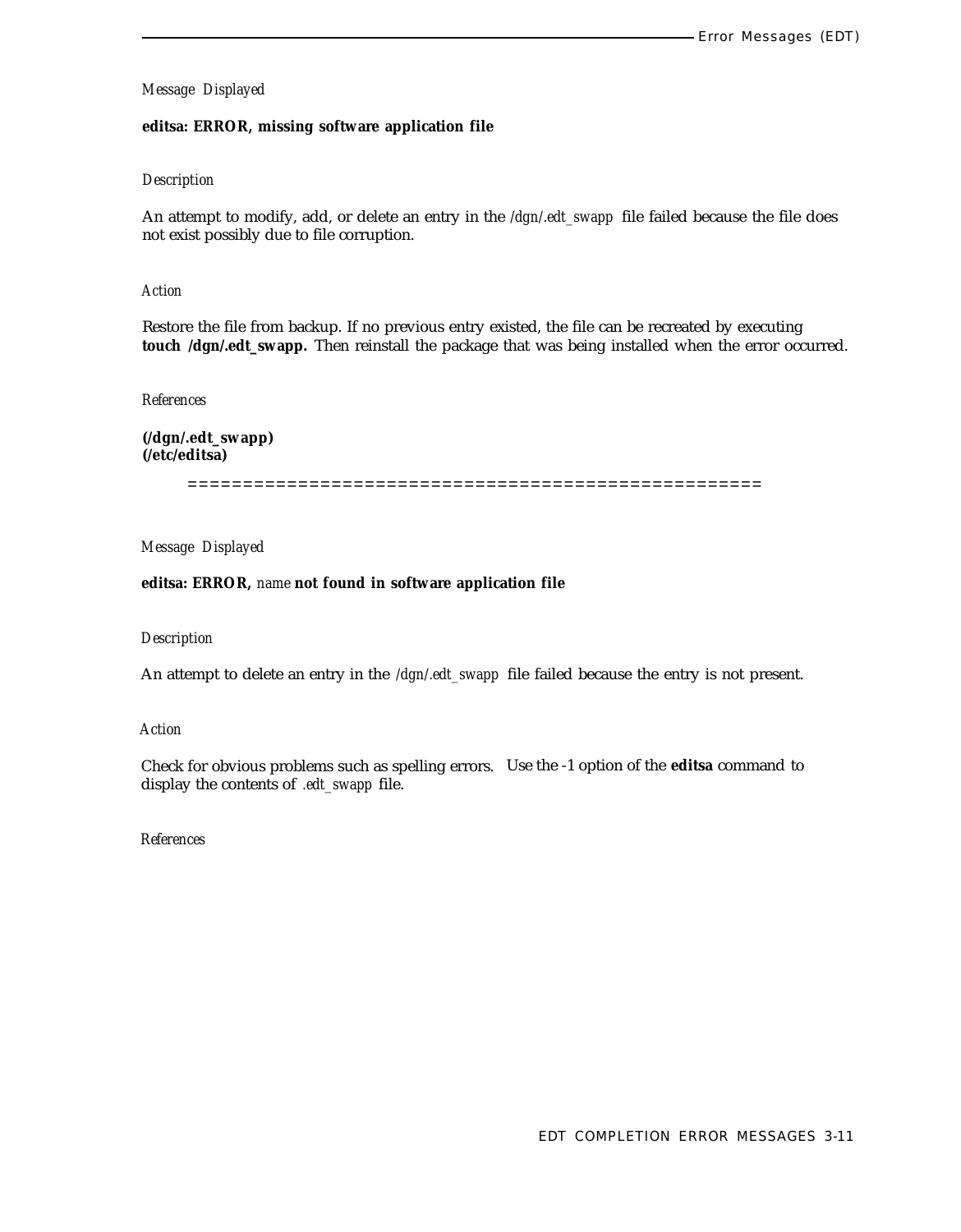## **editsa: ERROR, missing software application file**

#### *Description*

An attempt to modify, add, or delete an entry in the */dgn/.edt\_swapp* file failed because the file does not exist possibly due to file corruption.

## *Action*

Restore the file from backup. If no previous entry existed, the file can be recreated by executing **touch /dgn/.edt\_swapp.** Then reinstall the package that was being installed when the error occurred.

#### *References*

**(/dgn/.edt\_swapp) (/etc/editsa)**

====================================================

*Message Displayed*

**editsa: ERROR,** *name* **not found in software application file**

#### *Description*

An attempt to delete an entry in the */dgn/.edt\_swapp* file failed because the entry is not present.

#### *Action*

Check for obvious problems such as spelling errors. Use the -1 option of the **editsa** command to display the contents of *.edt\_swapp* file.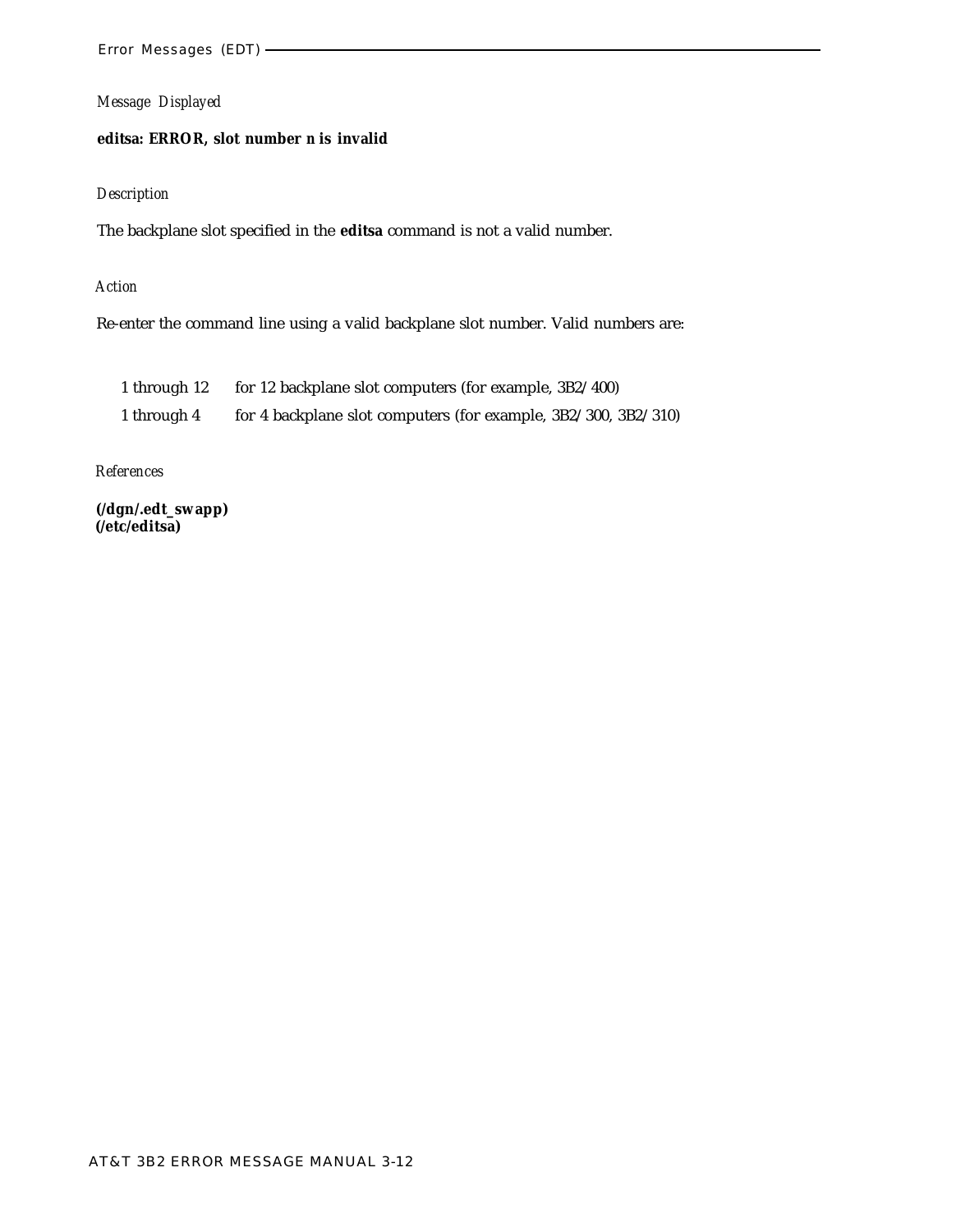# **editsa: ERROR, slot number** *n* **is invalid**

# *Description*

The backplane slot specified in the **editsa** command is not a valid number.

# *Action*

Re-enter the command line using a valid backplane slot number. Valid numbers are:

| 1 through 12 | for 12 backplane slot computers (for example, 3B2/400)         |
|--------------|----------------------------------------------------------------|
| 1 through 4  | for 4 backplane slot computers (for example, 3B2/300, 3B2/310) |

# *References*

**(/dgn/.edt\_swapp) (/etc/editsa)**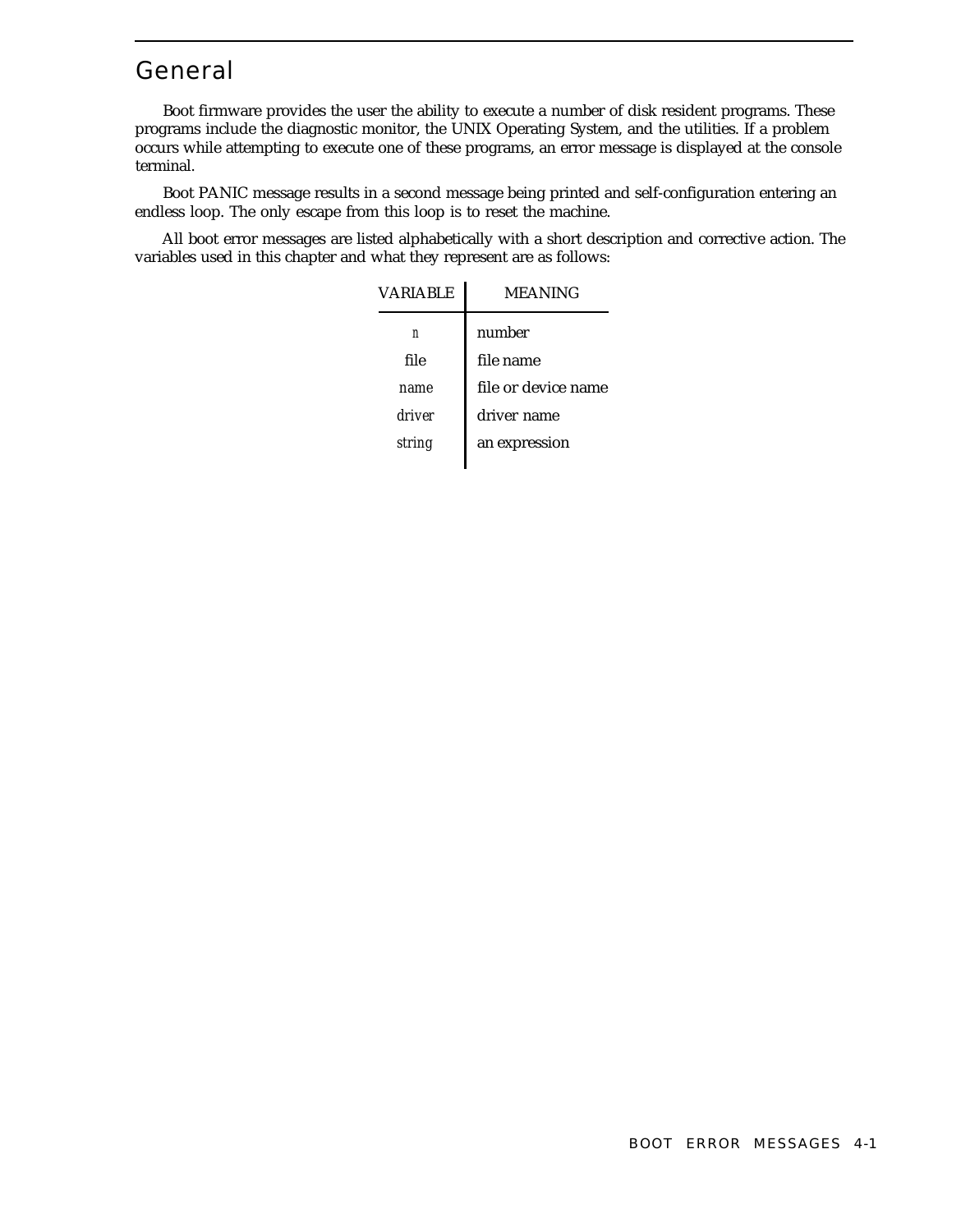# General

Boot firmware provides the user the ability to execute a number of disk resident programs. These programs include the diagnostic monitor, the UNIX Operating System, and the utilities. If a problem occurs while attempting to execute one of these programs, an error message is displayed at the console terminal.

Boot PANIC message results in a second message being printed and self-configuration entering an endless loop. The only escape from this loop is to reset the machine.

All boot error messages are listed alphabetically with a short description and corrective action. The variables used in this chapter and what they represent are as follows:

| <b>VARIABLE</b> | MEANING             |
|-----------------|---------------------|
| n               | number              |
| file            | file name           |
| name            | file or device name |
| driver          | driver name         |
| string          | an expression       |
|                 |                     |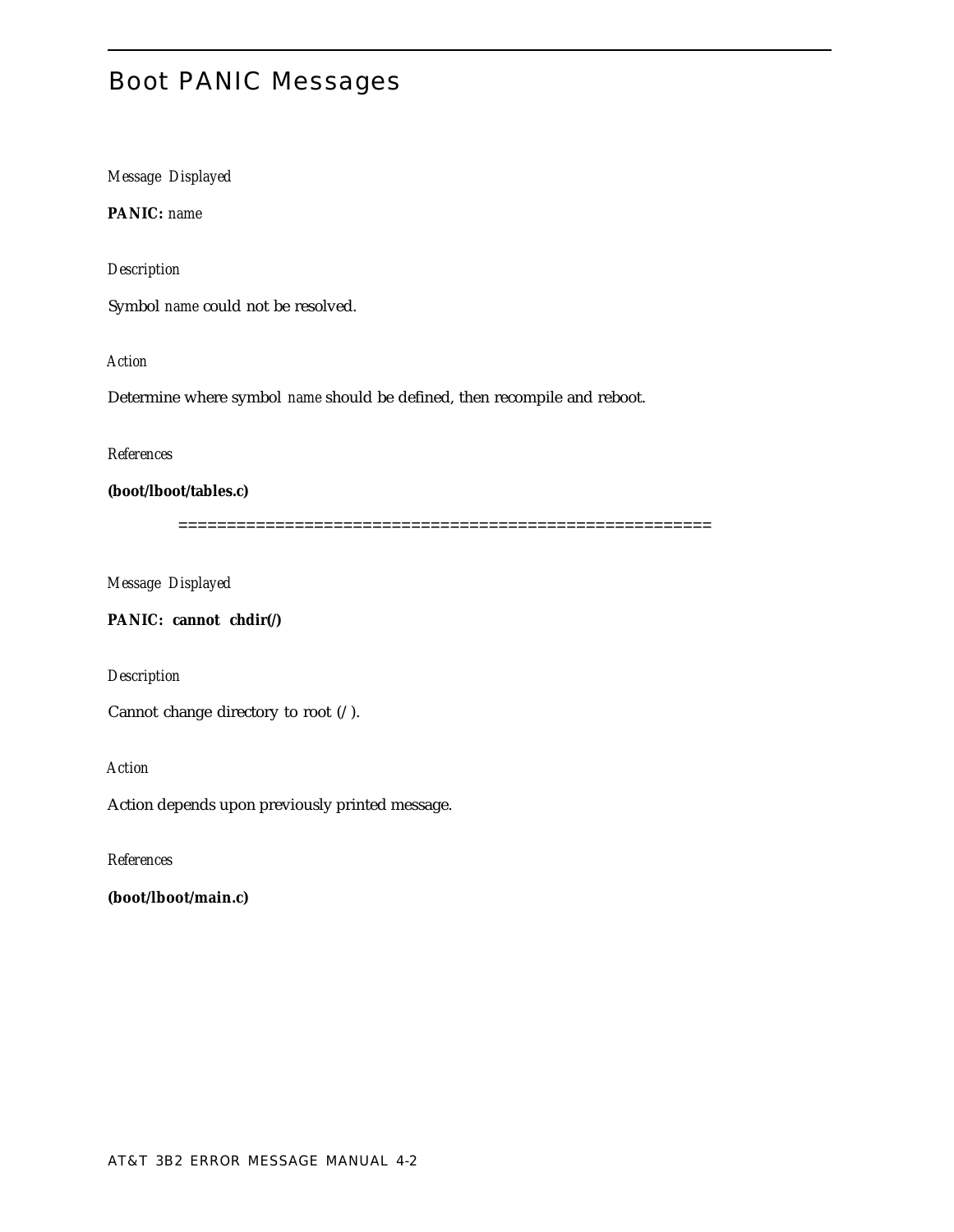# Boot PANIC Messages

*Message Displayed*

**PANIC:** *name*

*Description*

Symbol *name* could not be resolved.

*Action*

Determine where symbol *name* should be defined, then recompile and reboot.

*References*

**(boot/lboot/tables.c)**

=======================================================

*Message Displayed*

**PANIC: cannot chdir(/)**

*Description*

Cannot change directory to root (/).

*Action*

Action depends upon previously printed message.

*References*

**(boot/lboot/main.c)**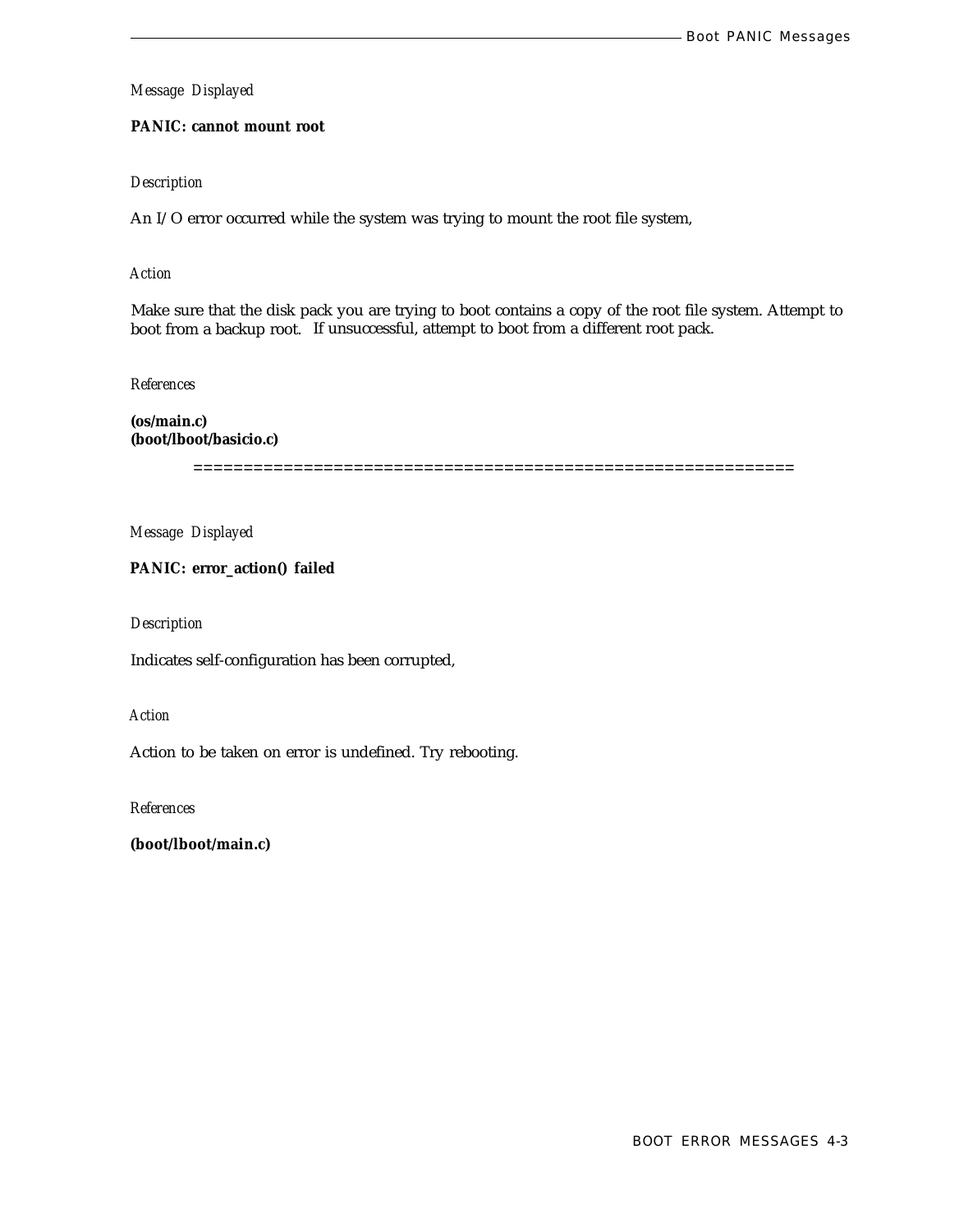# **PANIC: cannot mount root**

# *Description*

An I/O error occurred while the system was trying to mount the root file system,

# *Action*

Make sure that the disk pack you are trying to boot contains a copy of the root file system. Attempt to boot from a backup root. If unsuccessful, attempt to boot from a different root pack.

*References*

**(os/main.c) (boot/lboot/basicio.c)**

============================================================

*Message Displayed*

# **PANIC: error\_action() failed**

*Description*

Indicates self-configuration has been corrupted,

*Action*

Action to be taken on error is undefined. Try rebooting.

*References*

**(boot/lboot/main.c)**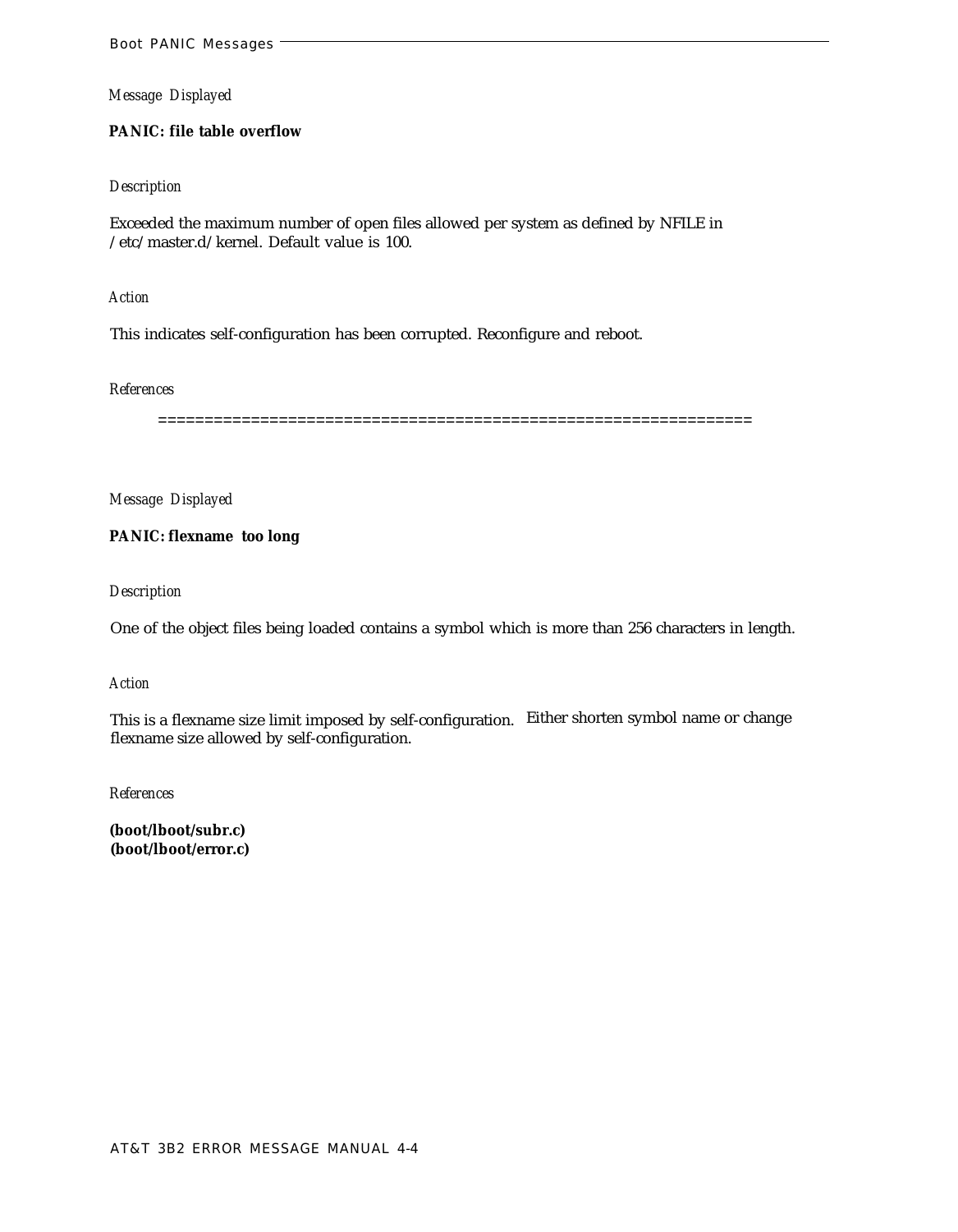# **PANIC: file table overflow**

## *Description*

Exceeded the maximum number of open files allowed per system as defined by NFILE in /etc/master.d/kernel. Default value is 100.

*Action*

This indicates self-configuration has been corrupted. Reconfigure and reboot.

#### *References*

================================================================

*Message Displayed*

**PANIC: flexname too long**

*Description*

One of the object files being loaded contains a symbol which is more than 256 characters in length.

#### *Action*

This is a flexname size limit imposed by self-configuration. Either shorten symbol name or change flexname size allowed by self-configuration.

*References*

**(boot/lboot/subr.c) (boot/lboot/error.c)**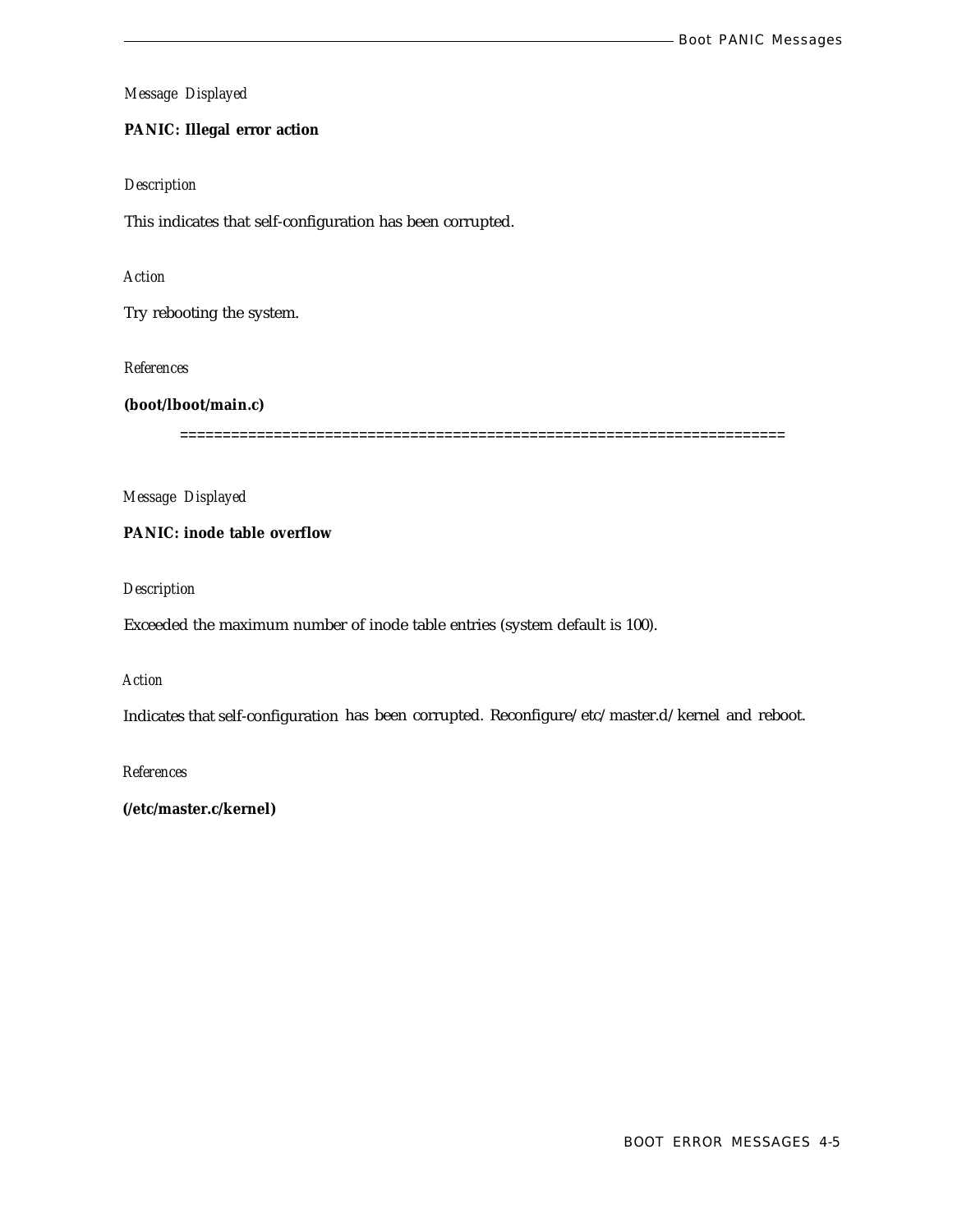# **PANIC: Illegal error action**

## *Description*

This indicates that self-configuration has been corrupted.

## *Action*

Try rebooting the system.

*References*

# **(boot/lboot/main.c)**

=======================================================================

*Message Displayed*

# **PANIC: inode table overflow**

*Description*

Exceeded the maximum number of inode table entries (system default is 100).

### *Action*

Indicates that self-configuration has been corrupted. Reconfigure/etc/master.d/kernel and reboot.

*References*

**(/etc/master.c/kernel)**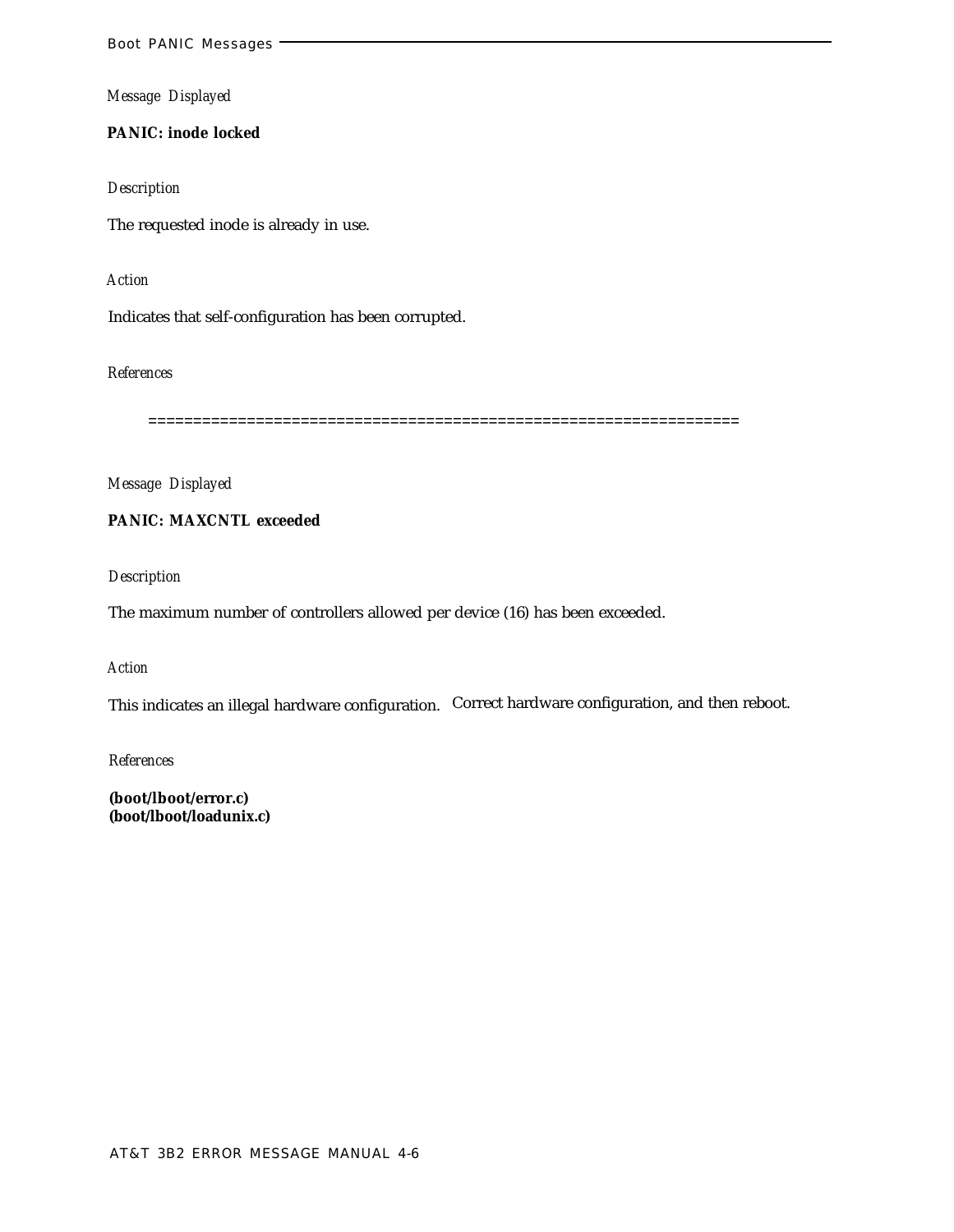**PANIC: inode locked**

*Description*

The requested inode is already in use.

*Action*

Indicates that self-configuration has been corrupted.

*References*

==================================================================

*Message Displayed*

**PANIC: MAXCNTL exceeded**

*Description*

The maximum number of controllers allowed per device (16) has been exceeded.

*Action*

This indicates an illegal hardware configuration. Correct hardware configuration, and then reboot.

*References*

**(boot/lboot/error.c) (boot/lboot/loadunix.c)**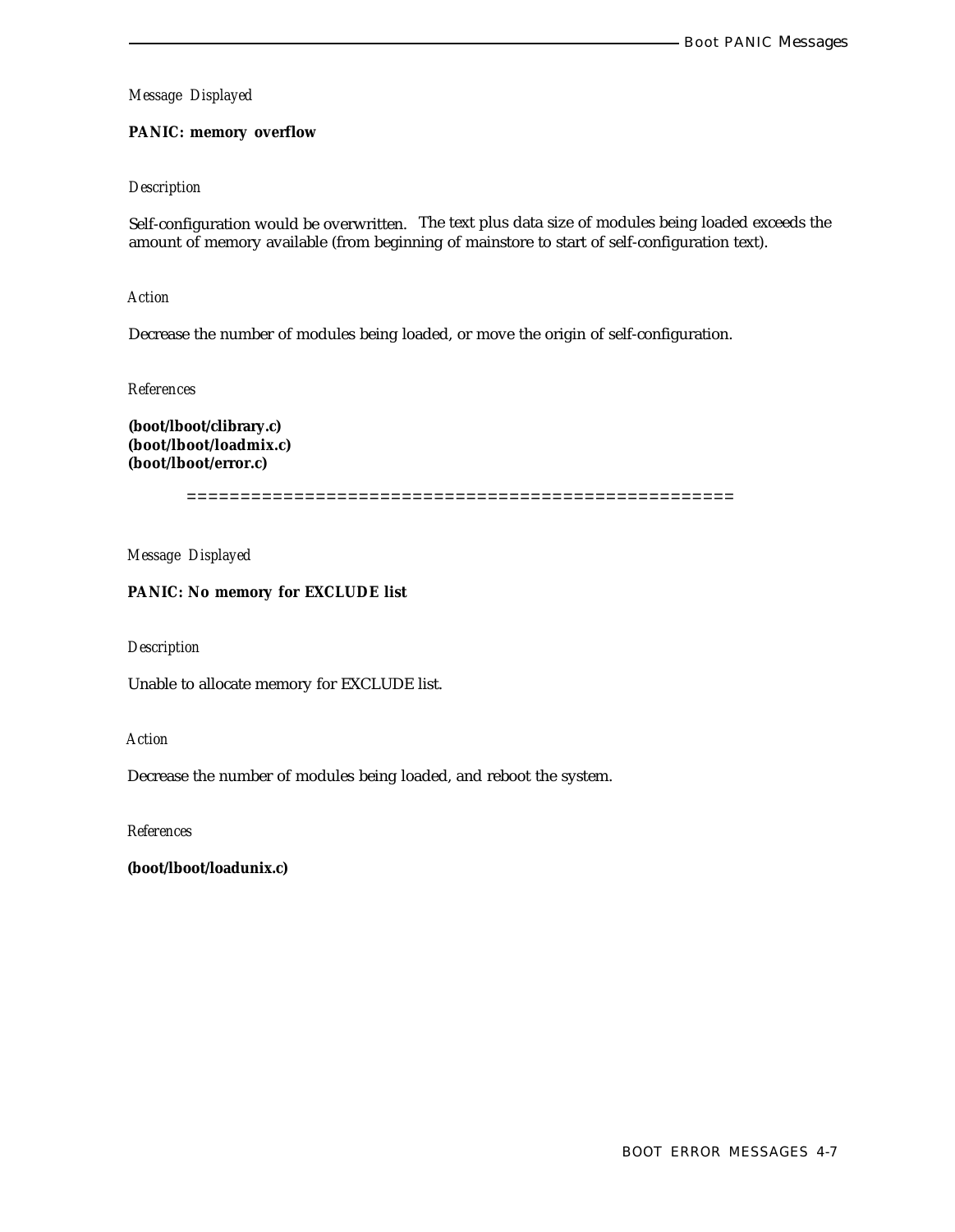## **PANIC: memory overflow**

## *Description*

Self-configuration would be overwritten. The text plus data size of modules being loaded exceeds the amount of memory available (from beginning of mainstore to start of self-configuration text).

*Action*

Decrease the number of modules being loaded, or move the origin of self-configuration.

*References*

**(boot/lboot/clibrary.c) (boot/lboot/loadmix.c) (boot/lboot/error.c)**

===================================================

*Message Displayed*

**PANIC: No memory for EXCLUDE list**

*Description*

Unable to allocate memory for EXCLUDE list.

*Action*

Decrease the number of modules being loaded, and reboot the system.

*References*

**(boot/lboot/loadunix.c)**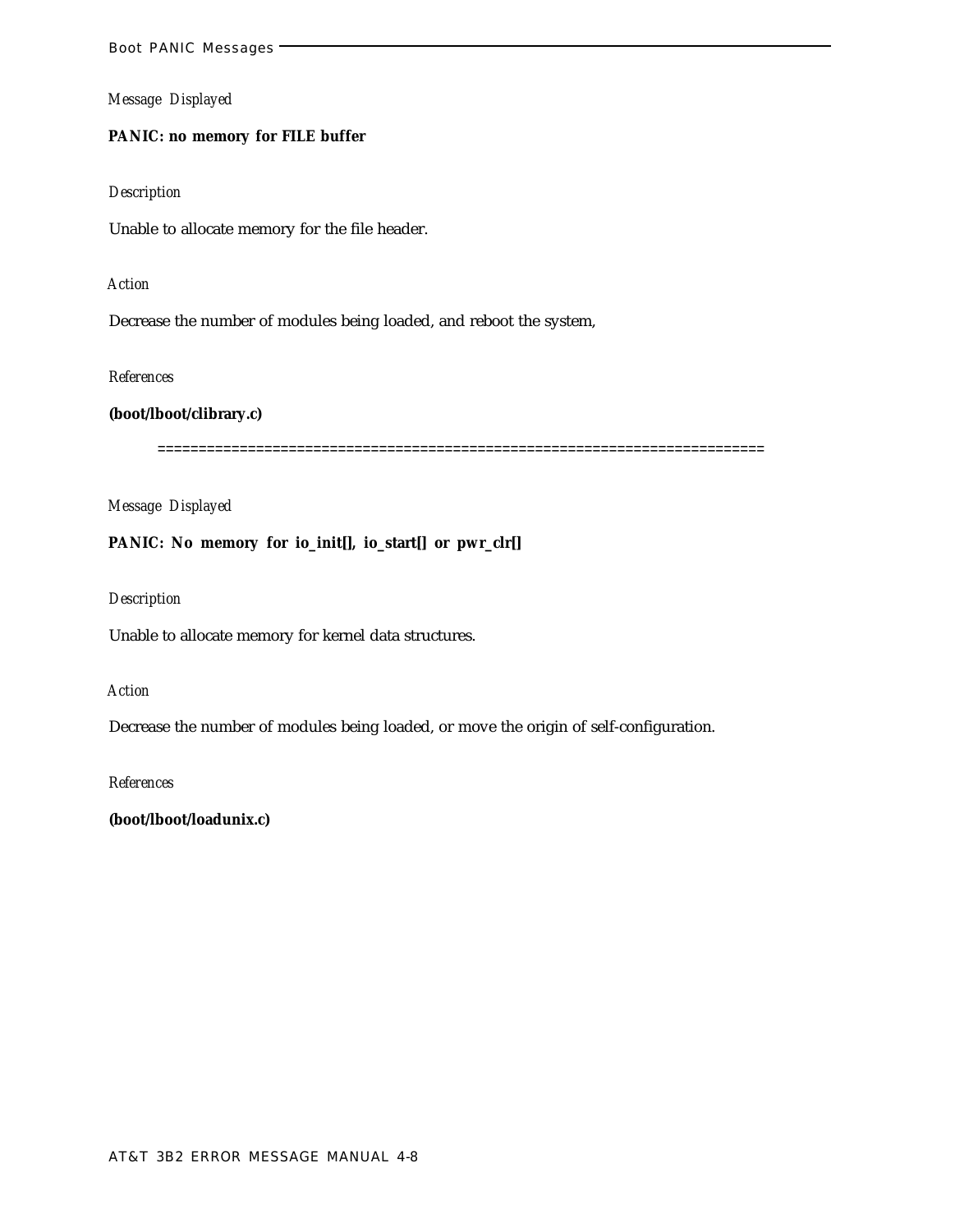# **PANIC: no memory for FILE buffer**

#### *Description*

Unable to allocate memory for the file header.

#### *Action*

Decrease the number of modules being loaded, and reboot the system,

## *References*

## **(boot/lboot/clibrary.c)**

==========================================================================

## *Message Displayed*

**PANIC: No memory for io\_init[], io\_start[] or pwr\_clr[]**

## *Description*

Unable to allocate memory for kernel data structures.

#### *Action*

Decrease the number of modules being loaded, or move the origin of self-configuration.

*References*

**(boot/lboot/loadunix.c)**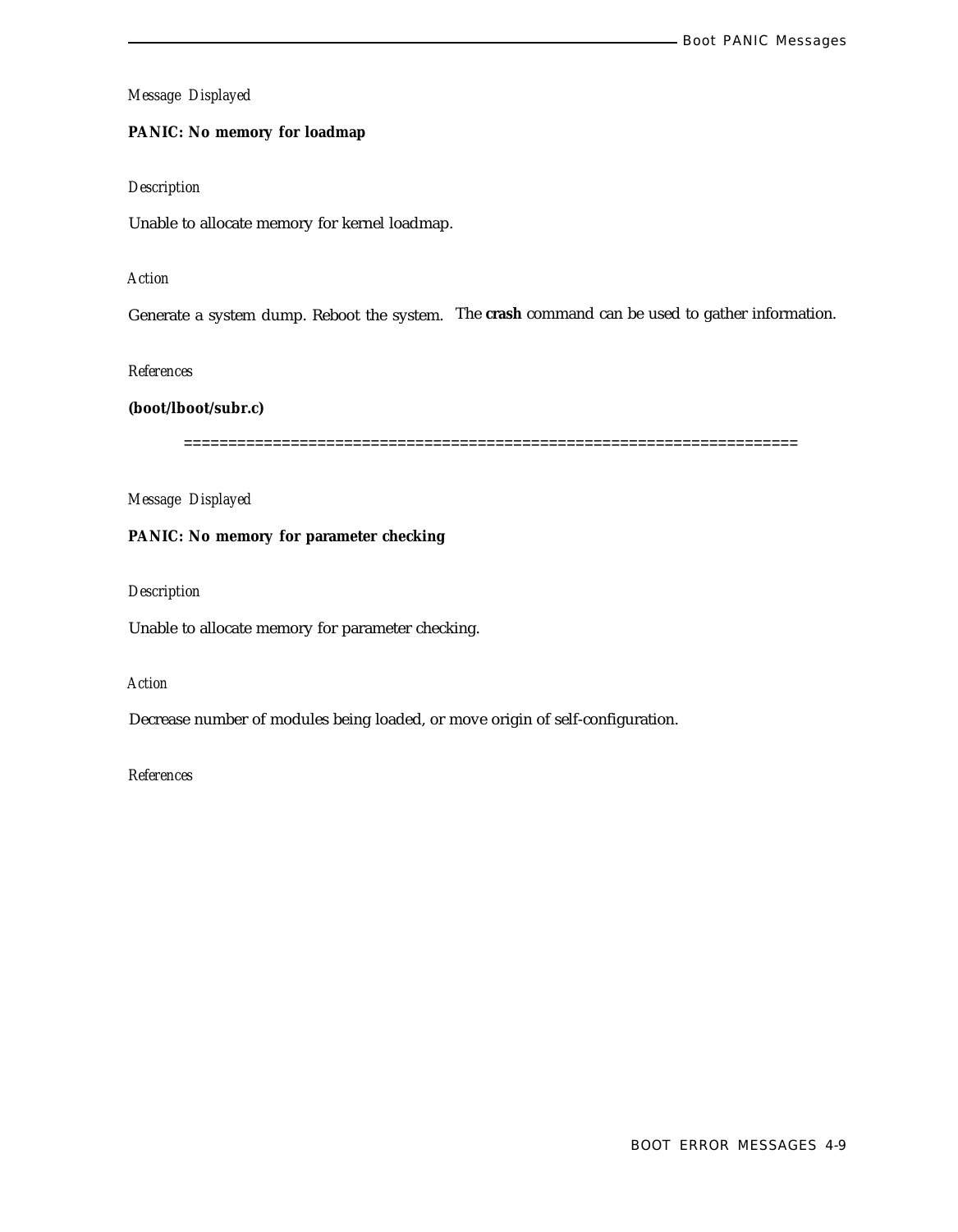## **PANIC: No memory for loadmap**

# *Description*

Unable to allocate memory for kernel loadmap.

# *Action*

Generate a system dump. Reboot the system. The **crash** command can be used to gather information.

*References*

## **(boot/lboot/subr.c)**

=====================================================================

*Message Displayed*

# **PANIC: No memory for parameter checking**

*Description*

Unable to allocate memory for parameter checking.

# *Action*

Decrease number of modules being loaded, or move origin of self-configuration.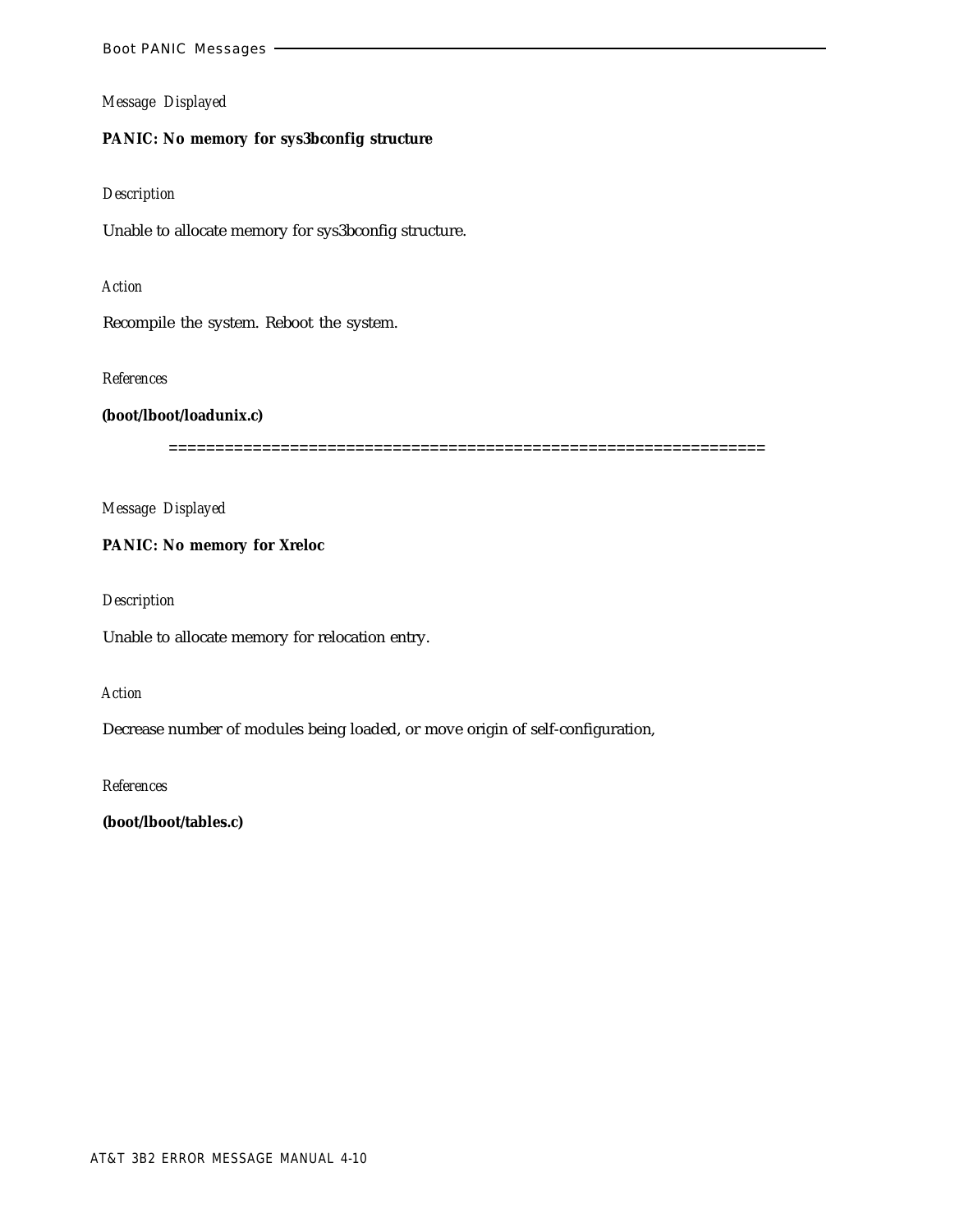## **PANIC: No memory for sys3bconfig structure**

## *Description*

Unable to allocate memory for sys3bconfig structure.

## *Action*

Recompile the system. Reboot the system.

## *References*

**(boot/lboot/loadunix.c)**

================================================================

*Message Displayed*

**PANIC: No memory for Xreloc**

*Description*

Unable to allocate memory for relocation entry.

# *Action*

Decrease number of modules being loaded, or move origin of self-configuration,

*References*

**(boot/lboot/tables.c)**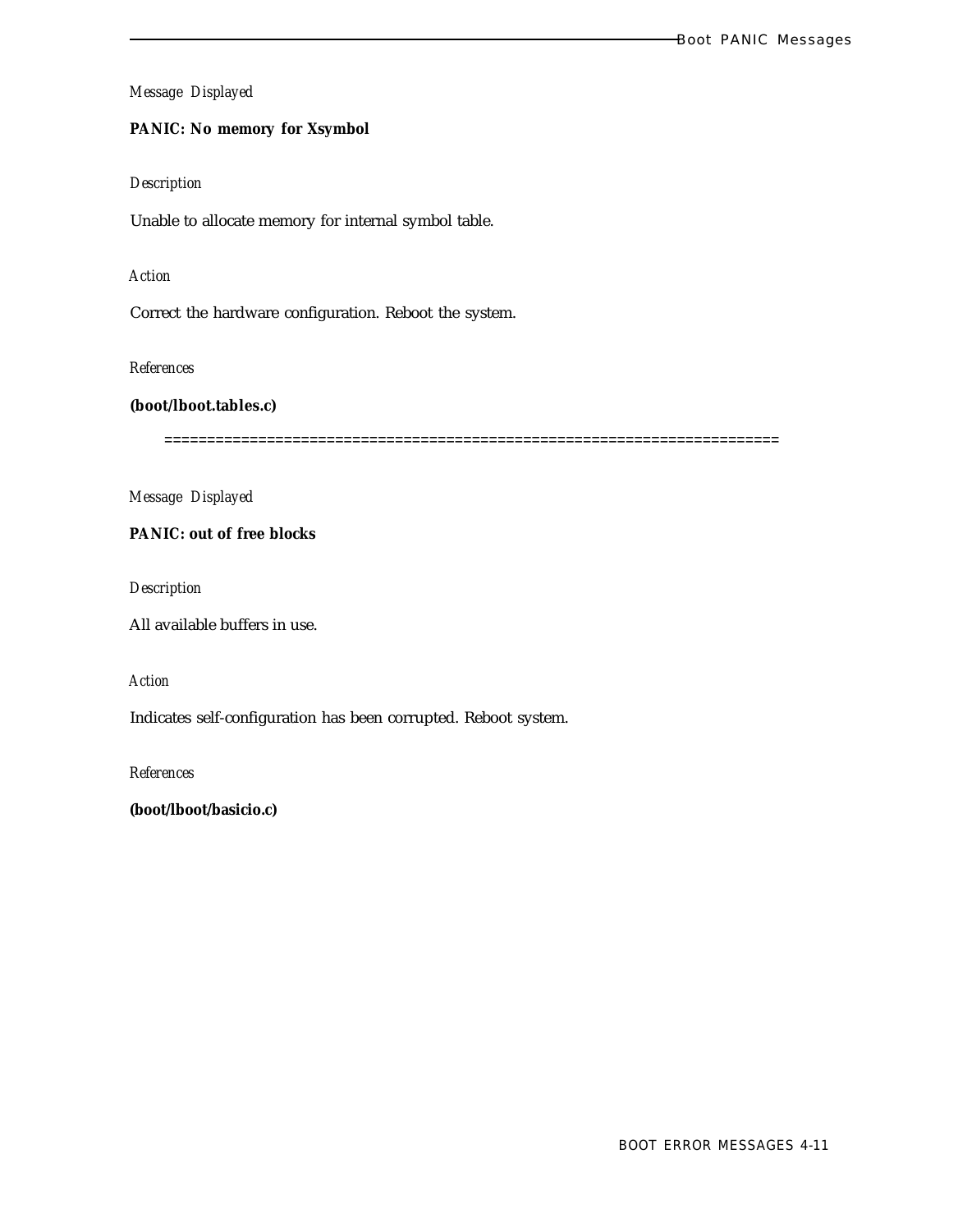## **PANIC: No memory for Xsymbol**

## *Description*

Unable to allocate memory for internal symbol table.

# *Action*

Correct the hardware configuration. Reboot the system.

# *References*

## **(boot/lboot.tables.c)**

========================================================================

*Message Displayed*

# **PANIC: out of free blocks**

*Description*

All available buffers in use.

*Action*

Indicates self-configuration has been corrupted. Reboot system.

*References*

**(boot/lboot/basicio.c)**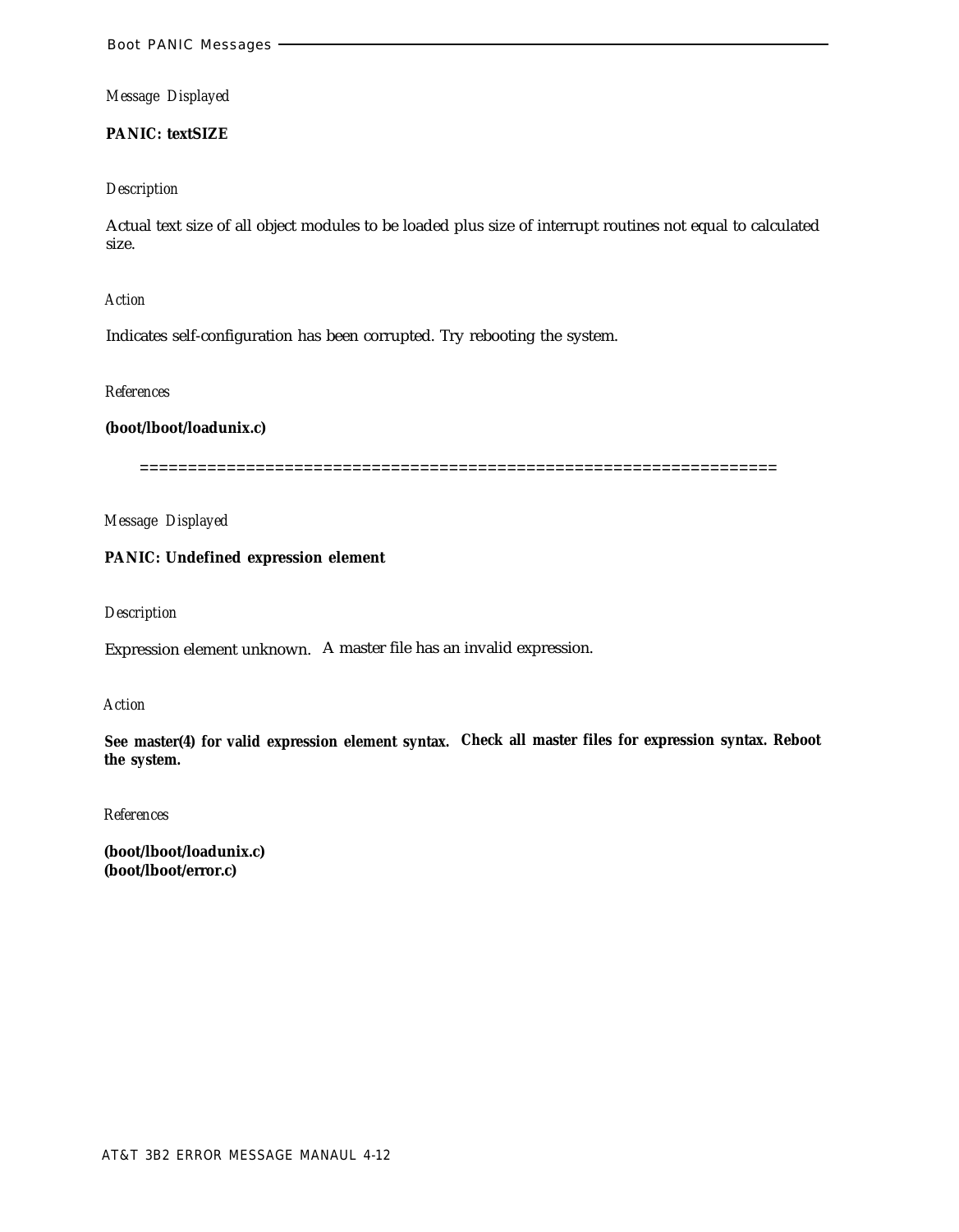## **PANIC: textSIZE**

#### *Description*

Actual text size of all object modules to be loaded plus size of interrupt routines not equal to calculated size.

### *Action*

Indicates self-configuration has been corrupted. Try rebooting the system.

## *References*

# **(boot/lboot/loadunix.c)**

==================================================================

*Message Displayed*

## **PANIC: Undefined expression element**

#### *Description*

Expression element unknown. A master file has an invalid expression.

#### *Action*

**See master(4) for valid expression element syntax. Check all master files for expression syntax. Reboot the system.**

## *References*

**(boot/lboot/loadunix.c) (boot/lboot/error.c)**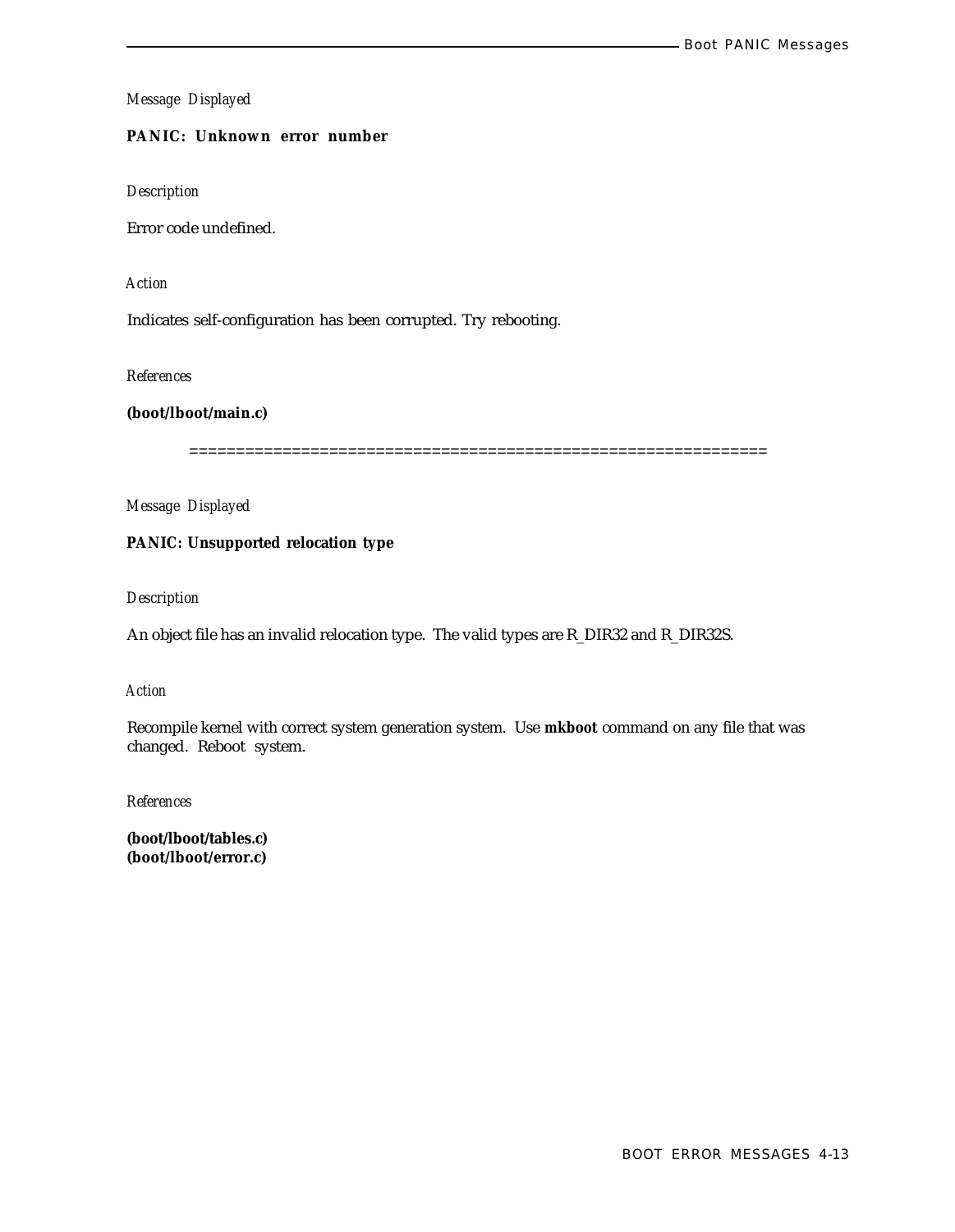# **PANIC: Unknown error number**

*Description*

Error code undefined.

*Action*

Indicates self-configuration has been corrupted. Try rebooting.

*References*

**(boot/lboot/main.c)**

==============================================================

*Message Displayed*

**PANIC: Unsupported relocation type**

*Description*

An object file has an invalid relocation type. The valid types are R\_DIR32 and R\_DIR32S.

*Action*

Recompile kernel with correct system generation system. Use **mkboot** command on any file that was changed. Reboot system.

*References*

**(boot/lboot/tables.c) (boot/lboot/error.c)**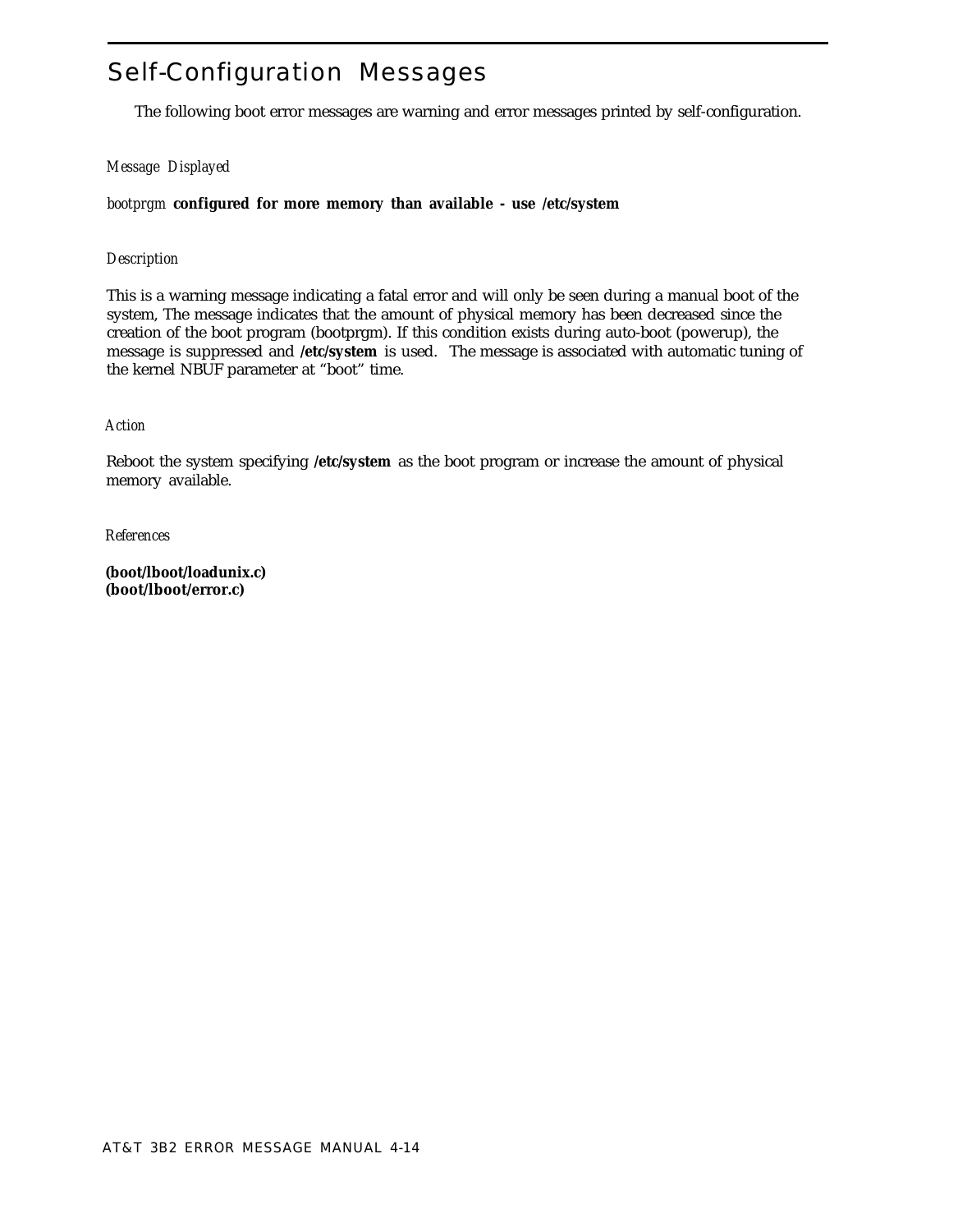# Self-Configuration Messages

The following boot error messages are warning and error messages printed by self-configuration.

# *Message Displayed*

*bootprgm* **configured for more memory than available - use /etc/system**

# *Description*

This is a warning message indicating a fatal error and will only be seen during a manual boot of the system, The message indicates that the amount of physical memory has been decreased since the creation of the boot program (bootprgm). If this condition exists during auto-boot (powerup), the message is suppressed and **/etc/system** is used. The message is associated with automatic tuning of the kernel NBUF parameter at "boot" time.

# *Action*

Reboot the system specifying **/etc/system** as the boot program or increase the amount of physical memory available.

*References*

**(boot/lboot/loadunix.c) (boot/lboot/error.c)**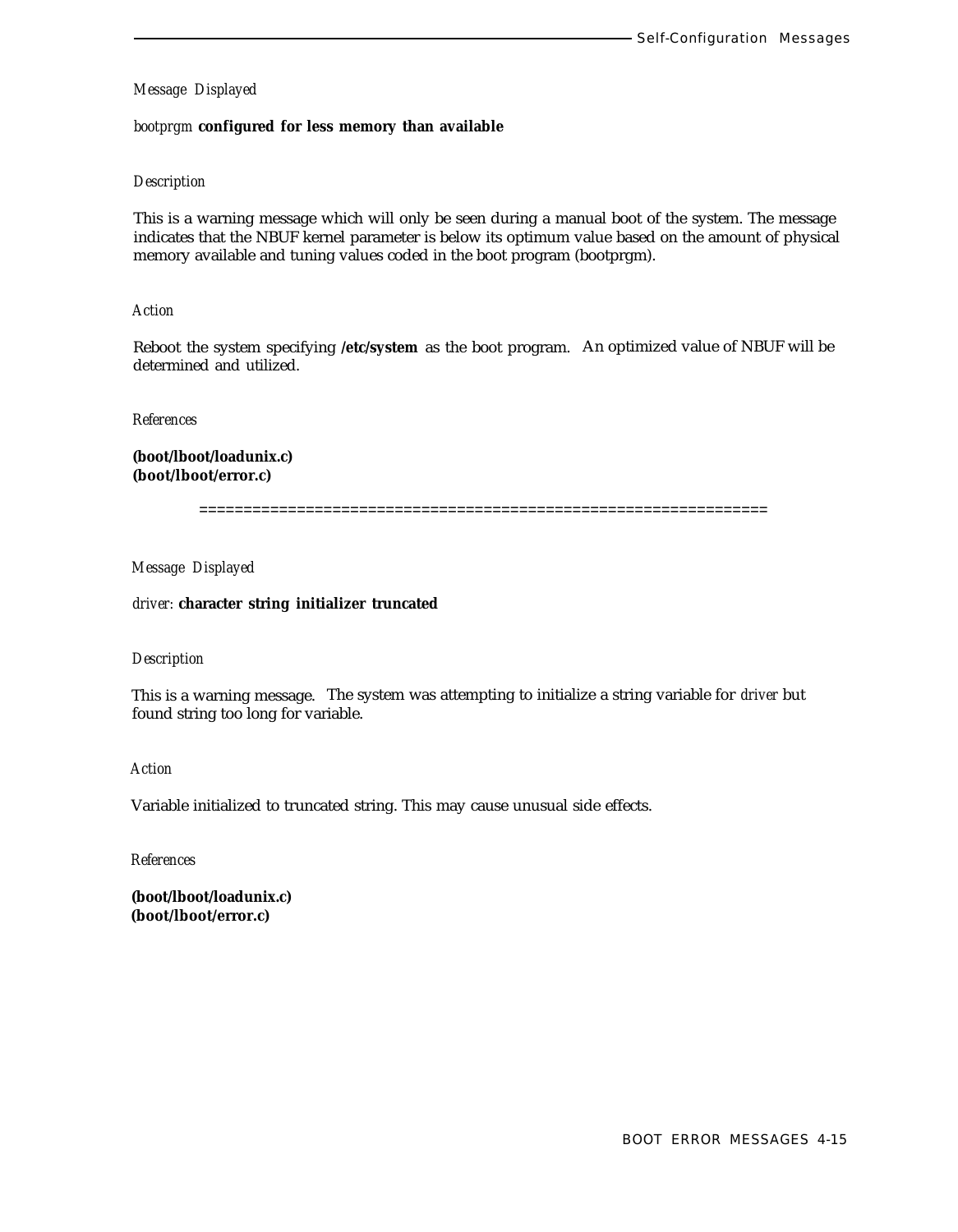#### *bootprgm* **configured for less memory than available**

#### *Description*

This is a warning message which will only be seen during a manual boot of the system. The message indicates that the NBUF kernel parameter is below its optimum value based on the amount of physical memory available and tuning values coded in the boot program (bootprgm).

#### *Action*

Reboot the system specifying **/etc/system** as the boot program. An optimized value of NBUF will be determined and utilized.

*References*

**(boot/lboot/loadunix.c) (boot/lboot/error.c)**

================================================================

#### *Message Displayed*

*driver:* **character string initializer truncated**

#### *Description*

This is a warning message. The system was attempting to initialize a string variable for *driver* but found string too long for variable.

# *Action*

Variable initialized to truncated string. This may cause unusual side effects.

*References*

**(boot/lboot/loadunix.c) (boot/lboot/error.c)**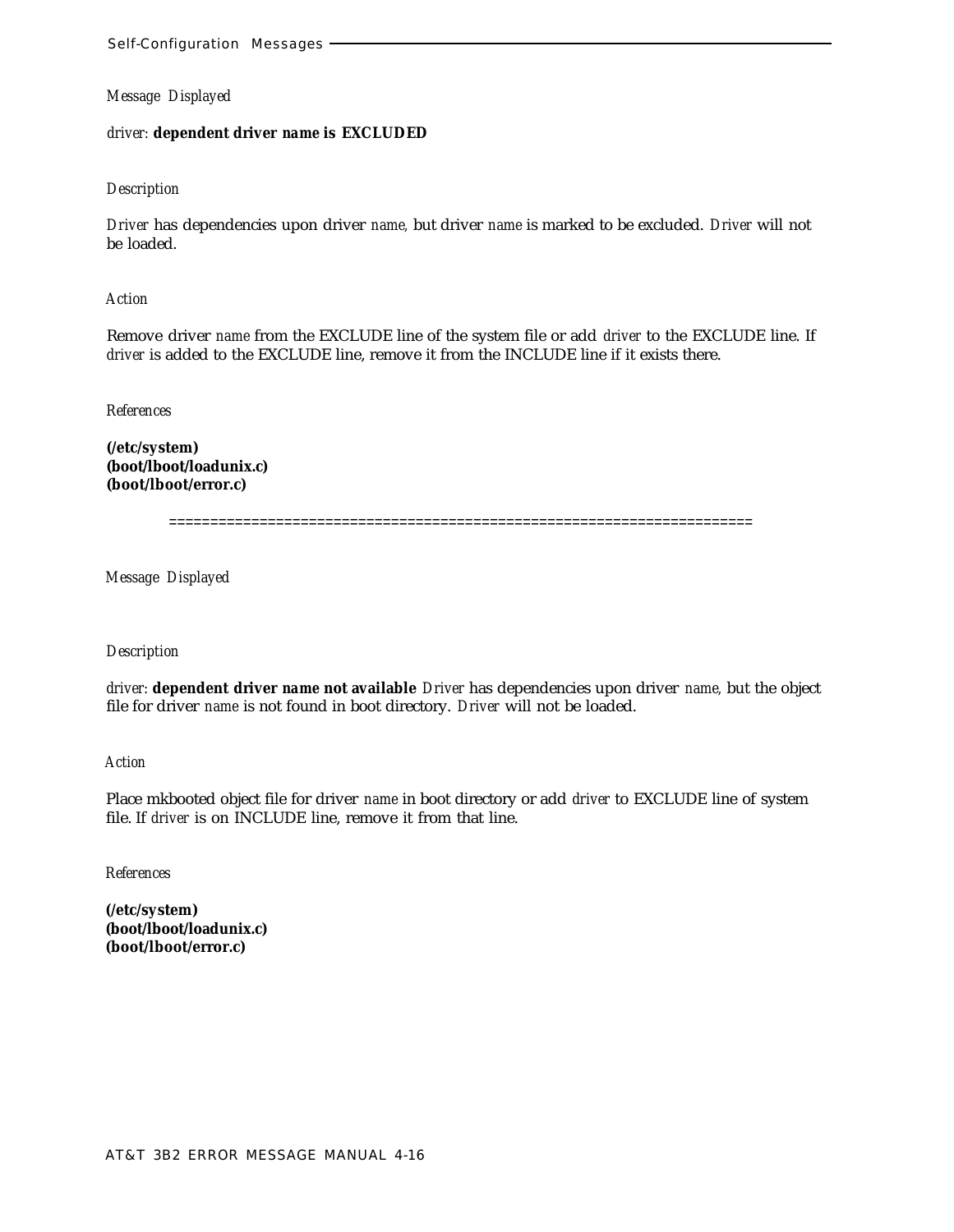## *driver:* **dependent driver** *name* **is EXCLUDED**

#### *Description*

*Driver* has dependencies upon driver *name,* but driver *name* is marked to be excluded. *Driver* will not be loaded.

*Action*

Remove driver *name* from the EXCLUDE line of the system file or add *driver* to the EXCLUDE line. If *driver* is added to the EXCLUDE line, remove it from the INCLUDE line if it exists there.

*References*

**(/etc/system) (boot/lboot/loadunix.c) (boot/lboot/error.c)**

=======================================================================

*Message Displayed*

*Description*

*driver:* **dependent driver** *name* **not available** *Driver* has dependencies upon driver *name,* but the object file for driver *name* is not found in boot directory. *Driver* will not be loaded.

*Action*

Place mkbooted object file for driver *name* in boot directory or add *driver* to EXCLUDE line of system file. If *driver* is on INCLUDE line, remove it from that line.

*References*

**(/etc/system) (boot/lboot/loadunix.c) (boot/lboot/error.c)**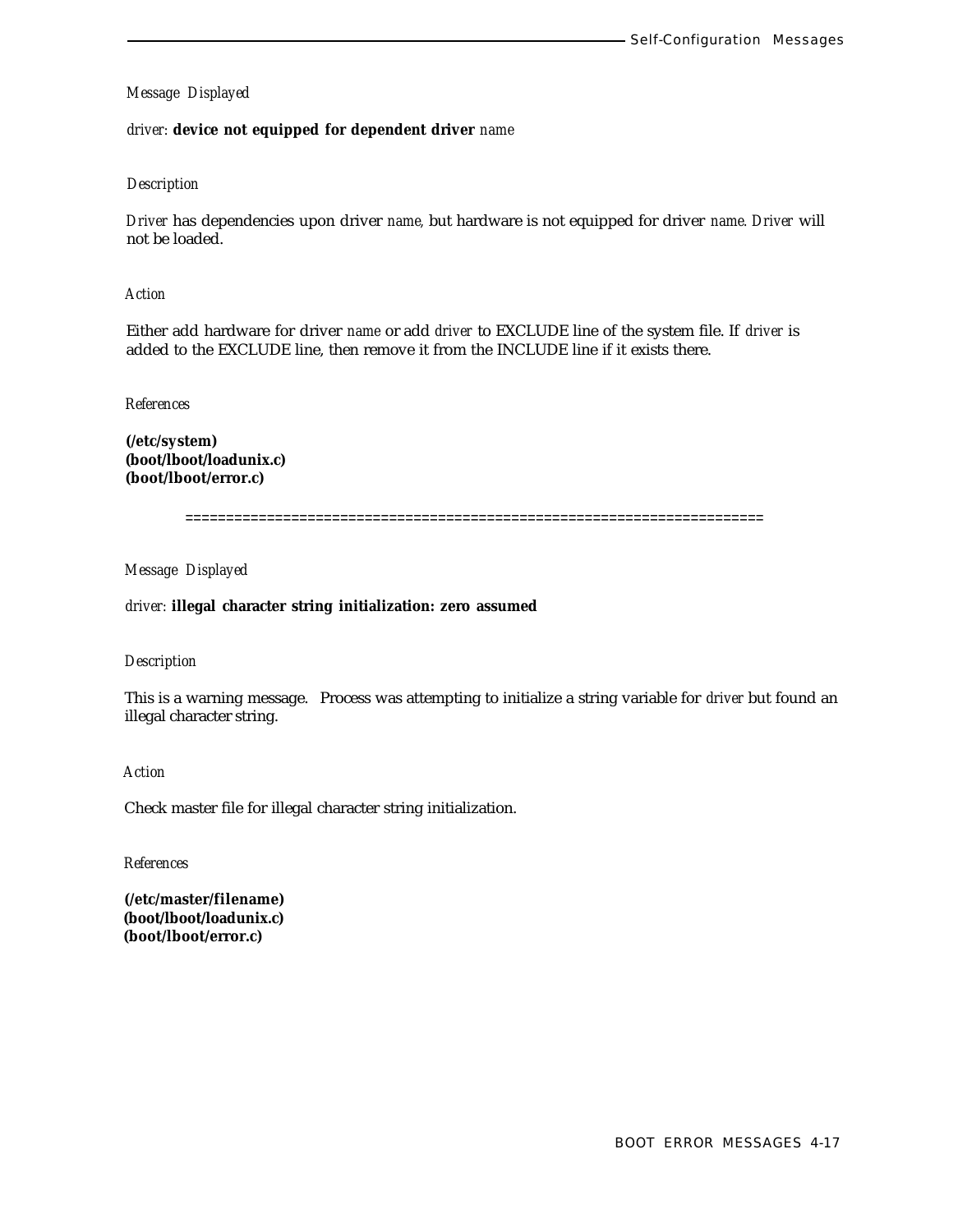## *driver:* **device not equipped for dependent driver** *name*

## *Description*

*Driver* has dependencies upon driver *name,* but hardware is not equipped for driver *name. Driver* will not be loaded.

## *Action*

Either add hardware for driver *name* or add *driver* to EXCLUDE line of the system file. If *driver* is added to the EXCLUDE line, then remove it from the INCLUDE line if it exists there.

## *References*

**(/etc/system) (boot/lboot/loadunix.c) (boot/lboot/error.c)**

=======================================================================

*Message Displayed*

## *driver:* **illegal character string initialization: zero assumed**

# *Description*

This is a warning message. Process was attempting to initialize a string variable for *driver* but found an illegal character string.

#### *Action*

Check master file for illegal character string initialization.

#### *References*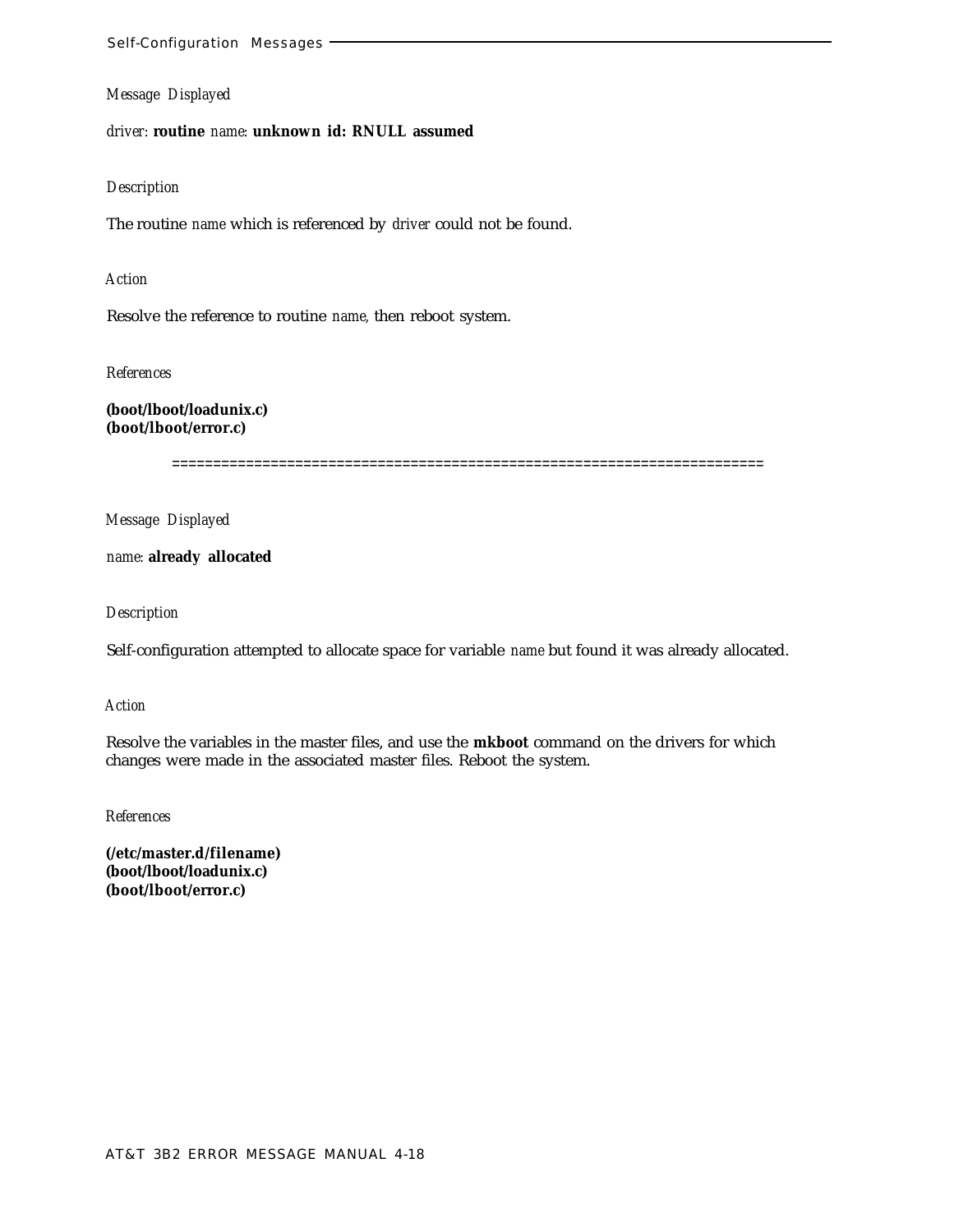*driver:* **routine** *name:* **unknown id: RNULL assumed**

#### *Description*

The routine *name* which is referenced by *driver* could not be found.

#### *Action*

Resolve the reference to routine *name,* then reboot system.

*References*

**(boot/lboot/loadunix.c) (boot/lboot/error.c)**

========================================================================

*Message Displayed*

*name:* **already allocated**

*Description*

Self-configuration attempted to allocate space for variable *name* but found it was already allocated.

*Action*

Resolve the variables in the master files, and use the **mkboot** command on the drivers for which changes were made in the associated master files. Reboot the system.

*References*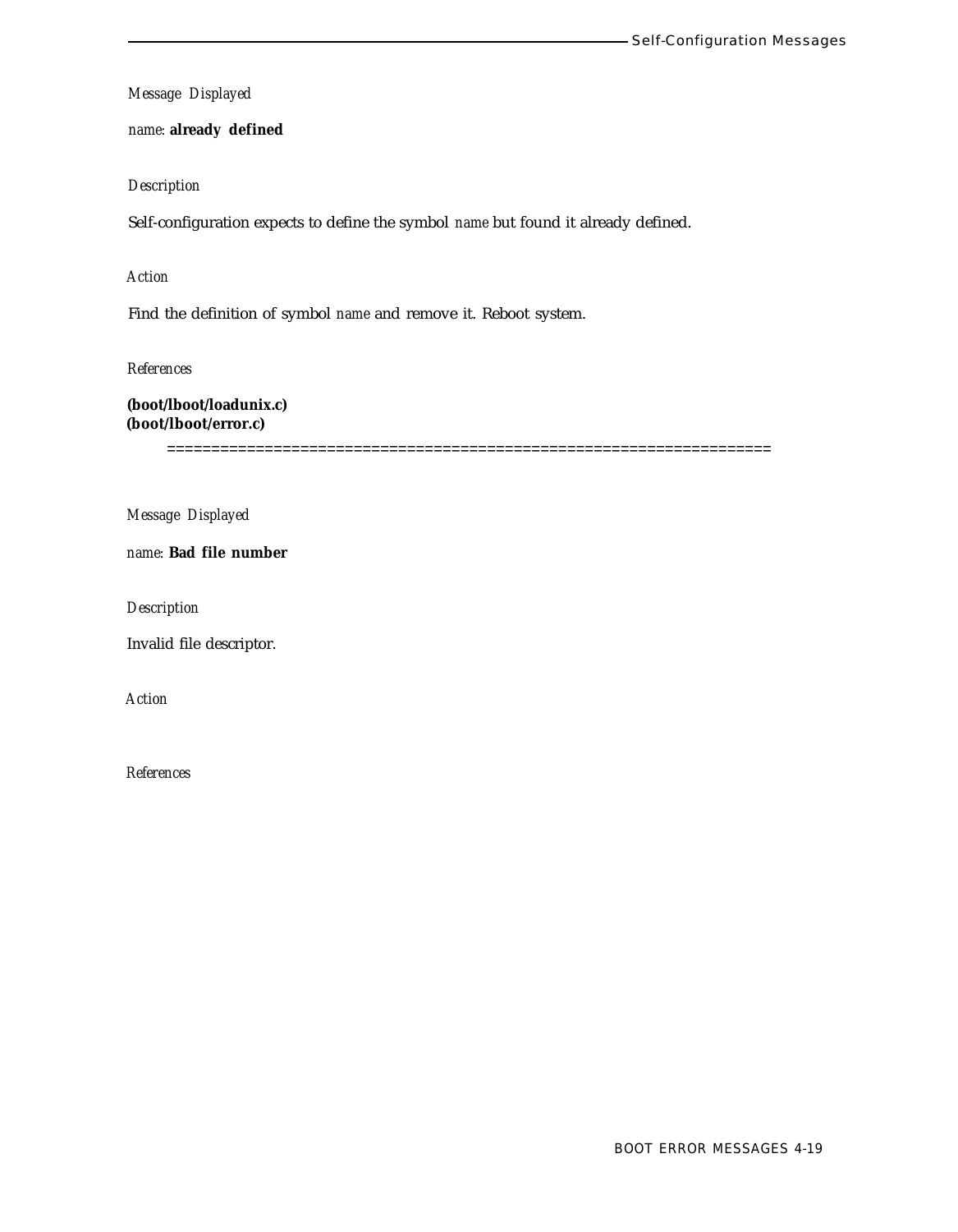*name:* **already defined**

*Description*

Self-configuration expects to define the symbol *name* but found it already defined.

*Action*

Find the definition of symbol *name* and remove it. Reboot system.

*References*

**(boot/lboot/loadunix.c) (boot/lboot/error.c)**

====================================================================

*Message Displayed*

*name:* **Bad file number**

*Description*

Invalid file descriptor.

*Action*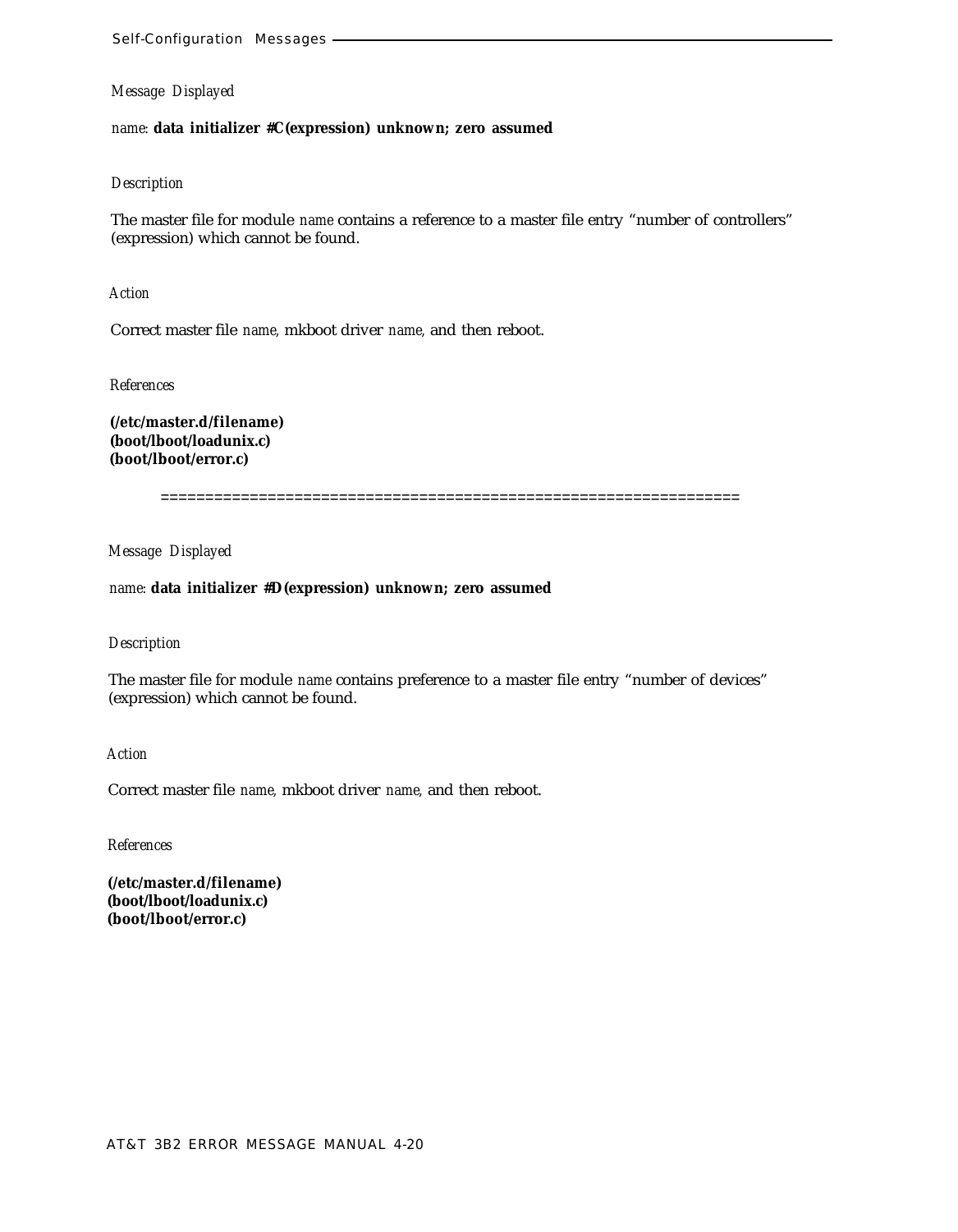*name:* **data initializer #C(expression) unknown; zero assumed**

## *Description*

The master file for module *name* contains a reference to a master file entry "number of controllers" (expression) which cannot be found.

*Action*

Correct master file *name,* mkboot driver *name,* and then reboot.

*References*

**(/etc/master.d/filename) (boot/lboot/loadunix.c) (boot/lboot/error.c)**

=================================================================

*Message Displayed*

# *name:* **data initializer #D(expression) unknown; zero assumed**

#### *Description*

The master file for module *name* contains preference to a master file entry "number of devices" (expression) which cannot be found.

*Action*

Correct master file *name,* mkboot driver *name,* and then reboot.

*References*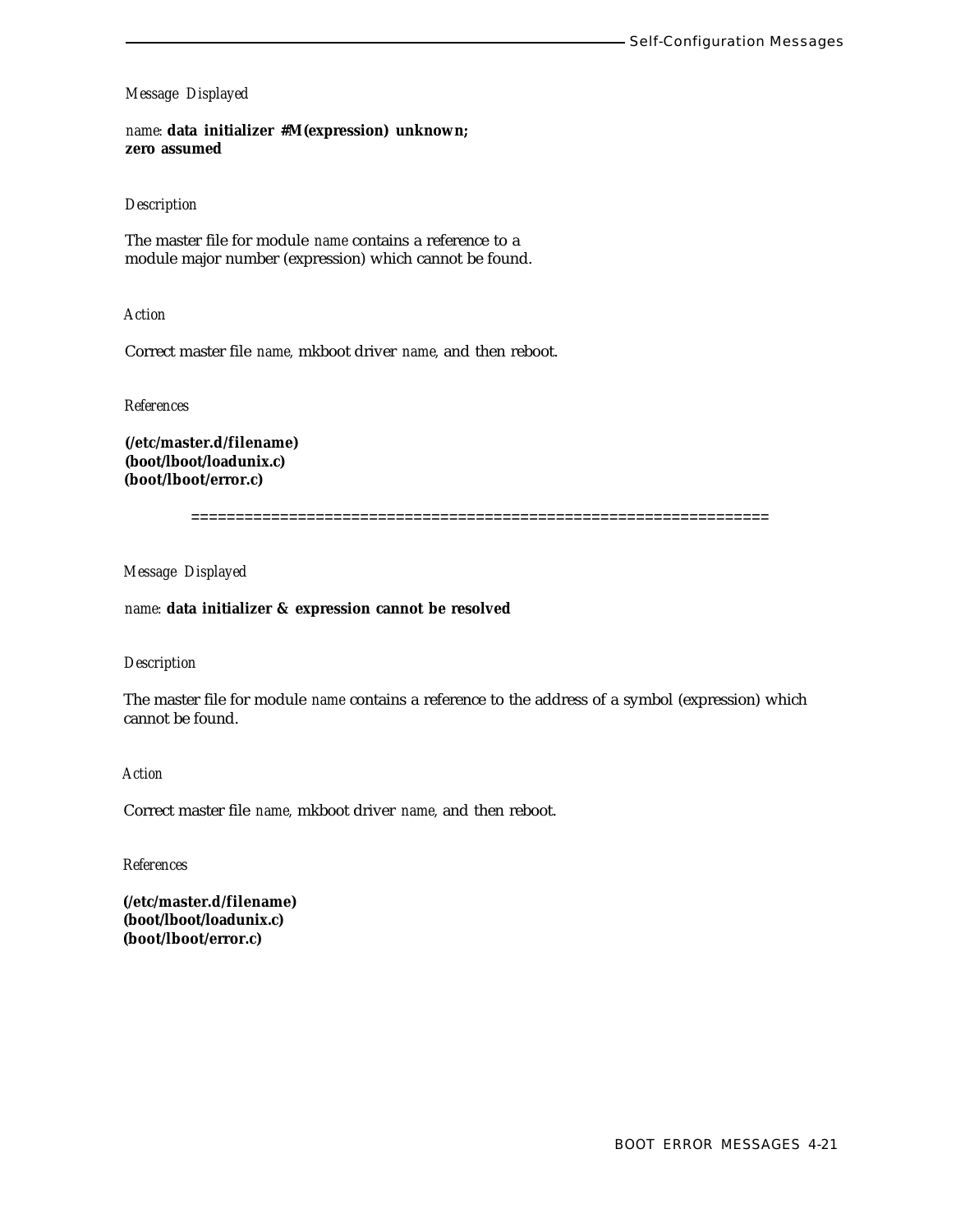*name:* **data initializer #M(expression) unknown; zero assumed**

## *Description*

The master file for module *name* contains a reference to a module major number (expression) which cannot be found.

*Action*

Correct master file *name,* mkboot driver *name,* and then reboot.

*References*

**(/etc/master.d/filename) (boot/lboot/loadunix.c) (boot/lboot/error.c)**

=================================================================

*Message Displayed*

*name:* **data initializer & expression cannot be resolved**

### *Description*

The master file for module *name* contains a reference to the address of a symbol (expression) which cannot be found.

# *Action*

Correct master file *name,* mkboot driver *name,* and then reboot.

*References*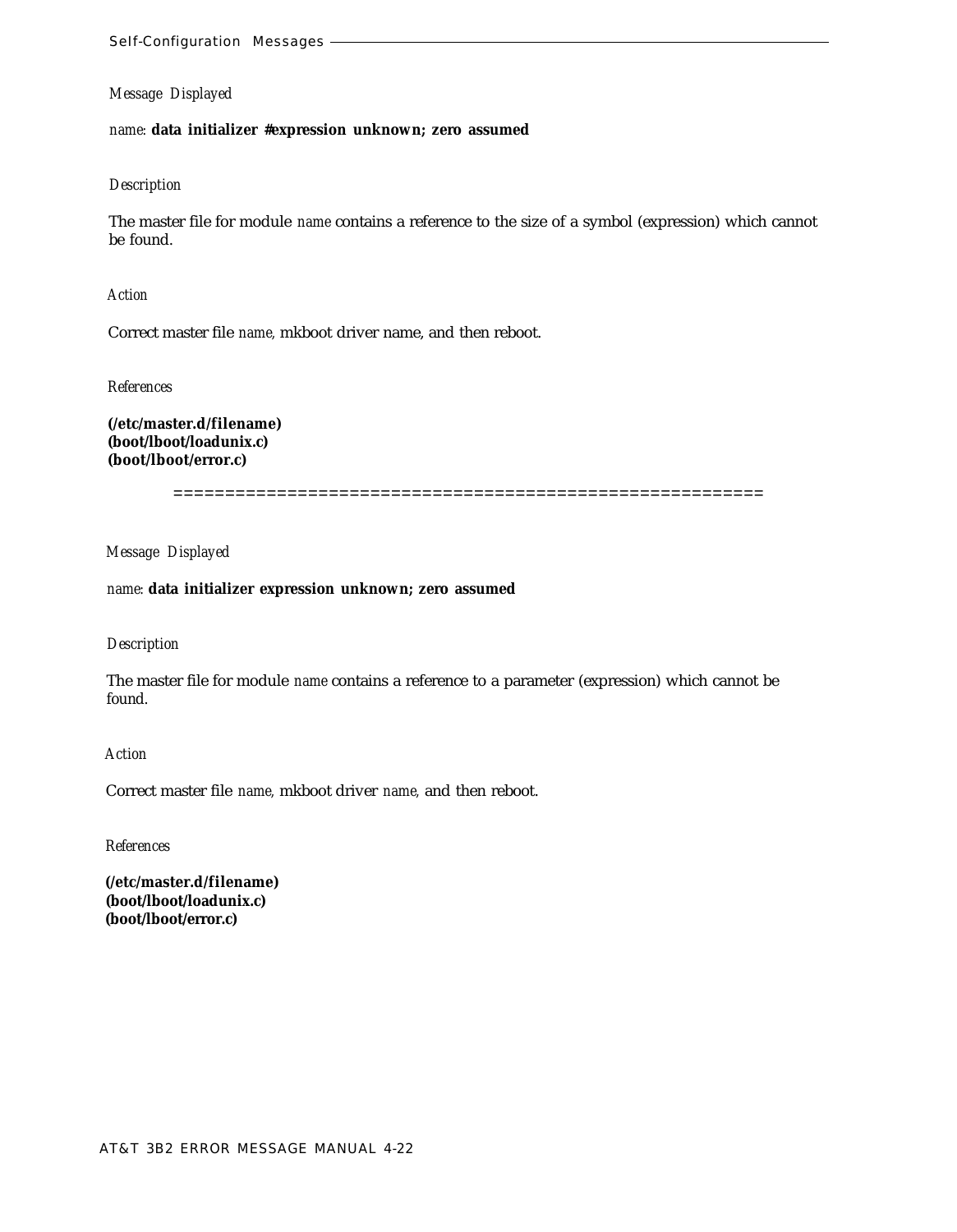*name:* **data initializer #expression unknown; zero assumed**

#### *Description*

The master file for module *name* contains a reference to the size of a symbol (expression) which cannot be found.

*Action*

Correct master file *name,* mkboot driver name, and then reboot.

*References*

**(/etc/master.d/filename) (boot/lboot/loadunix.c) (boot/lboot/error.c)**

=========================================================

*Message Displayed*

#### *name:* **data initializer expression unknown; zero assumed**

#### *Description*

The master file for module *name* contains a reference to a parameter (expression) which cannot be found.

*Action*

Correct master file *name,* mkboot driver *name,* and then reboot.

*References*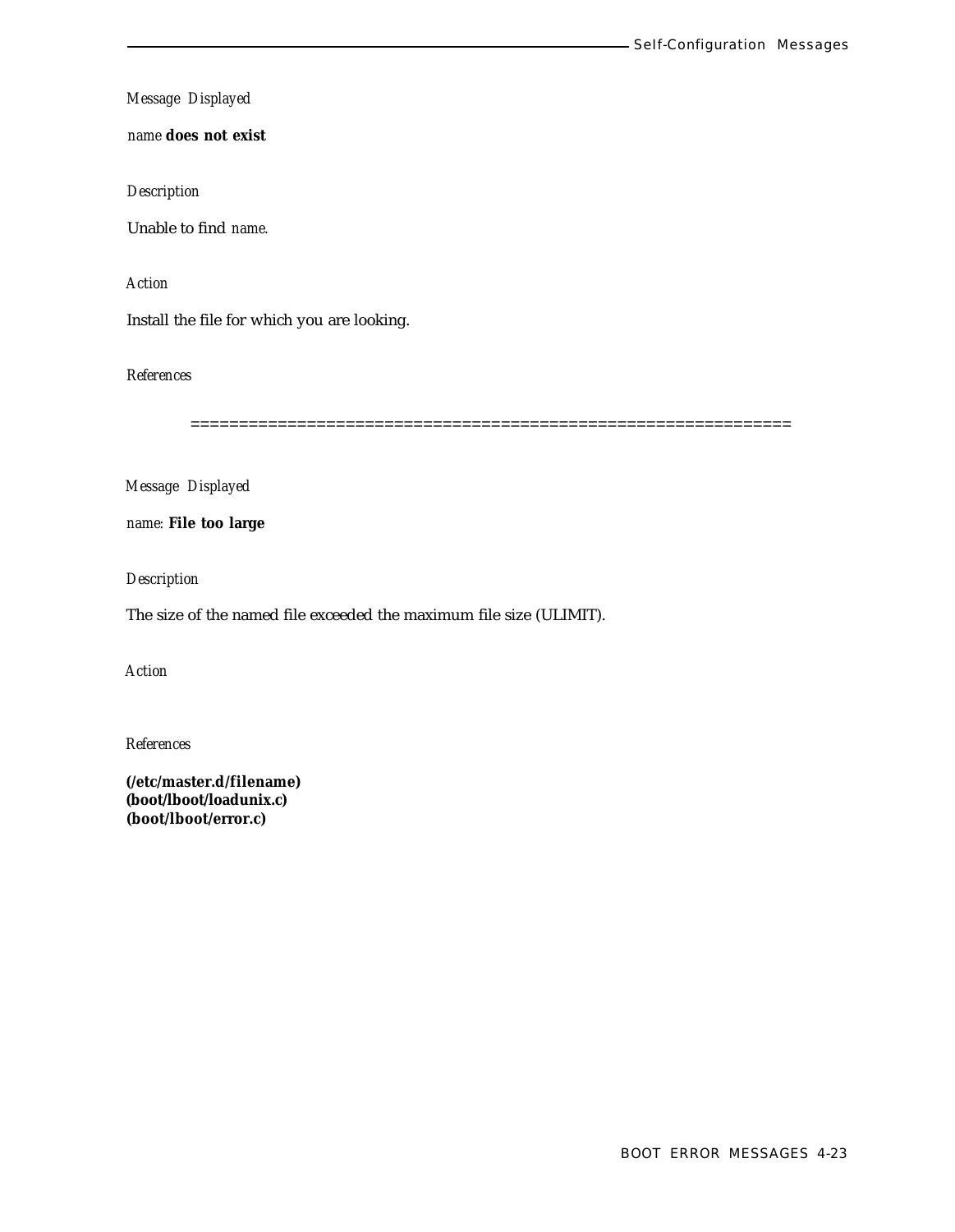*name* **does not exist**

*Description*

Unable to find *name.*

*Action*

Install the file for which you are looking.

*References*

==============================================================

*Message Displayed*

*name:* **File too large**

*Description*

The size of the named file exceeded the maximum file size (ULIMIT).

*Action*

*References*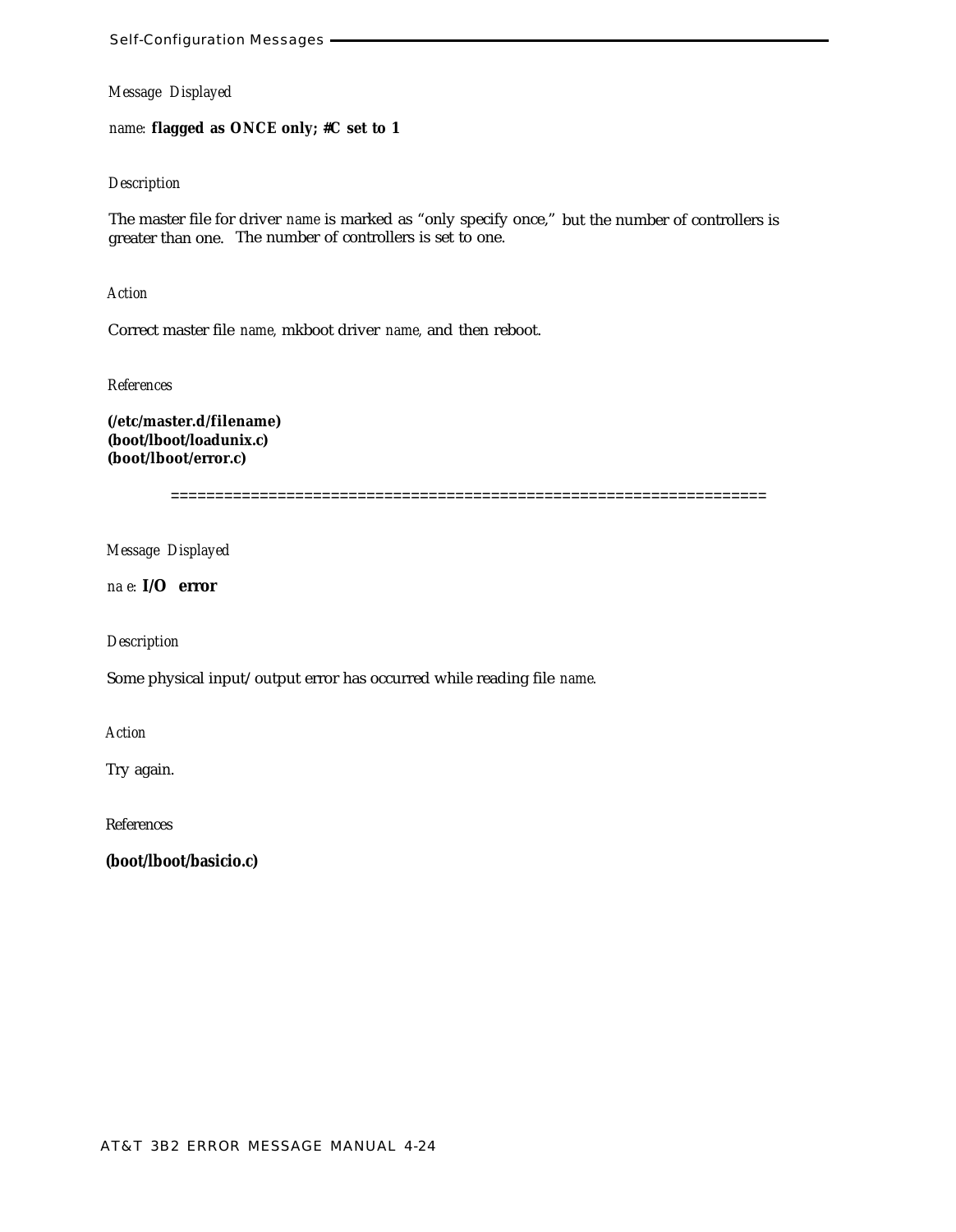*name:* **flagged as ONCE only; #C set to 1**

### *Description*

The master file for driver *name* is marked as "only specify once," but the number of controllers is greater than one. The number of controllers is set to one.

*Action*

Correct master file *name,* mkboot driver *name,* and then reboot.

*References*

**(/etc/master.d/filename) (boot/lboot/loadunix.c) (boot/lboot/error.c)**

===================================================================

*Message Displayed*

*na e:* **I/O error**

*Description*

Some physical input/output error has occurred while reading file *name.*

*Action*

Try again.

References

**(boot/lboot/basicio.c)**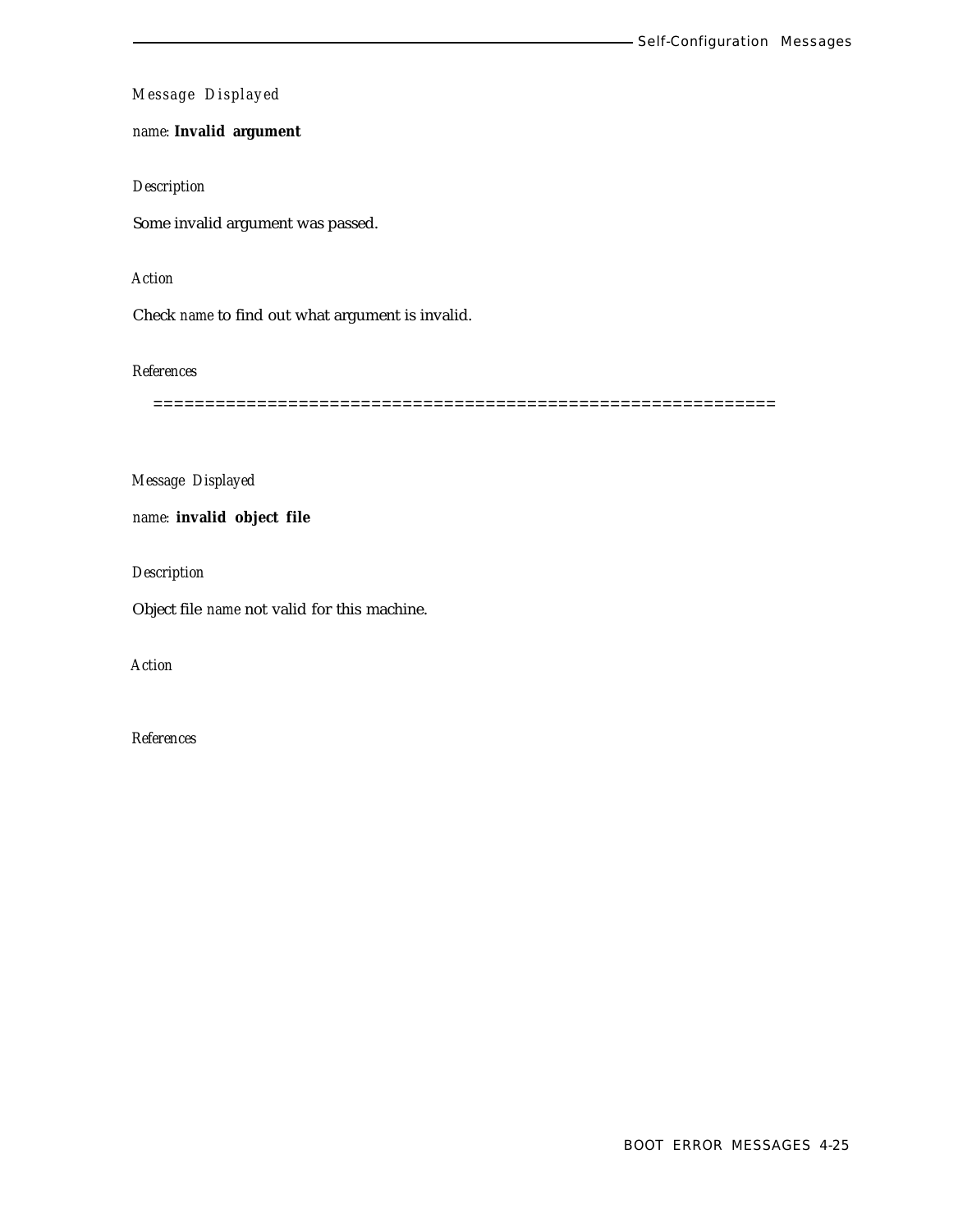# *name:* **Invalid argument**

# *Description*

Some invalid argument was passed.

# *Action*

Check *name* to find out what argument is invalid.

*References*

============================================================

*Message Displayed*

*name:* **invalid object file**

*Description*

Object file *name* not valid for this machine.

*Action*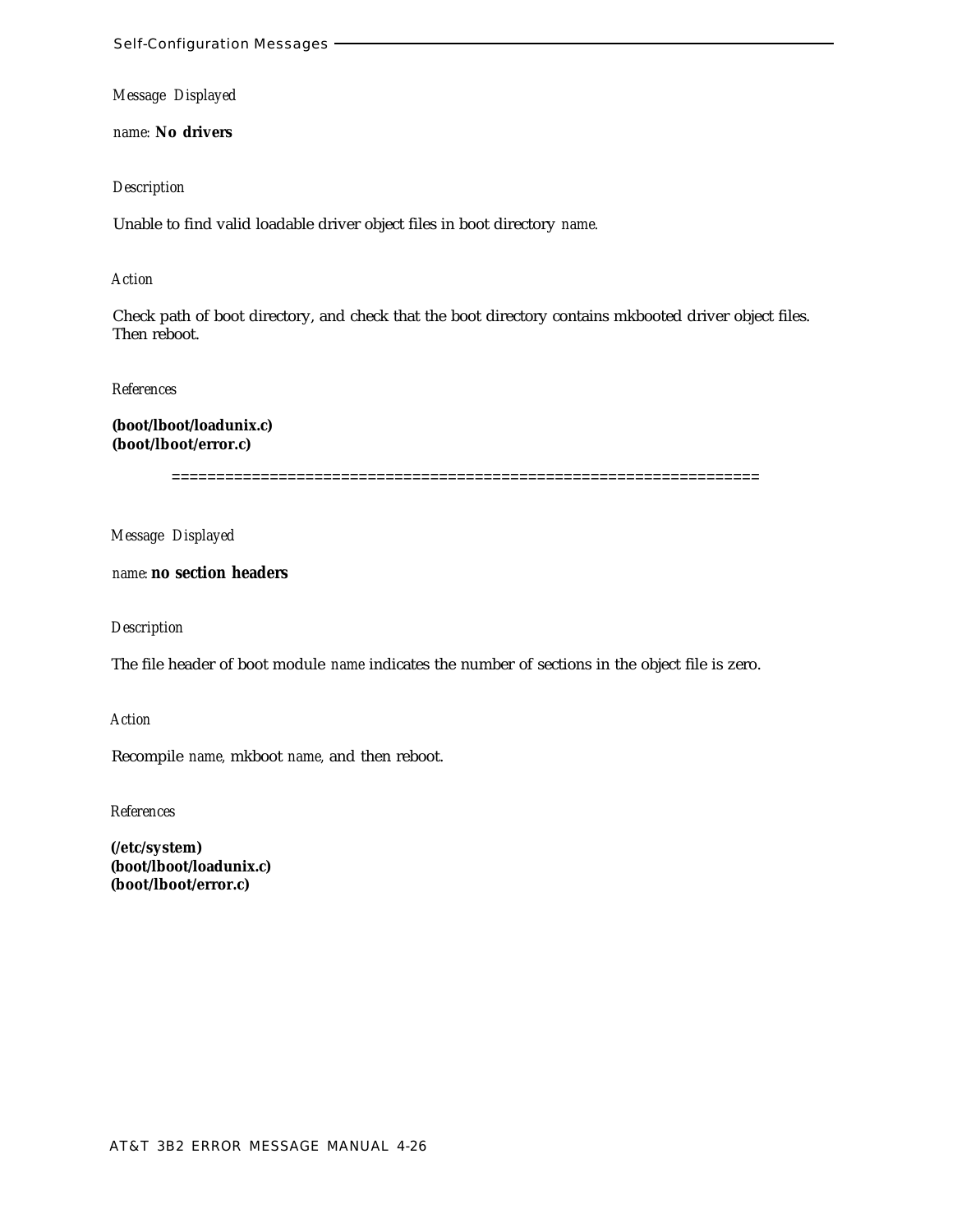*name:* **No drivers**

### *Description*

Unable to find valid loadable driver object files in boot directory *name.*

#### *Action*

Check path of boot directory, and check that the boot directory contains mkbooted driver object files. Then reboot.

#### *References*

**(boot/lboot/loadunix.c) (boot/lboot/error.c)**

==================================================================

*Message Displayed*

*name:* **no section headers**

### *Description*

The file header of boot module *name* indicates the number of sections in the object file is zero.

*Action*

Recompile *name,* mkboot *name,* and then reboot.

*References*

**(/etc/system) (boot/lboot/loadunix.c) (boot/lboot/error.c)**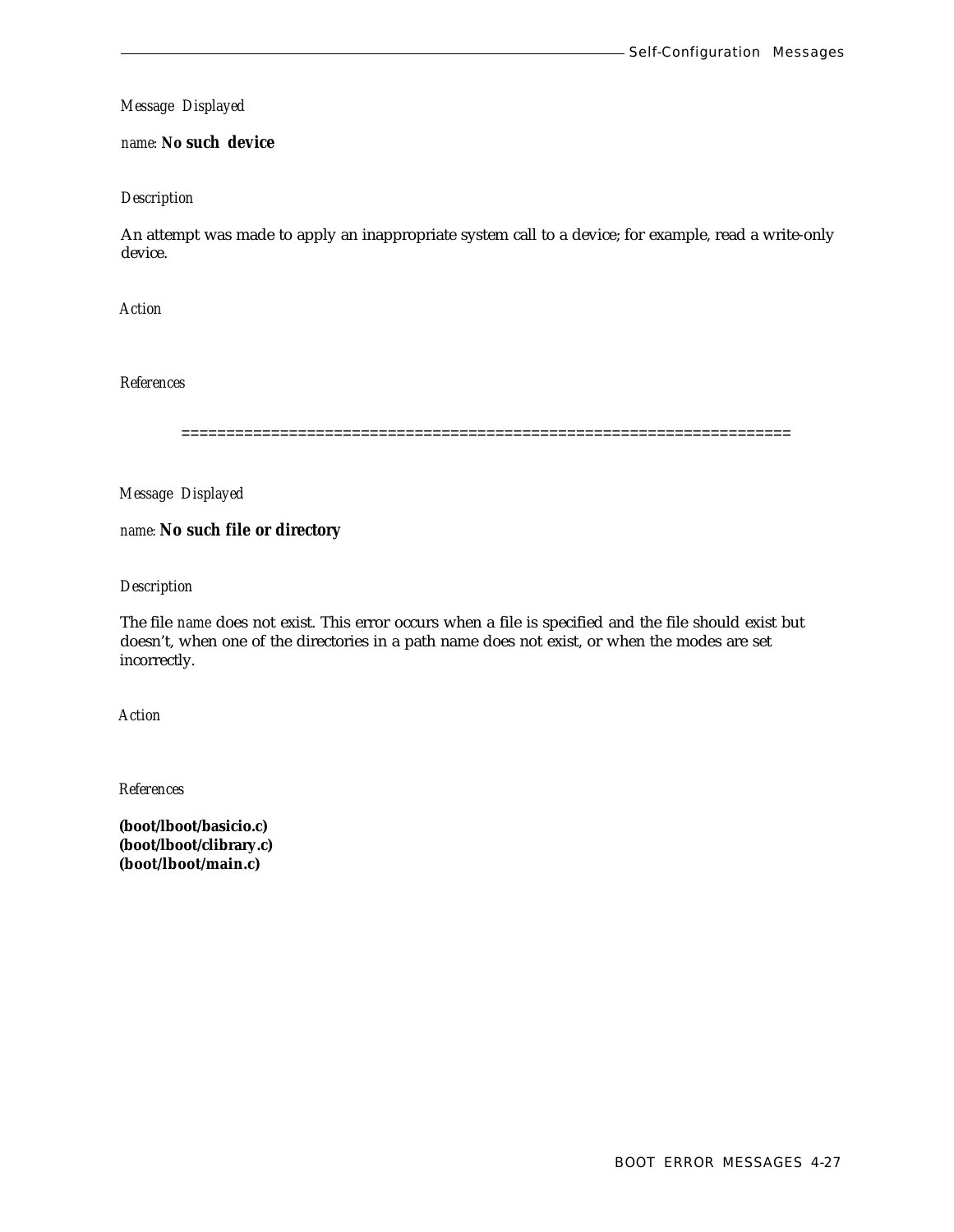### *name:* **No such device**

### *Description*

An attempt was made to apply an inappropriate system call to a device; for example, read a write-only device.

*Action*

*References*

====================================================================

*Message Displayed*

*name:* **No such file or directory**

*Description*

The file *name* does not exist. This error occurs when a file is specified and the file should exist but doesn't, when one of the directories in a path name does not exist, or when the modes are set incorrectly.

*Action*

*References*

**(boot/lboot/basicio.c) (boot/lboot/clibrary.c) (boot/lboot/main.c)**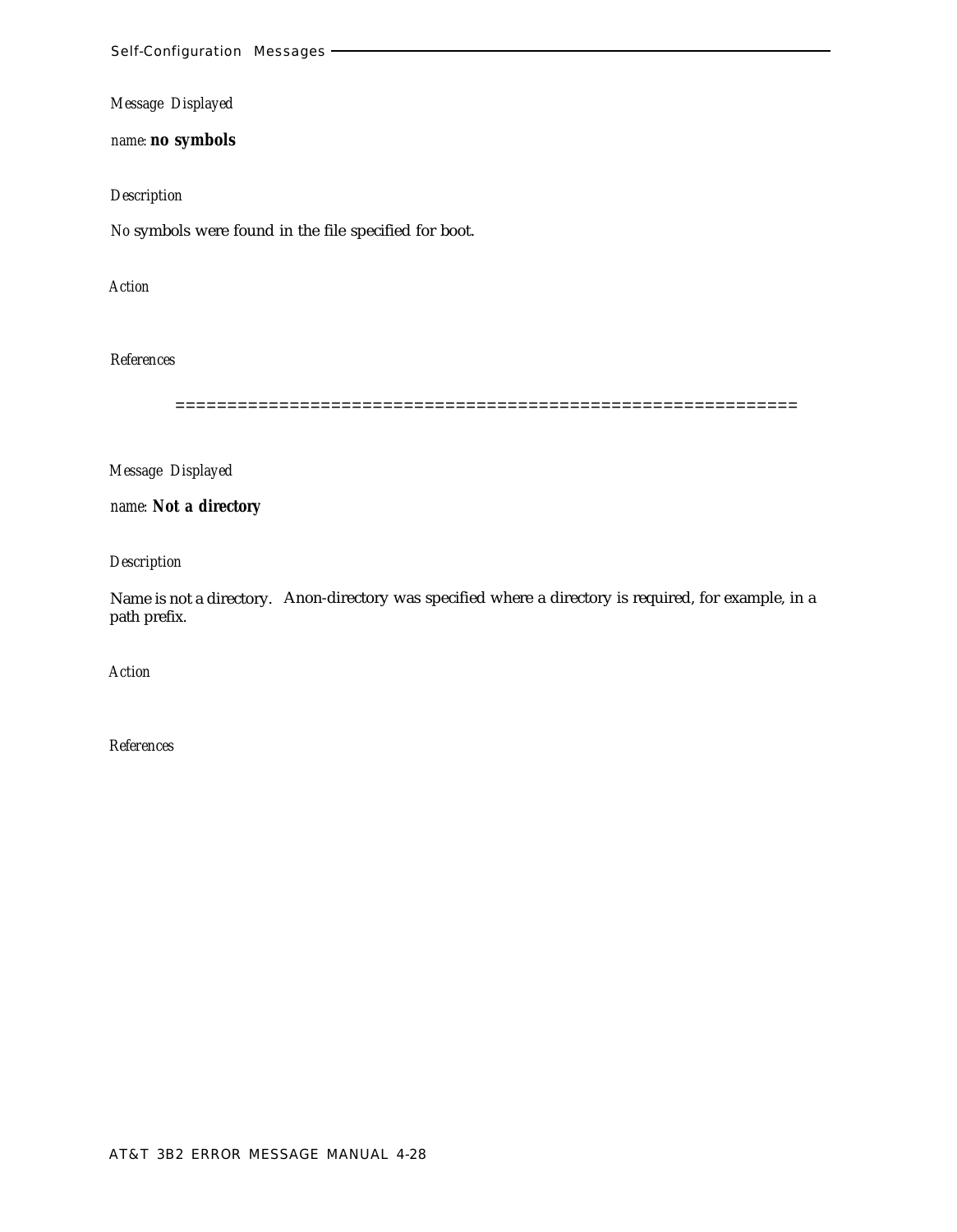*name:* **no symbols**

# *Description*

*No* symbols were found in the file specified for boot.

*Action*

# *References*

============================================================

*Message Displayed*

*name:* **Not a directory**

*Description*

Name is not a directory. Anon-directory was specified where a directory is required, for example, in a path prefix.

*Action*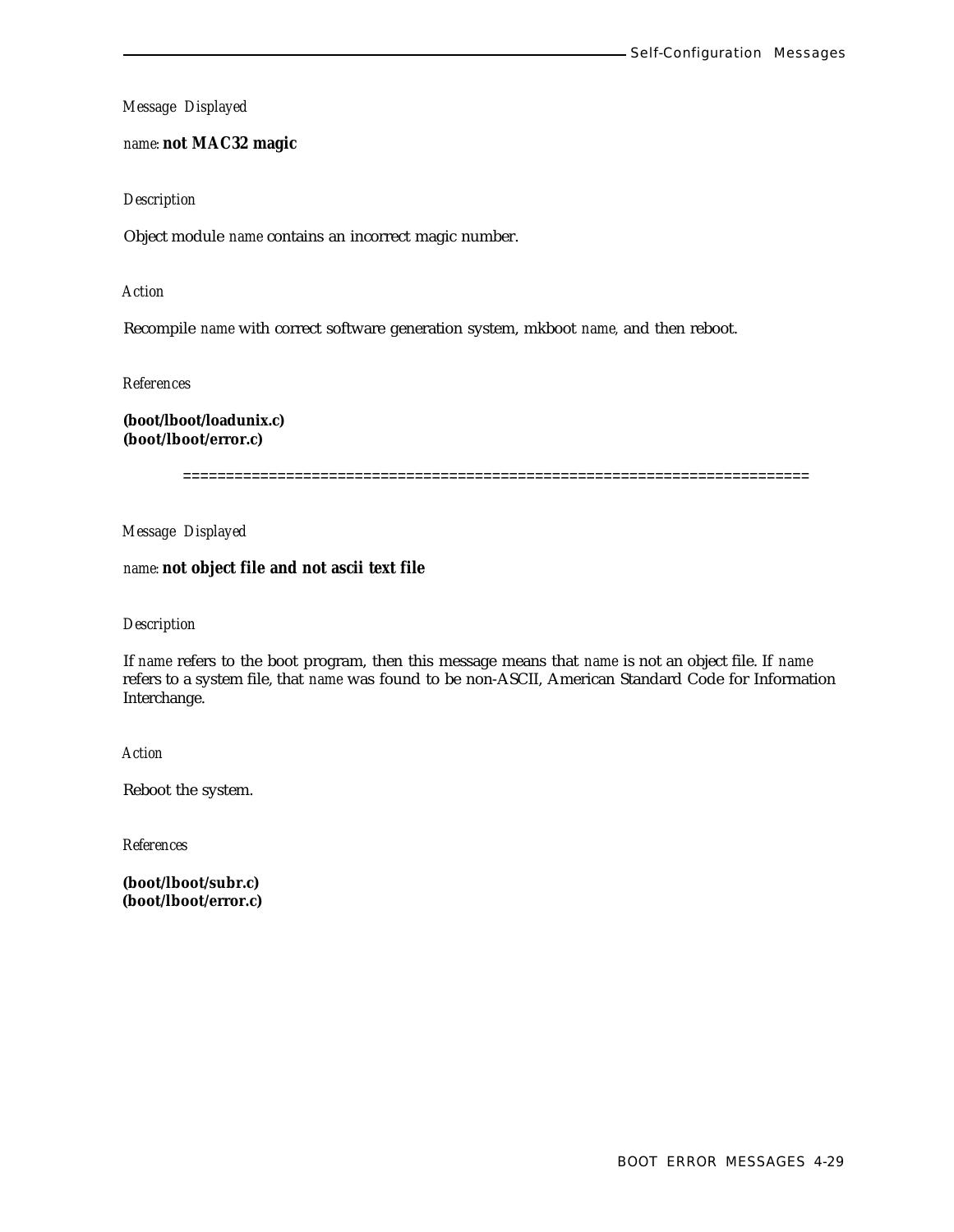*name:* **not MAC32 magic**

*Description*

Object module *name* contains an incorrect magic number.

*Action*

Recompile *name* with correct software generation system, mkboot *name,* and then reboot.

*References*

**(boot/lboot/loadunix.c) (boot/lboot/error.c)**

=========================================================================

*Message Displayed*

### *name:* **not object file and not ascii text file**

### *Description*

If *name* refers to the boot program, then this message means that *name* is not an object file. If *name* refers to a system file, that *name* was found to be non-ASCII, American Standard Code for Information Interchange.

*Action*

Reboot the system.

*References*

**(boot/lboot/subr.c) (boot/lboot/error.c)**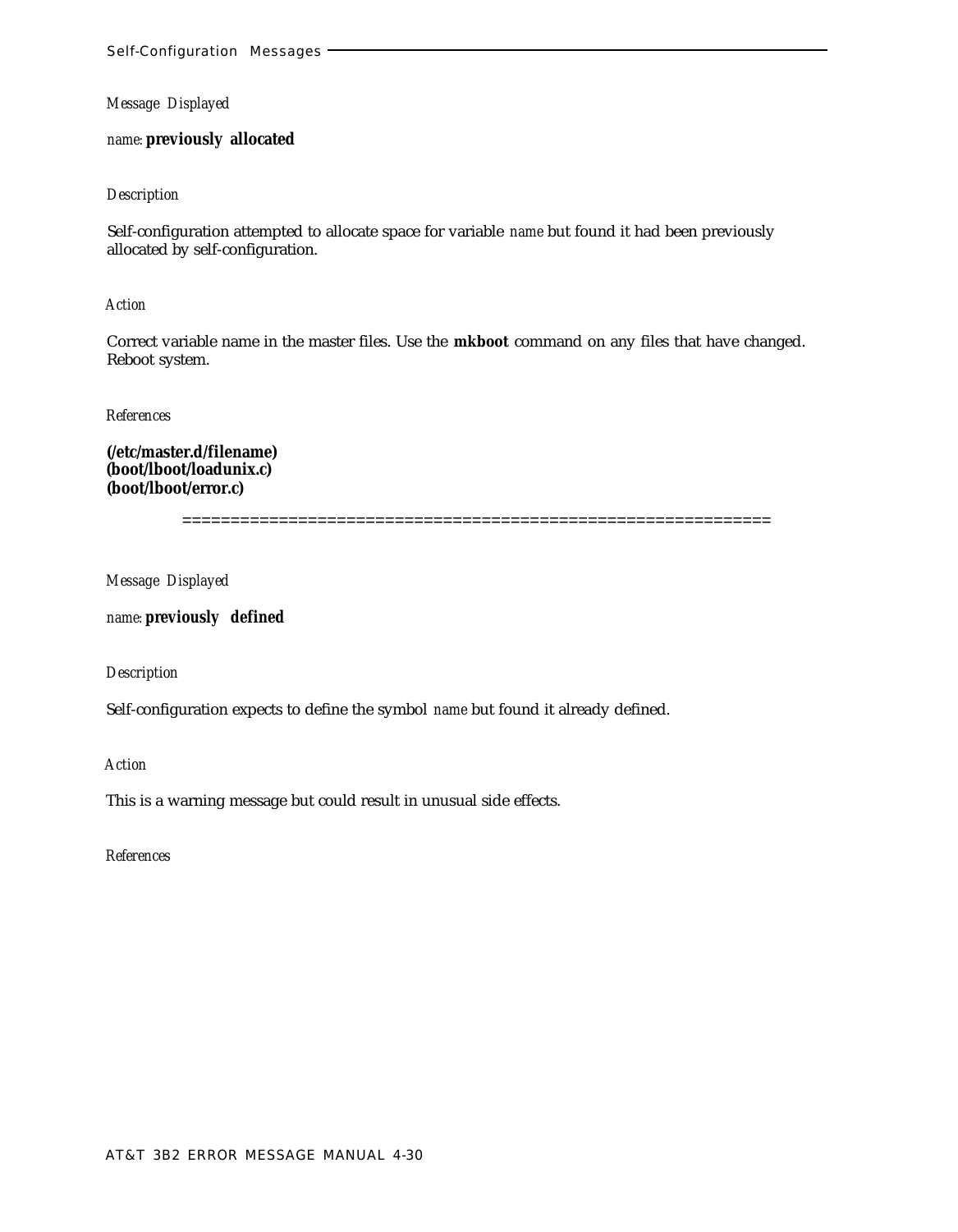*name:* **previously allocated**

### *Description*

Self-configuration attempted to allocate space for variable *name* but found it had been previously allocated by self-configuration.

*Action*

Correct variable name in the master files. Use the **mkboot** command on any files that have changed. Reboot system.

*References*

**(/etc/master.d/filename) (boot/lboot/loadunix.c) (boot/lboot/error.c)**

=============================================================

*Message Displayed*

*name:* **previously defined**

*Description*

Self-configuration expects to define the symbol *name* but found it already defined.

*Action*

This is a warning message but could result in unusual side effects.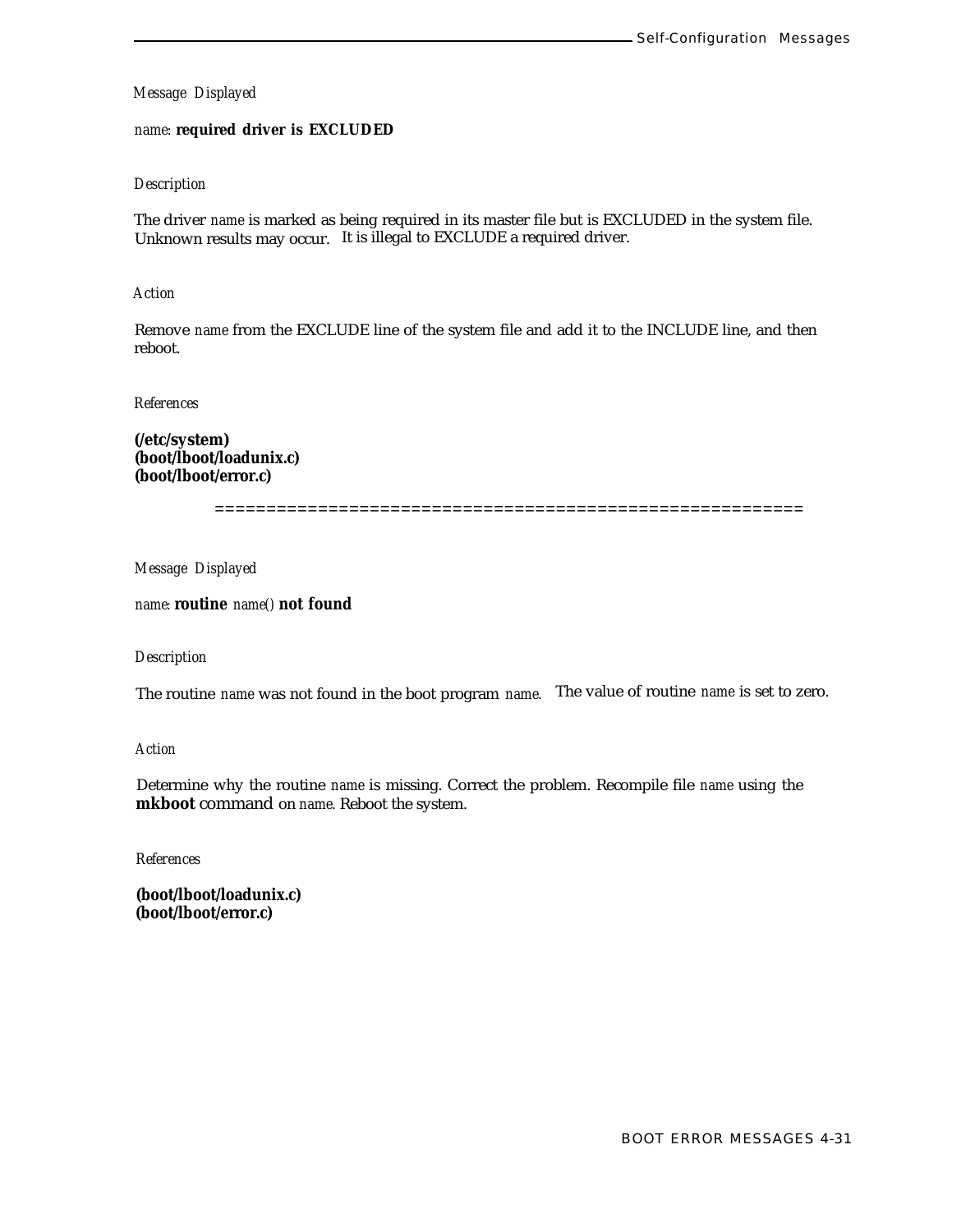# *name:* **required driver is EXCLUDED**

### *Description*

The driver *name* is marked as being required in its master file but is EXCLUDED in the system file. Unknown results may occur. It is illegal to EXCLUDE a required driver.

### *Action*

Remove *name* from the EXCLUDE line of the system file and add it to the INCLUDE line, and then reboot.

*References*

**(/etc/system) (boot/lboot/loadunix.c) (boot/lboot/error.c)**

=========================================================

*Message Displayed*

*name:* **routine** *name()* **not found**

### *Description*

The routine *name* was not found in the boot program *name.* The value of routine *name* is set to zero.

### *Action*

Determine why the routine *name* is missing. Correct the problem. Recompile file *name* using the **mkboot** command on *name.* Reboot the system.

*References*

**(boot/lboot/loadunix.c) (boot/lboot/error.c)**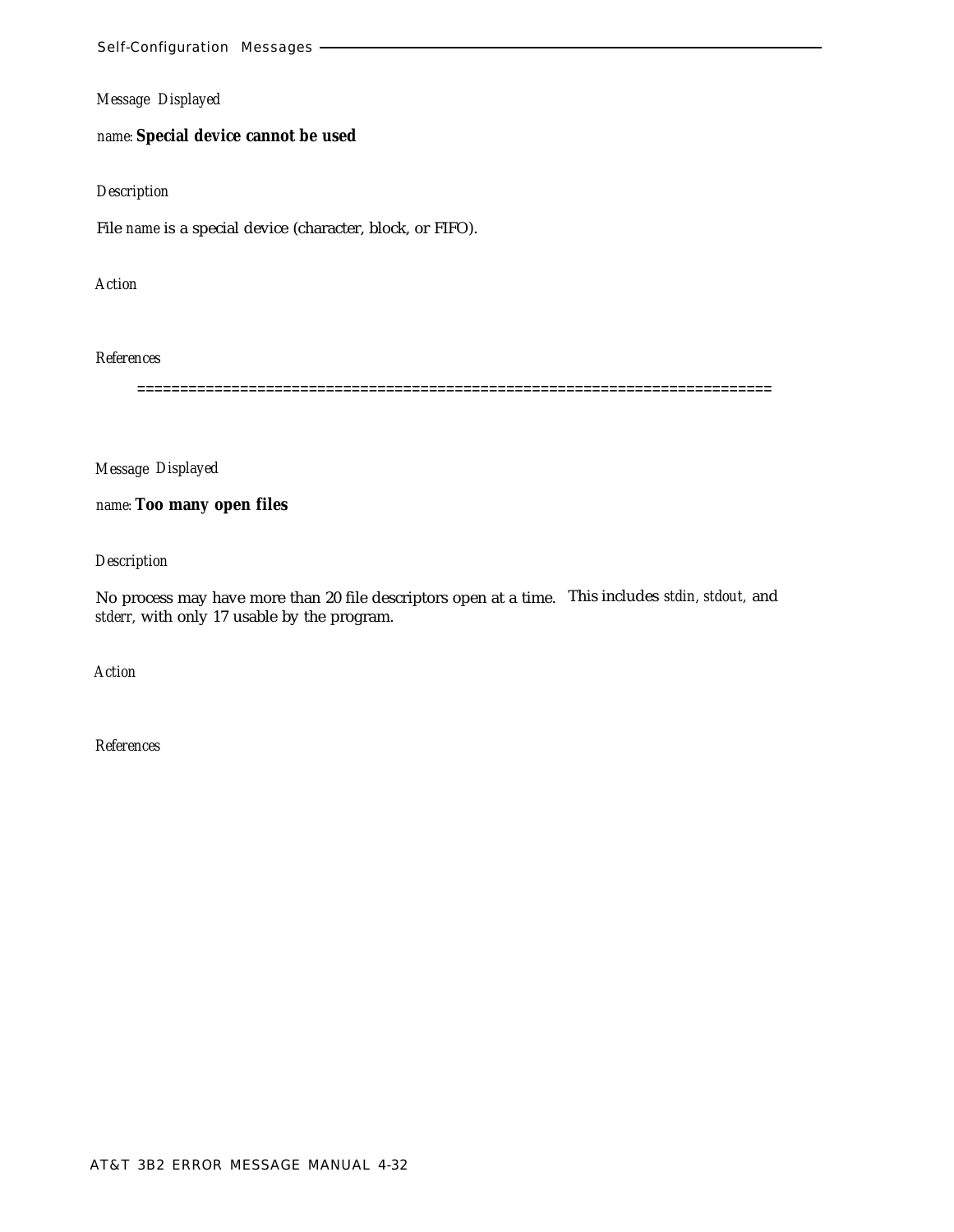*name:* **Special device cannot be used**

### *Description*

File *name* is a special device (character, block, or FIFO).

*Action*

#### *References*

==========================================================================

*Message Displayed*

*name:* **Too many open files**

*Description*

No process may have more than 20 file descriptors open at a time. This includes *stdin, stdout,* and *stderr,* with only 17 usable by the program.

*Action*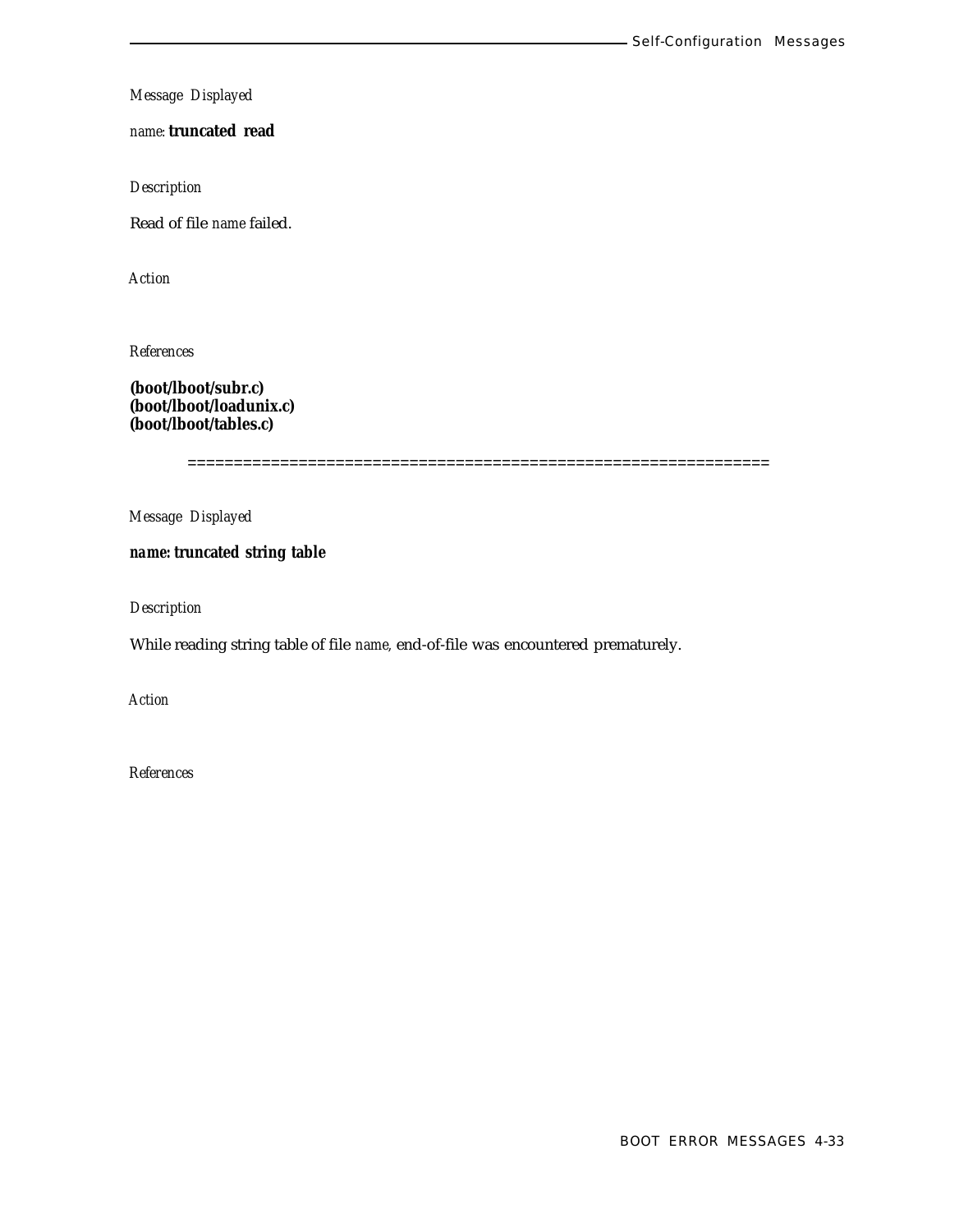*name:* **truncated read**

*Description*

Read of file *name* failed.

*Action*

*References*

**(boot/lboot/subr.c) (boot/lboot/loadunix.c) (boot/lboot/tables.c)**

===============================================================

*Message Displayed*

*name:* **truncated string table**

*Description*

While reading string table of file *name,* end-of-file was encountered prematurely.

*Action*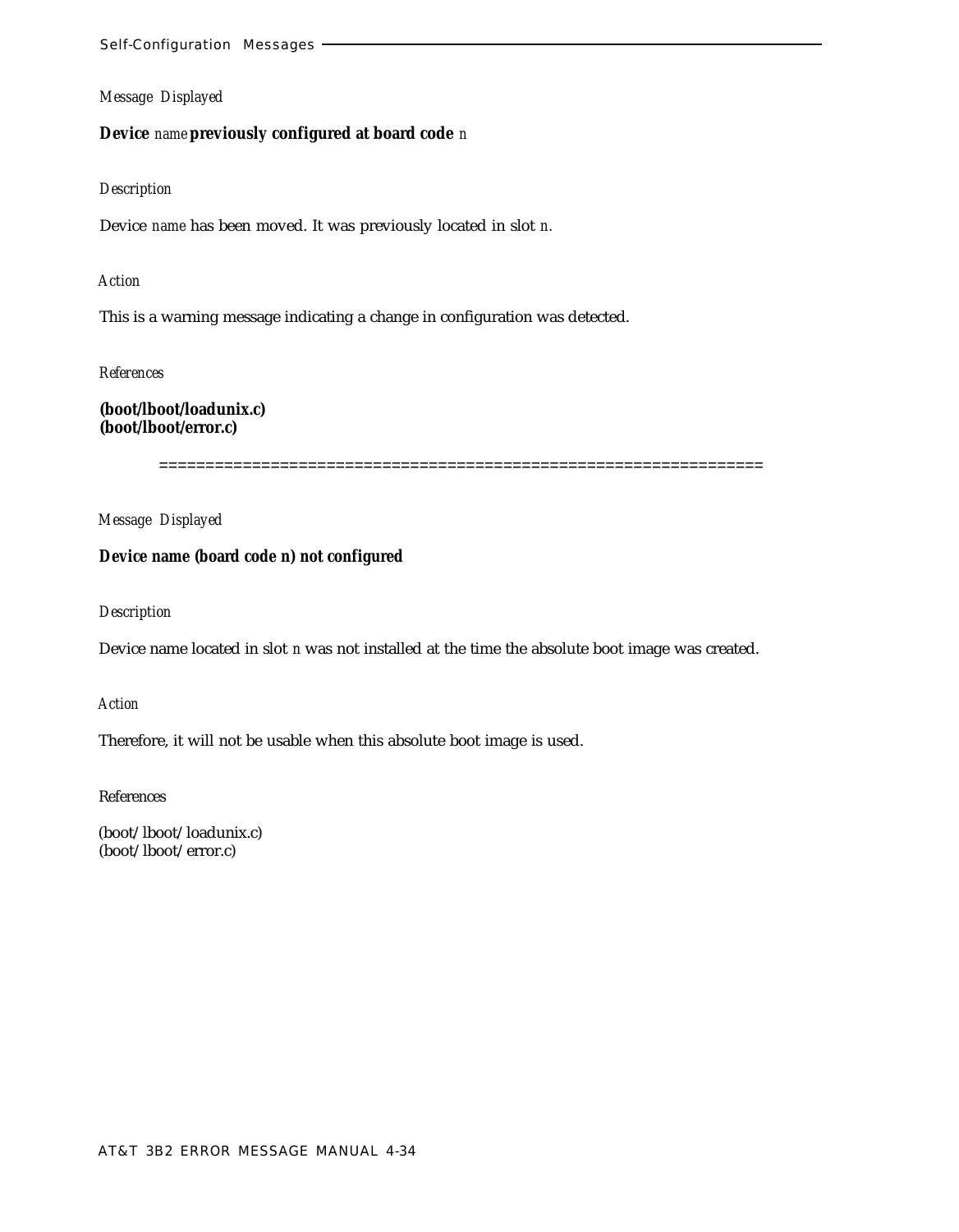# **Device** *name* **previously configured at board code** *n*

#### *Description*

Device *name* has been moved. It was previously located in slot *n.*

## *Action*

This is a warning message indicating a change in configuration was detected.

*References*

**(boot/lboot/loadunix.c) (boot/lboot/error.c)**

=================================================================

*Message Displayed*

### **Device name (board code n) not configured**

*Description*

Device name located in slot *n* was not installed at the time the absolute boot image was created.

*Action*

Therefore, it will not be usable when this absolute boot image is used.

References

(boot/lboot/loadunix.c) (boot/lboot/error.c)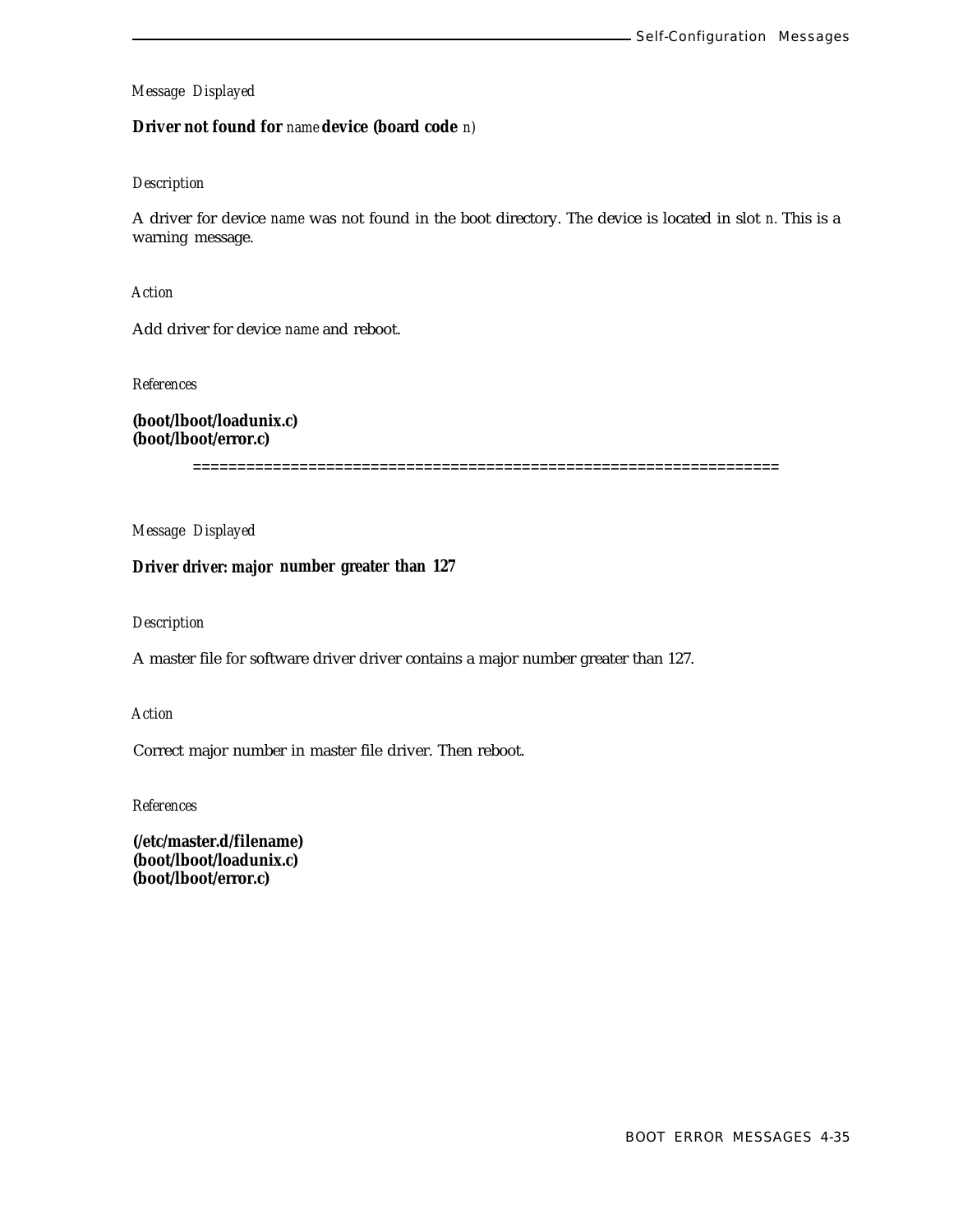**Driver not found for** *name* **device (board code** *n)*

### *Description*

A driver for device *name* was not found in the boot directory. The device is located in slot *n.* This is a warning message.

*Action*

Add driver for device *name* and reboot.

*References*

**(boot/lboot/loadunix.c) (boot/lboot/error.c)**

==================================================================

*Message Displayed*

**Driver** *driver:* **major number greater than 127**

### *Description*

A master file for software driver driver contains a major number greater than 127.

*Action*

Correct major number in master file driver. Then reboot.

*References*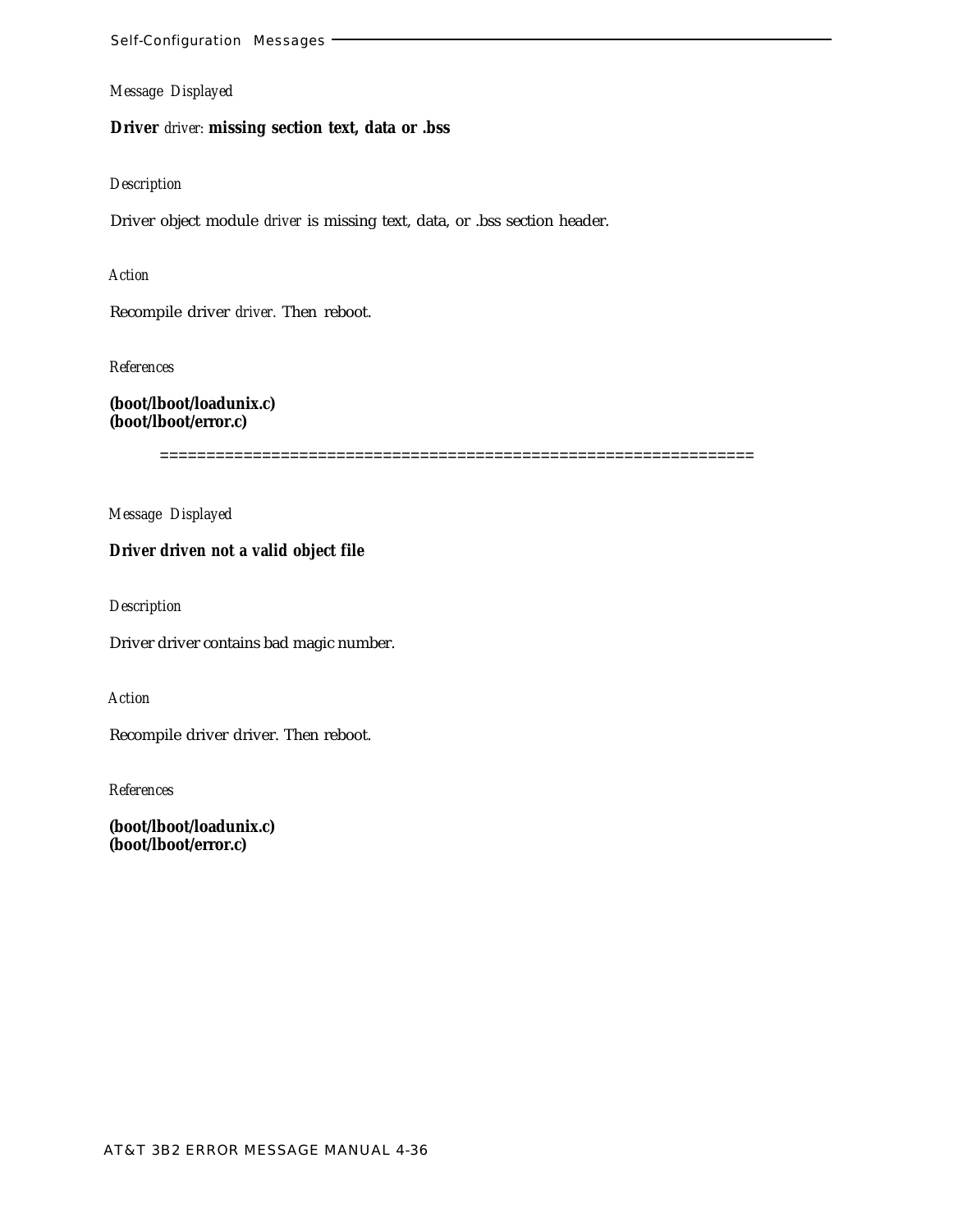**Driver** *driver:* **missing section text, data or .bss**

# *Description*

Driver object module *driver* is missing text, data, or .bss section header.

*Action*

Recompile driver *driver.* Then reboot.

*References*

**(boot/lboot/loadunix.c) (boot/lboot/error.c)**

================================================================

*Message Displayed*

# **Driver driven not a valid object file**

*Description*

Driver driver contains bad magic number.

*Action*

Recompile driver driver. Then reboot.

*References*

**(boot/lboot/loadunix.c) (boot/lboot/error.c)**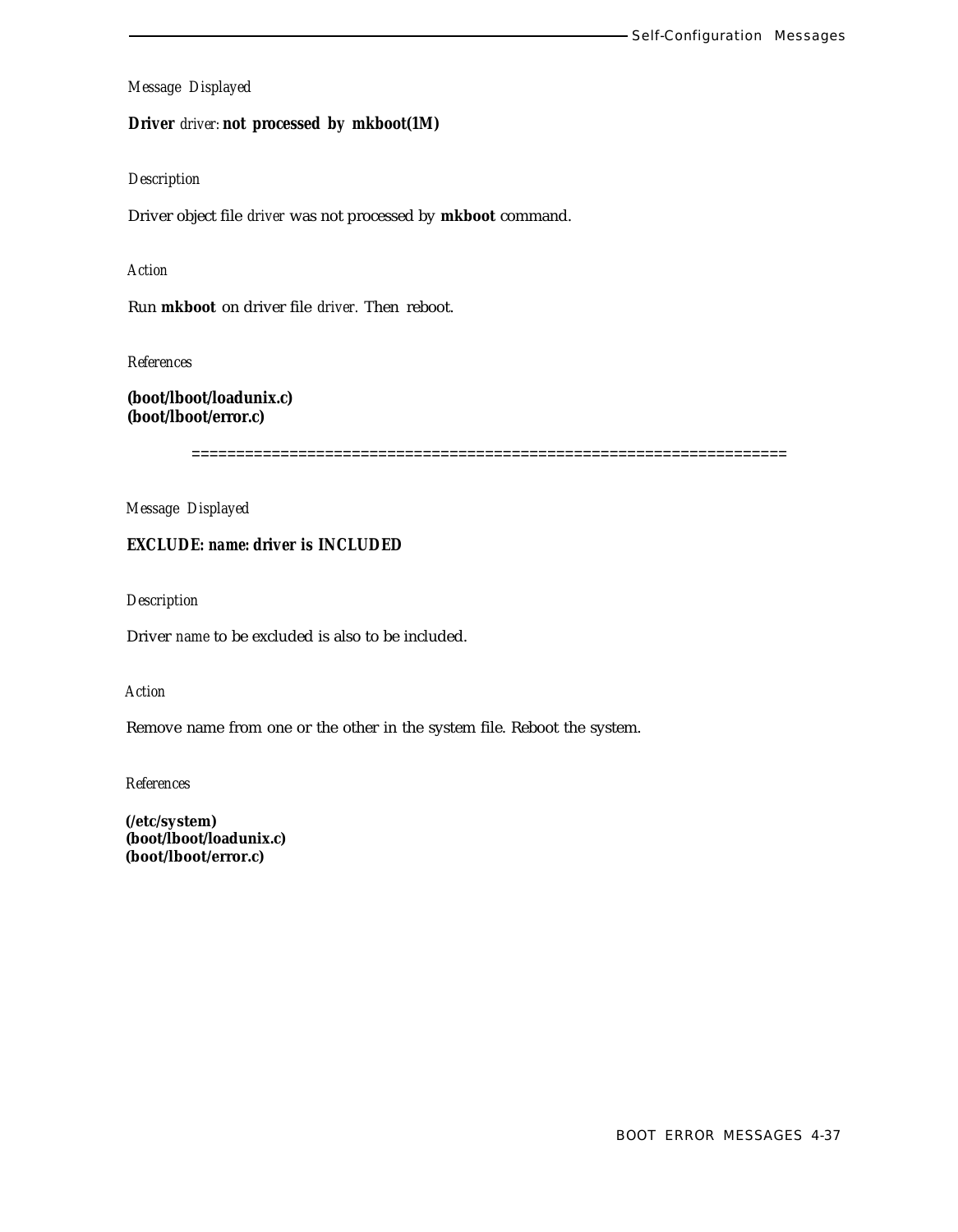**Driver** *driver:* **not processed by mkboot(1M)**

### *Description*

Driver object file *driver* was not processed by **mkboot** command.

### *Action*

Run **mkboot** on driver file *driver.* Then reboot.

*References*

**(boot/lboot/loadunix.c) (boot/lboot/error.c)**

===================================================================

*Message Displayed*

# **EXCLUDE:** *name:* **driver is INCLUDED**

*Description*

Driver *name* to be excluded is also to be included.

*Action*

Remove name from one or the other in the system file. Reboot the system.

*References*

**(/etc/system) (boot/lboot/loadunix.c) (boot/lboot/error.c)**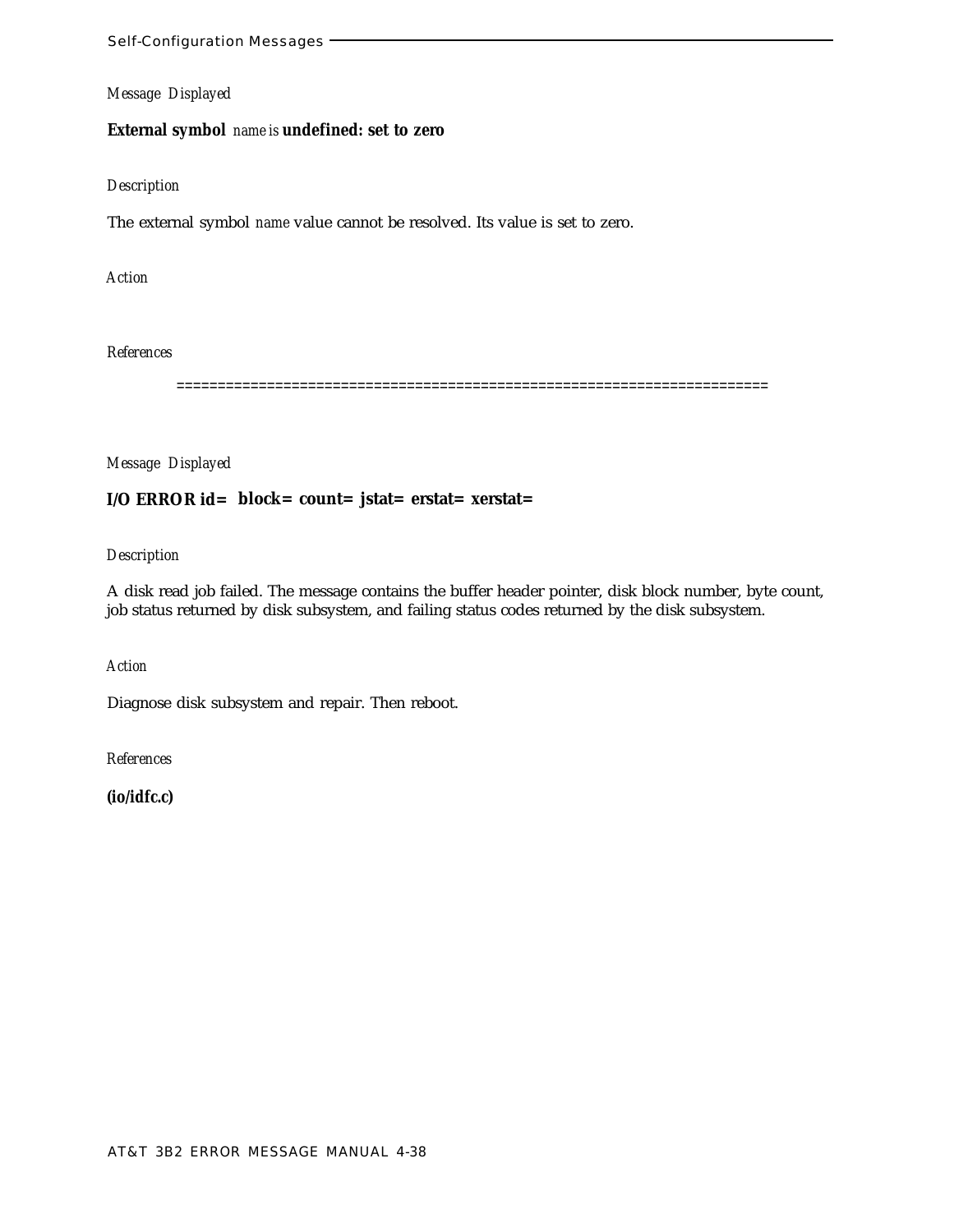## **External symbol** *name is* **undefined: set to zero**

# *Description*

The external symbol *name* value cannot be resolved. Its value is set to zero.

### *Action*

### *References*

========================================================================

### *Message Displayed*

# **I/O ERROR id= block= count= jstat= erstat= xerstat=**

### *Description*

A disk read job failed. The message contains the buffer header pointer, disk block number, byte count, job status returned by disk subsystem, and failing status codes returned by the disk subsystem.

*Action*

Diagnose disk subsystem and repair. Then reboot.

*References*

**(io/idfc.c)**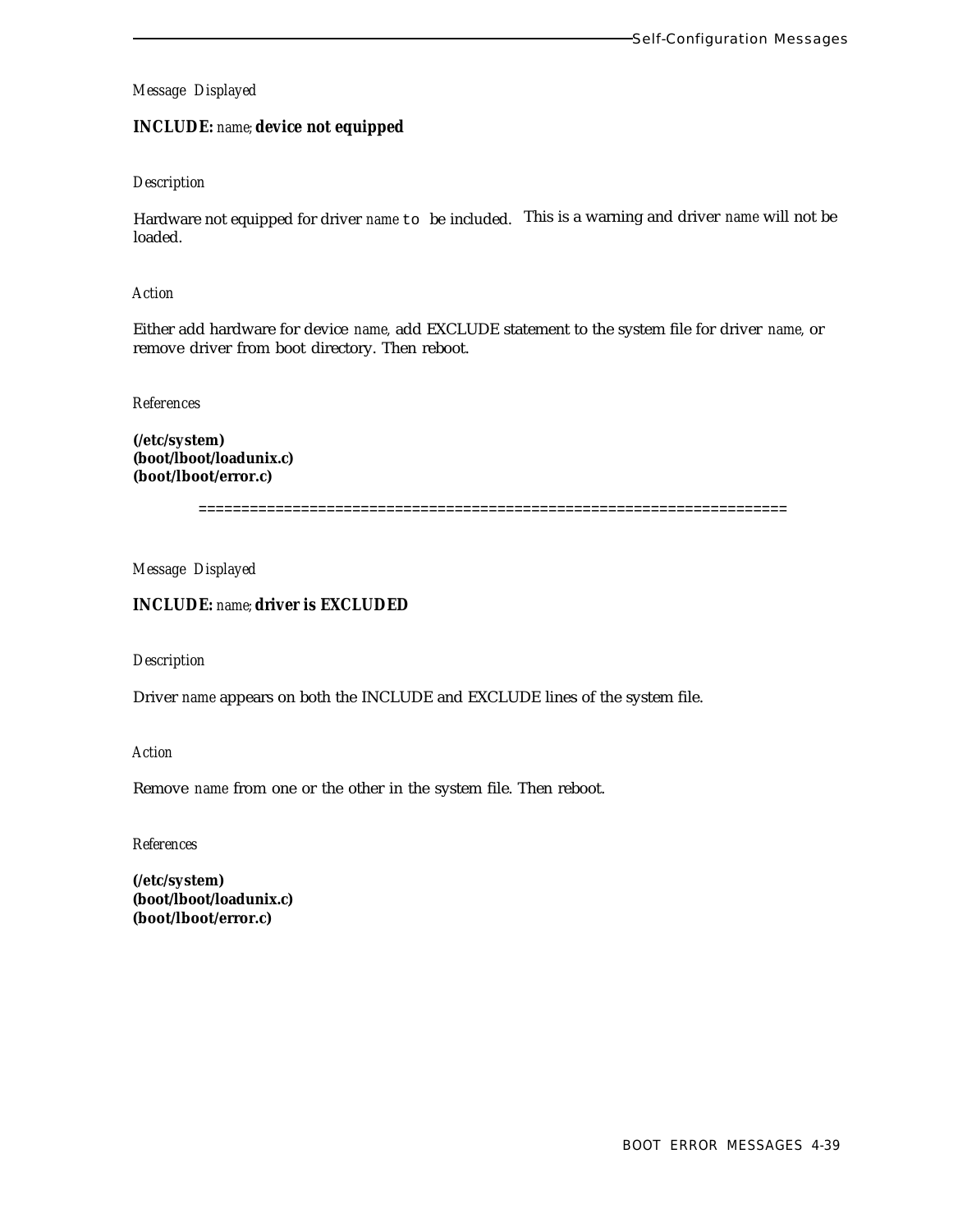# **INCLUDE:** *name;* **device not equipped**

### *Description*

Hardware not equipped for driver *name* to be included. This is a warning and driver *name* will not be loaded.

#### *Action*

Either add hardware for device *name,* add EXCLUDE statement to the system file for driver *name,* or remove driver from boot directory. Then reboot.

#### *References*

**(/etc/system) (boot/lboot/loadunix.c) (boot/lboot/error.c)**

=====================================================================

## *Message Displayed*

# **INCLUDE:** *name;* **driver is EXCLUDED**

### *Description*

Driver *name* appears on both the INCLUDE and EXCLUDE lines of the system file.

*Action*

Remove *name* from one or the other in the system file. Then reboot.

*References*

**(/etc/system) (boot/lboot/loadunix.c) (boot/lboot/error.c)**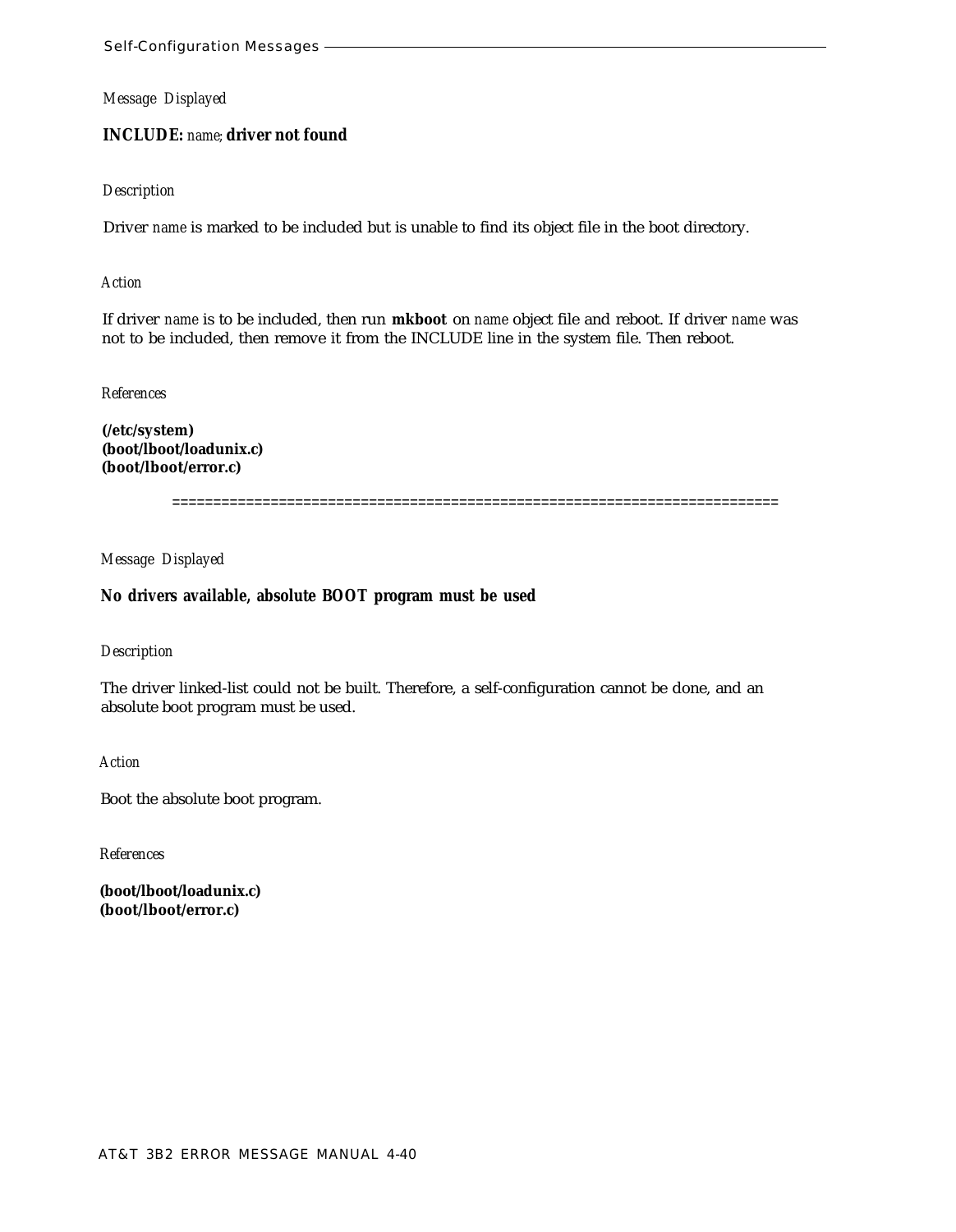## **INCLUDE:** *name;* **driver not found**

### *Description*

Driver *name* is marked to be included but is unable to find its object file in the boot directory.

#### *Action*

If driver *name* is to be included, then run **mkboot** on *name* object file and reboot. If driver *name* was not to be included, then remove it from the INCLUDE line in the system file. Then reboot.

#### *References*

**(/etc/system) (boot/lboot/loadunix.c) (boot/lboot/error.c)**

==========================================================================

*Message Displayed*

### **No drivers available, absolute BOOT program must be used**

### *Description*

The driver linked-list could not be built. Therefore, a self-configuration cannot be done, and an absolute boot program must be used.

*Action*

Boot the absolute boot program.

*References*

**(boot/lboot/loadunix.c) (boot/lboot/error.c)**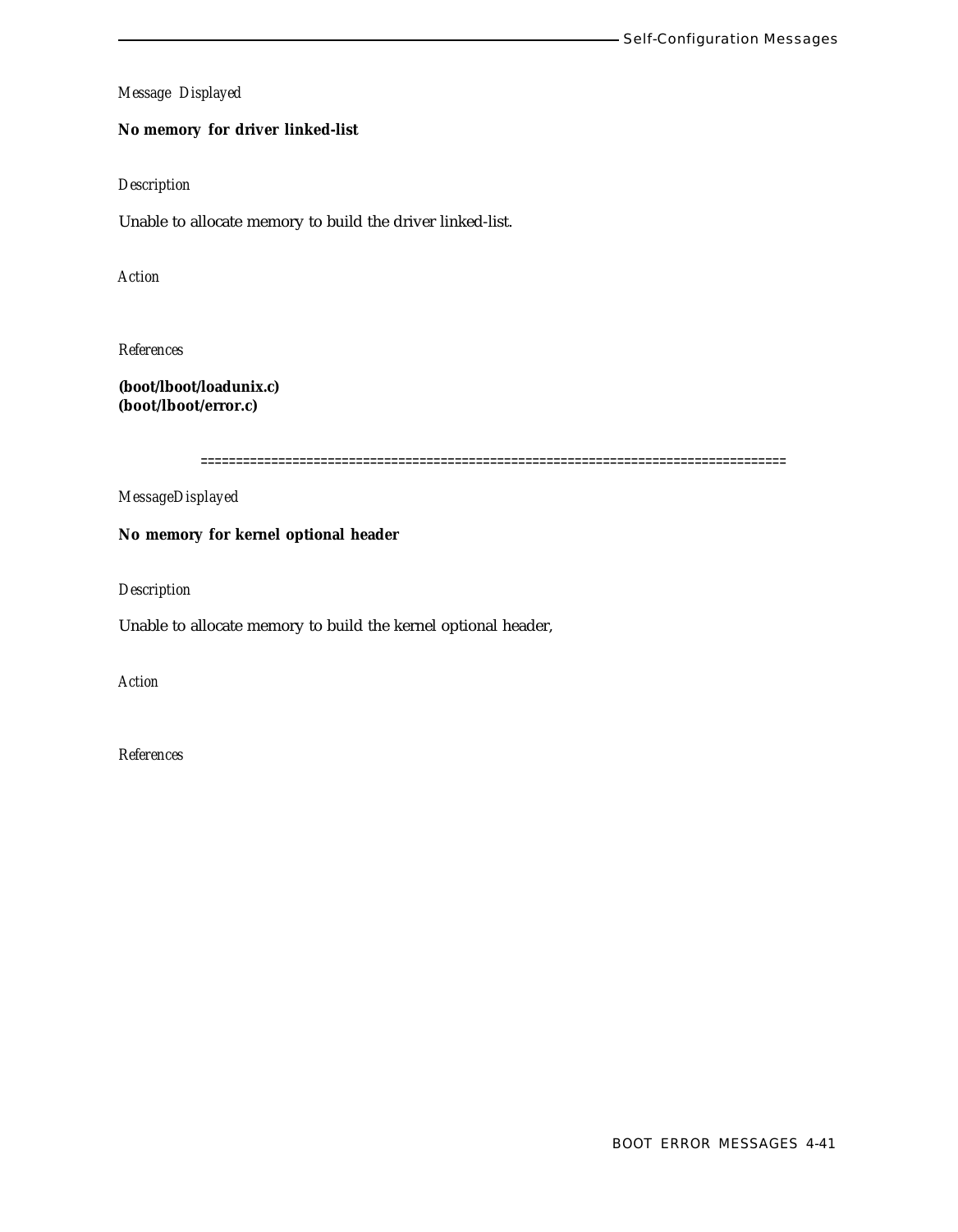# **No memory for driver linked-list**

### *Description*

Unable to allocate memory to build the driver linked-list.

*Action*

*References*

**(boot/lboot/loadunix.c) (boot/lboot/error.c)**

===================================================================================

*MessageDisplayed*

**No memory for kernel optional header**

*Description*

Unable to allocate memory to build the kernel optional header,

*Action*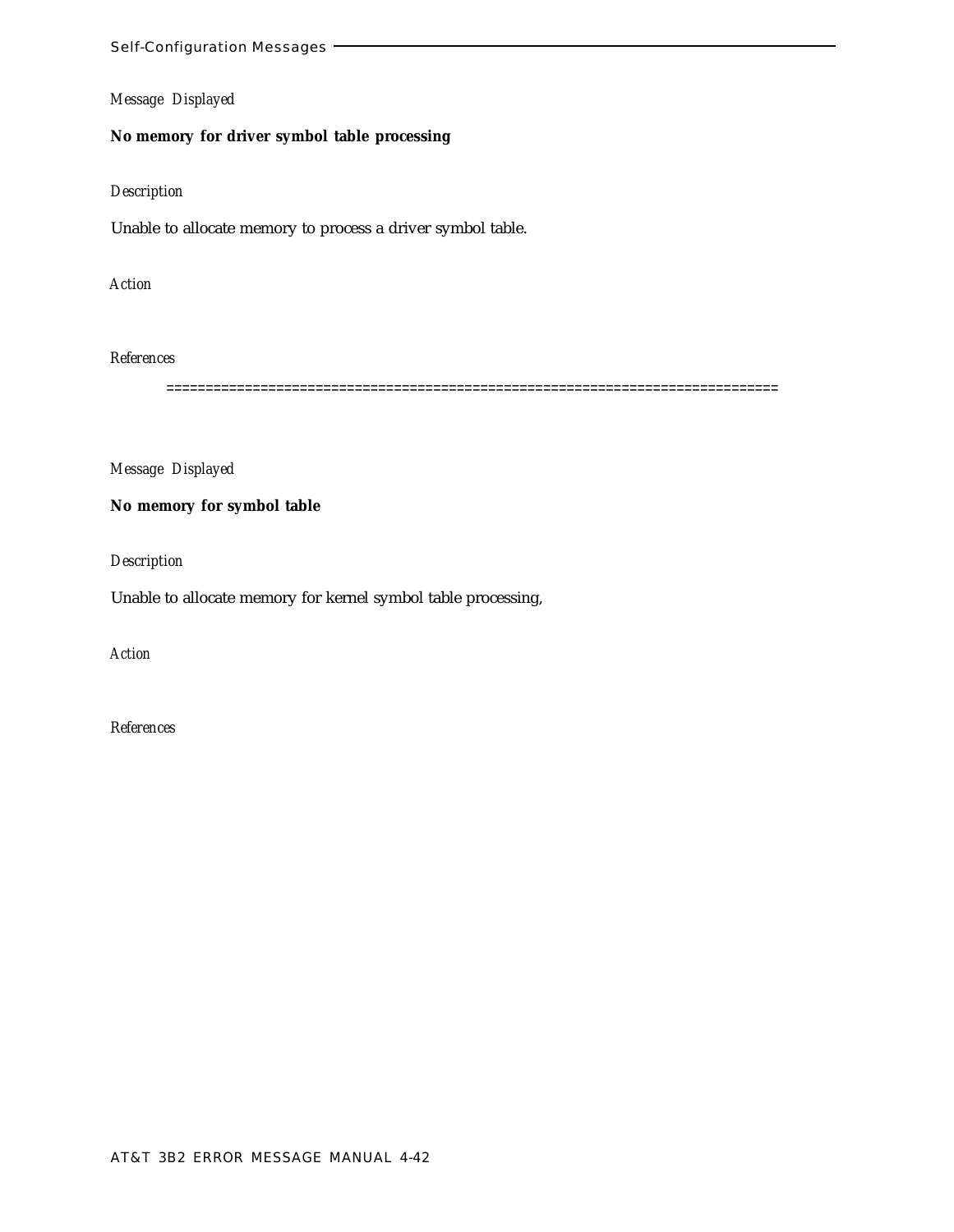# **No memory for driver symbol table processing**

### *Description*

Unable to allocate memory to process a driver symbol table.

*Action*

### *References*

==============================================================================

*Message Displayed*

**No memory for symbol table**

*Description*

Unable to allocate memory for kernel symbol table processing,

*Action*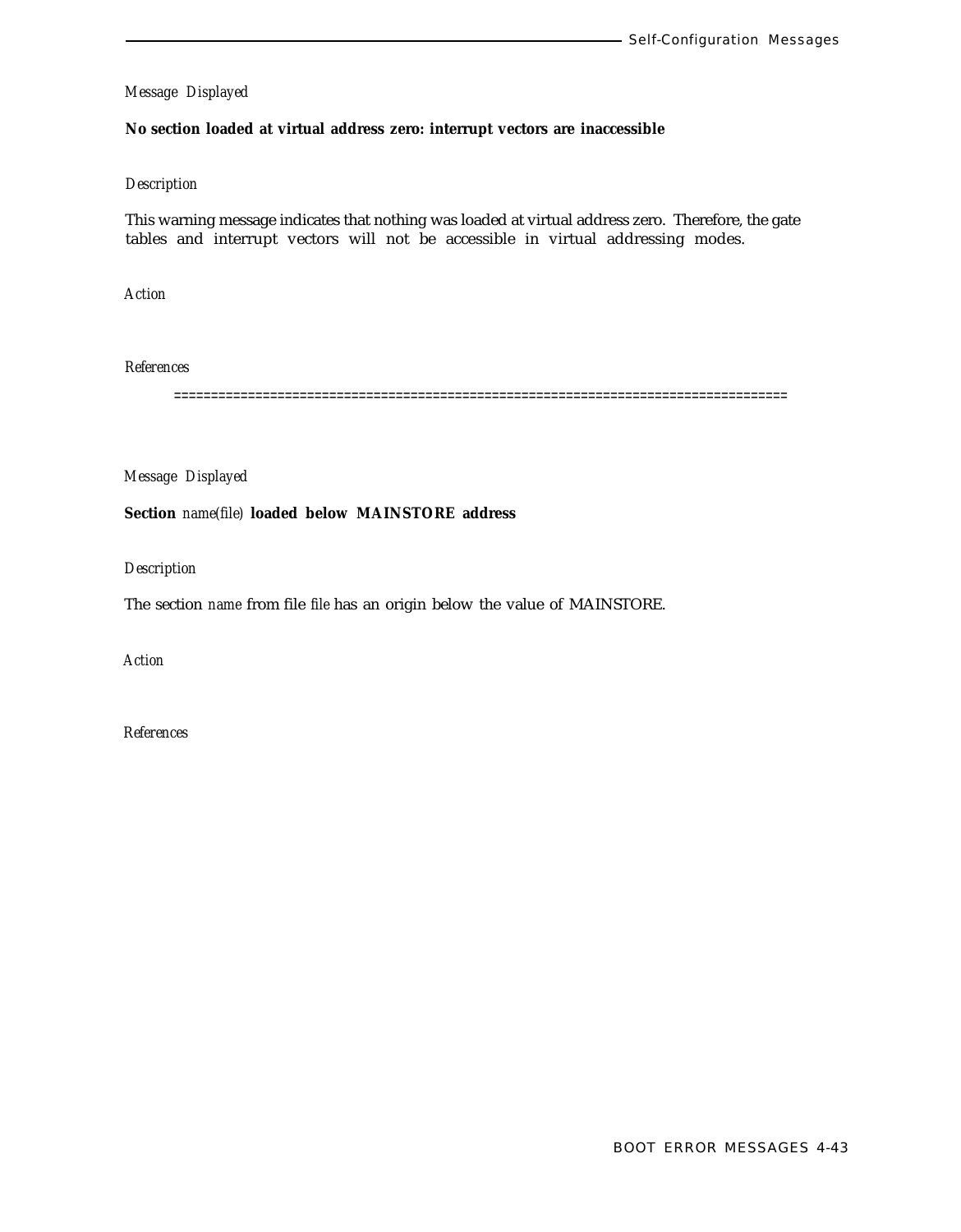### **No section loaded at virtual address zero: interrupt vectors are inaccessible**

### *Description*

This warning message indicates that nothing was loaded at virtual address zero. Therefore, the gate tables and interrupt vectors will not be accessible in virtual addressing modes.

*Action*

*References*

===================================================================================

*Message Displayed*

**Section** *name(file)* **loaded below MAINSTORE address**

*Description*

The section *name* from file *file* has an origin below the value of MAINSTORE.

*Action*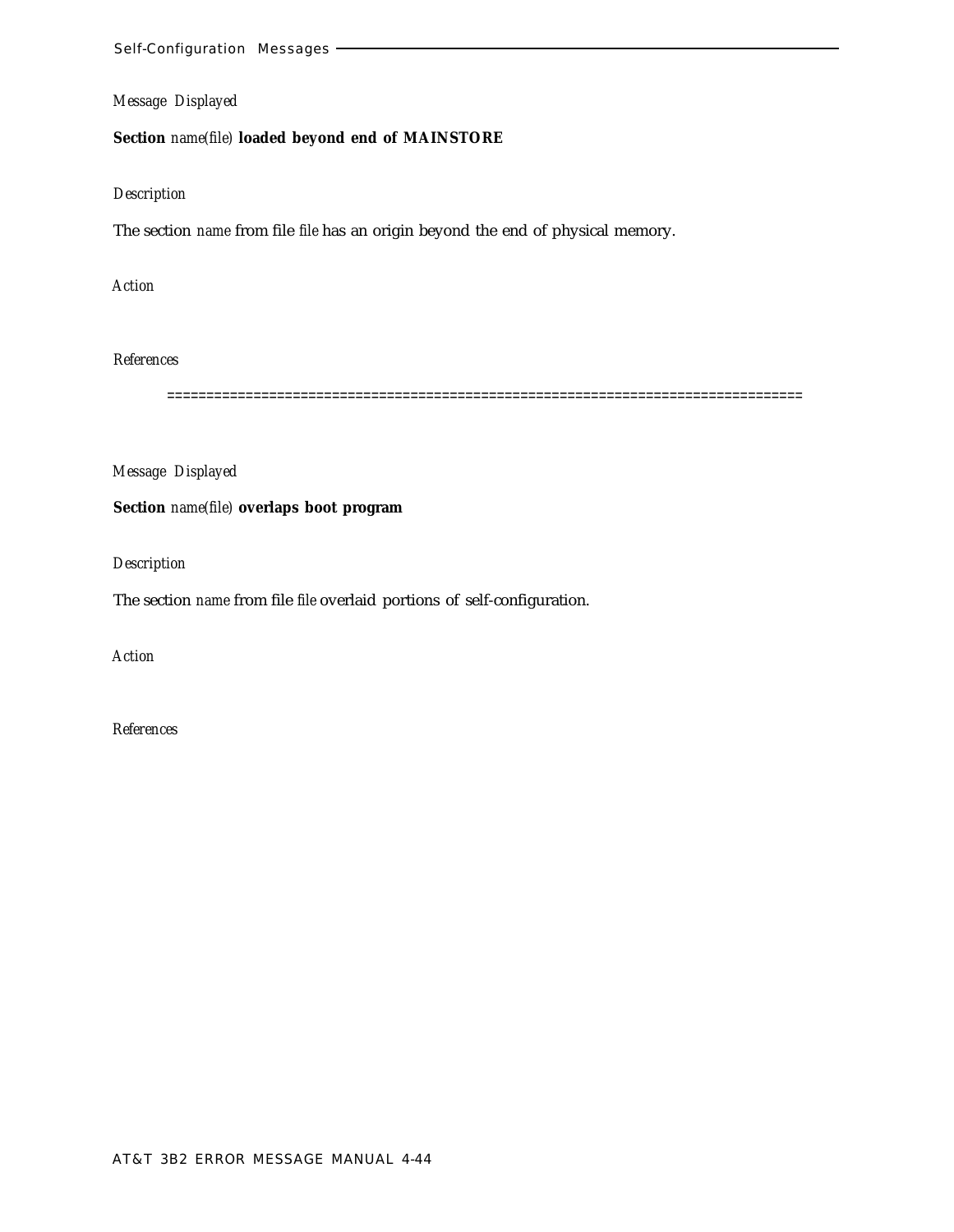# **Section** *name(file)* **loaded beyond end of MAINSTORE**

### *Description*

The section *name* from file *file* has an origin beyond the end of physical memory.

*Action*

*References*

=================================================================================

*Message Displayed*

**Section** *name(file)* **overlaps boot program**

*Description*

The section *name* from file *file* overlaid portions of self-configuration.

*Action*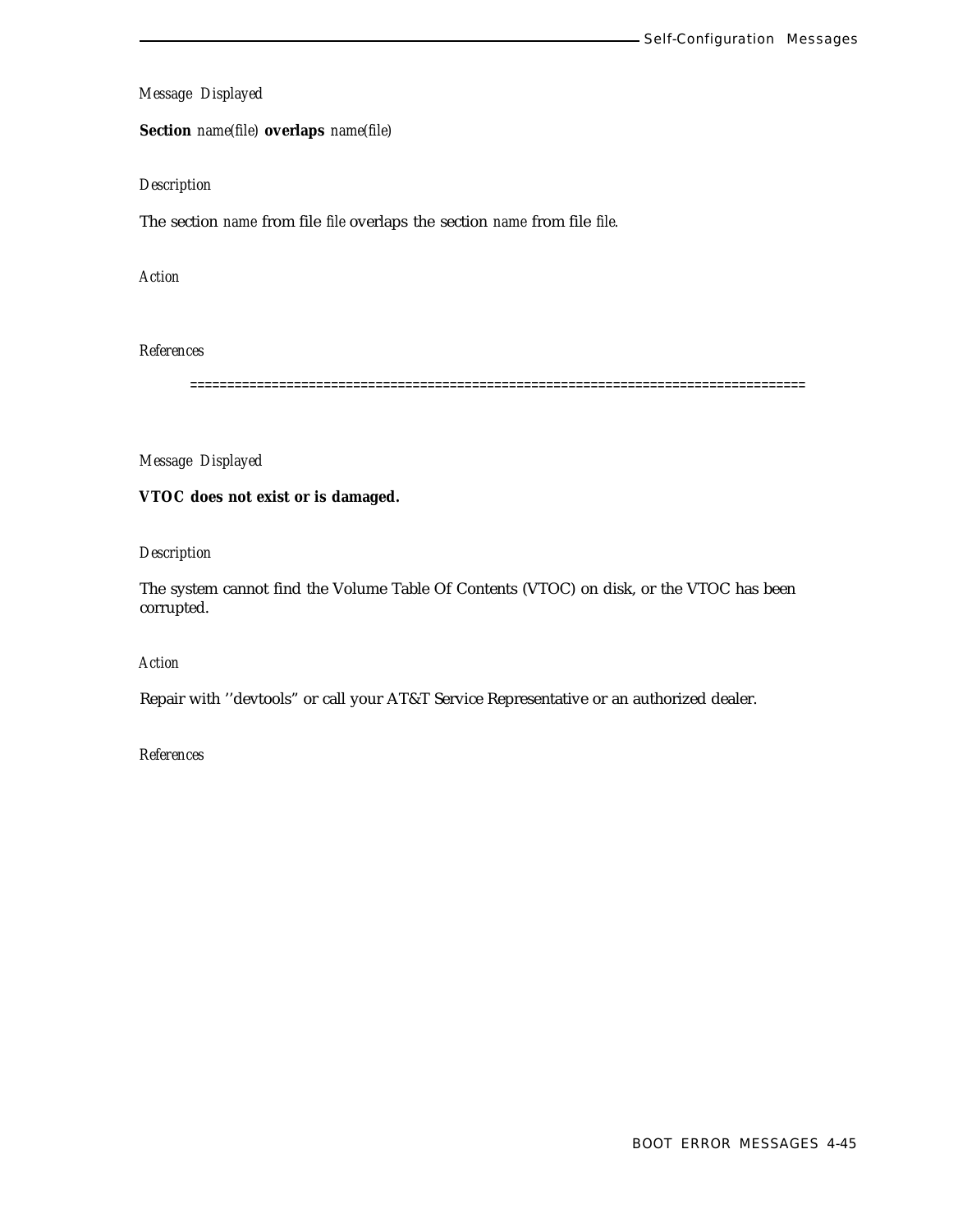**Section** *name(file)* **overlaps** *name(file)*

### *Description*

The section *name* from file *file* overlaps the section *name* from file *file.*

*Action*

# *References*

===================================================================================

## *Message Displayed*

### **VTOC does not exist or is damaged.**

# *Description*

The system cannot find the Volume Table Of Contents (VTOC) on disk, or the VTOC has been corrupted.

# *Action*

Repair with ''devtools" or call your AT&T Service Representative or an authorized dealer.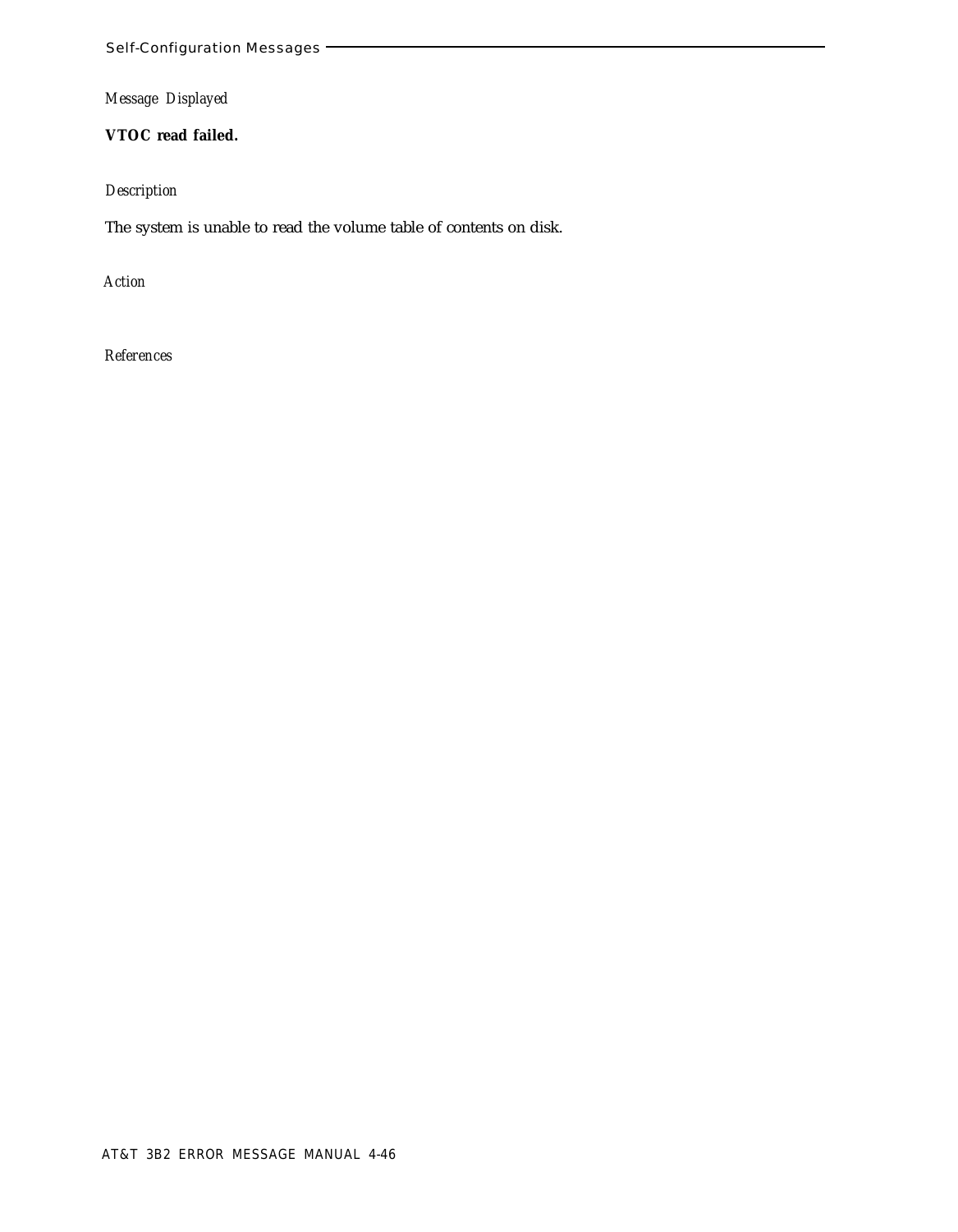**VTOC read failed.**

# *Description*

The system is unable to read the volume table of contents on disk.

*Action*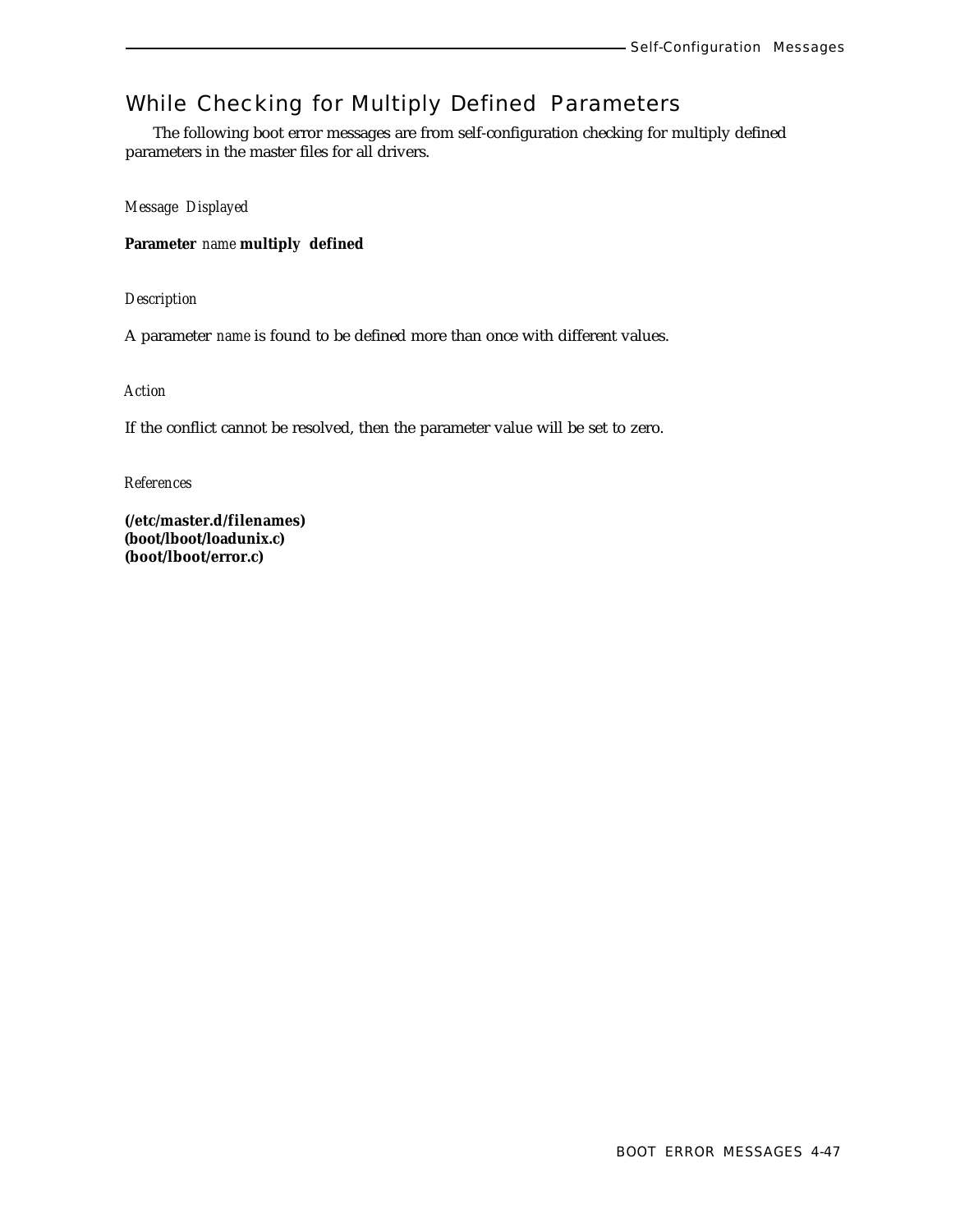# While Checking for Multiply Defined Parameters

The following boot error messages are from self-configuration checking for multiply defined parameters in the master files for all drivers.

*Message Displayed*

**Parameter** *name* **multiply defined**

*Description*

A parameter *name* is found to be defined more than once with different values.

*Action*

If the conflict cannot be resolved, then the parameter value will be set to zero.

*References*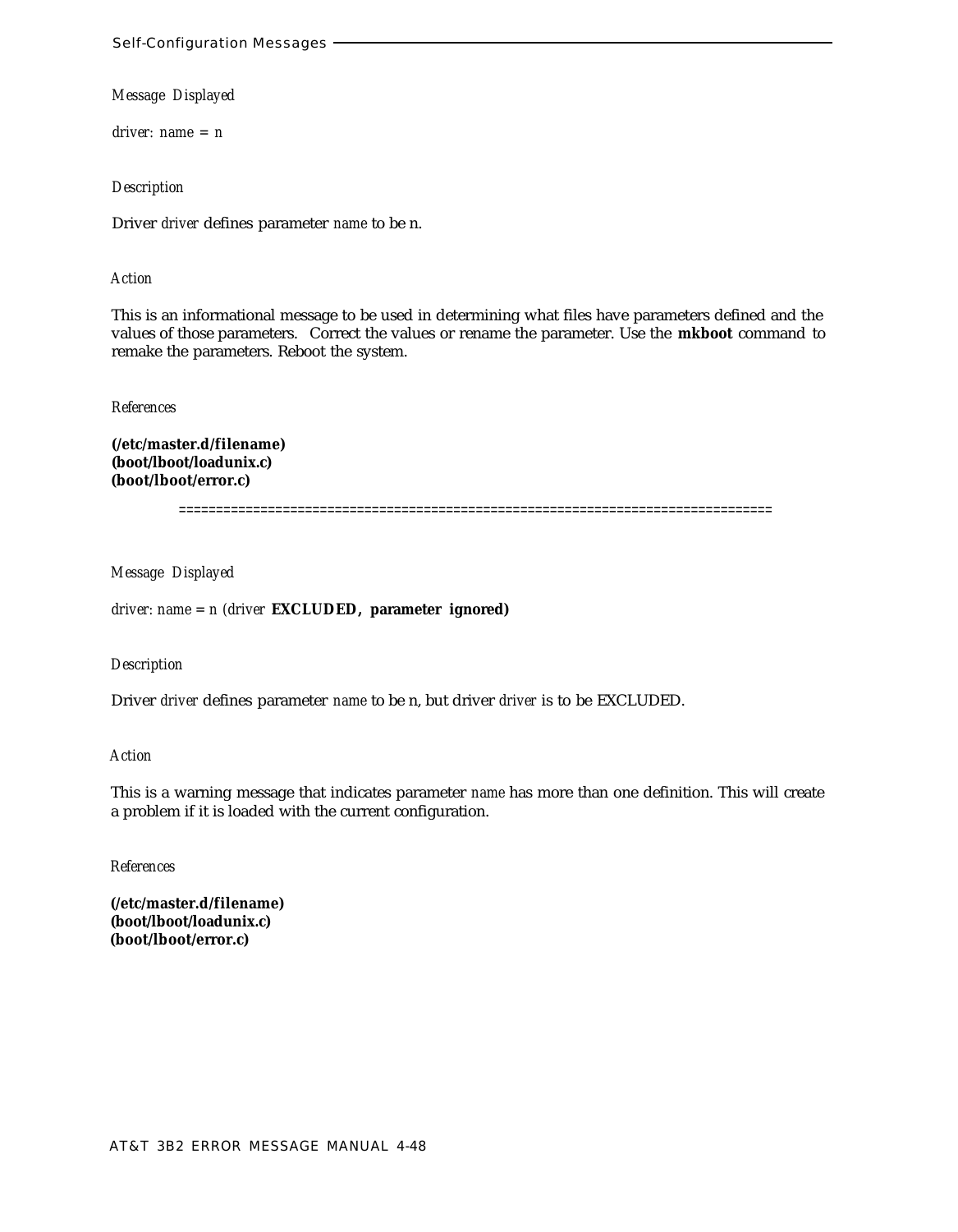*driver: name = n*

*Description*

Driver *driver* defines parameter *name* to be n.

### *Action*

This is an informational message to be used in determining what files have parameters defined and the values of those parameters. Correct the values or rename the parameter. Use the **mkboot** command to remake the parameters. Reboot the system.

*References*

**(/etc/master.d/filename) (boot/lboot/loadunix.c) (boot/lboot/error.c)**

================================================================================

*Message Displayed*

*driver: name = n (driver* **EXCLUDED, parameter ignored)**

*Description*

Driver *driver* defines parameter *name* to be n, but driver *driver* is to be EXCLUDED.

*Action*

This is a warning message that indicates parameter *name* has more than one definition. This will create a problem if it is loaded with the current configuration.

*References*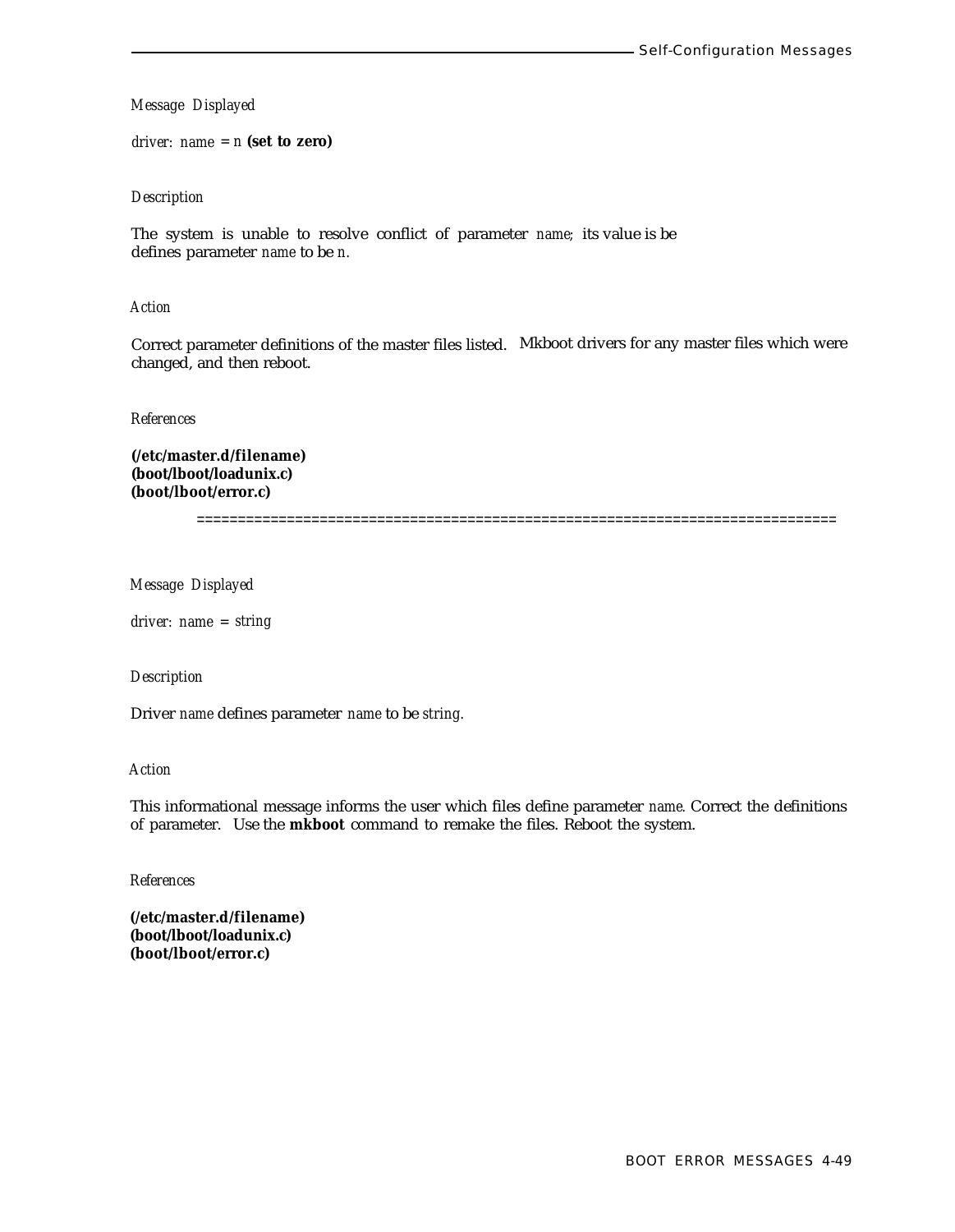*driver: name = n* **(set to zero)**

### *Description*

The system is unable to resolve conflict of parameter *name;* its value is be defines parameter *name* to be *n.*

### *Action*

Correct parameter definitions of the master files listed. Mkboot drivers for any master files which were changed, and then reboot.

*References*

**(/etc/master.d/filename) (boot/lboot/loadunix.c) (boot/lboot/error.c)**

==============================================================================

*Message Displayed*

*driver: name = string*

### *Description*

Driver *name* defines parameter *name* to be *string.*

# *Action*

This informational message informs the user which files define parameter *name.* Correct the definitions of parameter. Use the **mkboot** command to remake the files. Reboot the system.

### *References*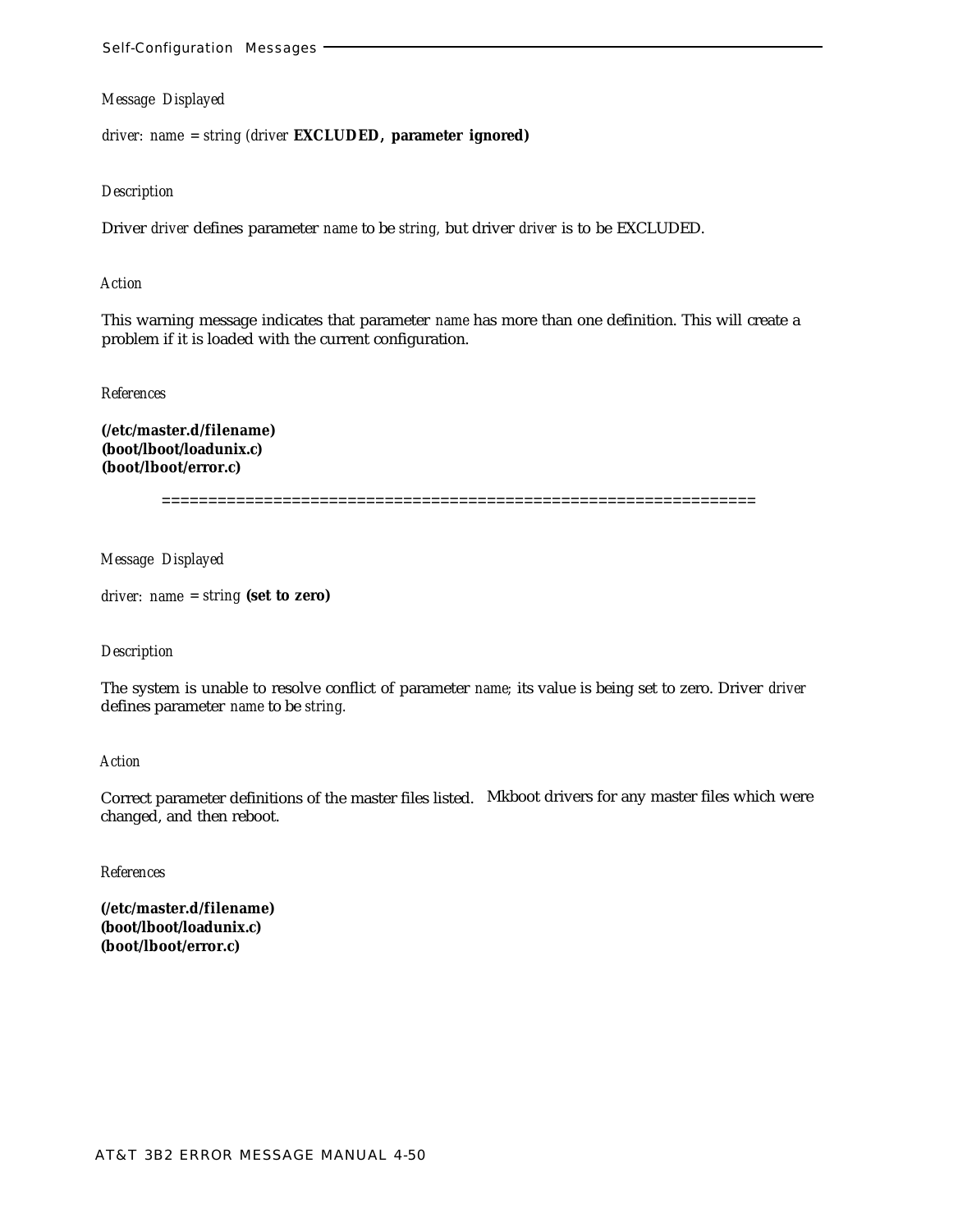*driver: name = string (driver* **EXCLUDED, parameter ignored)**

#### *Description*

Driver *driver* defines parameter *name* to be *string,* but driver *driver* is to be EXCLUDED.

#### *Action*

This warning message indicates that parameter *name* has more than one definition. This will create a problem if it is loaded with the current configuration.

#### *References*

**(/etc/master.d/filename) (boot/lboot/loadunix.c) (boot/lboot/error.c)**

================================================================

#### *Message Displayed*

*driver: name = string* **(set to zero)**

#### *Description*

The system is unable to resolve conflict of parameter *name;* its value is being set to zero. Driver *driver* defines parameter *name* to be *string.*

#### *Action*

Correct parameter definitions of the master files listed. Mkboot drivers for any master files which were changed, and then reboot.

# *References*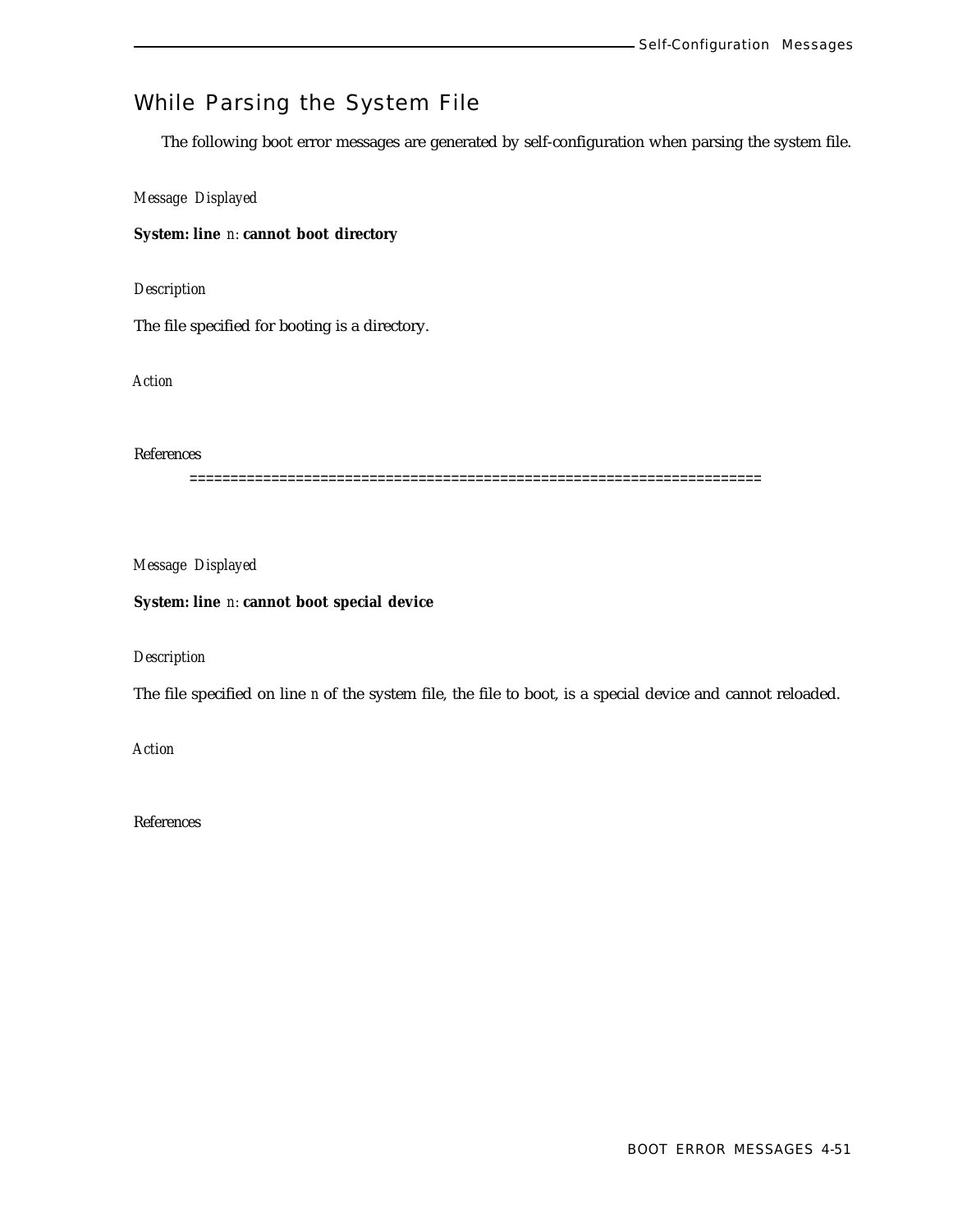# While Parsing the System File

The following boot error messages are generated by self-configuration when parsing the system file.

*Message Displayed*

**System: line** *n:* **cannot boot directory**

*Description*

The file specified for booting is a directory.

*Action*

References

======================================================================

*Message Displayed*

### **System: line** *n:* **cannot boot special device**

*Description*

The file specified on line *n* of the system file, the file to boot, is a special device and cannot reloaded.

*Action*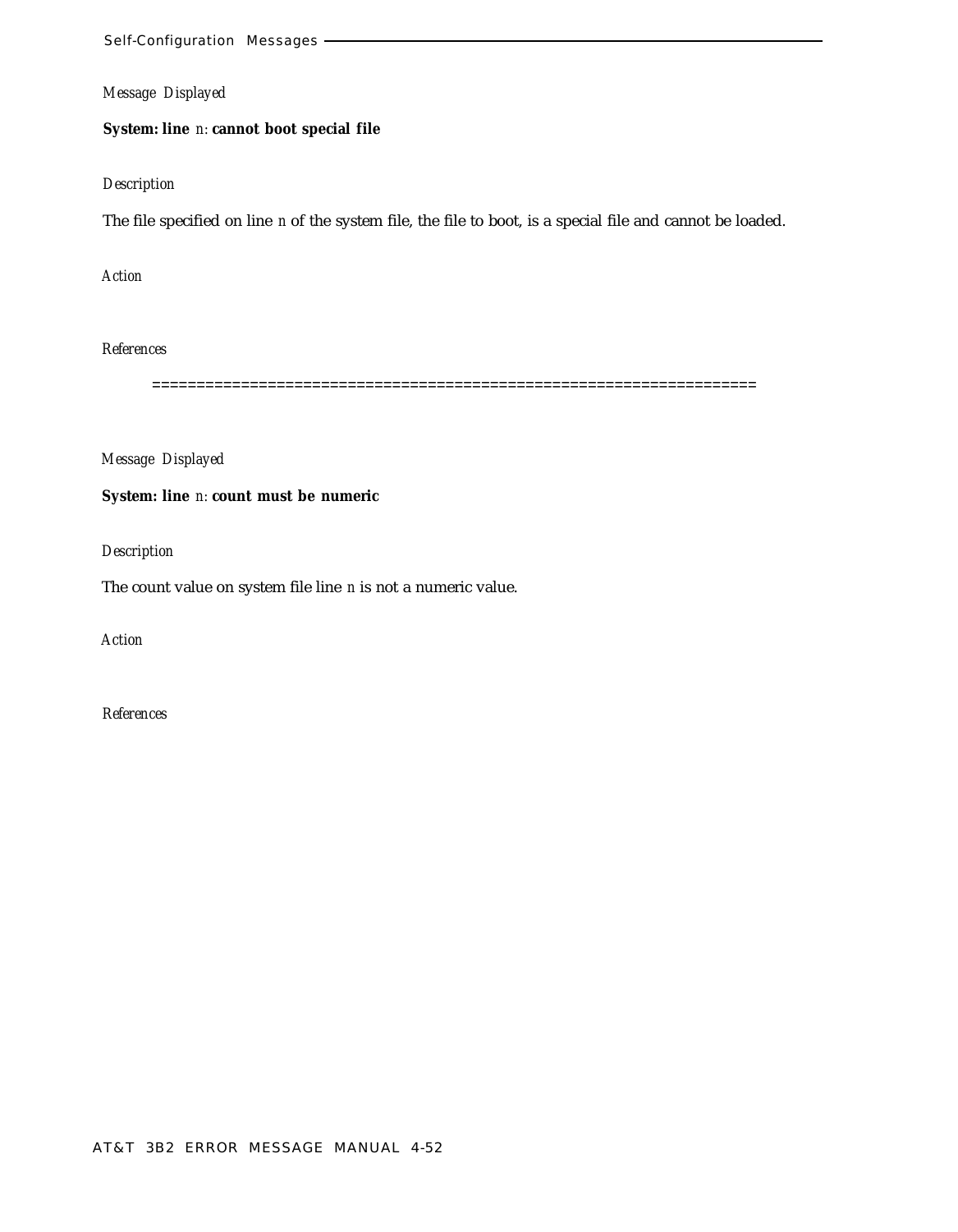# **System: line** *n:* **cannot boot special file**

### *Description*

The file specified on line *n* of the system file, the file to boot, is a special file and cannot be loaded.

*Action*

# *References*

====================================================================

*Message Displayed*

### **System: line** *n:* **count must be numeric**

*Description*

The count value on system file line *n* is not a numeric value.

*Action*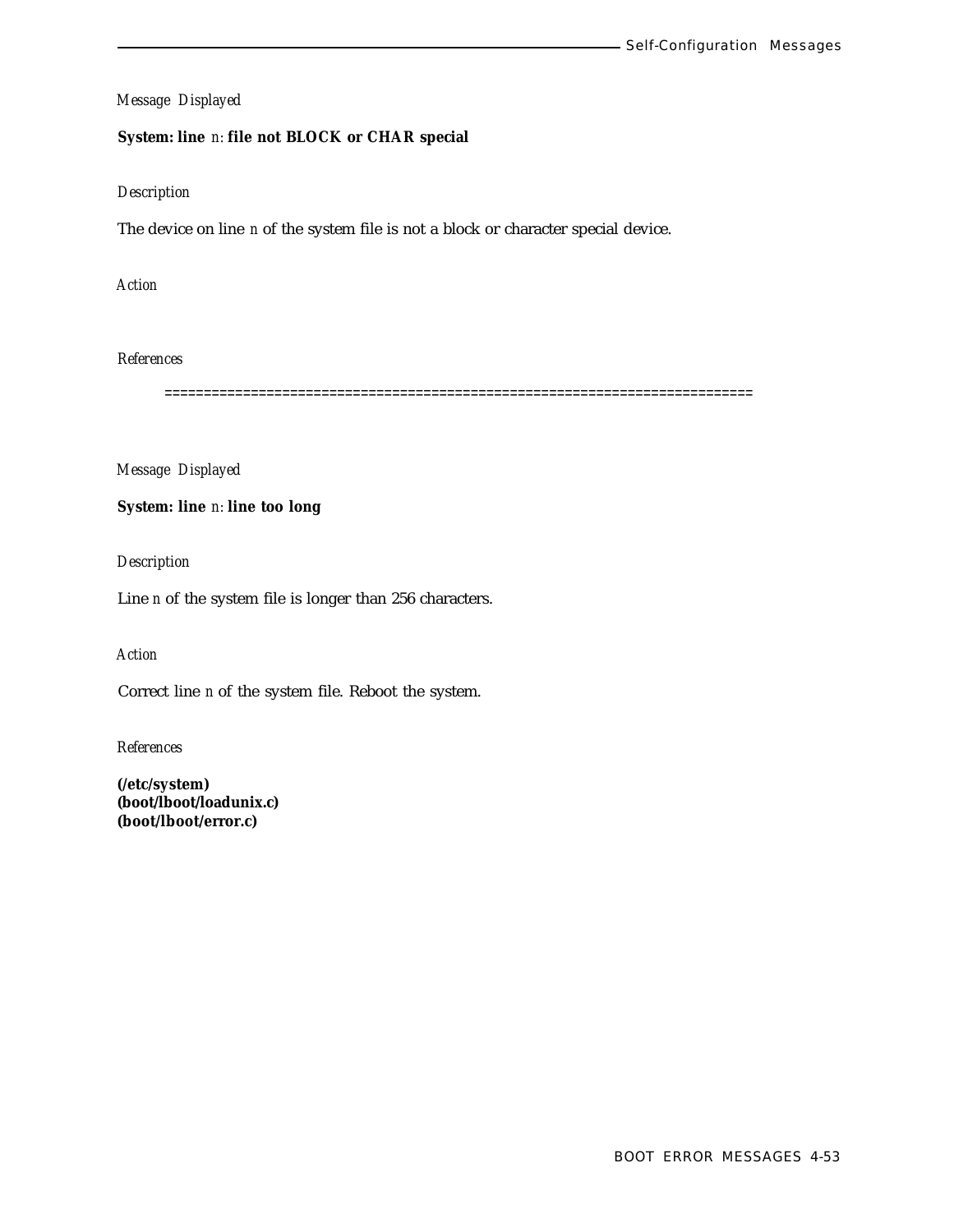## **System: line** *n:* **file not BLOCK or CHAR special**

#### *Description*

The device on line *n* of the system file is not a block or character special device.

*Action*

*References*

===========================================================================

*Message Displayed*

**System: line** *n:* **line too long**

*Description*

Line *n* of the system file is longer than 256 characters.

*Action*

Correct line *n* of the system file. Reboot the system.

*References*

**(/etc/system) (boot/lboot/loadunix.c) (boot/lboot/error.c)**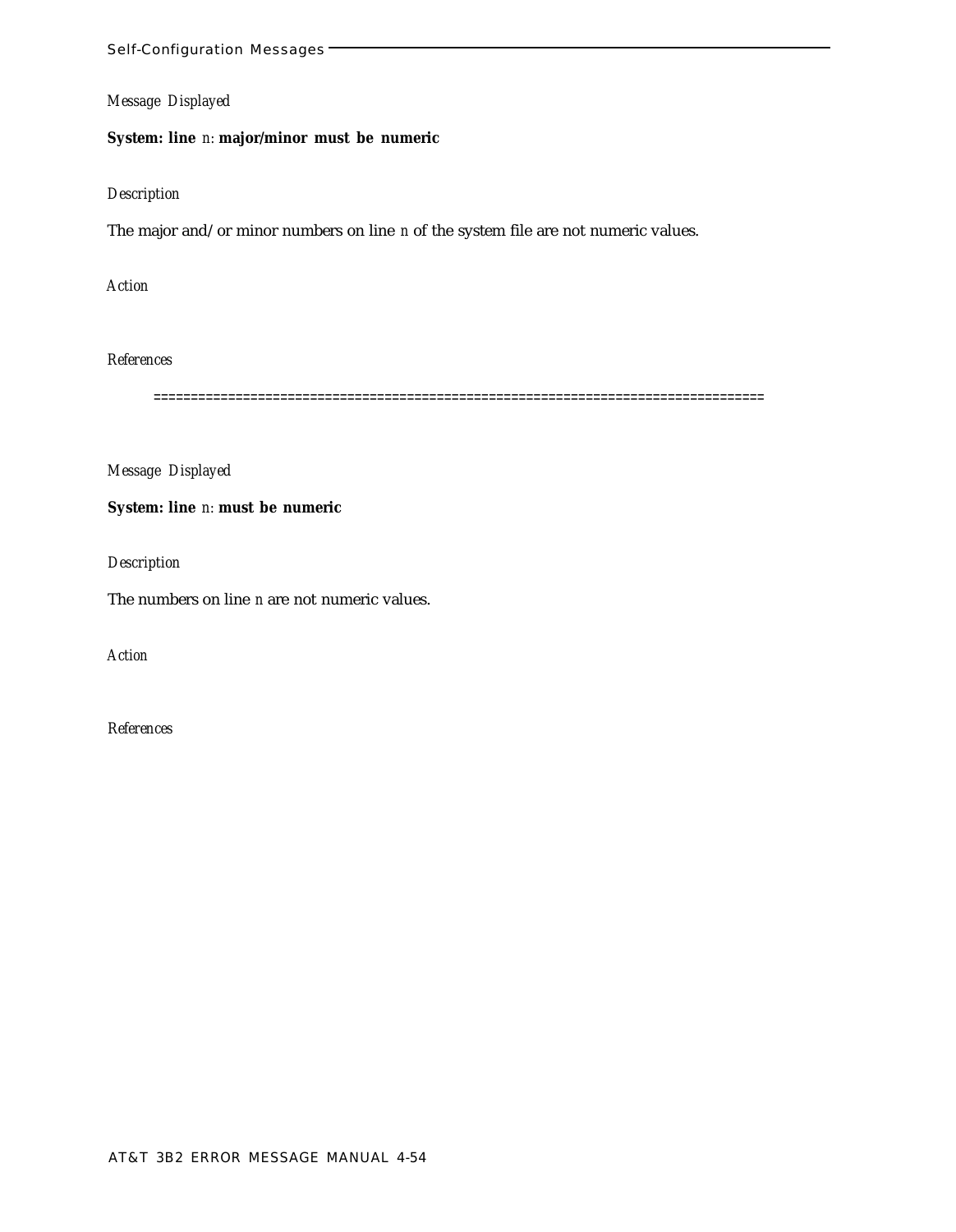**System: line** *n:* **major/minor must be numeric**

### *Description*

The major and/or minor numbers on line *n* of the system file are not numeric values.

*Action*

*References*

==================================================================================

*Message Displayed*

**System: line** *n:* **must be numeric**

*Description*

The numbers on line *n* are not numeric values.

*Action*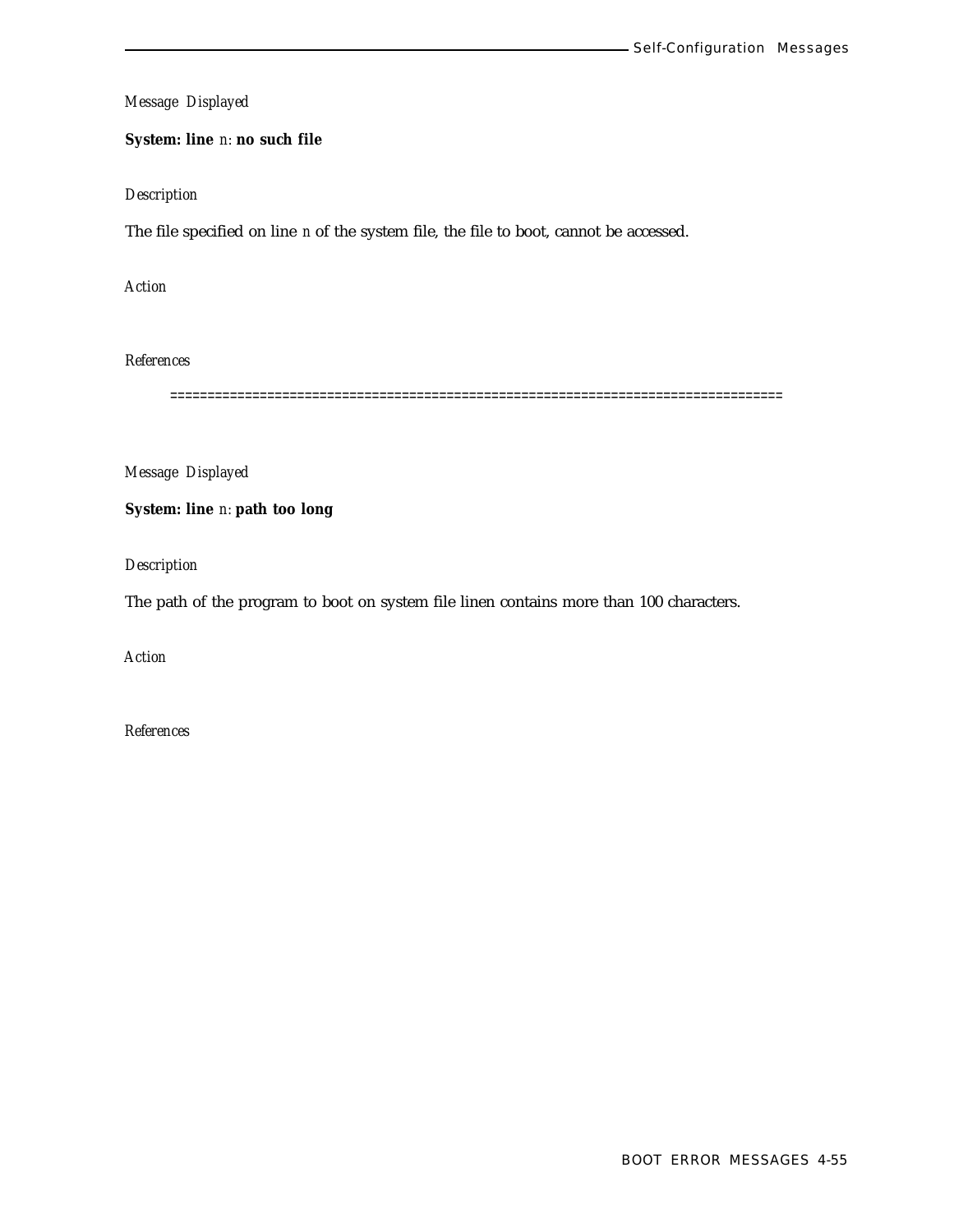# **System: line** *n:* **no such file**

# *Description*

The file specified on line *n* of the system file, the file to boot, cannot be accessed.

*Action*

*References*

==================================================================================

*Message Displayed*

# **System: line** *n:* **path too long**

*Description*

The path of the program to boot on system file linen contains more than 100 characters.

*Action*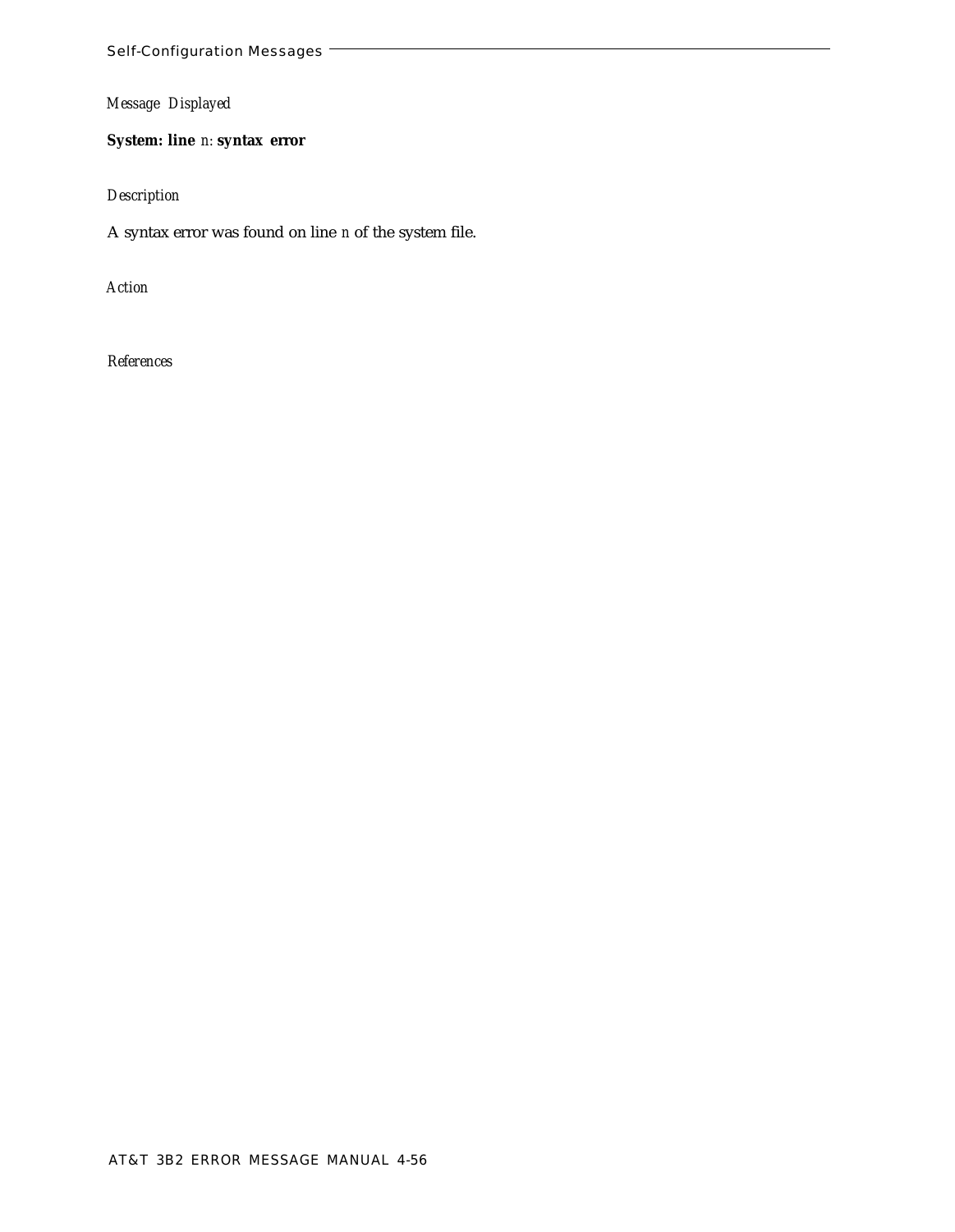**System: line** *n:* **syntax error**

*Description*

A syntax error was found on line *n* of the system file.

*Action*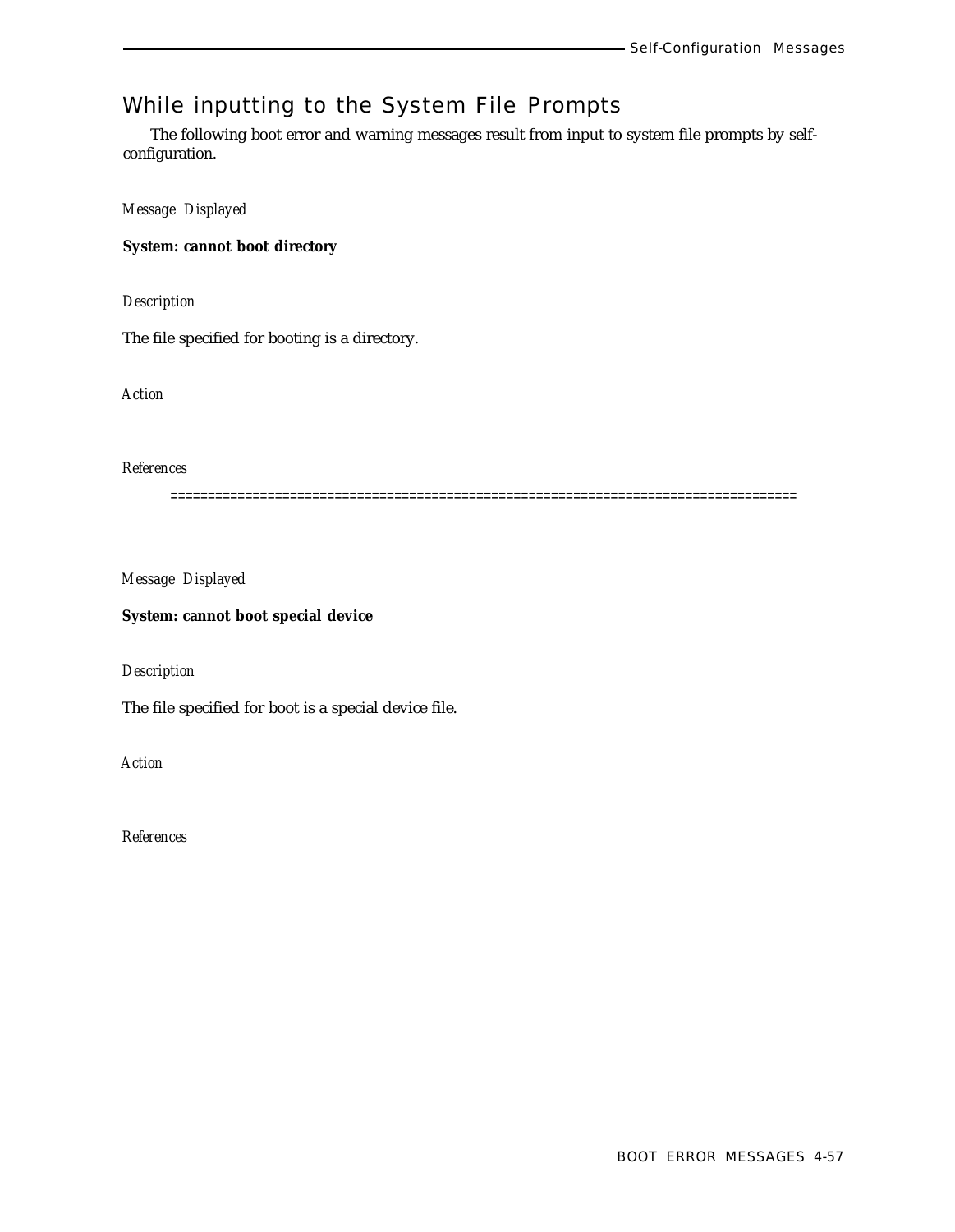# While inputting to the System File Prompts

The following boot error and warning messages result from input to system file prompts by selfconfiguration.

*Message Displayed*

**System: cannot boot directory**

*Description*

The file specified for booting is a directory.

*Action*

*References*

====================================================================================

*Message Displayed*

**System: cannot boot special device**

*Description*

The file specified for boot is a special device file.

*Action*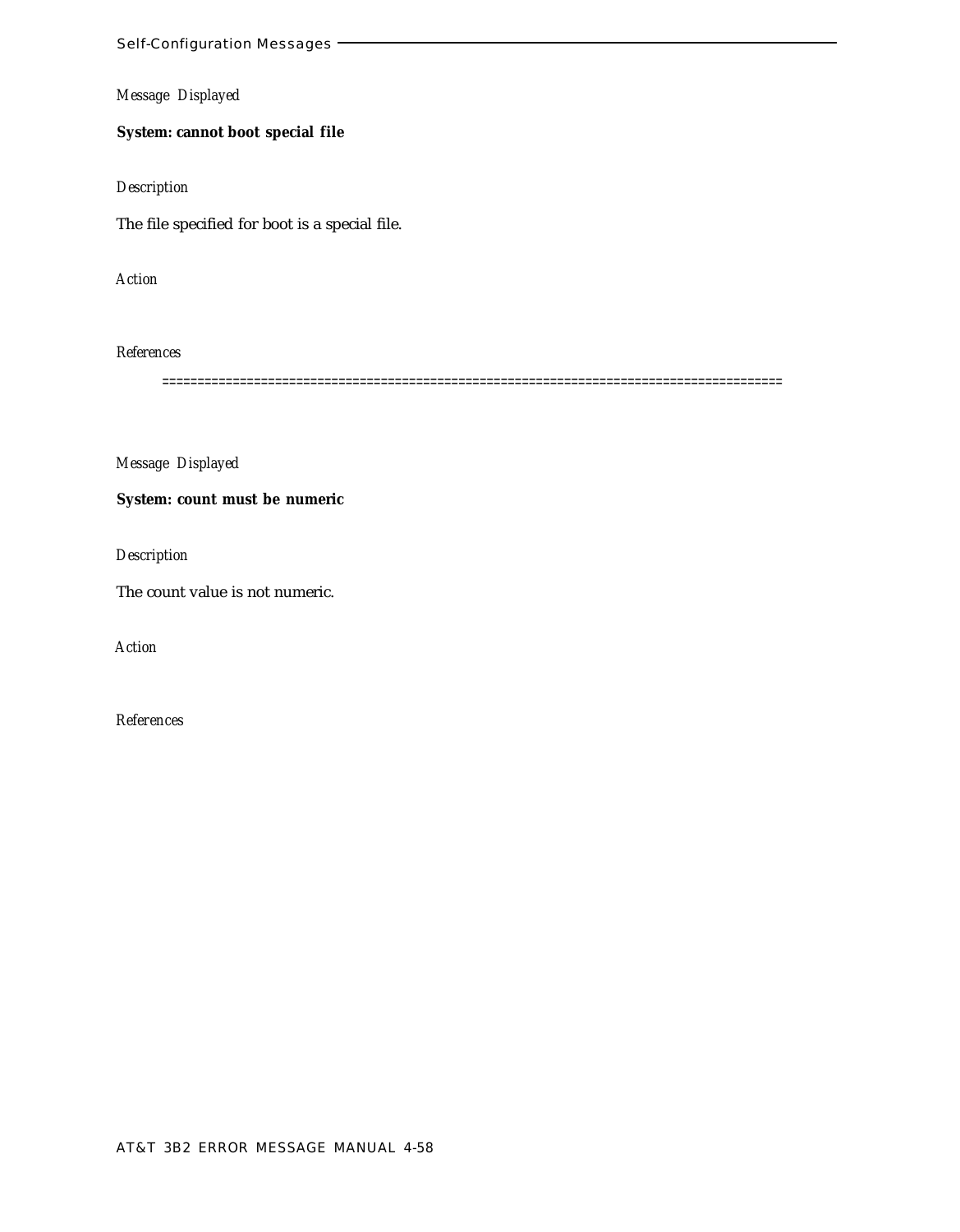**System: cannot boot special file**

*Description*

The file specified for boot is a special file.

*Action*

### *References*

========================================================================================

*Message Displayed*

**System: count must be numeric**

*Description*

The count value is not numeric.

*Action*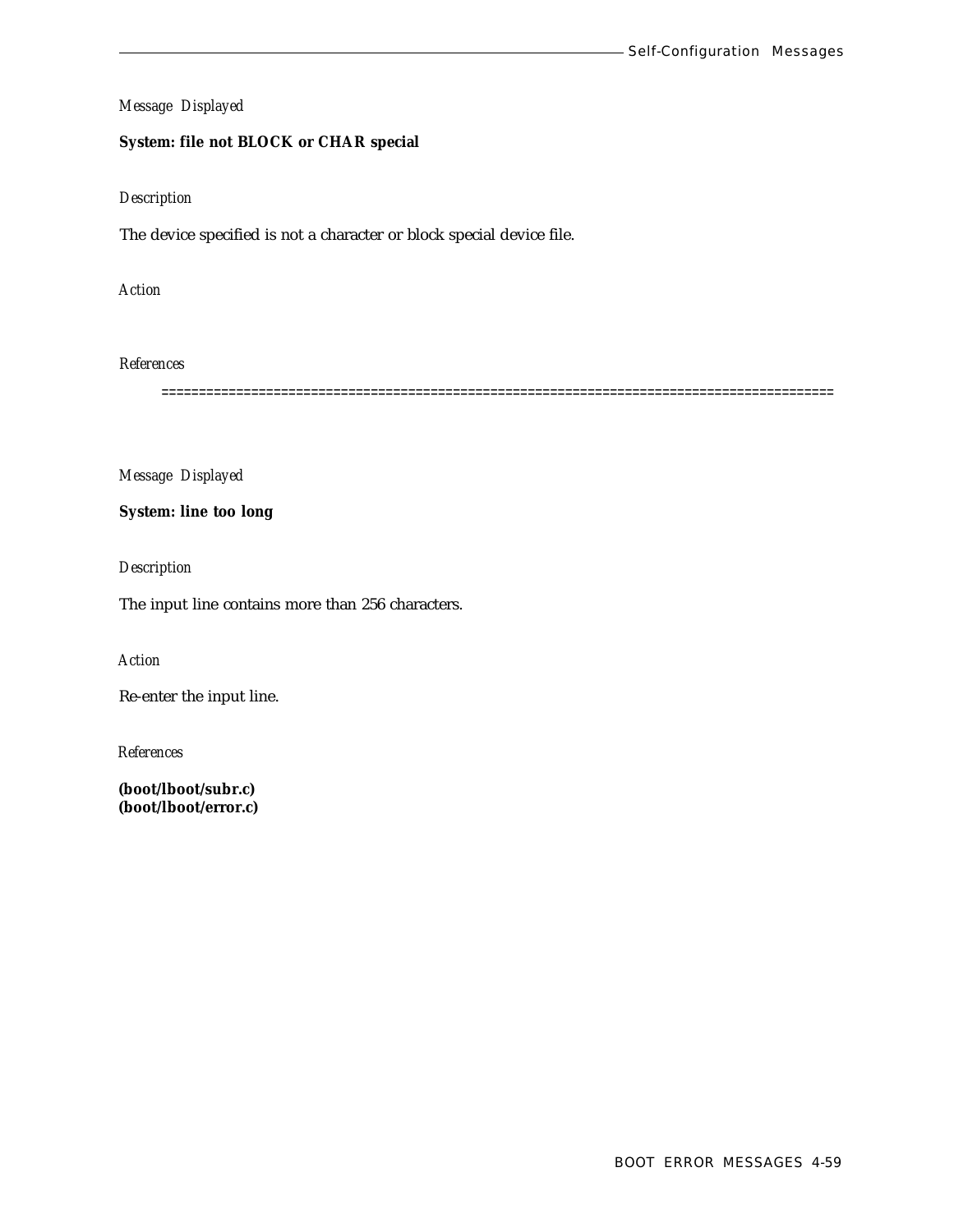## **System: file not BLOCK or CHAR special**

#### *Description*

The device specified is not a character or block special device file.

*Action*

*References*

==========================================================================================

*Message Displayed*

**System: line too long**

*Description*

The input line contains more than 256 characters.

*Action*

Re-enter the input line.

*References*

**(boot/lboot/subr.c) (boot/lboot/error.c)**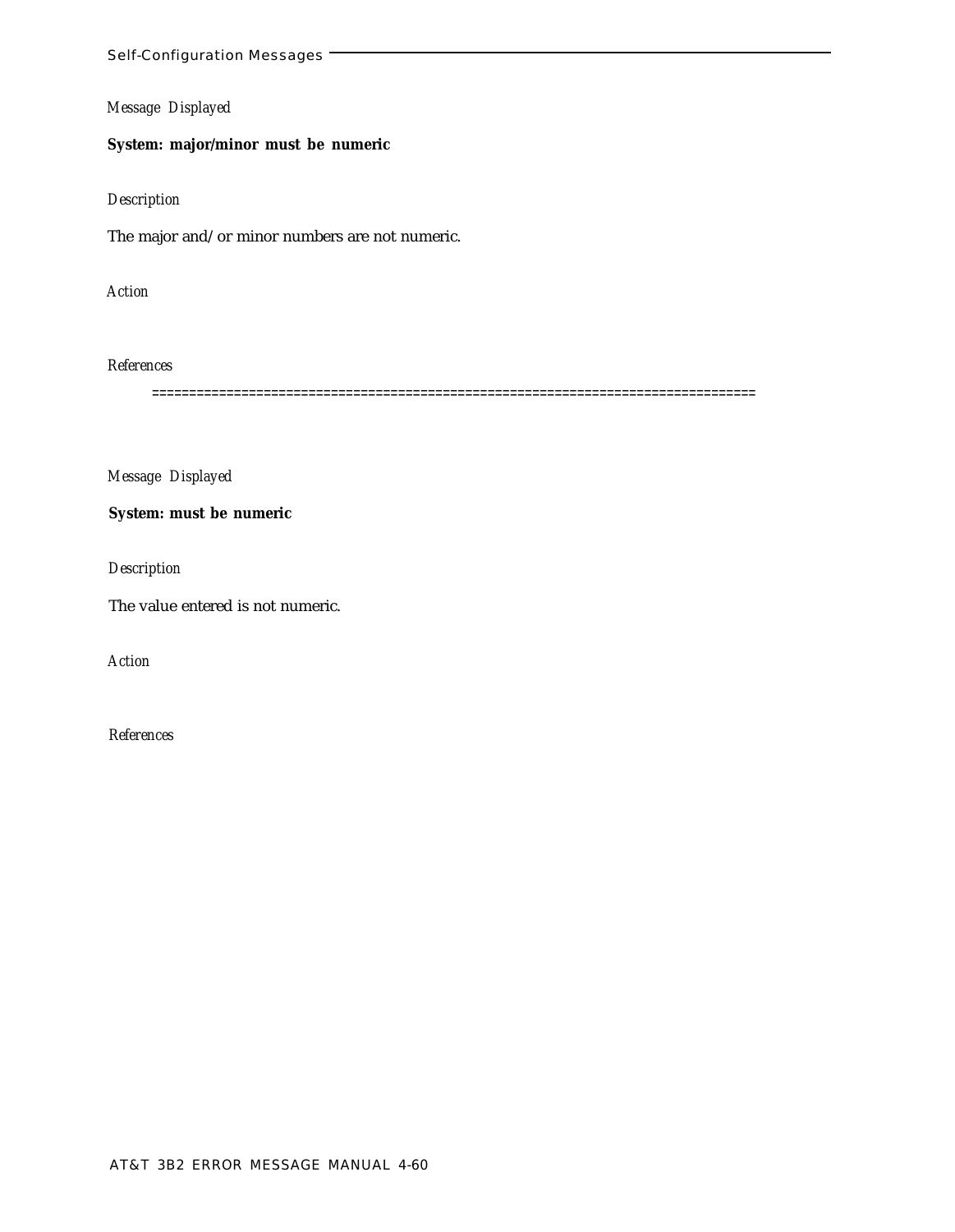## **System: major/minor must be numeric**

## *Description*

The major and/or minor numbers are not numeric.

*Action*

*References*

=================================================================================

*Message Displayed*

**System: must be numeric**

*Description*

The value entered is not numeric.

*Action*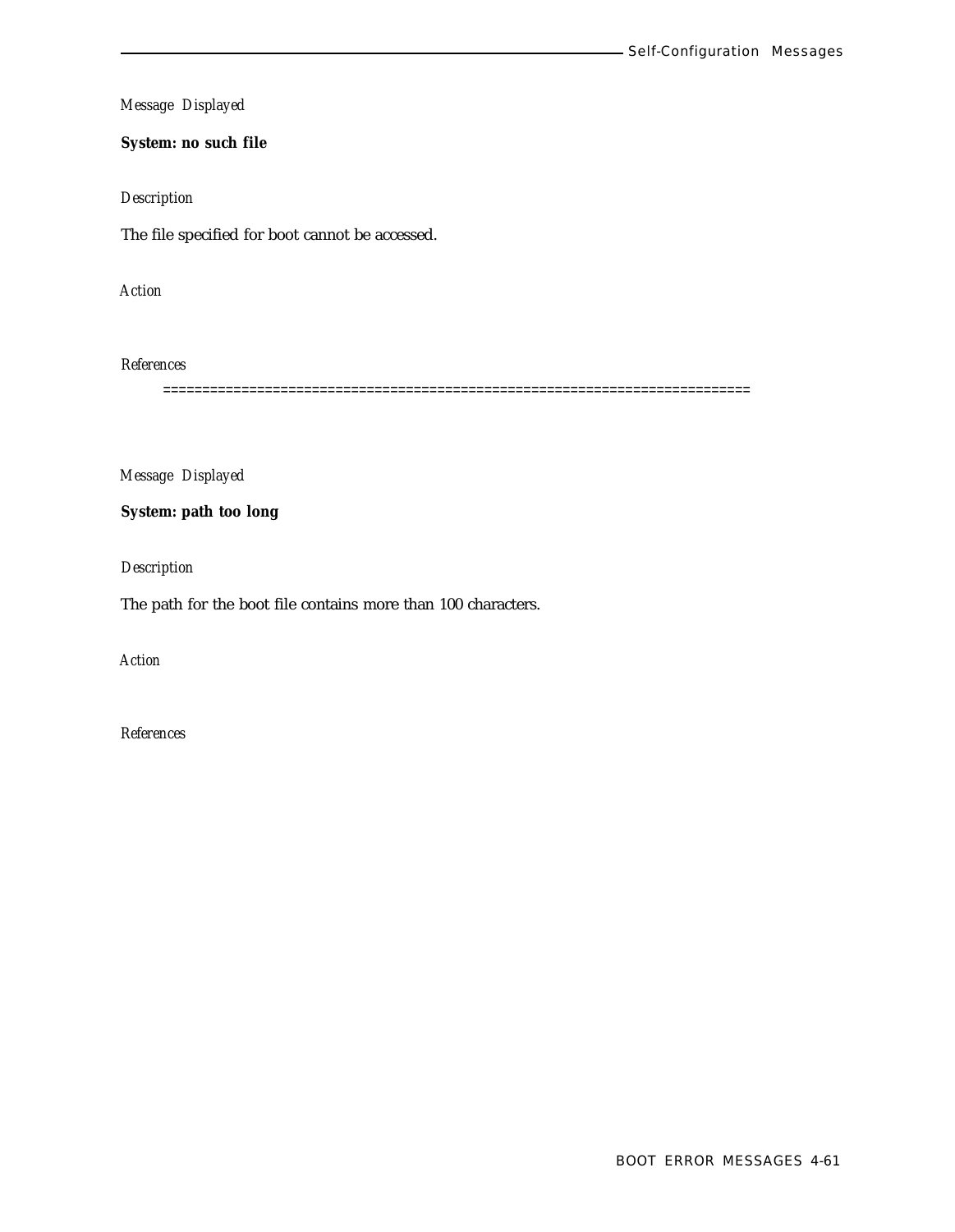**System: no such file**

## *Description*

The file specified for boot cannot be accessed.

*Action*

*References*

===========================================================================

*Message Displayed*

**System: path too long**

*Description*

The path for the boot file contains more than 100 characters.

*Action*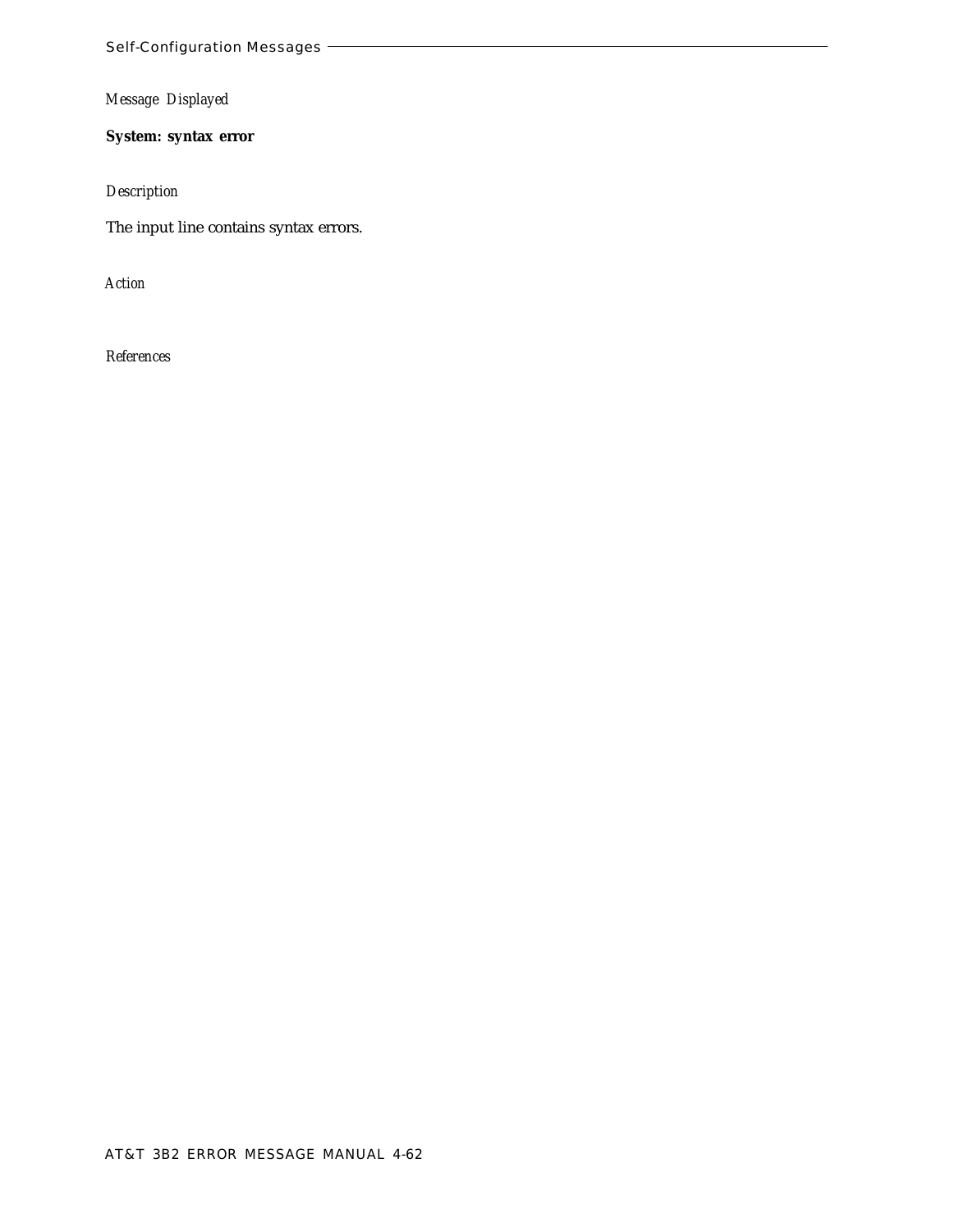**System: syntax error**

*Description*

The input line contains syntax errors.

*Action*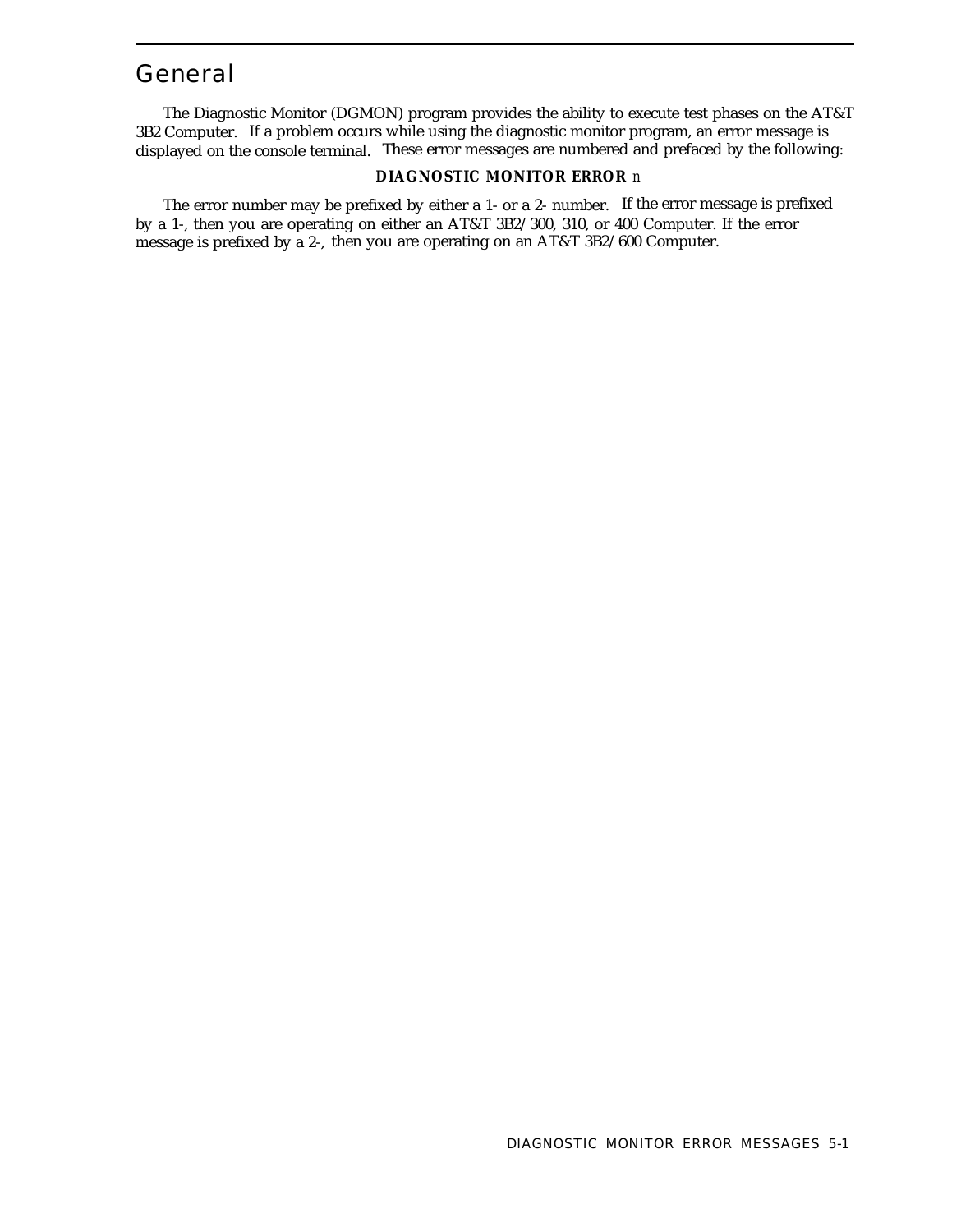## General

The Diagnostic Monitor (DGMON) program provides the ability to execute test phases on the AT&T 3B2 Computer. If a problem occurs while using the diagnostic monitor program, an error message is displayed on the console terminal. These error messages are numbered and prefaced by the following:

#### **DIAGNOSTIC MONITOR ERROR** *n*

The error number may be prefixed by either a 1- or a 2- number. If the error message is prefixed by a 1-, then you are operating on either an AT&T 3B2/300, 310, or 400 Computer. If the error message is prefixed by a 2-, then you are operating on an AT&T 3B2/600 Computer.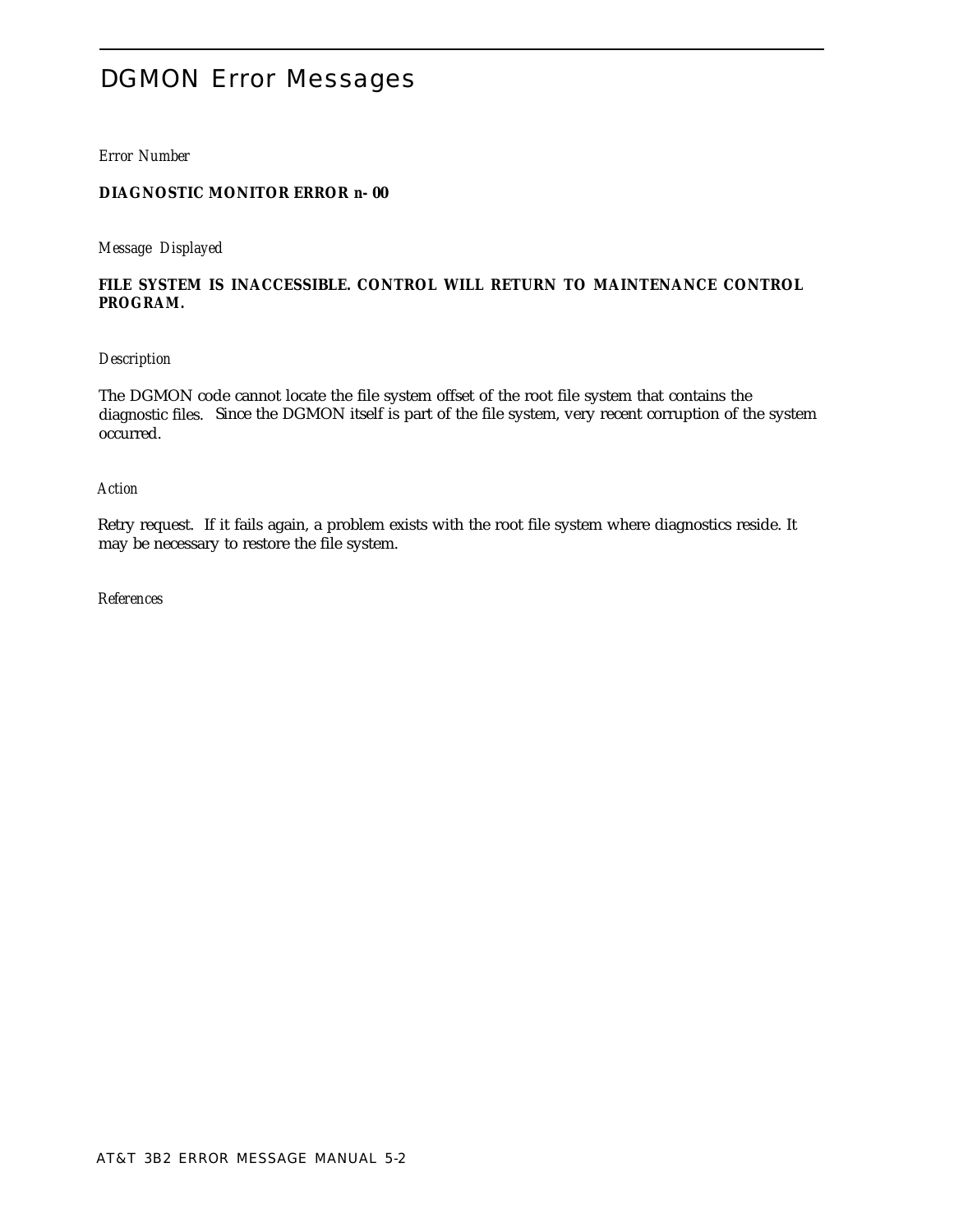# DGMON Error Messages

*Error Number*

## **DIAGNOSTIC MONITOR ERROR** *n-* **00**

*Message Displayed*

## **FILE SYSTEM IS INACCESSIBLE. CONTROL WILL RETURN TO MAINTENANCE CONTROL PROGRAM.**

## *Description*

The DGMON code cannot locate the file system offset of the root file system that contains the diagnostic files. Since the DGMON itself is part of the file system, very recent corruption of the system occurred.

#### *Action*

Retry request. If it fails again, a problem exists with the root file system where diagnostics reside. It may be necessary to restore the file system.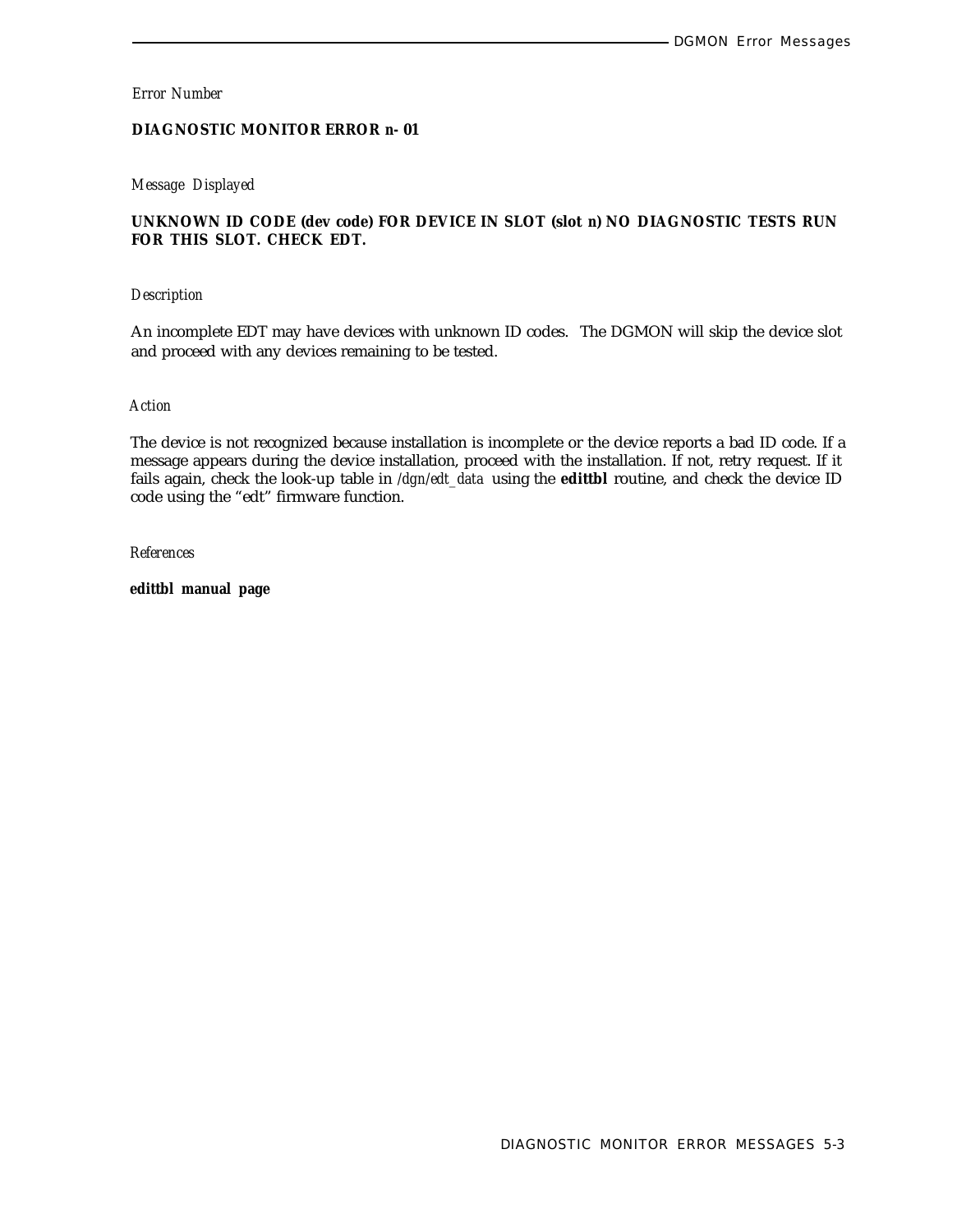## **DIAGNOSTIC MONITOR ERROR** *n-* **01**

#### *Message Displayed*

## **UNKNOWN ID CODE (dev code) FOR DEVICE IN SLOT (slot** *n)* **NO DIAGNOSTIC TESTS RUN FOR THIS SLOT. CHECK EDT.**

#### *Description*

An incomplete EDT may have devices with unknown ID codes. The DGMON will skip the device slot and proceed with any devices remaining to be tested.

#### *Action*

The device is not recognized because installation is incomplete or the device reports a bad ID code. If a message appears during the device installation, proceed with the installation. If not, retry request. If it fails again, check the look-up table in */dgn/edt\_data* using the **edittbl** routine, and check the device ID code using the "edt" firmware function.

*References*

**edittbl manual page**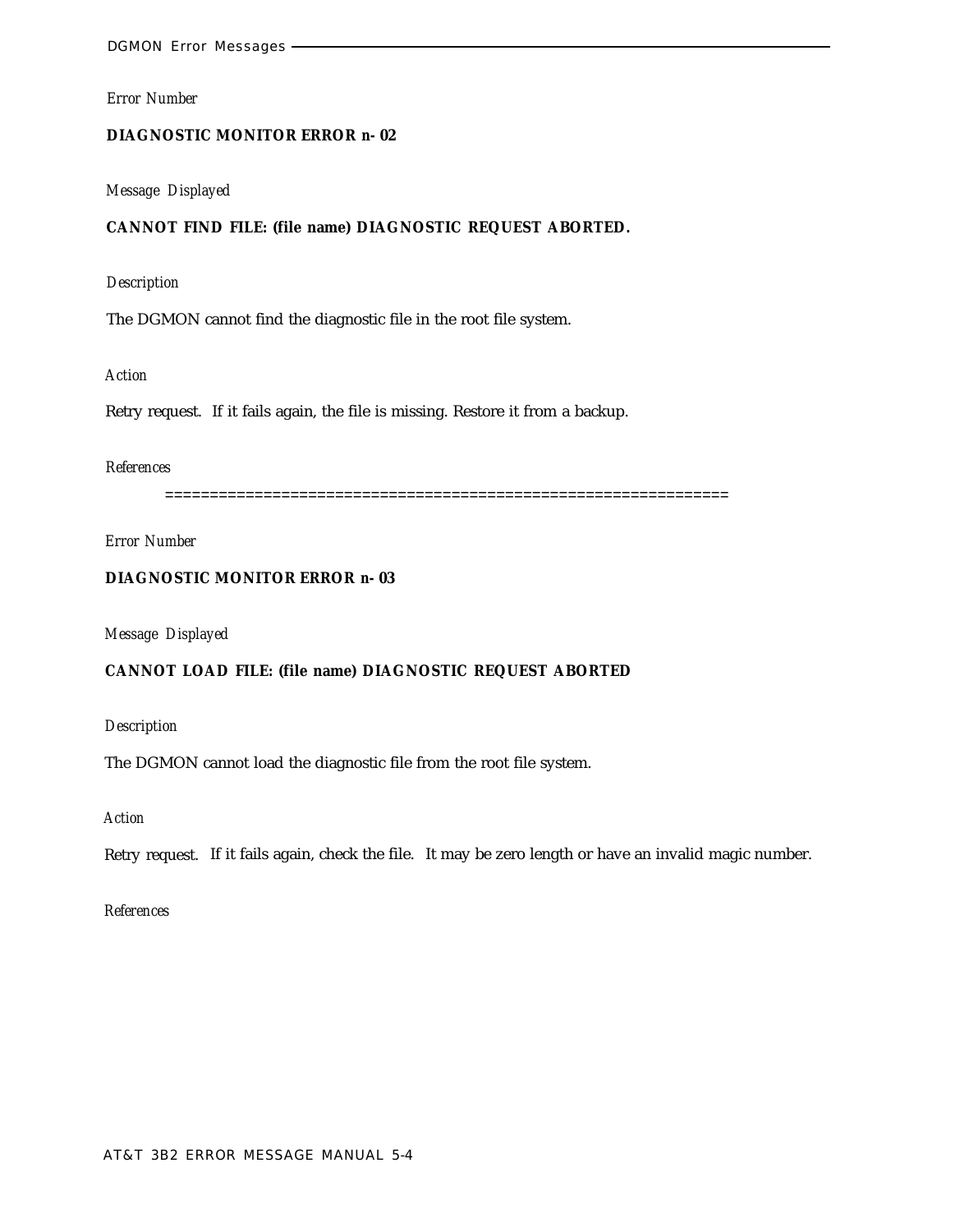#### **DIAGNOSTIC MONITOR ERROR** *n-* **02**

#### *Message Displayed*

## **CANNOT FIND FILE: (file name) DIAGNOSTIC REQUEST ABORTED.**

## *Description*

The DGMON cannot find the diagnostic file in the root file system.

## *Action*

Retry request. If it fails again, the file is missing. Restore it from a backup.

## *References*

===============================================================

## *Error Number*

## **DIAGNOSTIC MONITOR ERROR** *n-* **03**

*Message Displayed*

## **CANNOT LOAD FILE: (file name) DIAGNOSTIC REQUEST ABORTED**

## *Description*

The DGMON cannot load the diagnostic file from the root file system.

## *Action*

Retry request. If it fails again, check the file. It may be zero length or have an invalid magic number.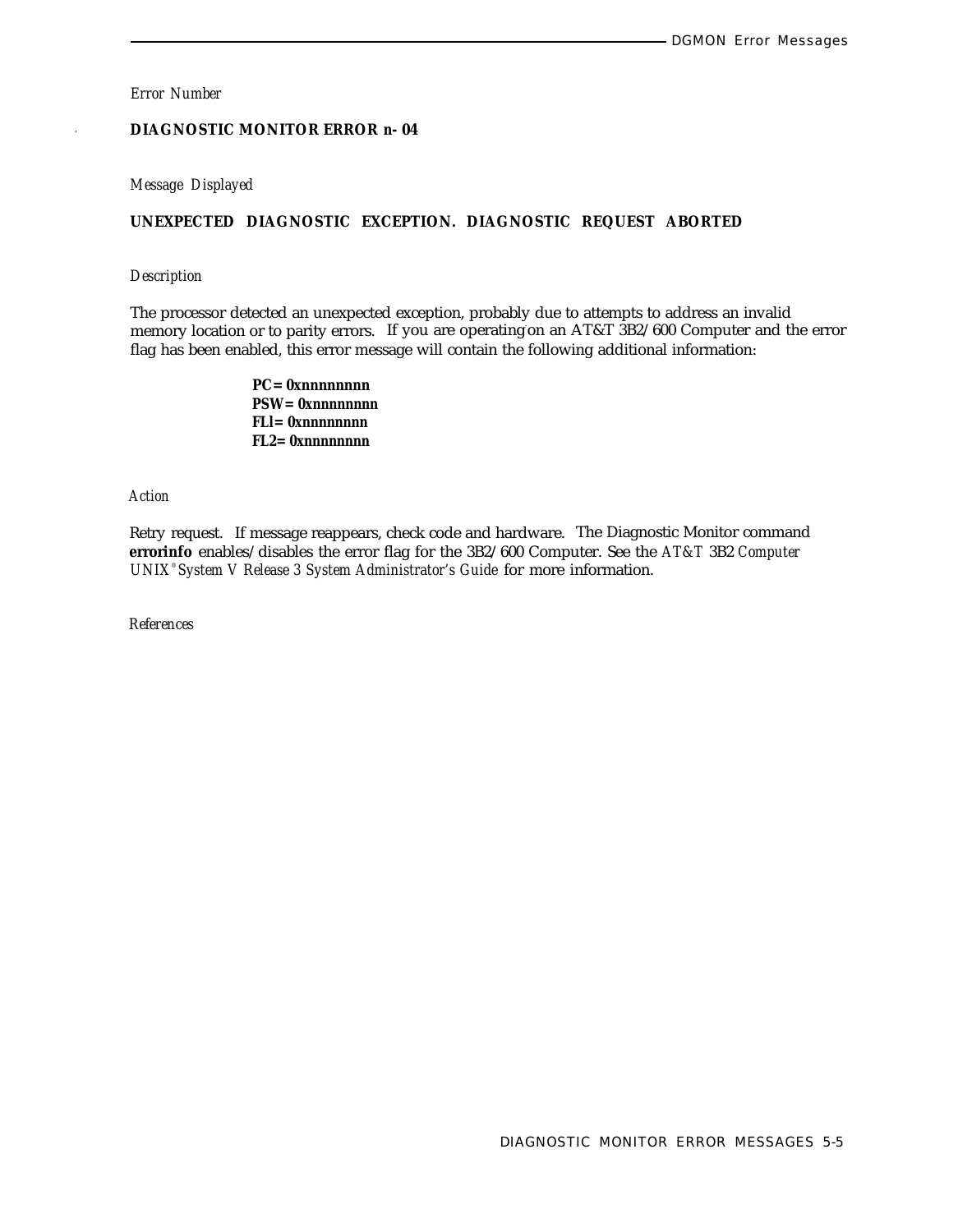## *.* **DIAGNOSTIC MONITOR ERROR** *n-* **04**

#### *Message Displayed*

## **UNEXPECTED DIAGNOSTIC EXCEPTION. DIAGNOSTIC REQUEST ABORTED**

#### *Description*

The processor detected an unexpected exception, probably due to attempts to address an invalid memory location or to parity errors. If you are operating on an AT&T 3B2/600 Computer and the error flag has been enabled, this error message will contain the following additional information:

> **PC=** *0xnnnnnnnn* **PSW=** *0xnnnnnnnn* **FLl=** *0xnnnnnnnn* **FL2=** *0xnnnnnnnn*

*Action*

Retry request. If message reappears, check code and hardware. The Diagnostic Monitor command **errorinfo** enables/disables the error flag for the 3B2/600 Computer. See the *AT&T* 3B2 *Computer UNIX® System V Release 3 System Administrator's Guide* for more information.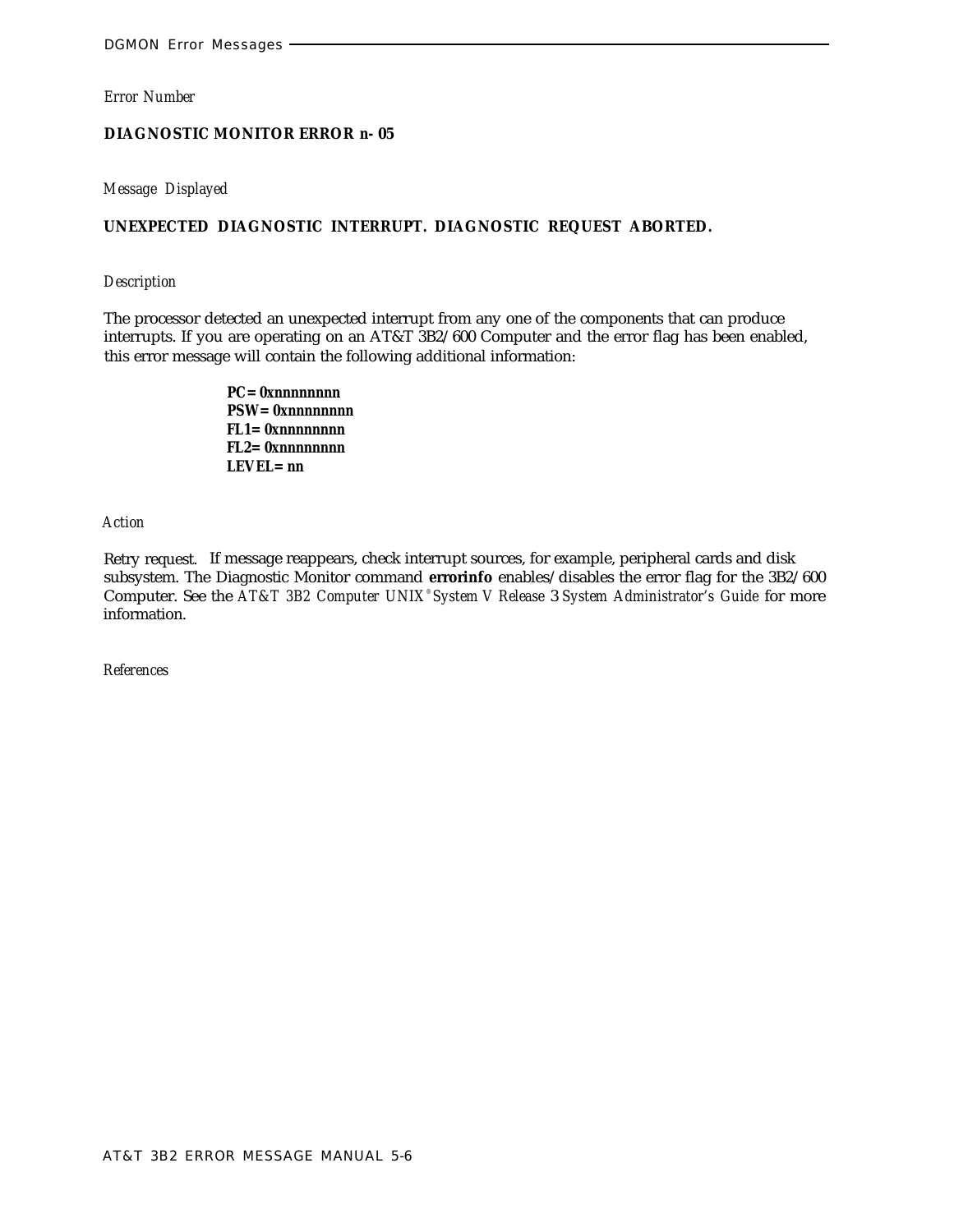#### **DIAGNOSTIC MONITOR ERROR** *n-* **05**

## *Message Displayed*

## **UNEXPECTED DIAGNOSTIC INTERRUPT. DIAGNOSTIC REQUEST ABORTED.**

#### *Description*

The processor detected an unexpected interrupt from any one of the components that can produce interrupts. If you are operating on an AT&T 3B2/600 Computer and the error flag has been enabled, this error message will contain the following additional information:

> **PC=** *0xnnnnnnnn* **PSW=** *0xnnnnnnnn* **FL1=** *0xnnnnnnnn* **FL2=** *0xnnnnnnnn* **LEVEL=** *nn*

#### *Action*

Retry request. If message reappears, check interrupt sources, for example, peripheral cards and disk subsystem. The Diagnostic Monitor command **errorinfo** enables/disables the error flag for the 3B2/600 Computer. See the *AT&T 3B2 Computer UNIX® System V Release* 3 *System Administrator's Guide* for more information.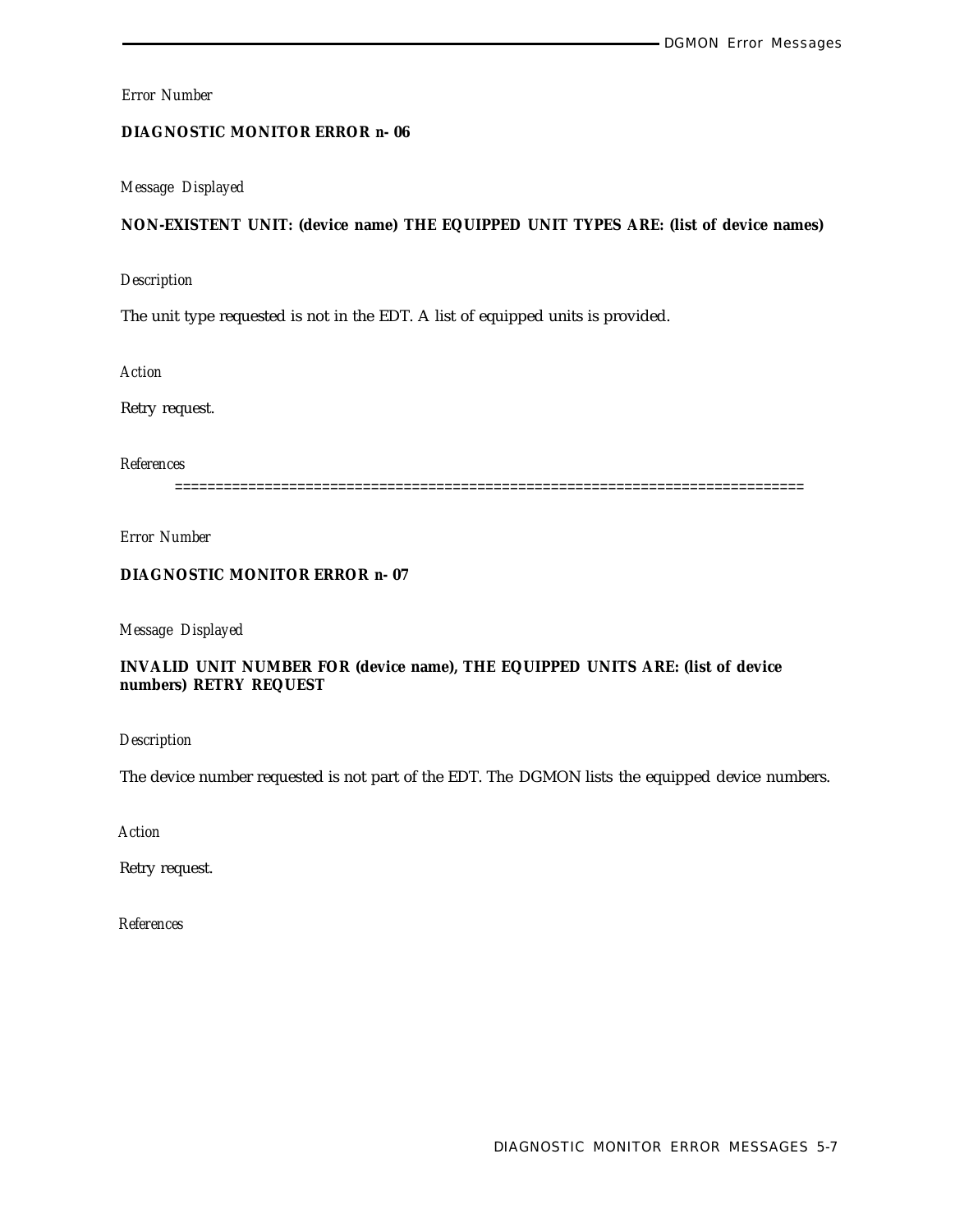## **DIAGNOSTIC MONITOR ERROR** *n-* **06**

## *Message Displayed*

## **NON-EXISTENT UNIT: (device name) THE EQUIPPED UNIT TYPES ARE: (list of device names)**

#### *Description*

The unit type requested is not in the EDT. A list of equipped units is provided.

*Action*

Retry request.

*References*

=============================================================================

*Error Number*

## **DIAGNOSTIC MONITOR ERROR** *n-* **07**

*Message Displayed*

## **INVALID UNIT NUMBER FOR (device name), THE EQUIPPED UNITS ARE: (list of device numbers) RETRY REQUEST**

*Description*

The device number requested is not part of the EDT. The DGMON lists the equipped device numbers.

*Action*

Retry request.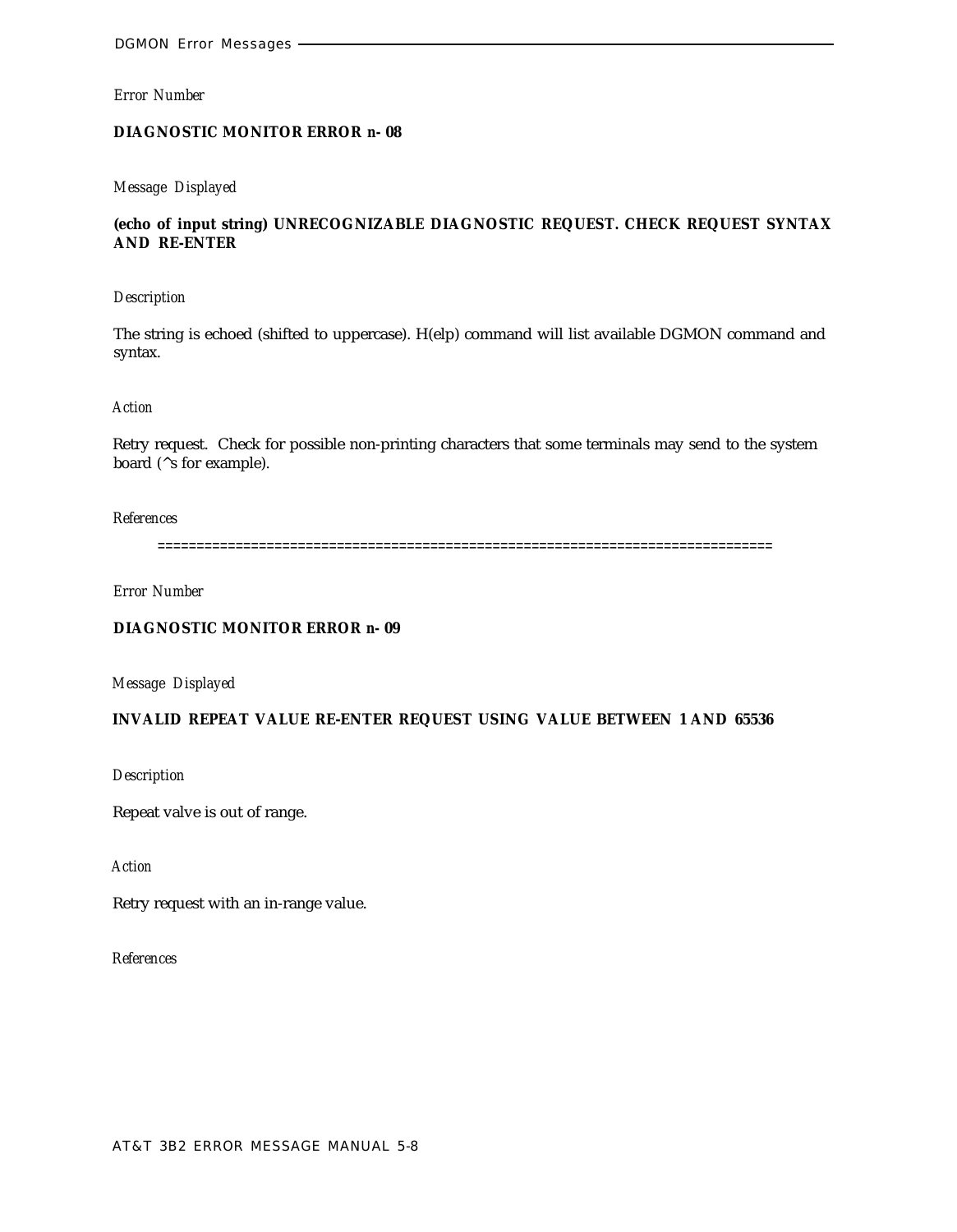### **DIAGNOSTIC MONITOR ERROR** *n-* **08**

#### *Message Displayed*

## **(echo of input string) UNRECOGNIZABLE DIAGNOSTIC REQUEST. CHECK REQUEST SYNTAX AND RE-ENTER**

#### *Description*

The string is echoed (shifted to uppercase). H(elp) command will list available DGMON command and syntax.

#### *Action*

Retry request. Check for possible non-printing characters that some terminals may send to the system board (^s for example).

#### *References*

===============================================================================

*Error Number*

## **DIAGNOSTIC MONITOR ERROR** *n-* **09**

*Message Displayed*

## **INVALID REPEAT VALUE RE-ENTER REQUEST USING VALUE BETWEEN 1 AND 65536**

*Description*

Repeat valve is out of range.

*Action*

Retry request with an in-range value.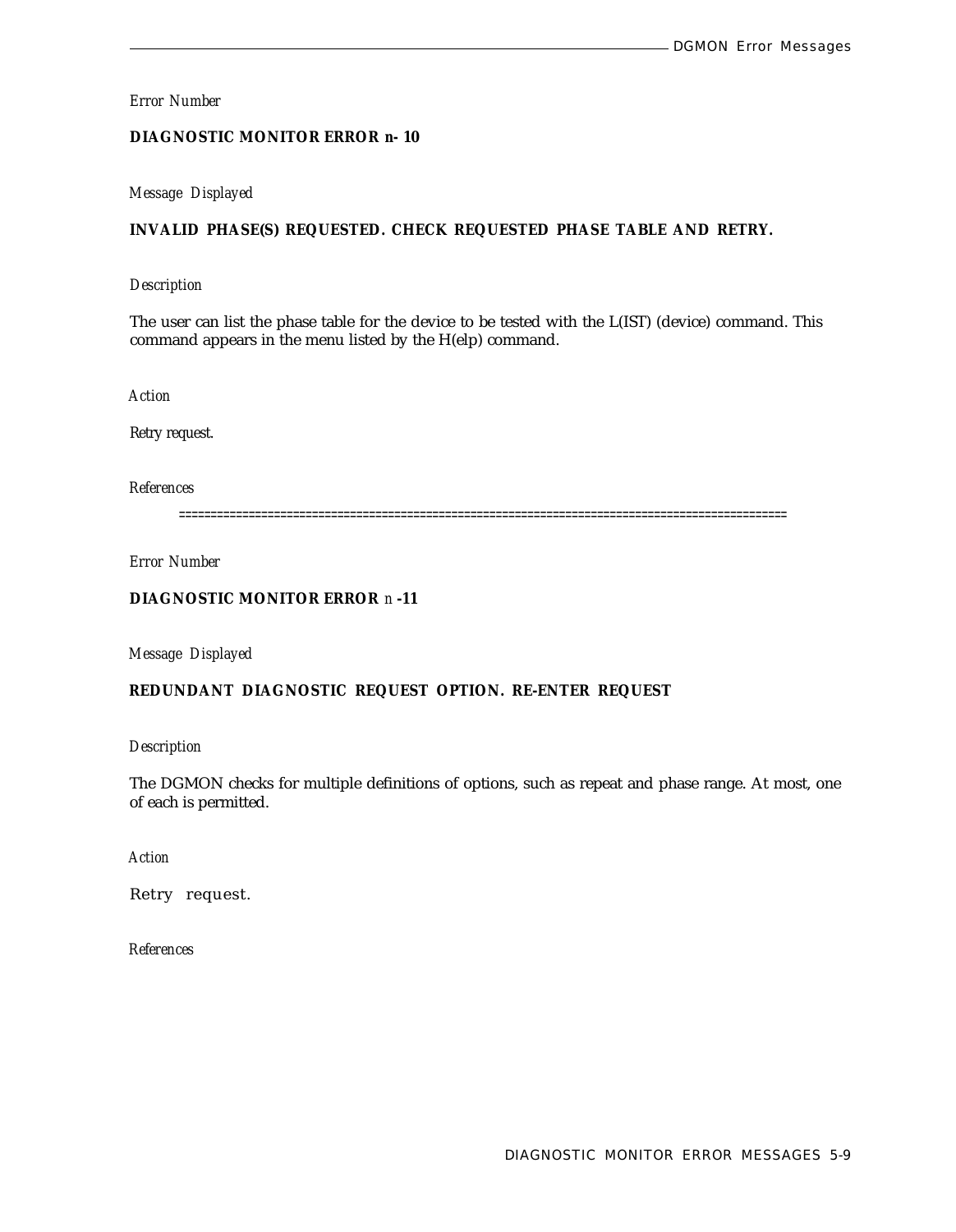## **DIAGNOSTIC MONITOR ERROR** *n-* **10**

#### *Message Displayed*

## **INVALID PHASE(S) REQUESTED. CHECK REQUESTED PHASE TABLE AND RETRY.**

#### *Description*

The user can list the phase table for the device to be tested with the L(IST) (device) command. This command appears in the menu listed by the H(elp) command.

*Action*

Retry request.

*References*

================================================================================================

*Error Number*

## **DIAGNOSTIC MONITOR ERROR** *n* **-11**

*Message Displayed*

#### **REDUNDANT DIAGNOSTIC REQUEST OPTION. RE-ENTER REQUEST**

*Description*

The DGMON checks for multiple definitions of options, such as repeat and phase range. At most, one of each is permitted.

*Action*

Retry request.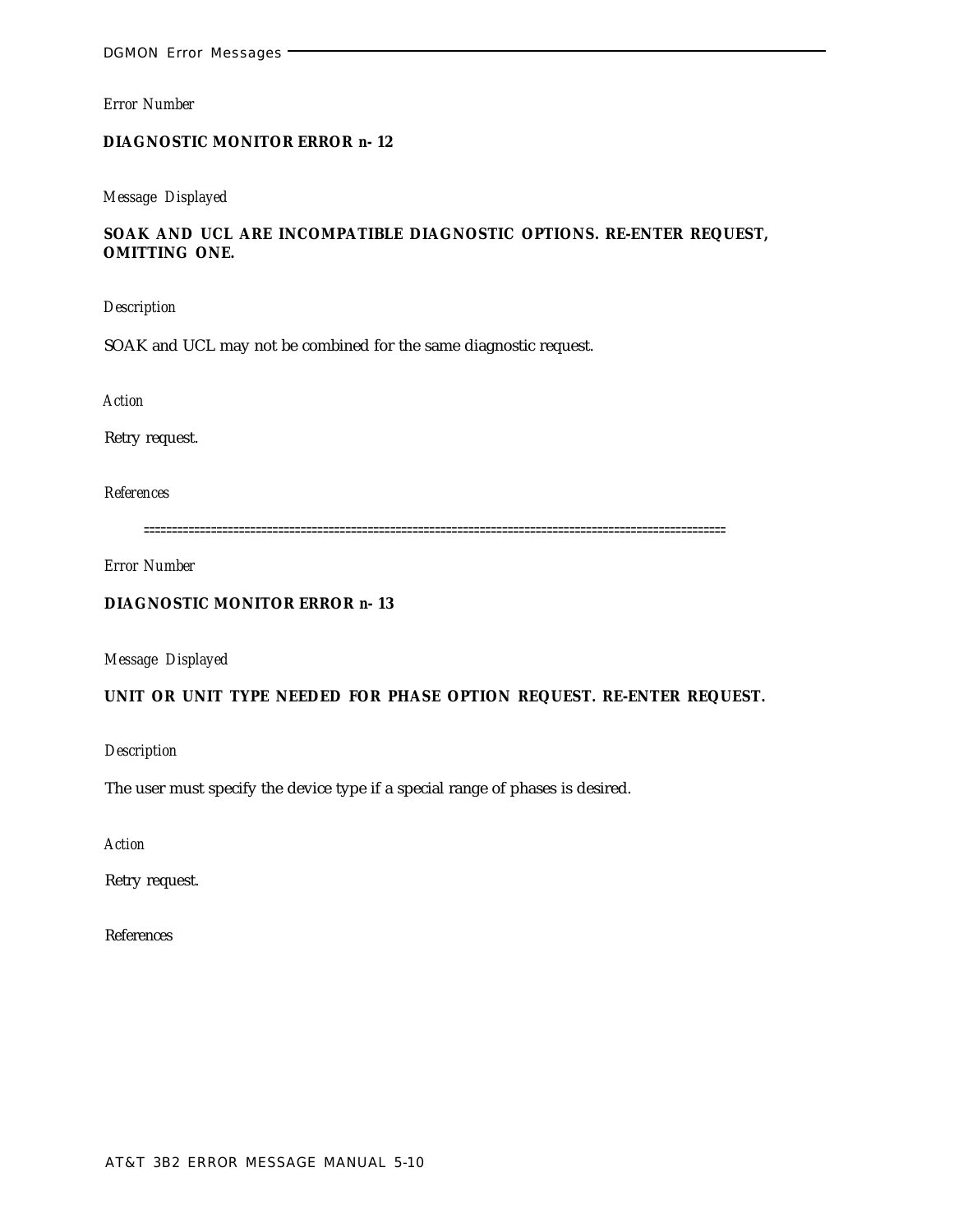## **DIAGNOSTIC MONITOR ERROR** *n-* **12**

## *Message Displayed*

## **SOAK AND UCL ARE INCOMPATIBLE DIAGNOSTIC OPTIONS. RE-ENTER REQUEST, OMITTING ONE.**

*Description*

SOAK and UCL may not be combined for the same diagnostic request.

*Action*

Retry request.

*References*

========================================================================================================

*Error Number*

## **DIAGNOSTIC MONITOR ERROR** *n-* **13**

*Message Displayed*

## **UNIT OR UNIT TYPE NEEDED FOR PHASE OPTION REQUEST. RE-ENTER REQUEST.**

*Description*

The user must specify the device type if a special range of phases is desired.

*Action*

Retry request.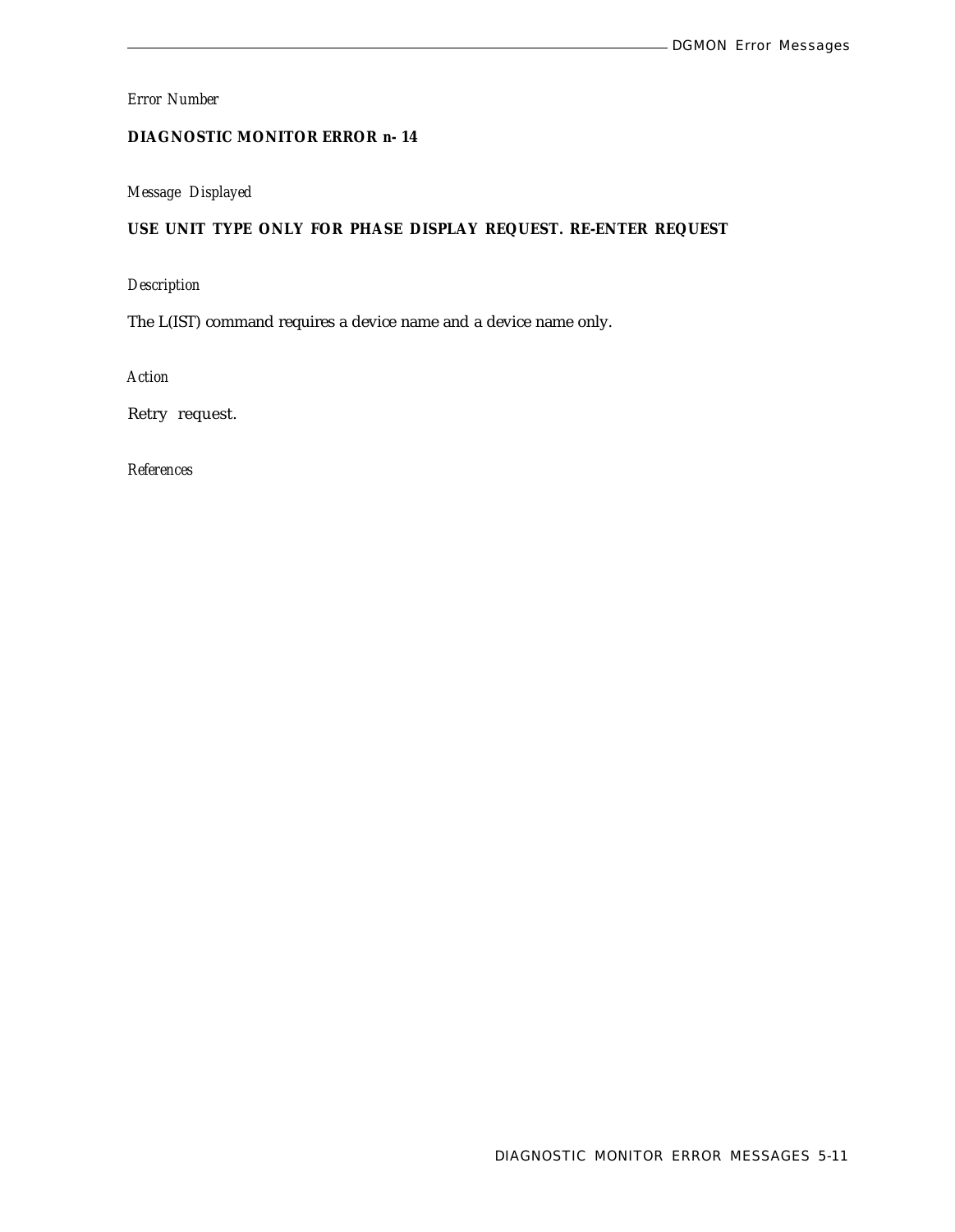## **DIAGNOSTIC MONITOR ERROR** *n-* **14**

## *Message Displayed*

## **USE UNIT TYPE ONLY FOR PHASE DISPLAY REQUEST. RE-ENTER REQUEST**

## *Description*

The L(IST) command requires a device name and a device name only.

*Action*

Retry request.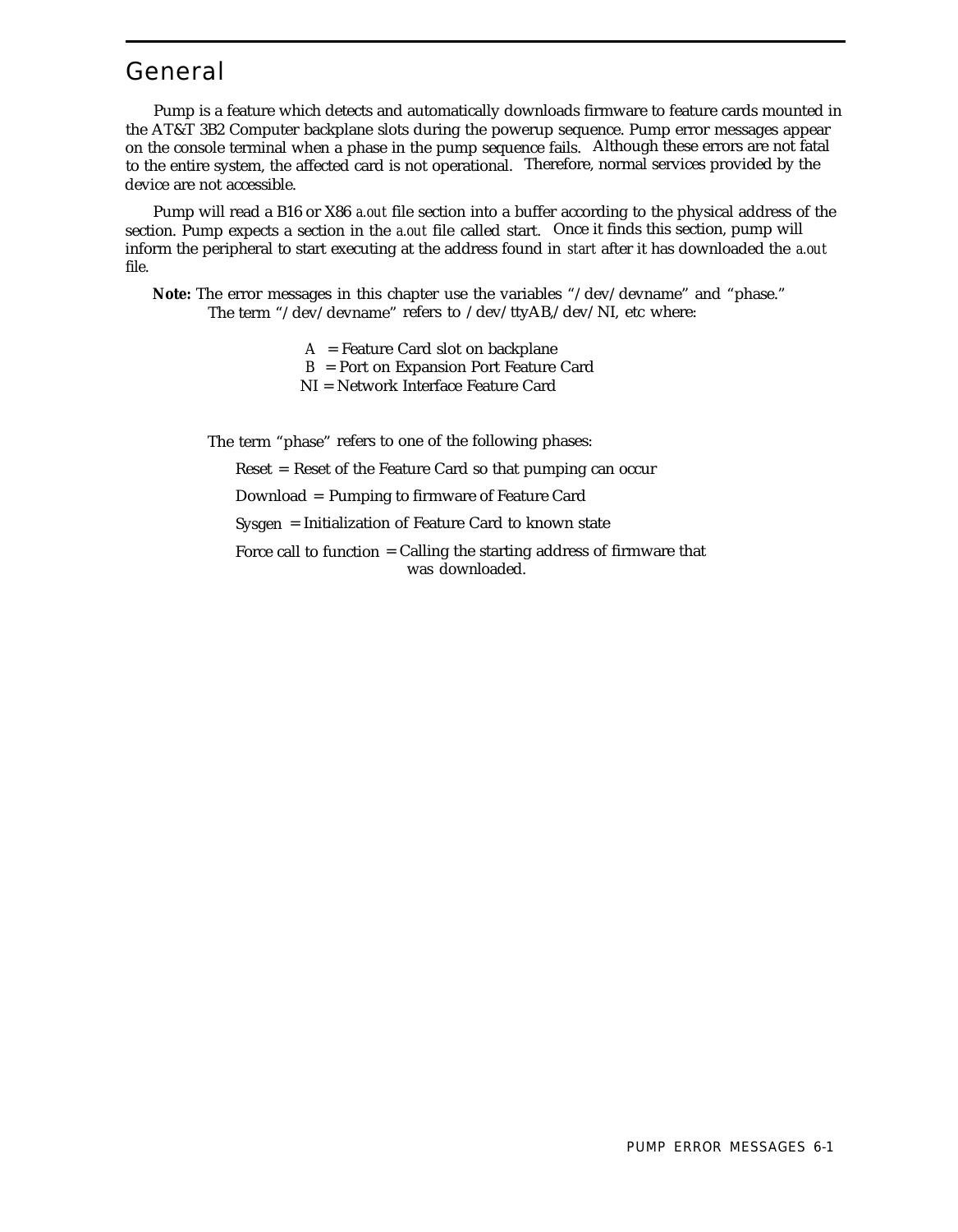## General

Pump is a feature which detects and automatically downloads firmware to feature cards mounted in the AT&T 3B2 Computer backplane slots during the powerup sequence. Pump error messages appear on the console terminal when a phase in the pump sequence fails. Although these errors are not fatal to the entire system, the affected card is not operational. Therefore, normal services provided by the device are not accessible.

Pump will read a B16 or X86 *a.out* file section into a buffer according to the physical address of the section. Pump expects a section in the *a.out* file called start. Once it finds this section, pump will inform the peripheral to start executing at the address found in *start* after it has downloaded the *a.out* file.

**Note:** The error messages in this chapter use the variables "/dev/devname" and "phase." The term "/dev/devname" refers to /dev/ttyAB,/dev/NI, etc where:

> A = Feature Card slot on backplane B = Port on Expansion Port Feature Card NI = Network Interface Feature Card

The term "phase" refers to one of the following phases:

Reset = Reset of the Feature Card so that pumping can occur

Download = Pumping to firmware of Feature Card

Sysgen = Initialization of Feature Card to known state

Force call to function = Calling the starting address of firmware that was downloaded.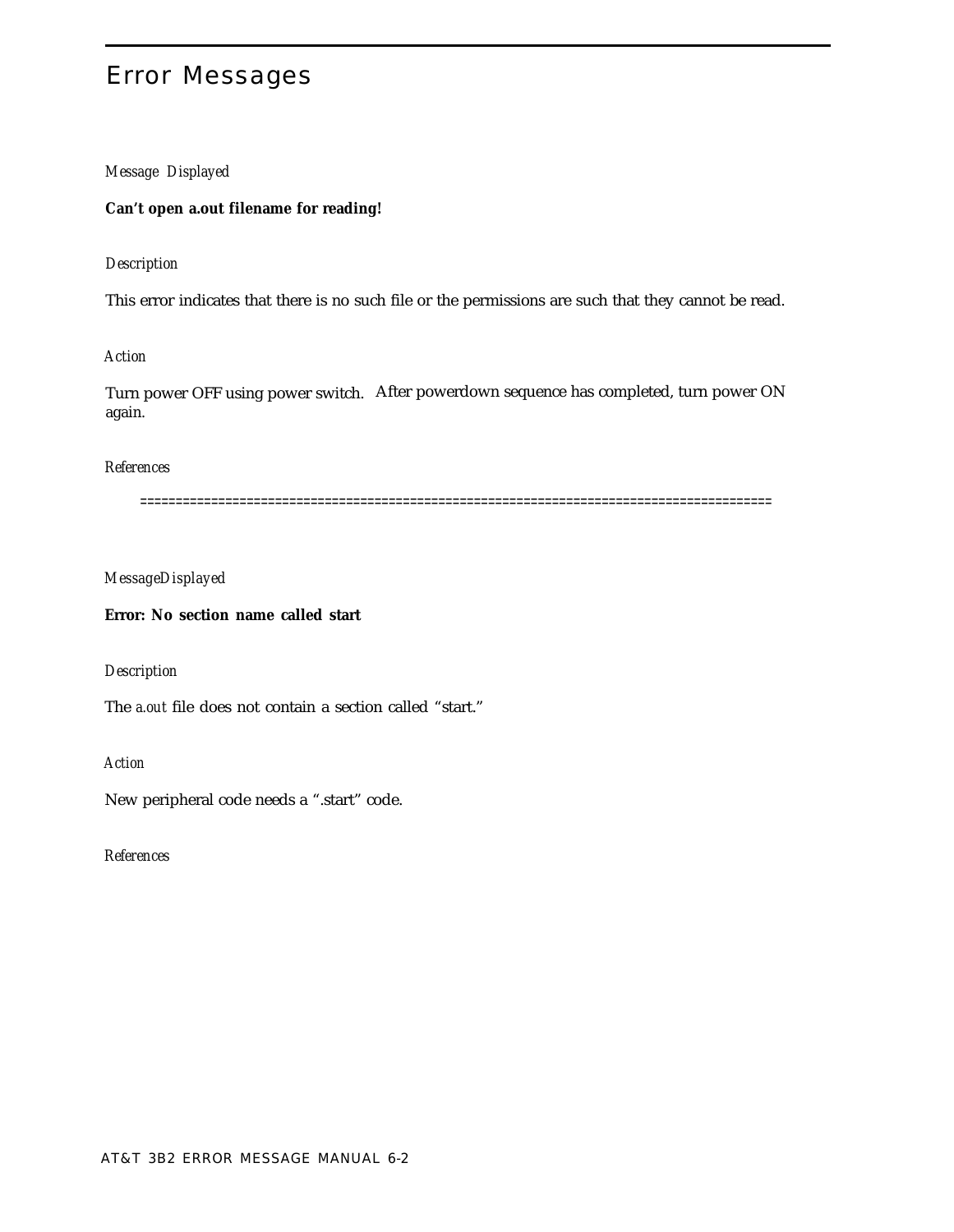## Error Messages

## *Message Displayed*

#### **Can't open a.out filename for reading!**

#### *Description*

This error indicates that there is no such file or the permissions are such that they cannot be read.

## *Action*

Turn power OFF using power switch. After powerdown sequence has completed, turn power ON again.

## *References*

=========================================================================================

#### *MessageDisplayed*

#### **Error: No section name called start**

## *Description*

The *a.out* file does not contain a section called "start."

#### *Action*

New peripheral code needs a ".start" code.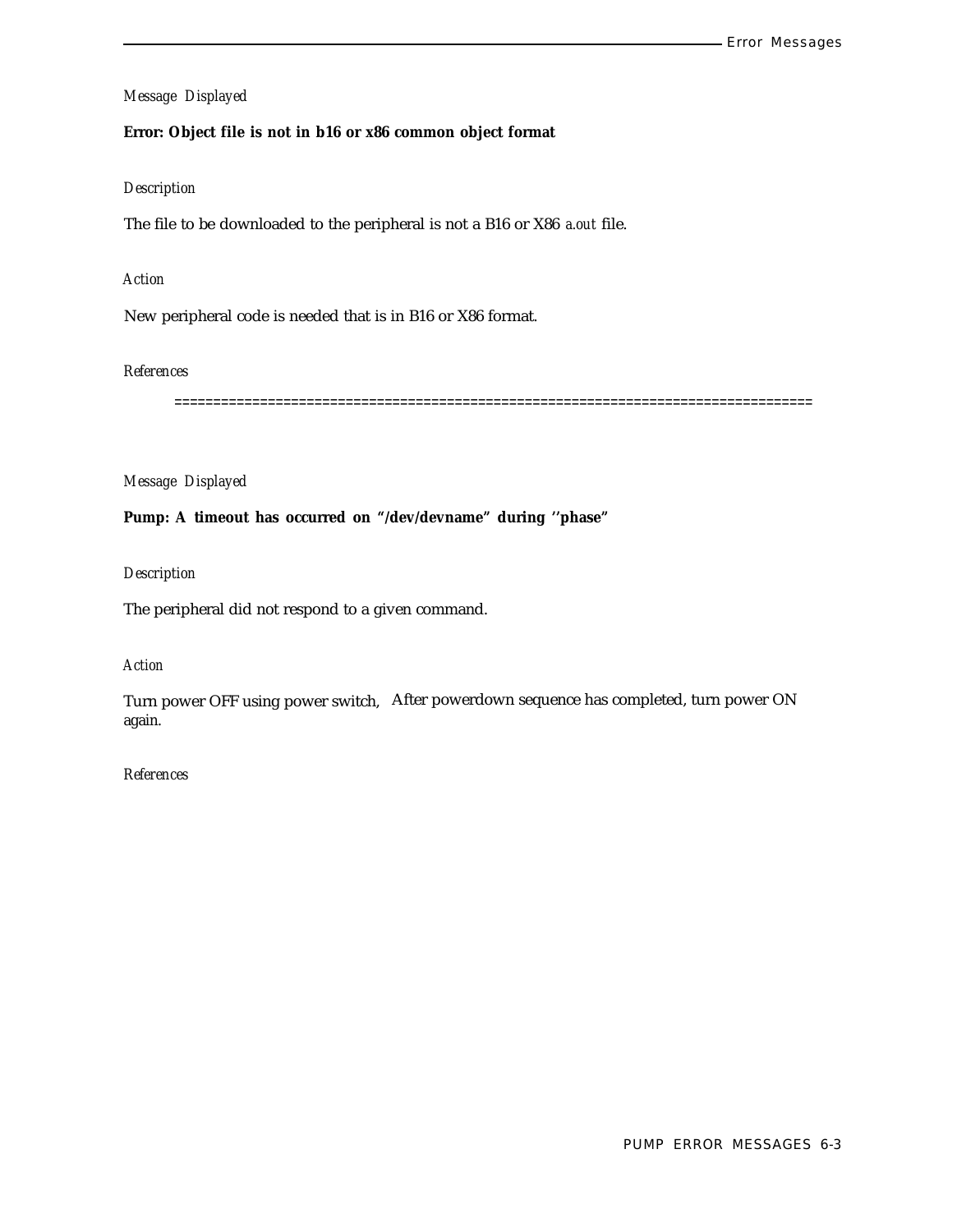## **Error: Object file is not in b16 or x86 common object format**

### *Description*

The file to be downloaded to the peripheral is not a B16 or X86 *a.out* file.

#### *Action*

New peripheral code is needed that is in B16 or X86 format.

## *References*

==================================================================================

## *Message Displayed*

## **Pump: A timeout has occurred on "/dev/devname" during ''phase"**

#### *Description*

The peripheral did not respond to a given command.

## *Action*

Turn power OFF using power switch, After powerdown sequence has completed, turn power ON again.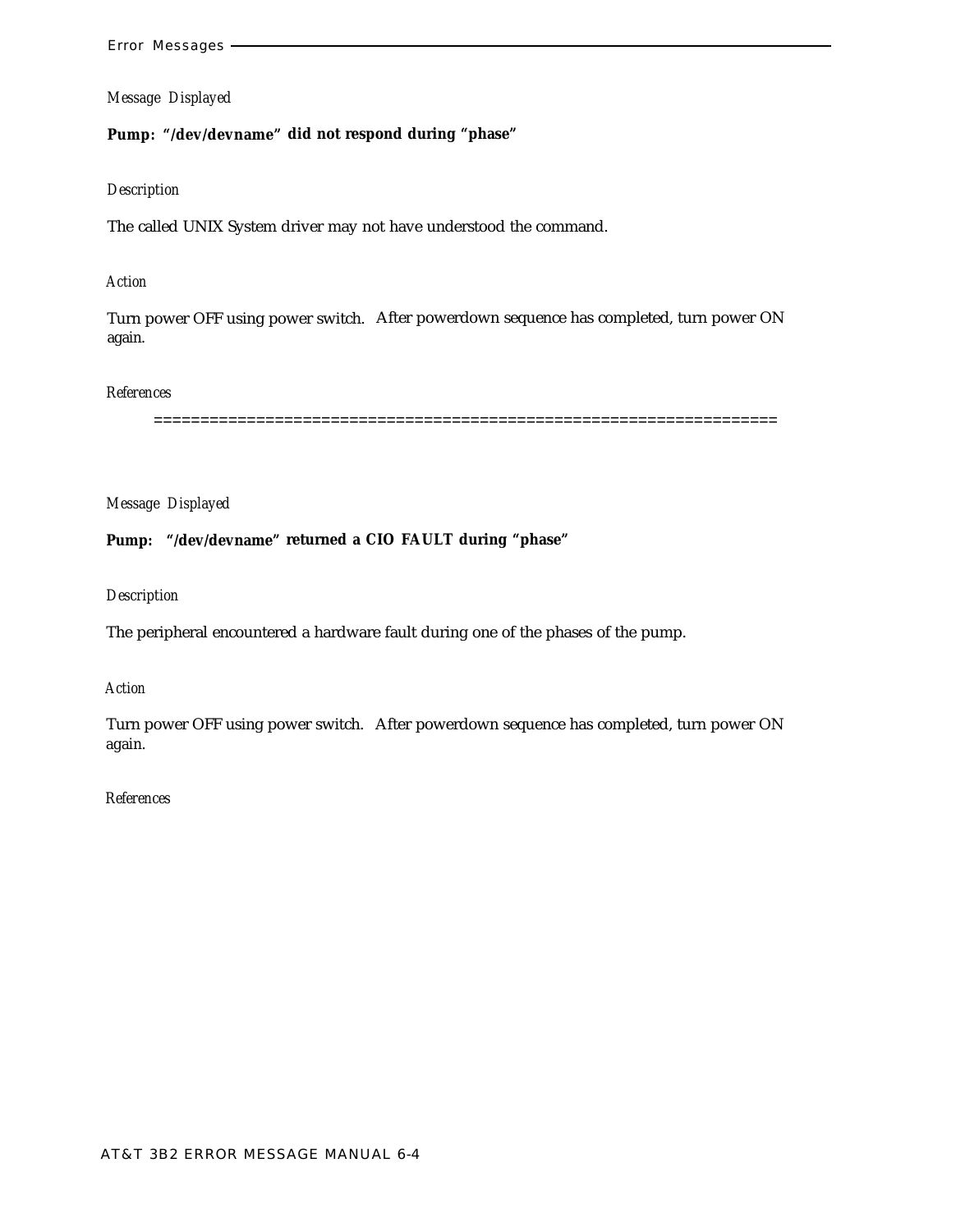## **Pump: "/dev/devname" did not respond during "phase"**

## *Description*

The called UNIX System driver may not have understood the command.

## *Action*

Turn power OFF using power switch. After powerdown sequence has completed, turn power ON again.

## *References*

===================================================================

*Message Displayed*

**Pump: "/dev/devname" returned a CIO FAULT during "phase"**

#### *Description*

The peripheral encountered a hardware fault during one of the phases of the pump.

## *Action*

Turn power OFF using power switch. After powerdown sequence has completed, turn power ON again.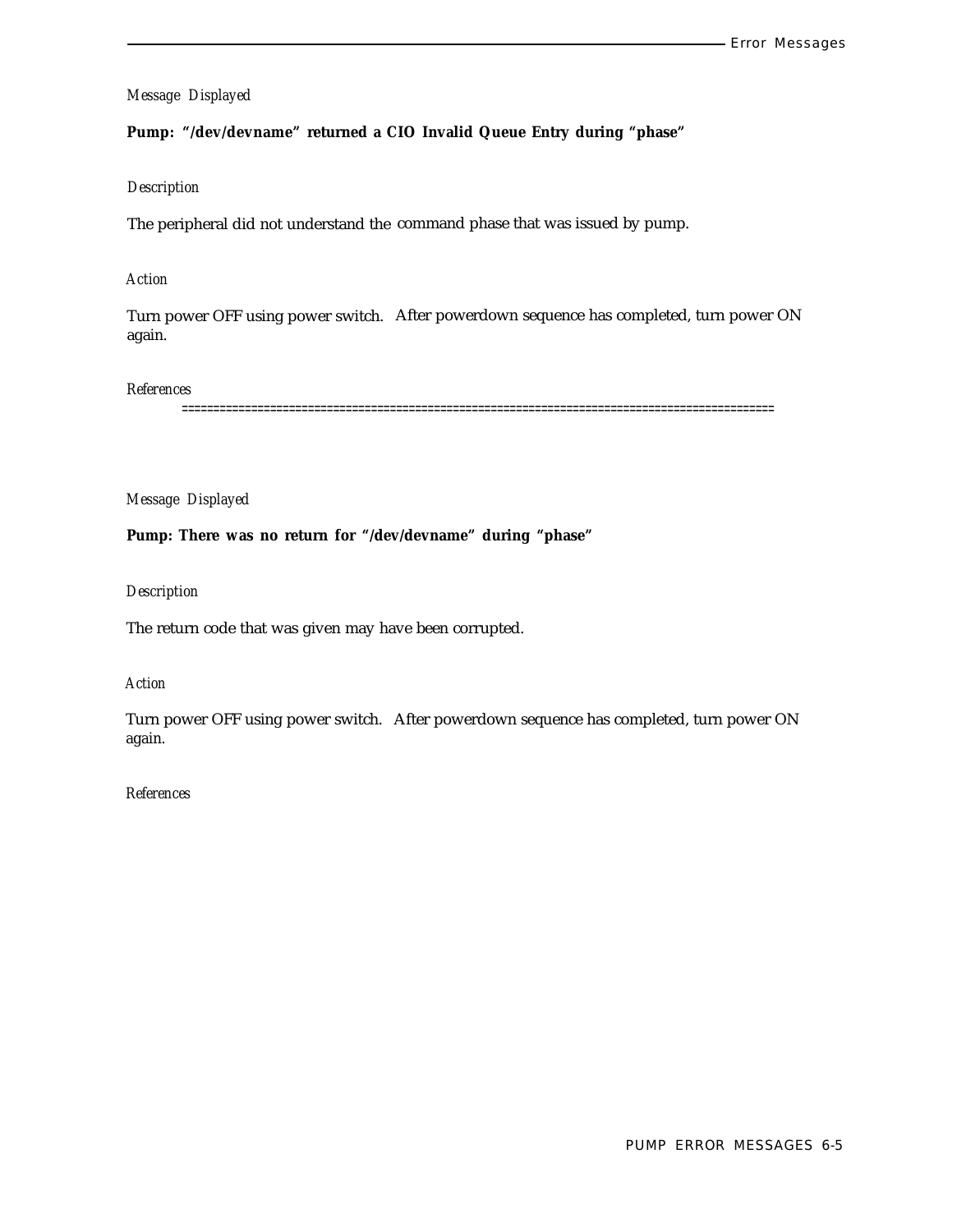## **Pump: "/dev/devname" returned a CIO Invalid Queue Entry during "phase"**

#### *Description*

The peripheral did not understand the command phase that was issued by pump.

## *Action*

Turn power OFF using power switch. After powerdown sequence has completed, turn power ON again.

#### *References*

==============================================================================================

#### *Message Displayed*

**Pump: There was no return for "/dev/devname" during "phase"**

#### *Description*

The return code that was given may have been corrupted.

## *Action*

Turn power OFF using power switch. After powerdown sequence has completed, turn power ON again.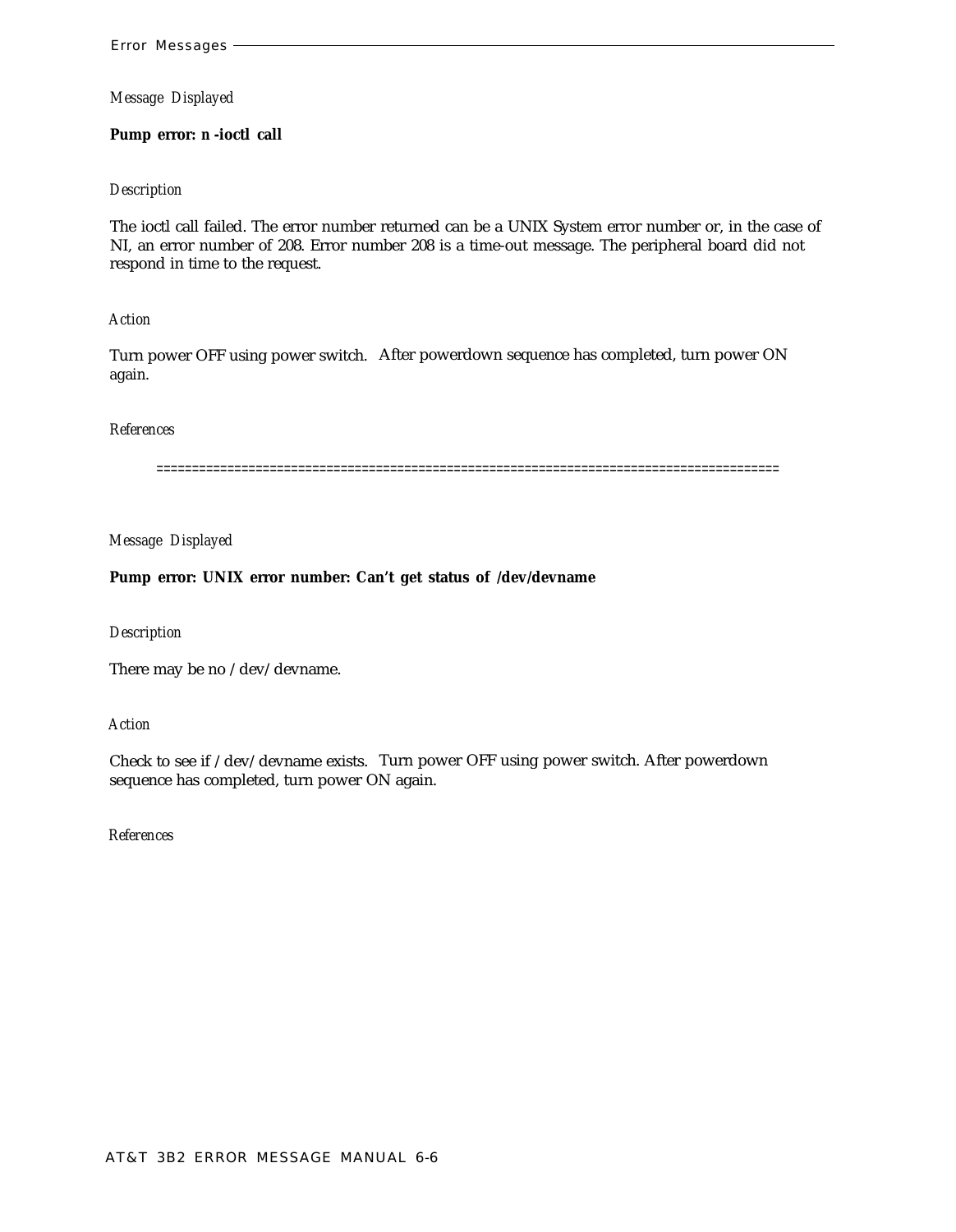#### **Pump error:** *n* **-ioctl call**

#### *Description*

The ioctl call failed. The error number returned can be a UNIX System error number or, in the case of NI, an error number of 208. Error number 208 is a time-out message. The peripheral board did not respond in time to the request.

#### *Action*

Turn power OFF using power switch. After powerdown sequence has completed, turn power ON again.

#### *References*

========================================================================================

#### *Message Displayed*

#### **Pump error: UNIX error number: Can't get status of /dev/devname**

#### *Description*

There may be no /dev/devname.

#### *Action*

Check to see if /dev/devname exists. Turn power OFF using power switch. After powerdown sequence has completed, turn power ON again.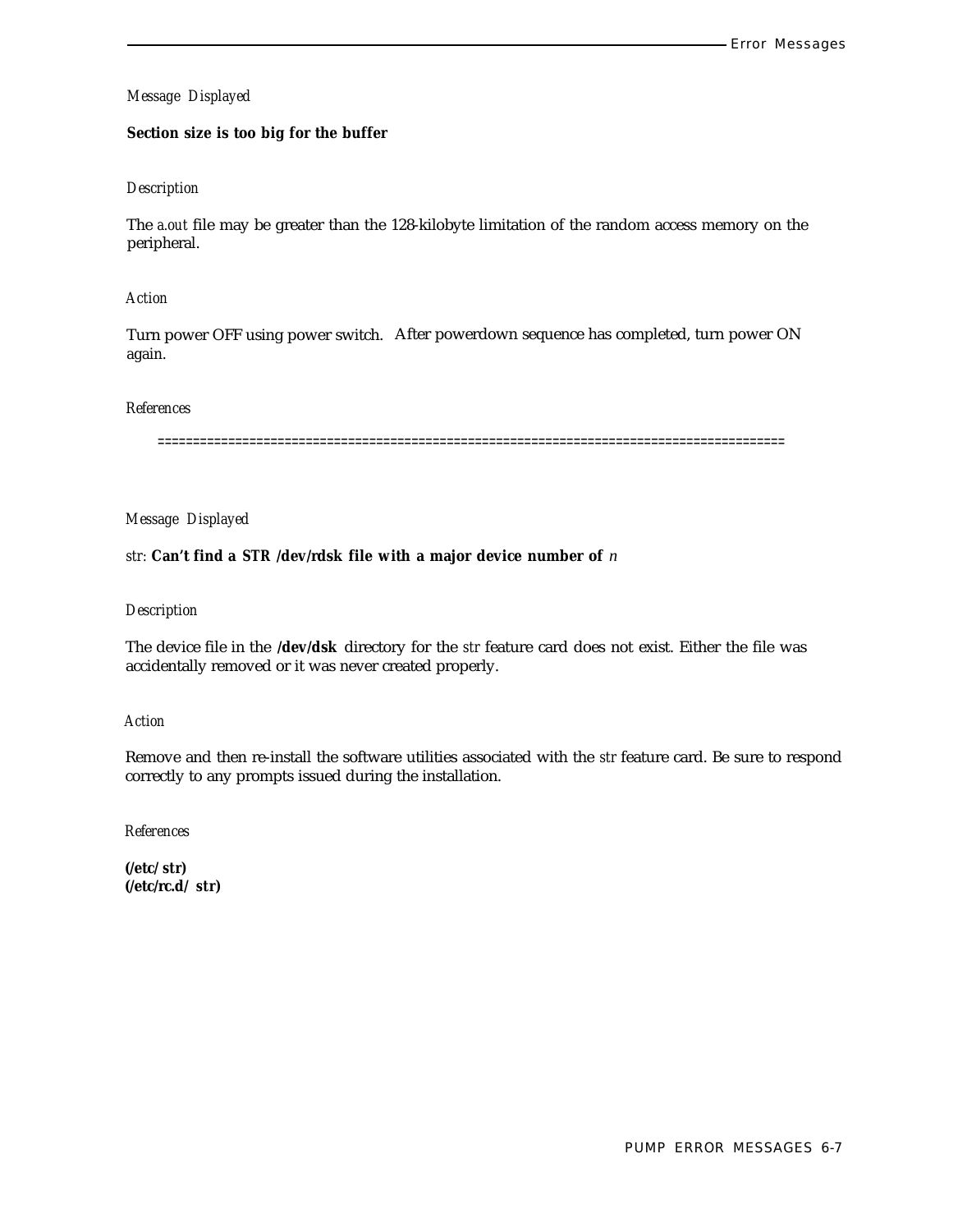## **Section size is too big for the buffer**

#### *Description*

The *a.out* file may be greater than the 128-kilobyte limitation of the random access memory on the peripheral.

#### *Action*

Turn power OFF using power switch. After powerdown sequence has completed, turn power ON again.

#### *References*

=========================================================================================

#### *Message Displayed*

### *str:* **Can't find a** *STR* **/dev/rdsk file with a major device number of** *n*

#### *Description*

The device file in the **/dev/dsk** directory for the *str* feature card does not exist. Either the file was accidentally removed or it was never created properly.

#### *Action*

Remove and then re-install the software utilities associated with the *str* feature card. Be sure to respond correctly to any prompts issued during the installation.

*References*

**(/etc/** *str)* **(/etc/rc.d/** *str)*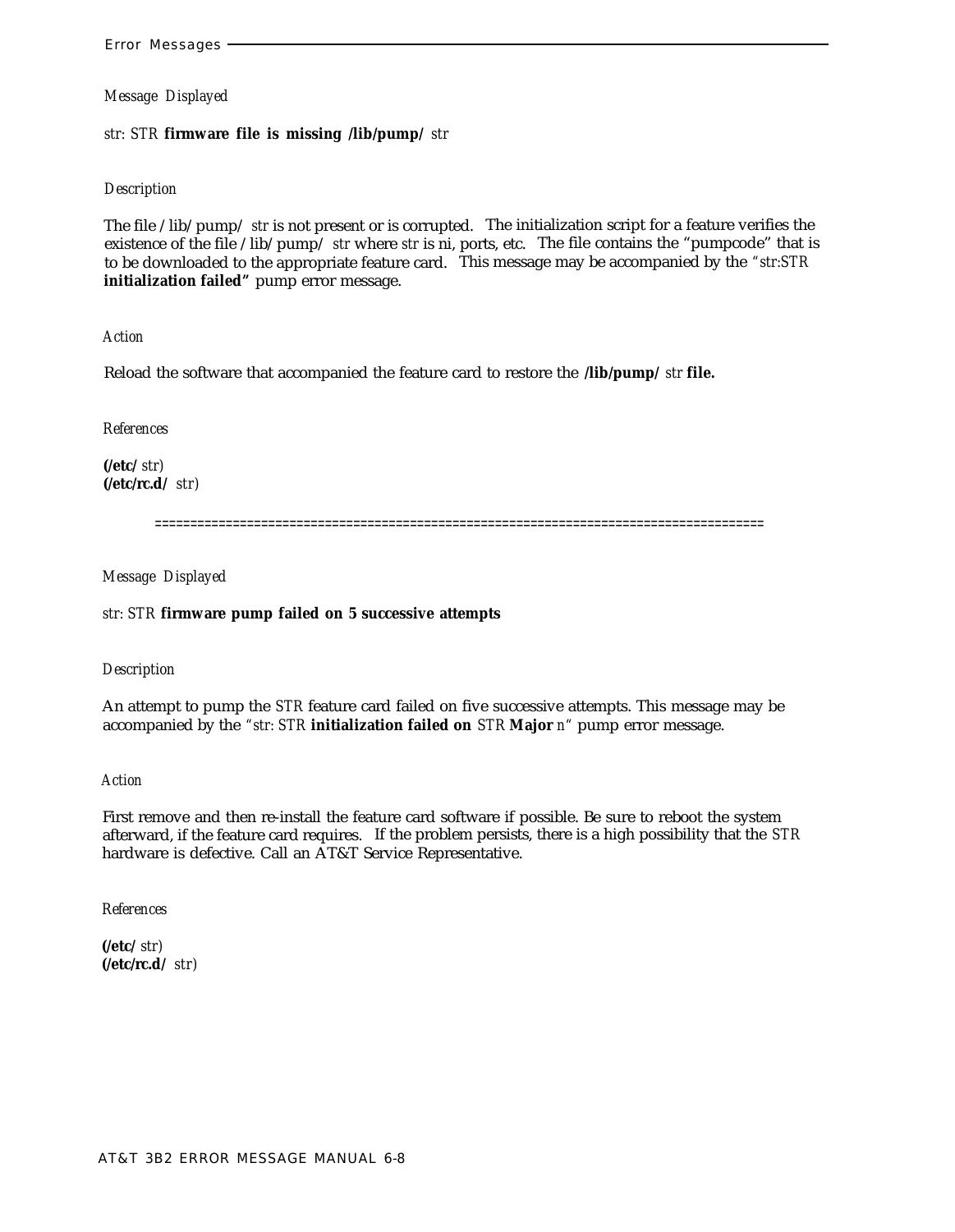*str: STR* **firmware file is missing /lib/pump/** *str*

## *Description*

The file /lib/pump/ *str* is not present or is corrupted. The initialization script for a feature verifies the existence of the file /lib/pump/ *str* where *str* is ni, ports, etc. The file contains the "pumpcode" that is to be downloaded to the appropriate feature card. This message may be accompanied by the *"str:STR* **initialization failed"** pump error message.

*Action*

Reload the software that accompanied the feature card to restore the **/lib/pump/** *str* **file.**

*References*

**(/etc/** *str)* **(/etc/rc.d/** *str)*

======================================================================================

*Message Displayed*

## *str: STR* **firmware pump failed on 5 successive attempts**

*Description*

An attempt to pump the *STR* feature card failed on five successive attempts. This message may be accompanied by the *"str: STR* **initialization failed on** *STR* **Major** *n"* pump error message.

*Action*

First remove and then re-install the feature card software if possible. Be sure to reboot the system afterward, if the feature card requires. If the problem persists, there is a high possibility that the *STR* hardware is defective. Call an AT&T Service Representative.

*References*

**(/etc/** *str)* **(/etc/rc.d/** *str)*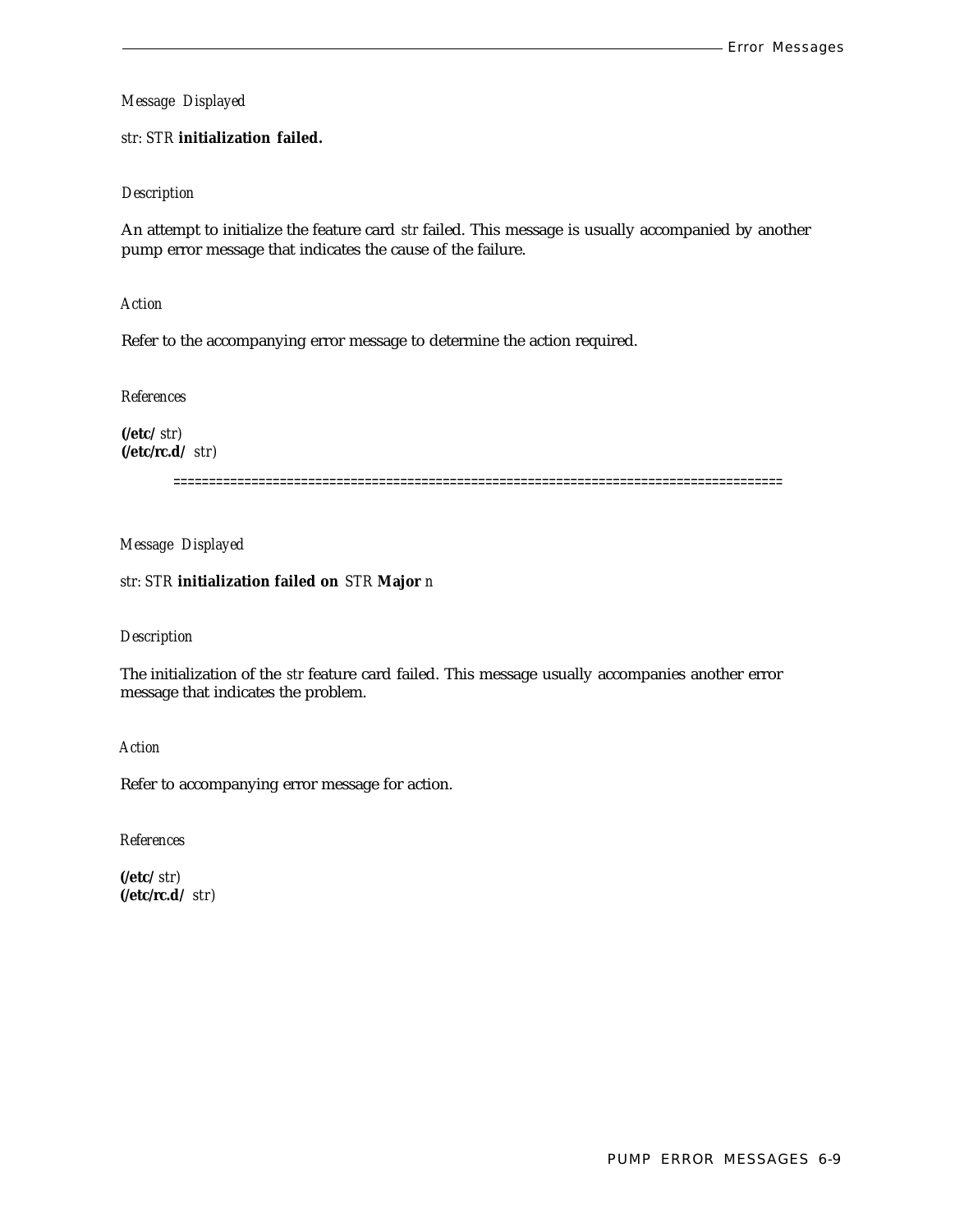#### *str: STR* **initialization failed.**

#### *Description*

An attempt to initialize the feature card *str* failed. This message is usually accompanied by another pump error message that indicates the cause of the failure.

#### *Action*

Refer to the accompanying error message to determine the action required.

*References*

**(/etc/** *str)* **(/etc/rc.d/** *str)*

======================================================================================

#### *Message Displayed*

#### *str: STR* **initialization failed on** *STR* **Major** *n*

#### *Description*

The initialization of the *str* feature card failed. This message usually accompanies another error message that indicates the problem.

*Action*

Refer to accompanying error message for action.

*References*

**(/etc/** *str)* **(/etc/rc.d/** *str)*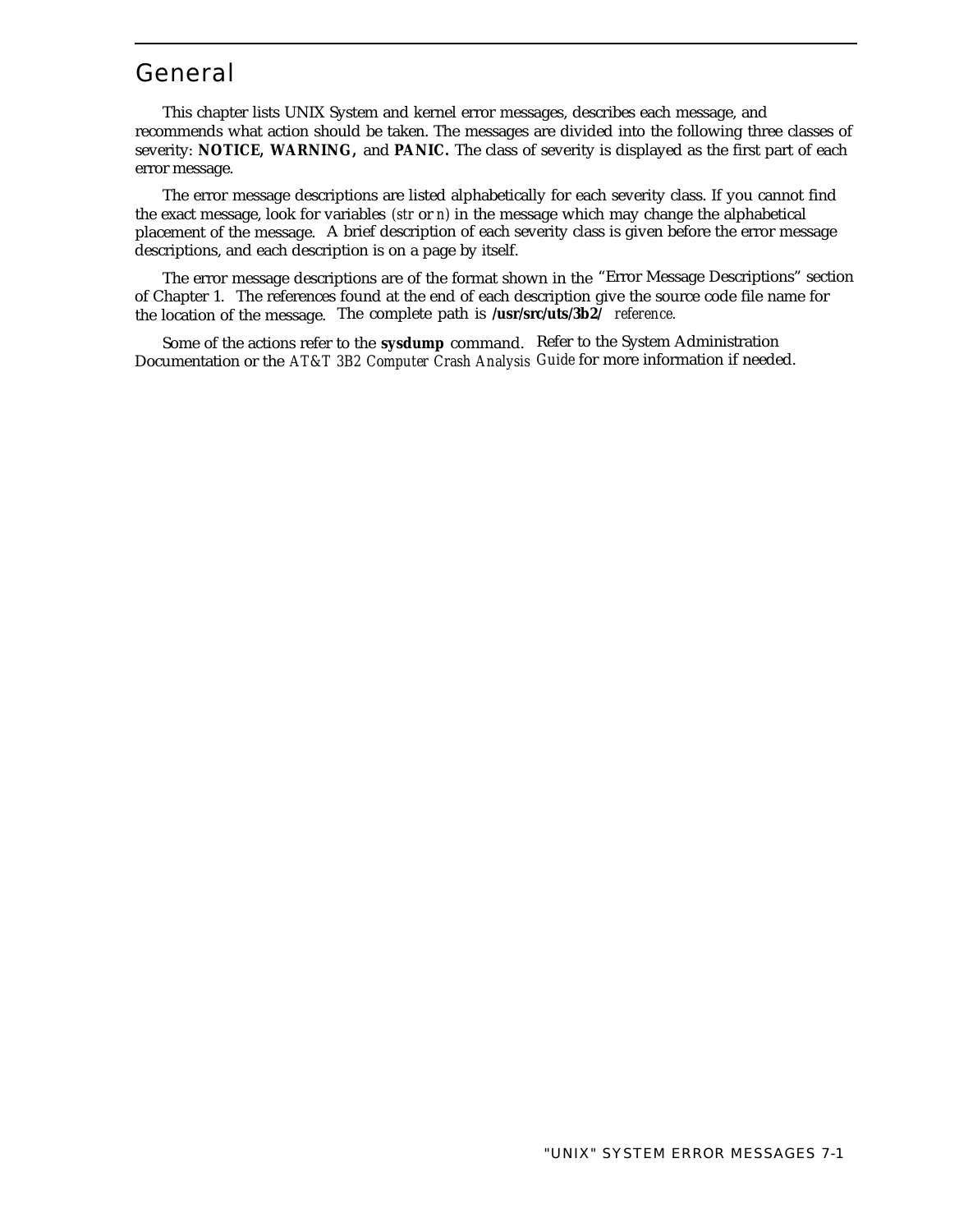## General

This chapter lists UNIX System and kernel error messages, describes each message, and recommends what action should be taken. The messages are divided into the following three classes of severity: **NOTICE, WARNING,** and **PANIC.** The class of severity is displayed as the first part of each error message.

The error message descriptions are listed alphabetically for each severity class. If you cannot find the exact message, look for variables *(str* or *n)* in the message which may change the alphabetical placement of the message. A brief description of each severity class is given before the error message descriptions, and each description is on a page by itself.

The error message descriptions are of the format shown in the "Error Message Descriptions" section of Chapter 1. The references found at the end of each description give the source code file name for the location of the message. The complete path is **/usr/src/uts/3b2/** *reference.*

Some of the actions refer to the **sysdump** command. Refer to the System Administration Documentation or the *AT&T 3B2 Computer Crash Analysis Guide* for more information if needed.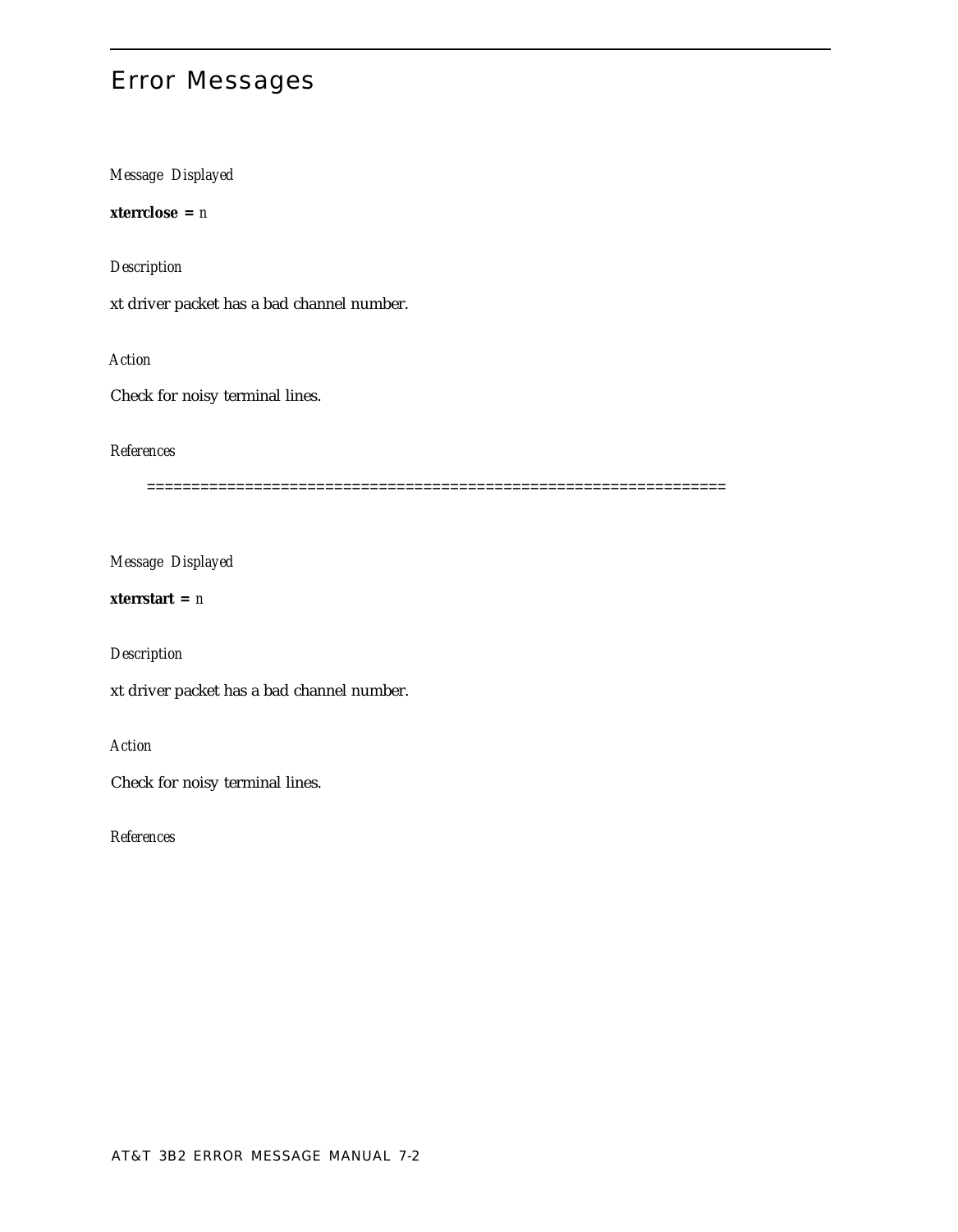# Error Messages

*Message Displayed*

**xterrclose =** *n*

*Description*

xt driver packet has a bad channel number.

*Action*

Check for noisy terminal lines.

## *References*

=================================================================

*Message Displayed*

## **xterrstart =** *n*

*Description*

xt driver packet has a bad channel number.

*Action*

Check for noisy terminal lines.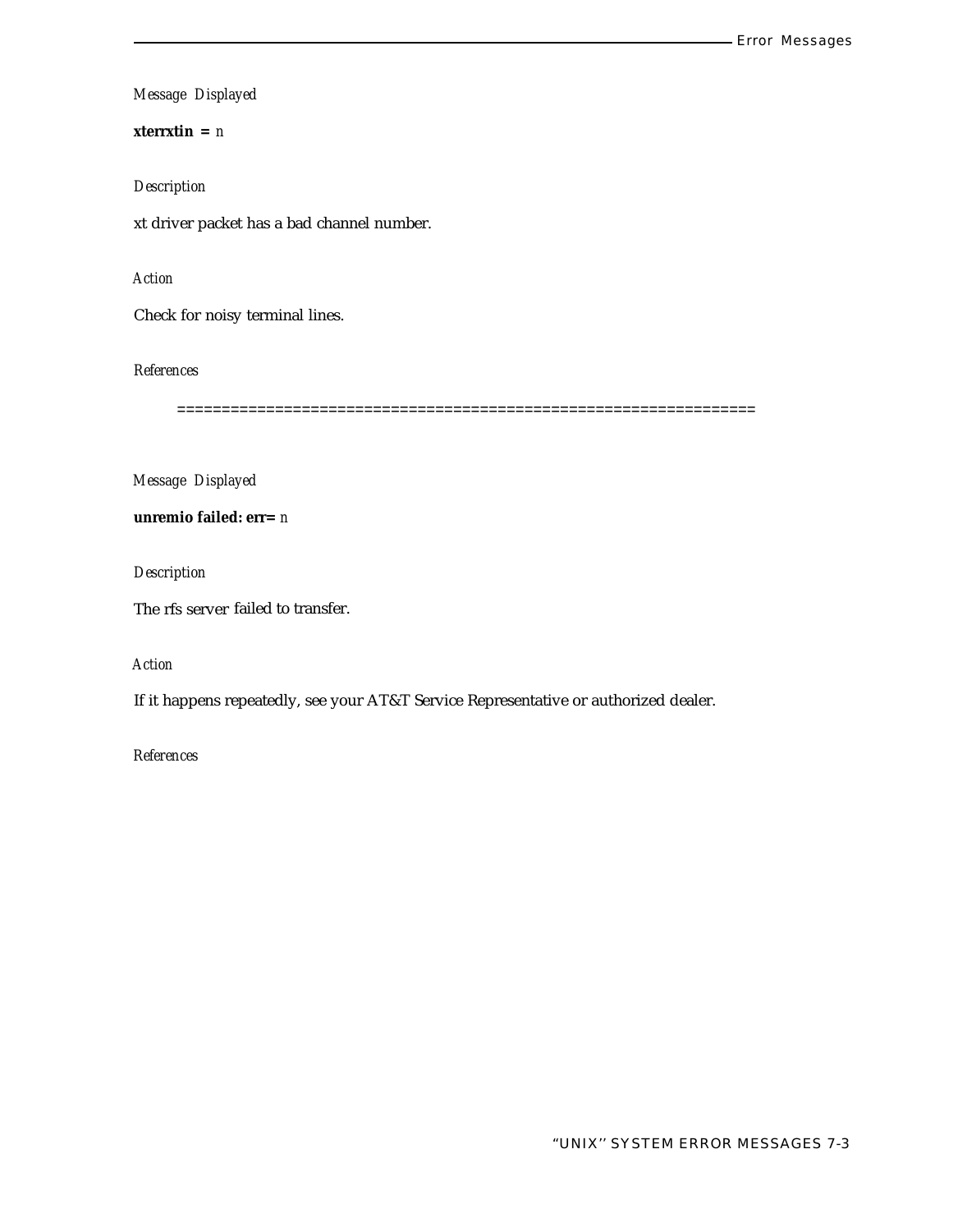## **xterrxtin =** *n*

## *Description*

xt driver packet has a bad channel number.

## *Action*

Check for noisy terminal lines.

## *References*

=================================================================

## *Message Displayed*

**unremio failed: err=** *n*

*Description*

The rfs server failed to transfer.

## *Action*

If it happens repeatedly, see your AT&T Service Representative or authorized dealer.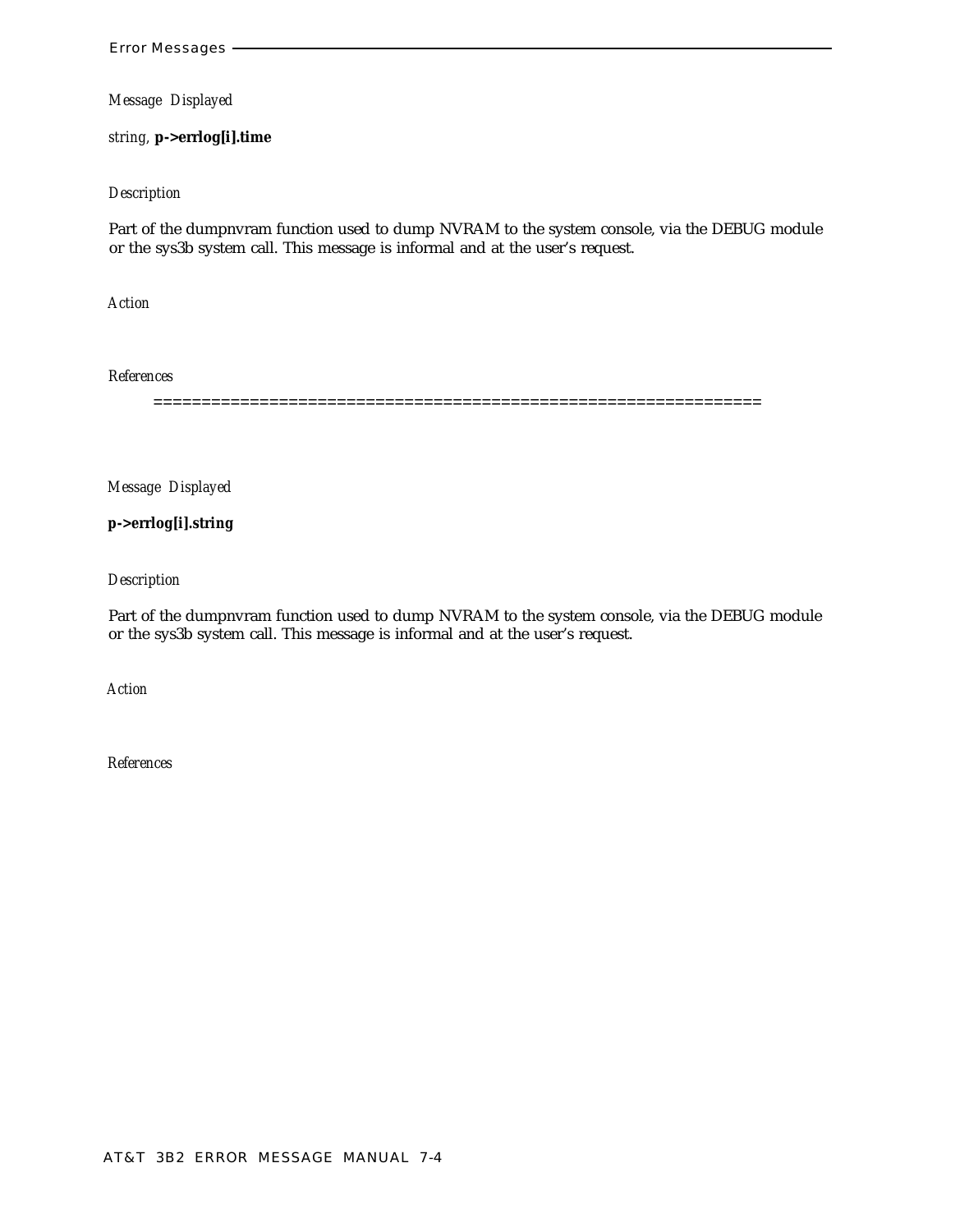*string,* **p->errlog[i].time**

#### *Description*

Part of the dumpnvram function used to dump NVRAM to the system console, via the DEBUG module or the sys3b system call. This message is informal and at the user's request.

*Action*

*References*

===============================================================

*Message Displayed*

**p->errlog[i].string**

*Description*

Part of the dumpnvram function used to dump NVRAM to the system console, via the DEBUG module or the sys3b system call. This message is informal and at the user's request.

*Action*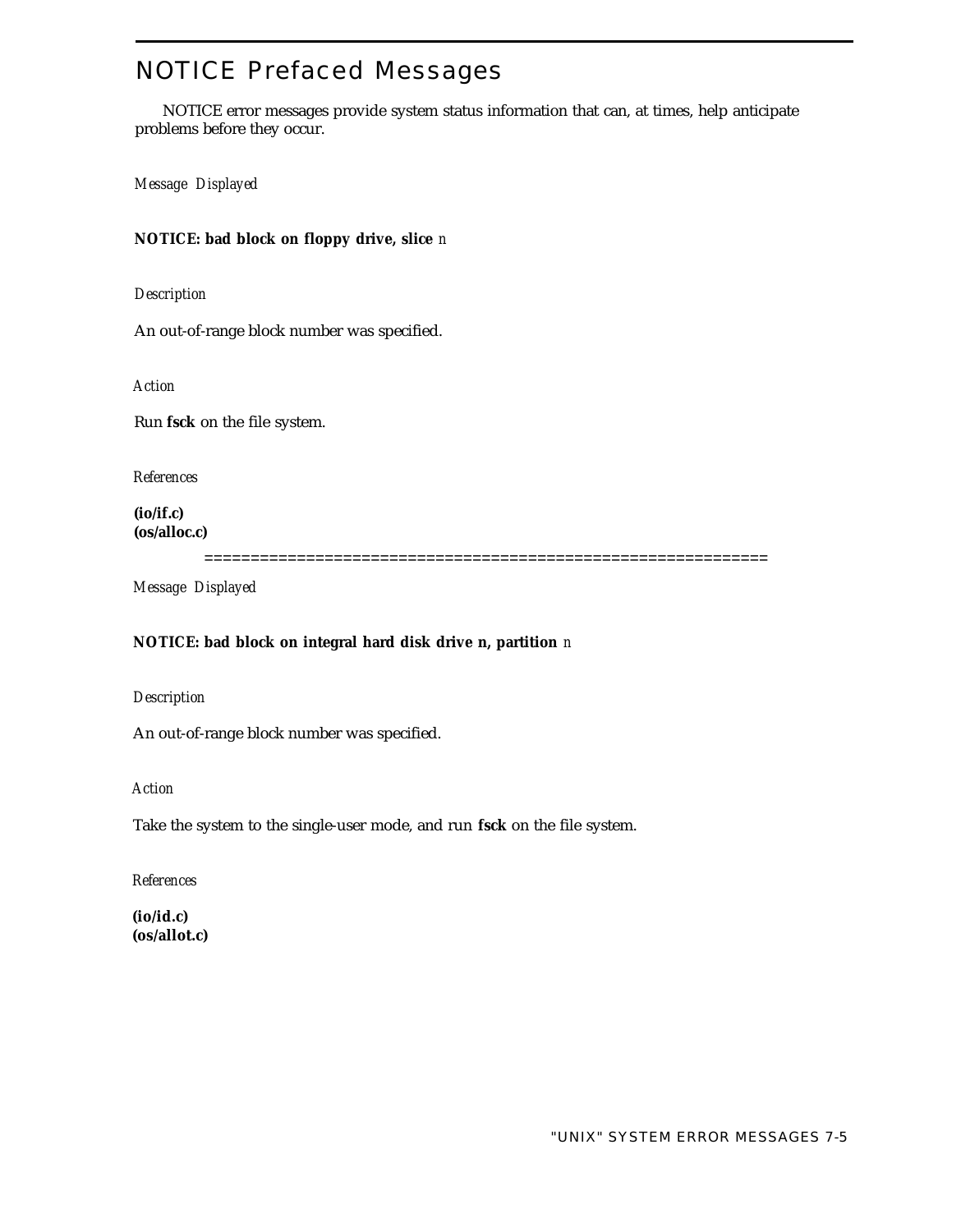# NOTICE Prefaced Messages

NOTICE error messages provide system status information that can, at times, help anticipate problems before they occur.

*Message Displayed*

## **NOTICE: bad block on floppy drive, slice** *n*

*Description*

An out-of-range block number was specified.

*Action*

Run **fsck** on the file system.

*References*

**(io/if.c) (os/alloc.c)**

=============================================================

*Message Displayed*

## **NOTICE: bad block on integral hard disk drive n, partition** *n*

*Description*

An out-of-range block number was specified.

*Action*

Take the system to the single-user mode, and run **fsck** on the file system.

*References*

**(io/id.c) (os/allot.c)**

"UNIX" SYSTEM ERROR MESSAGES 7-5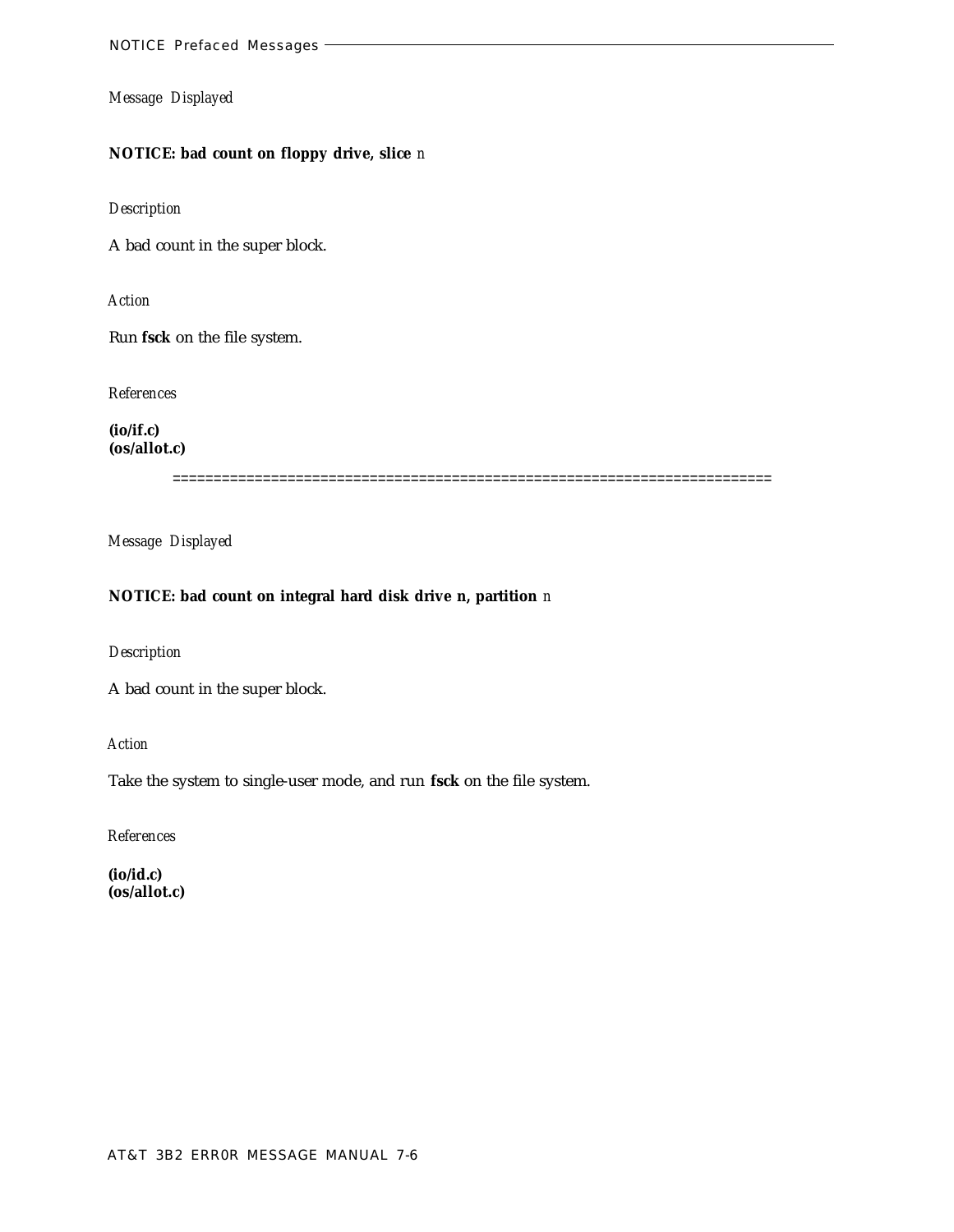## **NOTICE: bad count on floppy drive, slice** *n*

*Description*

A bad count in the super block.

*Action*

Run **fsck** on the file system.

*References*

**(io/if.c) (os/allot.c)**

=========================================================================

*Message Displayed*

#### **NOTICE: bad count on integral hard disk drive n, partition** *n*

*Description*

A bad count in the super block.

*Action*

Take the system to single-user mode, and run **fsck** on the file system.

*References*

**(io/id.c) (os/allot.c)**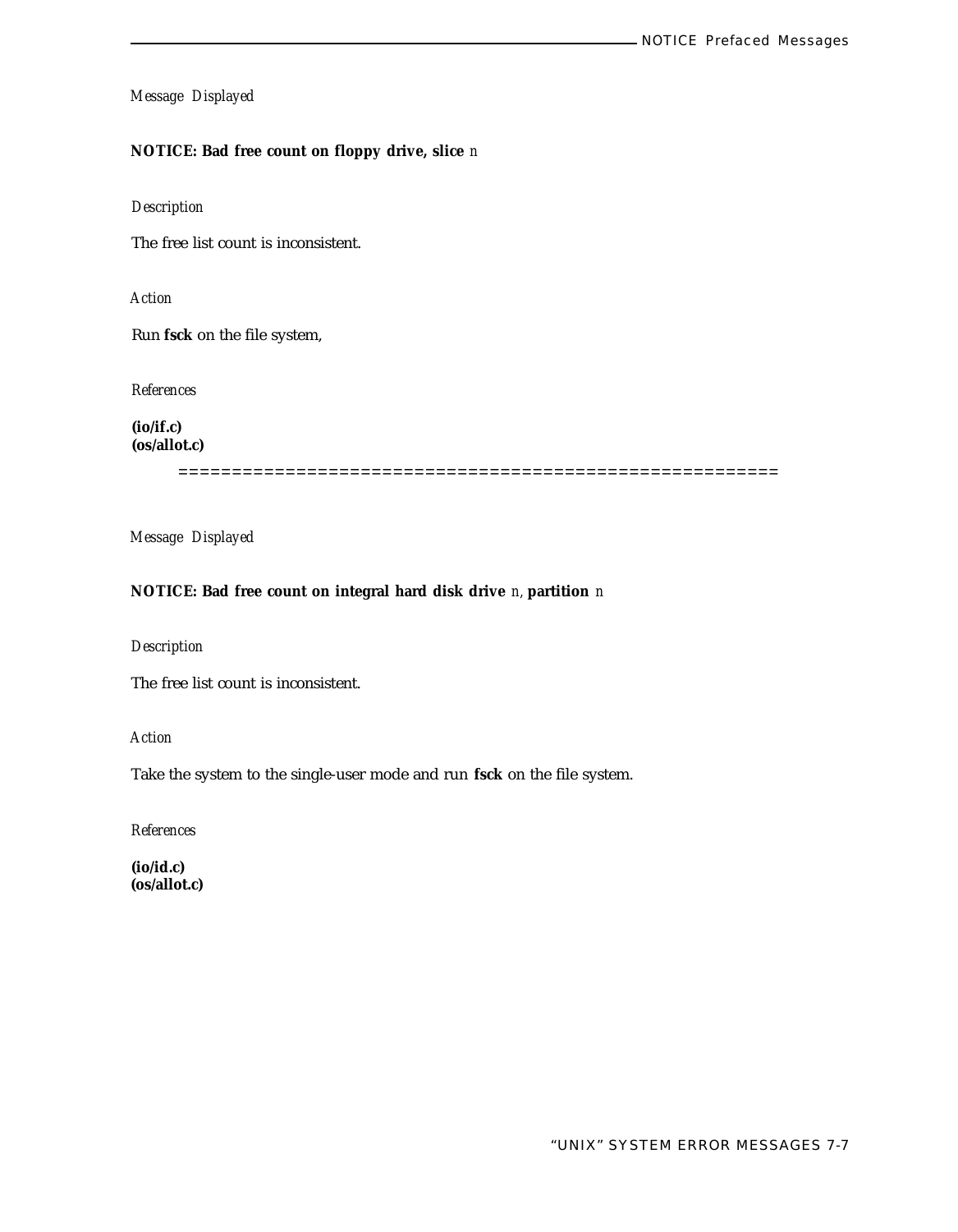## **NOTICE: Bad free count on floppy drive, slice** *n*

## *Description*

The free list count is inconsistent.

*Action*

Run **fsck** on the file system,

*References*

**(io/if.c) (os/allot.c)**

========================================================

*Message Displayed*

## **NOTICE: Bad free count on integral hard disk drive** *n,* **partition** *n*

*Description*

The free list count is inconsistent.

*Action*

Take the system to the single-user mode and run **fsck** on the file system.

*References*

**(io/id.c) (os/allot.c)**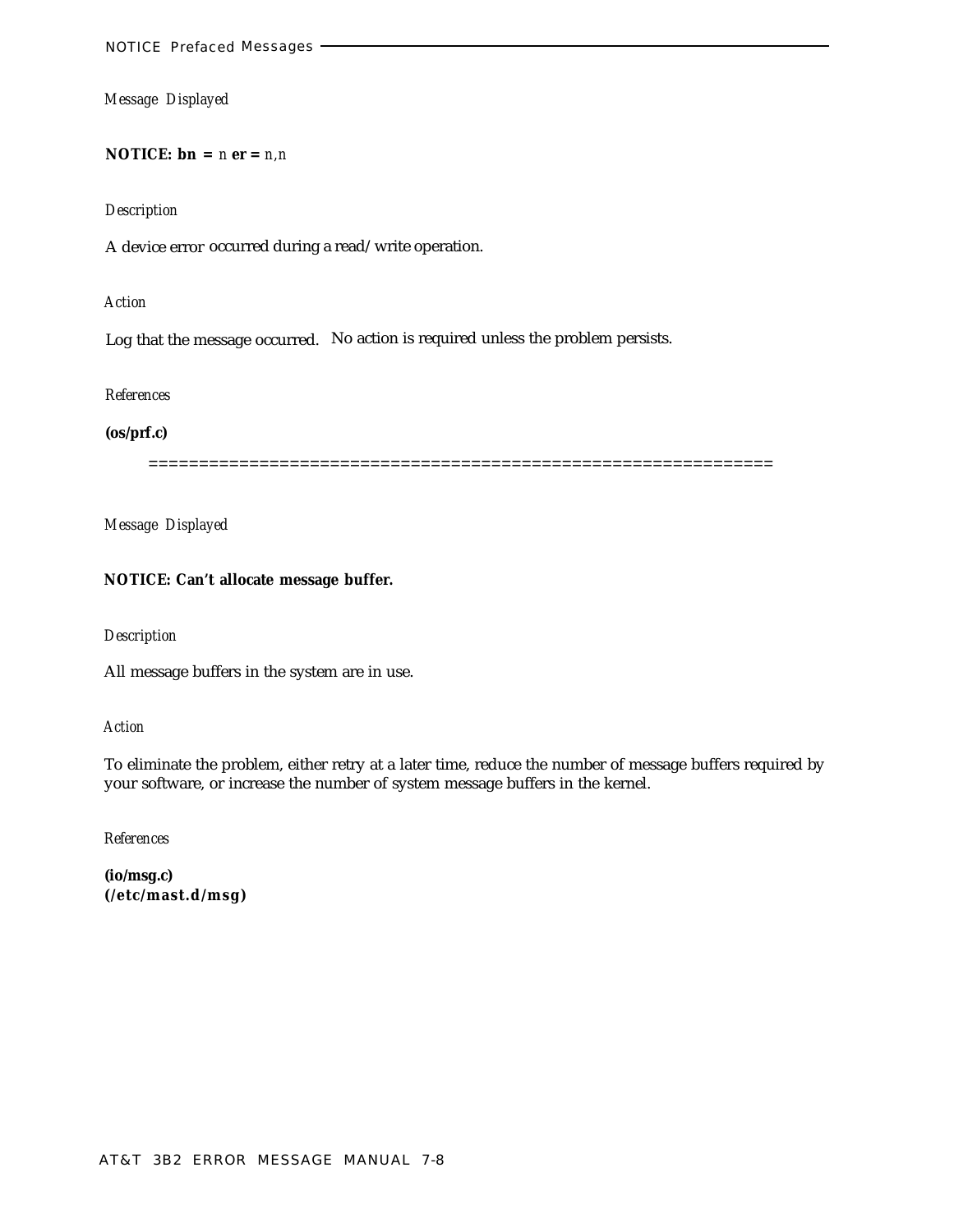**NOTICE:**  $\mathbf{bn} = n \mathbf{er} = n, n$ 

#### *Description*

A device error occurred during a read/write operation.

#### *Action*

Log that the message occurred. No action is required unless the problem persists.

#### *References*

## **(os/prf.c)**

==============================================================

*Message Displayed*

#### **NOTICE: Can't allocate message buffer.**

#### *Description*

All message buffers in the system are in use.

#### *Action*

To eliminate the problem, either retry at a later time, reduce the number of message buffers required by your software, or increase the number of system message buffers in the kernel.

*References*

**(io/msg.c) (/etc/mast.d/msg)**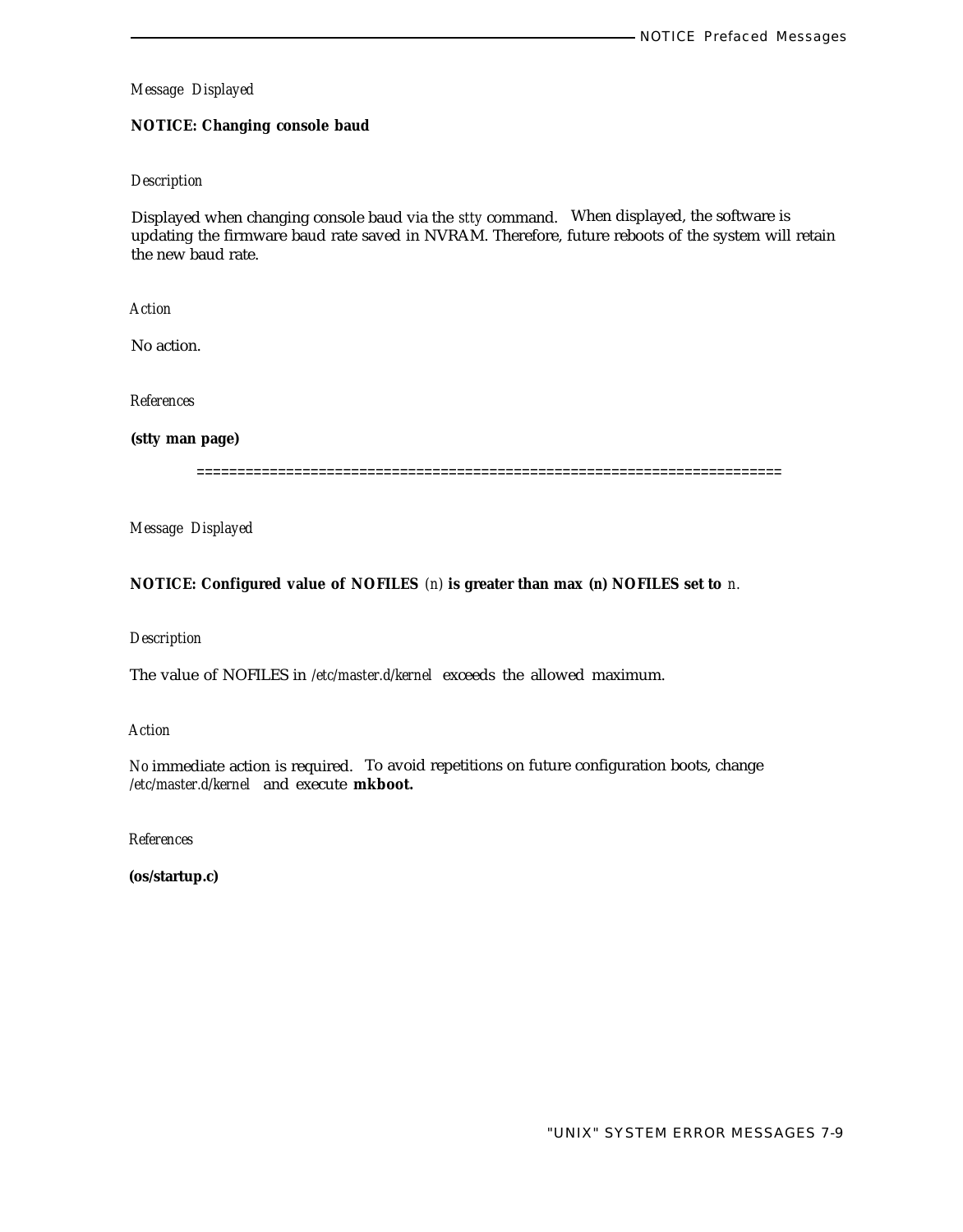## **NOTICE: Changing console baud**

### *Description*

Displayed when changing console baud via the *stty* command. When displayed, the software is updating the firmware baud rate saved in NVRAM. Therefore, future reboots of the system will retain the new baud rate.

*Action*

No action.

*References*

**(stty man page)**

========================================================================

*Message Displayed*

## **NOTICE: Configured value of NOFILES** *(n)* **is greater than max** *(n)* **NOFILES set to** *n.*

## *Description*

The value of NOFILES in */etc/master.d/kernel* exceeds the allowed maximum.

*Action*

*No* immediate action is required. To avoid repetitions on future configuration boots, change */etc/master.d/kernel* and execute **mkboot.**

*References*

**(os/startup.c)**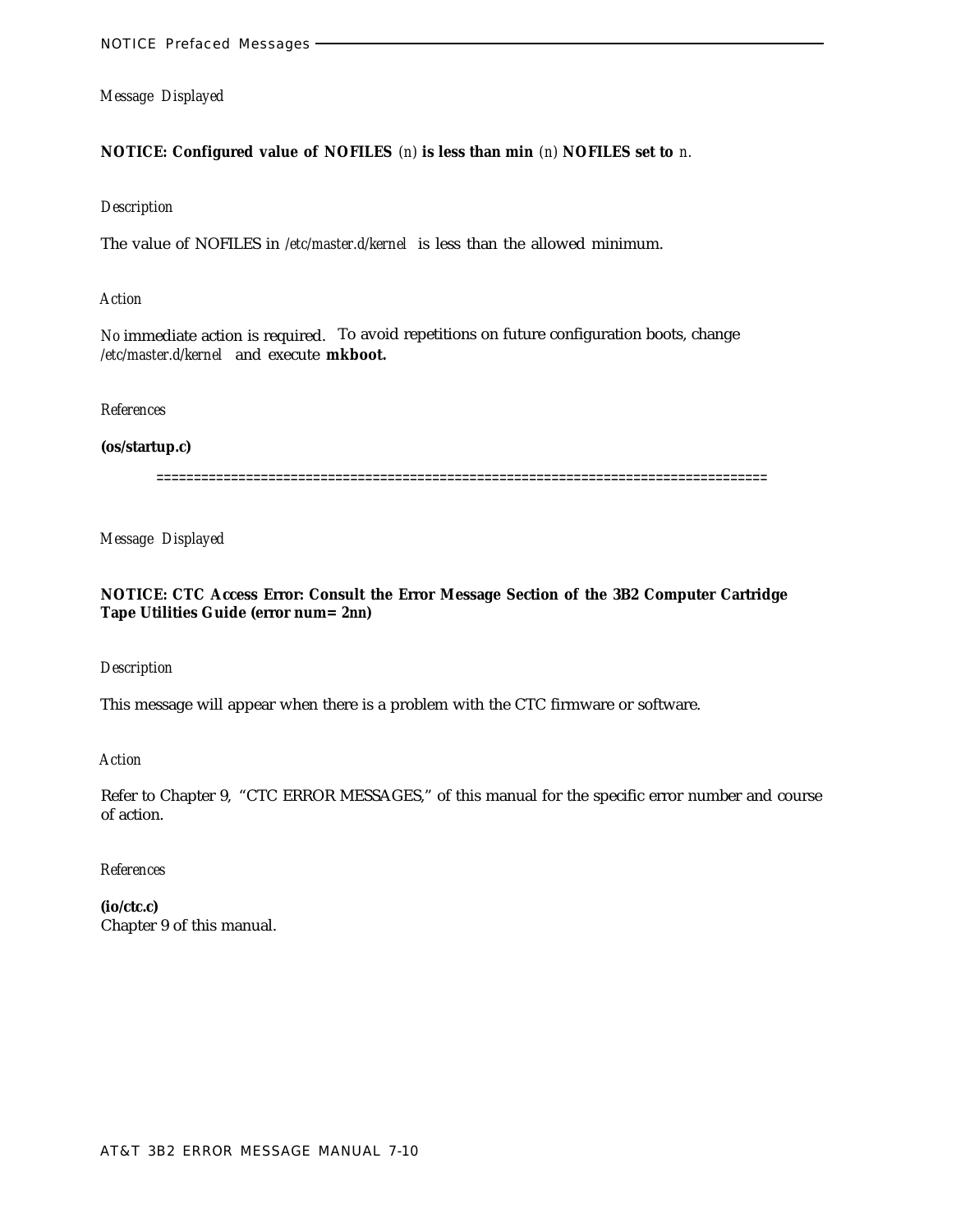## **NOTICE: Configured value of NOFILES** *(n)* **is less than min** *(n)* **NOFILES set to** *n.*

#### *Description*

The value of NOFILES in */etc/master.d/kernel* is less than the allowed minimum.

#### *Action*

*No* immediate action is required. To avoid repetitions on future configuration boots, change */etc/master.d/kernel* and execute **mkboot.**

## *References*

#### **(os/startup.c)**

==================================================================================

*Message Displayed*

## **NOTICE: CTC Access Error: Consult the Error Message Section of the 3B2 Computer Cartridge Tape Utilities Guide (error num=** *2nn)*

## *Description*

This message will appear when there is a problem with the CTC firmware or software.

*Action*

Refer to Chapter 9, "CTC ERROR MESSAGES," of this manual for the specific error number and course of action.

## *References*

**(io/ctc.c)** Chapter 9 of this manual.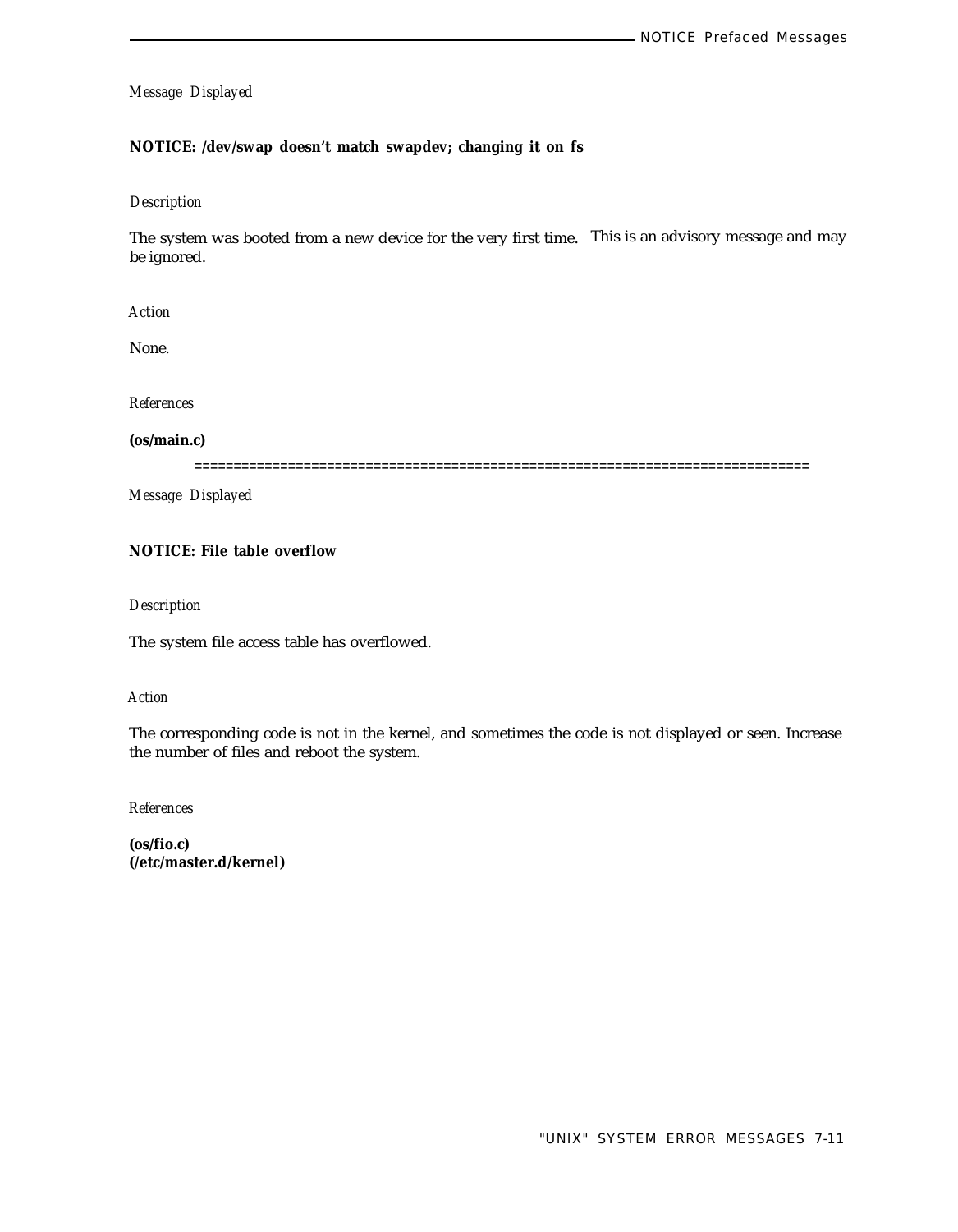## **NOTICE: /dev/swap doesn't match swapdev; changing it on fs**

#### *Description*

The system was booted from a new device for the very first time. This is an advisory message and may be ignored.

*Action*

None.

*References*

**(os/main.c)**

===============================================================================

*Message Displayed*

## **NOTICE: File table overflow**

*Description*

The system file access table has overflowed.

## *Action*

The corresponding code is not in the kernel, and sometimes the code is not displayed or seen. Increase the number of files and reboot the system.

*References*

**(os/fio.c) (/etc/master.d/kernel)**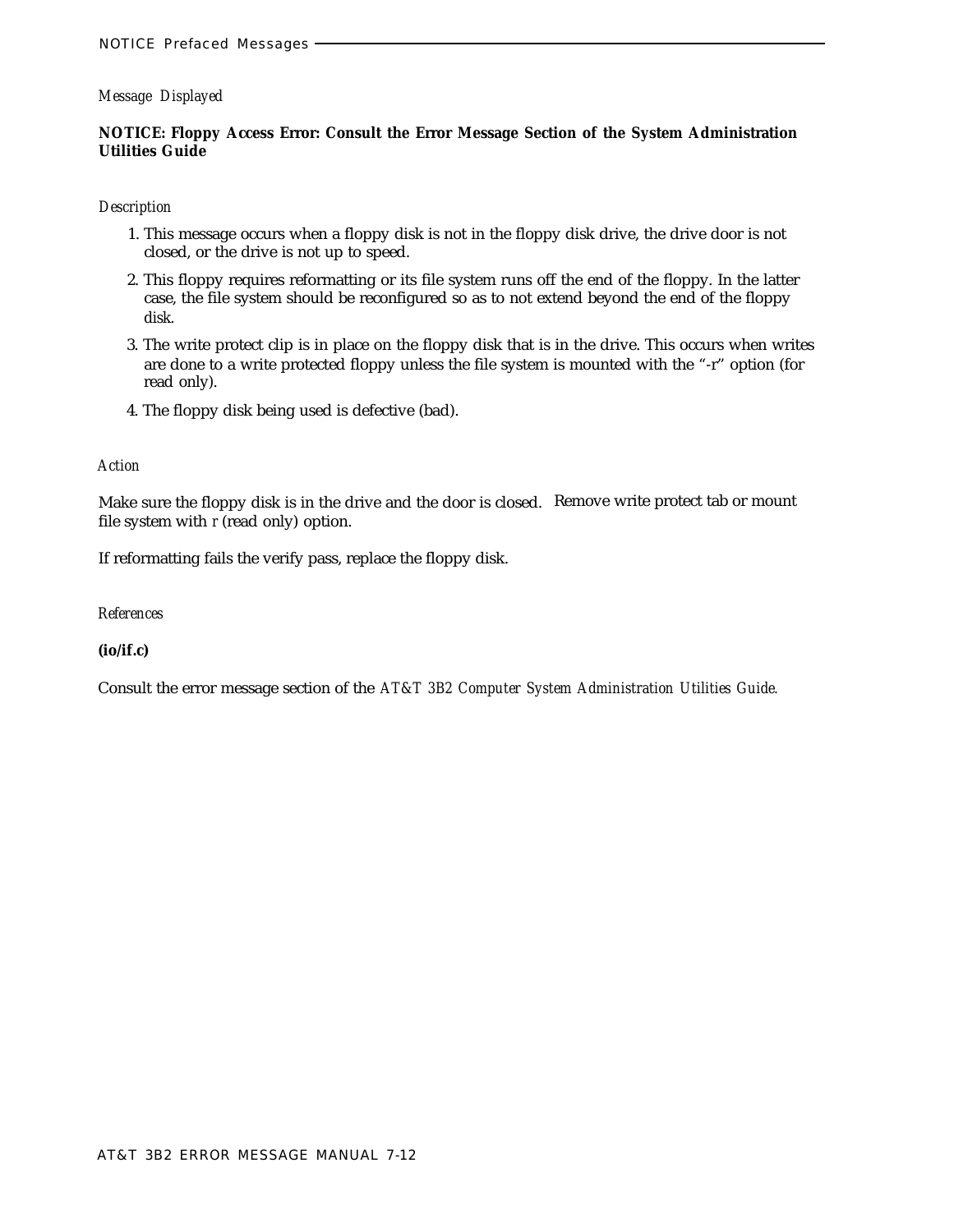## **NOTICE: Floppy Access Error: Consult the Error Message Section of the System Administration Utilities Guide**

#### *Description*

- 1. This message occurs when a floppy disk is not in the floppy disk drive, the drive door is not closed, or the drive is not up to speed.
- 2. This floppy requires reformatting or its file system runs off the end of the floppy. In the latter case, the file system should be reconfigured so as to not extend beyond the end of the floppy disk.
- 3. The write protect clip is in place on the floppy disk that is in the drive. This occurs when writes are done to a write protected floppy unless the file system is mounted with the "-r" option (for read only).
- 4. The floppy disk being used is defective (bad).

## *Action*

Make sure the floppy disk is in the drive and the door is closed. Remove write protect tab or mount file system with *r* (read only) option.

If reformatting fails the verify pass, replace the floppy disk.

## *References*

## **(io/if.c)**

Consult the error message section of the *AT&T 3B2 Computer System Administration Utilities Guide.*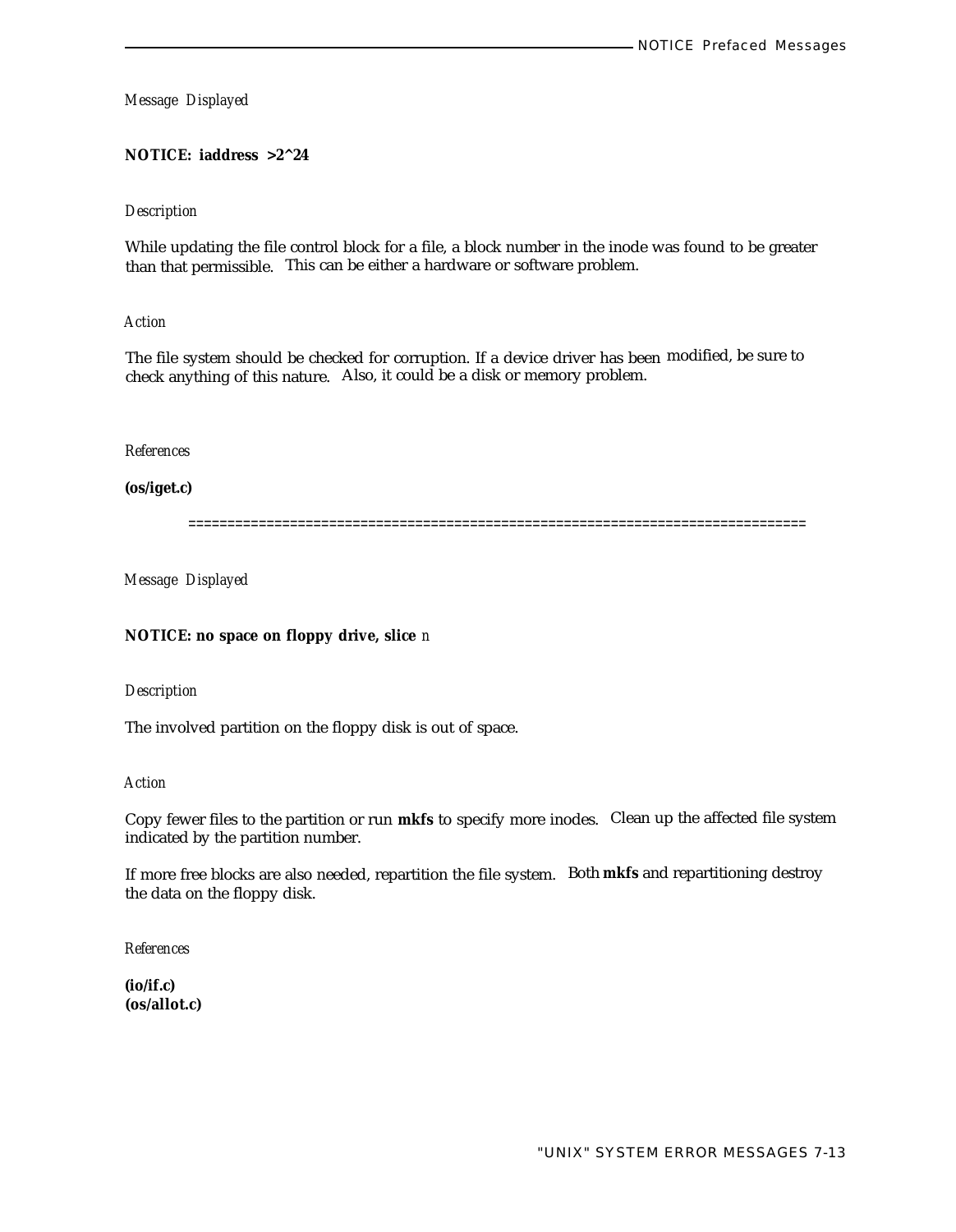**NOTICE: iaddress >2^24**

#### *Description*

While updating the file control block for a file, a block number in the inode was found to be greater than that permissible. This can be either a hardware or software problem.

*Action*

The file system should be checked for corruption. If a device driver has been modified, be sure to check anything of this nature. Also, it could be a disk or memory problem.

*References*

**(os/iget.c)**

===============================================================================

*Message Displayed*

**NOTICE: no space on floppy drive, slice** *n*

*Description*

The involved partition on the floppy disk is out of space.

*Action*

Copy fewer files to the partition or run **mkfs** to specify more inodes. Clean up the affected file system indicated by the partition number.

If more free blocks are also needed, repartition the file system. Both **mkfs** and repartitioning destroy the data on the floppy disk.

*References*

**(io/if.c) (os/allot.c)**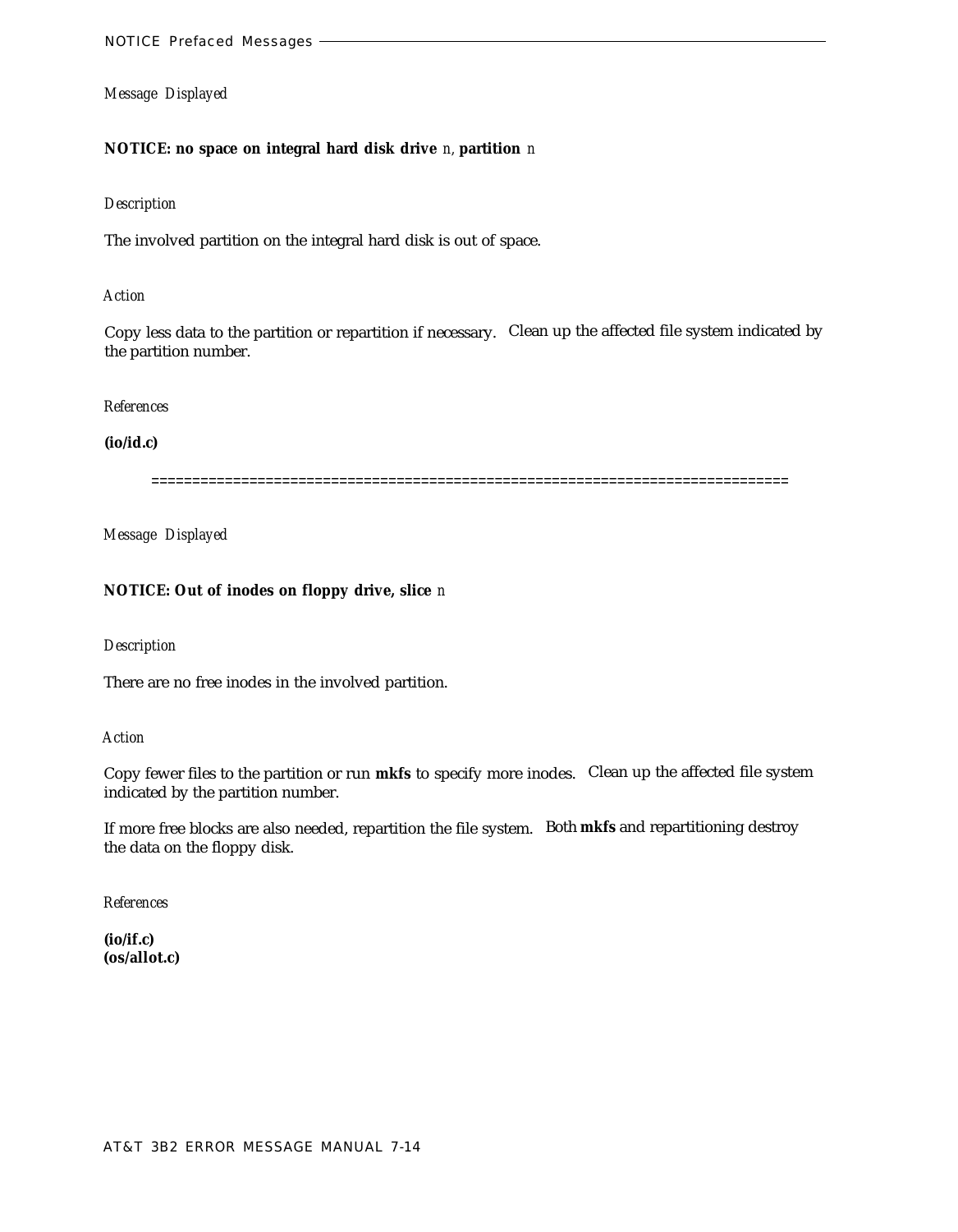# **NOTICE: no space on integral hard disk drive** *n,* **partition** *n*

#### *Description*

The involved partition on the integral hard disk is out of space.

#### *Action*

Copy less data to the partition or repartition if necessary. Clean up the affected file system indicated by the partition number.

#### *References*

#### **(io/id.c)**

==============================================================================

*Message Displayed*

## **NOTICE: Out of inodes on floppy drive, slice** *n*

#### *Description*

There are no free inodes in the involved partition.

#### *Action*

Copy fewer files to the partition or run **mkfs** to specify more inodes. Clean up the affected file system indicated by the partition number.

If more free blocks are also needed, repartition the file system. Both **mkfs** and repartitioning destroy the data on the floppy disk.

*References*

**(io/if.c) (os/allot.c)**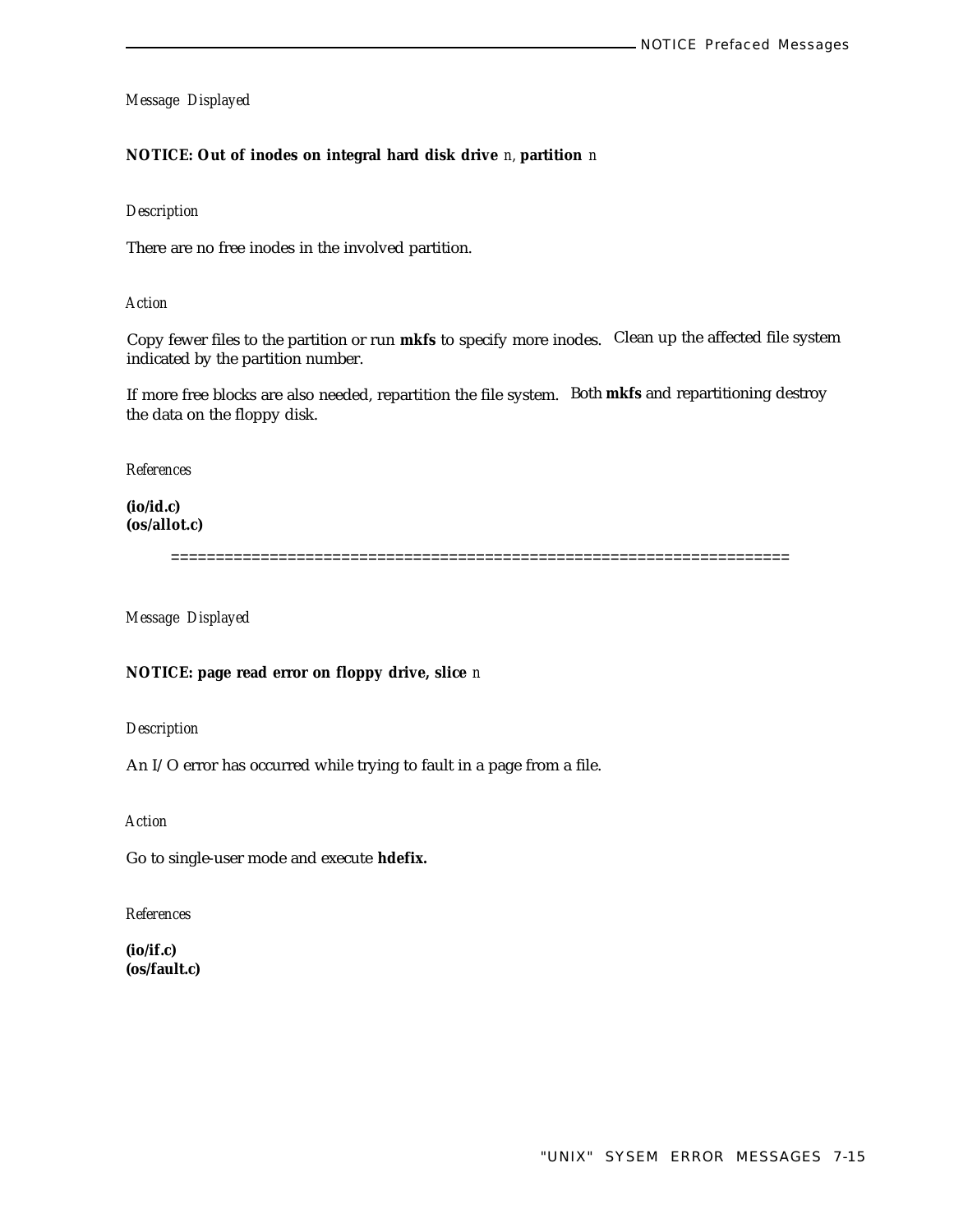#### **NOTICE: Out of inodes on integral hard disk drive** *n,* **partition** *n*

#### *Description*

There are no free inodes in the involved partition.

*Action*

Copy fewer files to the partition or run **mkfs** to specify more inodes. Clean up the affected file system indicated by the partition number.

If more free blocks are also needed, repartition the file system. Both **mkfs** and repartitioning destroy the data on the floppy disk.

*References*

**(io/id.c) (os/allot.c)**

=====================================================================

*Message Displayed*

## **NOTICE: page read error on floppy drive, slice** *n*

*Description*

An I/O error has occurred while trying to fault in a page from a file.

*Action*

Go to single-user mode and execute **hdefix.**

*References*

**(io/if.c) (os/fault.c)**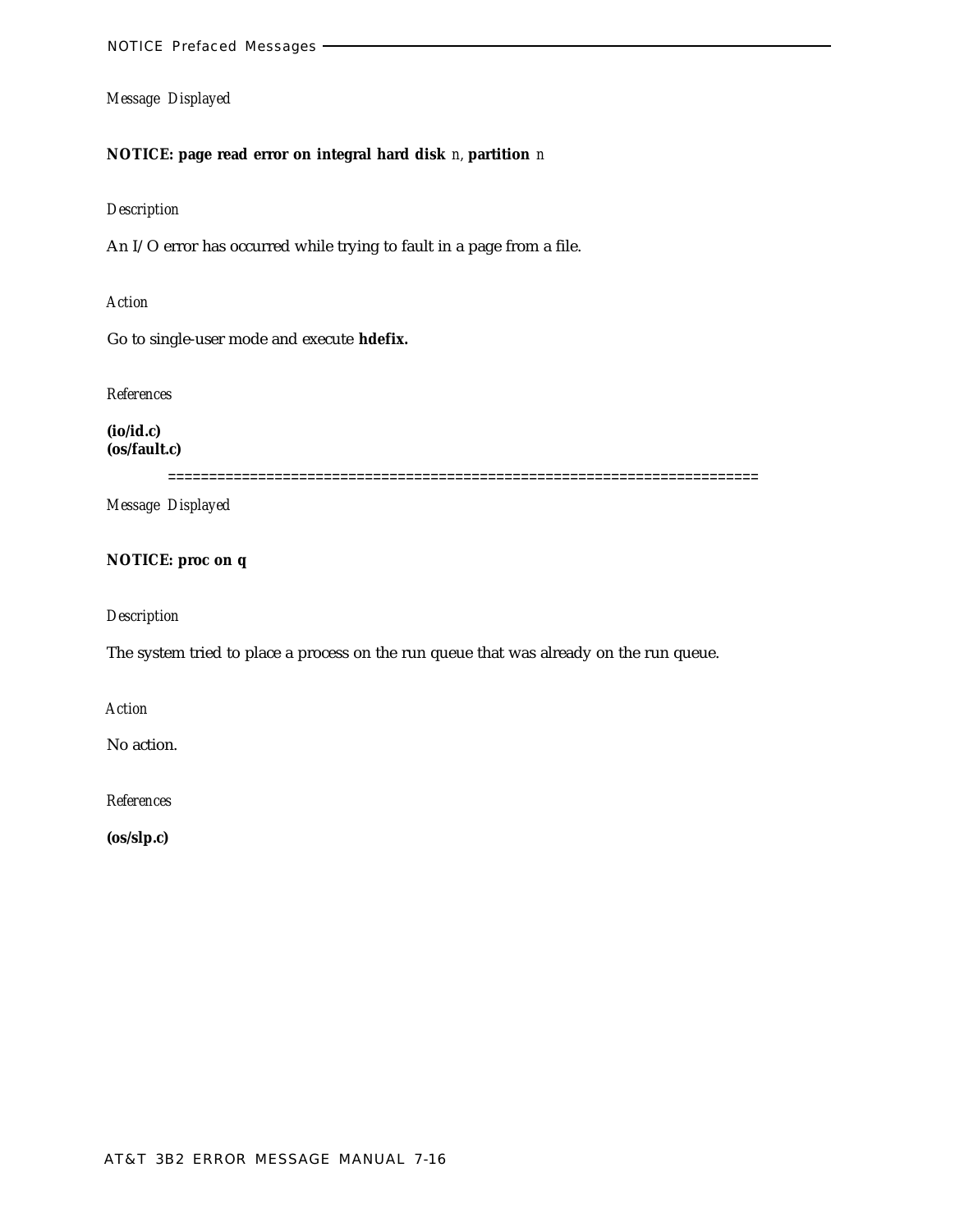# **NOTICE: page read error on integral hard disk** *n,* **partition** *n*

#### *Description*

An I/O error has occurred while trying to fault in a page from a file.

*Action*

Go to single-user mode and execute **hdefix.**

*References*

**(io/id.c) (os/fault.c)**

========================================================================

*Message Displayed*

# **NOTICE: proc on q**

*Description*

The system tried to place a process on the run queue that was already on the run queue.

*Action*

No action.

*References*

**(os/slp.c)**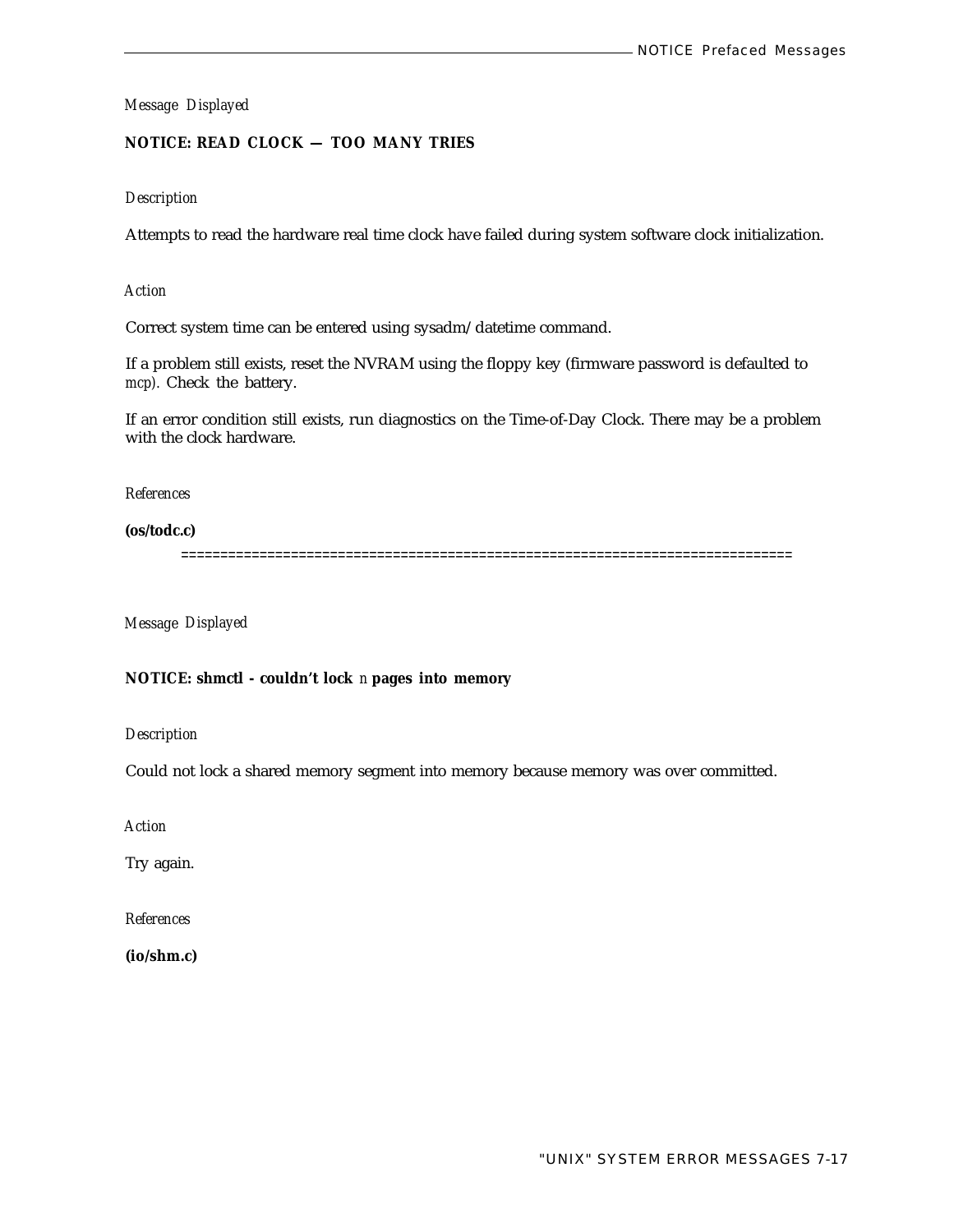# **NOTICE: READ CLOCK — TOO MANY TRIES**

## *Description*

Attempts to read the hardware real time clock have failed during system software clock initialization.

*Action*

Correct system time can be entered using sysadm/datetime command.

If a problem still exists, reset the NVRAM using the floppy key (firmware password is defaulted to *mcp).* Check the battery.

If an error condition still exists, run diagnostics on the Time-of-Day Clock. There may be a problem with the clock hardware.

*References*

**(os/todc.c)**

==============================================================================

*Message Displayed*

#### **NOTICE: shmctl - couldn't lock** *n* **pages into memory**

*Description*

Could not lock a shared memory segment into memory because memory was over committed.

*Action*

Try again.

*References*

**(io/shm.c)**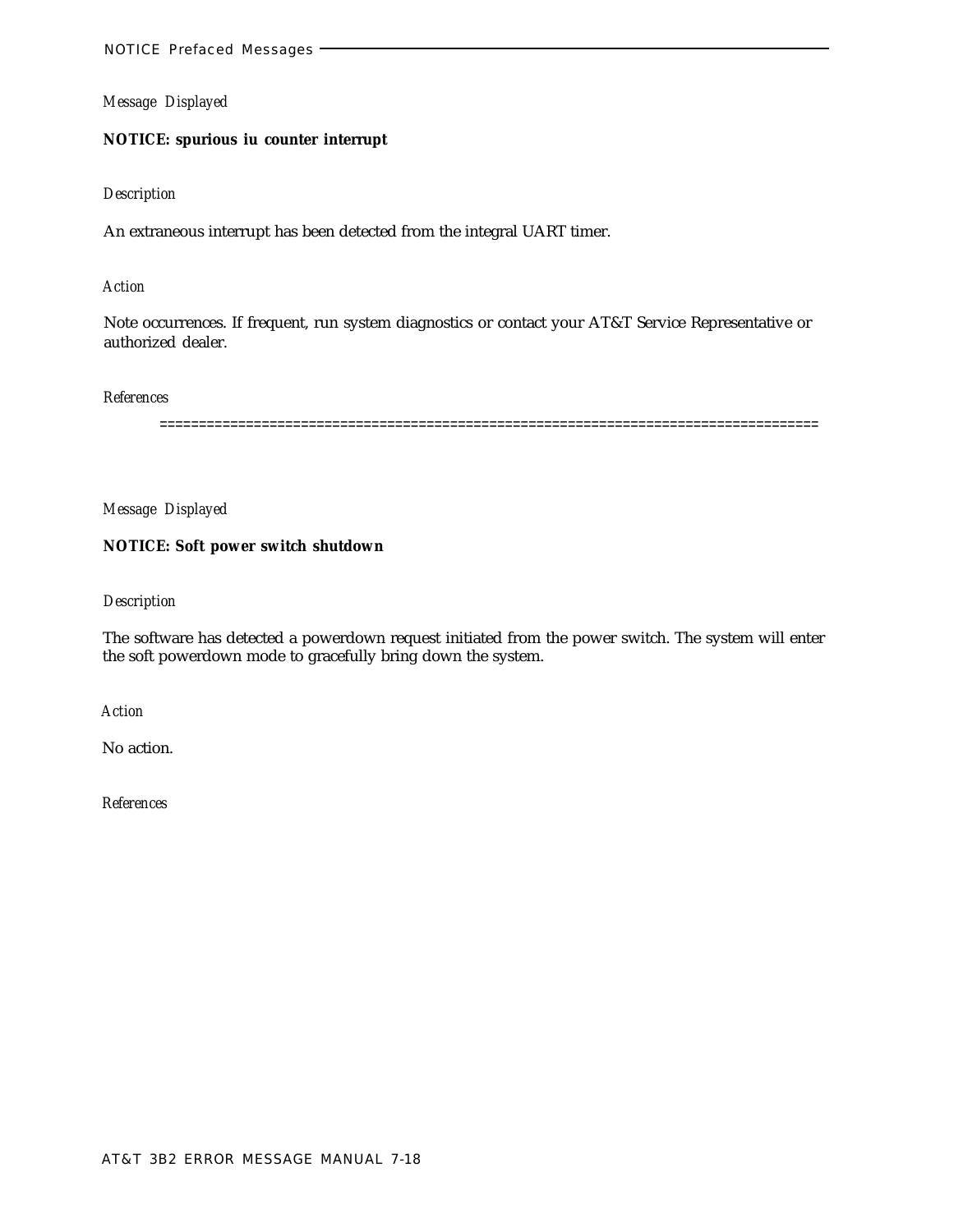# **NOTICE: spurious iu counter interrupt**

#### *Description*

An extraneous interrupt has been detected from the integral UART timer.

#### *Action*

Note occurrences. If frequent, run system diagnostics or contact your AT&T Service Representative or authorized dealer.

#### *References*

====================================================================================

*Message Displayed*

# **NOTICE: Soft power switch shutdown**

## *Description*

The software has detected a powerdown request initiated from the power switch. The system will enter the soft powerdown mode to gracefully bring down the system.

*Action*

No action.

*References*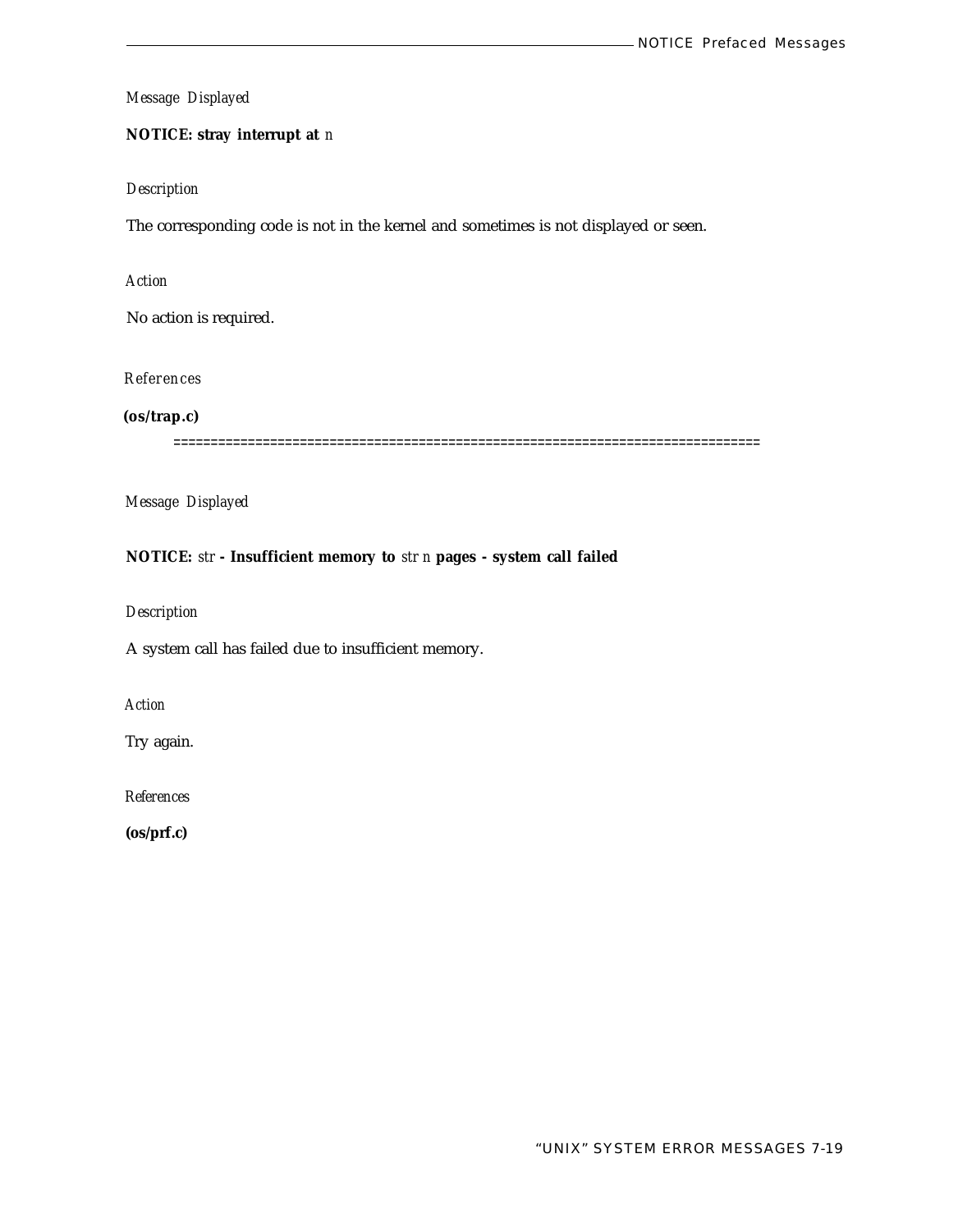# **NOTICE: stray interrupt at** *n*

#### *Description*

The corresponding code is not in the kernel and sometimes is not displayed or seen.

## *Action*

No action is required.

# *References*

**(os/trap.c)**

===============================================================================

*Message Displayed*

# **NOTICE:** *str* **- Insufficient memory to** *str n* **pages - system call failed**

*Description*

A system call has failed due to insufficient memory.

*Action*

Try again.

*References*

**(os/prf.c)**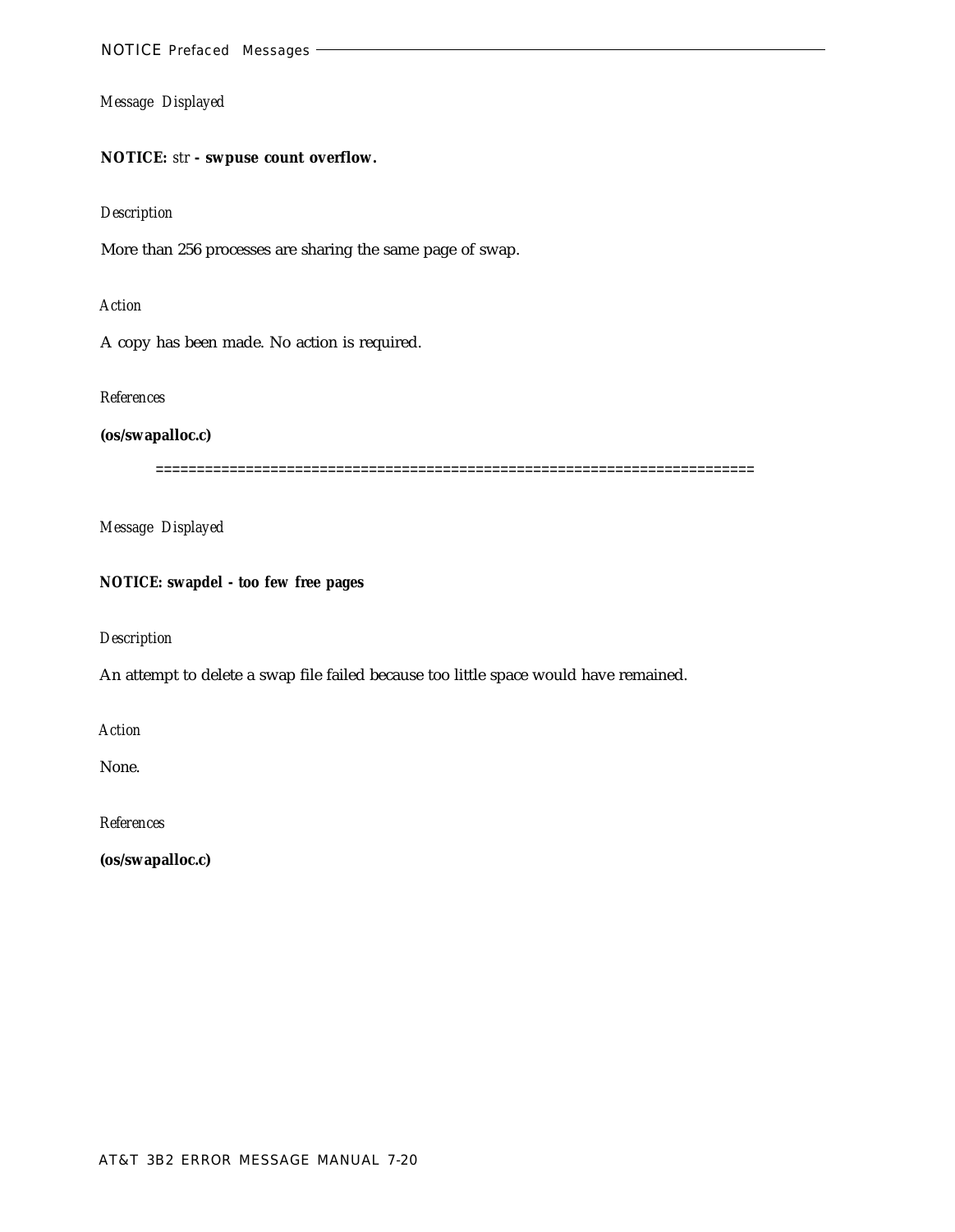# **NOTICE:** *str* **- swpuse count overflow.**

### *Description*

More than 256 processes are sharing the same page of swap.

# *Action*

A copy has been made. No action is required.

#### *References*

# **(os/swapalloc.c)**

=========================================================================

*Message Displayed*

# **NOTICE: swapdel - too few free pages**

#### *Description*

An attempt to delete a swap file failed because too little space would have remained.

*Action*

None.

*References*

**(os/swapalloc.c)**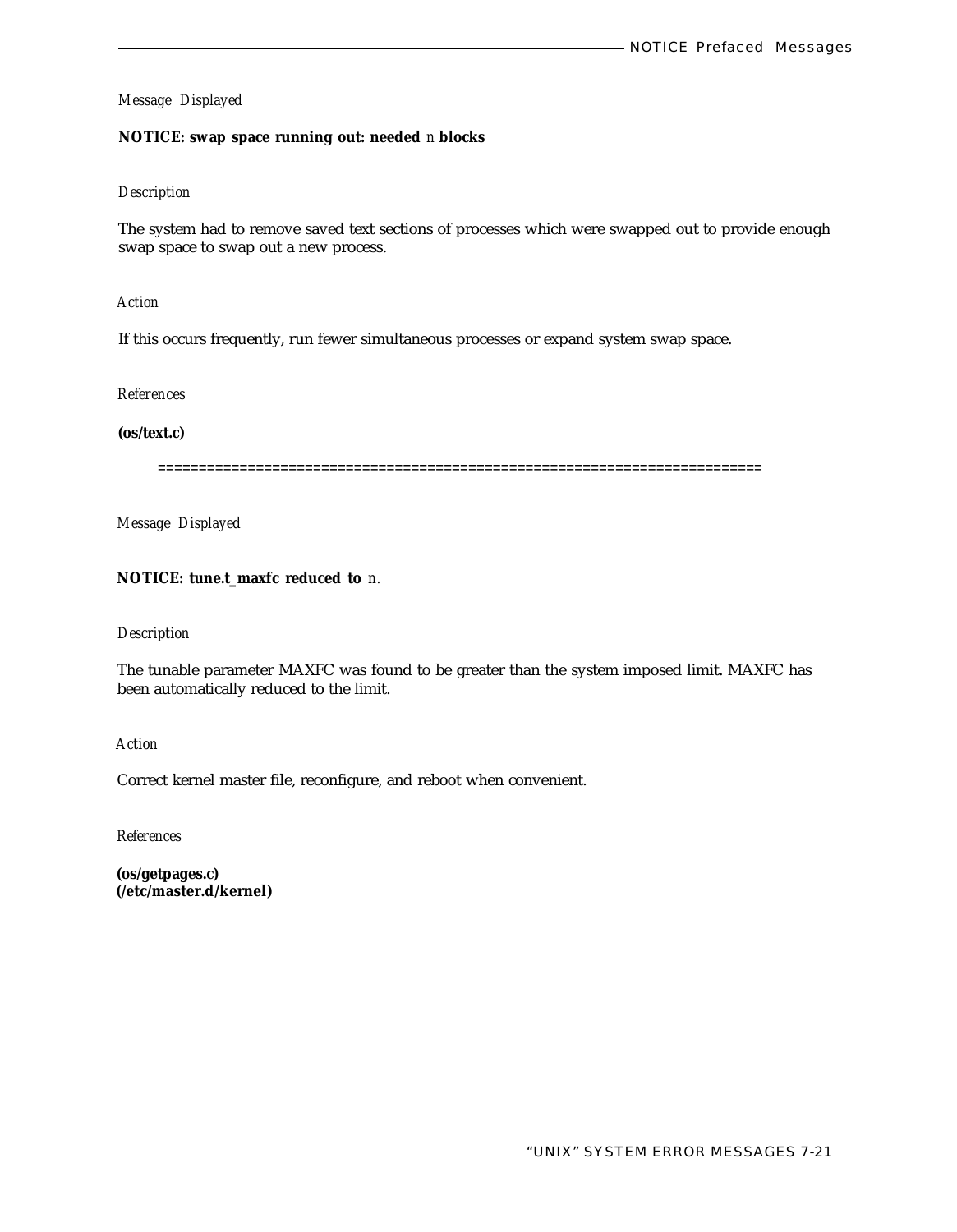## **NOTICE: swap space running out: needed** *n* **blocks**

## *Description*

The system had to remove saved text sections of processes which were swapped out to provide enough swap space to swap out a new process.

# *Action*

If this occurs frequently, run fewer simultaneous processes or expand system swap space.

#### *References*

# **(os/text.c)**

==========================================================================

*Message Displayed*

## **NOTICE: tune.t\_maxfc reduced to** *n.*

# *Description*

The tunable parameter MAXFC was found to be greater than the system imposed limit. MAXFC has been automatically reduced to the limit.

#### *Action*

Correct kernel master file, reconfigure, and reboot when convenient.

*References*

**(os/getpages.c) (/etc/master.d/kernel)**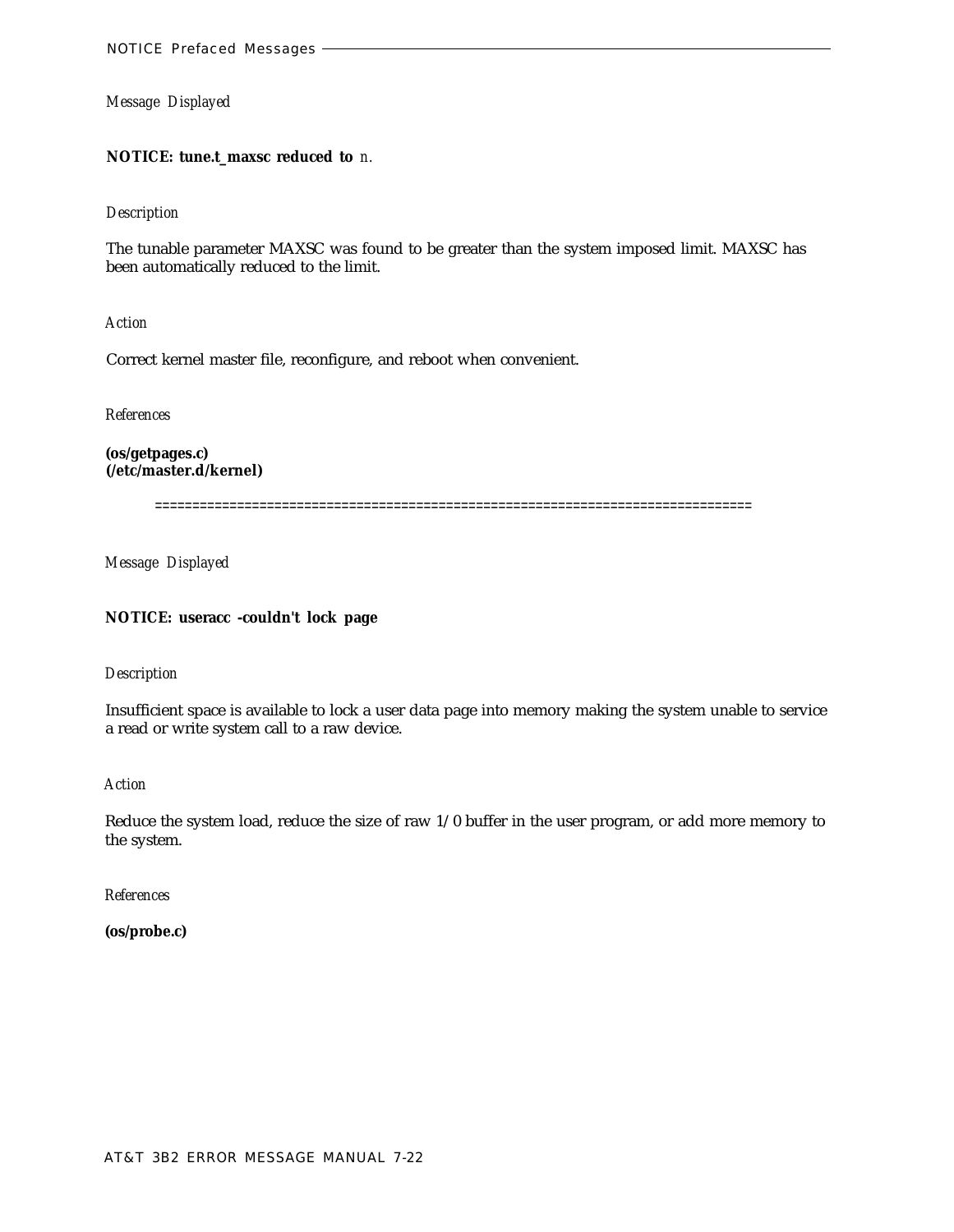#### **NOTICE: tune.t\_maxsc reduced to** *n.*

#### *Description*

The tunable parameter MAXSC was found to be greater than the system imposed limit. MAXSC has been automatically reduced to the limit.

*Action*

Correct kernel master file, reconfigure, and reboot when convenient.

*References*

**(os/getpages.c) (/etc/master.d/kernel)**

================================================================================

*Message Displayed*

## **NOTICE: useracc -couldn't lock page**

#### *Description*

Insufficient space is available to lock a user data page into memory making the system unable to service a read or write system call to a raw device.

*Action*

Reduce the system load, reduce the size of raw 1/0 buffer in the user program, or add more memory to the system.

*References*

**(os/probe.c)**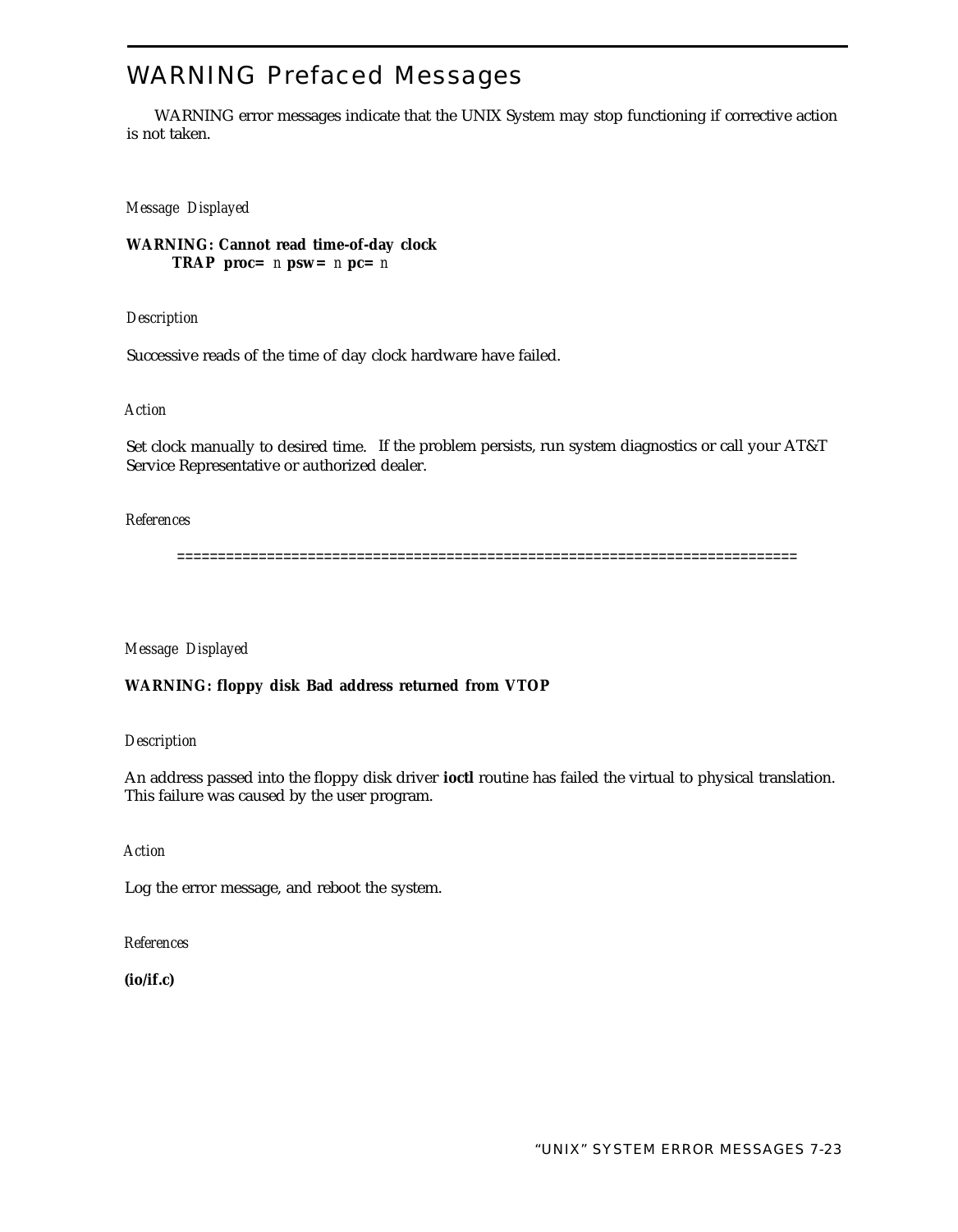# WARNING Prefaced Messages

WARNING error messages indicate that the UNIX System may stop functioning if corrective action is not taken.

*Message Displayed*

**WARNING: Cannot read time-of-day clock TRAP** proc=  $n$  psw=  $n$  pc=  $n$ 

*Description*

Successive reads of the time of day clock hardware have failed.

*Action*

Set clock manually to desired time. If the problem persists, run system diagnostics or call your AT&T Service Representative or authorized dealer.

#### *References*

============================================================================

*Message Displayed*

**WARNING: floppy disk Bad address returned from VTOP**

*Description*

An address passed into the floppy disk driver **ioctl** routine has failed the virtual to physical translation. This failure was caused by the user program.

*Action*

Log the error message, and reboot the system.

*References*

**(io/if.c)**

"UNIX" SYSTEM ERROR MESSAGES 7-23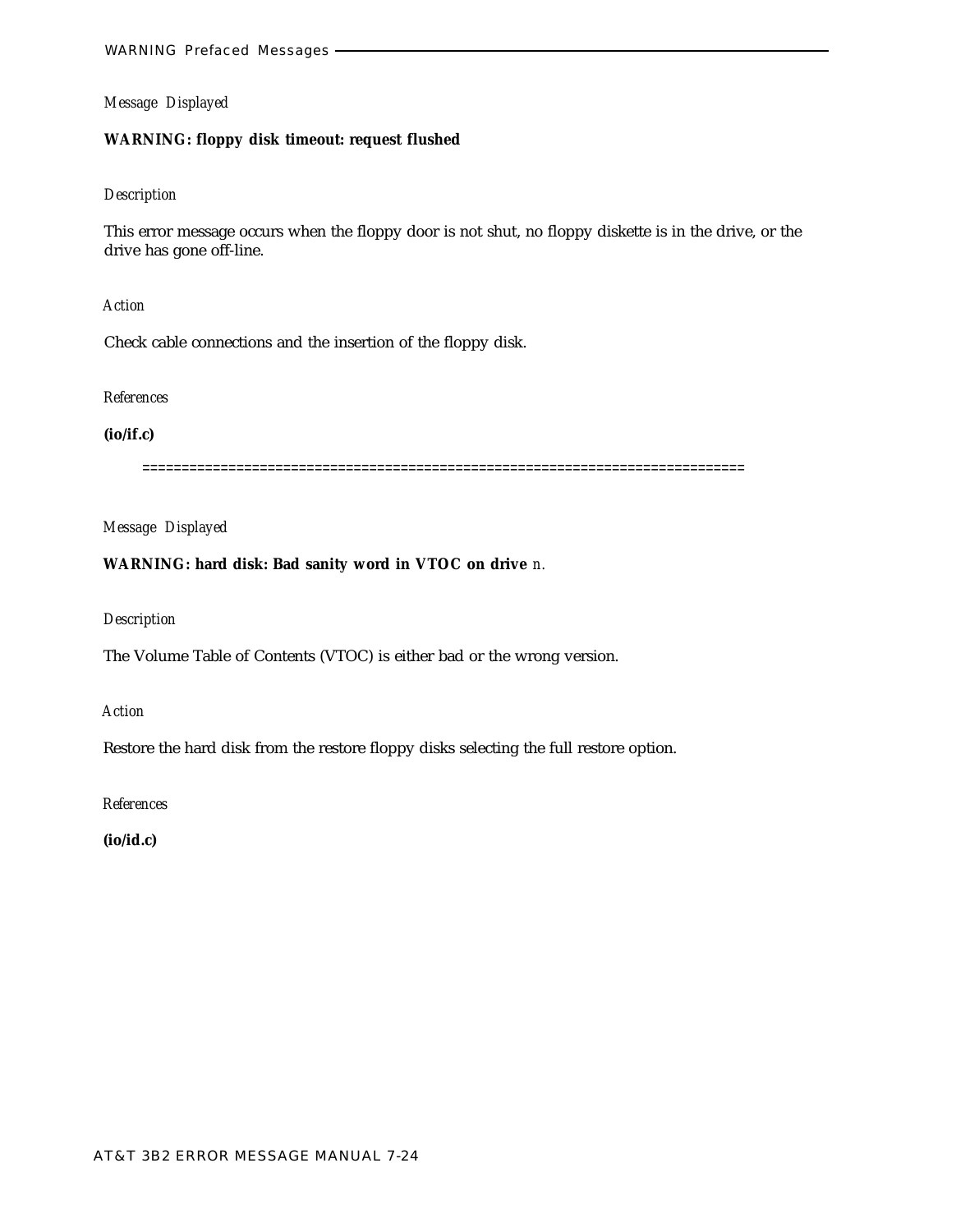## **WARNING: floppy disk timeout: request flushed**

#### *Description*

This error message occurs when the floppy door is not shut, no floppy diskette is in the drive, or the drive has gone off-line.

# *Action*

Check cable connections and the insertion of the floppy disk.

#### *References*

# **(io/if.c)**

=============================================================================

# *Message Displayed*

# **WARNING: hard disk: Bad sanity word in VTOC on drive** *n.*

## *Description*

The Volume Table of Contents (VTOC) is either bad or the wrong version.

#### *Action*

Restore the hard disk from the restore floppy disks selecting the full restore option.

*References*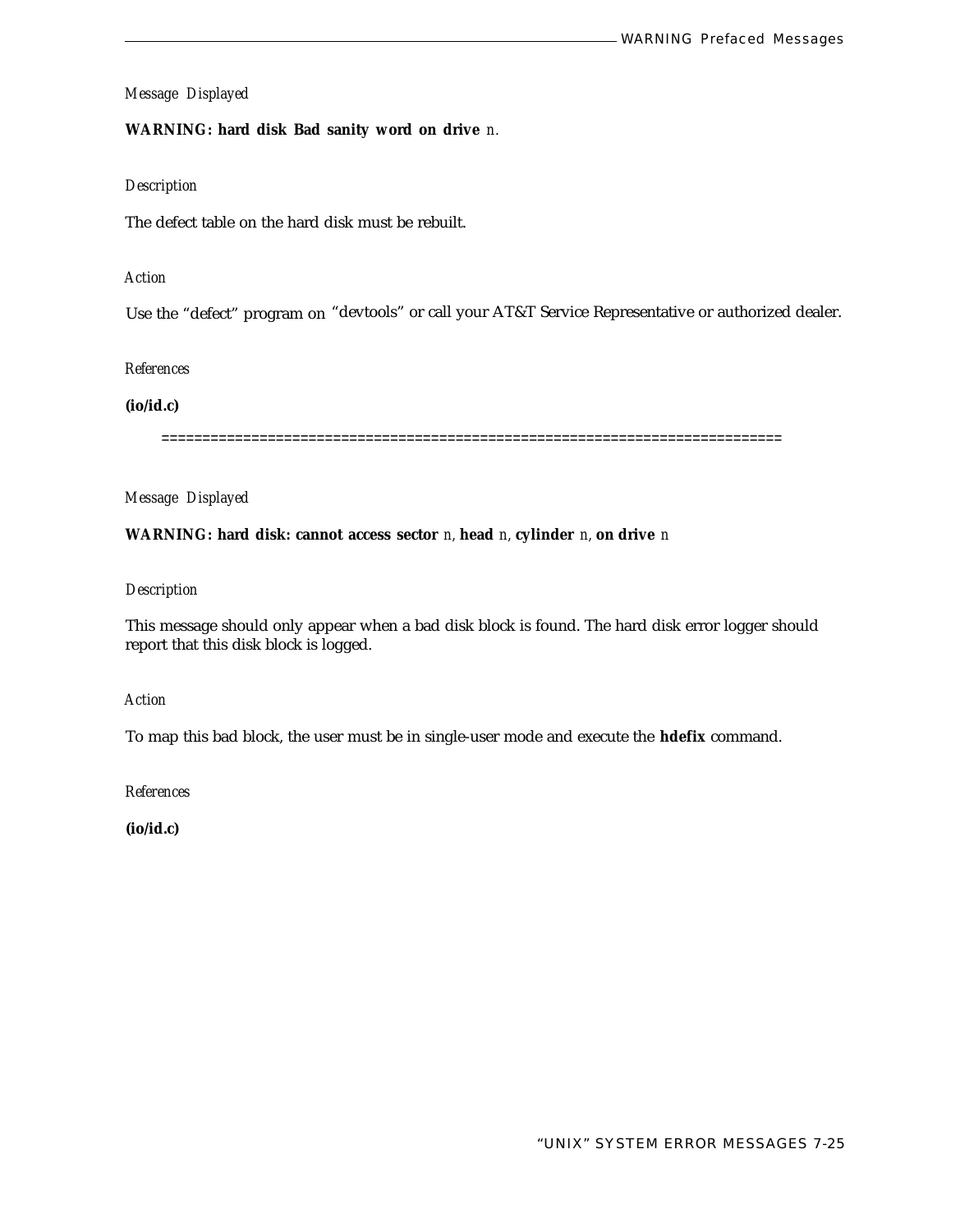## **WARNING: hard disk Bad sanity word on drive** *n.*

## *Description*

The defect table on the hard disk must be rebuilt.

# *Action*

Use the "defect" program on "devtools" or call your AT&T Service Representative or authorized dealer.

#### *References*

#### **(io/id.c)**

============================================================================

# *Message Displayed*

## **WARNING: hard disk: cannot access sector** *n,* **head** *n,* **cylinder** *n,* **on drive** *n*

## *Description*

This message should only appear when a bad disk block is found. The hard disk error logger should report that this disk block is logged.

# *Action*

To map this bad block, the user must be in single-user mode and execute the **hdefix** command.

*References*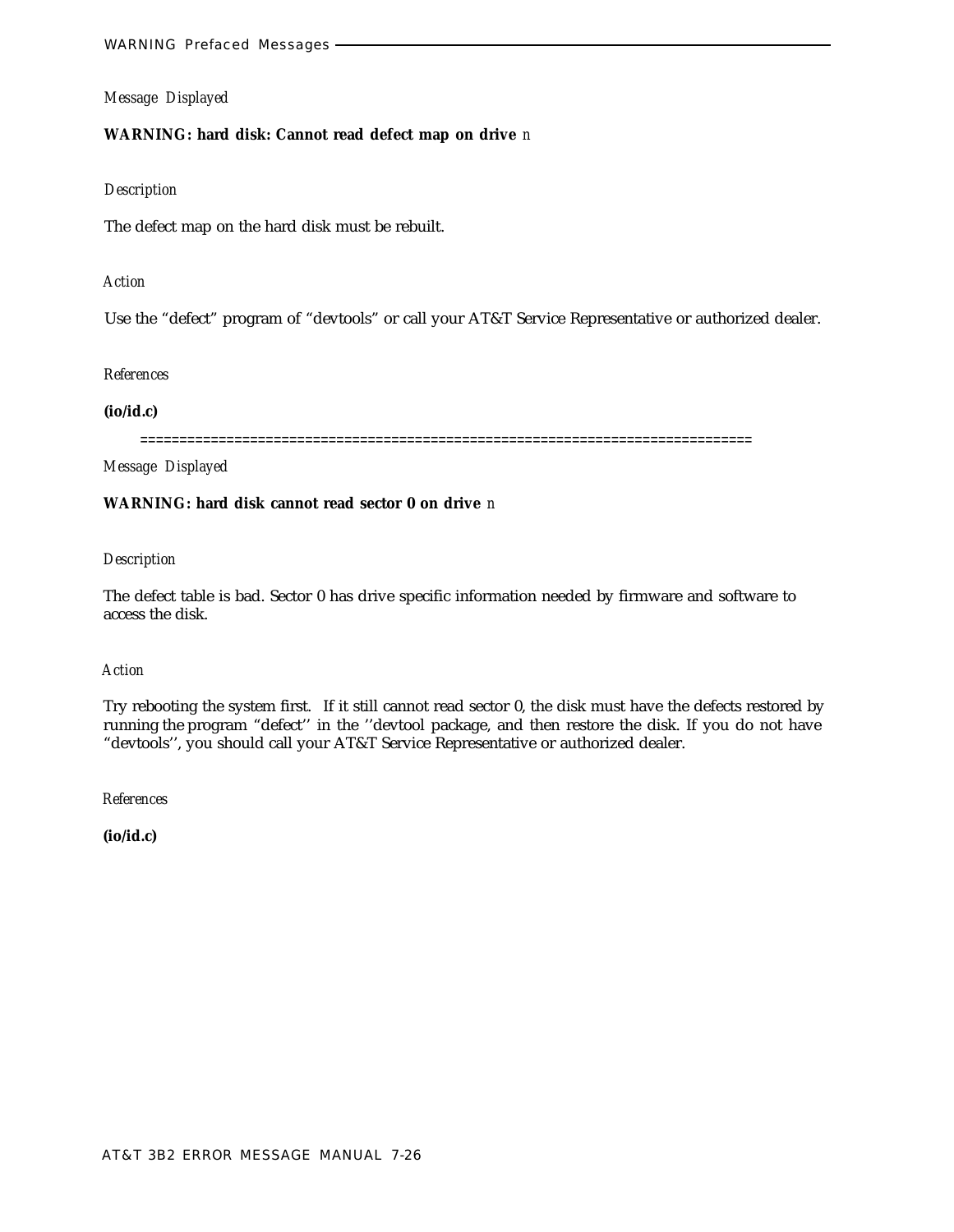## **WARNING: hard disk: Cannot read defect map on drive** *n*

#### *Description*

The defect map on the hard disk must be rebuilt.

# *Action*

Use the "defect" program of "devtools" or call your AT&T Service Representative or authorized dealer.

#### *References*

#### **(io/id.c)**

==============================================================================

*Message Displayed*

# **WARNING: hard disk cannot read sector 0 on drive** *n*

#### *Description*

The defect table is bad. Sector 0 has drive specific information needed by firmware and software to access the disk.

## *Action*

Try rebooting the system first. If it still cannot read sector 0, the disk must have the defects restored by running the program "defect'' in the ''devtool package, and then restore the disk. If you do not have "devtools'', you should call your AT&T Service Representative or authorized dealer.

*References*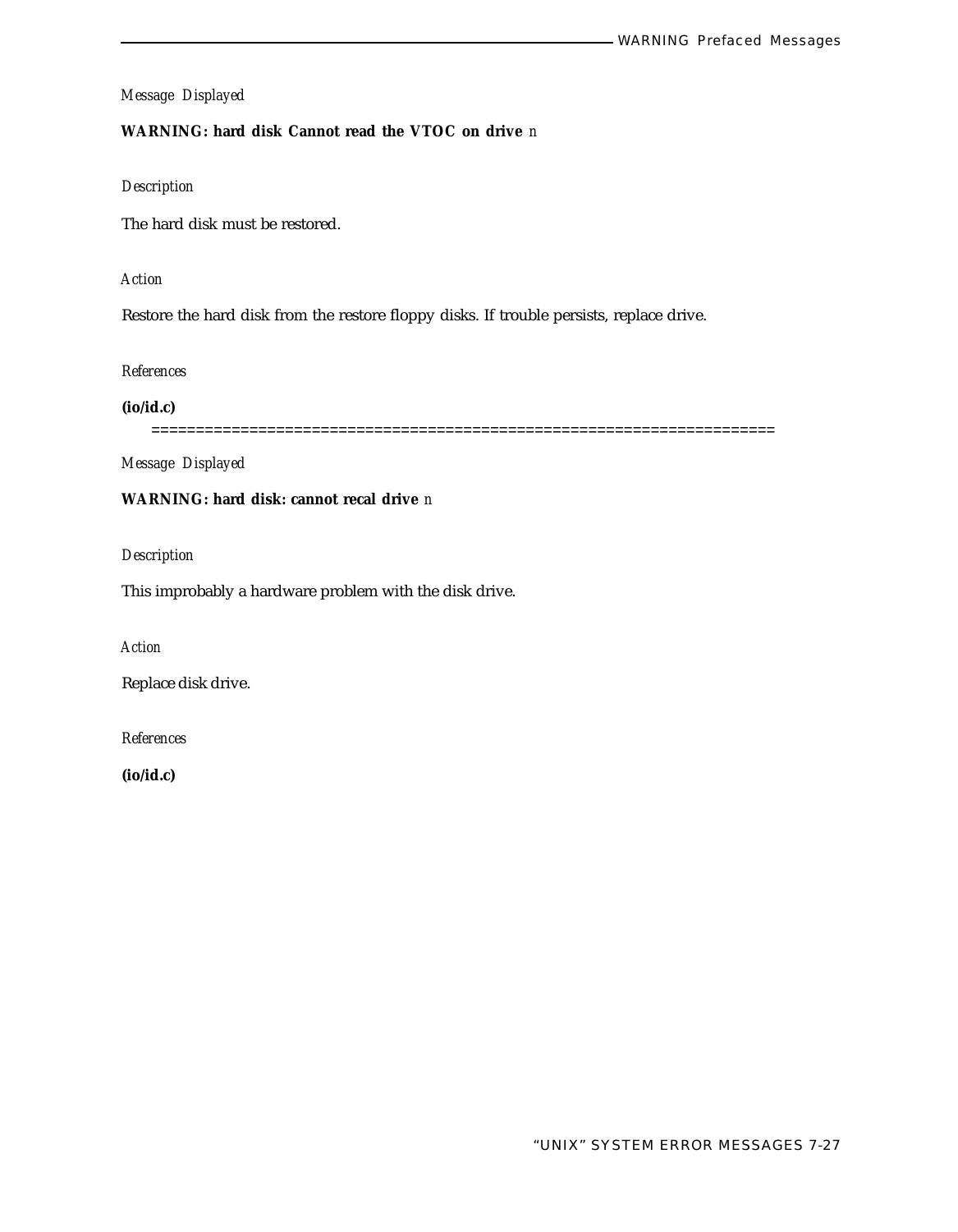# **WARNING: hard disk Cannot read the VTOC on drive** *n*

# *Description*

The hard disk must be restored.

#### *Action*

Restore the hard disk from the restore floppy disks. If trouble persists, replace drive.

#### *References*

**(io/id.c)**

======================================================================

*Message Displayed*

# **WARNING: hard disk: cannot recal drive** *n*

*Description*

This improbably a hardware problem with the disk drive.

*Action*

Replace disk drive.

*References*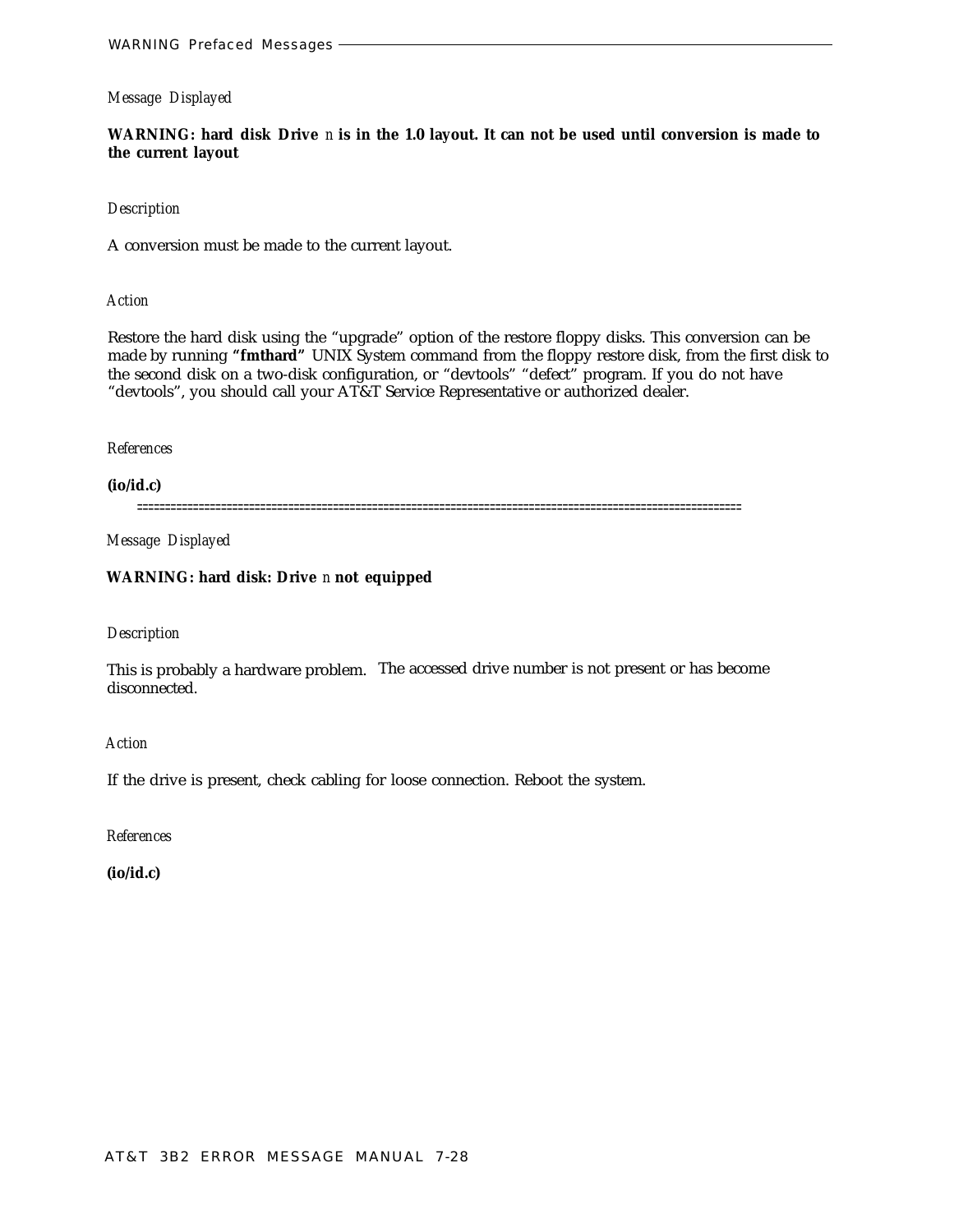**WARNING: hard disk Drive** *n* **is in the 1.0 layout. It can not be used until conversion is made to the current layout**

#### *Description*

A conversion must be made to the current layout.

*Action*

Restore the hard disk using the "upgrade" option of the restore floppy disks. This conversion can be made by running **"fmthard"** UNIX System command from the floppy restore disk, from the first disk to the second disk on a two-disk configuration, or "devtools" "defect" program. If you do not have "devtools", you should call your AT&T Service Representative or authorized dealer.

#### *References*

**(io/id.c)**

============================================================================================================

*Message Displayed*

# **WARNING: hard disk: Drive** *n* **not equipped**

# *Description*

This is probably a hardware problem. The accessed drive number is not present or has become disconnected.

*Action*

If the drive is present, check cabling for loose connection. Reboot the system.

*References*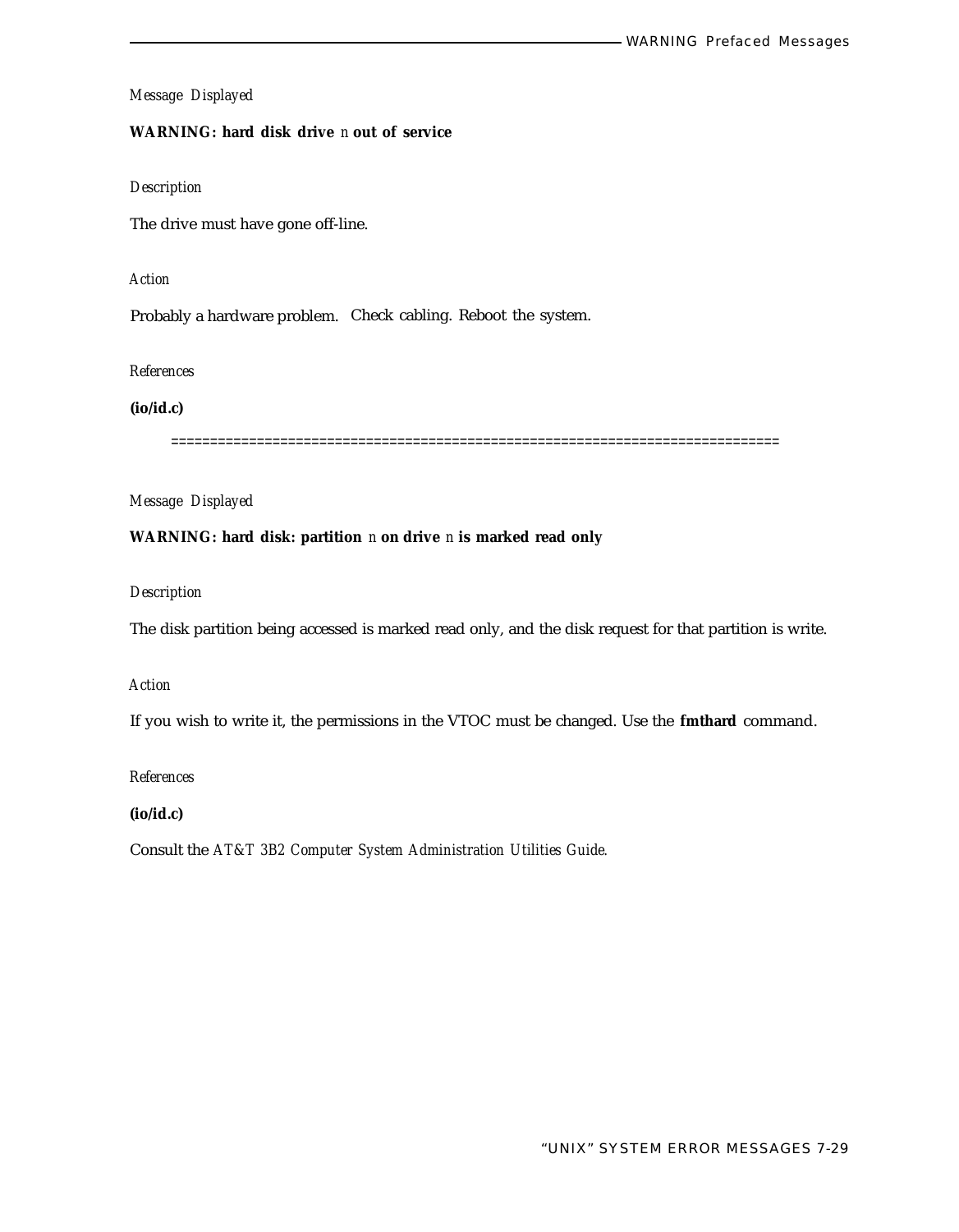# **WARNING: hard disk drive** *n* **out of service**

# *Description*

The drive must have gone off-line.

#### *Action*

Probably a hardware problem. Check cabling. Reboot the system.

*References*

**(io/id.c)**

==============================================================================

*Message Displayed*

# **WARNING: hard disk: partition** *n* **on drive** *n* **is marked read only**

*Description*

The disk partition being accessed is marked read only, and the disk request for that partition is write.

#### *Action*

If you wish to write it, the permissions in the VTOC must be changed. Use the **fmthard** command.

*References*

**(io/id.c)**

Consult the *AT&T 3B2 Computer System Administration Utilities Guide.*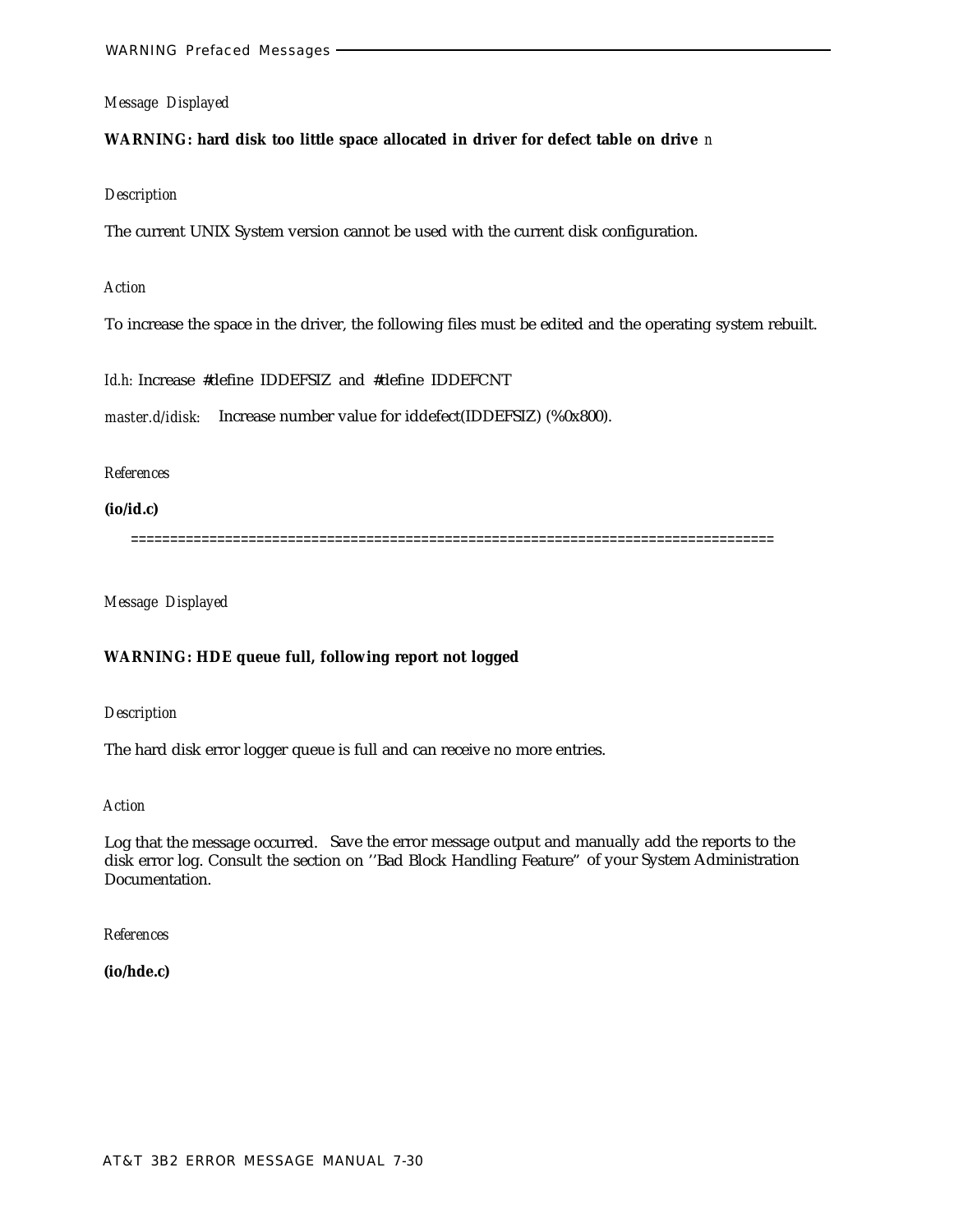## **WARNING: hard disk too little space allocated in driver for defect table on drive** *n*

#### *Description*

The current UNIX System version cannot be used with the current disk configuration.

#### *Action*

To increase the space in the driver, the following files must be edited and the operating system rebuilt.

*Id.h:* Increase #define IDDEFSIZ and #define IDDEFCNT

*master.d/idisk:* Increase number value for iddefect(IDDEFSIZ) (%0x800).

#### *References*

**(io/id.c)**

==================================================================================

*Message Displayed*

## **WARNING: HDE queue full, following report not logged**

*Description*

The hard disk error logger queue is full and can receive no more entries.

#### *Action*

Log that the message occurred. Save the error message output and manually add the reports to the disk error log. Consult the section on ''Bad Block Handling Feature" of your System Administration Documentation.

*References*

**(io/hde.c)**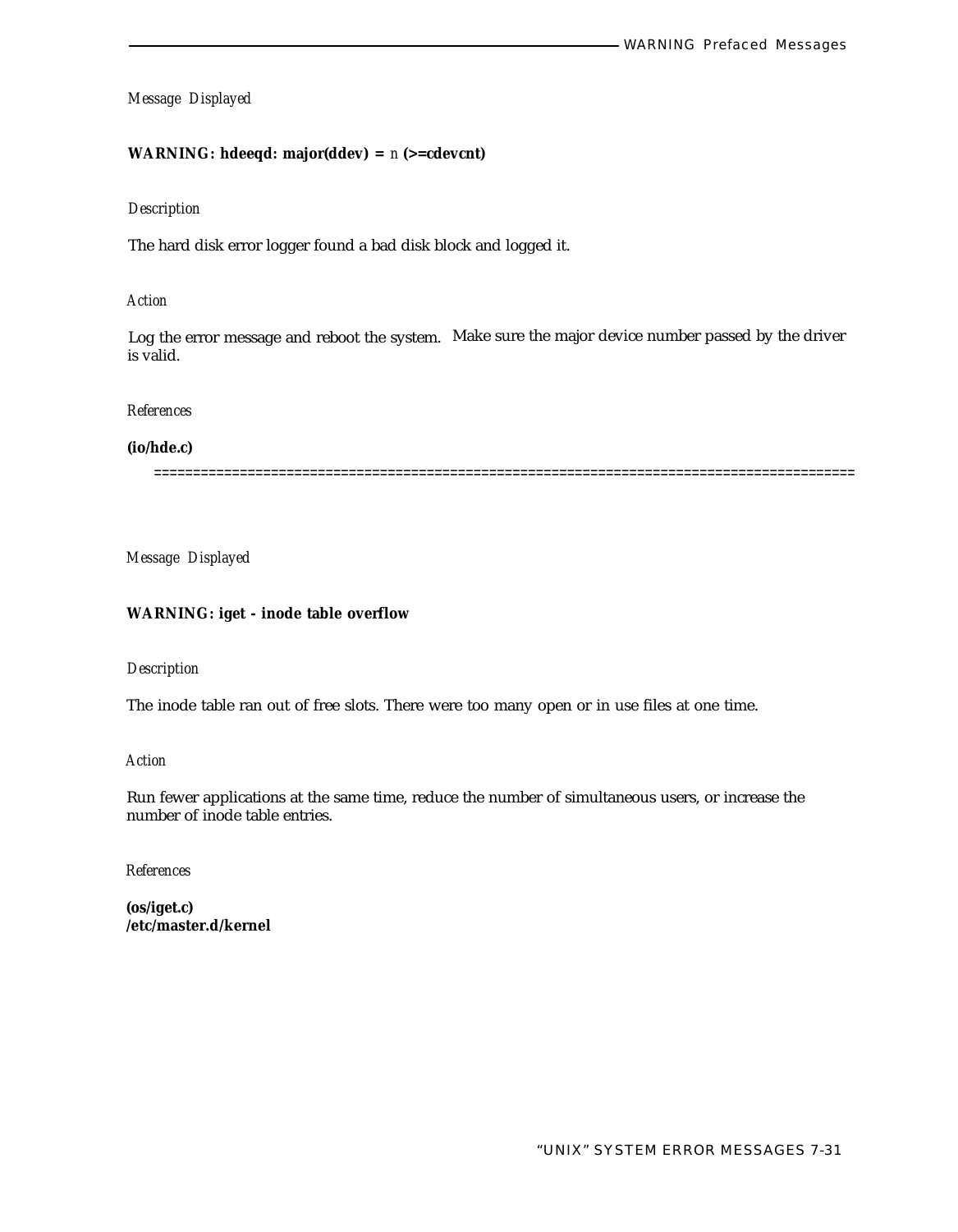# **WARNING: hdeeqd: major(ddev) =** *n* **(>=cdevcnt)**

#### *Description*

The hard disk error logger found a bad disk block and logged it.

#### *Action*

Log the error message and reboot the system. Make sure the major device number passed by the driver is valid.

#### *References*

#### **(io/hde.c)**

==========================================================================================

*Message Displayed*

## **WARNING: iget - inode table overflow**

# *Description*

The inode table ran out of free slots. There were too many open or in use files at one time.

#### *Action*

Run fewer applications at the same time, reduce the number of simultaneous users, or increase the number of inode table entries.

*References*

**(os/iget.c) /etc/master.d/kernel**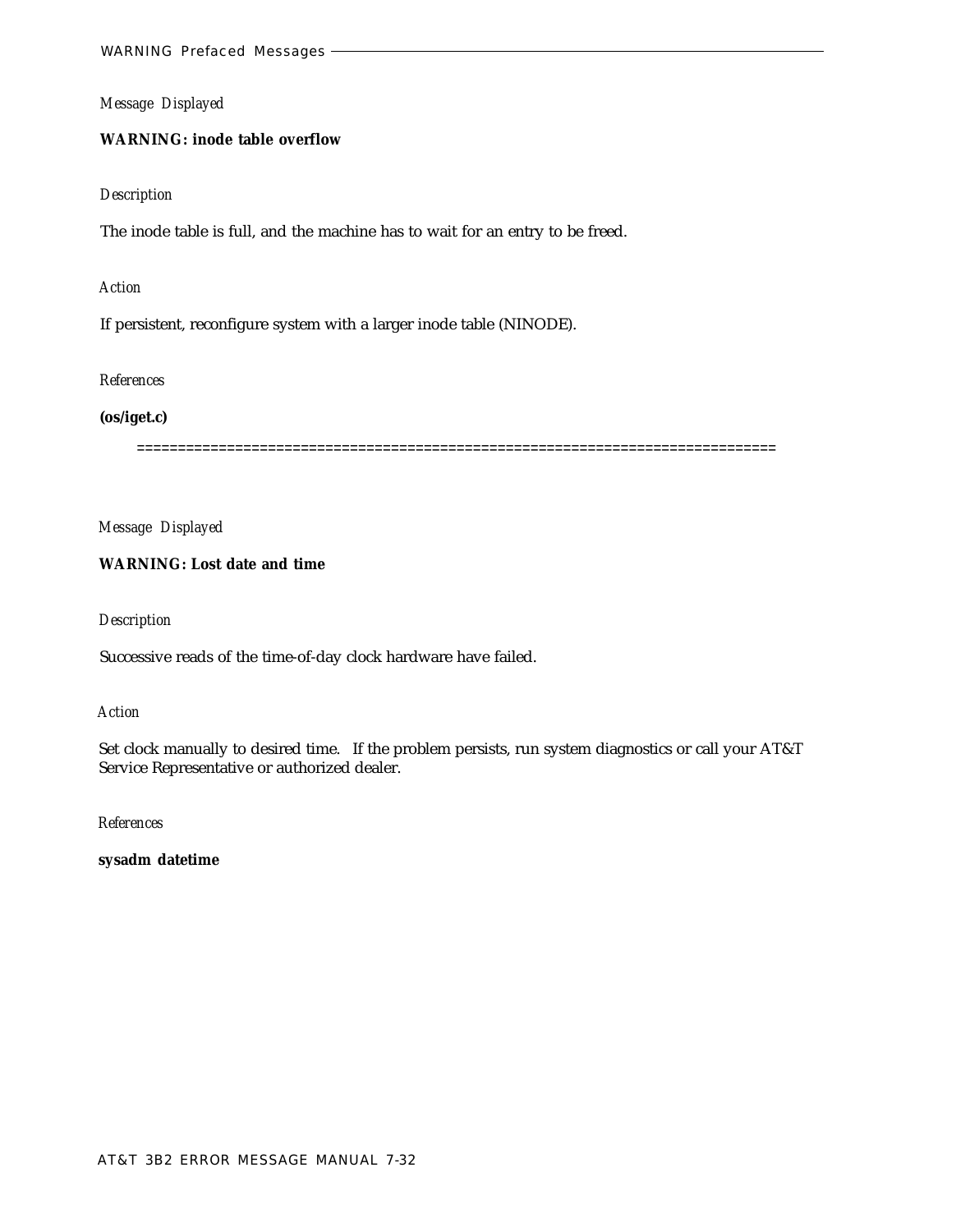# **WARNING: inode table overflow**

#### *Description*

The inode table is full, and the machine has to wait for an entry to be freed.

#### *Action*

If persistent, reconfigure system with a larger inode table (NINODE).

#### *References*

#### **(os/iget.c)**

==============================================================================

*Message Displayed*

# **WARNING: Lost date and time**

#### *Description*

Successive reads of the time-of-day clock hardware have failed.

#### *Action*

Set clock manually to desired time. If the problem persists, run system diagnostics or call your AT&T Service Representative or authorized dealer.

*References*

**sysadm datetime**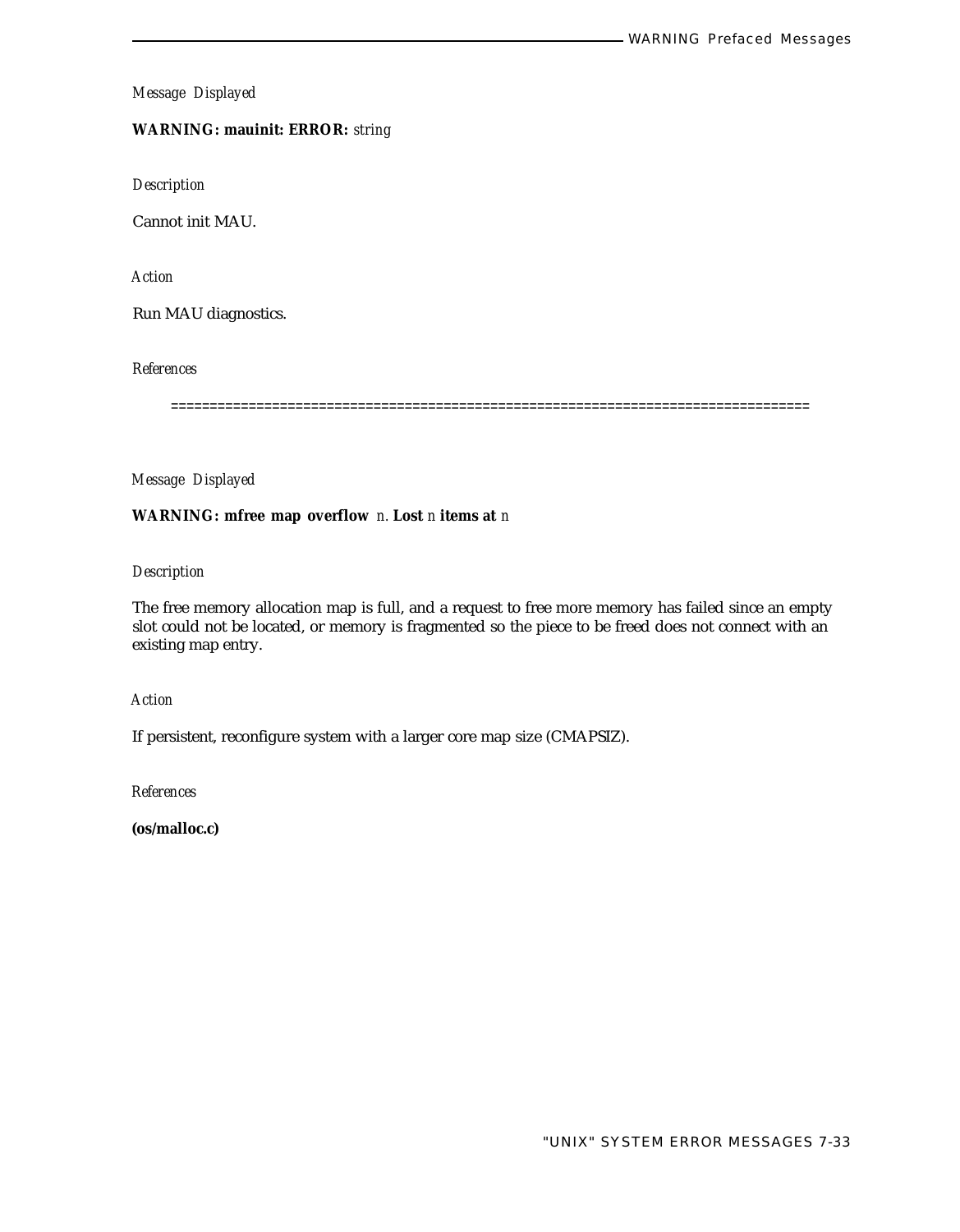**WARNING: mauinit: ERROR:** *string*

*Description*

Cannot init MAU.

*Action*

Run MAU diagnostics.

*References*

==================================================================================

*Message Displayed*

# **WARNING: mfree map overflow** *n.* **Lost** *n* **items at** *n*

# *Description*

The free memory allocation map is full, and a request to free more memory has failed since an empty slot could not be located, or memory is fragmented so the piece to be freed does not connect with an existing map entry.

*Action*

If persistent, reconfigure system with a larger core map size (CMAPSIZ).

*References*

**(os/malloc.c)**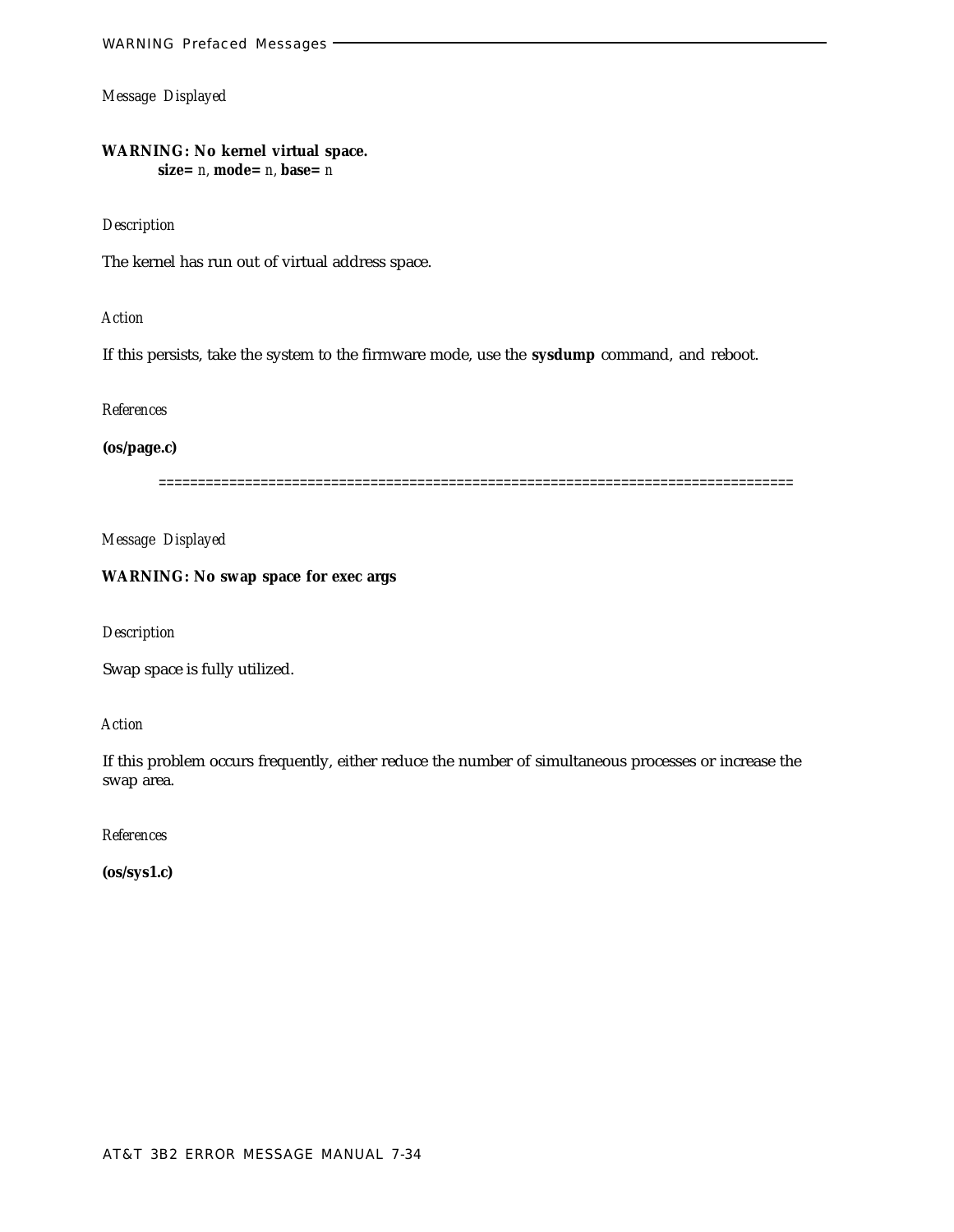**WARNING: No kernel virtual space. size=** *n,* **mode=** *n,* **base=** *n*

#### *Description*

The kernel has run out of virtual address space.

*Action*

If this persists, take the system to the firmware mode, use the **sysdump** command, and reboot.

*References*

**(os/page.c)**

=================================================================================

*Message Displayed*

# **WARNING: No swap space for exec args**

*Description*

Swap space is fully utilized.

*Action*

If this problem occurs frequently, either reduce the number of simultaneous processes or increase the swap area.

*References*

**(os/sys1.c)**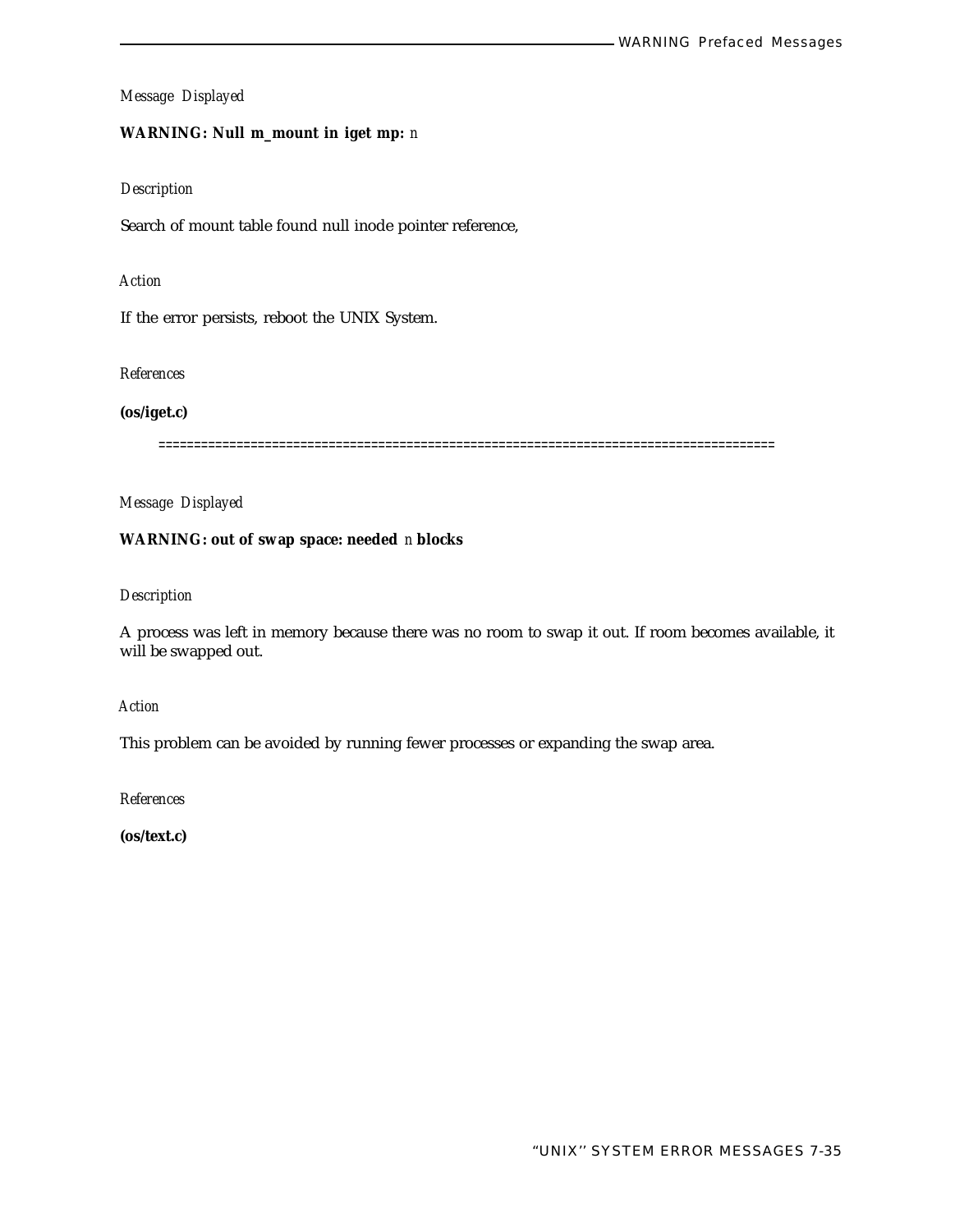# **WARNING: Null m\_mount in iget mp:** *n*

# *Description*

Search of mount table found null inode pointer reference,

#### *Action*

If the error persists, reboot the UNIX System.

#### *References*

**(os/iget.c)**

=======================================================================================

*Message Displayed*

# **WARNING: out of swap space: needed** *n* **blocks**

# *Description*

A process was left in memory because there was no room to swap it out. If room becomes available, it will be swapped out.

#### *Action*

This problem can be avoided by running fewer processes or expanding the swap area.

*References*

**(os/text.c)**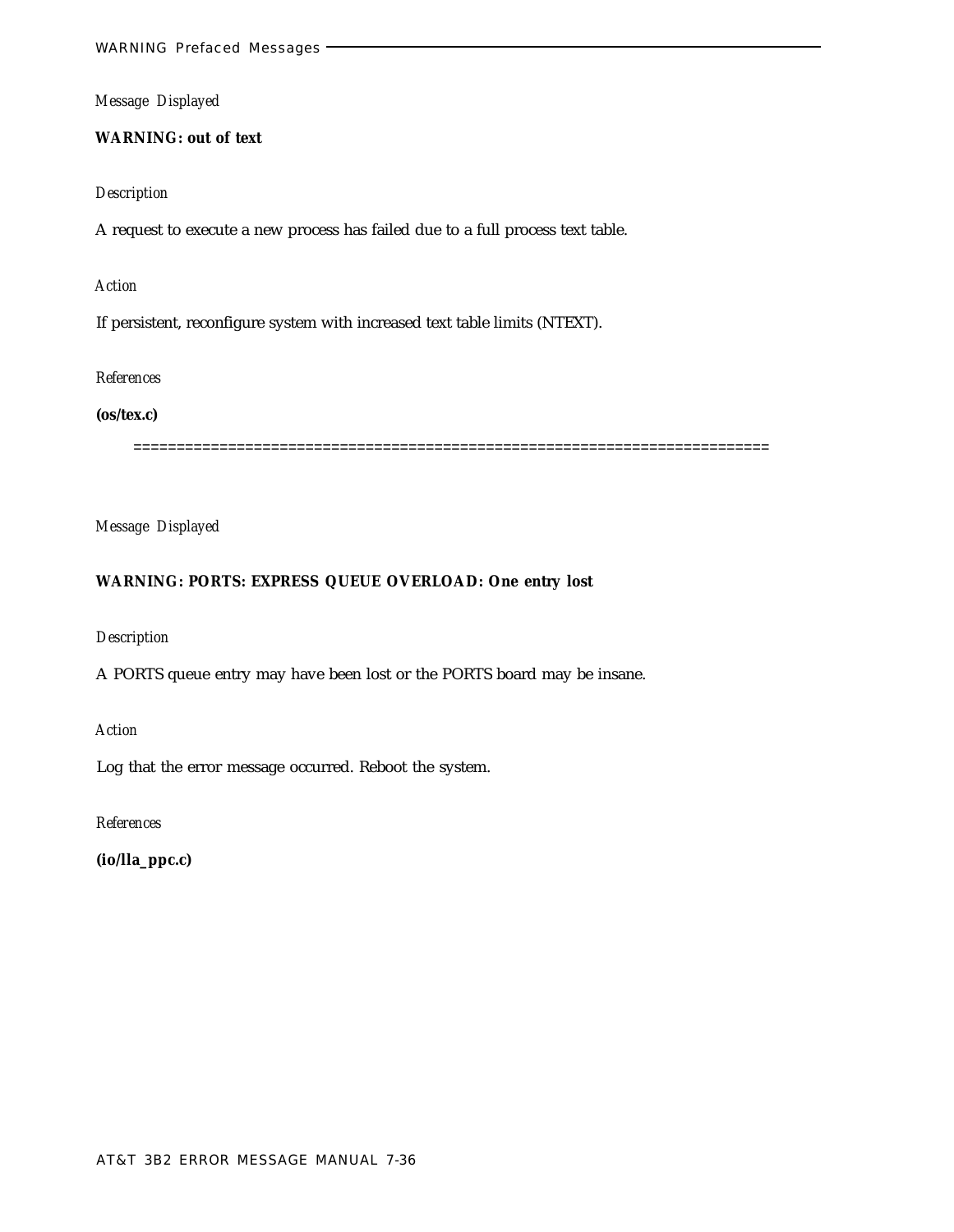**WARNING: out of text**

#### *Description*

A request to execute a new process has failed due to a full process text table.

*Action*

If persistent, reconfigure system with increased text table limits (NTEXT).

# *References*

**(os/tex.c)**

==========================================================================

*Message Displayed*

## **WARNING: PORTS: EXPRESS QUEUE OVERLOAD: One entry lost**

*Description*

A PORTS queue entry may have been lost or the PORTS board may be insane.

*Action*

Log that the error message occurred. Reboot the system.

*References*

**(io/lla\_ppc.c)**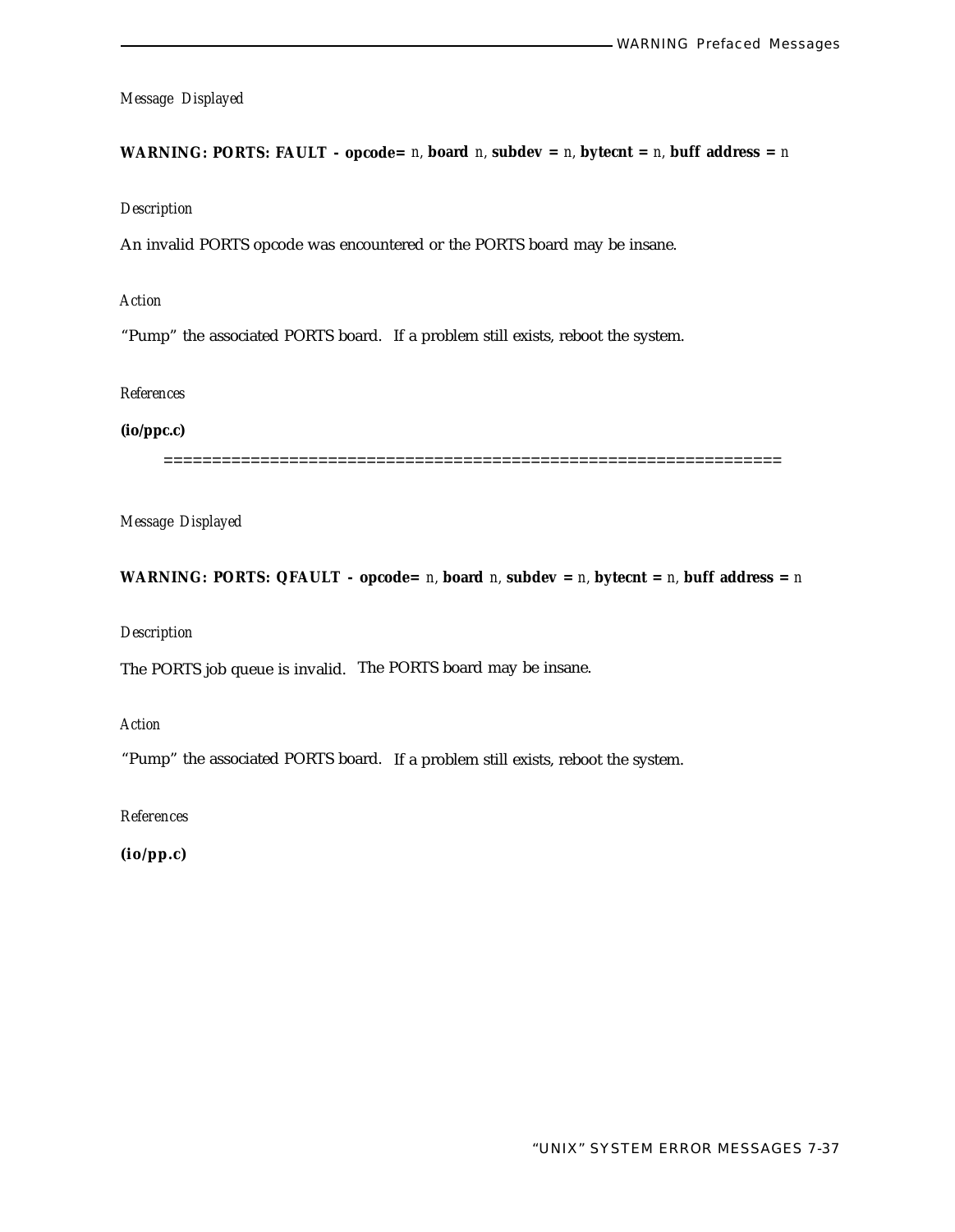**WARNING: PORTS: FAULT** - opcode=  $n$ , board  $n$ , subdev =  $n$ , bytecnt =  $n$ , buff address =  $n$ 

*Description*

An invalid PORTS opcode was encountered or the PORTS board may be insane.

*Action*

"Pump" the associated PORTS board. If a problem still exists, reboot the system.

*References*

**(io/ppc.c)**

================================================================

*Message Displayed*

**WARNING: PORTS: QFAULT** - opcode= *n*, board *n*, subdev = *n*, bytecnt = *n*, buff address = *n* 

*Description*

The PORTS job queue is invalid. The PORTS board may be insane.

*Action*

"Pump" the associated PORTS board. If a problem still exists, reboot the system.

*References*

**(io/pp.c)**

"UNIX" SYSTEM ERROR MESSAGES 7-37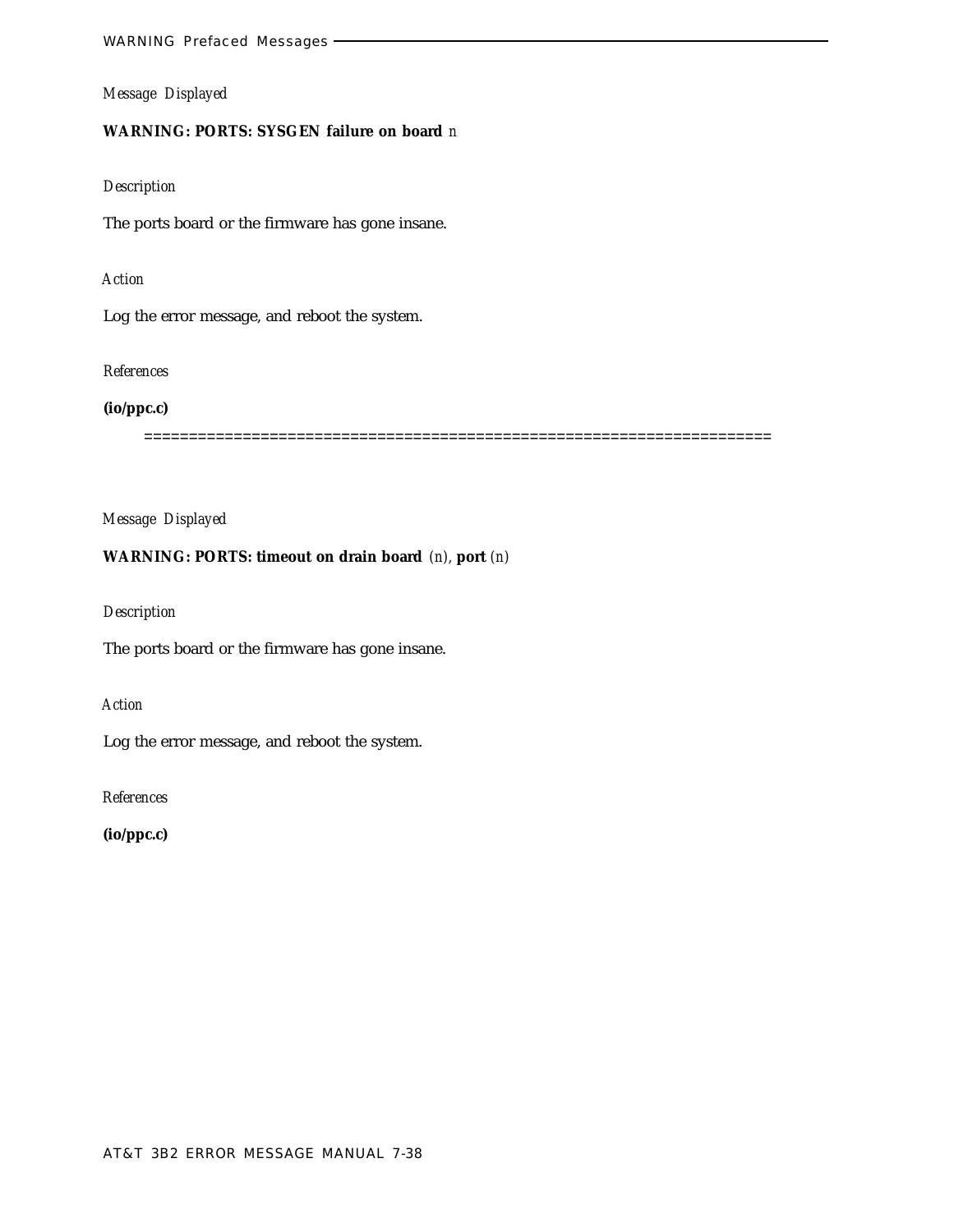# **WARNING: PORTS: SYSGEN failure on board** *n*

# *Description*

The ports board or the firmware has gone insane.

# *Action*

Log the error message, and reboot the system.

#### *References*

# **(io/ppc.c)**

======================================================================

# *Message Displayed*

# **WARNING: PORTS: timeout on drain board** *(n),* **port** *(n)*

# *Description*

The ports board or the firmware has gone insane.

# *Action*

Log the error message, and reboot the system.

*References*

**(io/ppc.c)**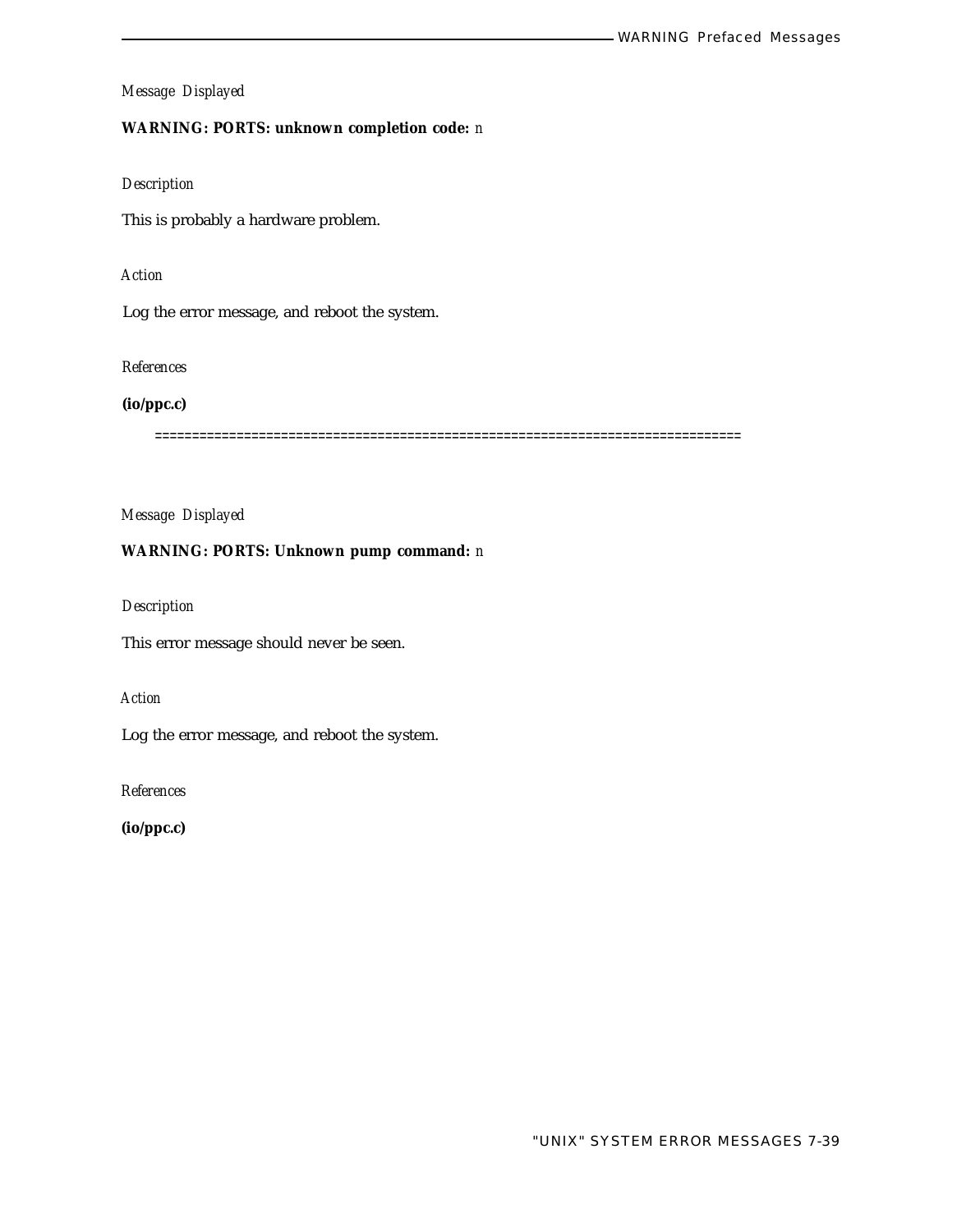## **WARNING: PORTS: unknown completion code:** *n*

#### *Description*

This is probably a hardware problem.

# *Action*

Log the error message, and reboot the system.

## *References*

## **(io/ppc.c)**

===============================================================================

## *Message Displayed*

#### **WARNING: PORTS: Unknown pump command:** *n*

# *Description*

This error message should never be seen.

# *Action*

Log the error message, and reboot the system.

*References*

**(io/ppc.c)**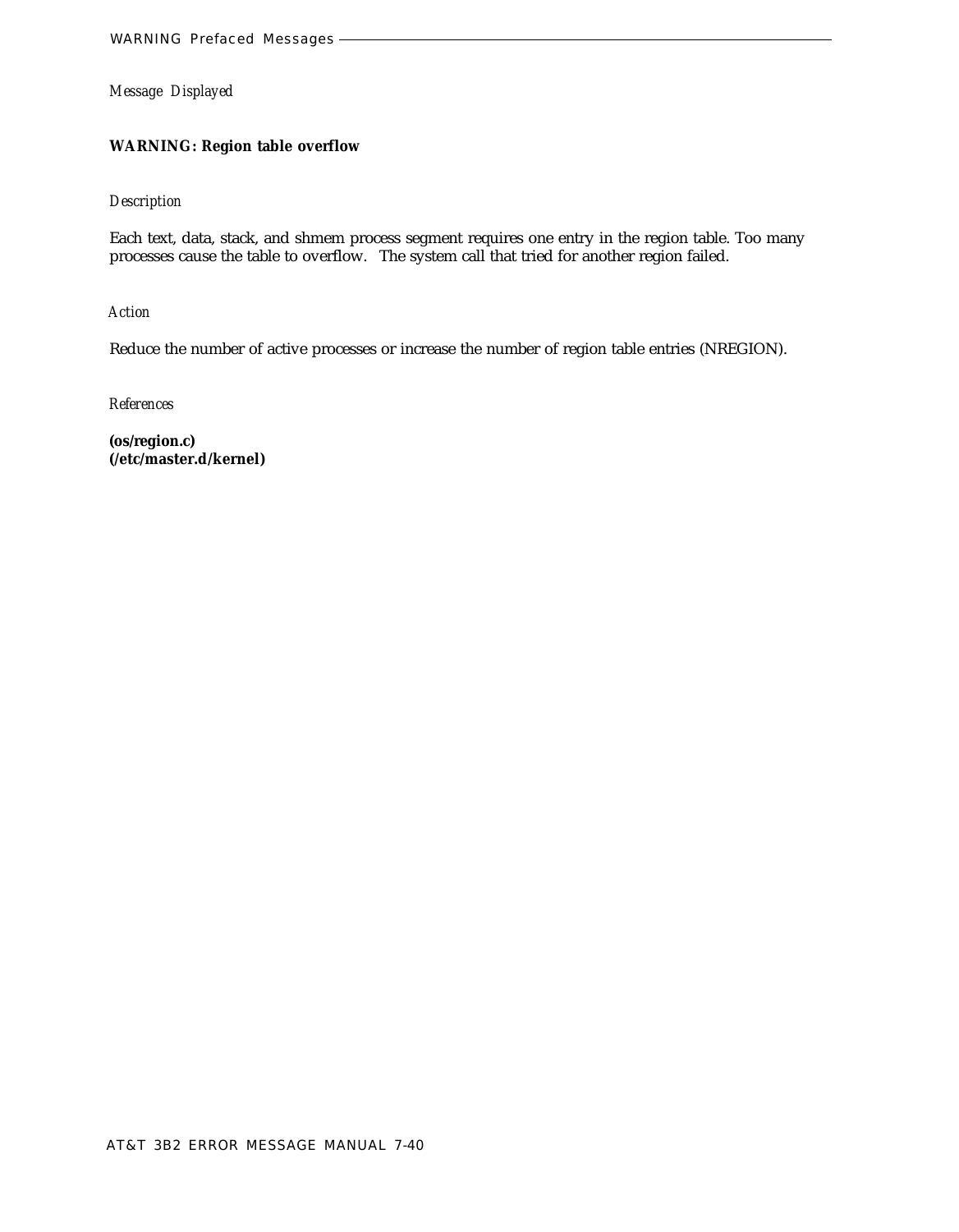# **WARNING: Region table overflow**

## *Description*

Each text, data, stack, and shmem process segment requires one entry in the region table. Too many processes cause the table to overflow. The system call that tried for another region failed.

*Action*

Reduce the number of active processes or increase the number of region table entries (NREGION).

*References*

**(os/region.c) (/etc/master.d/kernel)**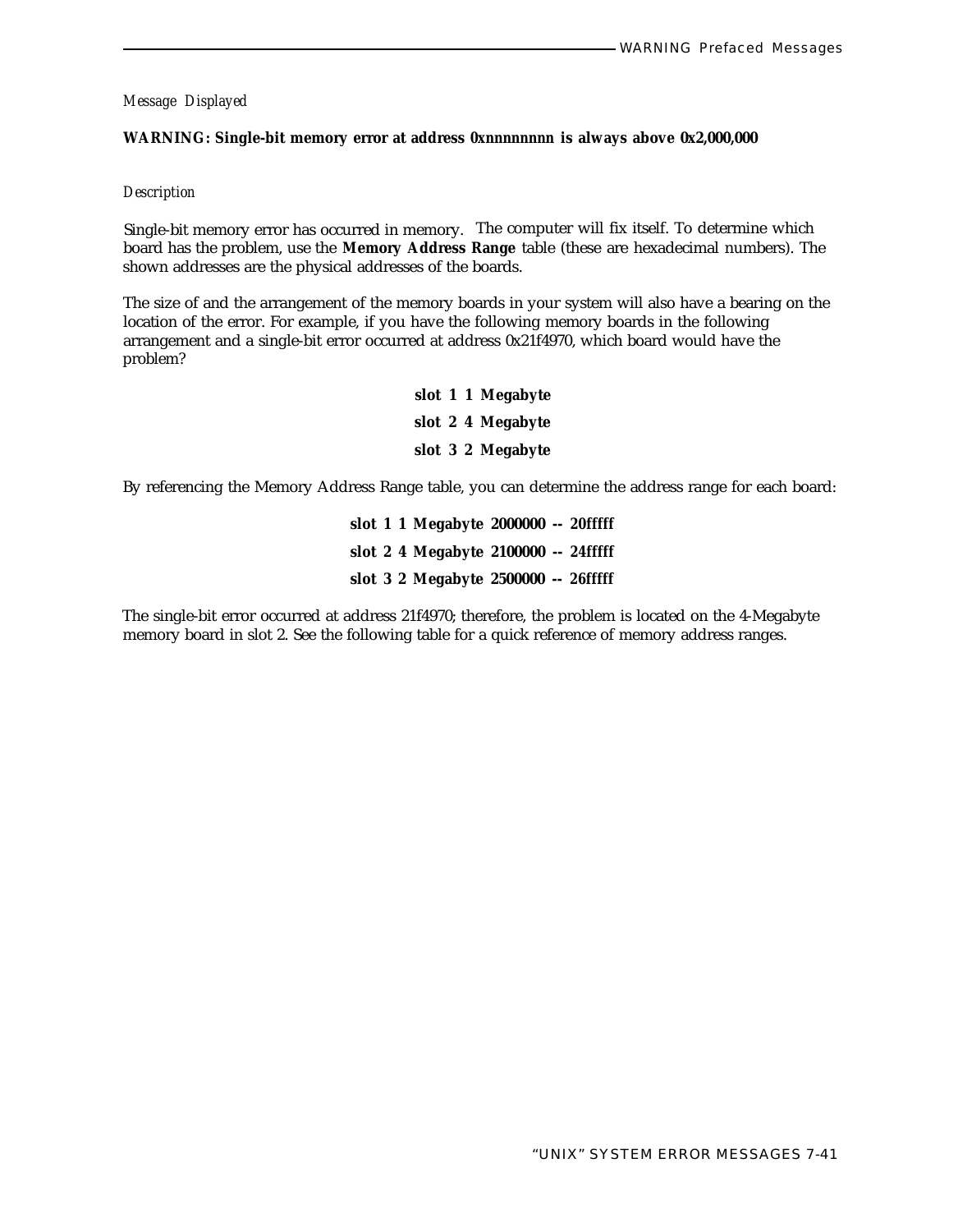#### **WARNING: Single-bit memory error at address** *0xnnnnnnnn* **is always above 0x2,000,000**

#### *Description*

Single-bit memory error has occurred in memory. The computer will fix itself. To determine which board has the problem, use the **Memory Address Range** table (these are hexadecimal numbers). The shown addresses are the physical addresses of the boards.

The size of and the arrangement of the memory boards in your system will also have a bearing on the location of the error. For example, if you have the following memory boards in the following arrangement and a single-bit error occurred at address 0x21f4970, which board would have the problem?

> **slot 1 1 Megabyte slot 2 4 Megabyte slot 3 2 Megabyte**

By referencing the Memory Address Range table, you can determine the address range for each board:

**slot 1 1 Megabyte 2000000 --** *20fffff* **slot 2 4 Megabyte 2100000 --** *24fffff* **slot 3 2 Megabyte 2500000 --** *26fffff*

The single-bit error occurred at address 21f4970; therefore, the problem is located on the 4-Megabyte memory board in slot 2. See the following table for a quick reference of memory address ranges.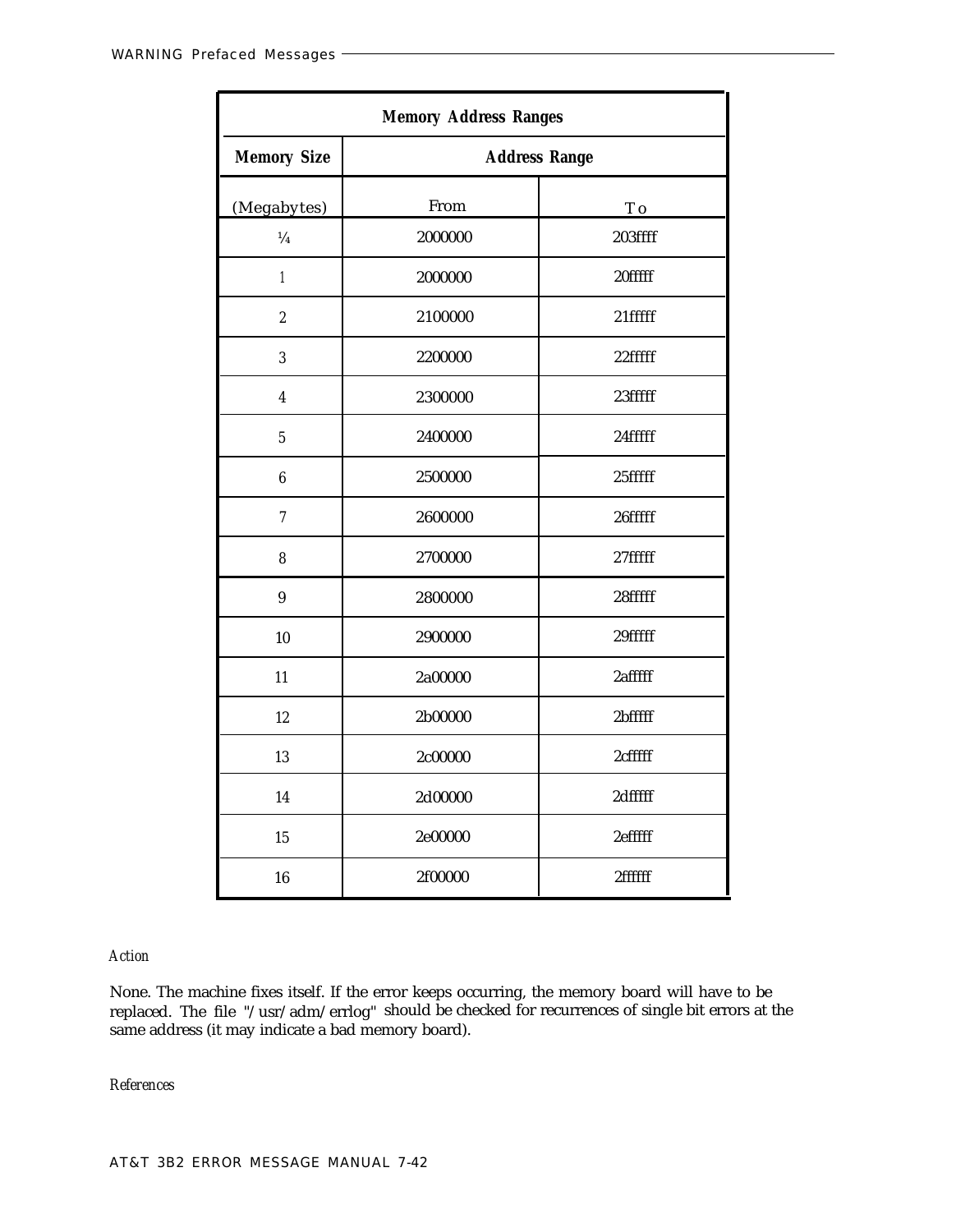| <b>Memory Address Ranges</b> |                      |         |
|------------------------------|----------------------|---------|
| <b>Memory Size</b>           | <b>Address Range</b> |         |
| (Megabytes)                  | From                 | T o     |
| $\frac{1}{4}$                | 2000000              | 203ffff |
| $\mathbf{1}$                 | 2000000              | 20fffff |
| $\sqrt{2}$                   | 2100000              | 21fffff |
| $\overline{3}$               | 2200000              | 22fffff |
| $\overline{\mathbf{4}}$      | 2300000              | 23fffff |
| $\overline{5}$               | 2400000              | 24fffff |
| $\boldsymbol{6}$             | 2500000              | 25fffff |
| $\overline{7}$               | 2600000              | 26fffff |
| 8                            | 2700000              | 27fffff |
| $\boldsymbol{9}$             | 2800000              | 28fffff |
| 10                           | 2900000              | 29fffff |
| 11                           | 2a00000              | 2afffff |
| 12                           | 2b00000              | 2bfffff |
| 13                           | 2c00000              | 2cfffff |
| 14                           | 2d00000              | 2dfffff |
| 15                           | 2e00000              | 2efffff |
| 16                           | 2f00000              | 2ffffff |

# *Action*

None. The machine fixes itself. If the error keeps occurring, the memory board will have to be replaced. The file "/usr/adm/errlog" should be checked for recurrences of single bit errors at the same address (it may indicate a bad memory board).

*References*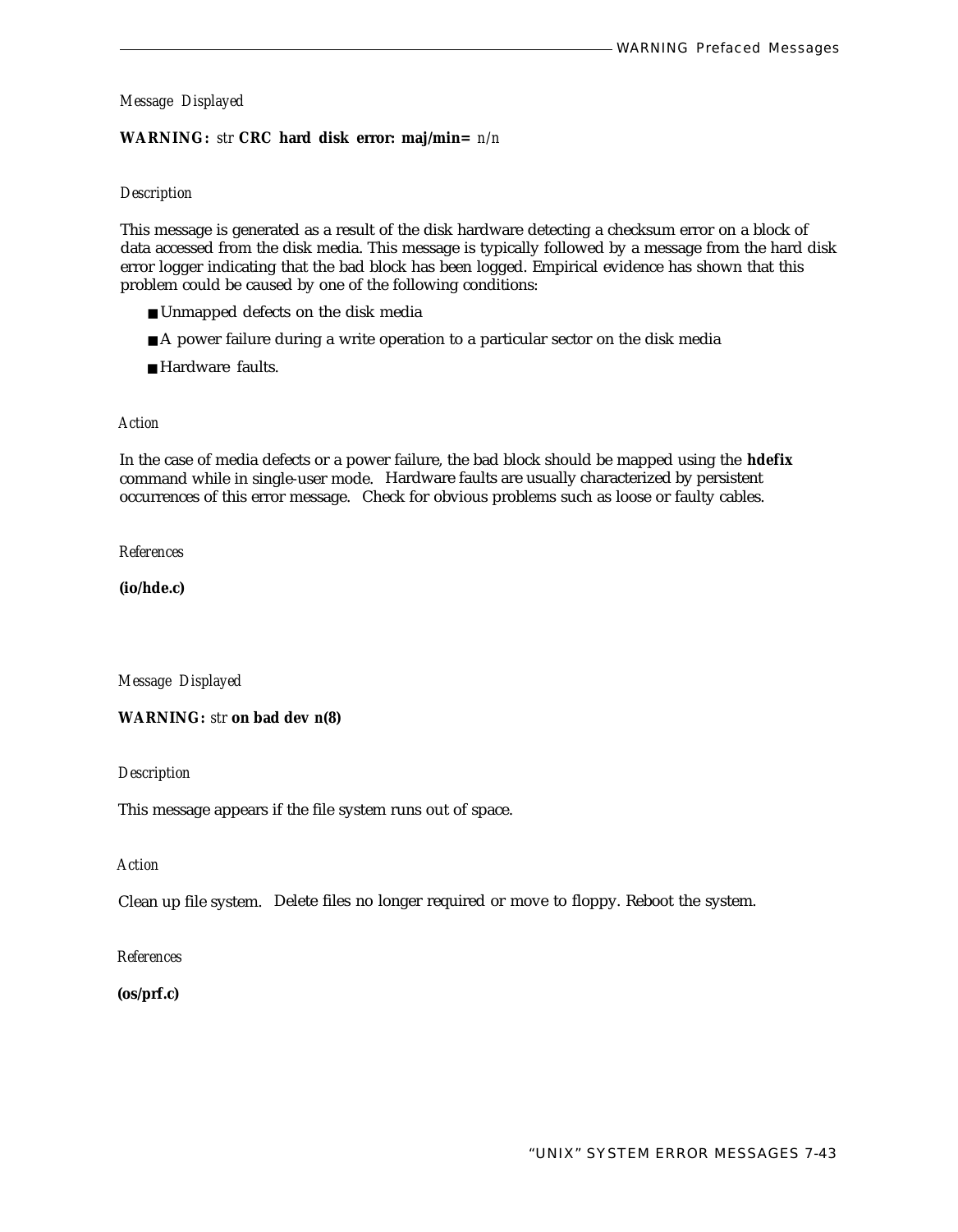#### **WARNING:** *str* **CRC hard disk error: maj/min=** *n/n*

#### *Description*

This message is generated as a result of the disk hardware detecting a checksum error on a block of data accessed from the disk media. This message is typically followed by a message from the hard disk error logger indicating that the bad block has been logged. Empirical evidence has shown that this problem could be caused by one of the following conditions:

- Unmapped defects on the disk media
- A power failure during a write operation to a particular sector on the disk media
- Hardware faults.

#### *Action*

In the case of media defects or a power failure, the bad block should be mapped using the **hdefix** command while in single-user mode. Hardware faults are usually characterized by persistent occurrences of this error message. Check for obvious problems such as loose or faulty cables.

*References*

**(io/hde.c)**

*Message Displayed*

**WARNING:** *str* **on bad dev** *n(8)*

*Description*

This message appears if the file system runs out of space.

*Action*

Clean up file system. Delete files no longer required or move to floppy. Reboot the system.

#### *References*

**(os/prf.c)**

"UNIX" SYSTEM ERROR MESSAGES 7-43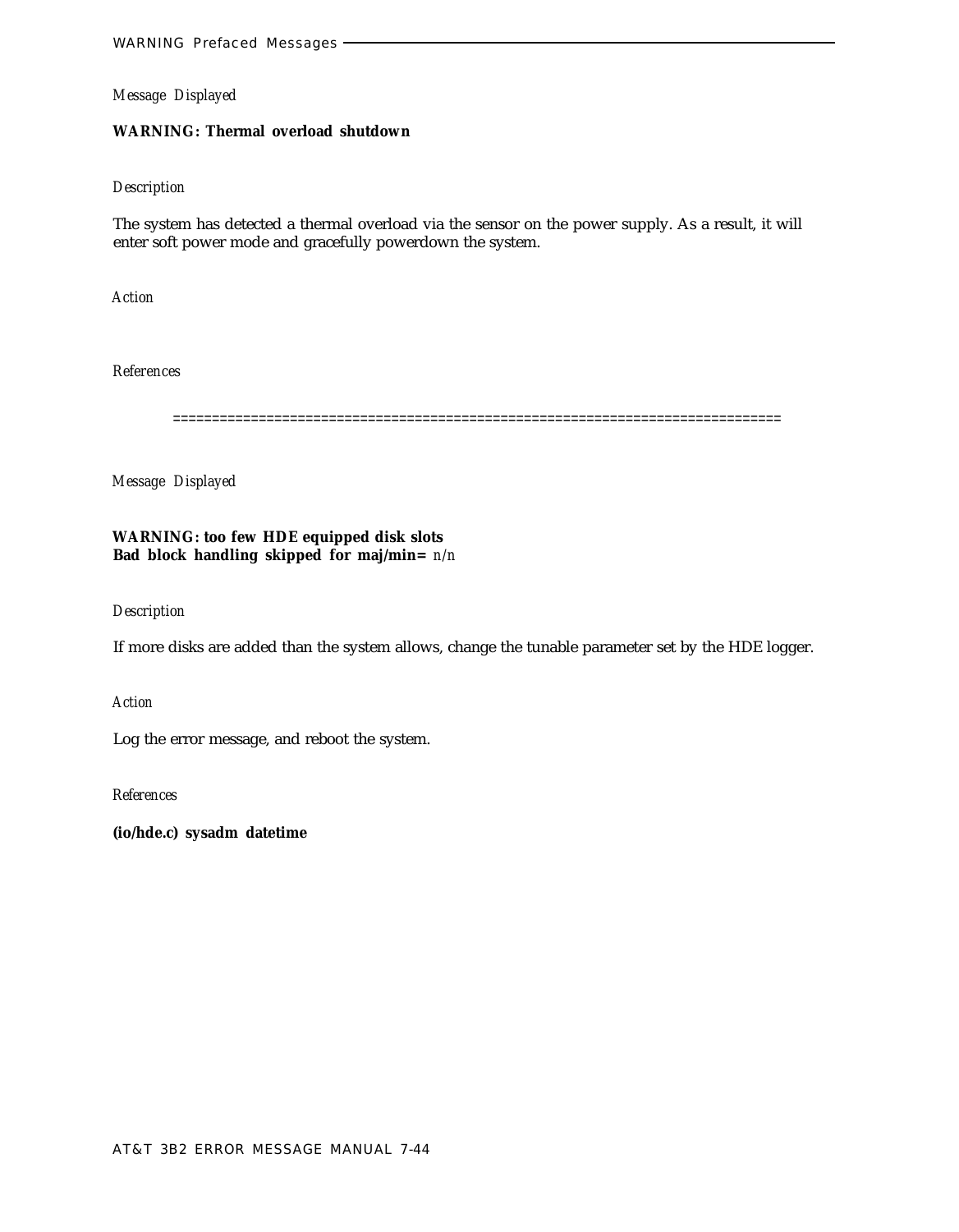# **WARNING: Thermal overload shutdown**

#### *Description*

The system has detected a thermal overload via the sensor on the power supply. As a result, it will enter soft power mode and gracefully powerdown the system.

*Action*

*References*

==============================================================================

*Message Displayed*

**WARNING: too few HDE equipped disk slots Bad block handling skipped for maj/min=** *n/n*

*Description*

If more disks are added than the system allows, change the tunable parameter set by the HDE logger.

*Action*

Log the error message, and reboot the system.

*References*

**(io/hde.c) sysadm datetime**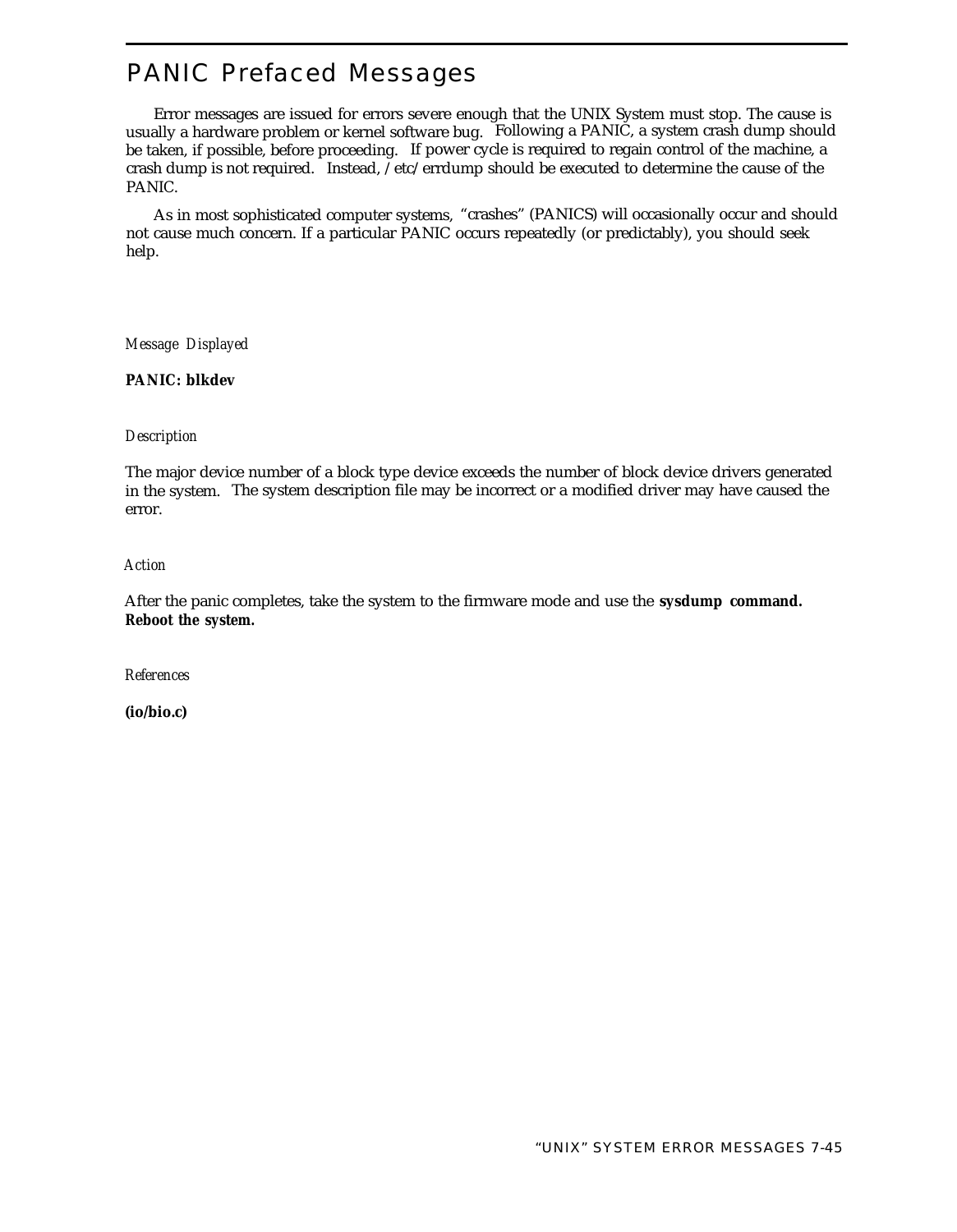# PANIC Prefaced Messages

Error messages are issued for errors severe enough that the UNIX System must stop. The cause is usually a hardware problem or kernel software bug. Following a PANIC, a system crash dump should be taken, if possible, before proceeding. If power cycle is required to regain control of the machine, a crash dump is not required. Instead, /etc/errdump should be executed to determine the cause of the PANIC.

As in most sophisticated computer systems, "crashes" (PANICS) will occasionally occur and should not cause much concern. If a particular PANIC occurs repeatedly (or predictably), you should seek help.

*Message Displayed*

**PANIC: blkdev**

#### *Description*

The major device number of a block type device exceeds the number of block device drivers generated in the system. The system description file may be incorrect or a modified driver may have caused the error.

## *Action*

After the panic completes, take the system to the firmware mode and use the **sysdump command. Reboot the system.**

*References*

**(io/bio.c)**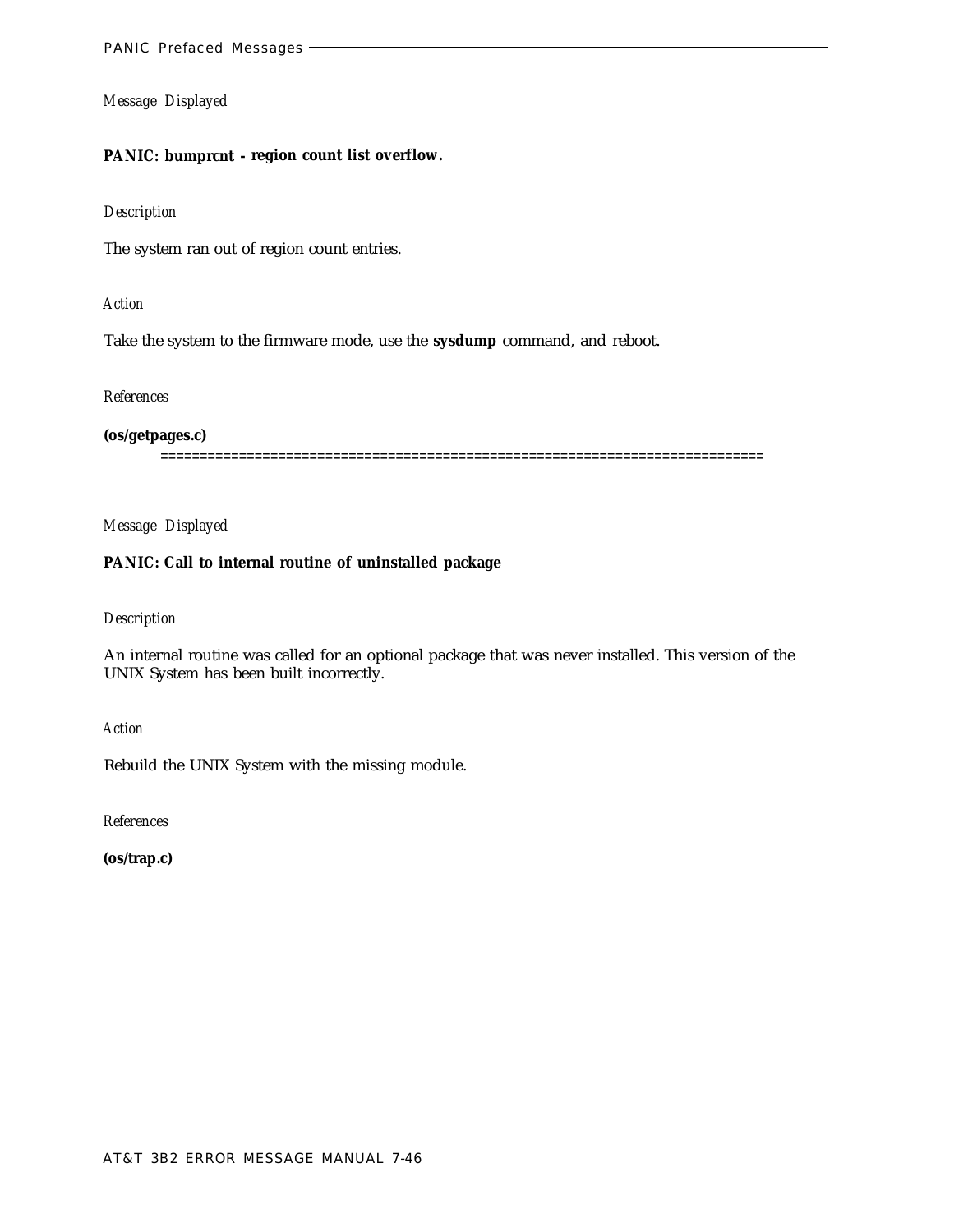#### **PANIC: bumprcnt - region count list overflow.**

#### *Description*

The system ran out of region count entries.

## *Action*

Take the system to the firmware mode, use the **sysdump** command, and reboot.

# *References*

## **(os/getpages.c)**

=============================================================================

# *Message Displayed*

# **PANIC: Call to internal routine of uninstalled package**

## *Description*

An internal routine was called for an optional package that was never installed. This version of the UNIX System has been built incorrectly.

*Action*

Rebuild the UNIX System with the missing module.

*References*

**(os/trap.c)**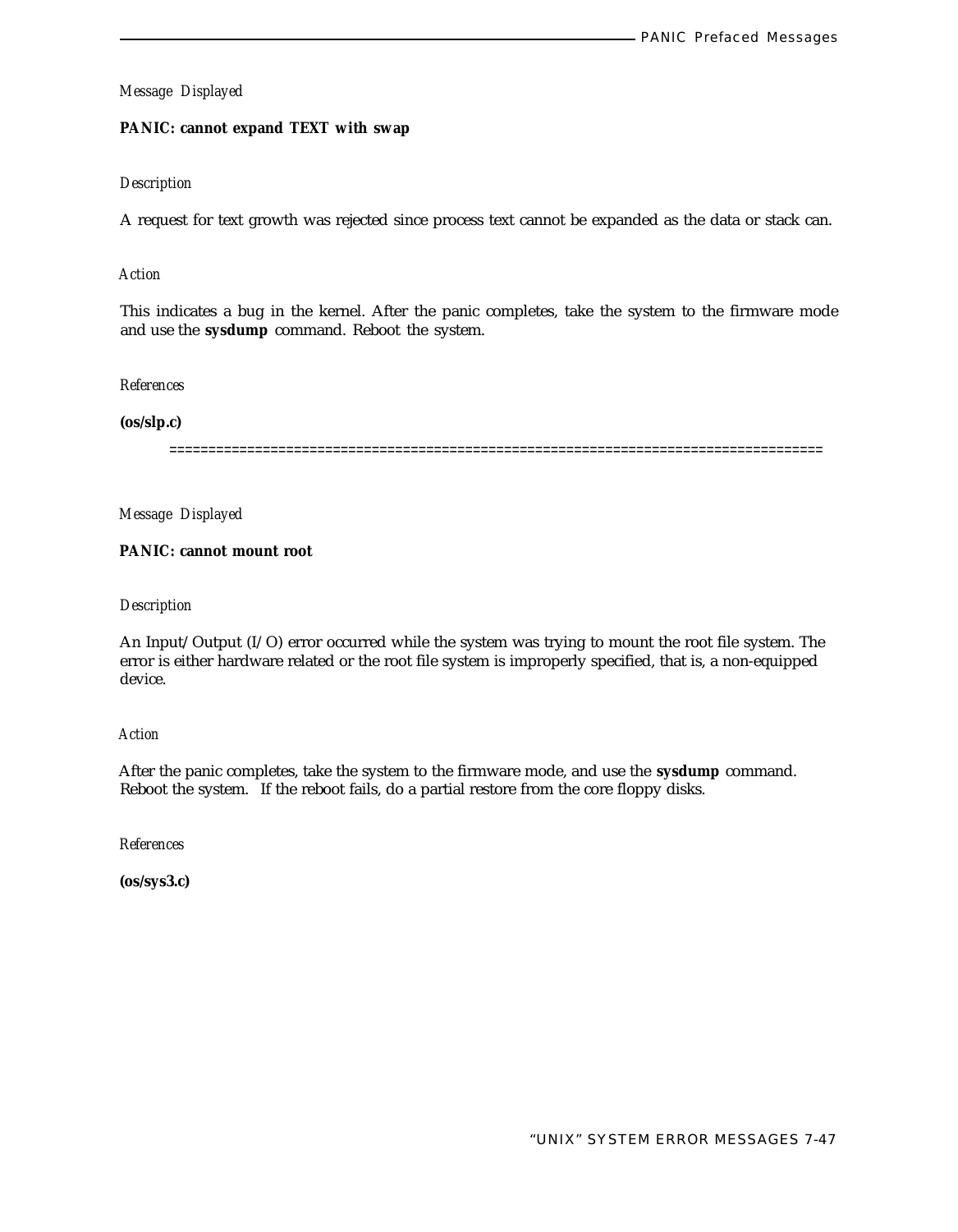# **PANIC: cannot expand TEXT with swap**

# *Description*

A request for text growth was rejected since process text cannot be expanded as the data or stack can.

# *Action*

This indicates a bug in the kernel. After the panic completes, take the system to the firmware mode and use the **sysdump** command. Reboot the system.

# *References*

# **(os/slp.c)**

====================================================================================

*Message Displayed*

# **PANIC: cannot mount root**

# *Description*

An Input/Output (I/O) error occurred while the system was trying to mount the root file system. The error is either hardware related or the root file system is improperly specified, that is, a non-equipped device.

# *Action*

After the panic completes, take the system to the firmware mode, and use the **sysdump** command. Reboot the system. If the reboot fails, do a partial restore from the core floppy disks.

*References*

**(os/sys3.c)**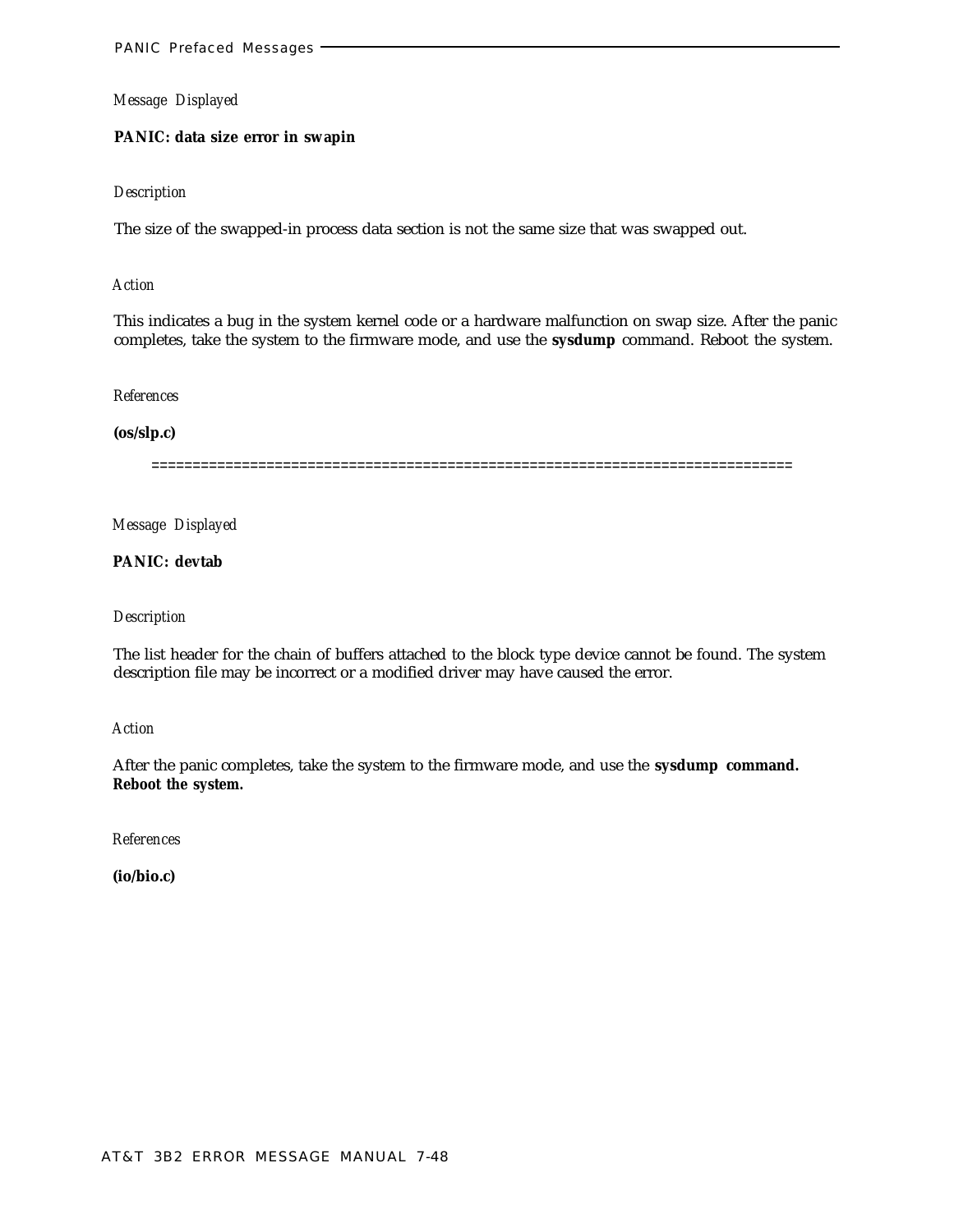#### **PANIC: data size error in swapin**

#### *Description*

The size of the swapped-in process data section is not the same size that was swapped out.

#### *Action*

This indicates a bug in the system kernel code or a hardware malfunction on swap size. After the panic completes, take the system to the firmware mode, and use the **sysdump** command. Reboot the system.

#### *References*

## **(os/slp.c)**

==============================================================================

#### *Message Displayed*

## **PANIC: devtab**

#### *Description*

The list header for the chain of buffers attached to the block type device cannot be found. The system description file may be incorrect or a modified driver may have caused the error.

#### *Action*

After the panic completes, take the system to the firmware mode, and use the **sysdump command. Reboot the system.**

#### *References*

**(io/bio.c)**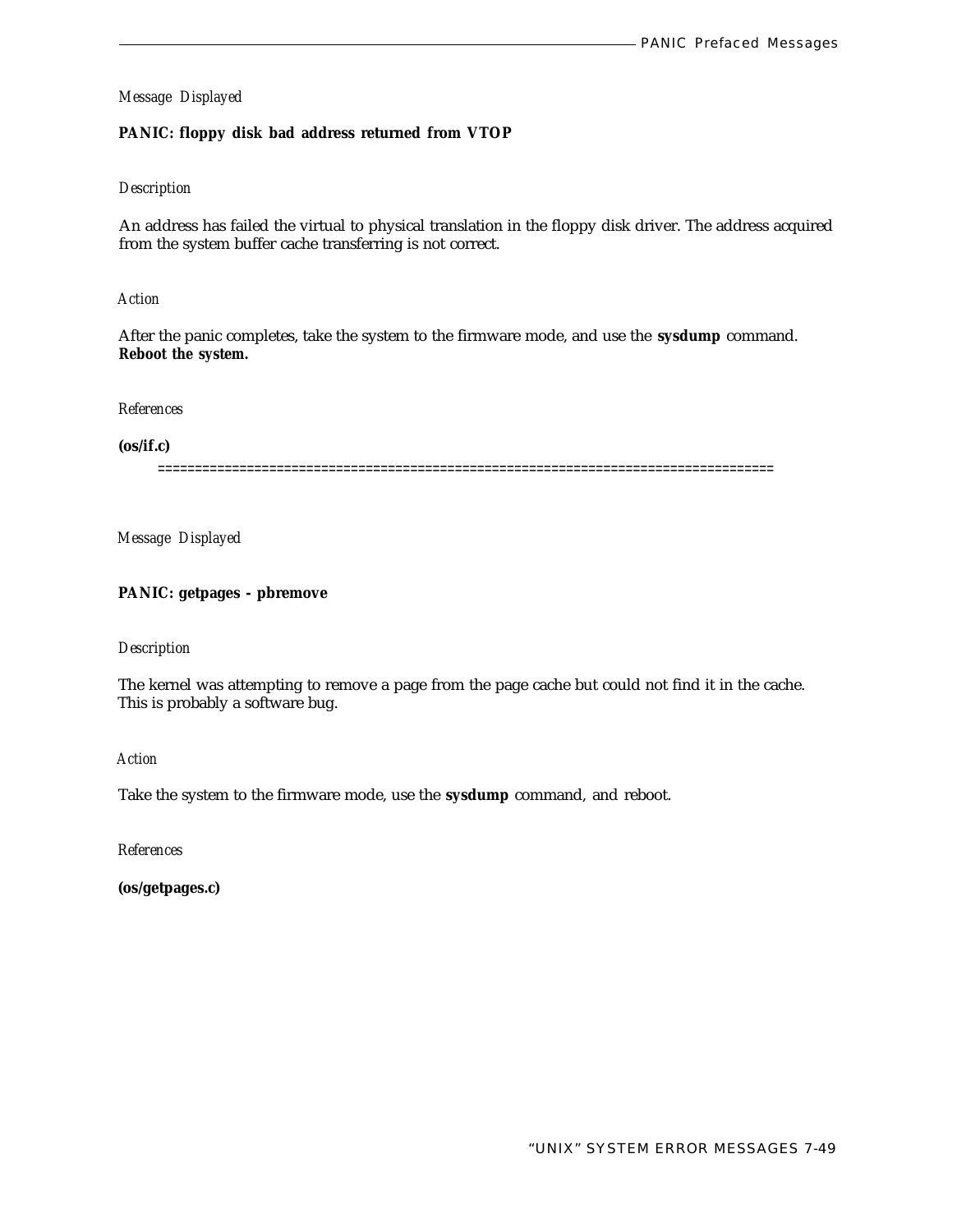# **PANIC: floppy disk bad address returned from VTOP**

# *Description*

An address has failed the virtual to physical translation in the floppy disk driver. The address acquired from the system buffer cache transferring is not correct.

# *Action*

After the panic completes, take the system to the firmware mode, and use the **sysdump** command. **Reboot the system.**

*References*

**(os/if.c)**

===================================================================================

*Message Displayed*

# **PANIC: getpages - pbremove**

#### *Description*

The kernel was attempting to remove a page from the page cache but could not find it in the cache. This is probably a software bug.

*Action*

Take the system to the firmware mode, use the **sysdump** command, and reboot.

*References*

**(os/getpages.c)**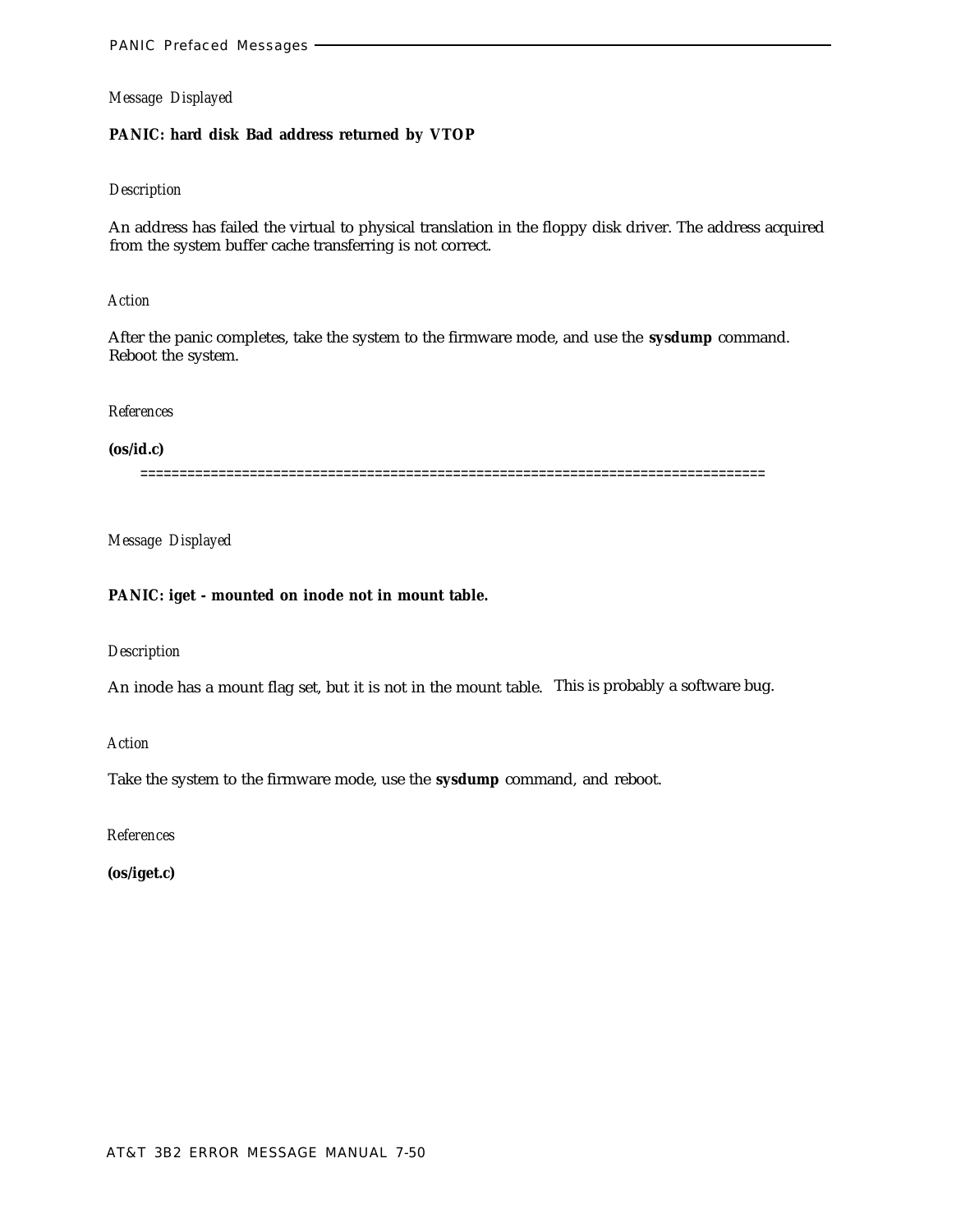## **PANIC: hard disk Bad address returned by VTOP**

# *Description*

An address has failed the virtual to physical translation in the floppy disk driver. The address acquired from the system buffer cache transferring is not correct.

#### *Action*

After the panic completes, take the system to the firmware mode, and use the **sysdump** command. Reboot the system.

#### *References*

## **(os/id.c)**

================================================================================

## *Message Displayed*

## **PANIC: iget - mounted on inode not in mount table.**

#### *Description*

An inode has a mount flag set, but it is not in the mount table. This is probably a software bug.

*Action*

Take the system to the firmware mode, use the **sysdump** command, and reboot.

*References*

**(os/iget.c)**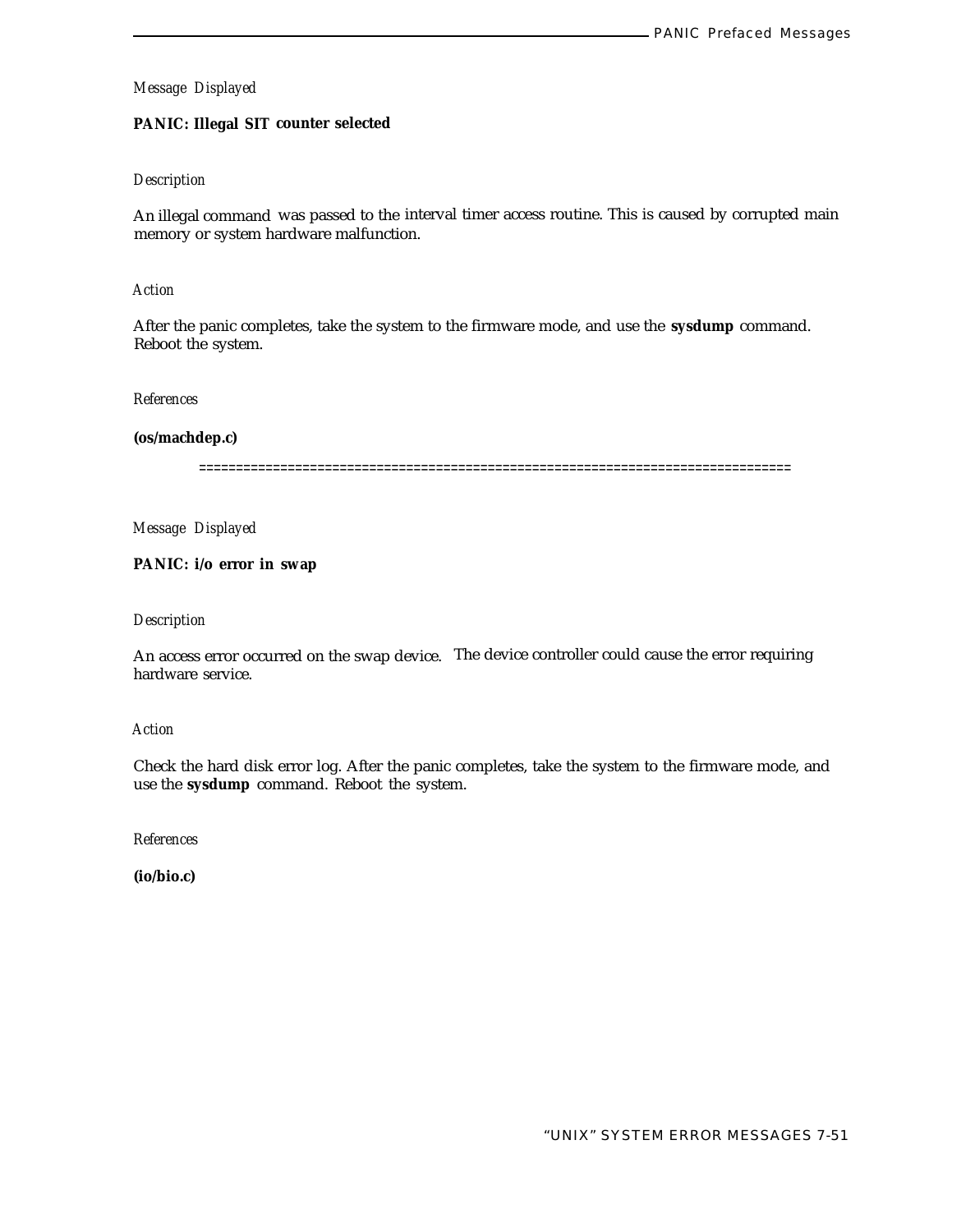# **PANIC: Illegal SIT counter selected**

# *Description*

An illegal command was passed to the interval timer access routine. This is caused by corrupted main memory or system hardware malfunction.

# *Action*

After the panic completes, take the system to the firmware mode, and use the **sysdump** command. Reboot the system.

#### *References*

**(os/machdep.c)**

================================================================================

*Message Displayed*

**PANIC: i/o error in swap**

## *Description*

An access error occurred on the swap device. The device controller could cause the error requiring hardware service.

## *Action*

Check the hard disk error log. After the panic completes, take the system to the firmware mode, and use the **sysdump** command. Reboot the system.

*References*

**(io/bio.c)**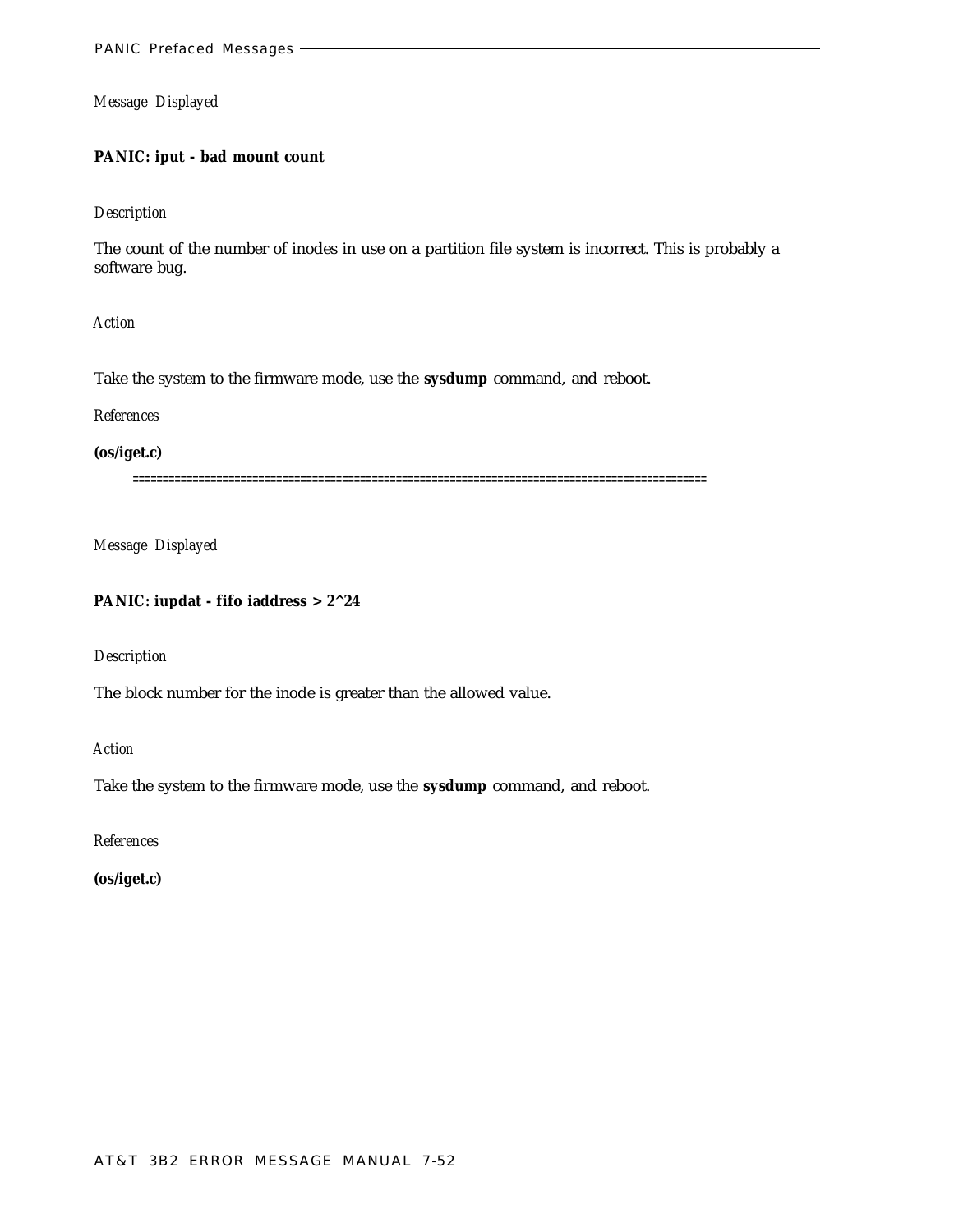# **PANIC: iput - bad mount count**

## *Description*

The count of the number of inodes in use on a partition file system is incorrect. This is probably a software bug.

*Action*

Take the system to the firmware mode, use the **sysdump** command, and reboot.

*References*

**(os/iget.c)**

================================================================================================

*Message Displayed*

# **PANIC: iupdat - fifo iaddress > 2^24**

*Description*

The block number for the inode is greater than the allowed value.

*Action*

Take the system to the firmware mode, use the **sysdump** command, and reboot.

*References*

**(os/iget.c)**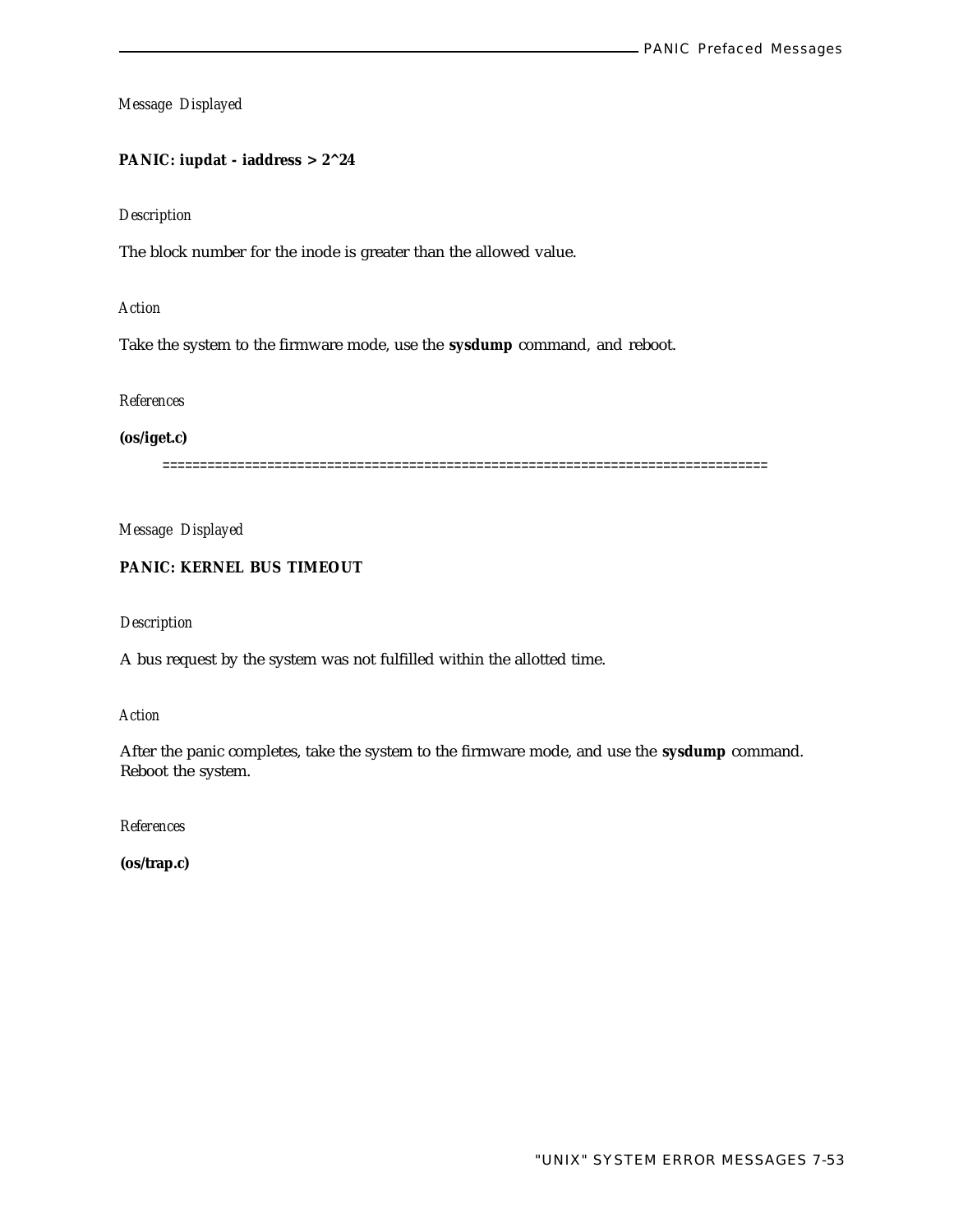# **PANIC: iupdat - iaddress > 2^24**

# *Description*

The block number for the inode is greater than the allowed value.

#### *Action*

Take the system to the firmware mode, use the **sysdump** command, and reboot.

## *References*

**(os/iget.c)**

=================================================================================

*Message Displayed*

# **PANIC: KERNEL BUS TIMEOUT**

# *Description*

A bus request by the system was not fulfilled within the allotted time.

*Action*

After the panic completes, take the system to the firmware mode, and use the **sysdump** command. Reboot the system.

*References*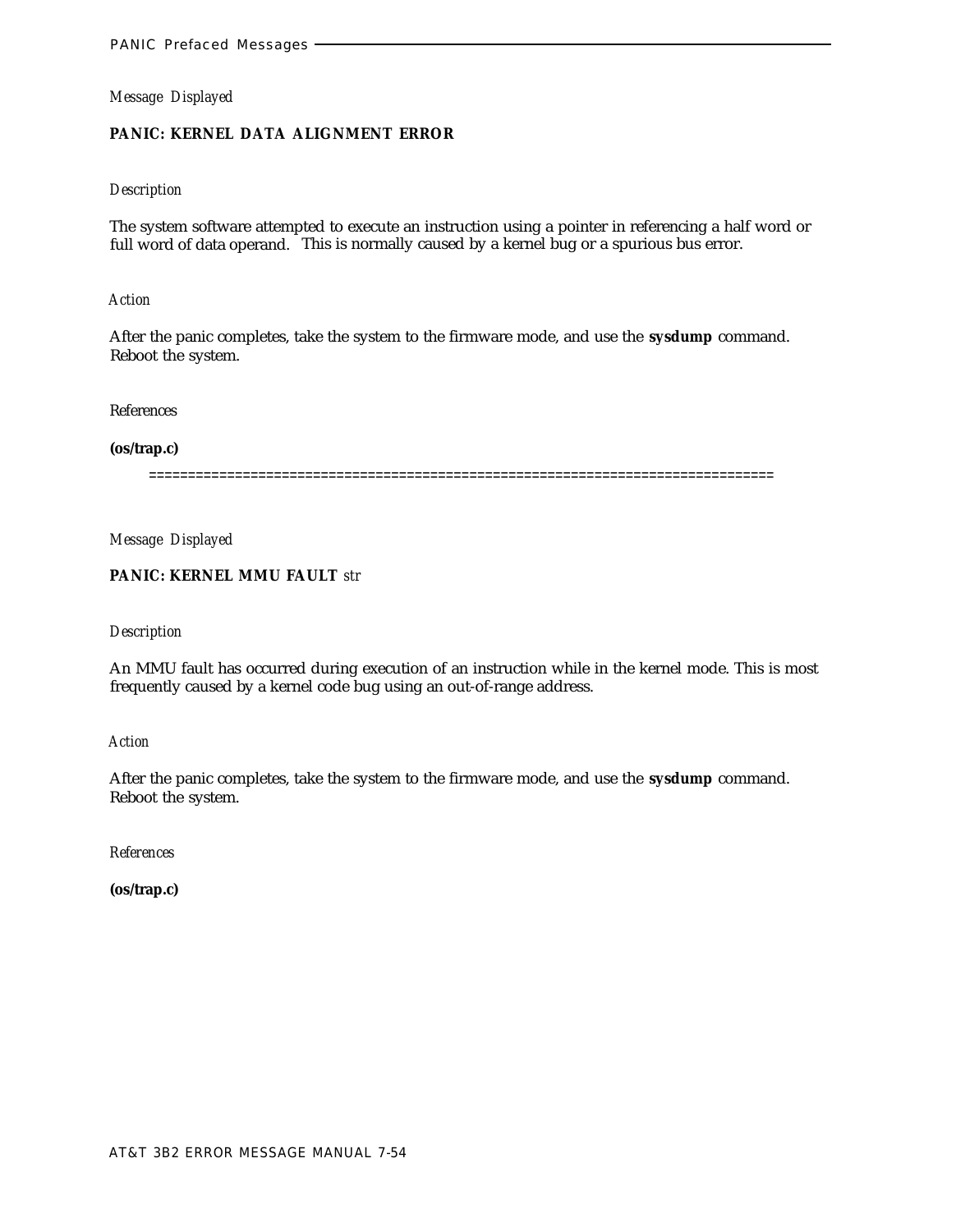# **PANIC: KERNEL DATA ALIGNMENT ERROR**

## *Description*

The system software attempted to execute an instruction using a pointer in referencing a half word or full word of data operand. This is normally caused by a kernel bug or a spurious bus error.

#### *Action*

After the panic completes, take the system to the firmware mode, and use the **sysdump** command. Reboot the system.

References

#### **(os/trap.c)**

================================================================================

*Message Displayed*

# **PANIC: KERNEL MMU FAULT** *str*

#### *Description*

An MMU fault has occurred during execution of an instruction while in the kernel mode. This is most frequently caused by a kernel code bug using an out-of-range address.

*Action*

After the panic completes, take the system to the firmware mode, and use the **sysdump** command. Reboot the system.

*References*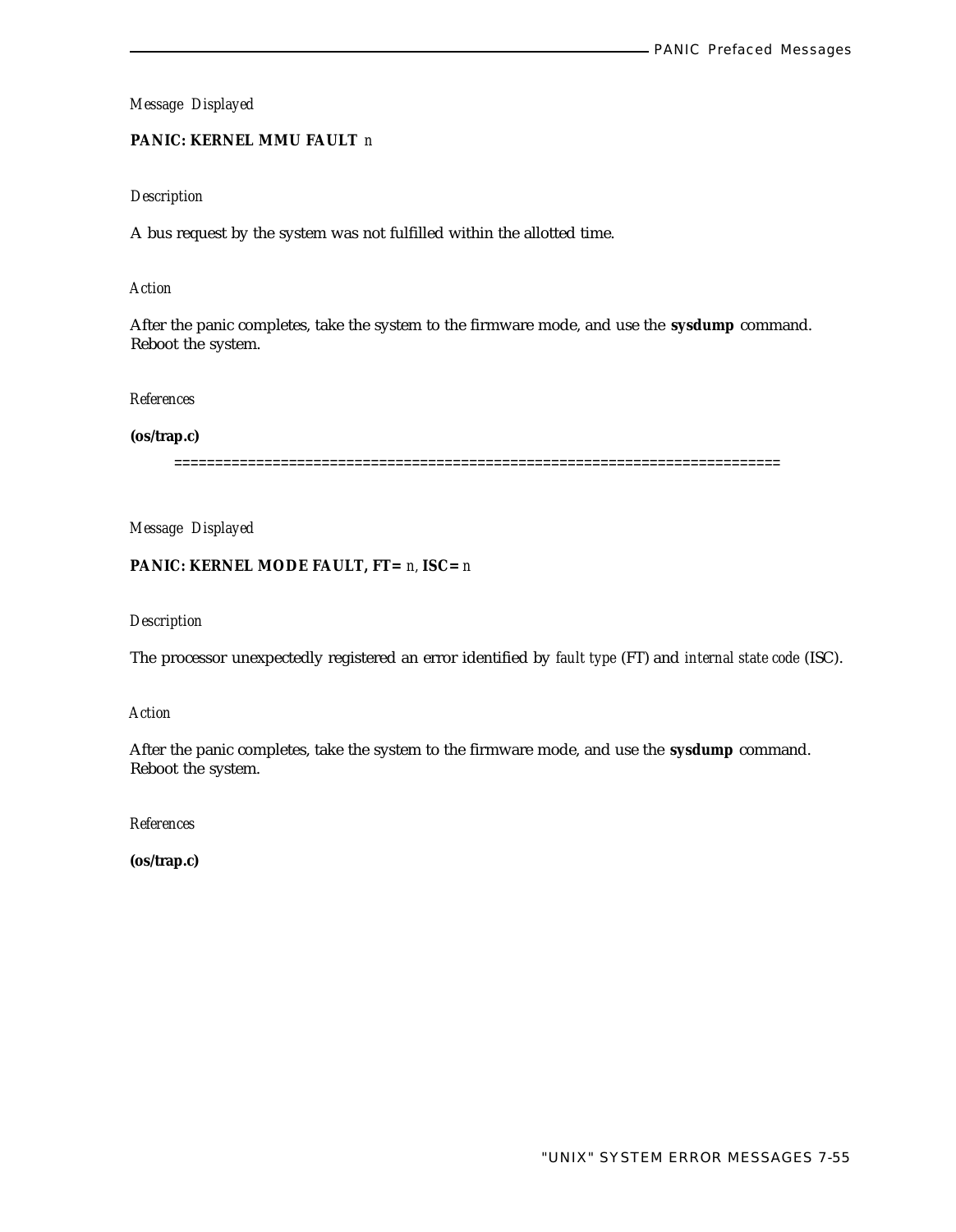# **PANIC: KERNEL MMU FAULT** *n*

## *Description*

A bus request by the system was not fulfilled within the allotted time.

#### *Action*

After the panic completes, take the system to the firmware mode, and use the **sysdump** command. Reboot the system.

#### *References*

#### **(os/trap.c)**

==========================================================================

*Message Displayed*

# **PANIC: KERNEL MODE FAULT, FT=** *n,* **ISC=** *n*

# *Description*

The processor unexpectedly registered an error identified by *fault type* (FT) and *internal state code* (ISC).

*Action*

After the panic completes, take the system to the firmware mode, and use the **sysdump** command. Reboot the system.

*References*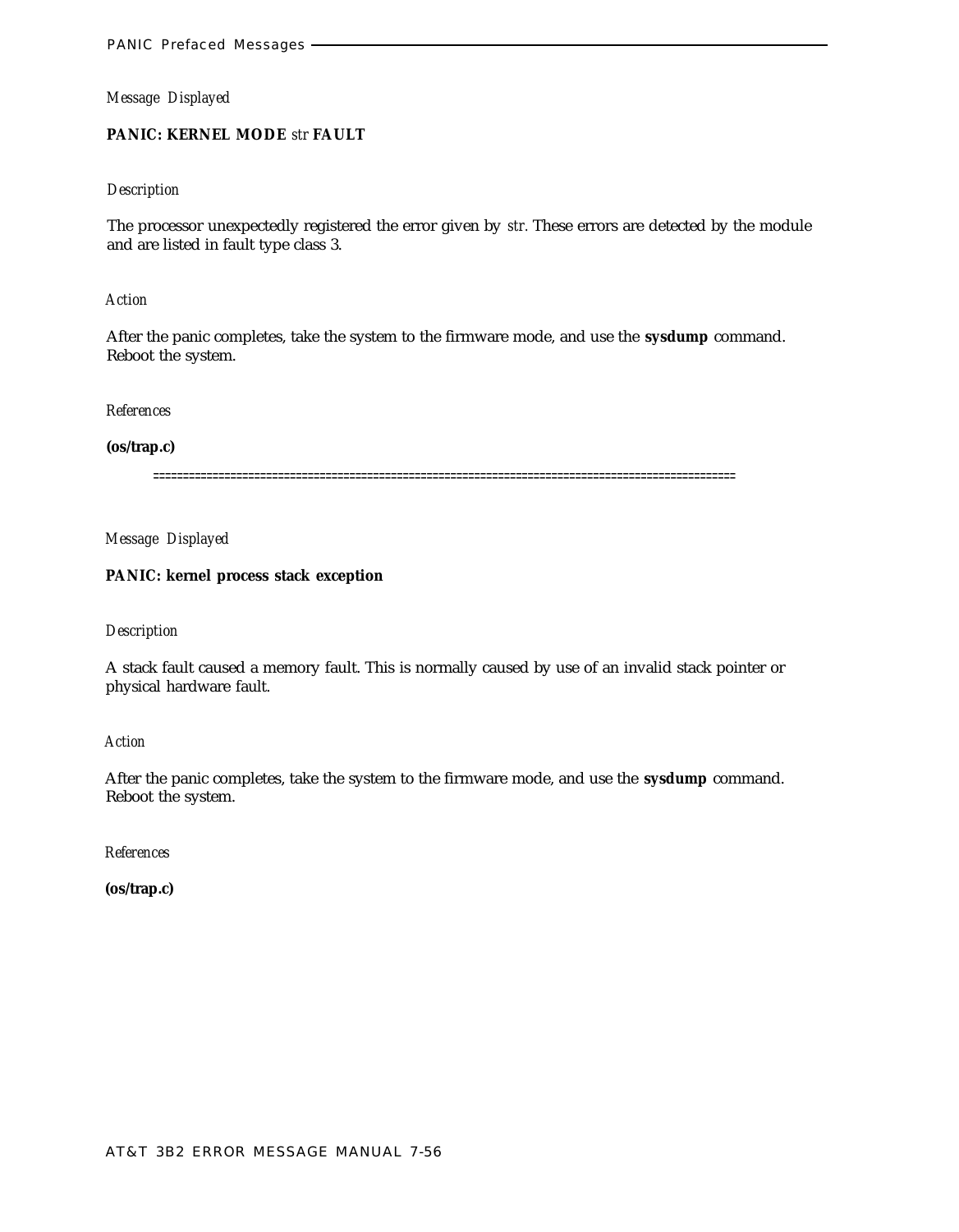# **PANIC: KERNEL MODE** *str* **FAULT**

## *Description*

The processor unexpectedly registered the error given by *str.* These errors are detected by the module and are listed in fault type class 3.

#### *Action*

After the panic completes, take the system to the firmware mode, and use the **sysdump** command. Reboot the system.

*References*

#### **(os/trap.c)**

==================================================================================================

*Message Displayed*

# **PANIC: kernel process stack exception**

#### *Description*

A stack fault caused a memory fault. This is normally caused by use of an invalid stack pointer or physical hardware fault.

## *Action*

After the panic completes, take the system to the firmware mode, and use the **sysdump** command. Reboot the system.

*References*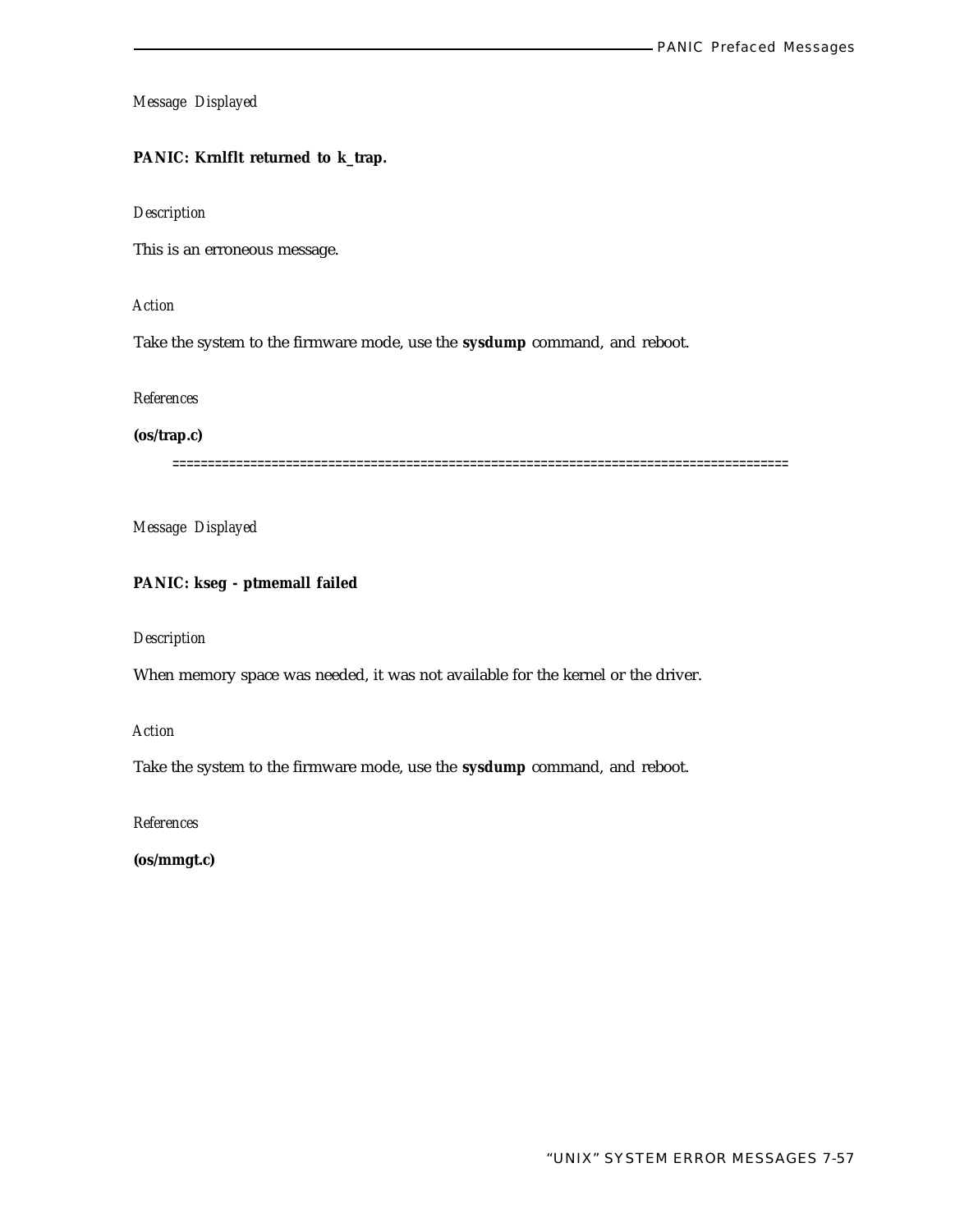# **PANIC: Krnlflt returned to k\_trap.**

#### *Description*

This is an erroneous message.

# *Action*

Take the system to the firmware mode, use the **sysdump** command, and reboot.

#### *References*

## **(os/trap.c)**

=======================================================================================

*Message Displayed*

# **PANIC: kseg - ptmemall failed**

#### *Description*

When memory space was needed, it was not available for the kernel or the driver.

# *Action*

Take the system to the firmware mode, use the **sysdump** command, and reboot.

*References*

**(os/mmgt.c)**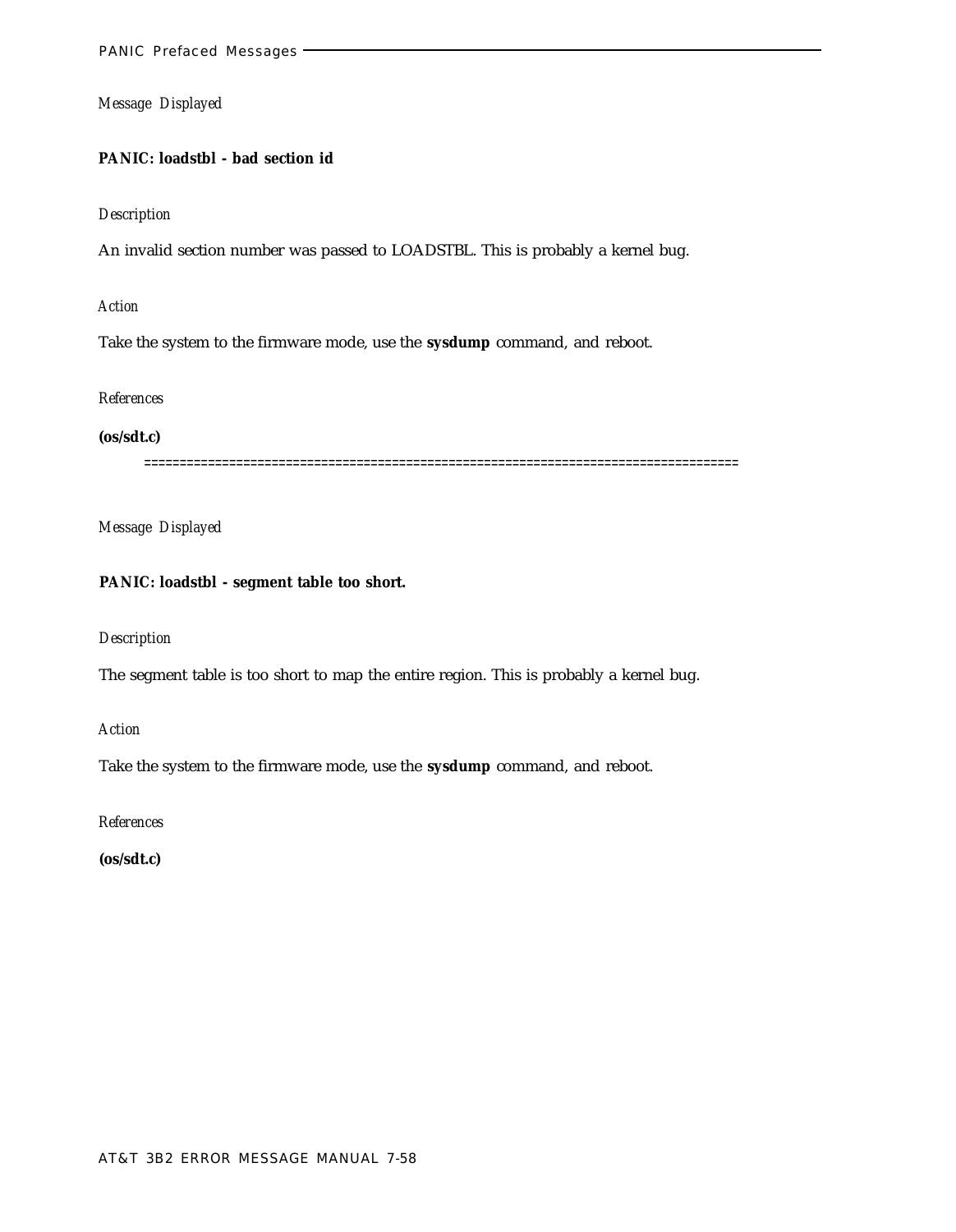# **PANIC: loadstbl - bad section id**

#### *Description*

An invalid section number was passed to LOADSTBL. This is probably a kernel bug.

# *Action*

Take the system to the firmware mode, use the **sysdump** command, and reboot.

#### *References*

#### **(os/sdt.c)**

====================================================================================

# *Message Displayed*

## **PANIC: loadstbl - segment table too short.**

## *Description*

The segment table is too short to map the entire region. This is probably a kernel bug.

*Action*

Take the system to the firmware mode, use the **sysdump** command, and reboot.

*References*

**(os/sdt.c)**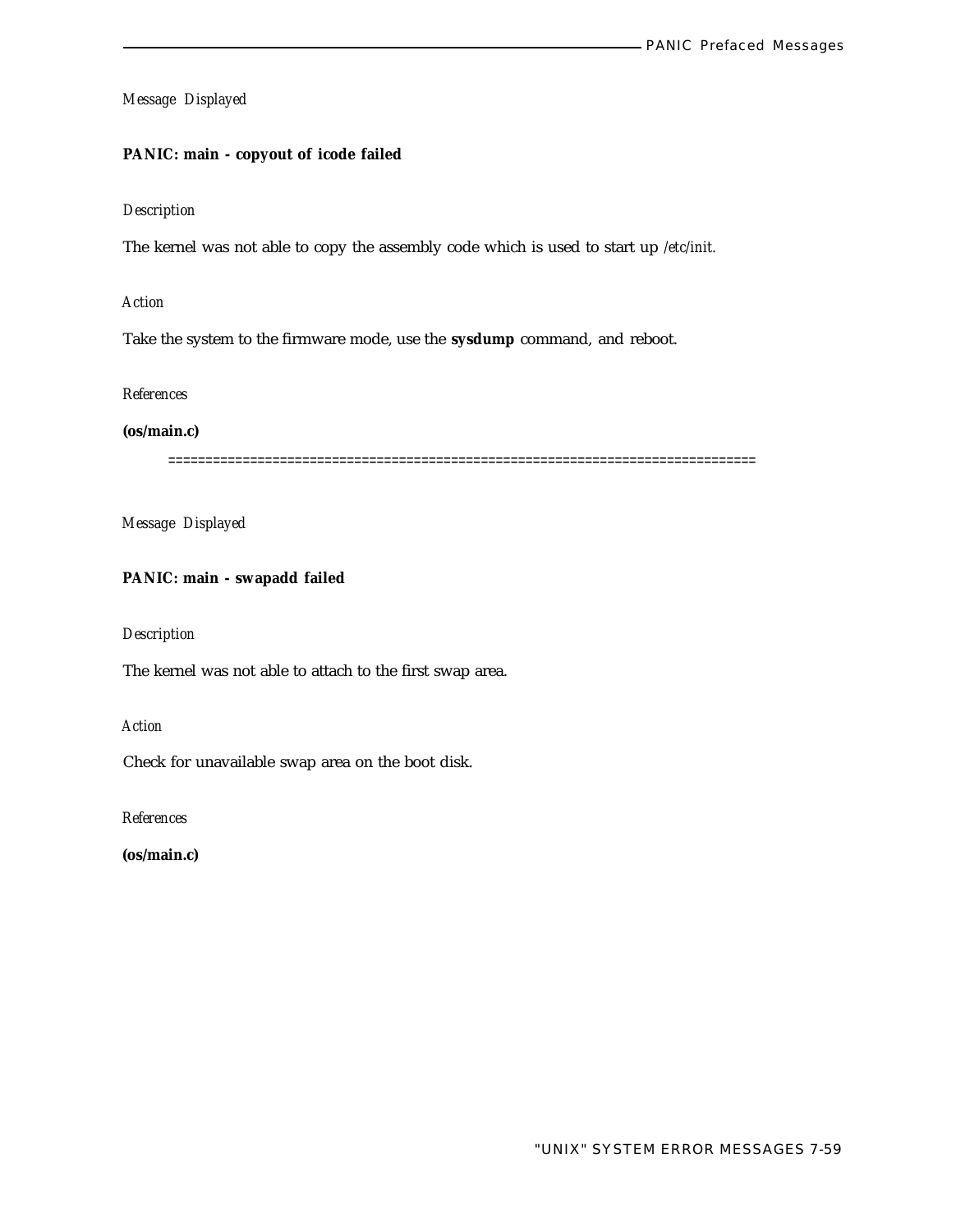## **PANIC: main - copyout of icode failed**

## *Description*

The kernel was not able to copy the assembly code which is used to start up */etc/init.*

#### *Action*

Take the system to the firmware mode, use the **sysdump** command, and reboot.

#### *References*

#### **(os/main.c)**

===============================================================================

*Message Displayed*

# **PANIC: main - swapadd failed**

## *Description*

The kernel was not able to attach to the first swap area.

*Action*

Check for unavailable swap area on the boot disk.

*References*

**(os/main.c)**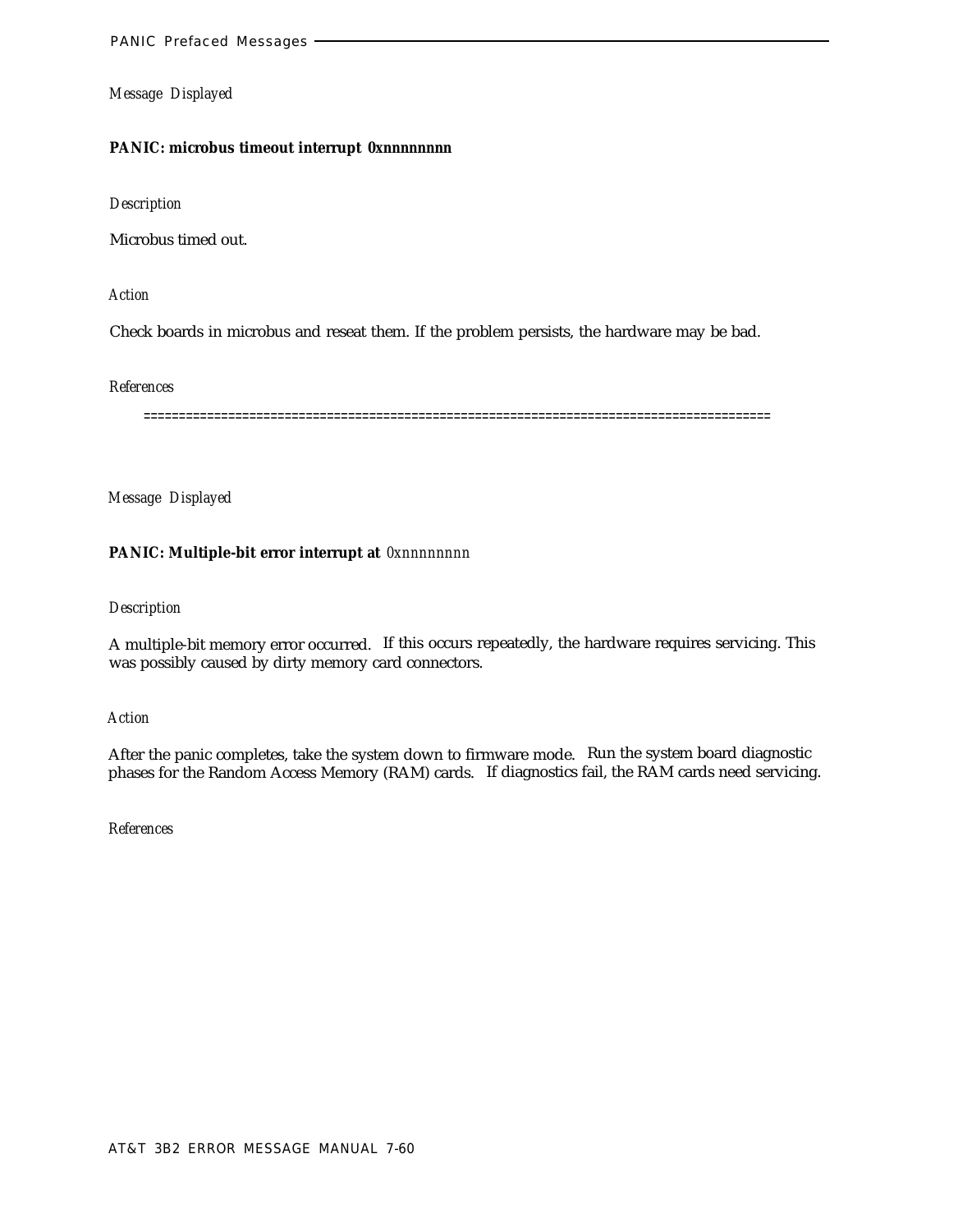#### **PANIC: microbus timeout interrupt** *0xnnnnnnnn*

*Description*

Microbus timed out.

*Action*

Check boards in microbus and reseat them. If the problem persists, the hardware may be bad.

*References*

=========================================================================================

*Message Displayed*

## **PANIC: Multiple-bit error interrupt at** *0xnnnnnnnn*

#### *Description*

A multiple-bit memory error occurred. If this occurs repeatedly, the hardware requires servicing. This was possibly caused by dirty memory card connectors.

*Action*

After the panic completes, take the system down to firmware mode. Run the system board diagnostic phases for the Random Access Memory (RAM) cards. If diagnostics fail, the RAM cards need servicing.

*References*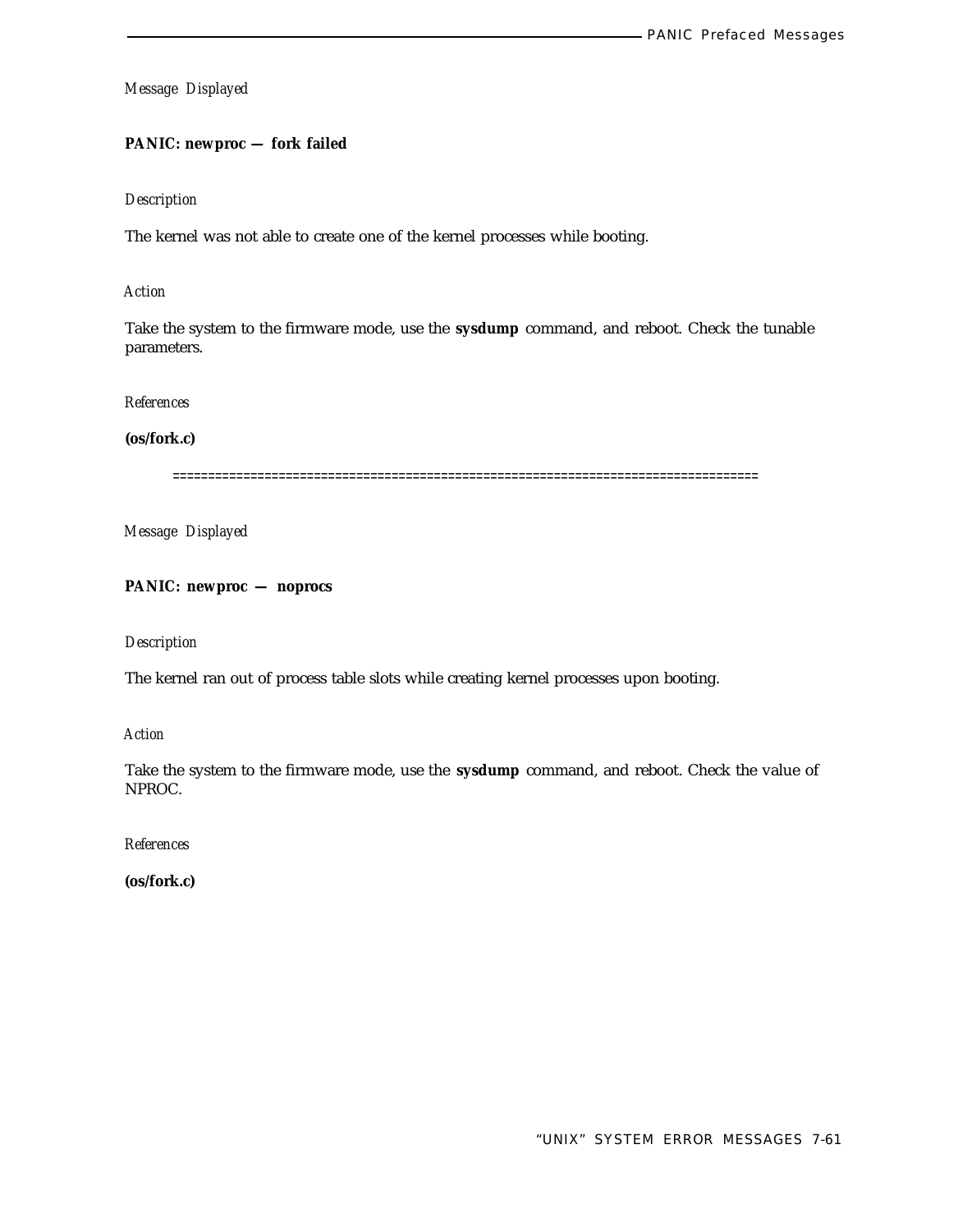# **PANIC: newproc — fork failed**

# *Description*

The kernel was not able to create one of the kernel processes while booting.

## *Action*

Take the system to the firmware mode, use the **sysdump** command, and reboot. Check the tunable parameters.

#### *References*

## **(os/fork.c)**

===================================================================================

*Message Displayed*

**PANIC: newproc — noprocs**

*Description*

The kernel ran out of process table slots while creating kernel processes upon booting.

*Action*

Take the system to the firmware mode, use the **sysdump** command, and reboot. Check the value of NPROC.

*References*

**(os/fork.c)**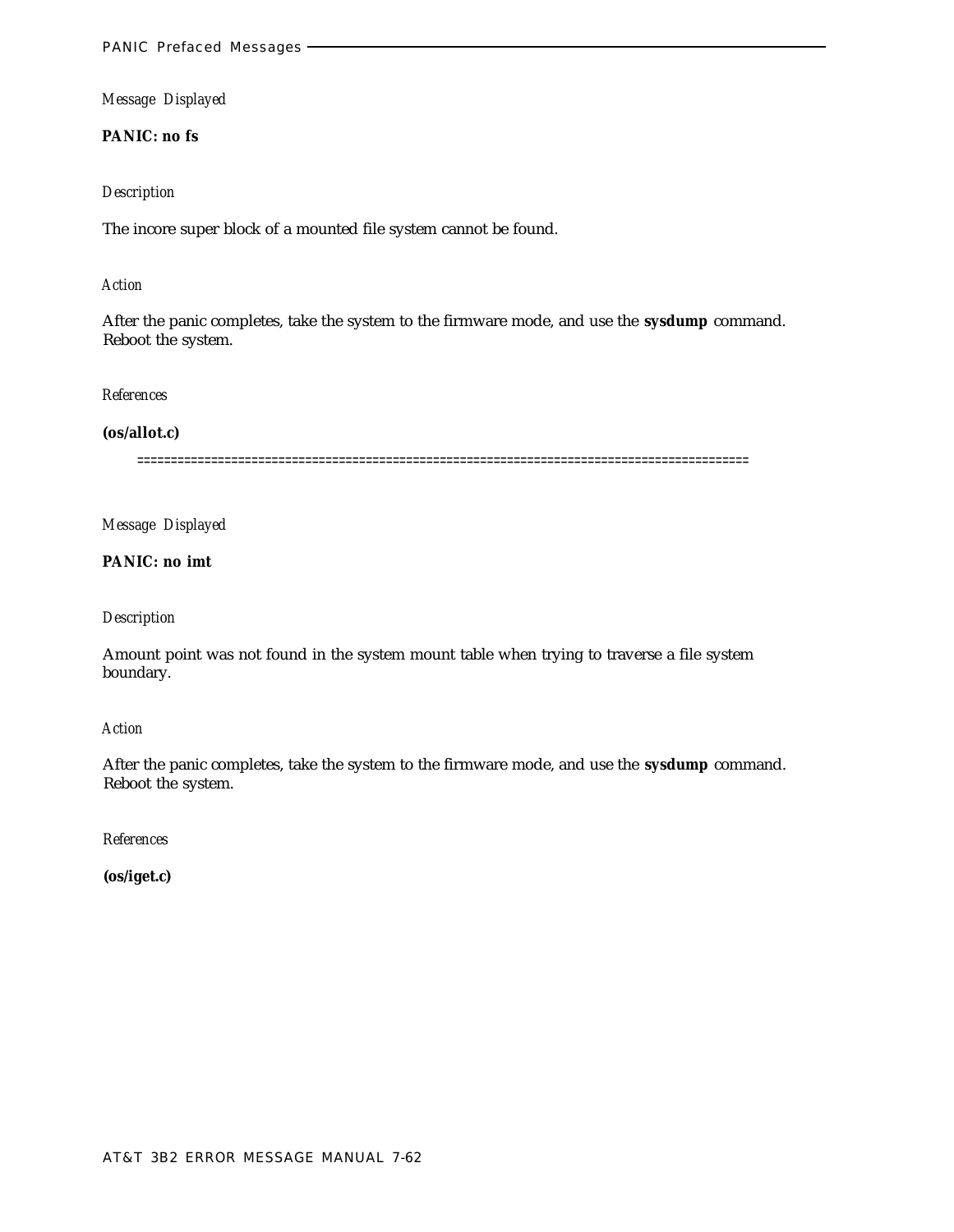**PANIC: no fs**

#### *Description*

The incore super block of a mounted file system cannot be found.

#### *Action*

After the panic completes, take the system to the firmware mode, and use the **sysdump** command. Reboot the system.

#### *References*

# **(os/allot.c)**

===========================================================================================

*Message Displayed*

**PANIC: no imt**

## *Description*

Amount point was not found in the system mount table when trying to traverse a file system boundary.

#### *Action*

After the panic completes, take the system to the firmware mode, and use the **sysdump** command. Reboot the system.

*References*

**(os/iget.c)**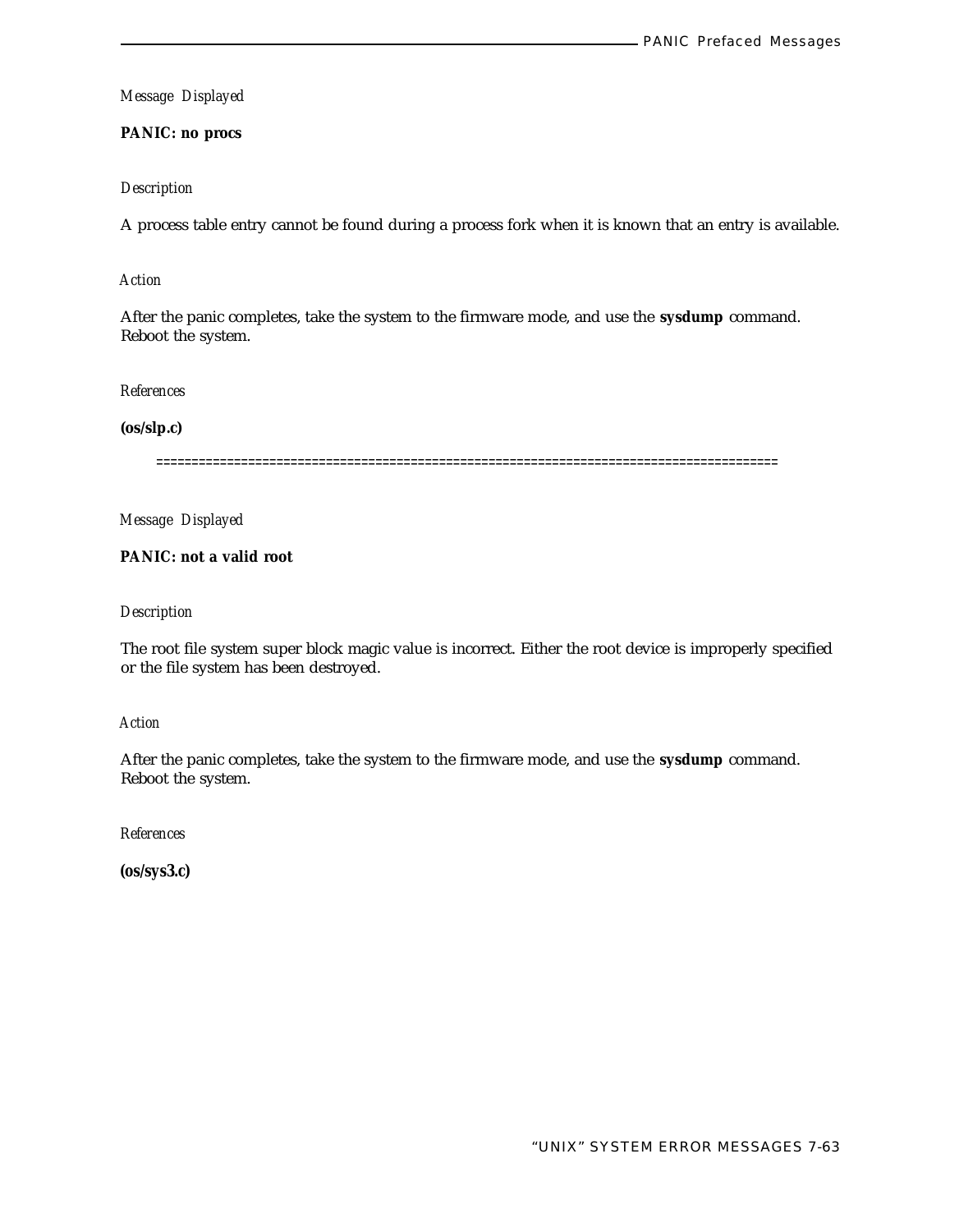**PANIC: no procs**

#### *Description*

A process table entry cannot be found during a process fork when it is known that an entry is available.

# *Action*

After the panic completes, take the system to the firmware mode, and use the **sysdump** command. Reboot the system.

*References*

#### **(os/slp.c)**

========================================================================================

*Message Displayed*

**PANIC: not a valid root**

#### *Description*

The root file system super block magic value is incorrect. Either the root device is improperly specified or the file system has been destroyed.

*Action*

After the panic completes, take the system to the firmware mode, and use the **sysdump** command. Reboot the system.

*References*

**(os/sys3.c)**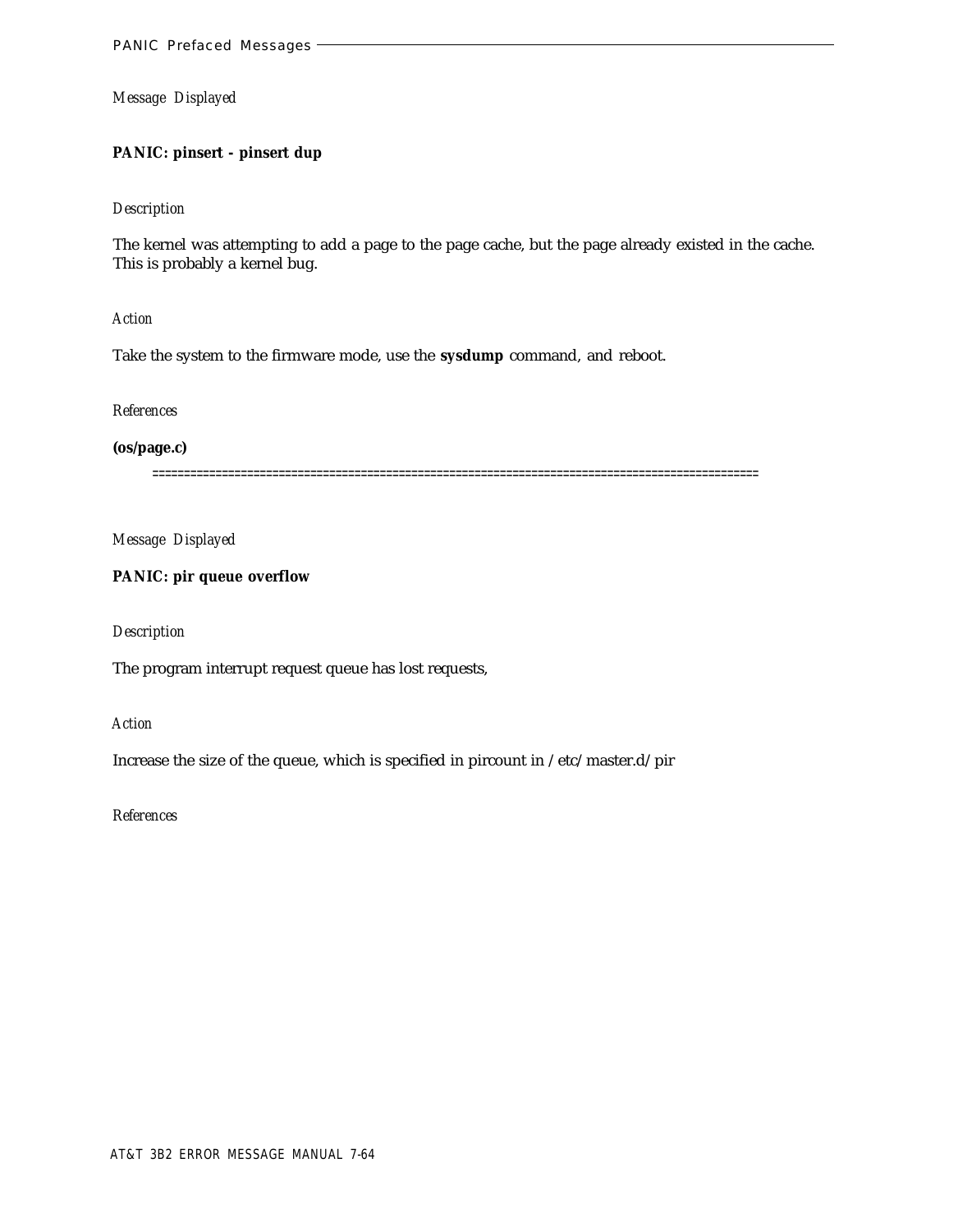# **PANIC: pinsert - pinsert dup**

#### *Description*

The kernel was attempting to add a page to the page cache, but the page already existed in the cache. This is probably a kernel bug.

*Action*

Take the system to the firmware mode, use the **sysdump** command, and reboot.

*References*

**(os/page.c)**

================================================================================================

*Message Displayed*

# **PANIC: pir queue overflow**

## *Description*

The program interrupt request queue has lost requests,

*Action*

Increase the size of the queue, which is specified in pircount in /etc/master.d/pir

*References*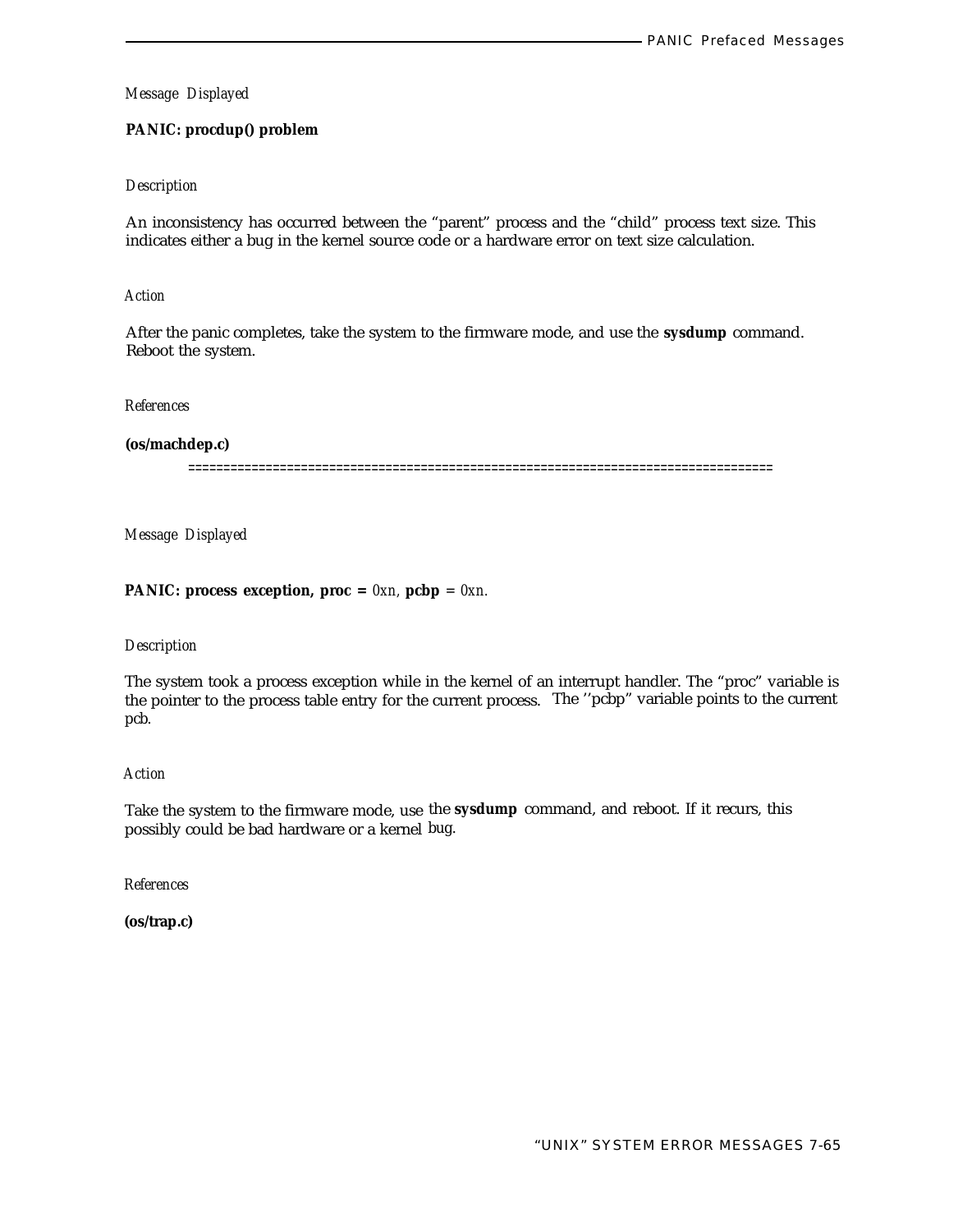# **PANIC: procdup() problem**

#### *Description*

An inconsistency has occurred between the "parent" process and the "child" process text size. This indicates either a bug in the kernel source code or a hardware error on text size calculation.

#### *Action*

After the panic completes, take the system to the firmware mode, and use the **sysdump** command. Reboot the system.

#### *References*

**(os/machdep.c)**

===================================================================================

*Message Displayed*

## **PANIC:** process exception, proc =  $0xn$ , pcbp =  $0xn$ .

#### *Description*

The system took a process exception while in the kernel of an interrupt handler. The "proc" variable is the pointer to the process table entry for the current process. The ''pcbp" variable points to the current pcb.

#### *Action*

Take the system to the firmware mode, use the **sysdump** command, and reboot. If it recurs, this possibly could be bad hardware or a kernel bug.

*References*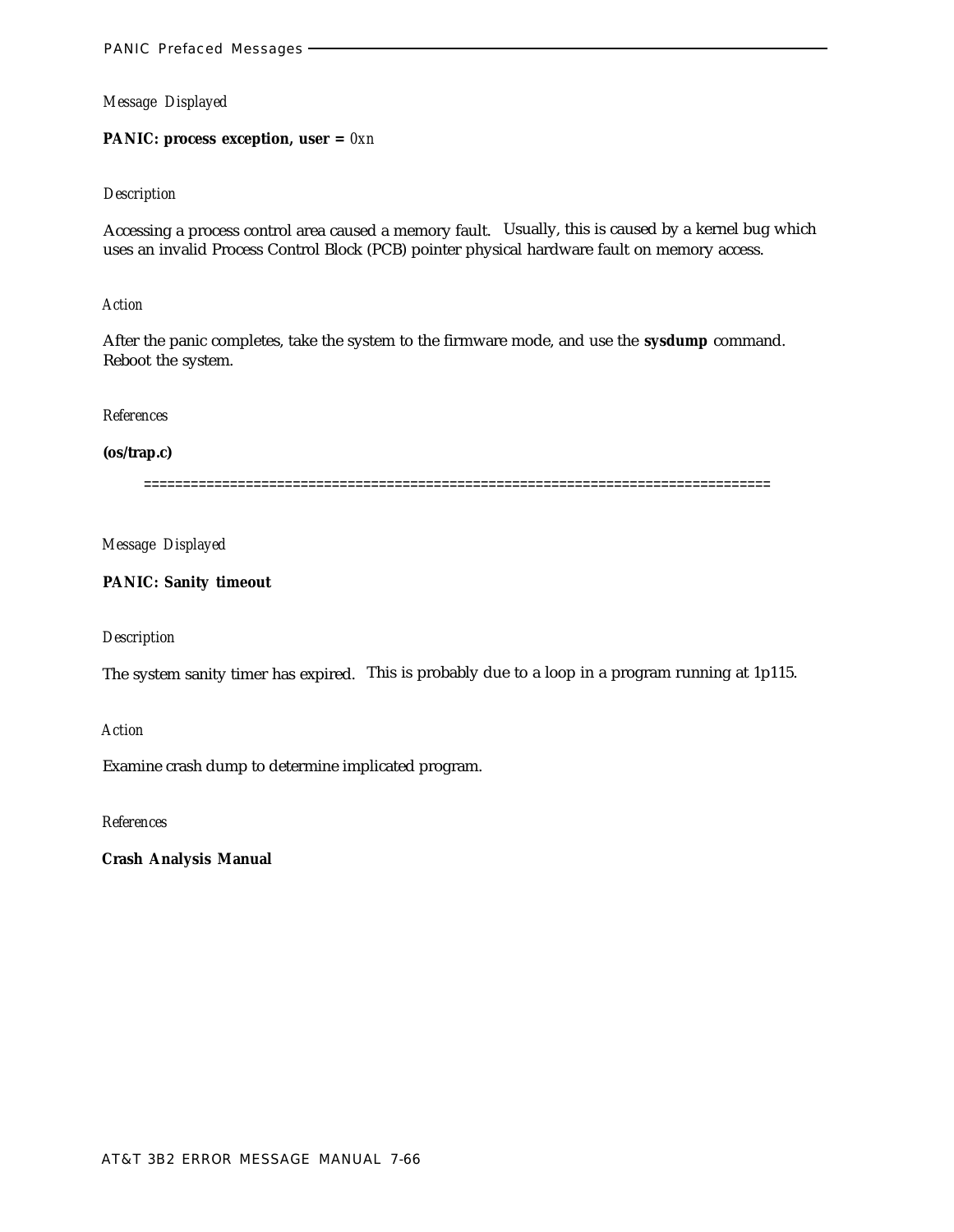#### **PANIC: process exception, user =** *0xn*

#### *Description*

Accessing a process control area caused a memory fault. Usually, this is caused by a kernel bug which uses an invalid Process Control Block (PCB) pointer physical hardware fault on memory access.

#### *Action*

After the panic completes, take the system to the firmware mode, and use the **sysdump** command. Reboot the system.

## *References*

# **(os/trap.c)**

================================================================================

# *Message Displayed*

# **PANIC: Sanity timeout**

# *Description*

The system sanity timer has expired. This is probably due to a loop in a program running at 1p115.

# *Action*

Examine crash dump to determine implicated program.

*References*

**Crash Analysis Manual**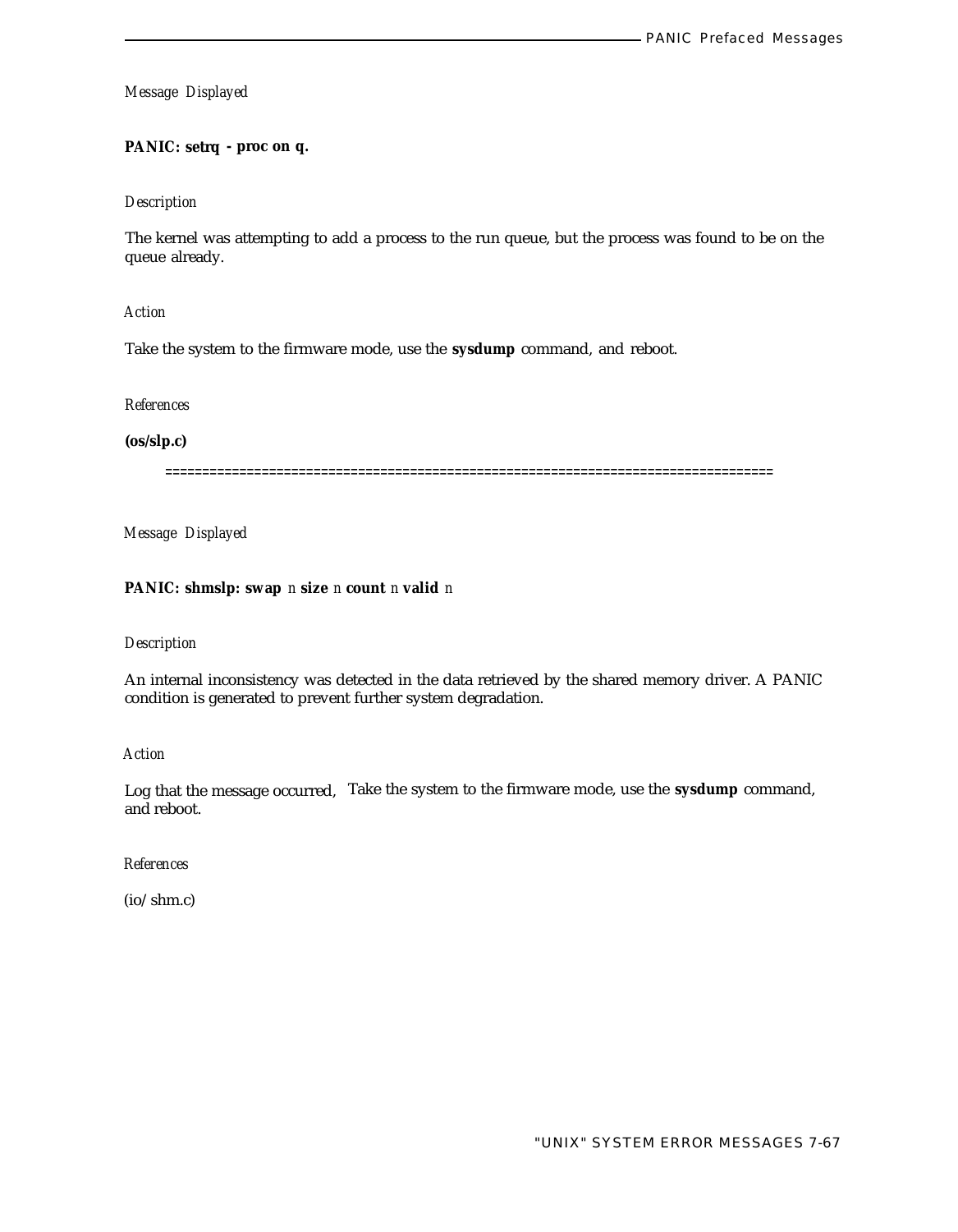# **PANIC: setrq - proc on q.**

#### *Description*

The kernel was attempting to add a process to the run queue, but the process was found to be on the queue already.

*Action*

Take the system to the firmware mode, use the **sysdump** command, and reboot.

*References*

**(os/slp.c)**

==================================================================================

*Message Displayed*

## **PANIC: shmslp: swap** *n* **size** *n* **count** *n* **valid** *n*

#### *Description*

An internal inconsistency was detected in the data retrieved by the shared memory driver. A PANIC condition is generated to prevent further system degradation.

*Action*

Log that the message occurred, Take the system to the firmware mode, use the **sysdump** command, and reboot.

*References*

(io/shm.c)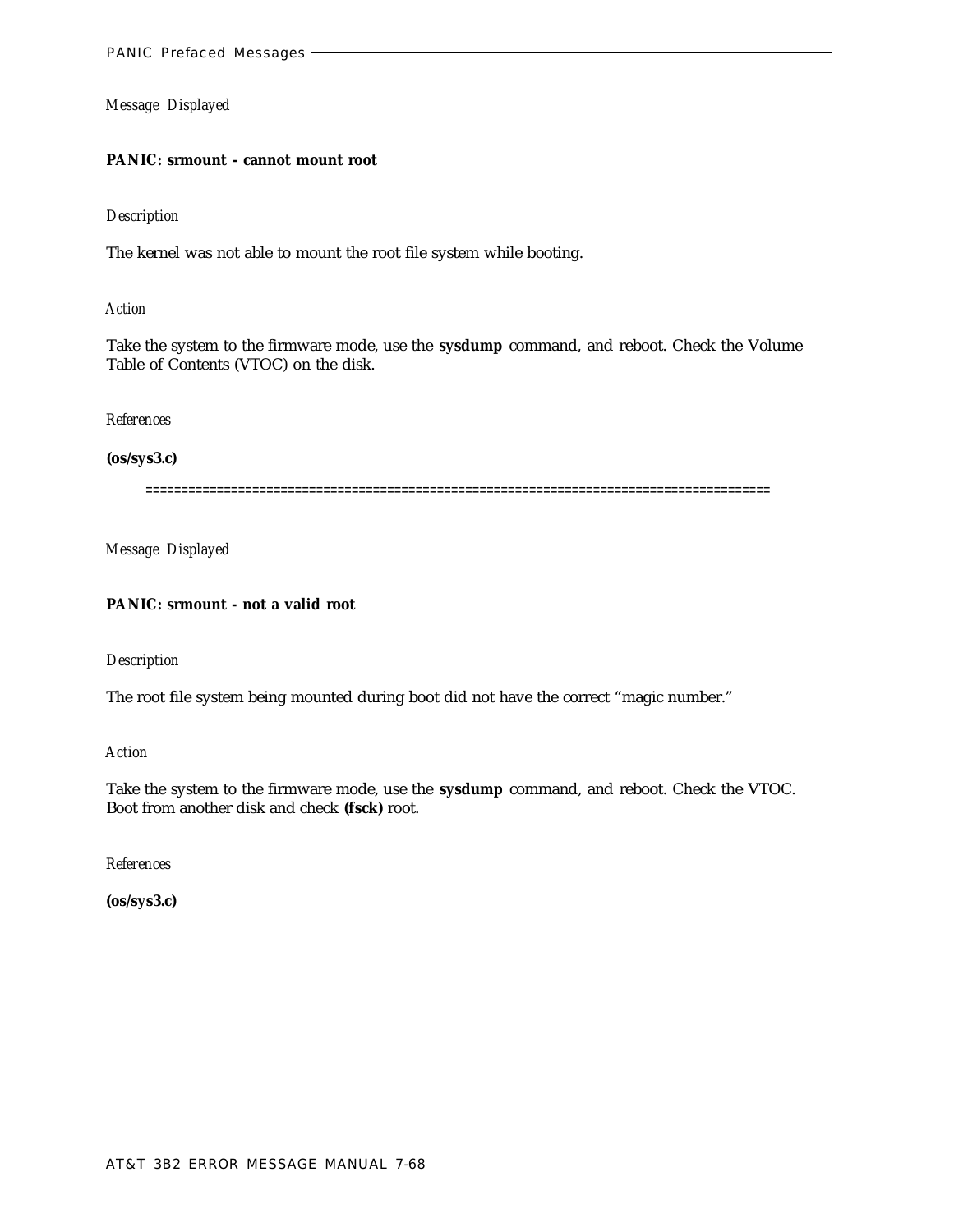#### **PANIC: srmount - cannot mount root**

#### *Description*

The kernel was not able to mount the root file system while booting.

## *Action*

Take the system to the firmware mode, use the **sysdump** command, and reboot. Check the Volume Table of Contents (VTOC) on the disk.

## *References*

# **(os/sys3.c)**

========================================================================================

*Message Displayed*

# **PANIC: srmount - not a valid root**

# *Description*

The root file system being mounted during boot did not have the correct "magic number."

*Action*

Take the system to the firmware mode, use the **sysdump** command, and reboot. Check the VTOC. Boot from another disk and check **(fsck)** root.

*References*

**(os/sys3.c)**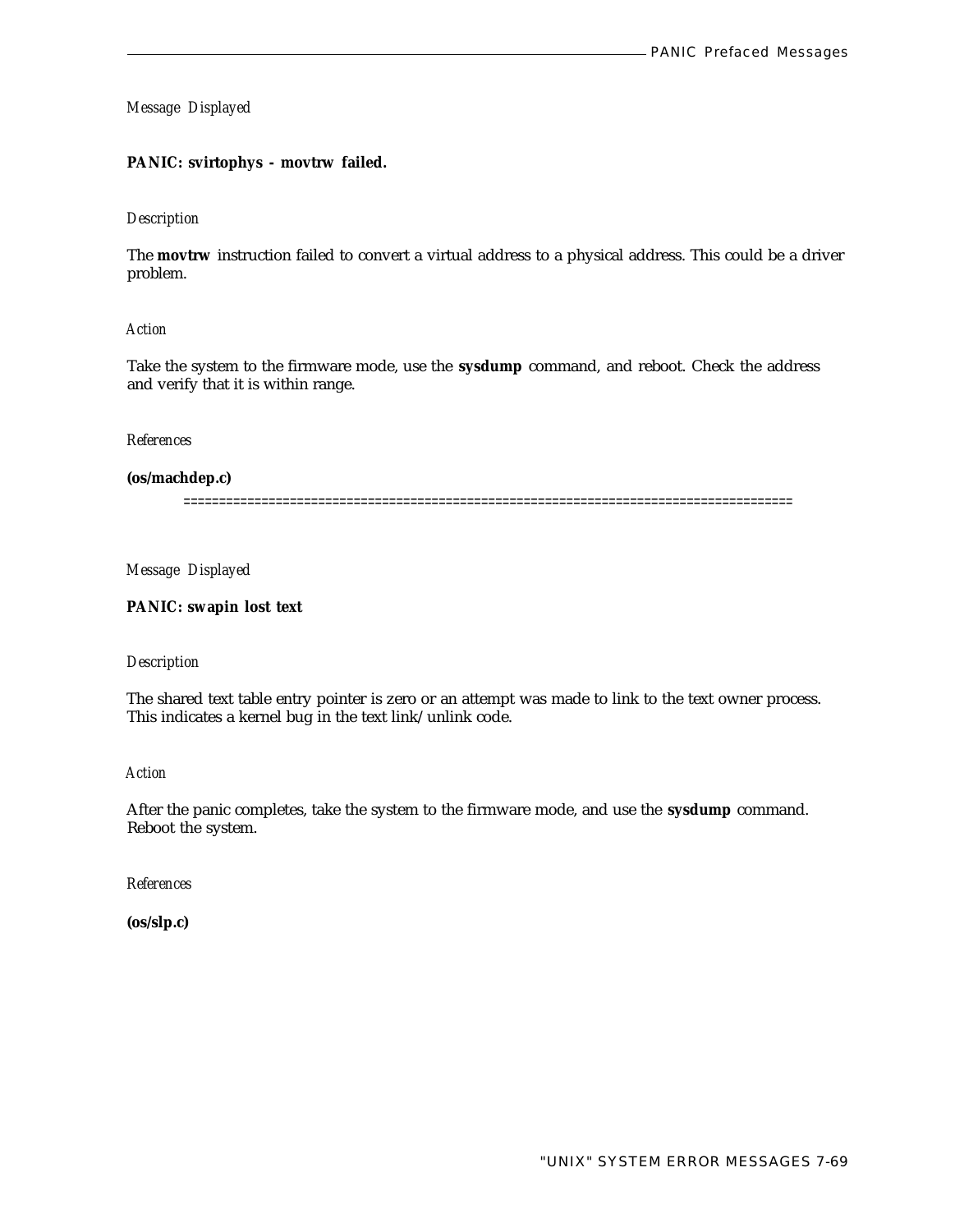# **PANIC: svirtophys - movtrw failed.**

#### *Description*

The **movtrw** instruction failed to convert a virtual address to a physical address. This could be a driver problem.

# *Action*

Take the system to the firmware mode, use the **sysdump** command, and reboot. Check the address and verify that it is within range.

#### *References*

## **(os/machdep.c)**

======================================================================================

*Message Displayed*

**PANIC: swapin lost text**

#### *Description*

The shared text table entry pointer is zero or an attempt was made to link to the text owner process. This indicates a kernel bug in the text link/unlink code.

*Action*

After the panic completes, take the system to the firmware mode, and use the **sysdump** command. Reboot the system.

*References*

**(os/slp.c)**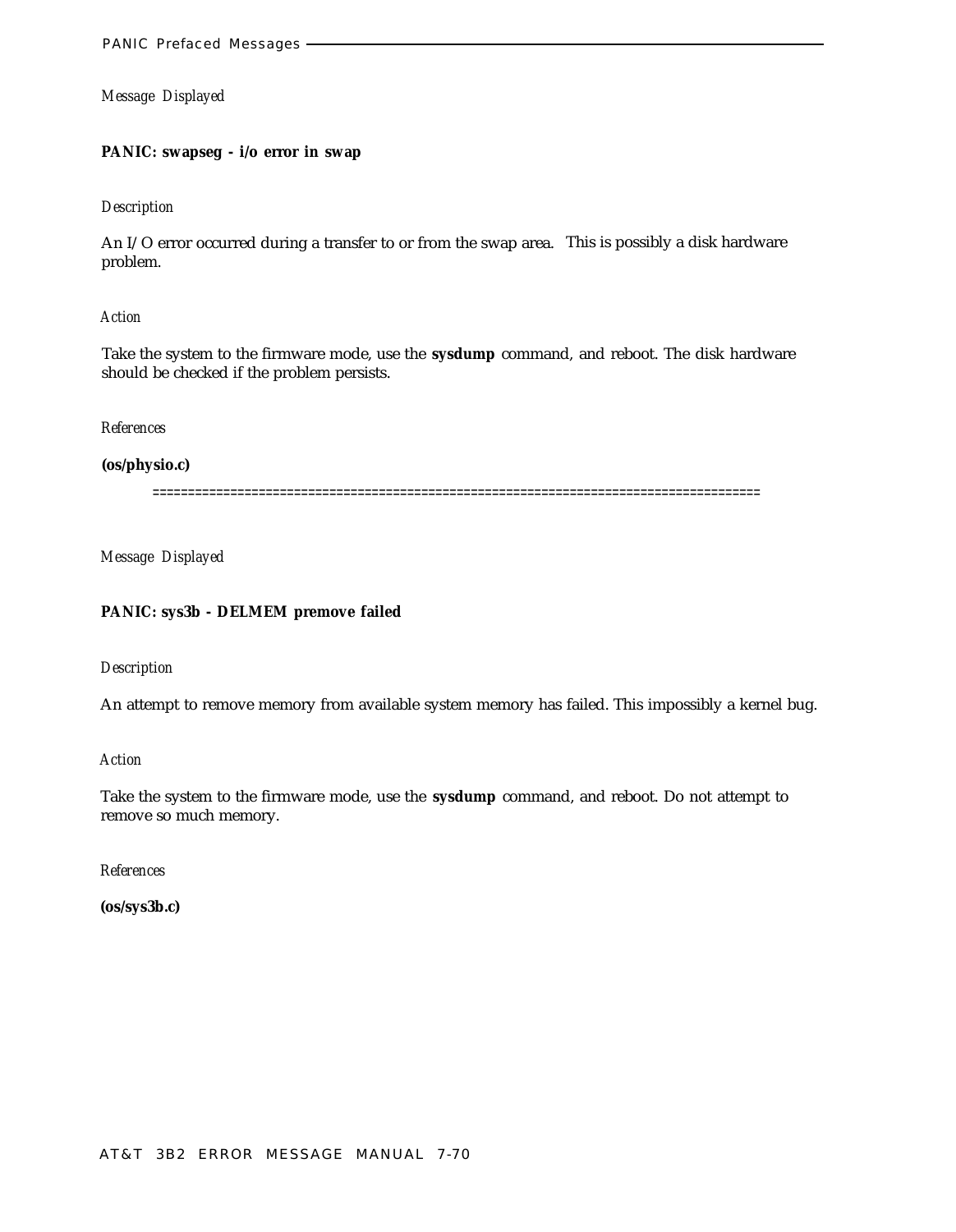# **PANIC: swapseg - i/o error in swap**

#### *Description*

An I/O error occurred during a transfer to or from the swap area. This is possibly a disk hardware problem.

#### *Action*

Take the system to the firmware mode, use the **sysdump** command, and reboot. The disk hardware should be checked if the problem persists.

#### *References*

#### **(os/physio.c)**

======================================================================================

*Message Displayed*

# **PANIC: sys3b - DELMEM premove failed**

#### *Description*

An attempt to remove memory from available system memory has failed. This impossibly a kernel bug.

#### *Action*

Take the system to the firmware mode, use the **sysdump** command, and reboot. Do not attempt to remove so much memory.

#### *References*

**(os/sys3b.c)**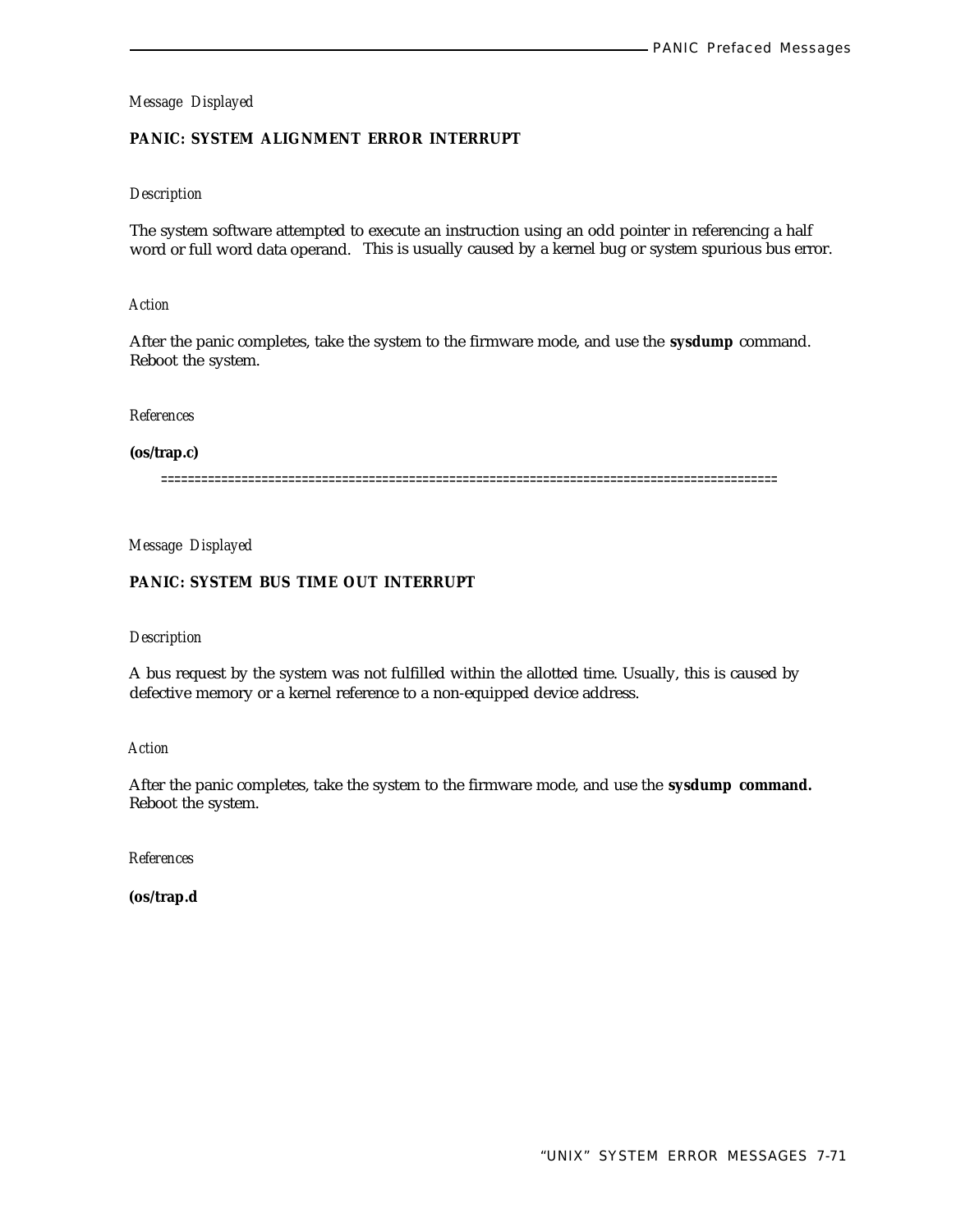# **PANIC: SYSTEM ALIGNMENT ERROR INTERRUPT**

## *Description*

The system software attempted to execute an instruction using an odd pointer in referencing a half word or full word data operand. This is usually caused by a kernel bug or system spurious bus error.

#### *Action*

After the panic completes, take the system to the firmware mode, and use the **sysdump** command. Reboot the system.

*References*

# **(os/trap.c)**

============================================================================================

*Message Displayed*

# **PANIC: SYSTEM BUS TIME OUT INTERRUPT**

#### *Description*

A bus request by the system was not fulfilled within the allotted time. Usually, this is caused by defective memory or a kernel reference to a non-equipped device address.

## *Action*

After the panic completes, take the system to the firmware mode, and use the **sysdump command.** Reboot the system.

*References*

**(os/trap.d**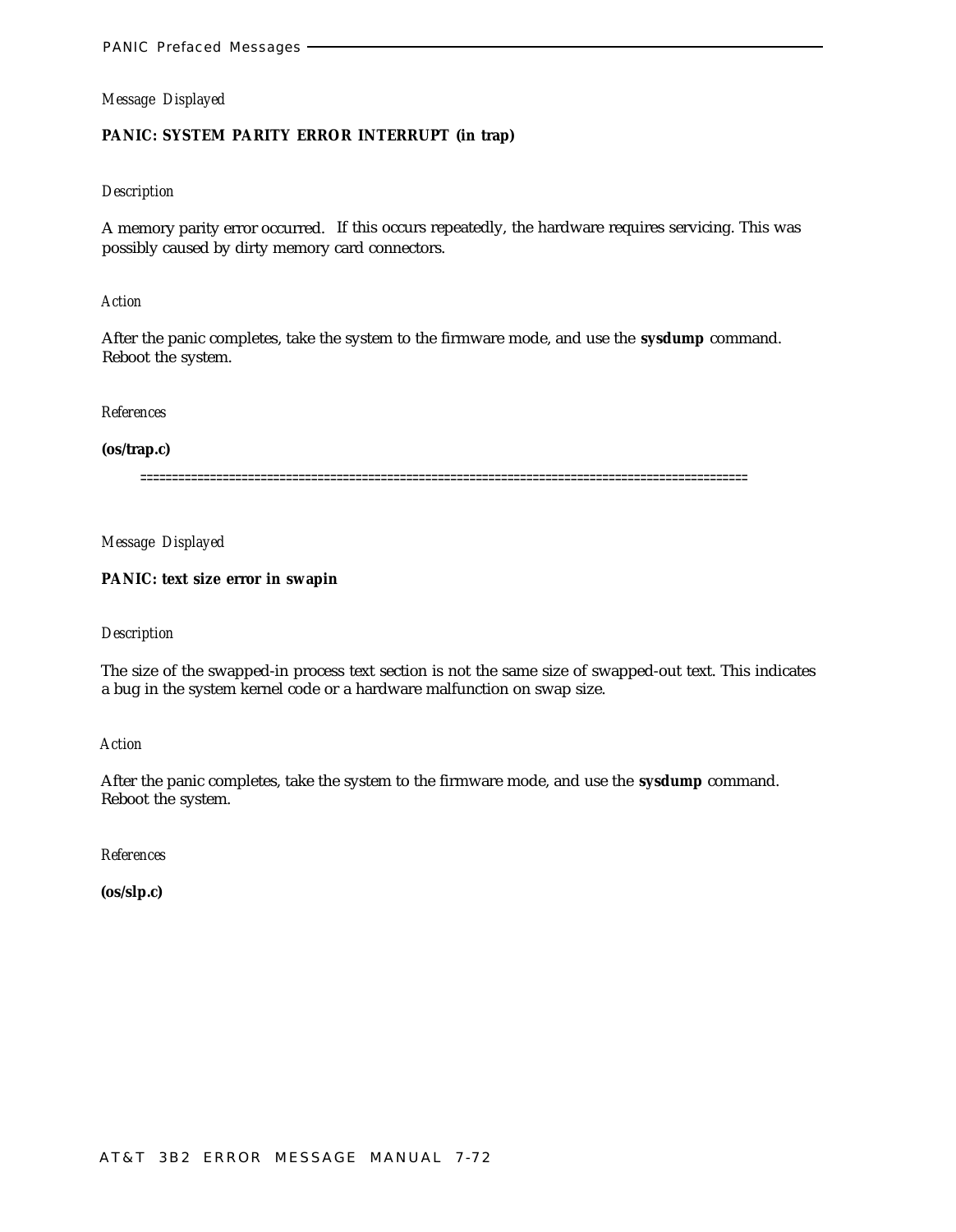# **PANIC: SYSTEM PARITY ERROR INTERRUPT (in trap)**

## *Description*

A memory parity error occurred. If this occurs repeatedly, the hardware requires servicing. This was possibly caused by dirty memory card connectors.

#### *Action*

After the panic completes, take the system to the firmware mode, and use the **sysdump** command. Reboot the system.

# *References*

#### **(os/trap.c)**

================================================================================================

*Message Displayed*

## **PANIC: text size error in swapin**

#### *Description*

The size of the swapped-in process text section is not the same size of swapped-out text. This indicates a bug in the system kernel code or a hardware malfunction on swap size.

#### *Action*

After the panic completes, take the system to the firmware mode, and use the **sysdump** command. Reboot the system.

*References*

**(os/slp.c)**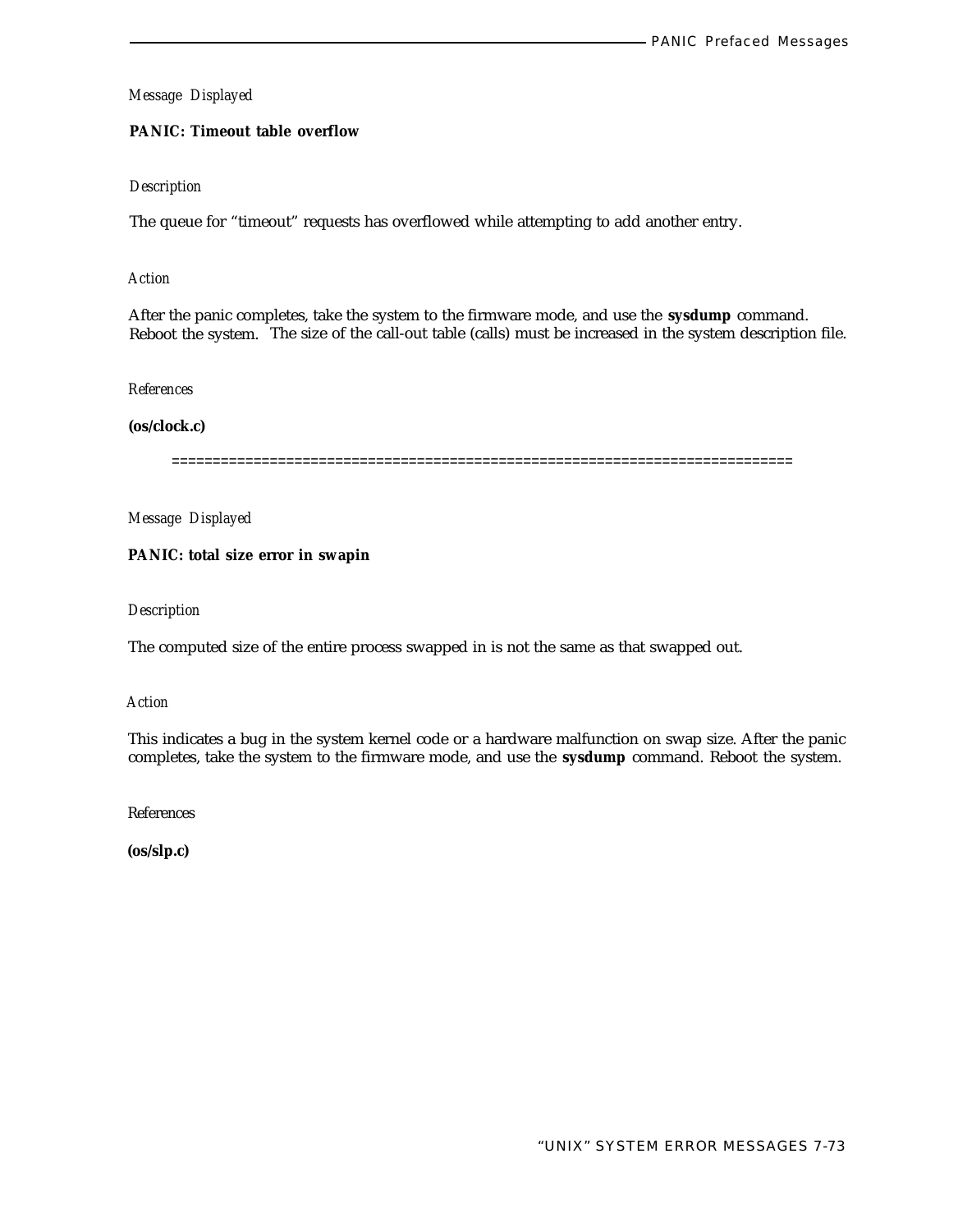# **PANIC: Timeout table overflow**

## *Description*

The queue for "timeout" requests has overflowed while attempting to add another entry.

#### *Action*

After the panic completes, take the system to the firmware mode, and use the **sysdump** command. Reboot the system. The size of the call-out table (calls) must be increased in the system description file.

*References*

**(os/clock.c)**

============================================================================

*Message Displayed*

## **PANIC: total size error in swapin**

*Description*

The computed size of the entire process swapped in is not the same as that swapped out.

*Action*

This indicates a bug in the system kernel code or a hardware malfunction on swap size. After the panic completes, take the system to the firmware mode, and use the **sysdump** command. Reboot the system.

References

**(os/slp.c)**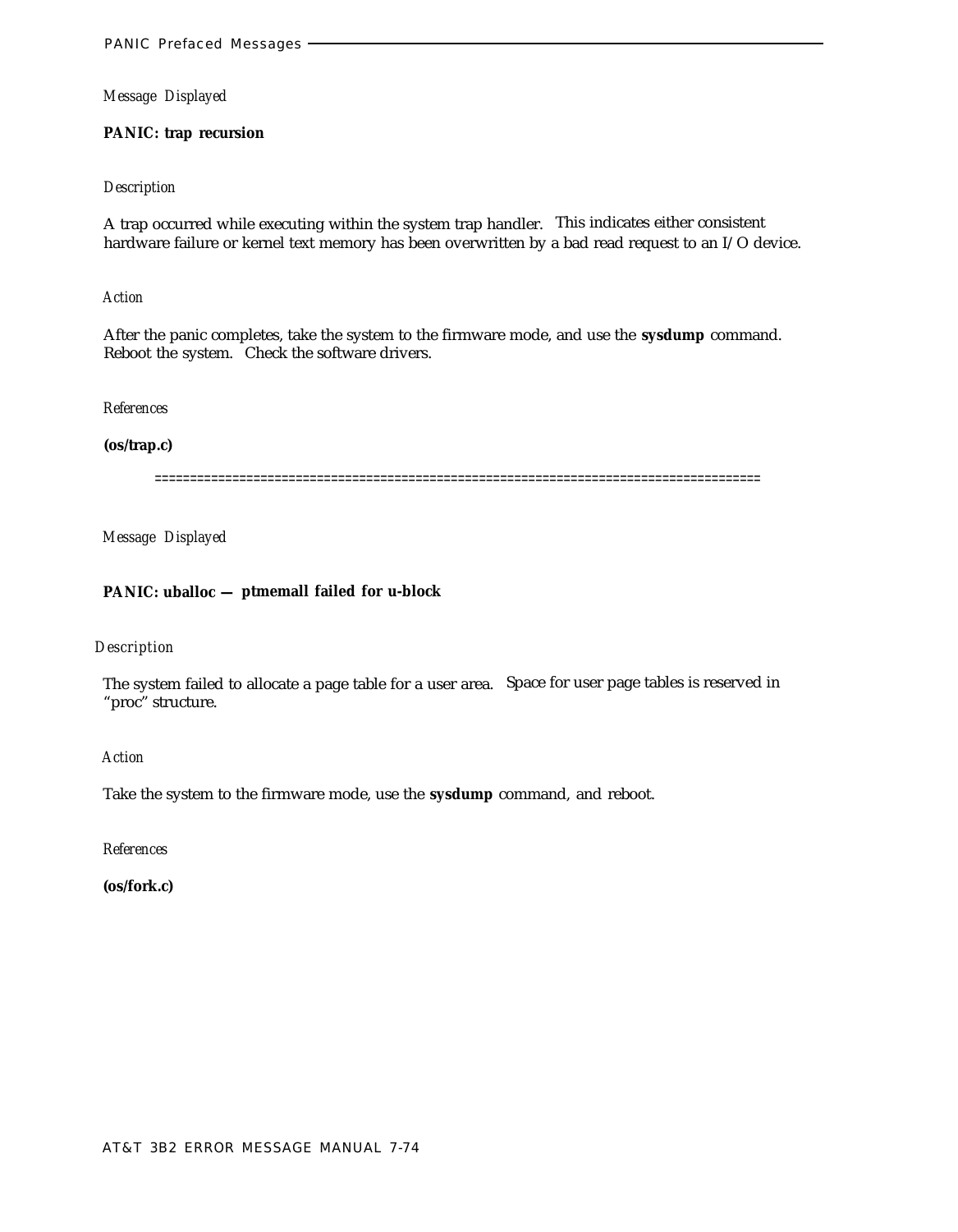# **PANIC: trap recursion**

## *Description*

A trap occurred while executing within the system trap handler. This indicates either consistent hardware failure or kernel text memory has been overwritten by a bad read request to an I/O device.

#### *Action*

After the panic completes, take the system to the firmware mode, and use the **sysdump** command. Reboot the system. Check the software drivers.

*References*

**(os/trap.c)**

======================================================================================

*Message Displayed*

# **PANIC: uballoc — ptmemall failed for u-block**

# *Description*

The system failed to allocate a page table for a user area. Space for user page tables is reserved in "proc" structure.

*Action*

Take the system to the firmware mode, use the **sysdump** command, and reboot.

*References*

**(os/fork.c)**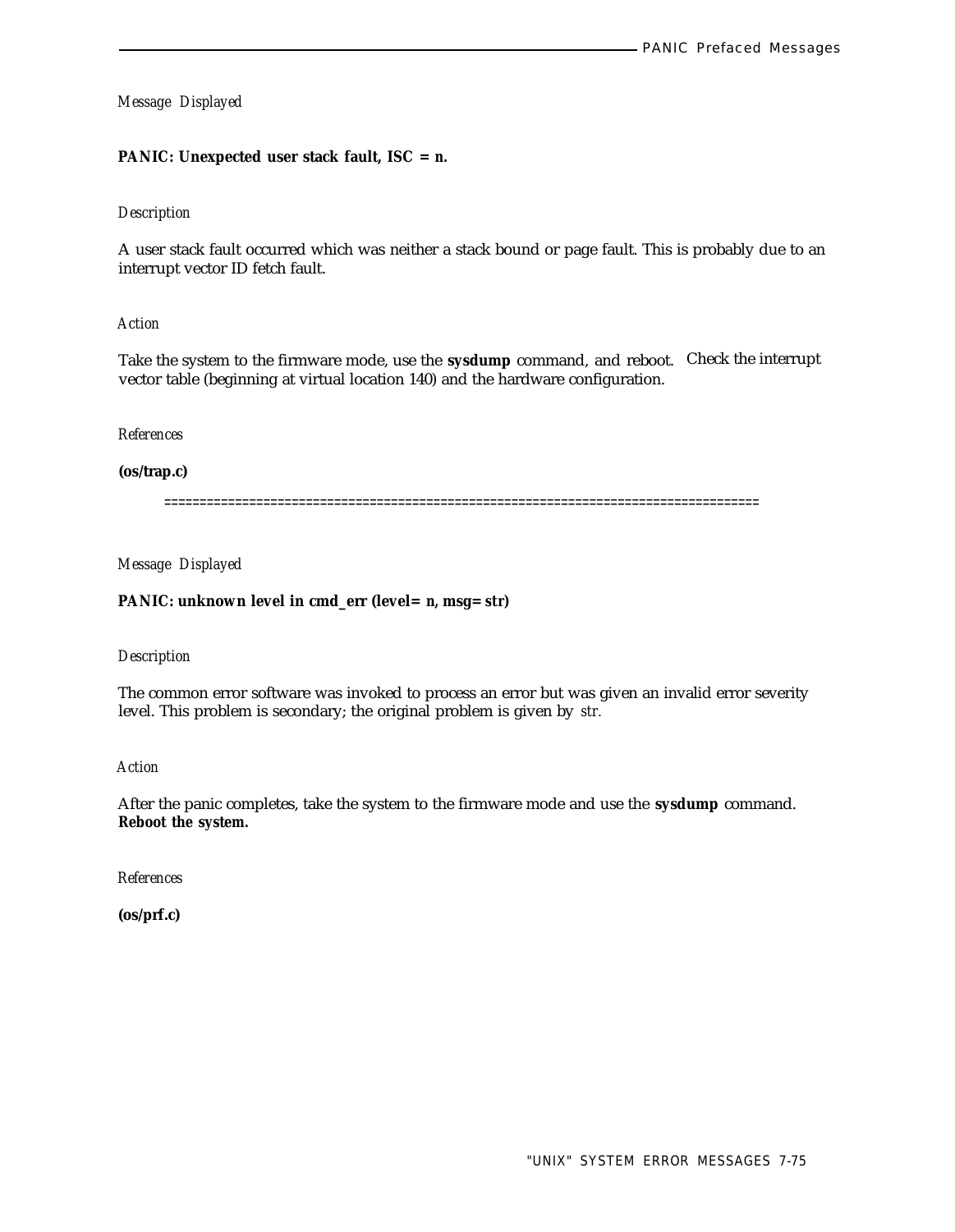# **PANIC: Unexpected user stack fault, ISC =** *n.*

# *Description*

A user stack fault occurred which was neither a stack bound or page fault. This is probably due to an interrupt vector ID fetch fault.

## *Action*

Take the system to the firmware mode, use the **sysdump** command, and reboot. Check the interrupt vector table (beginning at virtual location 140) and the hardware configuration.

## *References*

#### **(os/trap.c)**

====================================================================================

# *Message Displayed*

## **PANIC: unknown level in cmd\_err (level=** *n,* **msg=** *str)*

# *Description*

The common error software was invoked to process an error but was given an invalid error severity level. This problem is secondary; the original problem is given by *str.*

#### *Action*

After the panic completes, take the system to the firmware mode and use the **sysdump** command. **Reboot the system.**

*References*

**(os/prf.c)**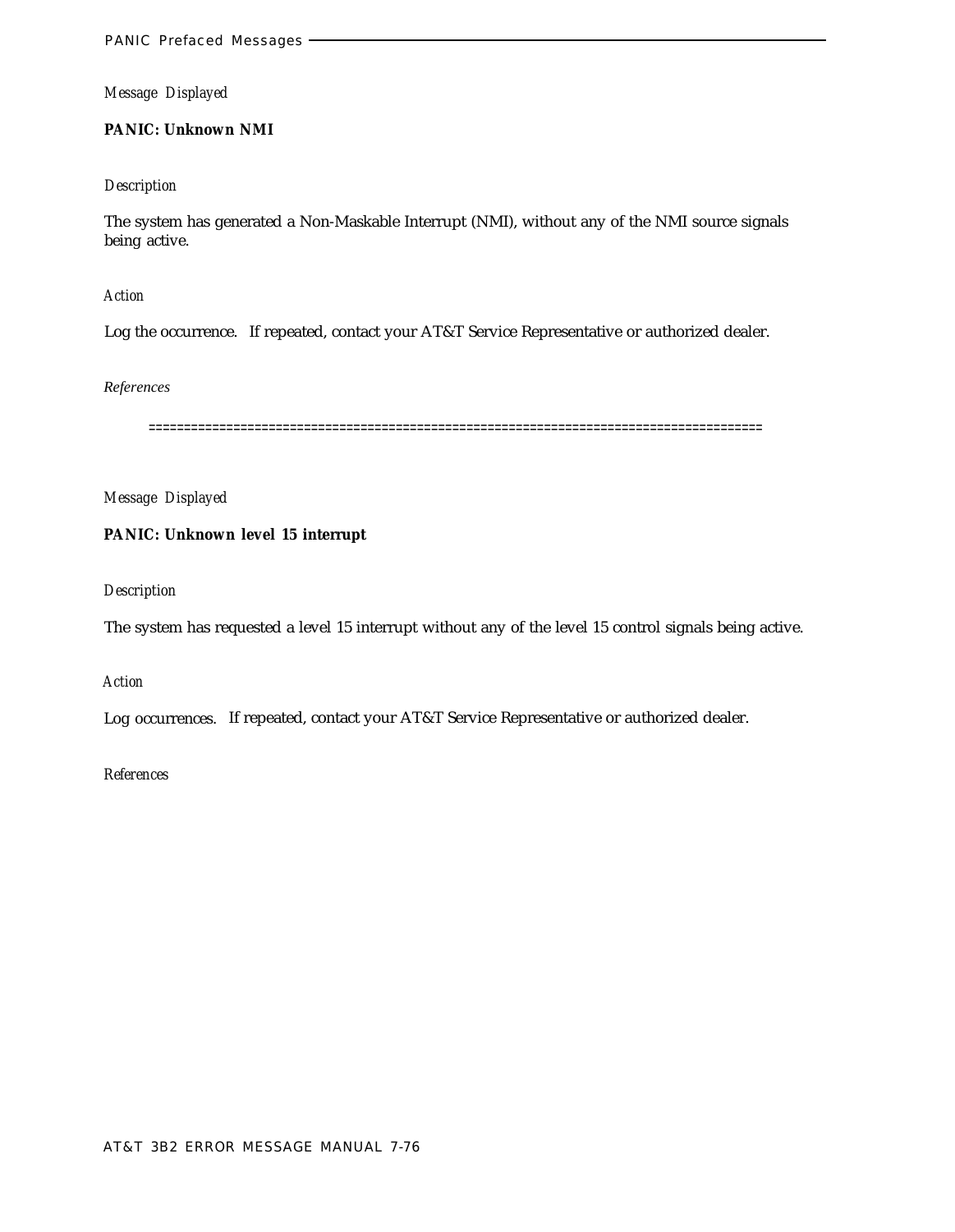# **PANIC: Unknown NMI**

# *Description*

The system has generated a Non-Maskable Interrupt (NMI), without any of the NMI source signals being active.

*Action*

Log the occurrence. If repeated, contact your AT&T Service Representative or authorized dealer.

# *References*

=======================================================================================

*Message Displayed*

# **PANIC: Unknown level 15 interrupt**

*Description*

The system has requested a level 15 interrupt without any of the level 15 control signals being active.

*Action*

Log occurrences. If repeated, contact your AT&T Service Representative or authorized dealer.

# *References*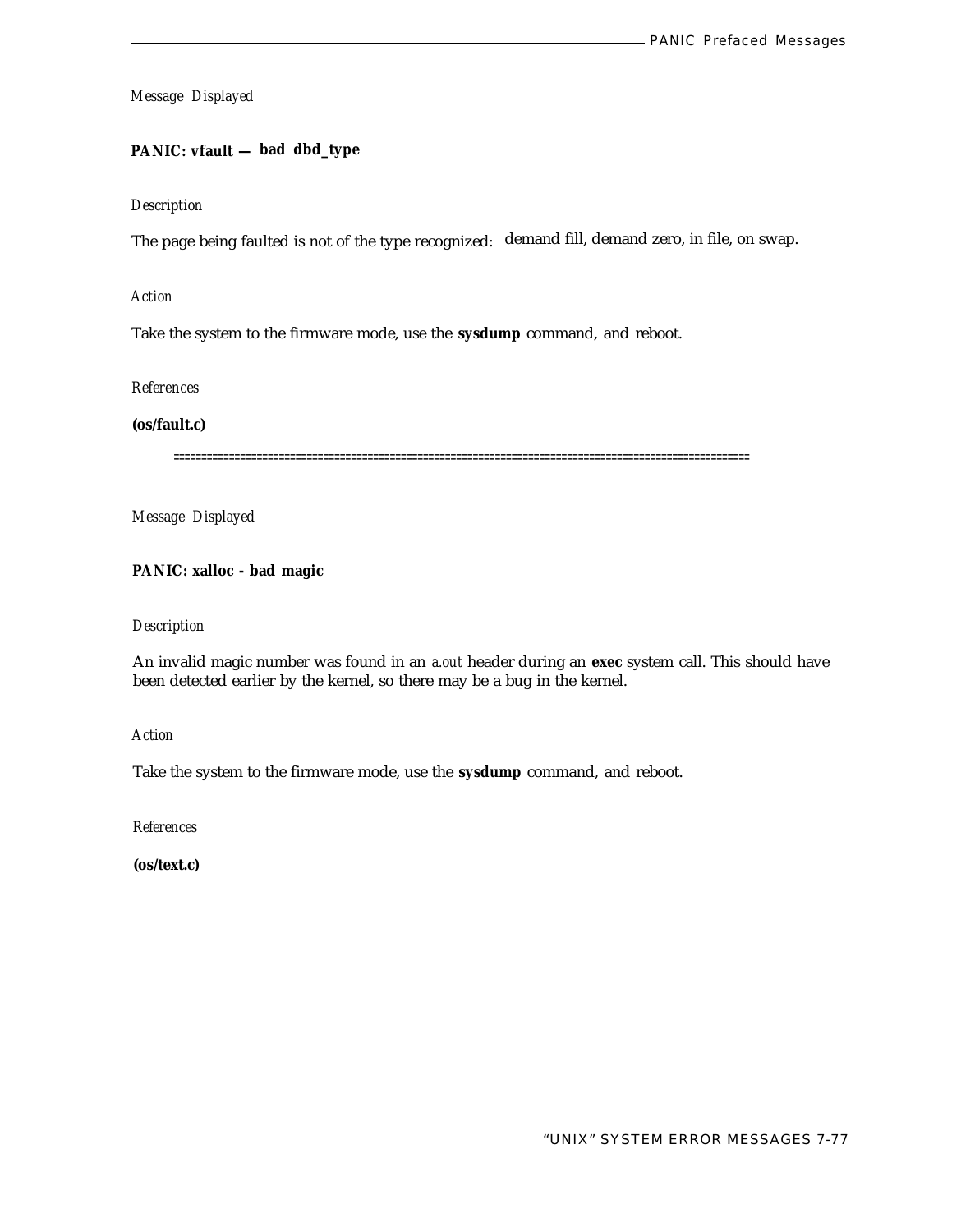# **PANIC: vfault — bad dbd\_type**

#### *Description*

The page being faulted is not of the type recognized: demand fill, demand zero, in file, on swap.

*Action*

Take the system to the firmware mode, use the **sysdump** command, and reboot.

*References*

**(os/fault.c)**

========================================================================================================

*Message Displayed*

**PANIC: xalloc - bad magic**

#### *Description*

An invalid magic number was found in an *a.out* header during an **exec** system call. This should have been detected earlier by the kernel, so there may be a bug in the kernel.

*Action*

Take the system to the firmware mode, use the **sysdump** command, and reboot.

*References*

**(os/text.c)**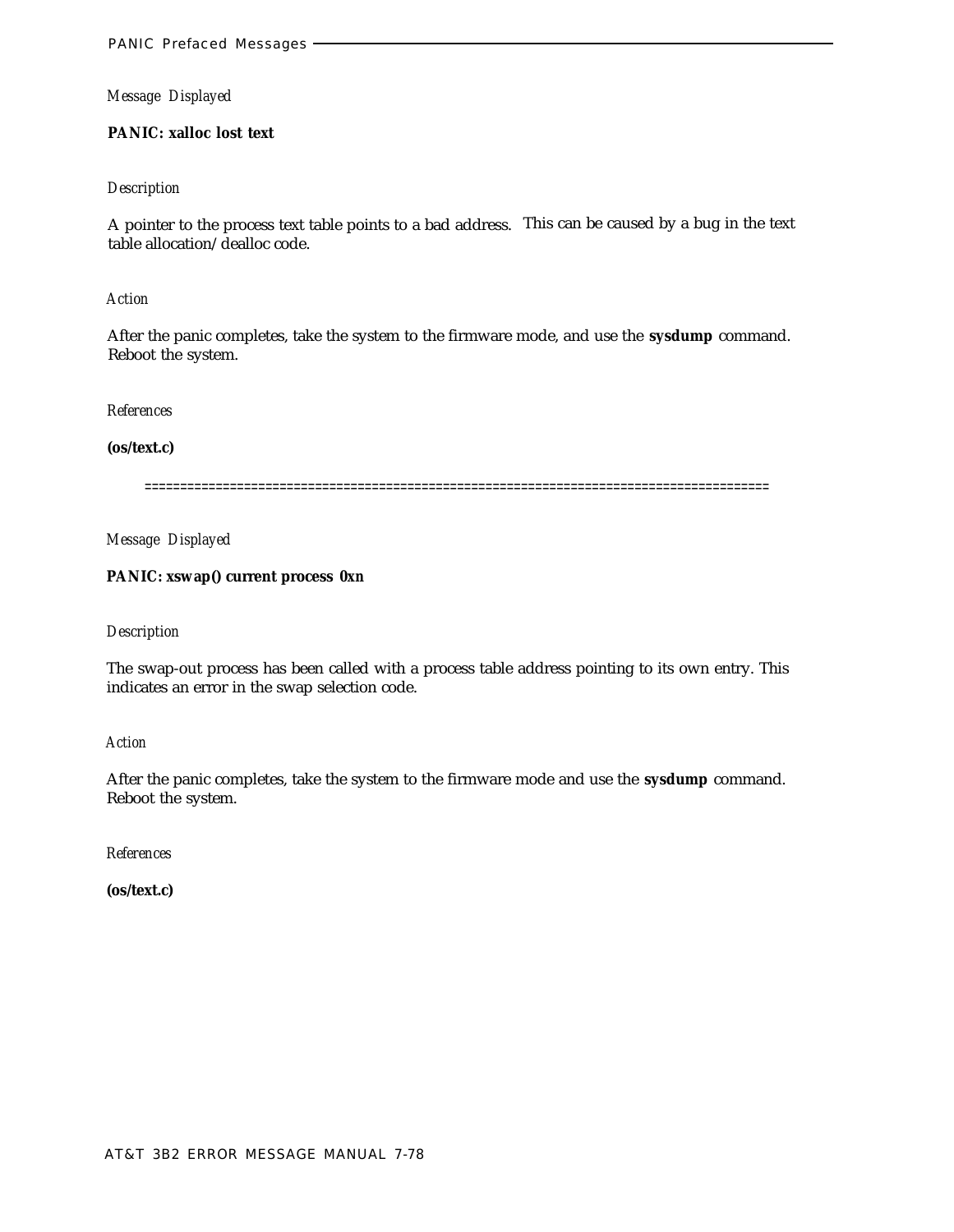# **PANIC: xalloc lost text**

## *Description*

A pointer to the process text table points to a bad address. This can be caused by a bug in the text table allocation/dealloc code.

*Action*

After the panic completes, take the system to the firmware mode, and use the **sysdump** command. Reboot the system.

*References*

**(os/text.c)**

========================================================================================

*Message Displayed*

# **PANIC: xswap() current process** *0xn*

#### *Description*

The swap-out process has been called with a process table address pointing to its own entry. This indicates an error in the swap selection code.

*Action*

After the panic completes, take the system to the firmware mode and use the **sysdump** command. Reboot the system.

*References*

**(os/text.c)**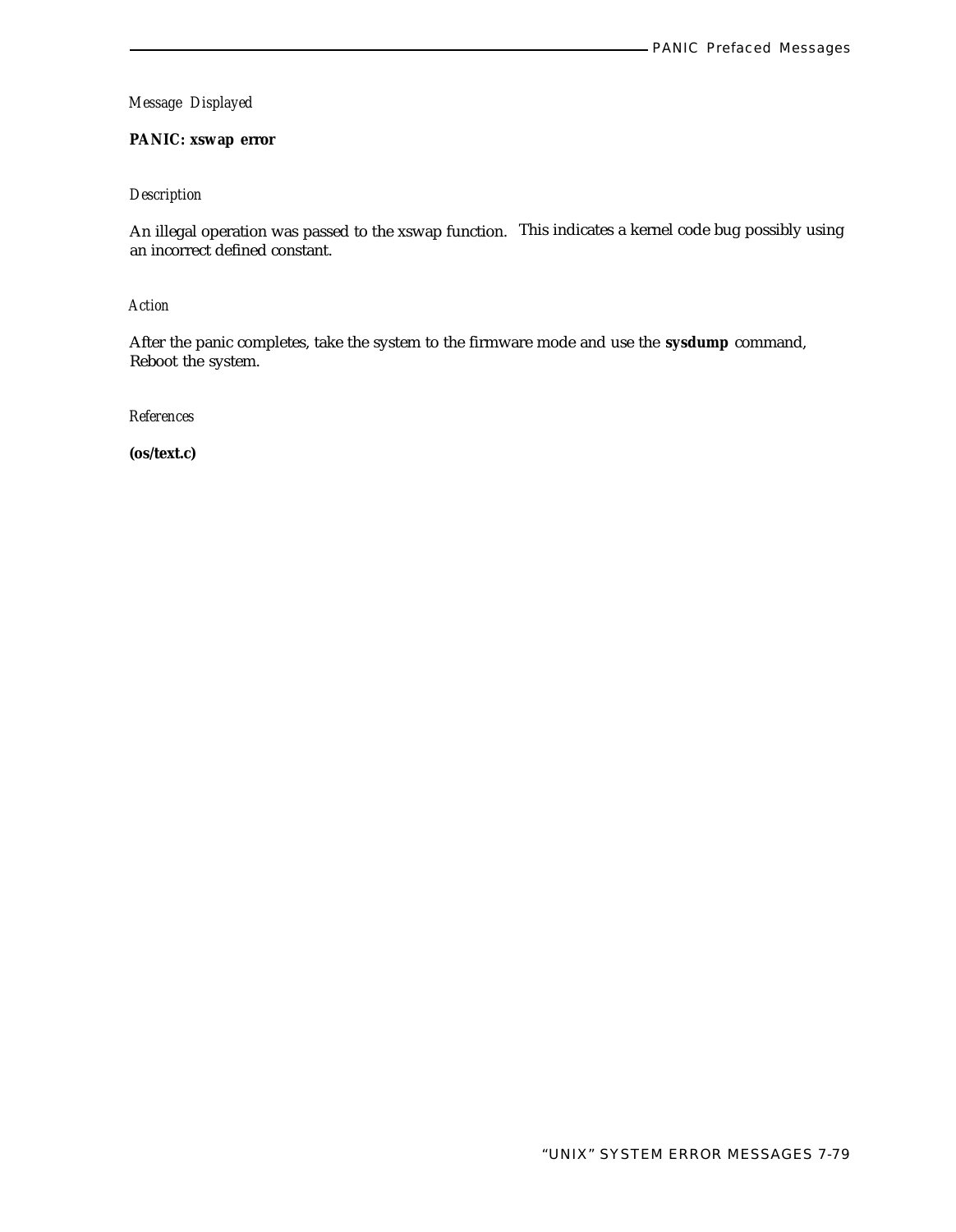# **PANIC: xswap error**

# *Description*

An illegal operation was passed to the xswap function. This indicates a kernel code bug possibly using an incorrect defined constant.

*Action*

After the panic completes, take the system to the firmware mode and use the **sysdump** command, Reboot the system.

*References*

**(os/text.c)**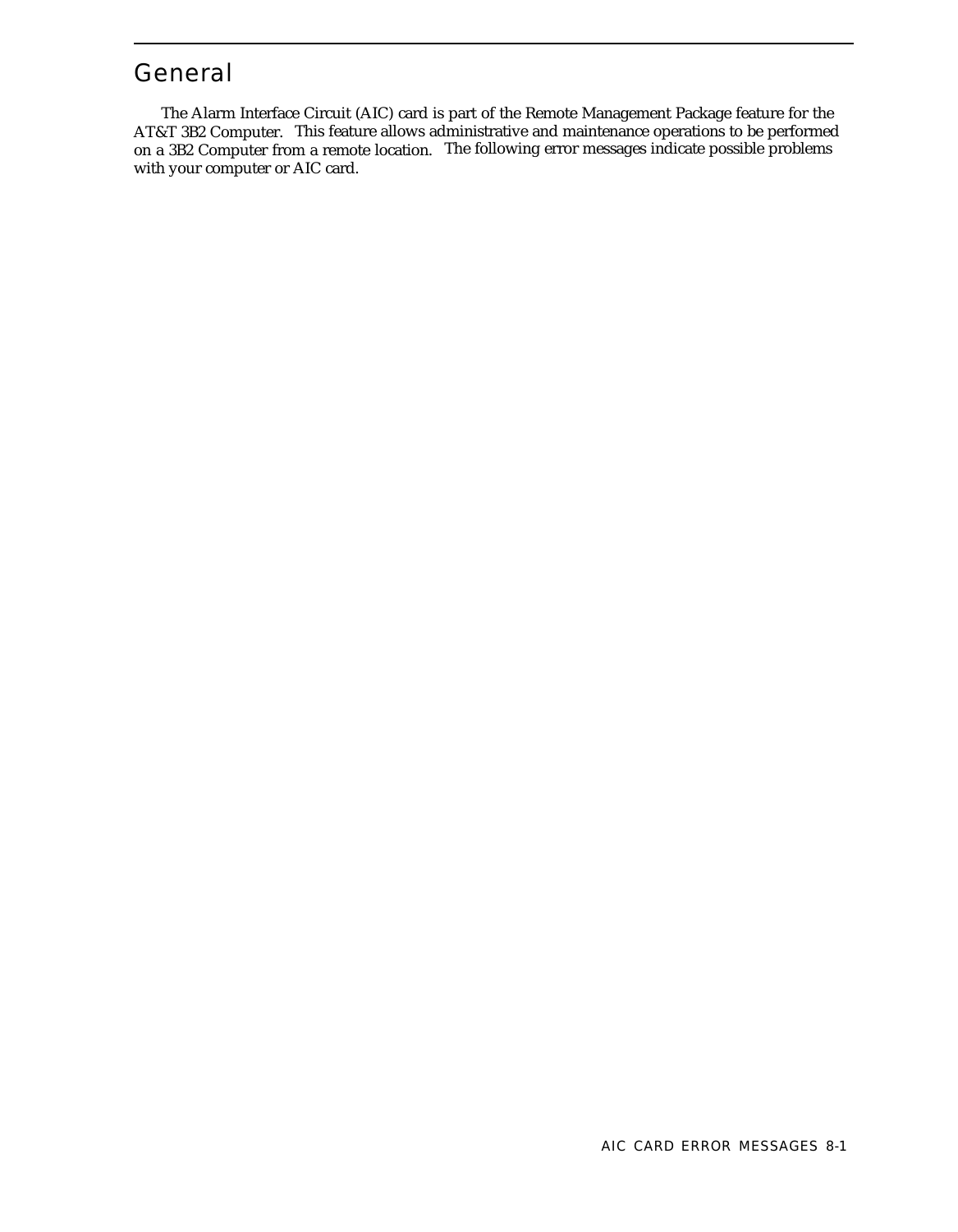# General

The Alarm Interface Circuit (AIC) card is part of the Remote Management Package feature for the AT&T 3B2 Computer. This feature allows administrative and maintenance operations to be performed on a 3B2 Computer from a remote location. The following error messages indicate possible problems with your computer or AIC card.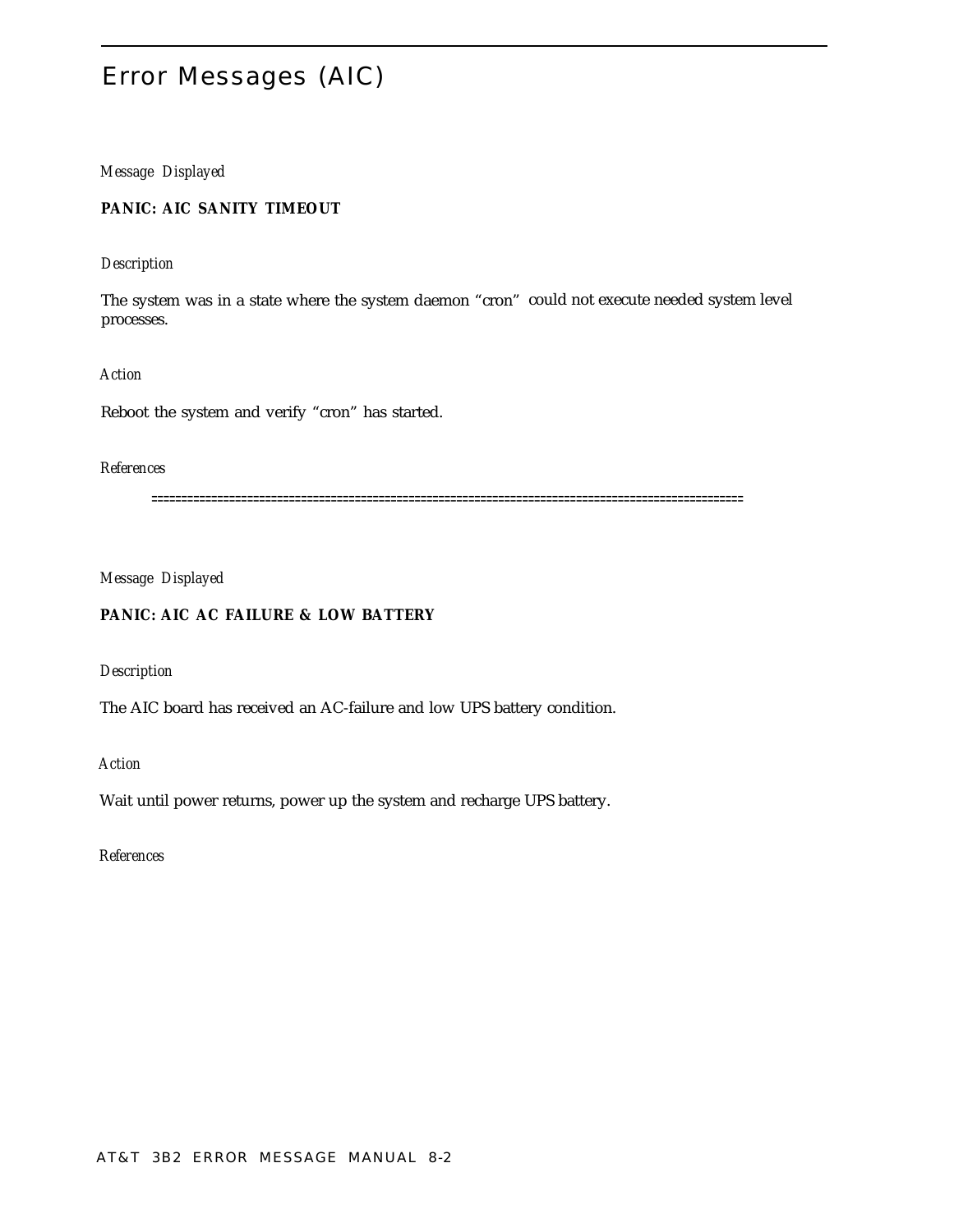# Error Messages (AIC)

# *Message Displayed*

**PANIC: AIC SANITY TIMEOUT**

#### *Description*

The system was in a state where the system daemon "cron" could not execute needed system level processes.

*Action*

Reboot the system and verify "cron" has started.

# *References*

===================================================================================================

*Message Displayed*

# **PANIC: AIC AC FAILURE & LOW BATTERY**

*Description*

The AIC board has received an AC-failure and low UPS battery condition.

*Action*

Wait until power returns, power up the system and recharge UPS battery.

*References*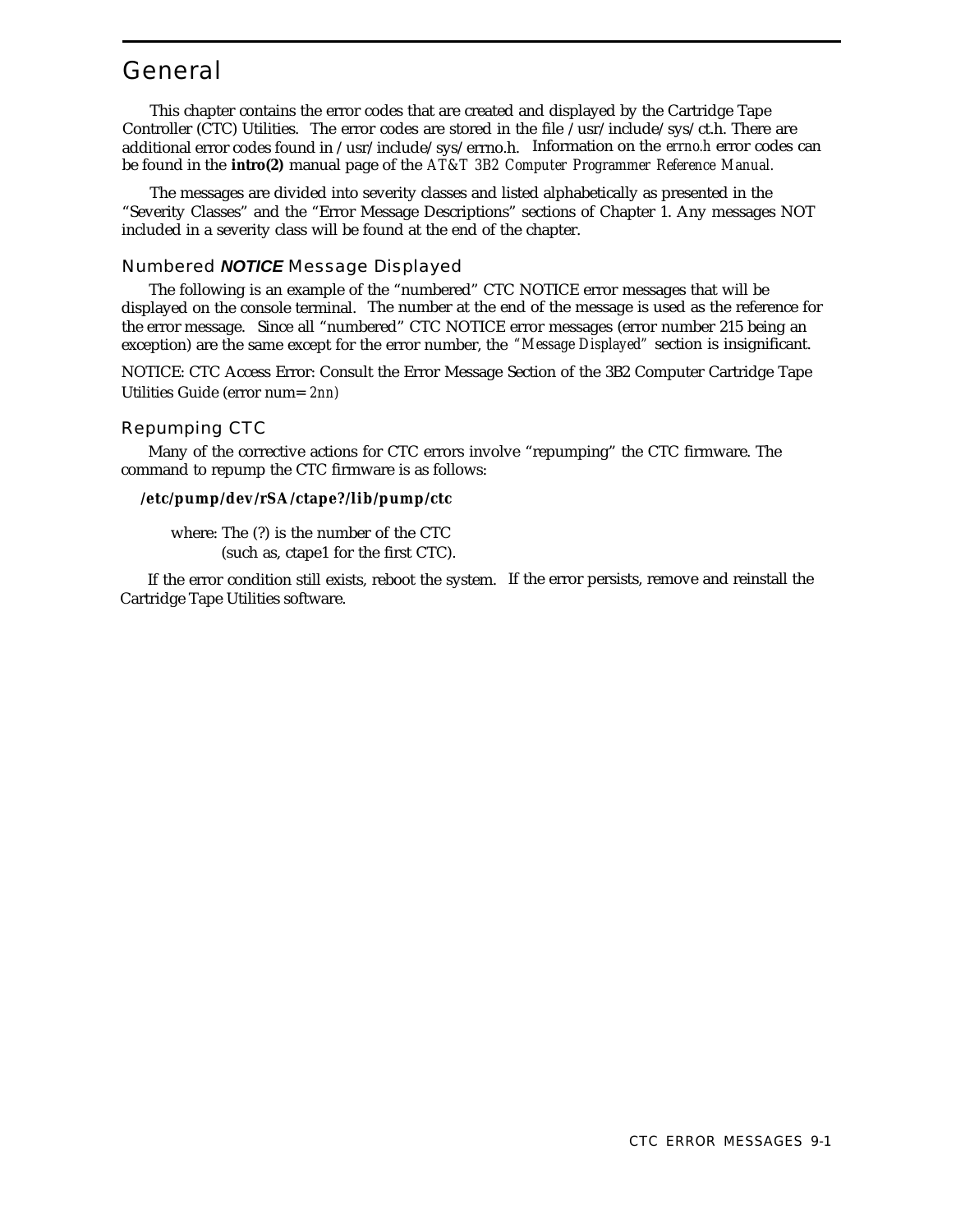# General

This chapter contains the error codes that are created and displayed by the Cartridge Tape Controller (CTC) Utilities. The error codes are stored in the file /usr/include/sys/ct.h. There are additional error codes found in /usr/include/sys/errno.h. Information on the *errno.h* error codes can be found in the **intro(2)** manual page of the *AT&T 3B2 Computer Programmer Reference Manual.*

The messages are divided into severity classes and listed alphabetically as presented in the "Severity Classes" and the "Error Message Descriptions" sections of Chapter 1. Any messages NOT included in a severity class will be found at the end of the chapter.

# Numbered **NOTICE** Message Displayed

The following is an example of the "numbered" CTC NOTICE error messages that will be displayed on the console terminal. The number at the end of the message is used as the reference for the error message. Since all "numbered" CTC NOTICE error messages (error number 215 being an exception) are the same except for the error number, the *"Message Displayed"* section is insignificant.

NOTICE: CTC Access Error: Consult the Error Message Section of the 3B2 Computer Cartridge Tape Utilities Guide (error num= *2nn)*

# Repumping CTC

Many of the corrective actions for CTC errors involve "repumping" the CTC firmware. The command to repump the CTC firmware is as follows:

#### **/etc/pump/dev/rSA/ctape?/lib/pump/ctc**

where: The (?) is the number of the CTC (such as, ctape1 for the first CTC).

If the error condition still exists, reboot the system. If the error persists, remove and reinstall the Cartridge Tape Utilities software.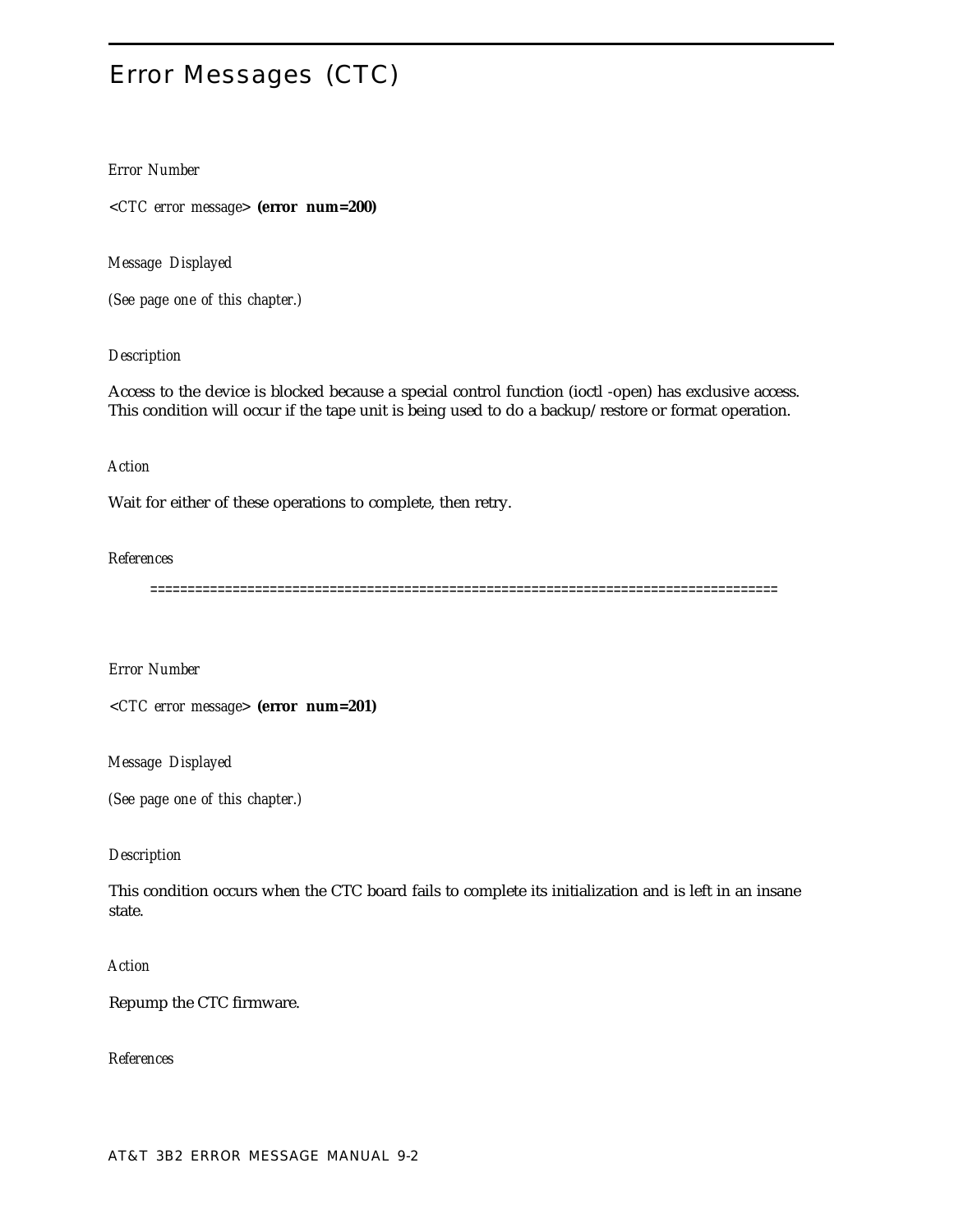# Error Messages (CTC)

# *Error Number*

*<CTC error message>* **(error num=200)**

*Message Displayed*

*(See page one of this chapter.)*

## *Description*

Access to the device is blocked because a special control function (ioctl -open) has exclusive access. This condition will occur if the tape unit is being used to do a backup/restore or format operation.

# *Action*

Wait for either of these operations to complete, then retry.

#### *References*

====================================================================================

*Error Number*

*<CTC error message>* **(error num=201)**

*Message Displayed*

*(See page one of this chapter.)*

#### *Description*

This condition occurs when the CTC board fails to complete its initialization and is left in an insane state.

#### *Action*

Repump the CTC firmware.

*References*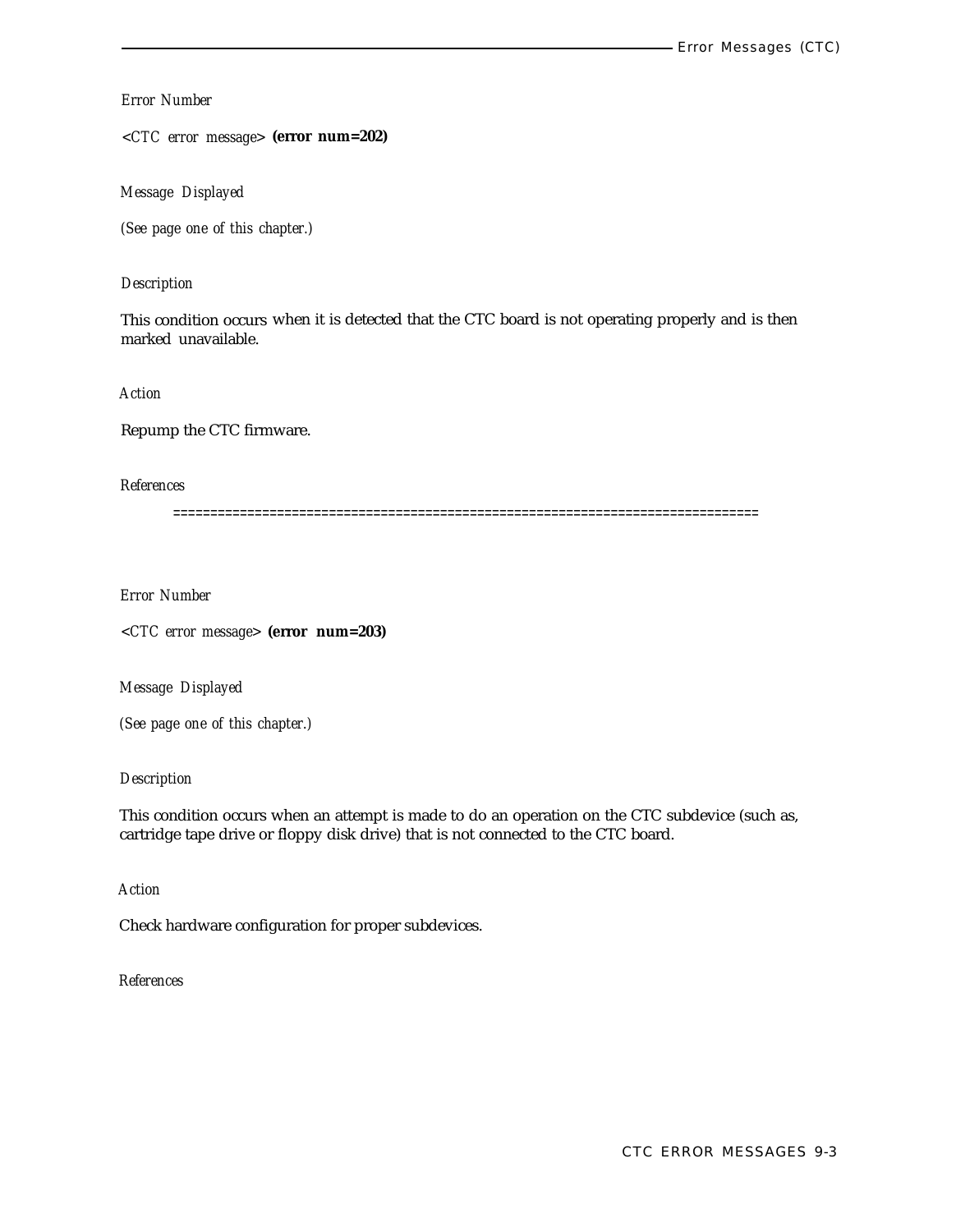# *Error Number*

*<CTC error message>* **(error num=202)**

*Message Displayed*

*(See page one of this chapter.)*

## *Description*

This condition occurs when it is detected that the CTC board is not operating properly and is then marked unavailable.

*Action*

Repump the CTC firmware.

# *References*

===============================================================================

*Error Number*

*<CTC error message>* **(error num=203)**

*Message Displayed*

*(See page one of this chapter.)*

#### *Description*

This condition occurs when an attempt is made to do an operation on the CTC subdevice (such as, cartridge tape drive or floppy disk drive) that is not connected to the CTC board.

*Action*

Check hardware configuration for proper subdevices.

*References*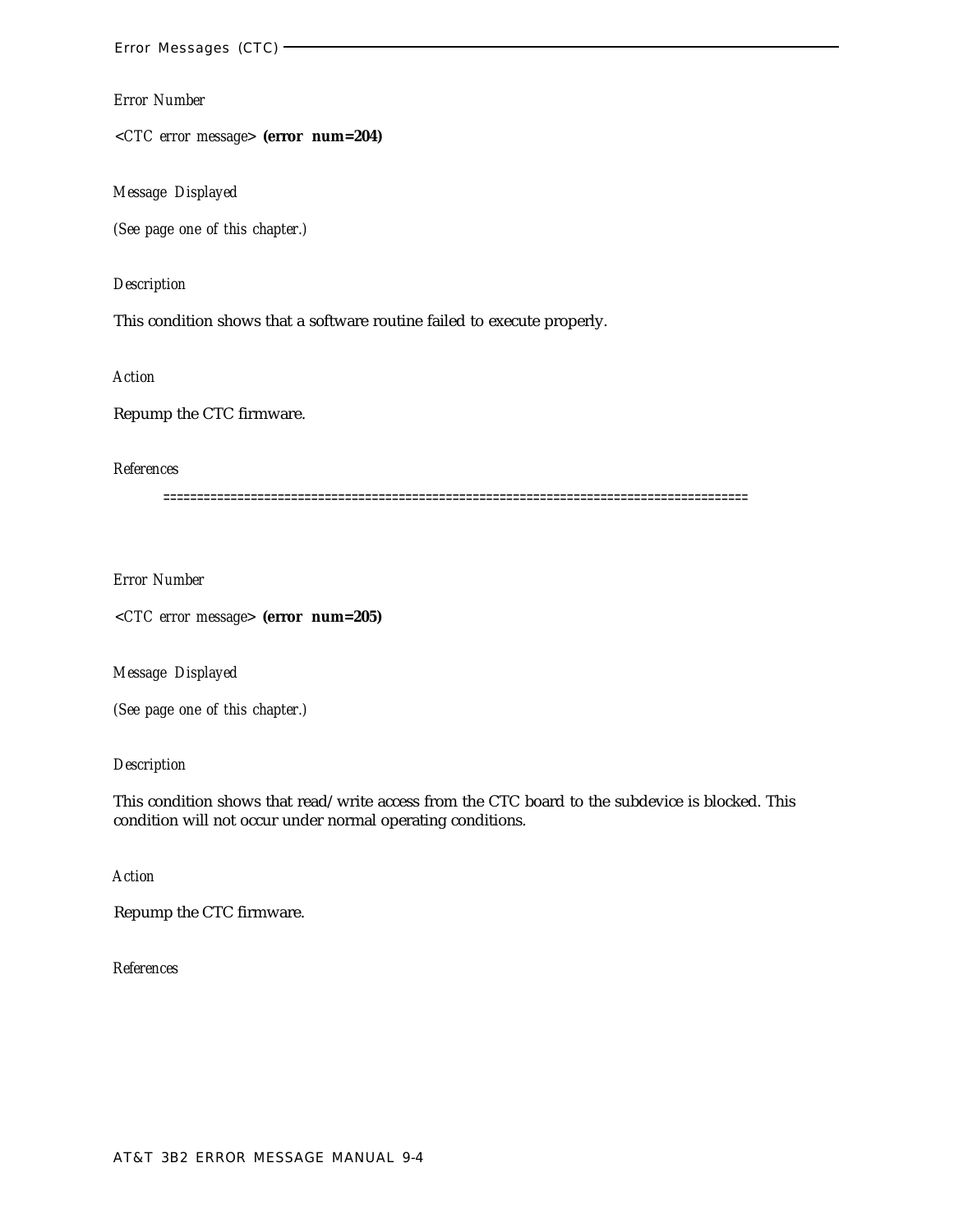*<CTC error message>* **(error num=204)**

*Message Displayed*

*(See page one of this chapter.)*

#### *Description*

This condition shows that a software routine failed to execute properly.

*Action*

Repump the CTC firmware.

# *References*

=======================================================================================

*Error Number*

*<CTC error message>* **(error num=205)**

*Message Displayed*

*(See page one of this chapter.)*

# *Description*

This condition shows that read/write access from the CTC board to the subdevice is blocked. This condition will not occur under normal operating conditions.

*Action*

Repump the CTC firmware.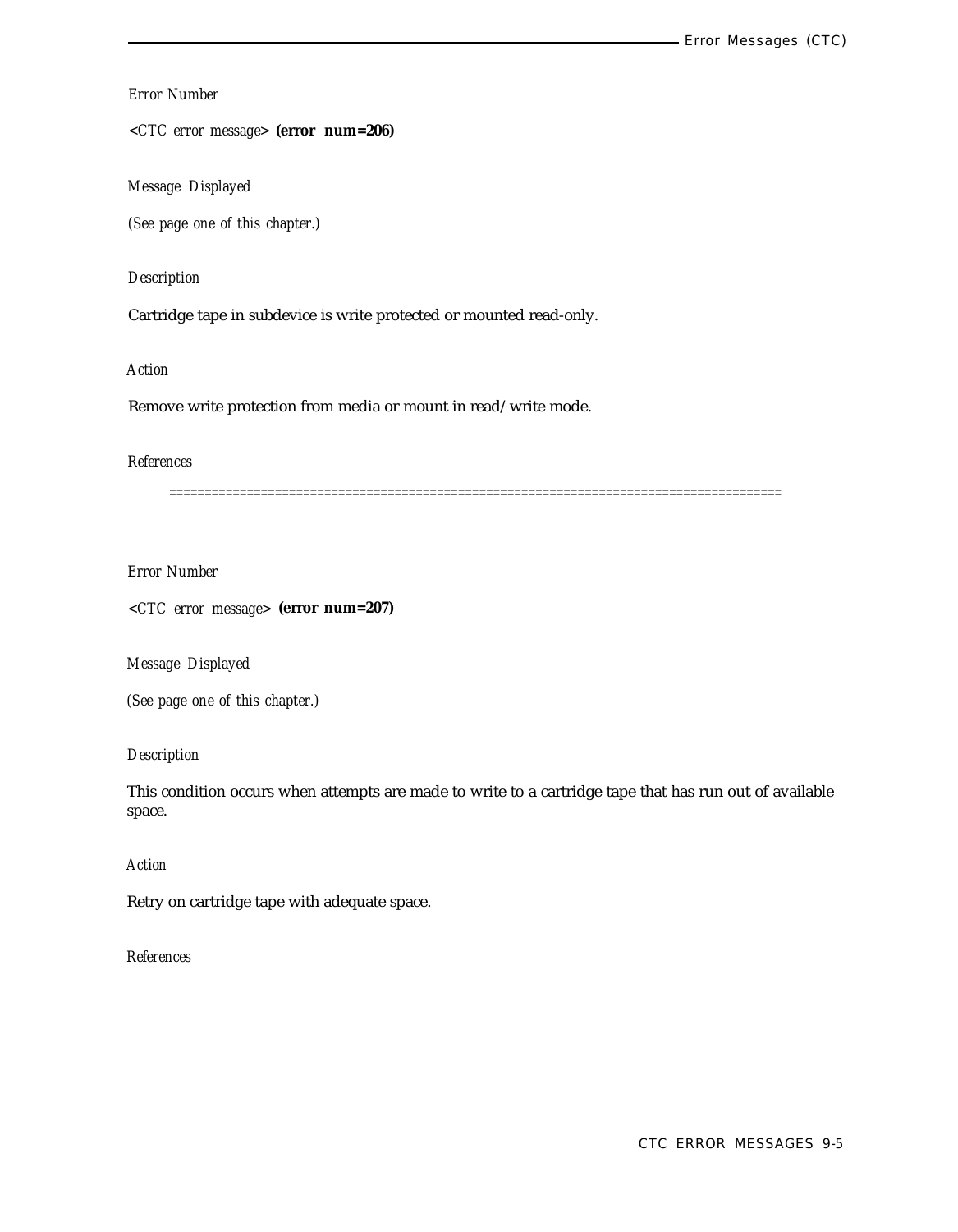*<CTC error message>* **(error num=206)**

*Message Displayed*

*(See page one of this chapter.)*

## *Description*

Cartridge tape in subdevice is write protected or mounted read-only.

*Action*

Remove write protection from media or mount in read/write mode.

## *References*

=======================================================================================

*Error Number*

*<CTC error message>* **(error num=207)**

*Message Displayed*

*(See page one of this chapter.)*

## *Description*

This condition occurs when attempts are made to write to a cartridge tape that has run out of available space.

# *Action*

Retry on cartridge tape with adequate space.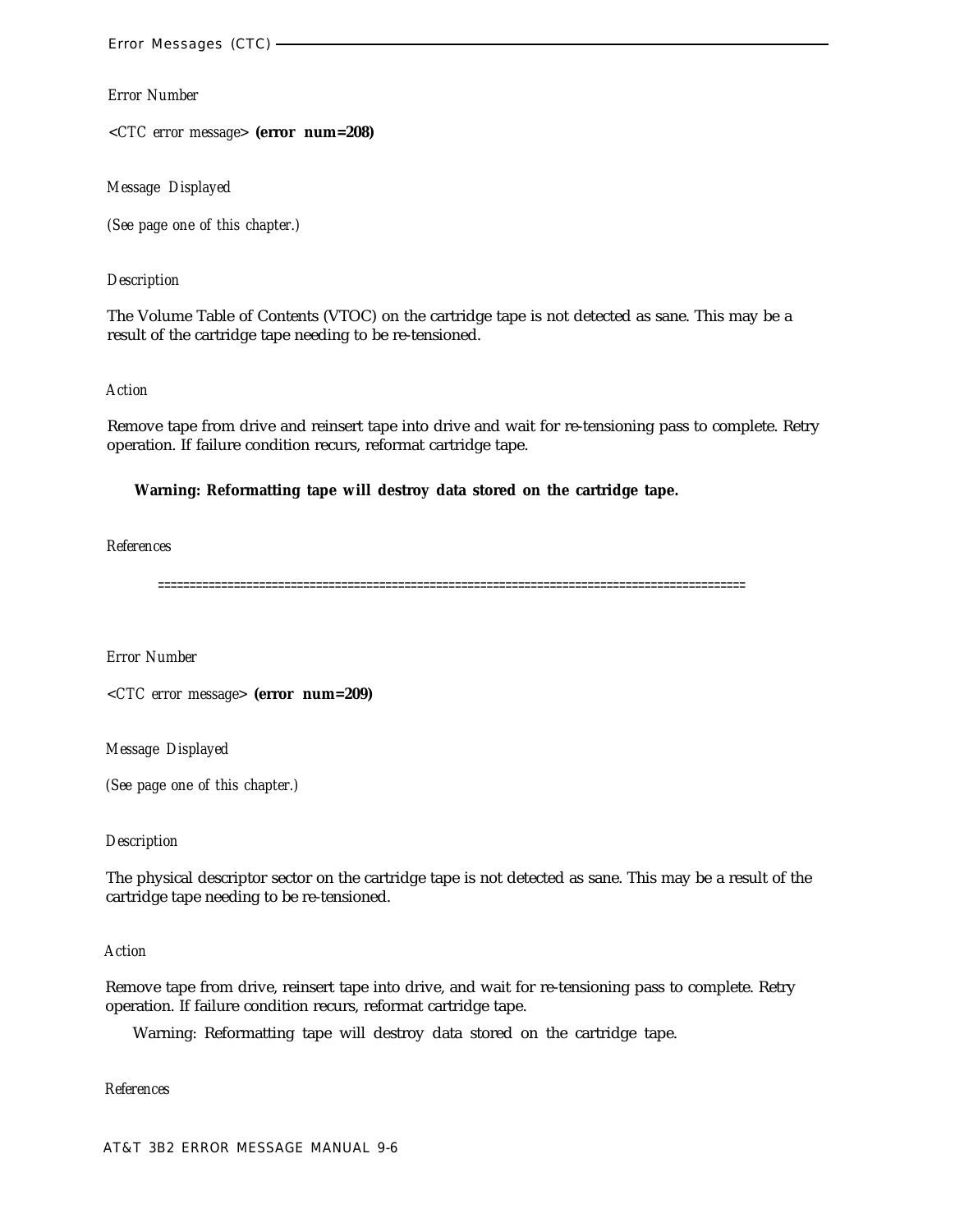*<CTC error message>* **(error num=208)**

*Message Displayed*

*(See page one of this chapter.)*

## *Description*

The Volume Table of Contents (VTOC) on the cartridge tape is not detected as sane. This may be a result of the cartridge tape needing to be re-tensioned.

## *Action*

Remove tape from drive and reinsert tape into drive and wait for re-tensioning pass to complete. Retry operation. If failure condition recurs, reformat cartridge tape.

## **Warning: Reformatting tape will destroy data stored on the cartridge tape.**

*References*

=============================================================================================

*Error Number*

*<CTC error message>* **(error num=209)**

*Message Displayed*

*(See page one of this chapter.)*

## *Description*

The physical descriptor sector on the cartridge tape is not detected as sane. This may be a result of the cartridge tape needing to be re-tensioned.

## *Action*

Remove tape from drive, reinsert tape into drive, and wait for re-tensioning pass to complete. Retry operation. If failure condition recurs, reformat cartridge tape.

Warning: Reformatting tape will destroy data stored on the cartridge tape.

*References*

AT&T 3B2 ERROR MESSAGE MANUAL 9-6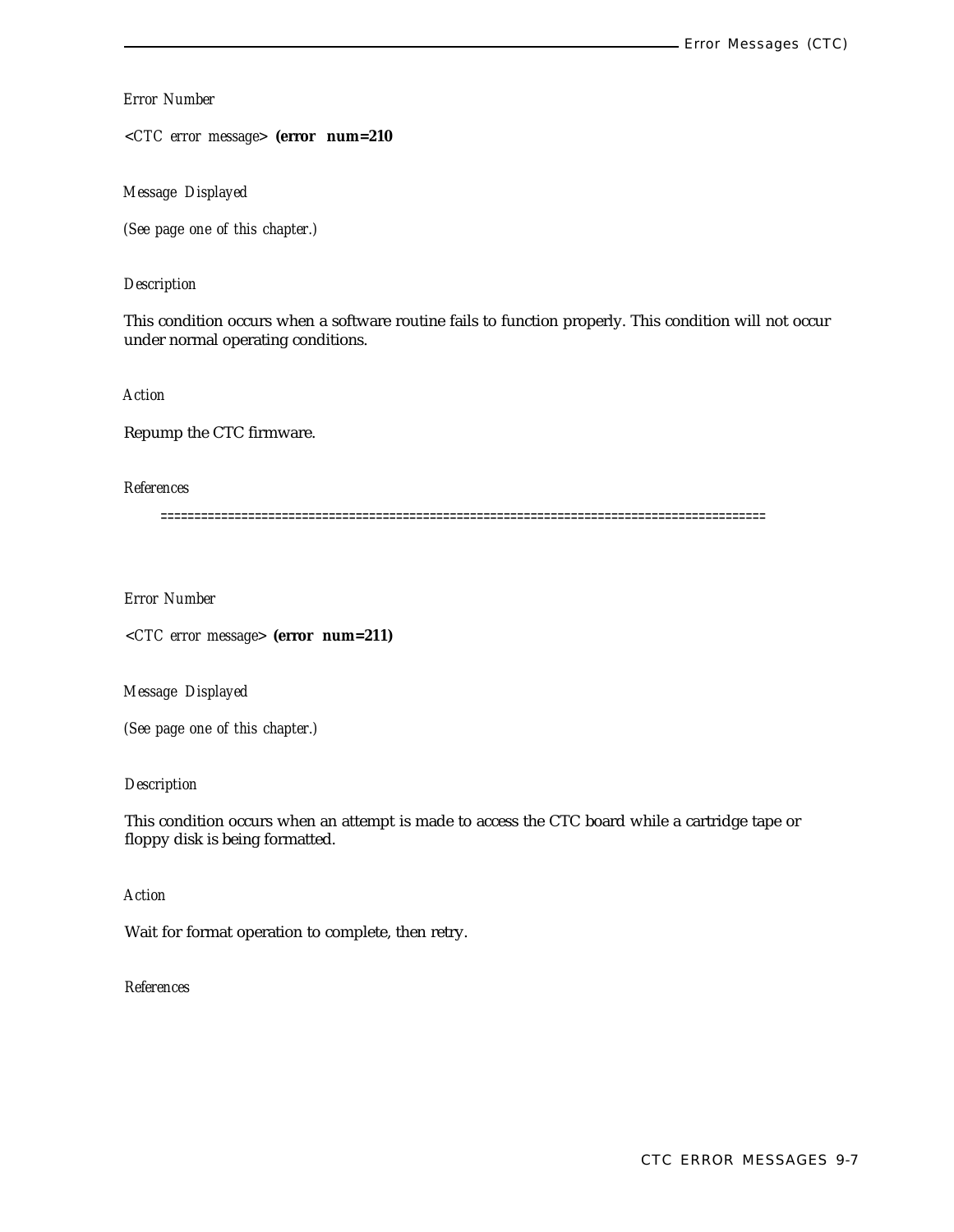*<CTC error message>* **(error num=210**

*Message Displayed*

*(See page one of this chapter.)*

## *Description*

This condition occurs when a software routine fails to function properly. This condition will not occur under normal operating conditions.

*Action*

Repump the CTC firmware.

*References*

==========================================================================================

*Error Number*

*<CTC error message>* **(error num=211)**

*Message Displayed*

*(See page one of this chapter.)*

*Description*

This condition occurs when an attempt is made to access the CTC board while a cartridge tape or floppy disk is being formatted.

*Action*

Wait for format operation to complete, then retry.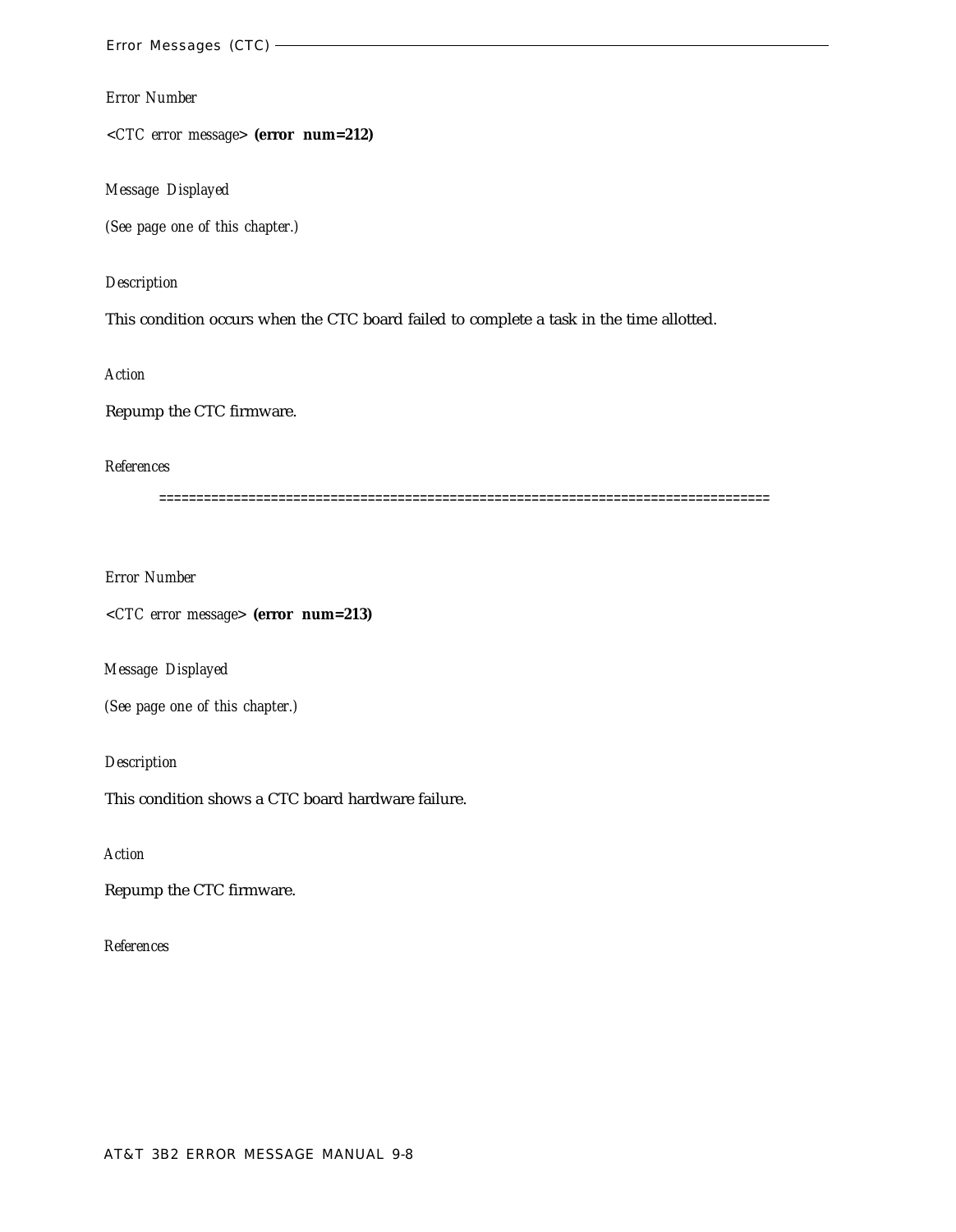*<CTC error message>* **(error num=212)**

*Message Displayed*

*(See page one of this chapter.)*

*Description*

This condition occurs when the CTC board failed to complete a task in the time allotted.

*Action*

Repump the CTC firmware.

*References*

==================================================================================

*Error Number*

*<CTC error message>* **(error num=213)**

*Message Displayed*

*(See page one of this chapter.)*

*Description*

This condition shows a CTC board hardware failure.

*Action*

Repump the CTC firmware.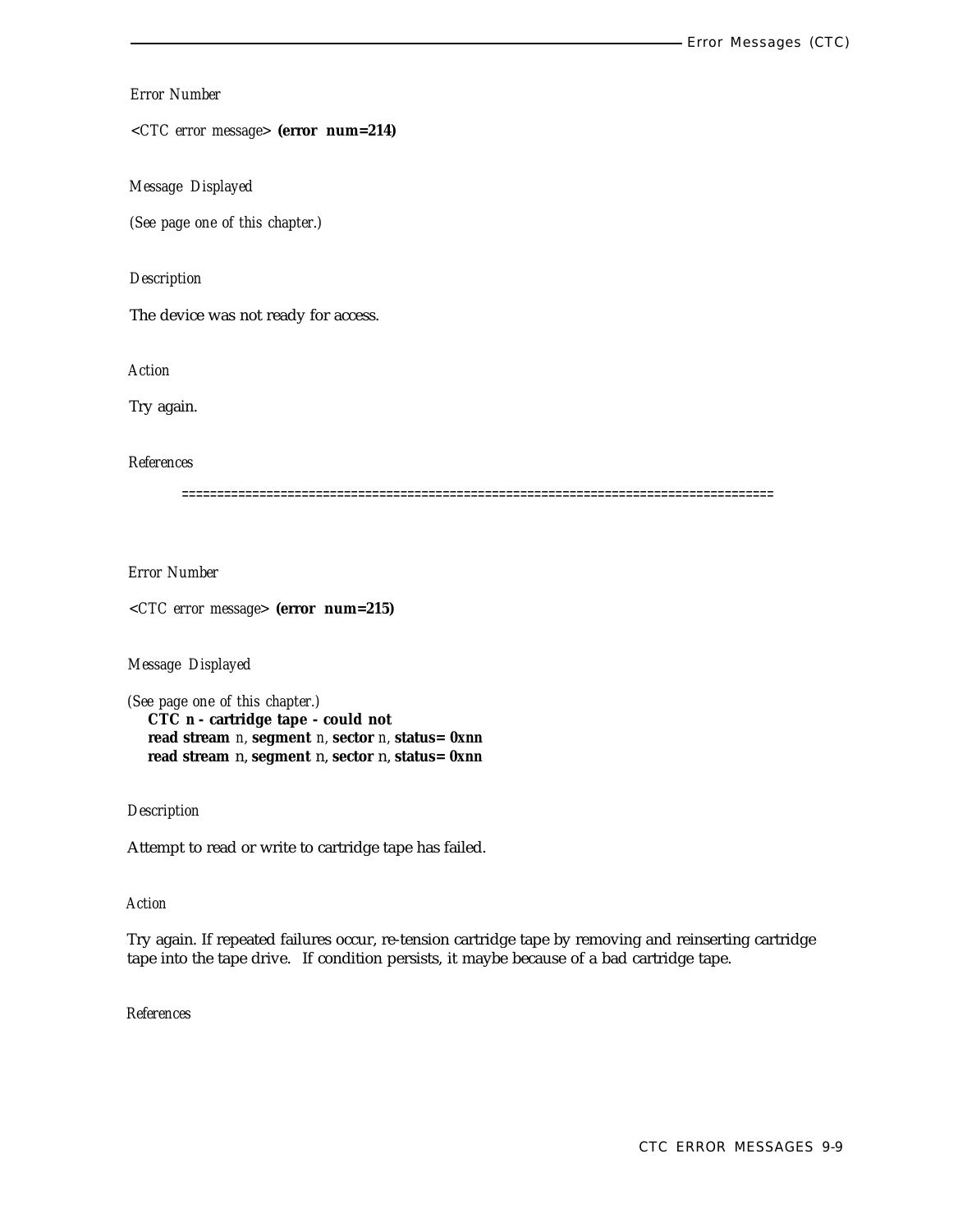*<CTC error message>* **(error num=214)**

*Message Displayed*

*(See page one of this chapter.)*

#### *Description*

The device was not ready for access.

*Action*

Try again.

#### *References*

====================================================================================

*Error Number*

*<CTC error message>* **(error num=215)**

*Message Displayed*

*(See page one of this chapter.)* **CTC** *n* **- cartridge tape - could not read stream** *n,* **segment** *n,* **sector** *n,* **status=** *0xnn* **read stream** n, **segment** n, **sector** n, **status=** *0xnn*

*Description*

Attempt to read or write to cartridge tape has failed.

#### *Action*

Try again. If repeated failures occur, re-tension cartridge tape by removing and reinserting cartridge tape into the tape drive. If condition persists, it maybe because of a bad cartridge tape.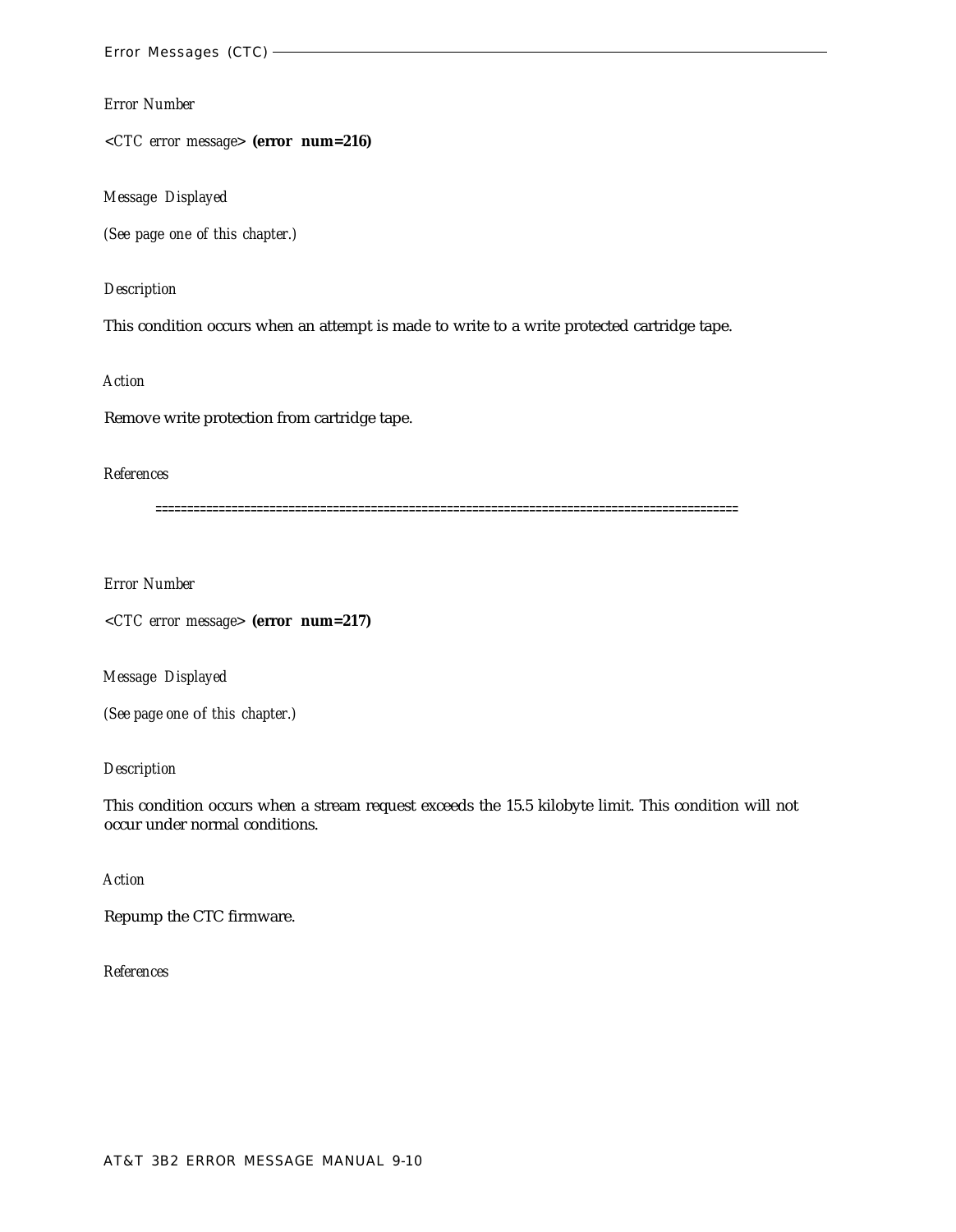*<CTC error message>* **(error num=216)**

*Message Displayed*

*(See page one of this chapter.)*

*Description*

This condition occurs when an attempt is made to write to a write protected cartridge tape.

*Action*

Remove write protection from cartridge tape.

## *References*

============================================================================================

*Error Number*

*<CTC error message>* **(error num=217)**

*Message Displayed*

*(See page one* of *this chapter.)*

## *Description*

This condition occurs when a stream request exceeds the 15.5 kilobyte limit. This condition will not occur under normal conditions.

## *Action*

Repump the CTC firmware.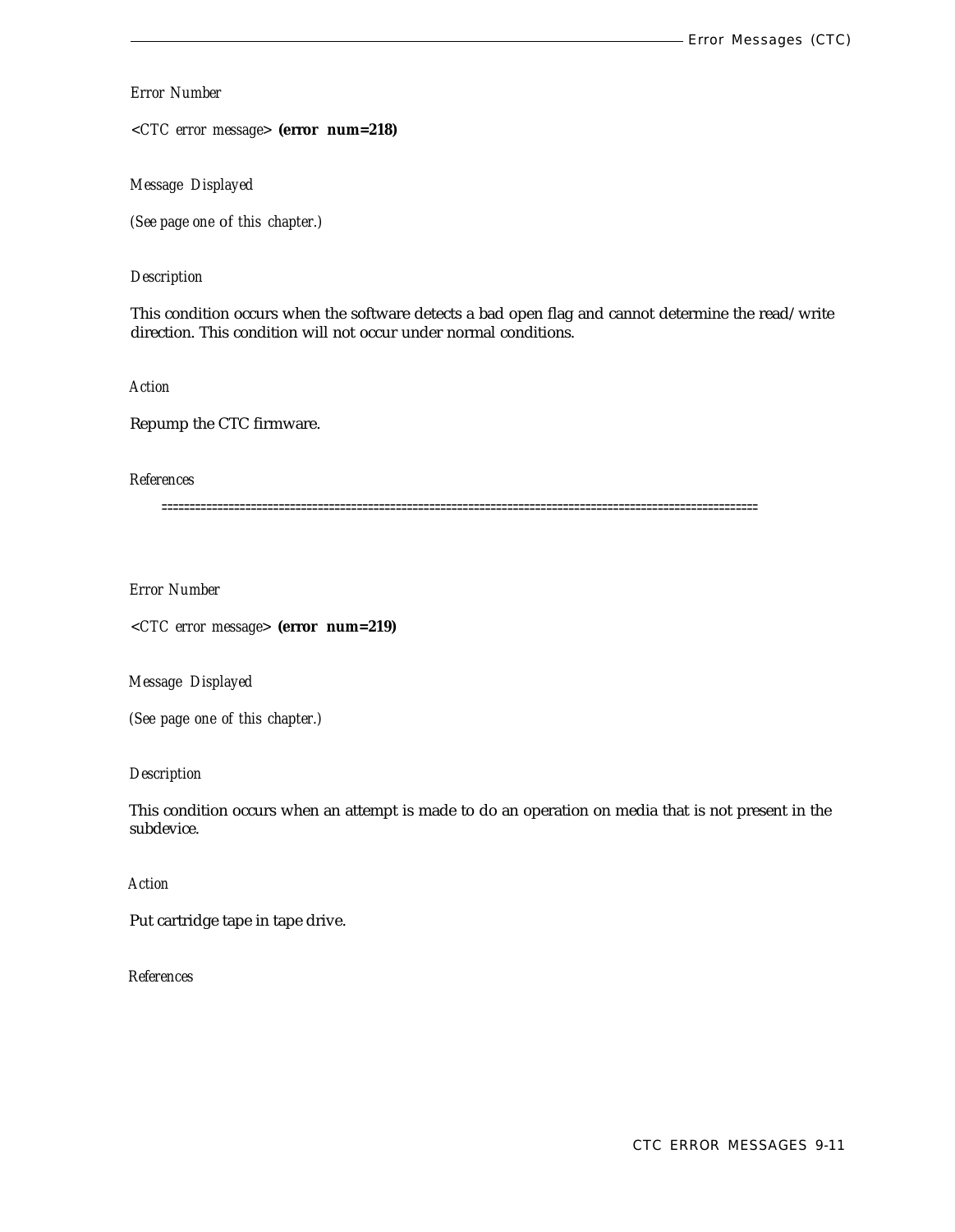*<CTC error message>* **(error num=218)**

*Message Displayed*

*(See page one* of *this chapter.)*

## *Description*

This condition occurs when the software detects a bad open flag and cannot determine the read/write direction. This condition will not occur under normal conditions.

*Action*

Repump the CTC firmware.

#### *References*

===========================================================================================================

*Error Number*

*<CTC error message>* **(error num=219)**

*Message Displayed*

*(See page one of this chapter.)*

*Description*

This condition occurs when an attempt is made to do an operation on media that is not present in the subdevice.

*Action*

Put cartridge tape in tape drive.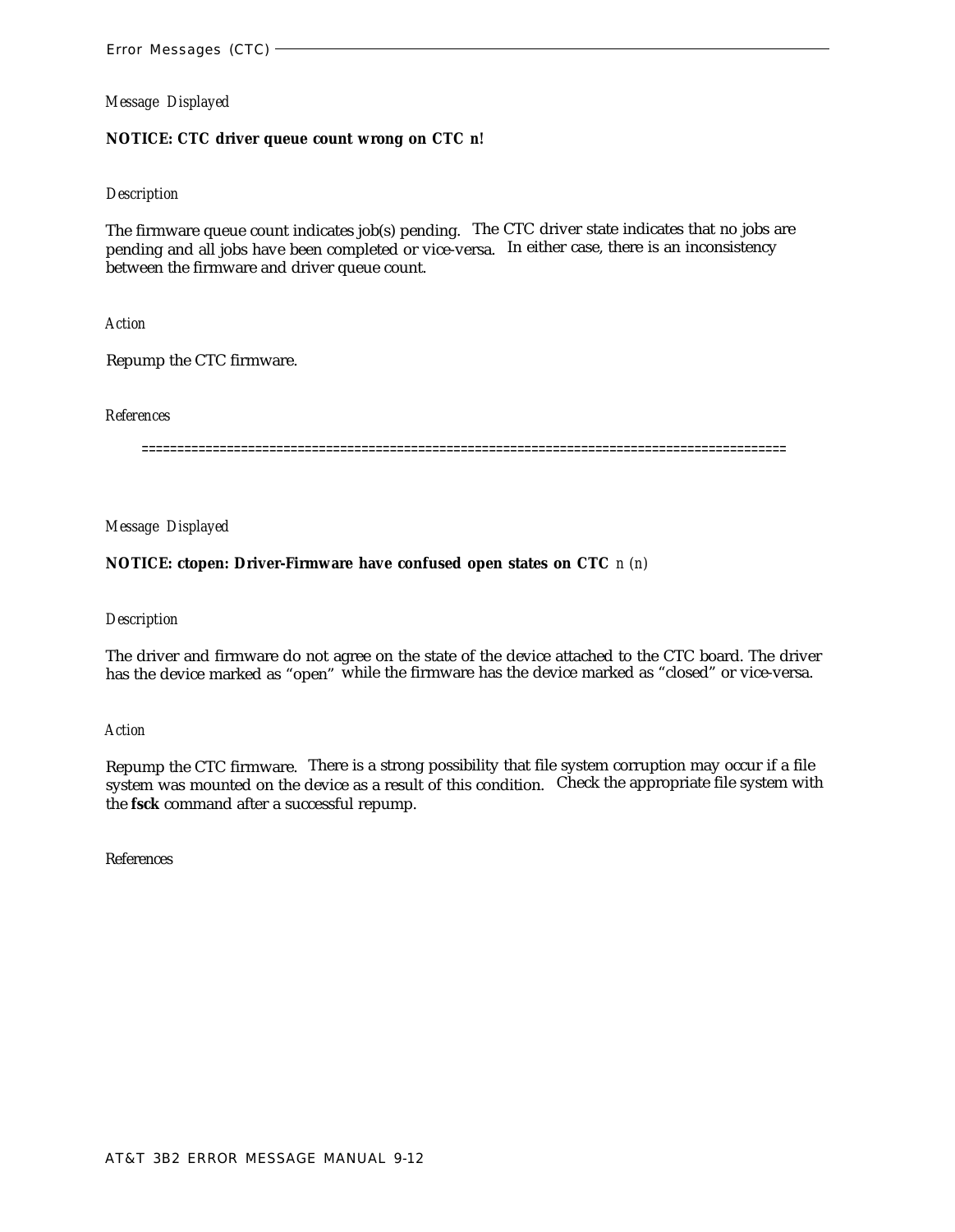## **NOTICE: CTC driver queue count wrong on CTC** *n!*

#### *Description*

The firmware queue count indicates job(s) pending. The CTC driver state indicates that no jobs are pending and all jobs have been completed or vice-versa. In either case, there is an inconsistency between the firmware and driver queue count.

*Action*

Repump the CTC firmware.

*References*

===========================================================================================

*Message Displayed*

## **NOTICE: ctopen: Driver-Firmware have confused open states on CTC** *n (n)*

#### *Description*

The driver and firmware do not agree on the state of the device attached to the CTC board. The driver has the device marked as "open" while the firmware has the device marked as "closed" or vice-versa.

*Action*

Repump the CTC firmware. There is a strong possibility that file system corruption may occur if a file system was mounted on the device as a result of this condition. Check the appropriate file system with the **fsck** command after a successful repump.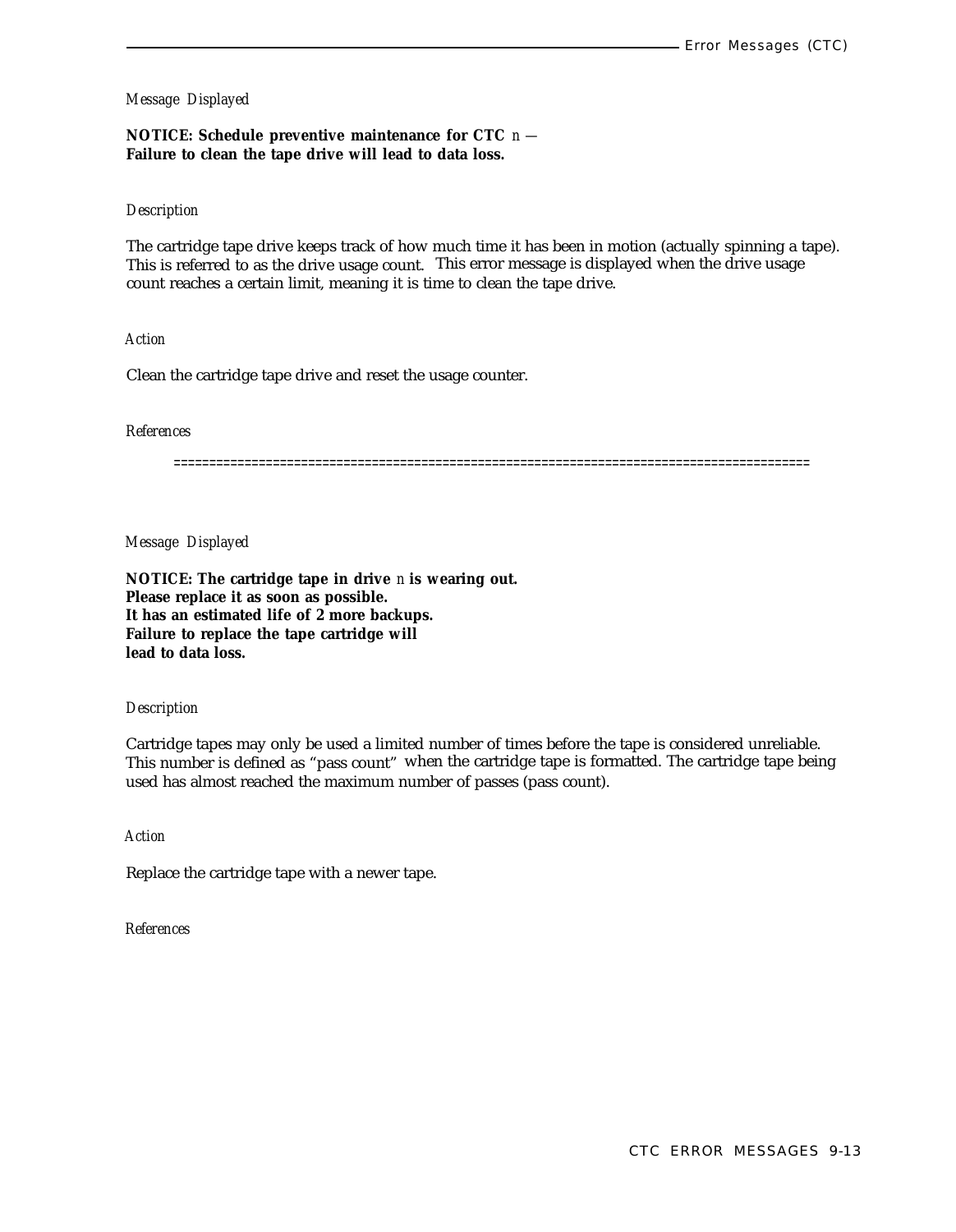## **NOTICE: Schedule preventive maintenance for CTC** *n —* **Failure to clean the tape drive will lead to data loss.**

#### *Description*

The cartridge tape drive keeps track of how much time it has been in motion (actually spinning a tape). This is referred to as the drive usage count. This error message is displayed when the drive usage count reaches a certain limit, meaning it is time to clean the tape drive.

## *Action*

Clean the cartridge tape drive and reset the usage counter.

#### *References*

==========================================================================================

*Message Displayed*

**NOTICE: The cartridge tape in drive** *n* **is wearing out. Please replace it as soon as possible. It has an estimated life of 2 more backups. Failure to replace the tape cartridge will lead to data loss.**

#### *Description*

Cartridge tapes may only be used a limited number of times before the tape is considered unreliable. This number is defined as "pass count" when the cartridge tape is formatted. The cartridge tape being used has almost reached the maximum number of passes (pass count).

*Action*

Replace the cartridge tape with a newer tape.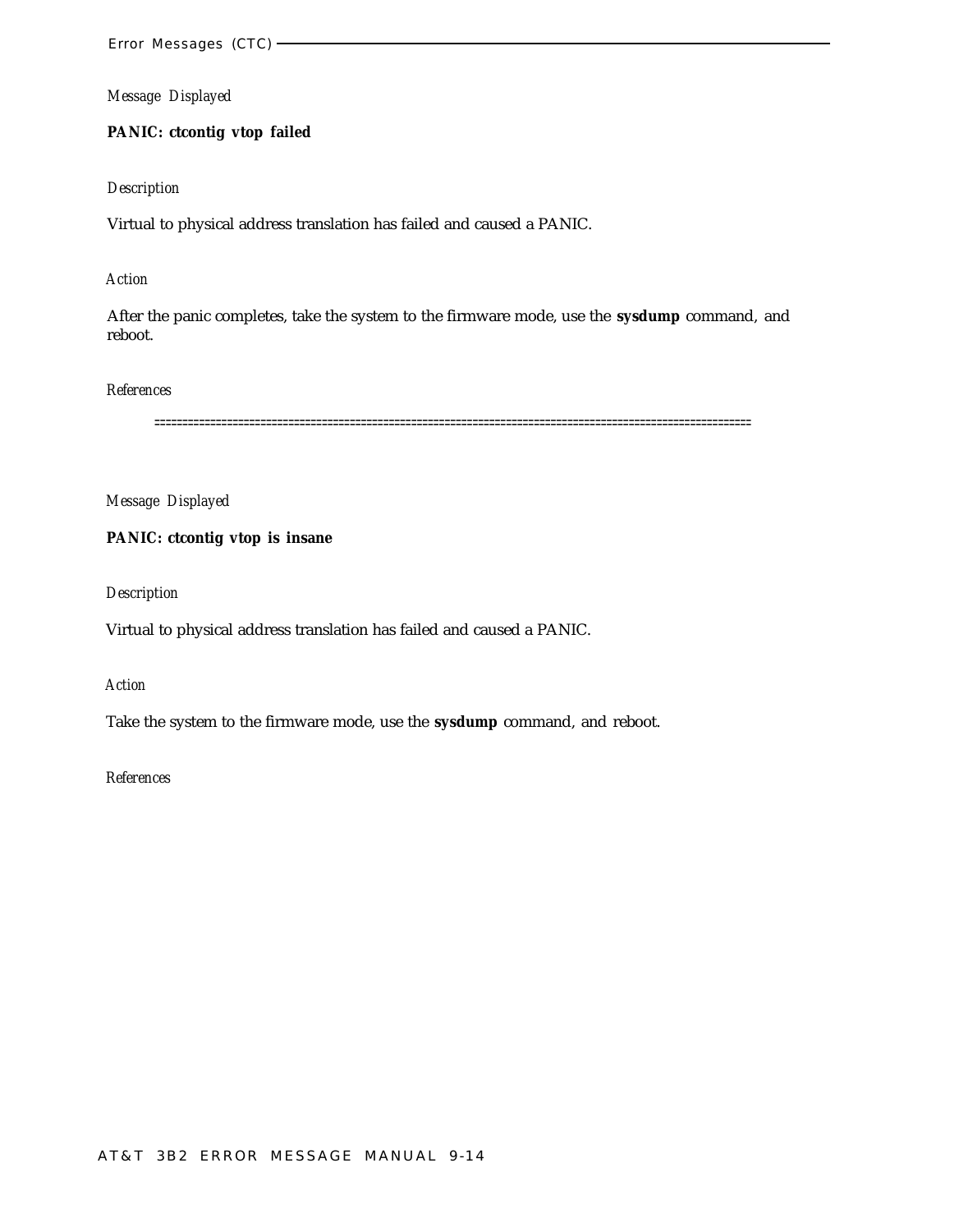# **PANIC: ctcontig vtop failed**

# *Description*

Virtual to physical address translation has failed and caused a PANIC.

# *Action*

After the panic completes, take the system to the firmware mode, use the **sysdump** command, and reboot.

## *References*

===========================================================================================================

*Message Displayed*

## **PANIC: ctcontig vtop is insane**

*Description*

Virtual to physical address translation has failed and caused a PANIC.

#### *Action*

Take the system to the firmware mode, use the **sysdump** command, and reboot.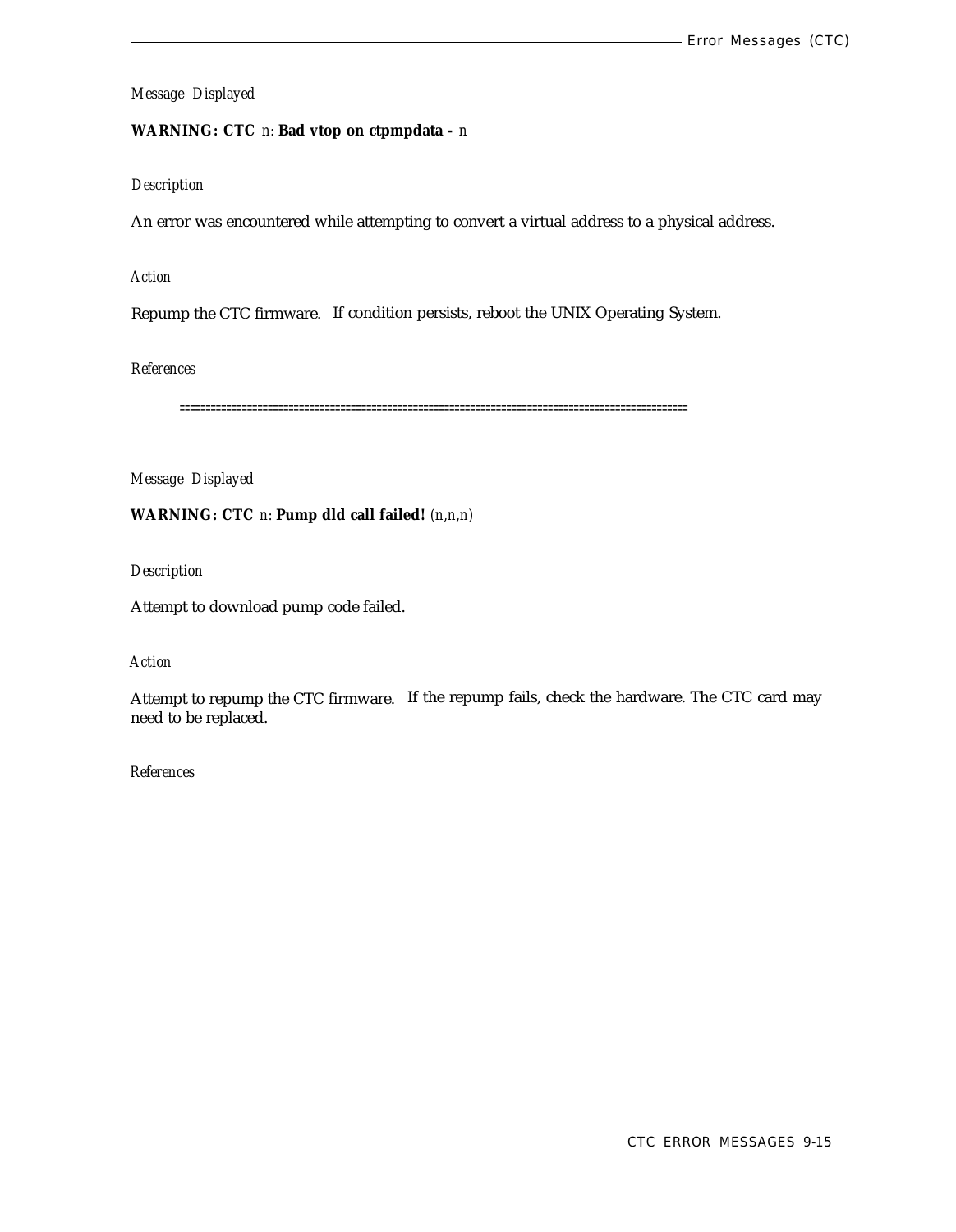# **WARNING: CTC** *n:* **Bad vtop on ctpmpdata -** *n*

## *Description*

An error was encountered while attempting to convert a virtual address to a physical address.

## *Action*

Repump the CTC firmware. If condition persists, reboot the UNIX Operating System.

#### *References*

==================================================================================================

# *Message Displayed*

# **WARNING: CTC** *n:* **Pump dld call failed!** *(n,n,n)*

*Description*

Attempt to download pump code failed.

# *Action*

Attempt to repump the CTC firmware. If the repump fails, check the hardware. The CTC card may need to be replaced.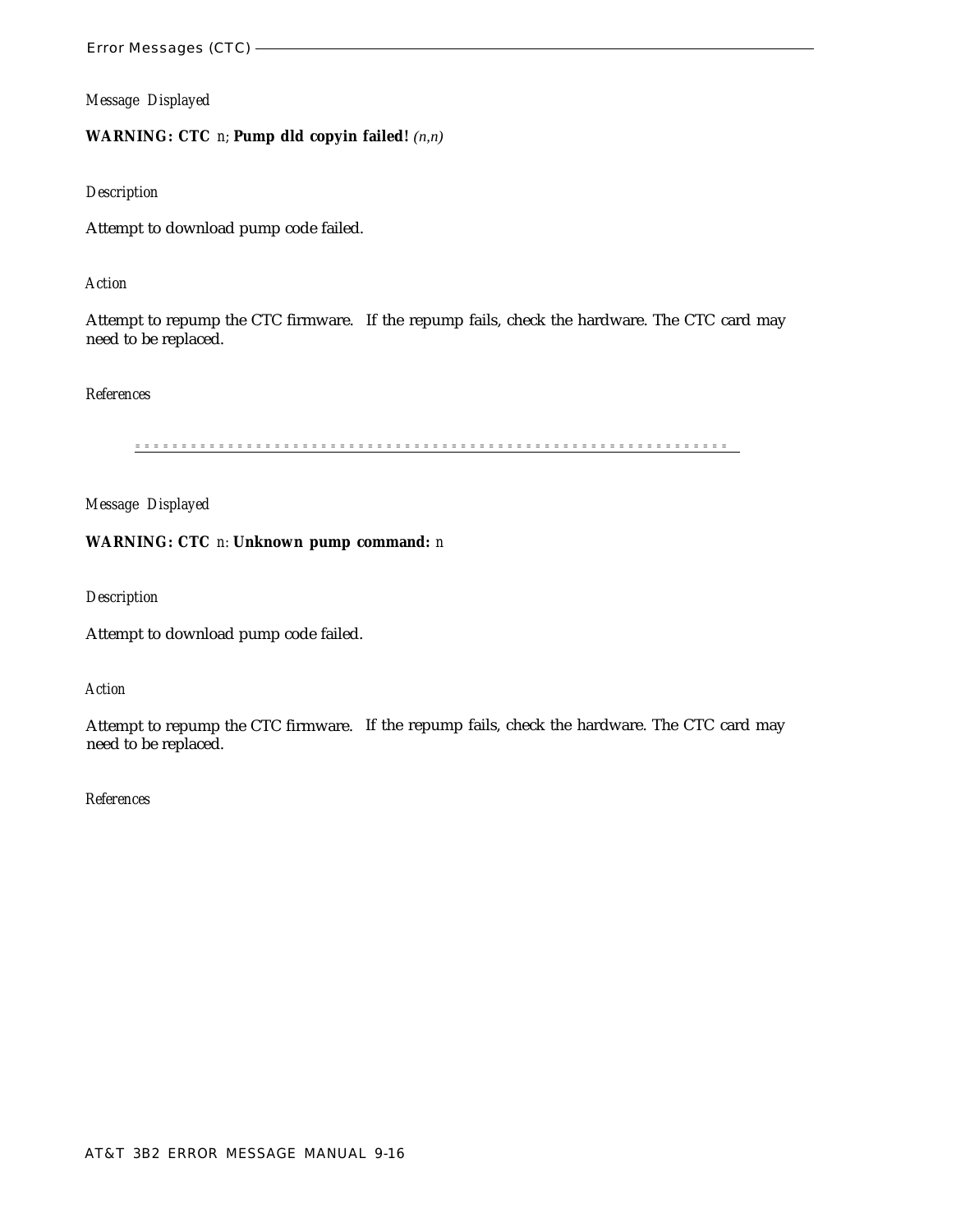# **WARNING: CTC** *n;* **Pump dld copyin failed!** *(n,n)*

#### *Description*

Attempt to download pump code failed.

## *Action*

Attempt to repump the CTC firmware. If the repump fails, check the hardware. The CTC card may need to be replaced.

#### *References*

=============================================================== =

*Message Displayed*

## **WARNING: CTC** *n:* **Unknown pump command:** *n*

*Description*

Attempt to download pump code failed.

#### *Action*

Attempt to repump the CTC firmware. If the repump fails, check the hardware. The CTC card may need to be replaced.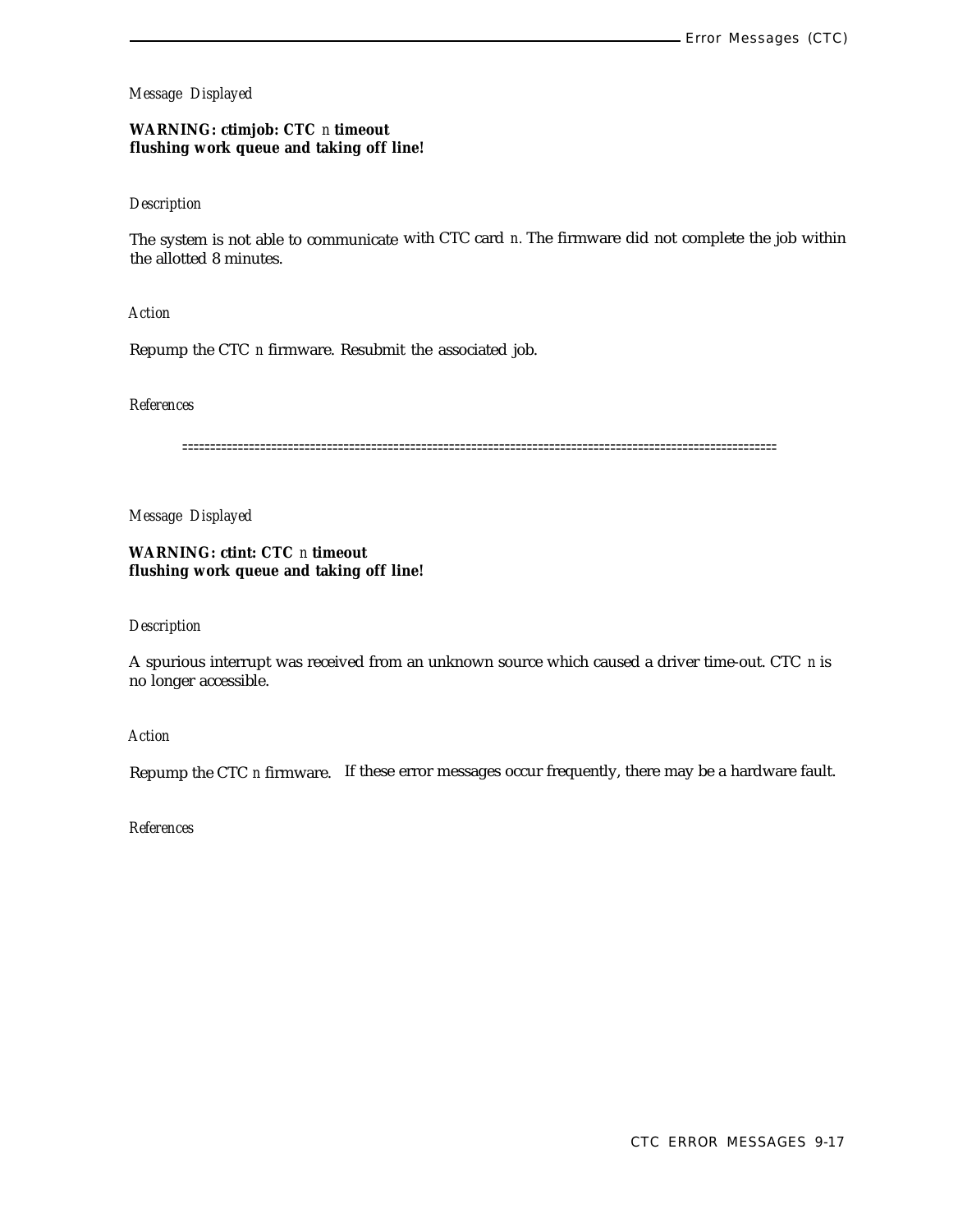## **WARNING: ctimjob: CTC** *n* **timeout flushing work queue and taking off line!**

## *Description*

The system is not able to communicate with CTC card *n.* The firmware did not complete the job within the allotted 8 minutes.

*Action*

Repump the CTC *n* firmware. Resubmit the associated job.

## *References*

===========================================================================================================

*Message Displayed*

**WARNING: ctint: CTC** *n* **timeout flushing work queue and taking off line!**

#### *Description*

A spurious interrupt was received from an unknown source which caused a driver time-out. CTC *n* is no longer accessible.

*Action*

Repump the CTC *n* firmware. If these error messages occur frequently, there may be a hardware fault.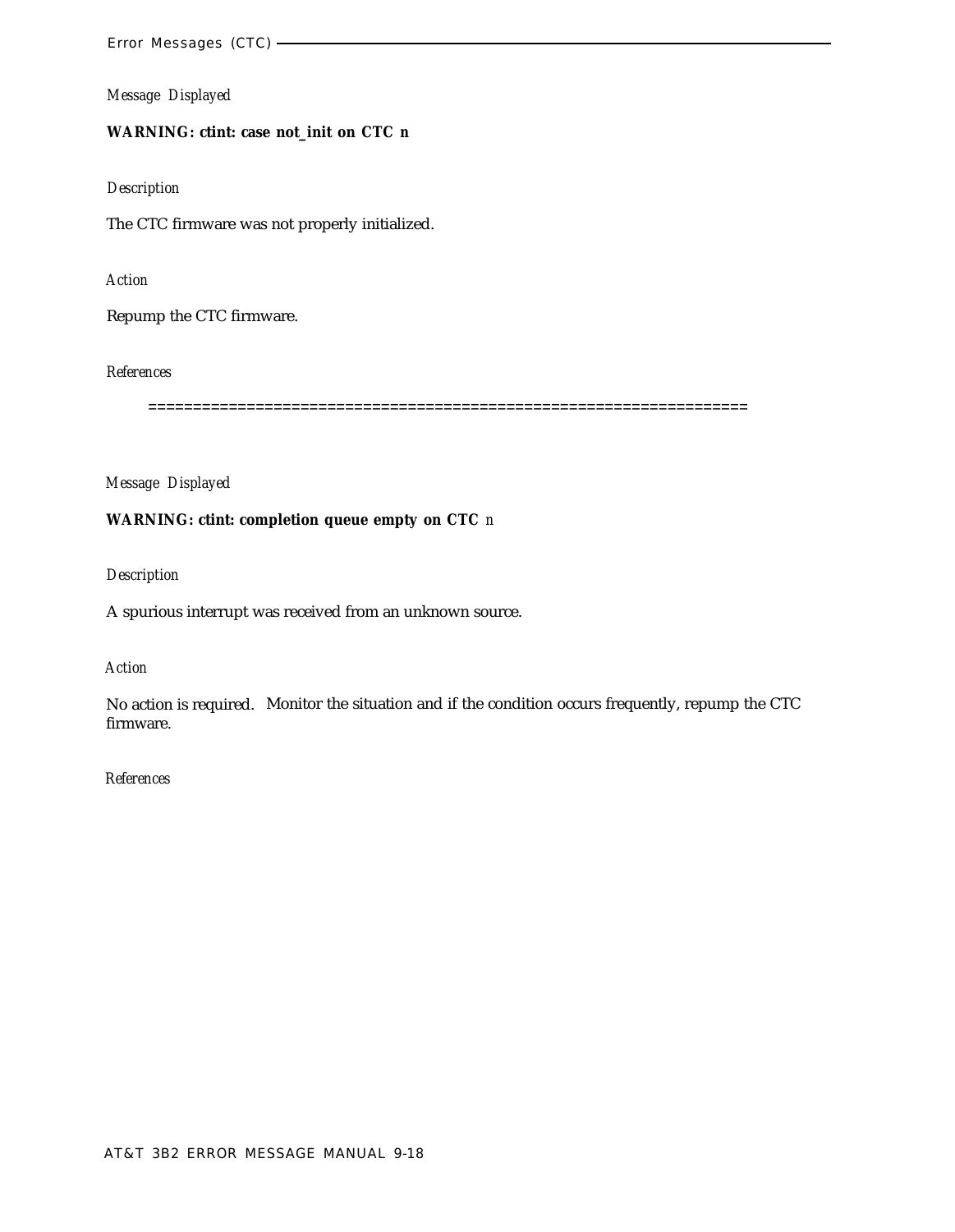# **WARNING: ctint: case not\_init on CTC** *n*

## *Description*

The CTC firmware was not properly initialized.

#### *Action*

Repump the CTC firmware.

## *References*

===================================================================

*Message Displayed*

## **WARNING: ctint: completion queue empty on CTC** *n*

## *Description*

A spurious interrupt was received from an unknown source.

# *Action*

No action is required. Monitor the situation and if the condition occurs frequently, repump the CTC firmware.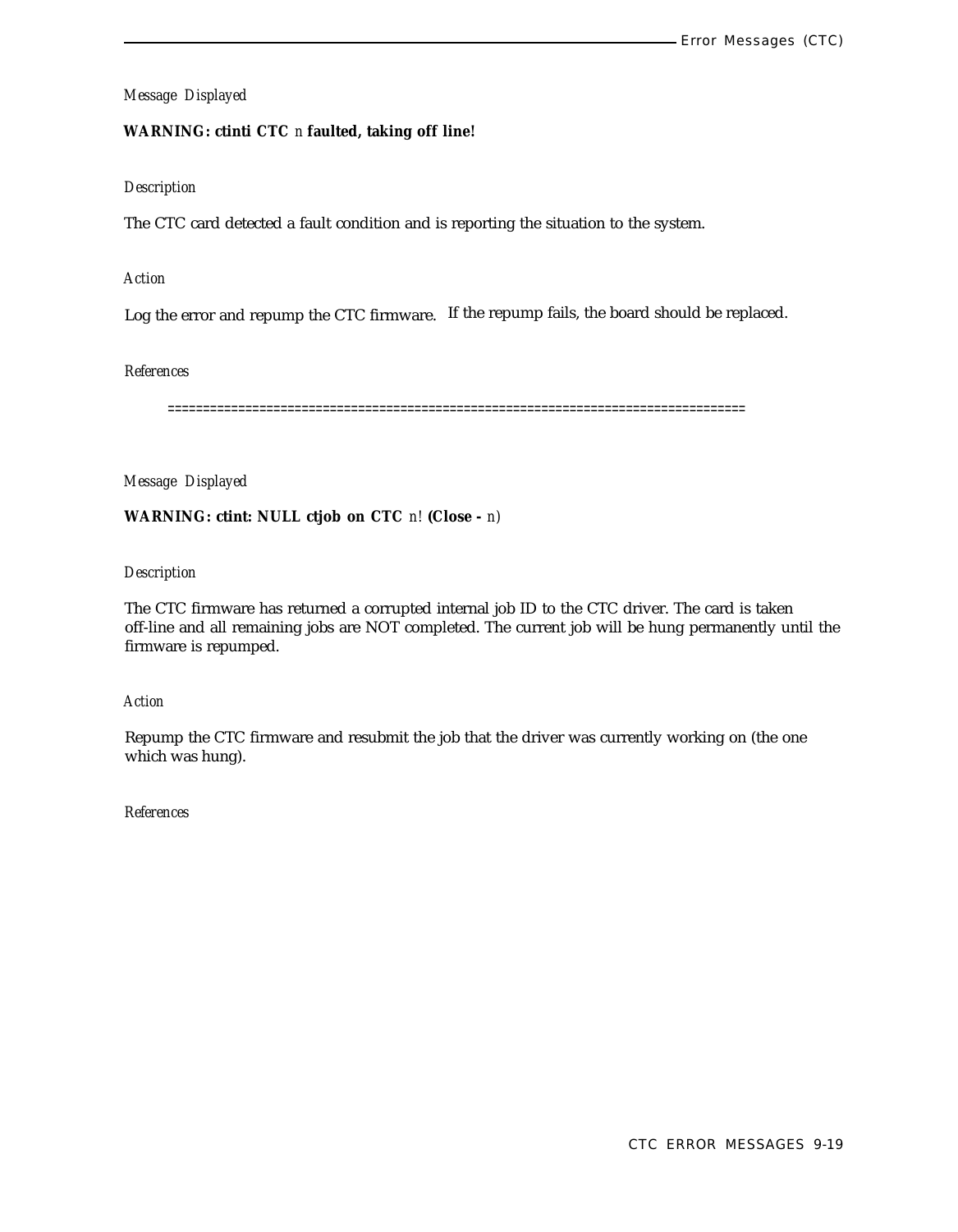# **WARNING: ctinti CTC** *n* **faulted, taking off line!**

# *Description*

The CTC card detected a fault condition and is reporting the situation to the system.

# *Action*

Log the error and repump the CTC firmware. If the repump fails, the board should be replaced.

## *References*

==================================================================================

*Message Displayed*

# **WARNING: ctint: NULL ctjob on CTC** *n!* **(Close -** *n)*

# *Description*

The CTC firmware has returned a corrupted internal job ID to the CTC driver. The card is taken off-line and all remaining jobs are NOT completed. The current job will be hung permanently until the firmware is repumped.

## *Action*

Repump the CTC firmware and resubmit the job that the driver was currently working on (the one which was hung).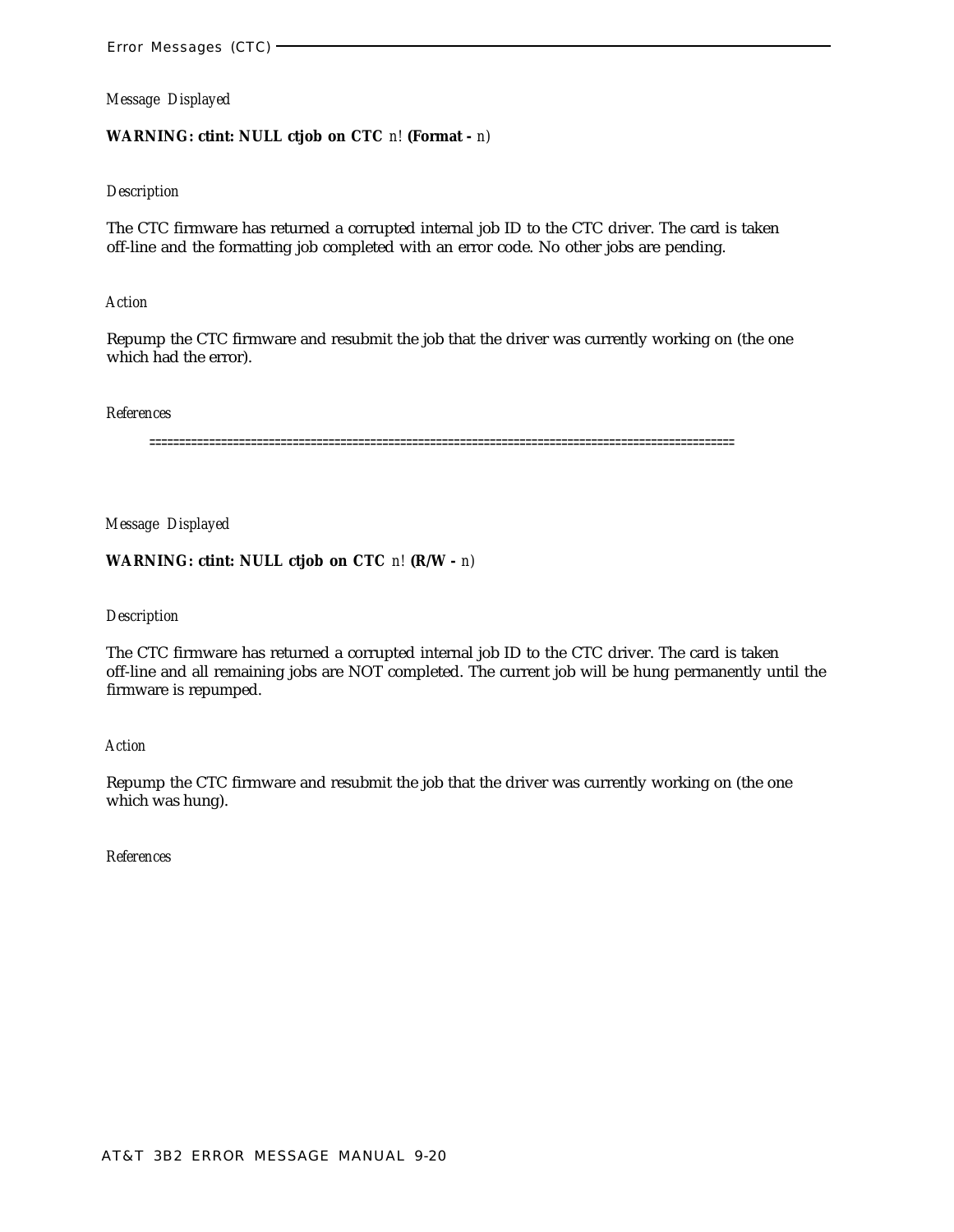## **WARNING: ctint: NULL ctjob on CTC** *n!* **(Format -** *n)*

#### *Description*

The CTC firmware has returned a corrupted internal job ID to the CTC driver. The card is taken off-line and the formatting job completed with an error code. No other jobs are pending.

#### *Action*

Repump the CTC firmware and resubmit the job that the driver was currently working on (the one which had the error).

#### *References*

==================================================================================================

*Message Displayed*

## **WARNING: ctint: NULL ctjob on CTC** *n!* **(R/W -** *n)*

#### *Description*

The CTC firmware has returned a corrupted internal job ID to the CTC driver. The card is taken off-line and all remaining jobs are NOT completed. The current job will be hung permanently until the firmware is repumped.

#### *Action*

Repump the CTC firmware and resubmit the job that the driver was currently working on (the one which was hung).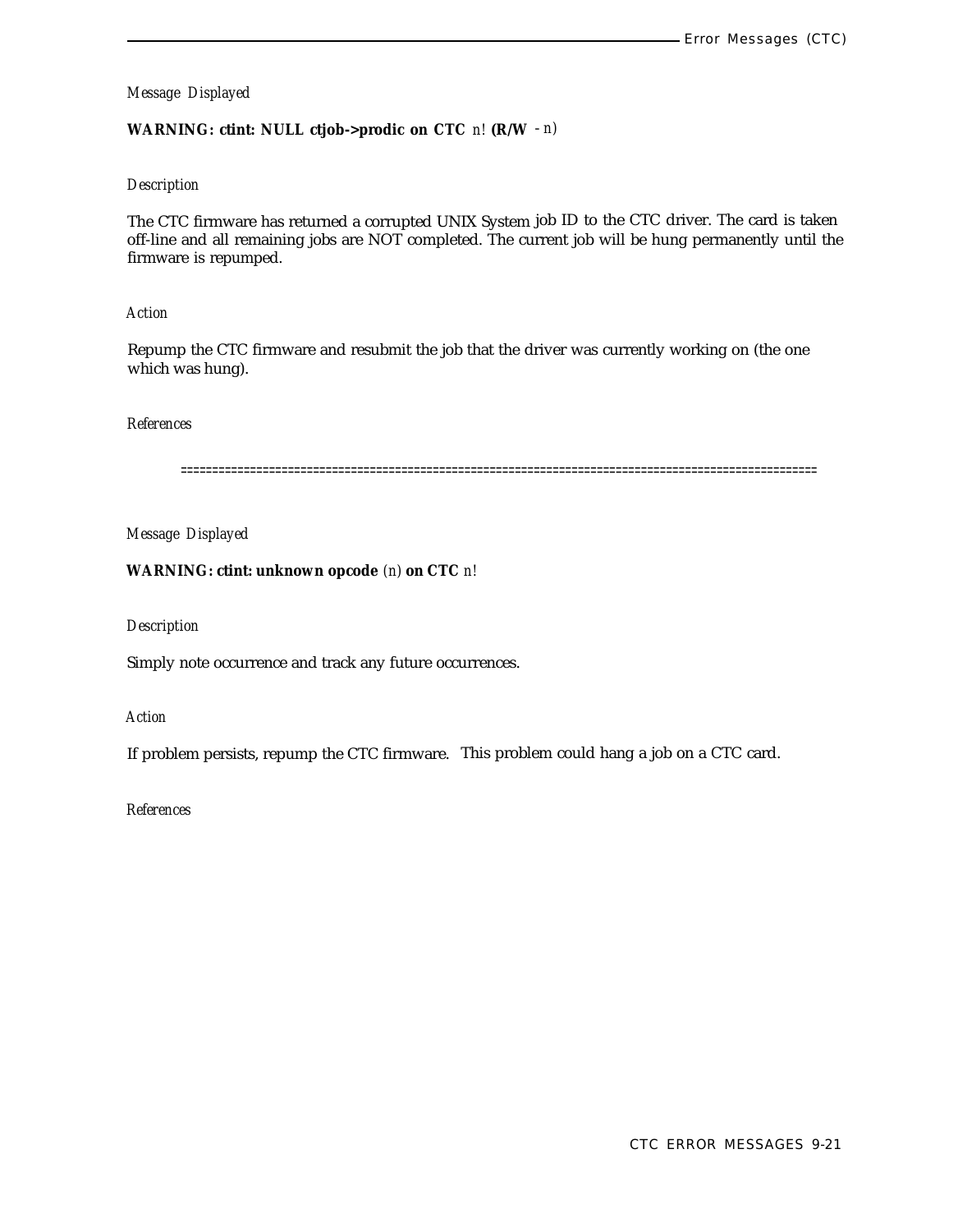# **WARNING: ctint: NULL ctjob->prodic on CTC** *n!* **(R/W** - *n)*

## *Description*

The CTC firmware has returned a corrupted UNIX System job ID to the CTC driver. The card is taken off-line and all remaining jobs are NOT completed. The current job will be hung permanently until the firmware is repumped.

# *Action*

Repump the CTC firmware and resubmit the job that the driver was currently working on (the one which was hung).

## *References*

=====================================================================================================

*Message Displayed*

# **WARNING: ctint: unknown opcode** *(n)* **on CTC** *n!*

## *Description*

Simply note occurrence and track any future occurrences.

*Action*

If problem persists, repump the CTC firmware. This problem could hang a job on a CTC card.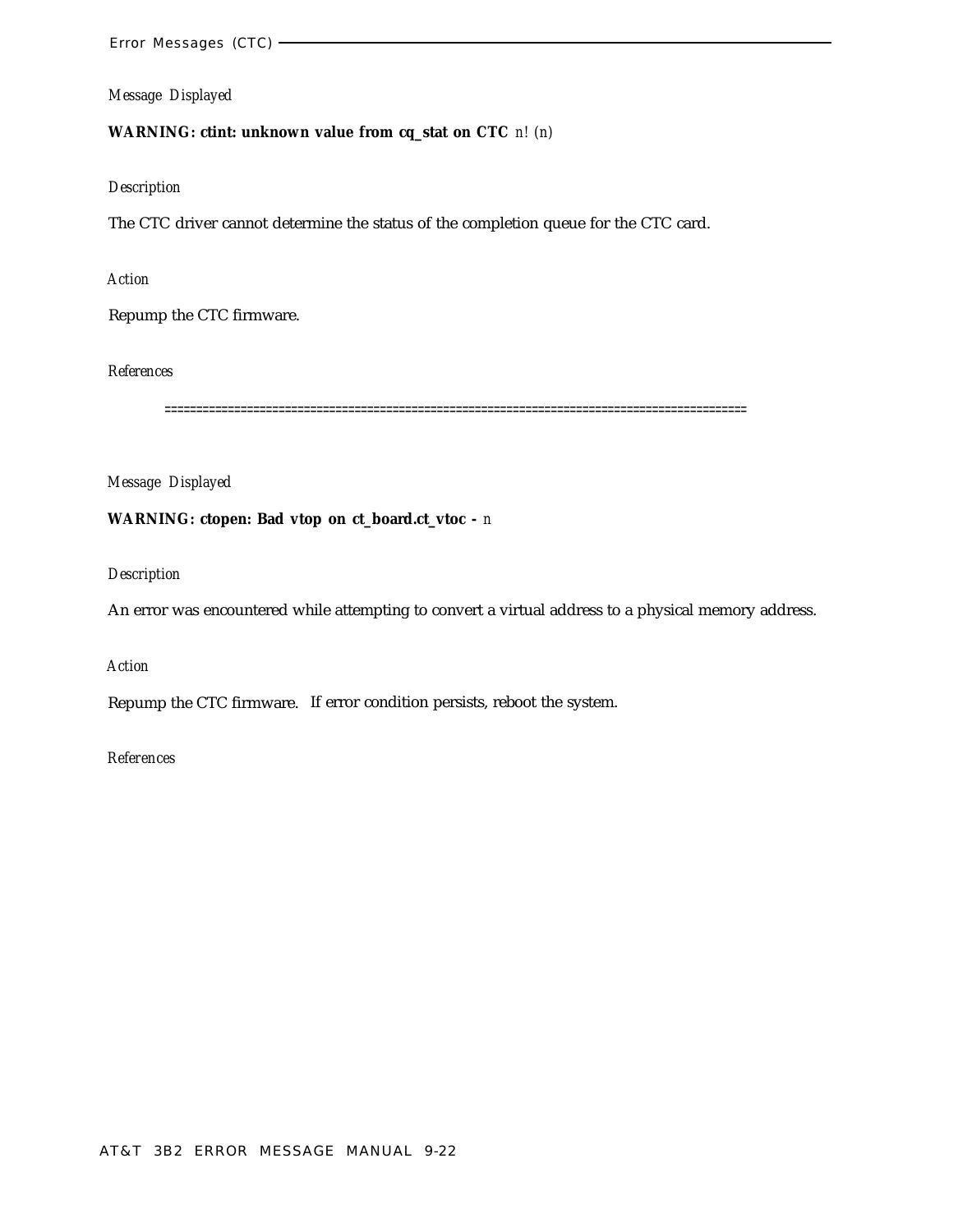# **WARNING: ctint: unknown value from cq\_stat on CTC** *n! (n)*

# *Description*

The CTC driver cannot determine the status of the completion queue for the CTC card.

## *Action*

Repump the CTC firmware.

*References*

============================================================================================

*Message Displayed*

# **WARNING: ctopen: Bad vtop on ct\_board.ct\_vtoc -** *n*

*Description*

An error was encountered while attempting to convert a virtual address to a physical memory address.

*Action*

Repump the CTC firmware. If error condition persists, reboot the system.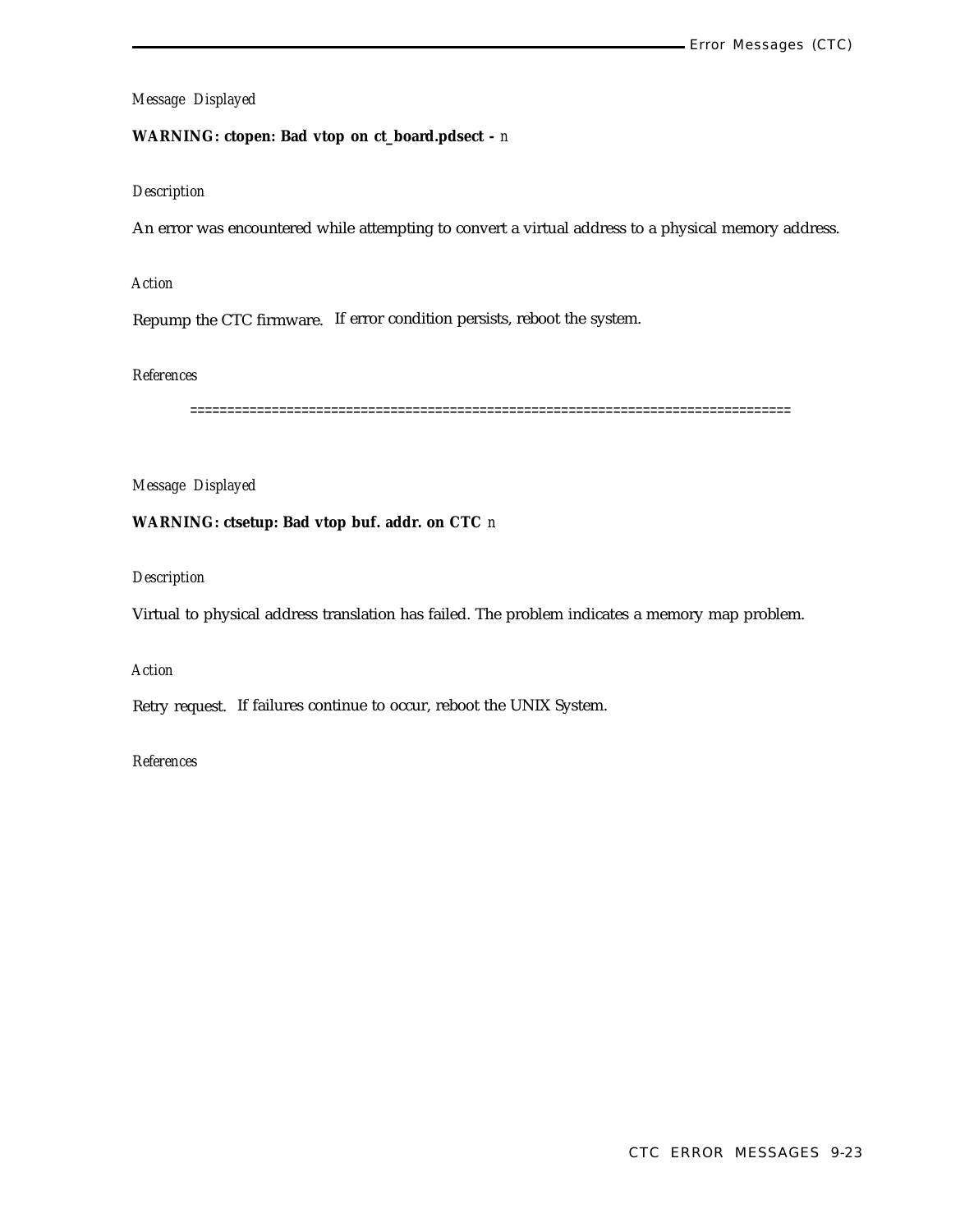# **WARNING: ctopen: Bad vtop on ct\_board.pdsect -** *n*

# *Description*

An error was encountered while attempting to convert a virtual address to a physical memory address.

#### *Action*

Repump the CTC firmware. If error condition persists, reboot the system.

# *References*

=================================================================================

## *Message Displayed*

# **WARNING: ctsetup: Bad vtop buf. addr. on CTC** *n*

## *Description*

Virtual to physical address translation has failed. The problem indicates a memory map problem.

# *Action*

Retry request. If failures continue to occur, reboot the UNIX System.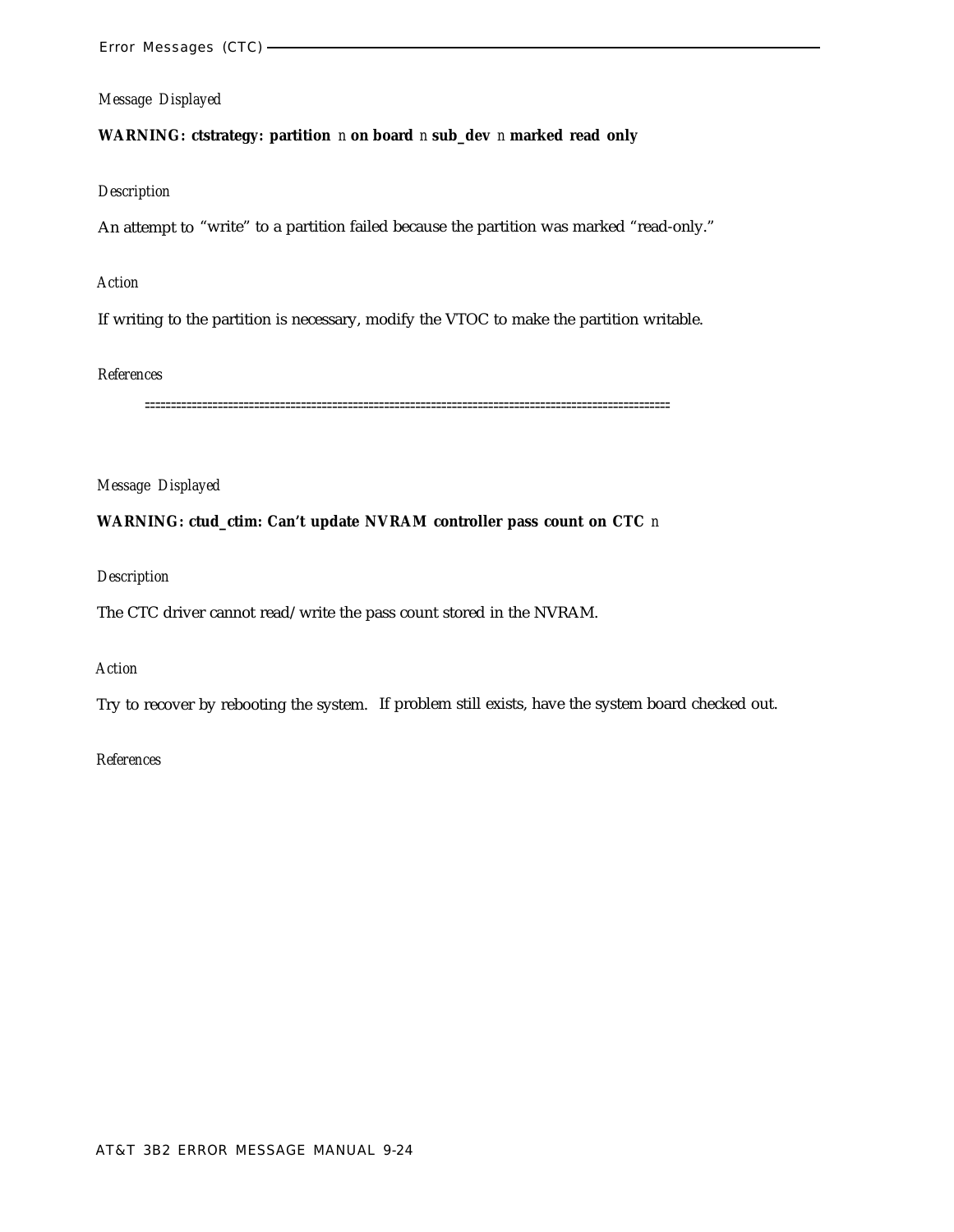## **WARNING: ctstrategy: partition** *n* **on board** *n* **sub\_dev** *n* **marked read only**

#### *Description*

An attempt to "write" to a partition failed because the partition was marked "read-only."

#### *Action*

If writing to the partition is necessary, modify the VTOC to make the partition writable.

#### *References*

=====================================================================================================

## *Message Displayed*

## **WARNING: ctud\_ctim: Can't update NVRAM controller pass count on CTC** *n*

#### *Description*

The CTC driver cannot read/write the pass count stored in the NVRAM.

# *Action*

Try to recover by rebooting the system. If problem still exists, have the system board checked out.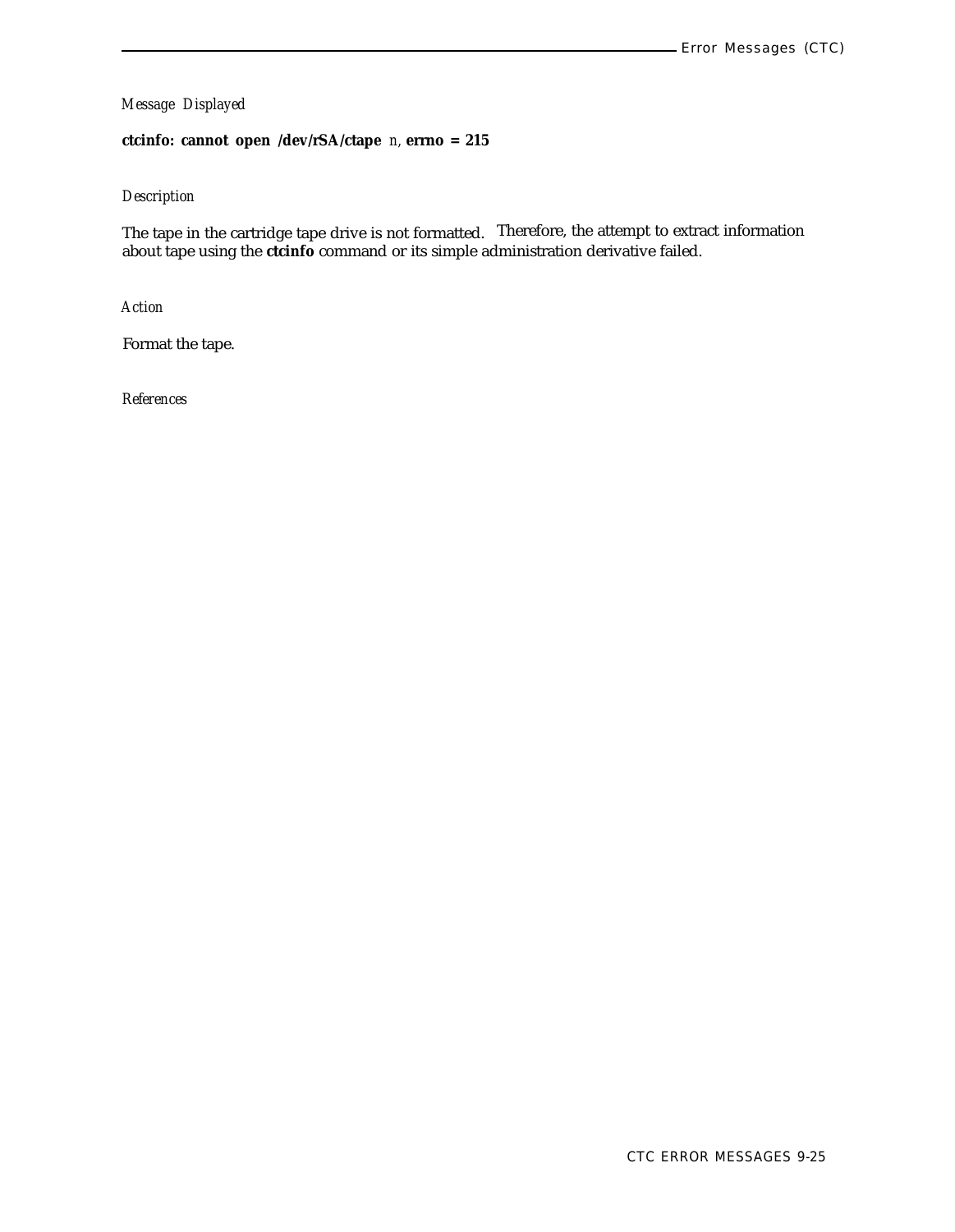**ctcinfo: cannot open /dev/rSA/ctape** *n,* **errno = 215**

## *Description*

The tape in the cartridge tape drive is not formatted. Therefore, the attempt to extract information about tape using the **ctcinfo** command or its simple administration derivative failed.

*Action*

Format the tape.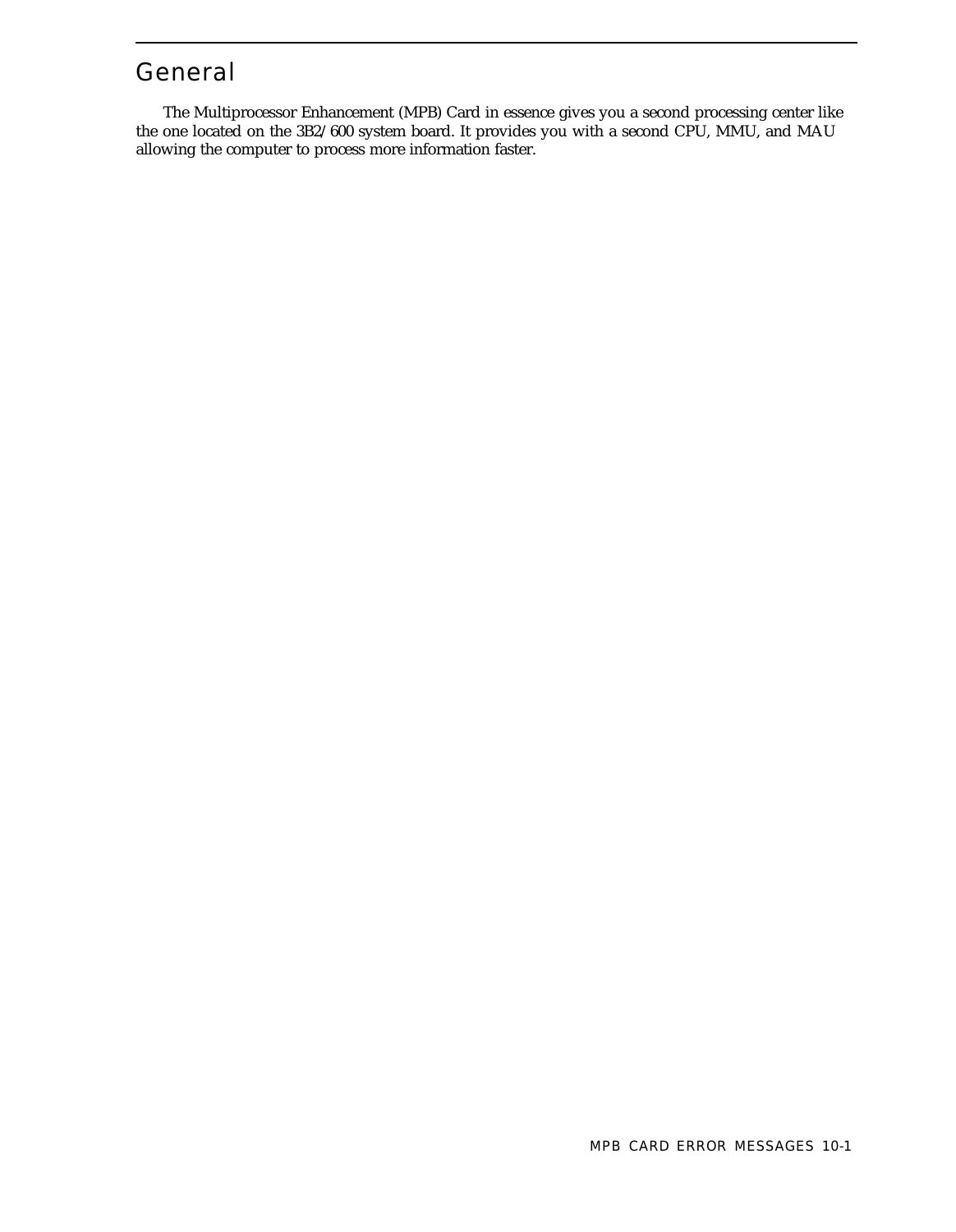# General

The Multiprocessor Enhancement (MPB) Card in essence gives you a second processing center like the one located on the 3B2/600 system board. It provides you with a second CPU, MMU, and MAU allowing the computer to process more information faster.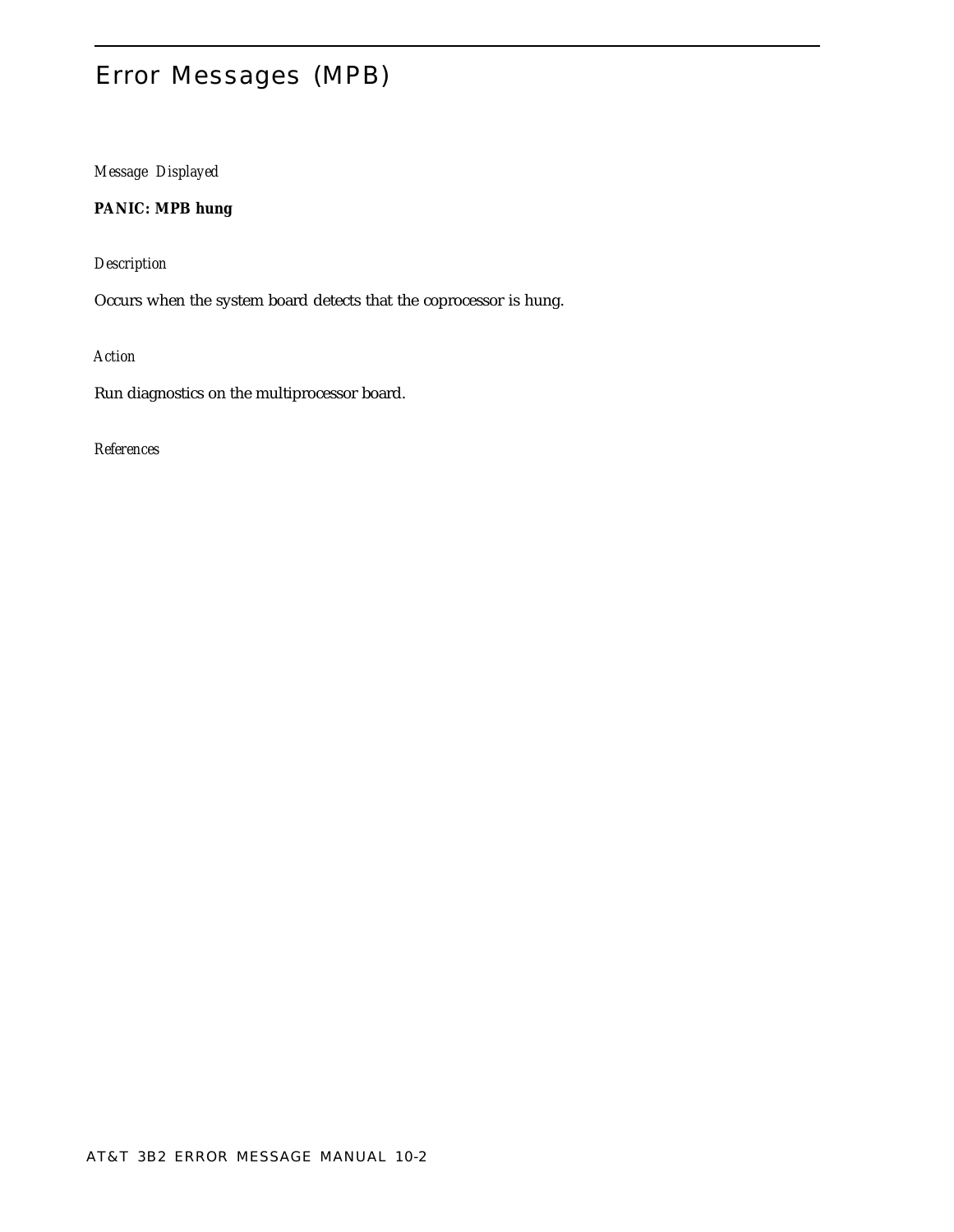# Error Messages (MPB)

*Message Displayed*

**PANIC: MPB hung**

*Description*

Occurs when the system board detects that the coprocessor is hung.

*Action*

Run diagnostics on the multiprocessor board.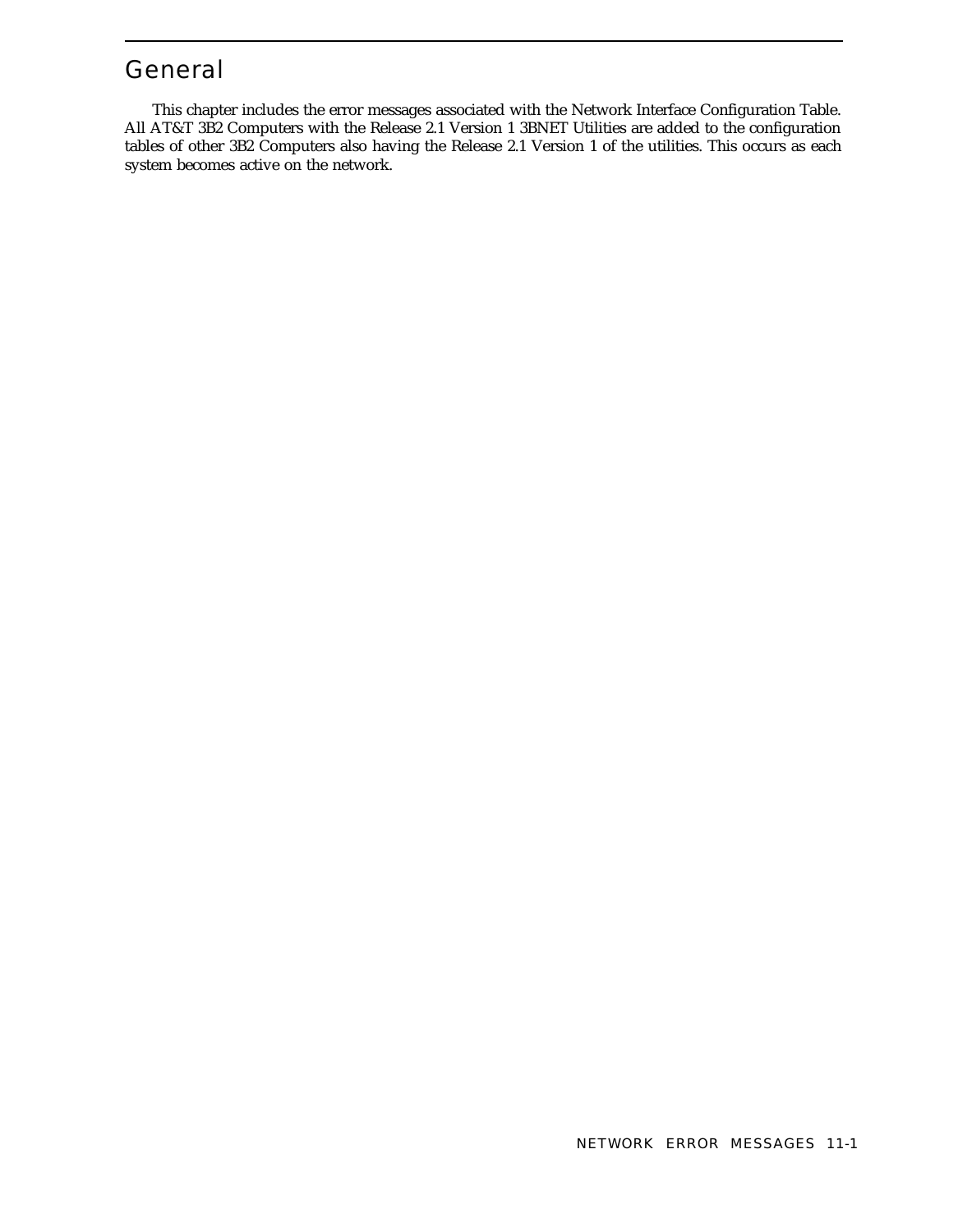# General

This chapter includes the error messages associated with the Network Interface Configuration Table. All AT&T 3B2 Computers with the Release 2.1 Version 1 3BNET Utilities are added to the configuration tables of other 3B2 Computers also having the Release 2.1 Version 1 of the utilities. This occurs as each system becomes active on the network.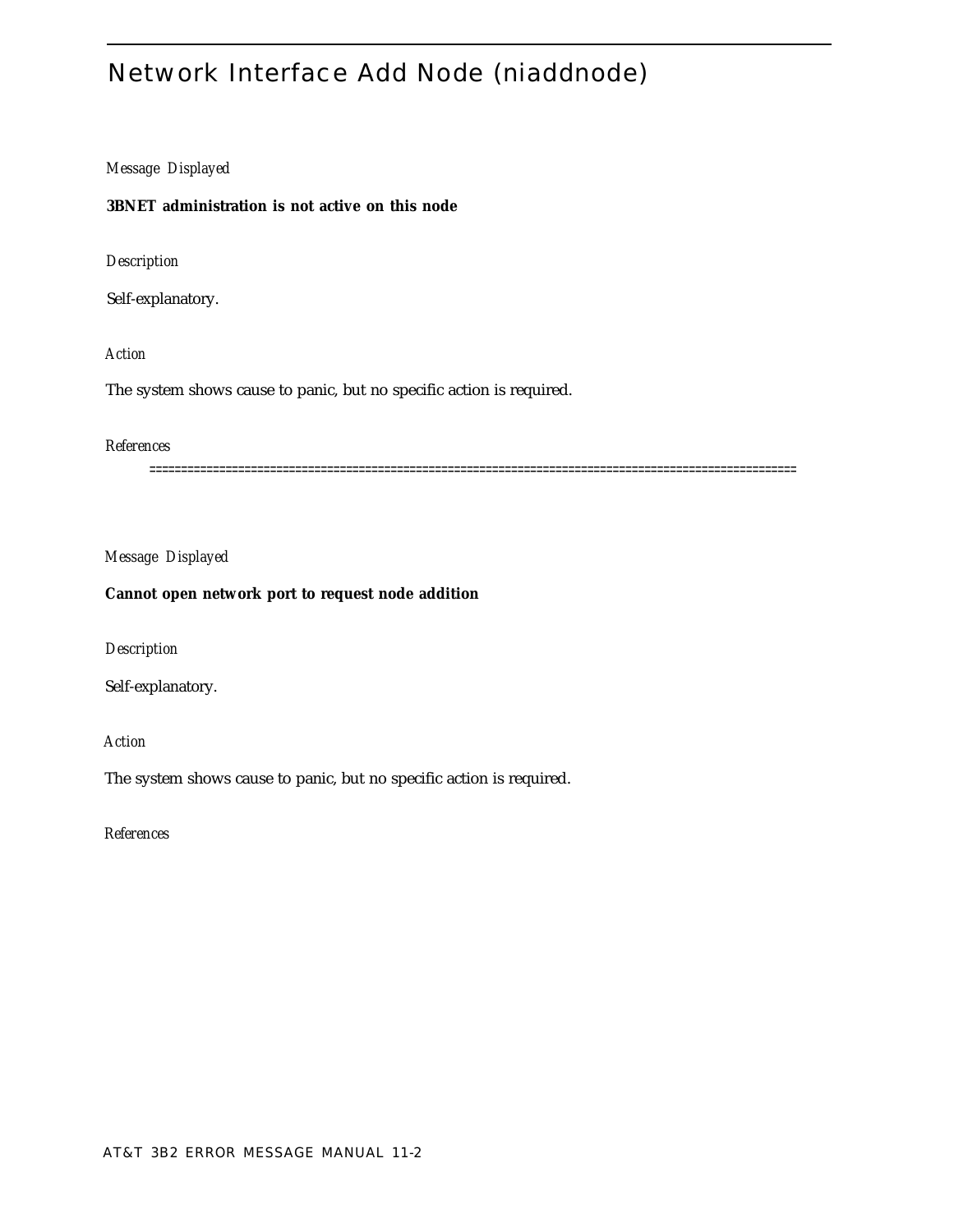# Network Interface Add Node (niaddnode)

# *Message Displayed*

# **3BNET administration is not active on this node**

*Description*

Self-explanatory.

# *Action*

The system shows cause to panic, but no specific action is required.

# *References*

======================================================================================================

# *Message Displayed*

## **Cannot open network port to request node addition**

*Description*

Self-explanatory.

*Action*

The system shows cause to panic, but no specific action is required.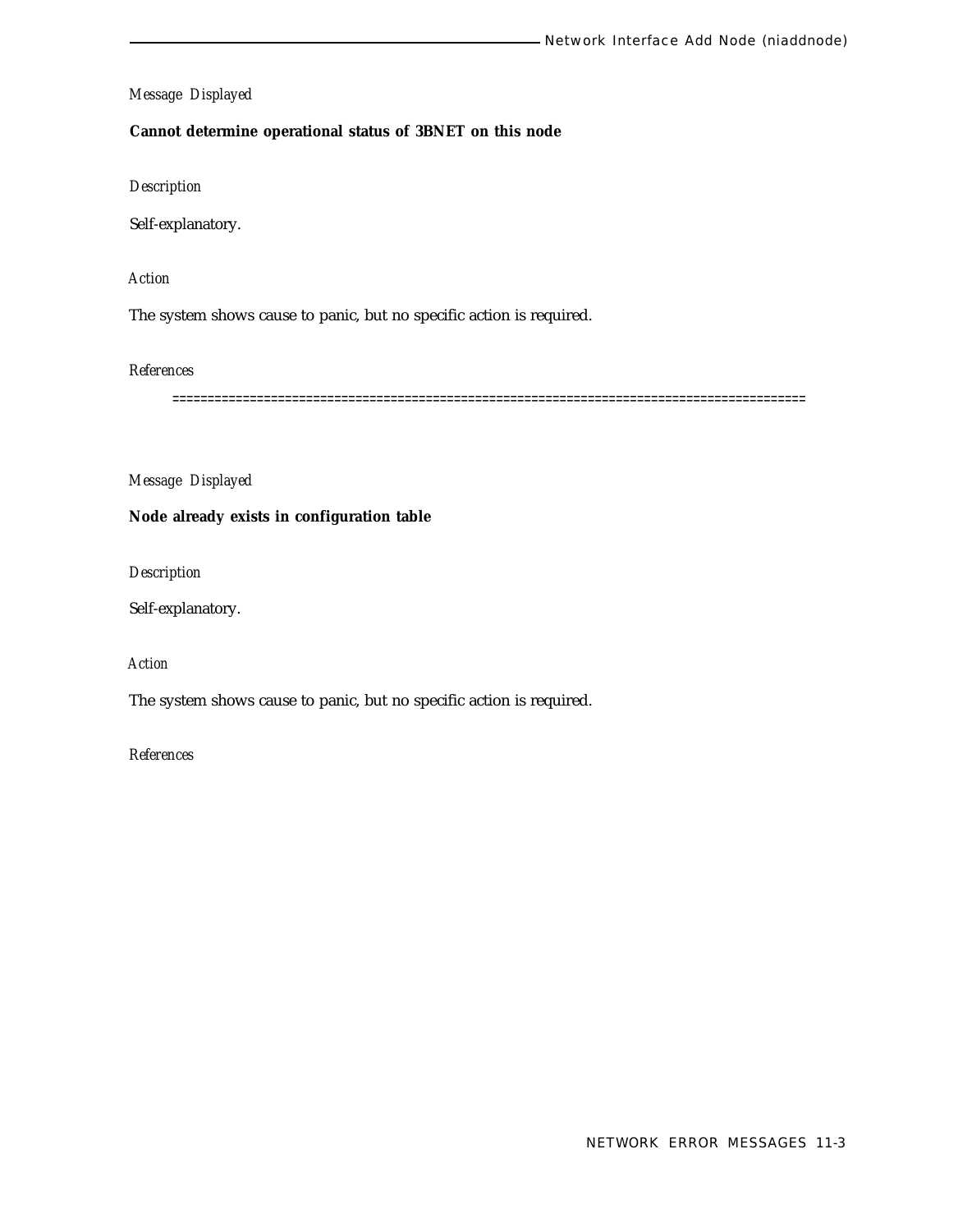## **Cannot determine operational status of 3BNET on this node**

*Description*

Self-explanatory.

# *Action*

The system shows cause to panic, but no specific action is required.

*References*

==========================================================================================

*Message Displayed*

# **Node already exists in configuration table**

*Description*

Self-explanatory.

*Action*

The system shows cause to panic, but no specific action is required.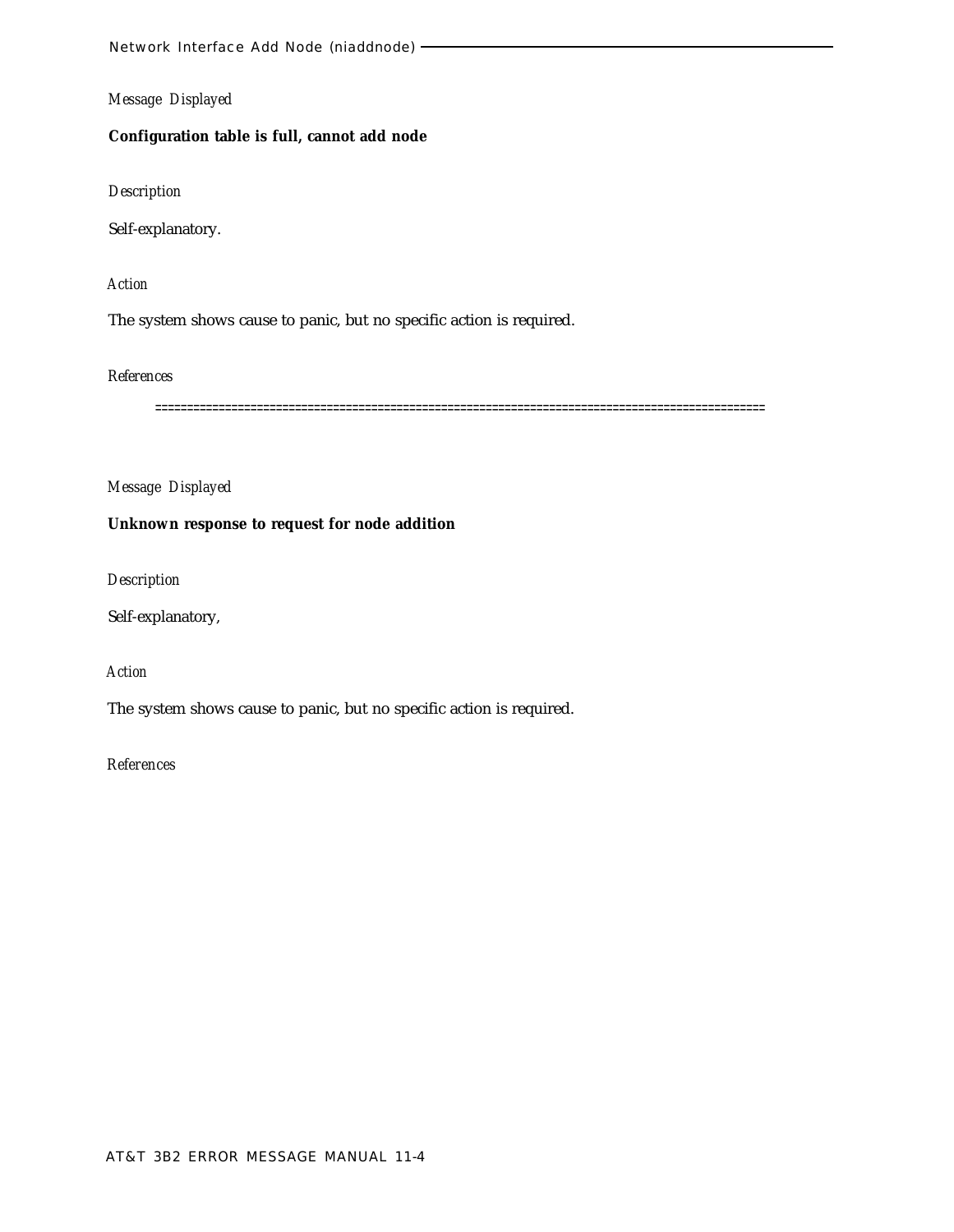# **Configuration table is full, cannot add node**

## *Description*

Self-explanatory.

# *Action*

The system shows cause to panic, but no specific action is required.

## *References*

================================================================================================

# *Message Displayed*

## **Unknown response to request for node addition**

#### *Description*

Self-explanatory,

# *Action*

The system shows cause to panic, but no specific action is required.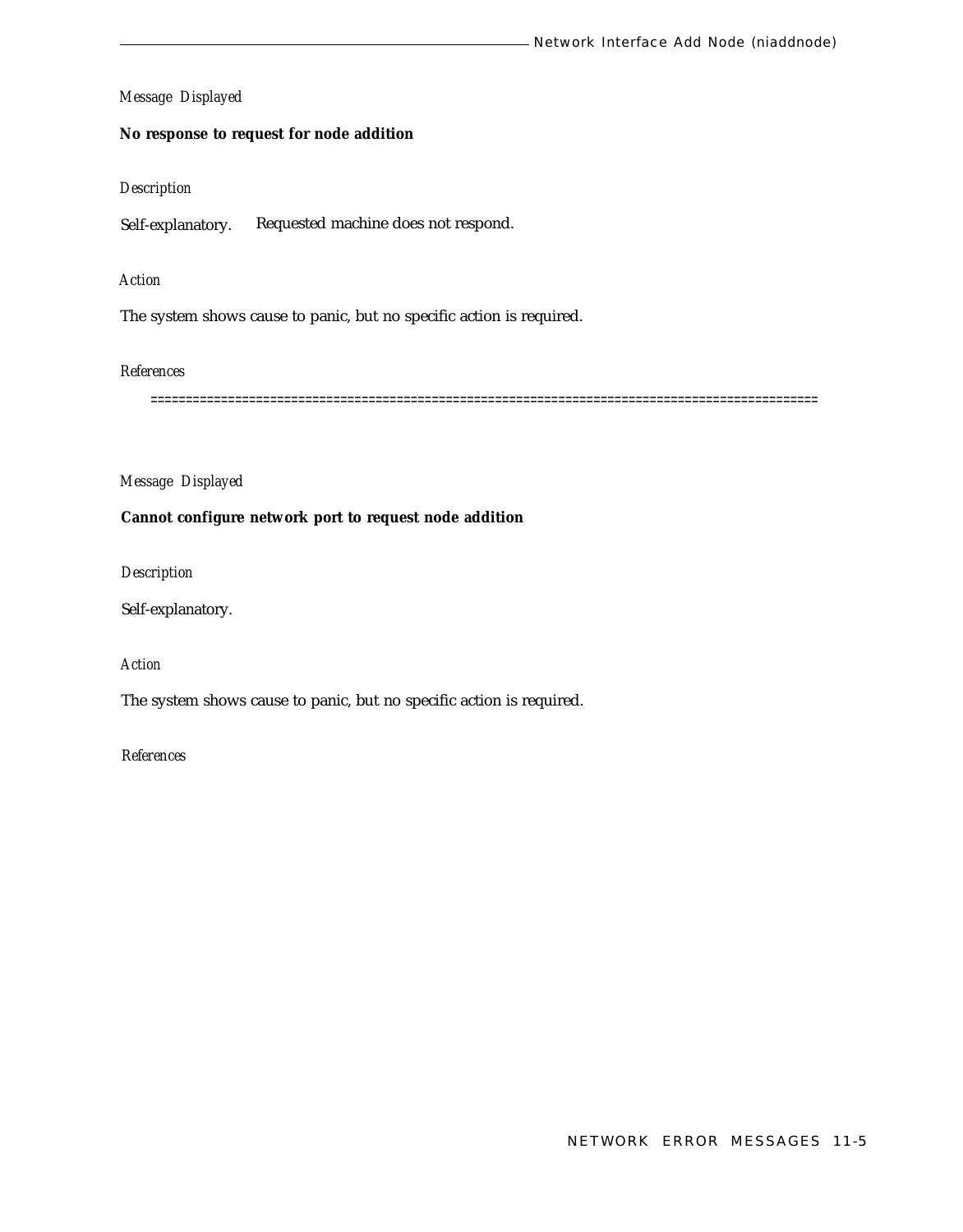## **No response to request for node addition**

## *Description*

Self-explanatory. Requested machine does not respond.

## *Action*

The system shows cause to panic, but no specific action is required.

## *References*

===============================================================================================

## *Message Displayed*

# **Cannot configure network port to request node addition**

*Description*

Self-explanatory.

# *Action*

The system shows cause to panic, but no specific action is required.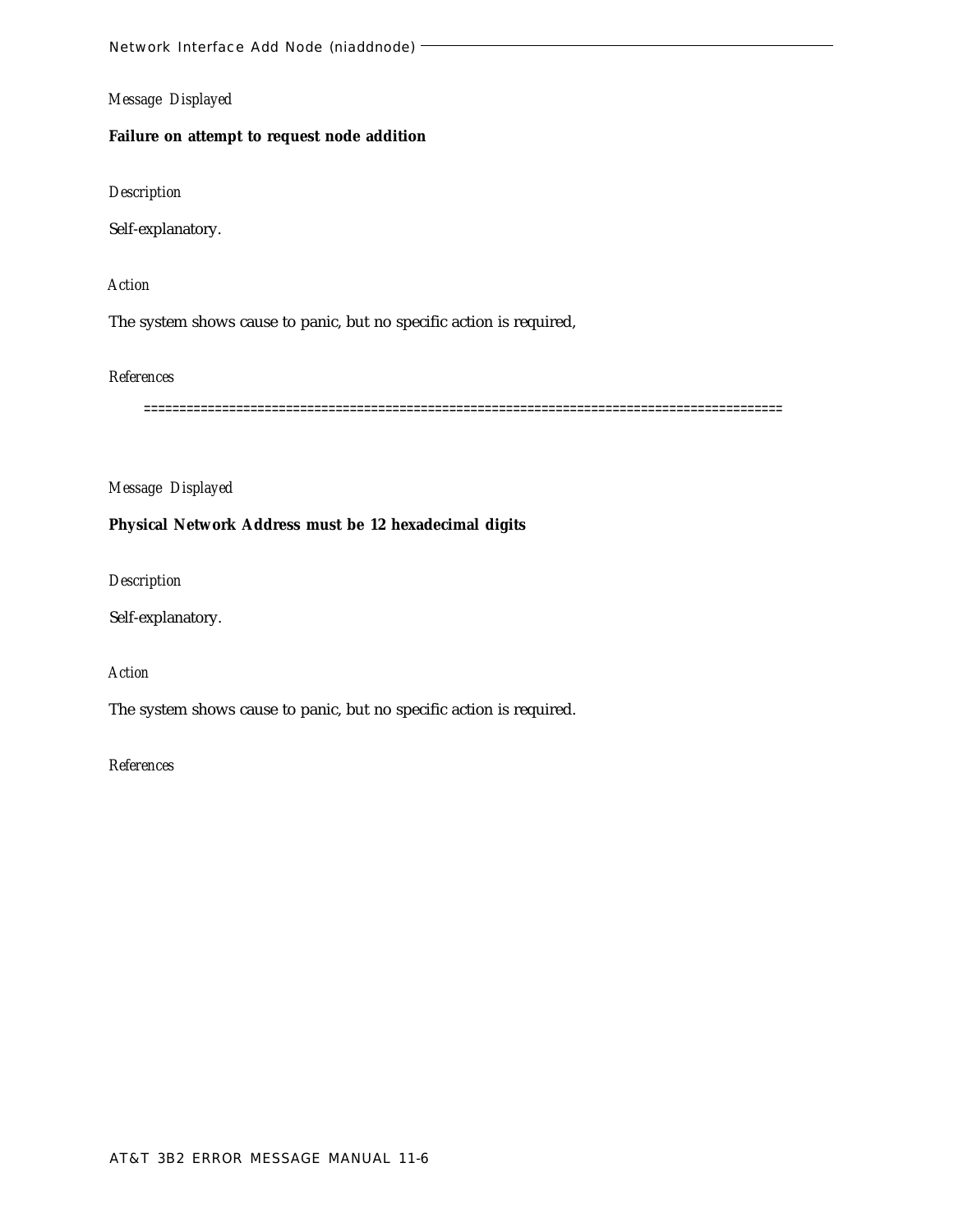# **Failure on attempt to request node addition**

*Description*

Self-explanatory.

*Action*

The system shows cause to panic, but no specific action is required,

*References*

==========================================================================================

*Message Displayed*

## **Physical Network Address must be 12 hexadecimal digits**

*Description*

Self-explanatory.

*Action*

The system shows cause to panic, but no specific action is required.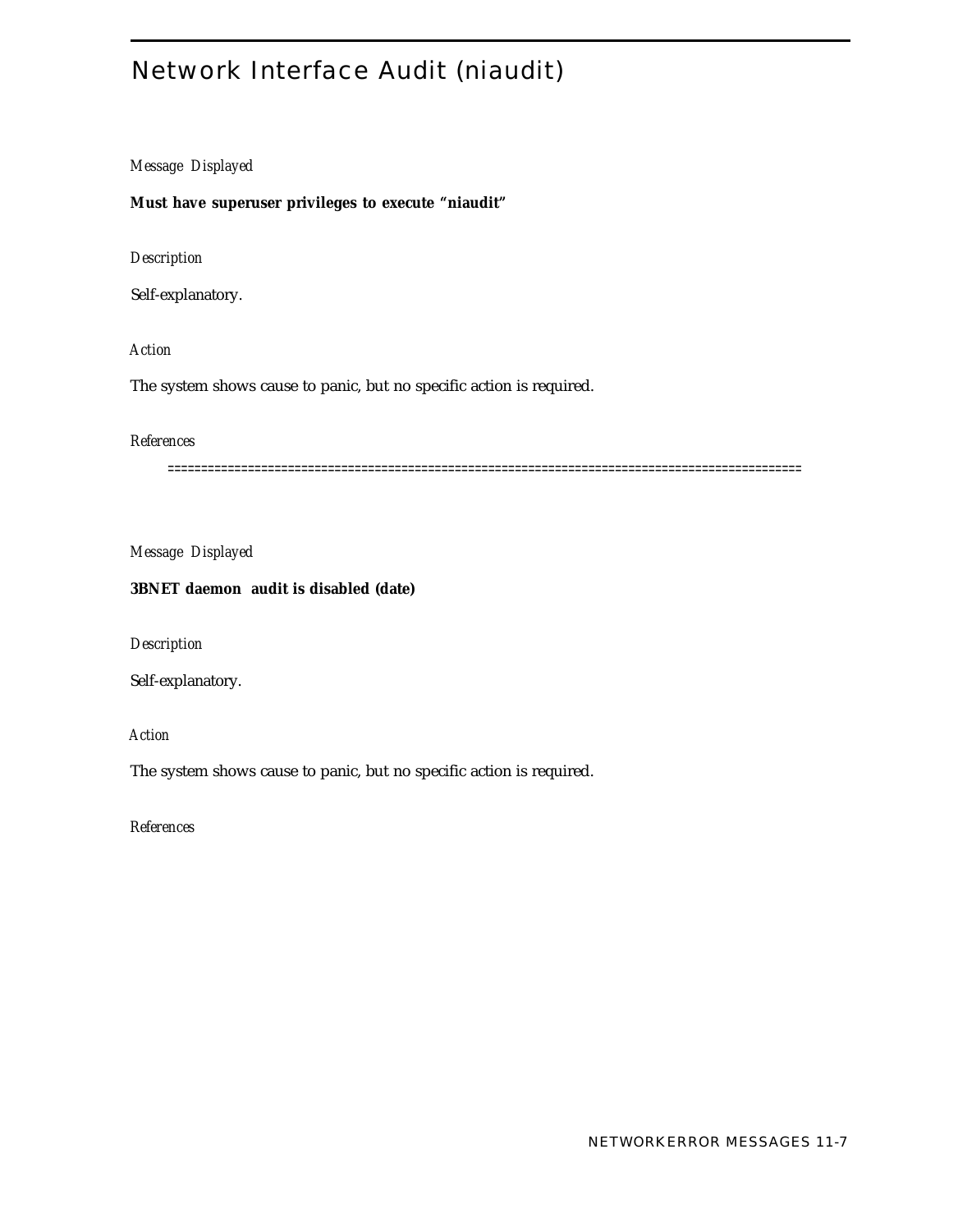# Network Interface Audit (niaudit)

# *Message Displayed*

**Must have superuser privileges to execute "niaudit"**

*Description*

Self-explanatory.

*Action*

The system shows cause to panic, but no specific action is required.

# *References*

===============================================================================================

*Message Displayed*

# **3BNET daemon audit is disabled (date)**

*Description*

Self-explanatory.

*Action*

The system shows cause to panic, but no specific action is required.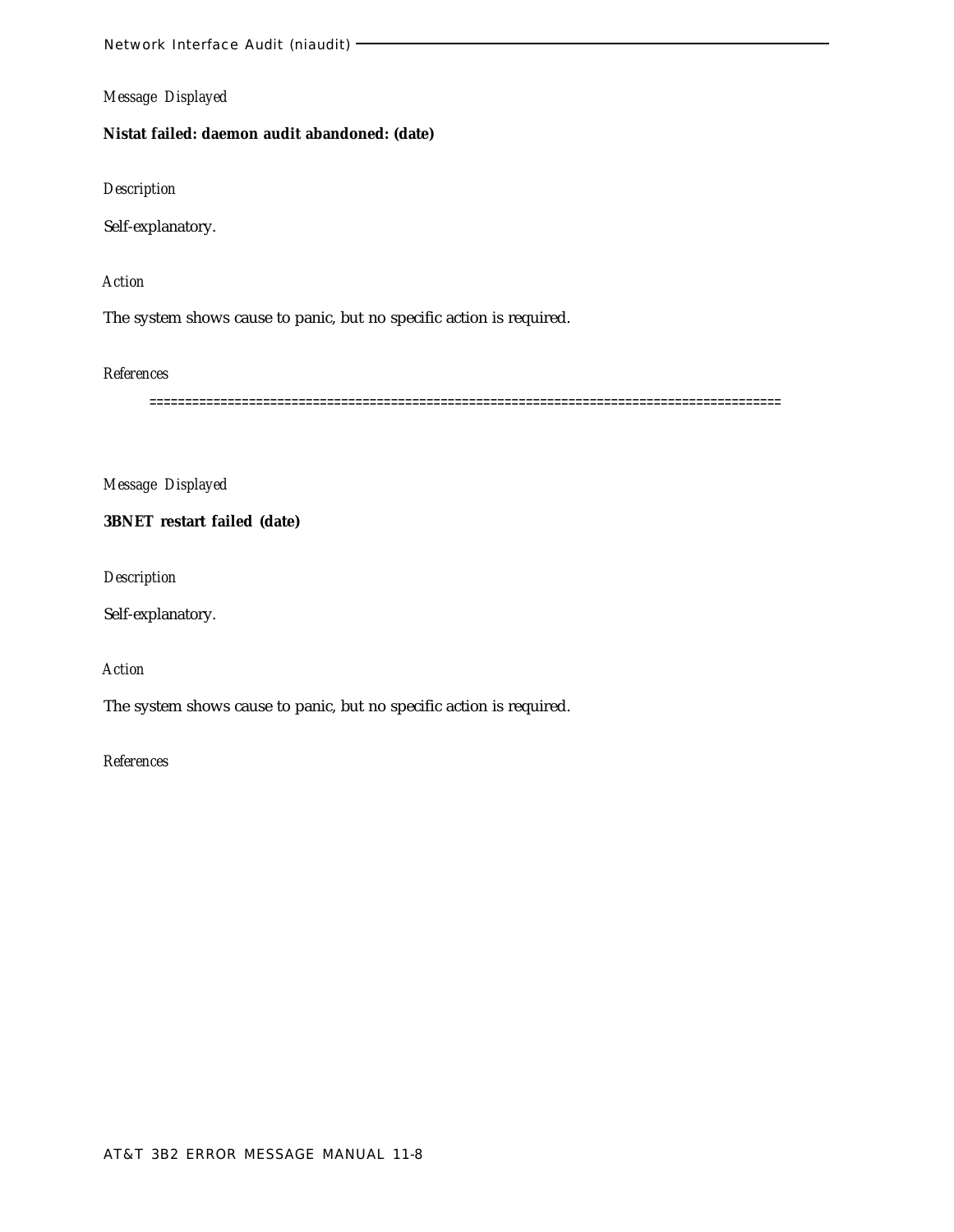# **Nistat failed: daemon audit abandoned: (date)**

*Description*

Self-explanatory.

# *Action*

The system shows cause to panic, but no specific action is required.

*References*

=========================================================================================

*Message Displayed*

**3BNET restart failed (date)**

*Description*

Self-explanatory.

*Action*

The system shows cause to panic, but no specific action is required.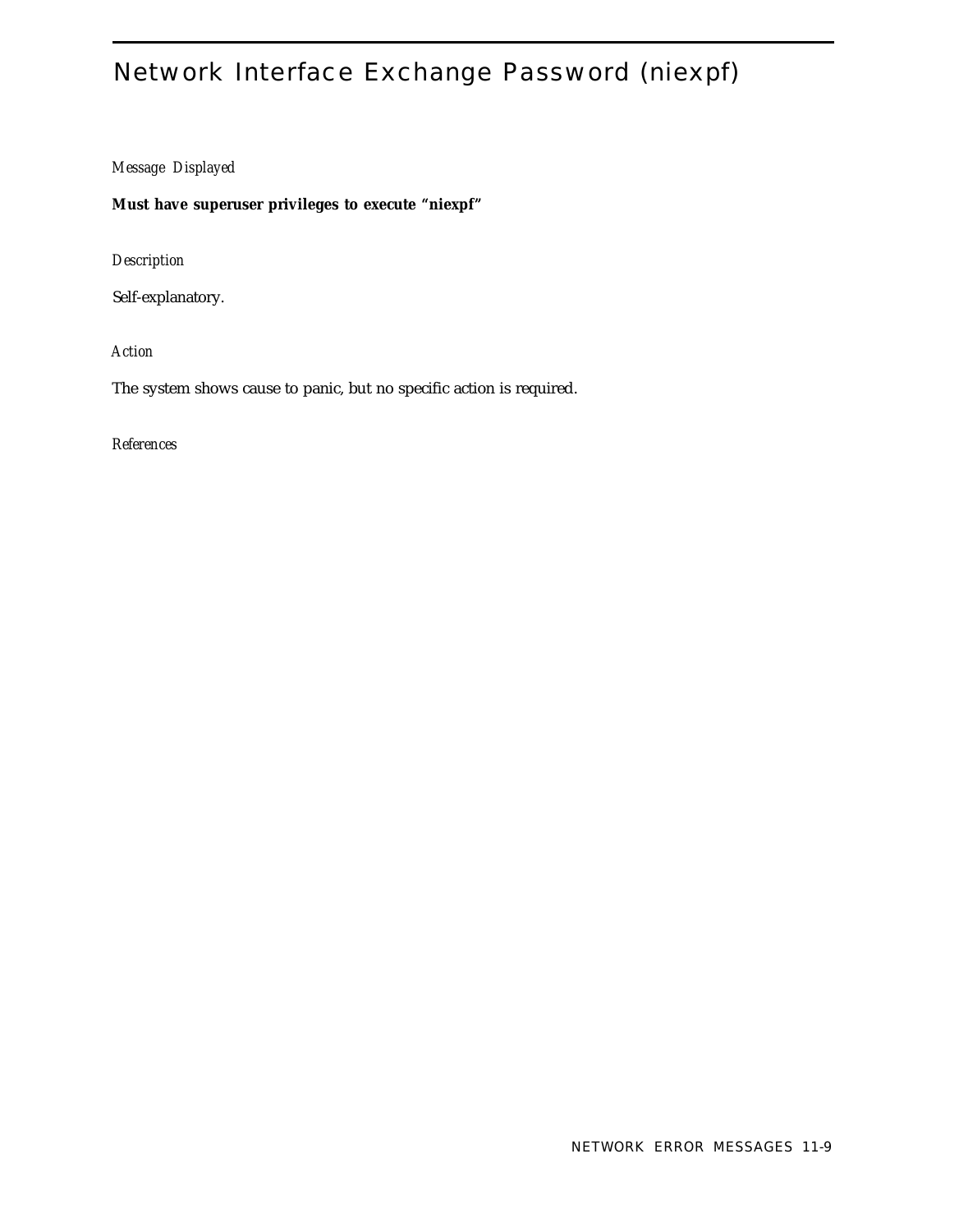# Network Interface Exchange Password (niexpf)

# *Message Displayed*

**Must have superuser privileges to execute "niexpf"**

*Description*

Self-explanatory.

*Action*

The system shows cause to panic, but no specific action is required.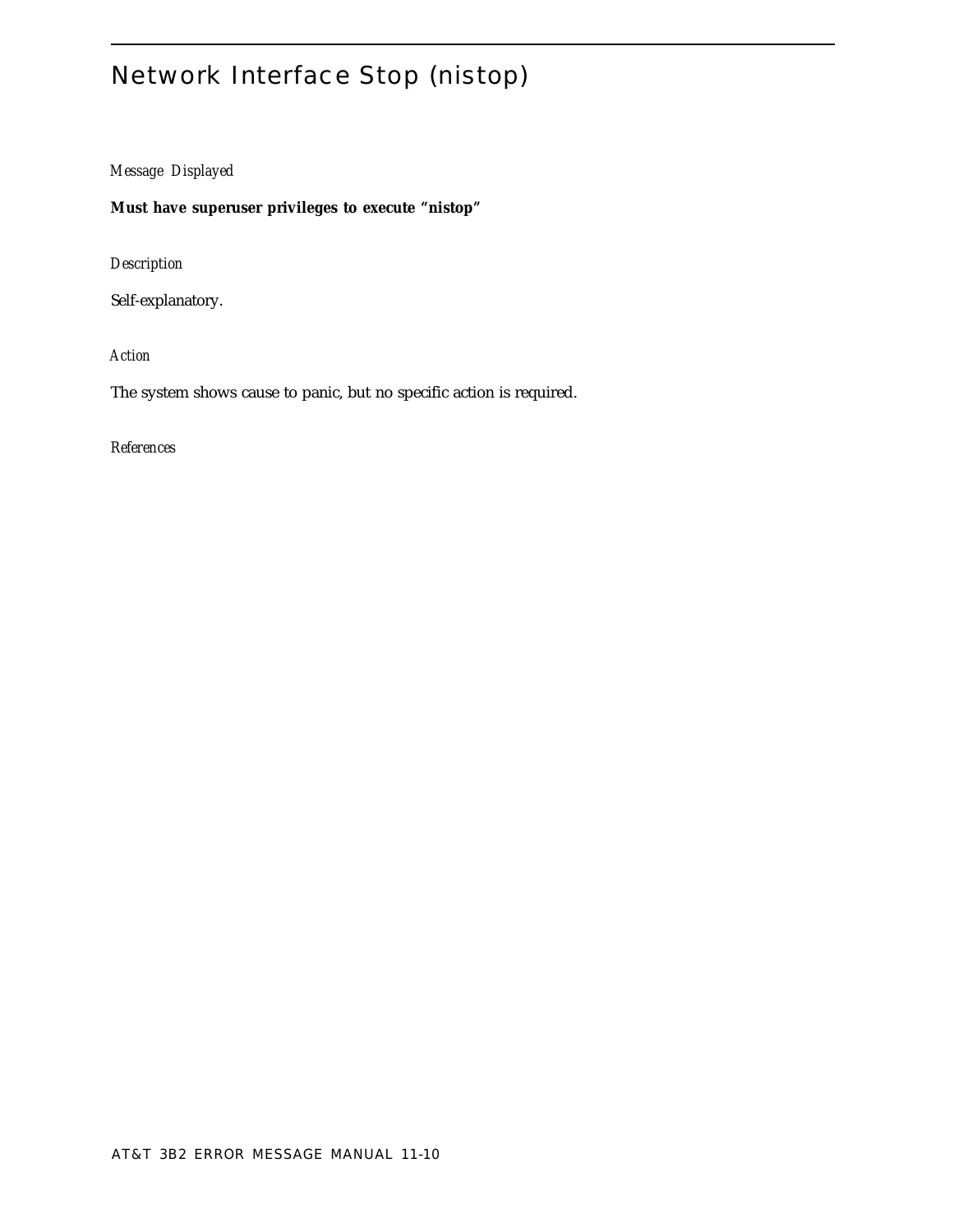# Network Interface Stop (nistop)

*Message Displayed*

**Must have superuser privileges to execute "nistop"**

*Description*

Self-explanatory.

*Action*

The system shows cause to panic, but no specific action is required.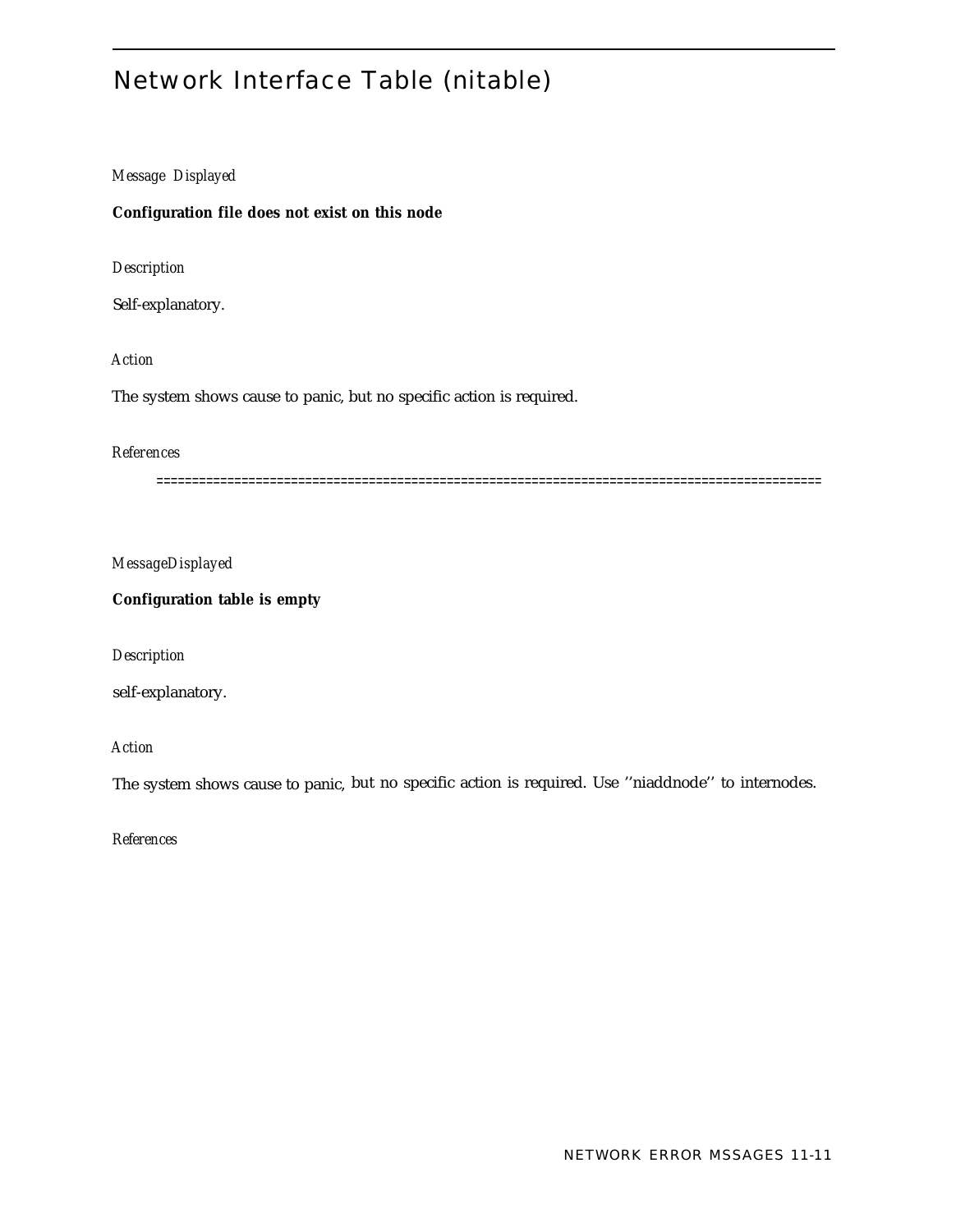# Network Interface Table (nitable)

## *Message Displayed*

# **Configuration file does not exist on this node**

*Description*

Self-explanatory.

## *Action*

The system shows cause to panic, but no specific action is required.

# *References*

==============================================================================================

*MessageDisplayed*

**Configuration table is empty**

*Description*

self-explanatory.

*Action*

The system shows cause to panic, but no specific action is required. Use ''niaddnode'' to internodes.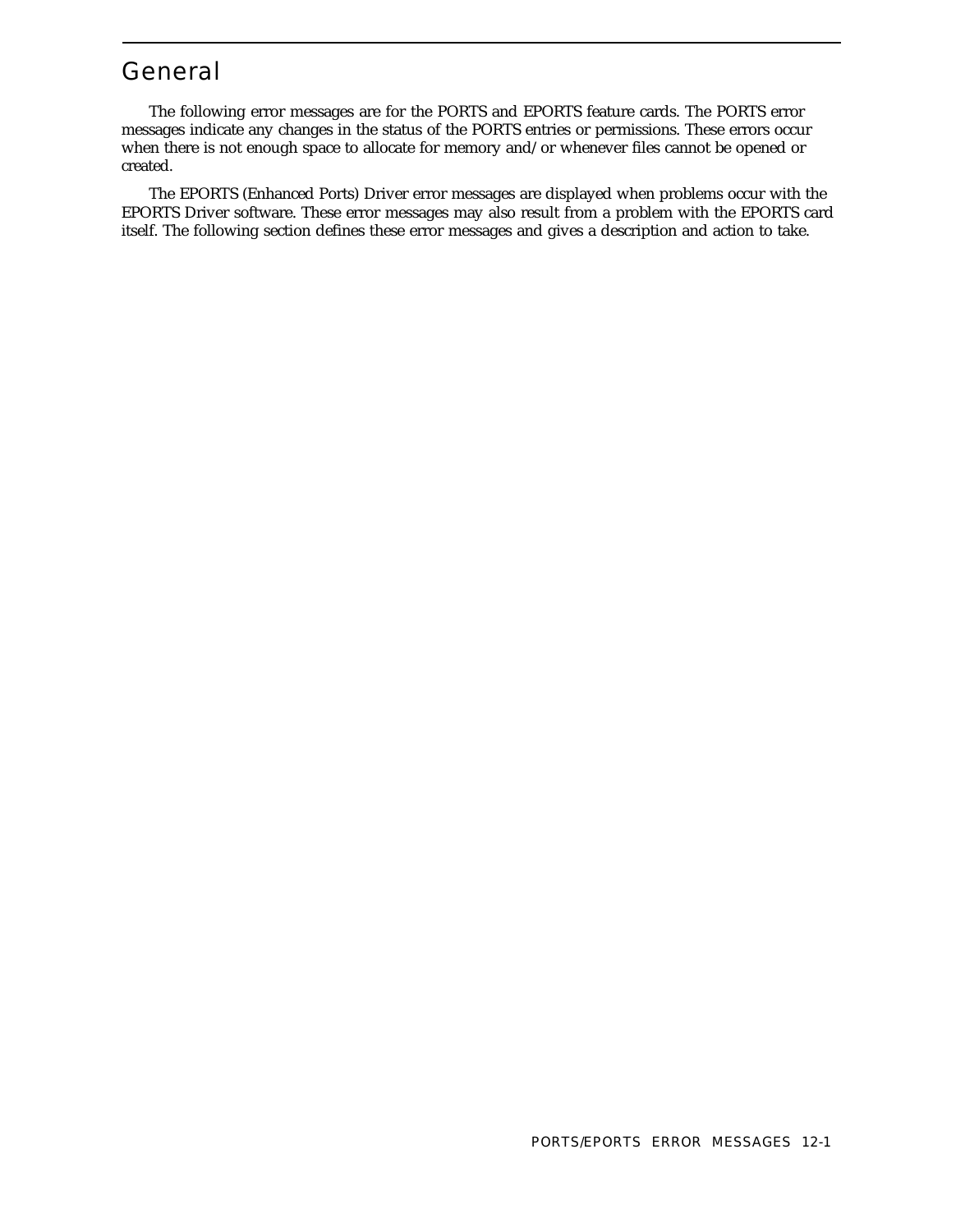# General

The following error messages are for the PORTS and EPORTS feature cards. The PORTS error messages indicate any changes in the status of the PORTS entries or permissions. These errors occur when there is not enough space to allocate for memory and/or whenever files cannot be opened or created.

The EPORTS (Enhanced Ports) Driver error messages are displayed when problems occur with the EPORTS Driver software. These error messages may also result from a problem with the EPORTS card itself. The following section defines these error messages and gives a description and action to take.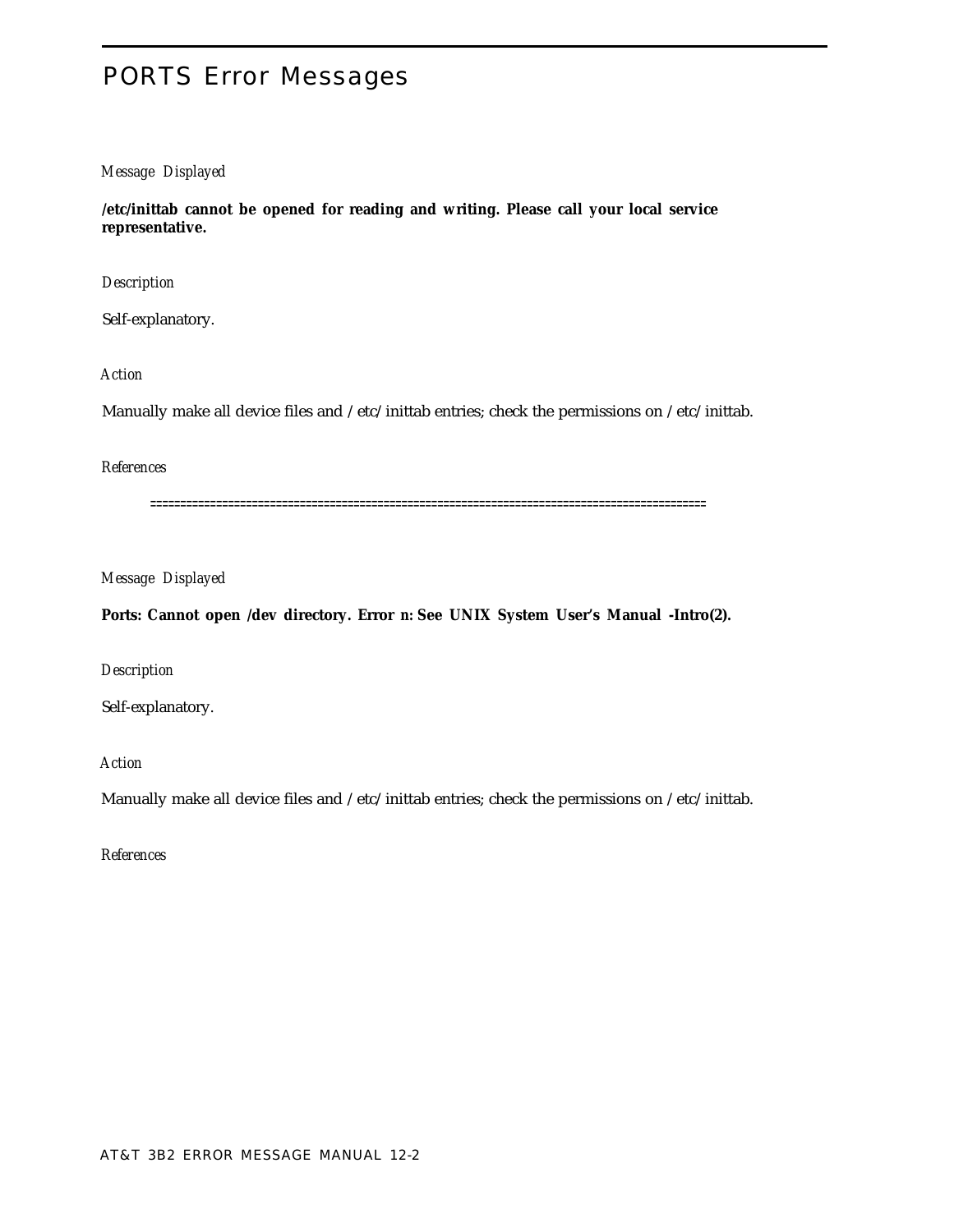# PORTS Error Messages

# *Message Displayed*

**/etc/inittab cannot be opened for reading and writing. Please call your local service representative.**

*Description*

Self-explanatory.

*Action*

Manually make all device files and /etc/inittab entries; check the permissions on /etc/inittab.

*References*

=============================================================================================

*Message Displayed*

Ports: Cannot open /dev directory. Error *n:* See UNIX System User's Manual -Intro(2).

*Description*

Self-explanatory.

*Action*

Manually make all device files and /etc/inittab entries; check the permissions on /etc/inittab.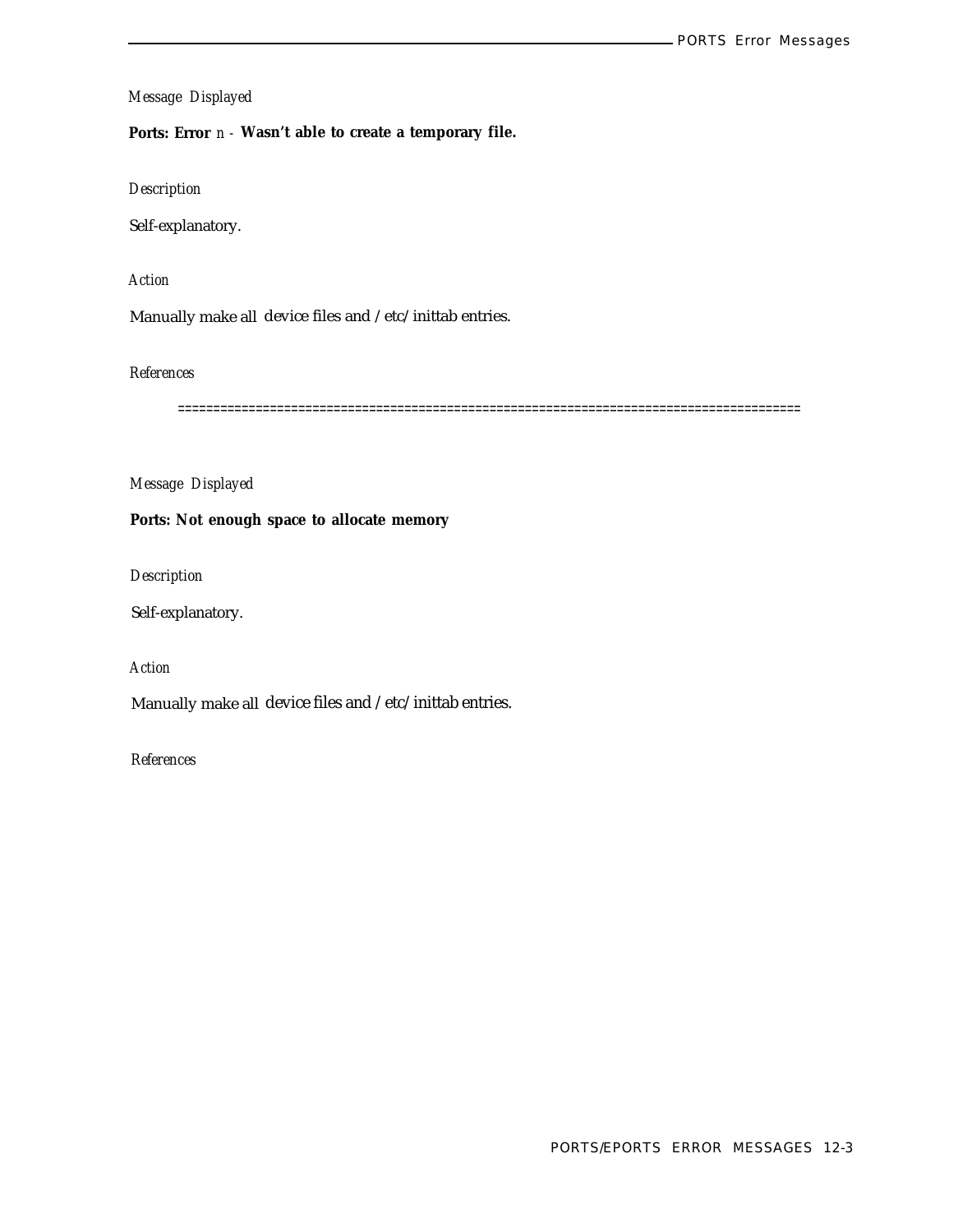**Ports: Error** *n -* **Wasn't able to create a temporary file.**

*Description*

Self-explanatory.

*Action*

Manually make all device files and /etc/inittab entries.

*References*

========================================================================================

*Message Displayed*

**Ports: Not enough space to allocate memory**

*Description*

Self-explanatory.

*Action*

Manually make all device files and /etc/inittab entries.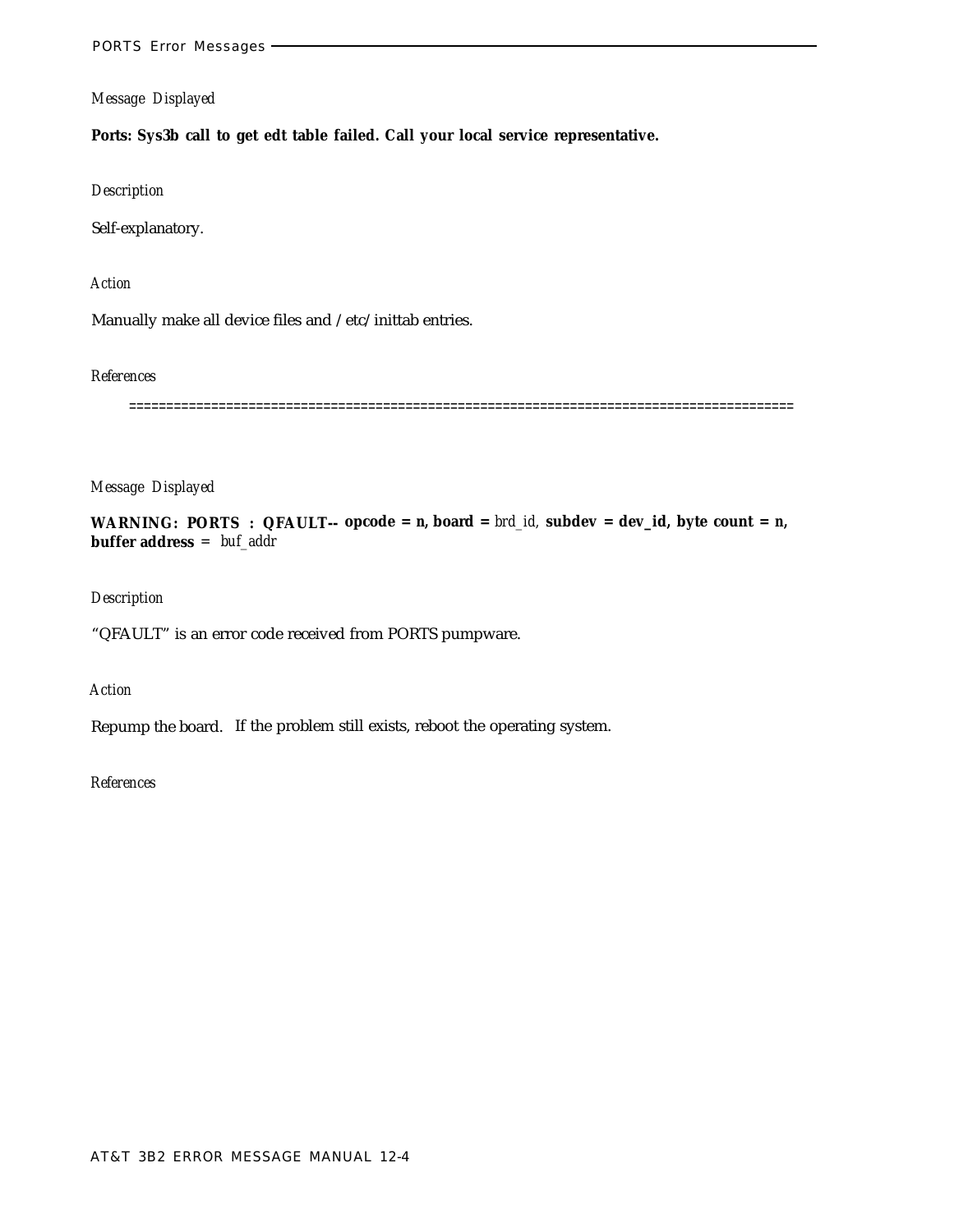**Ports: Sys3b call to get edt table failed. Call your local service representative.**

*Description*

Self-explanatory.

*Action*

Manually make all device files and /etc/inittab entries.

*References*

=========================================================================================

*Message Displayed*

**WARNING: PORTS : QFAULT-- opcode =** *n,* **board =** *brd\_id,* **subdev = dev\_id, byte count =** *n,* **buffer address** *= buf\_addr*

*Description*

"QFAULT" is an error code received from PORTS pumpware.

*Action*

Repump the board. If the problem still exists, reboot the operating system.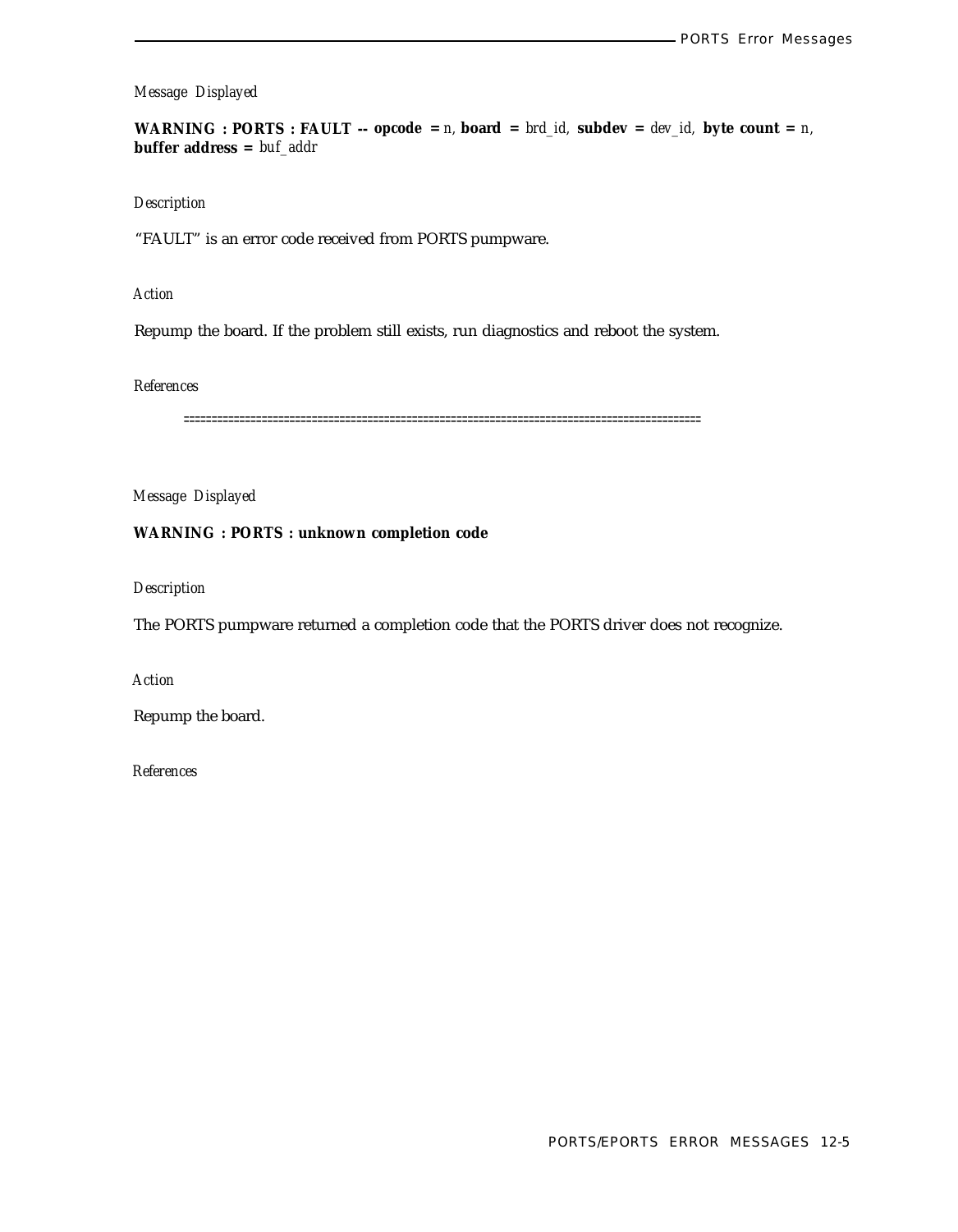**WARNING : PORTS : FAULT** -- **opcode** =  $n$ , **board** =  $brd_id$ , **subdev** =  $dev_id$ , **byte count** =  $n$ , **buffer address =** *buf\_addr*

#### *Description*

"FAULT" is an error code received from PORTS pumpware.

*Action*

Repump the board. If the problem still exists, run diagnostics and reboot the system.

# *References*

=============================================================================================

*Message Displayed*

# **WARNING : PORTS : unknown completion code**

*Description*

The PORTS pumpware returned a completion code that the PORTS driver does not recognize.

*Action*

Repump the board.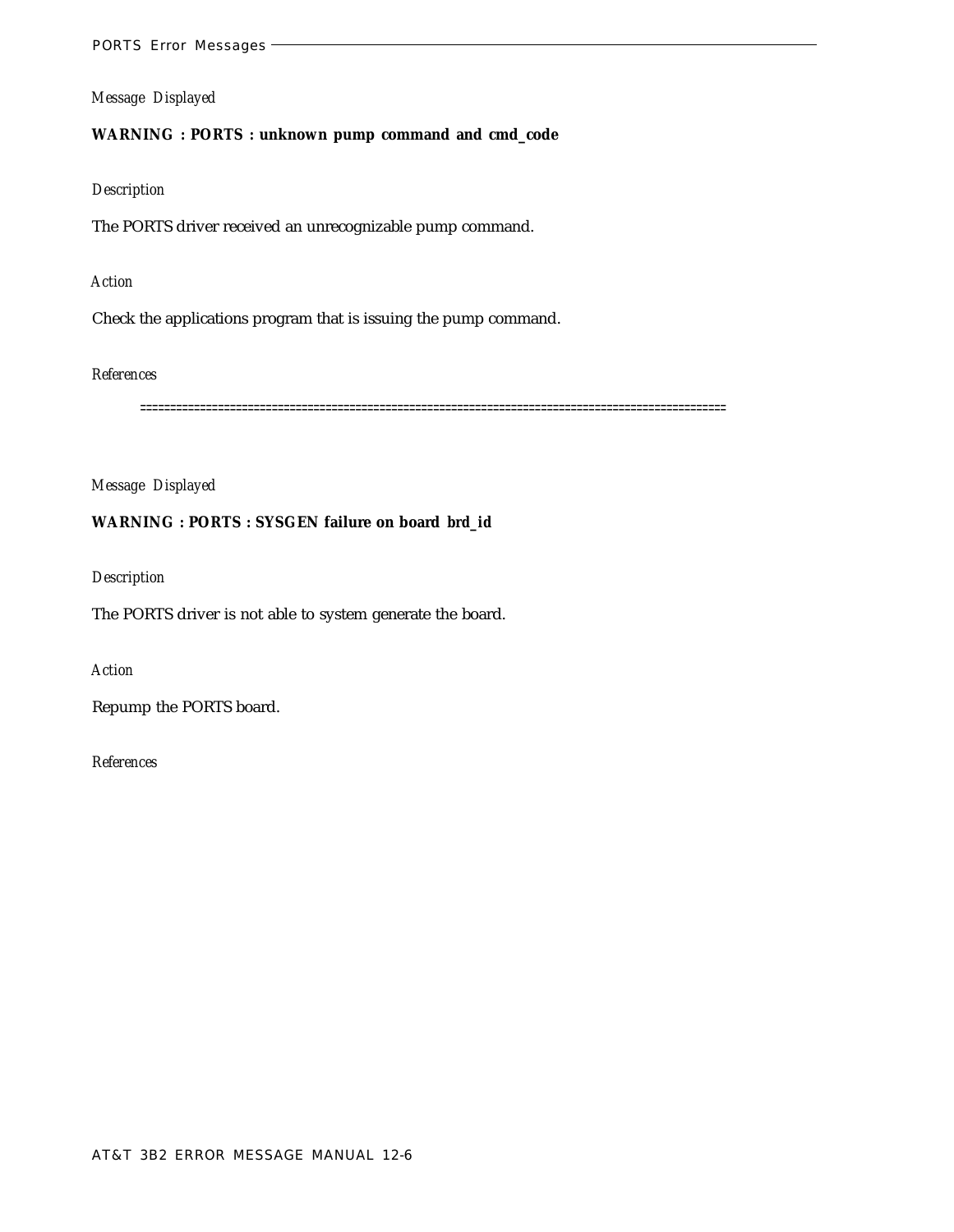# **WARNING : PORTS : unknown pump command and cmd\_code**

# *Description*

The PORTS driver received an unrecognizable pump command.

# *Action*

Check the applications program that is issuing the pump command.

# *References*

==================================================================================================

# *Message Displayed*

# **WARNING : PORTS : SYSGEN failure on board** *brd\_id*

# *Description*

The PORTS driver is not able to system generate the board.

# *Action*

Repump the PORTS board.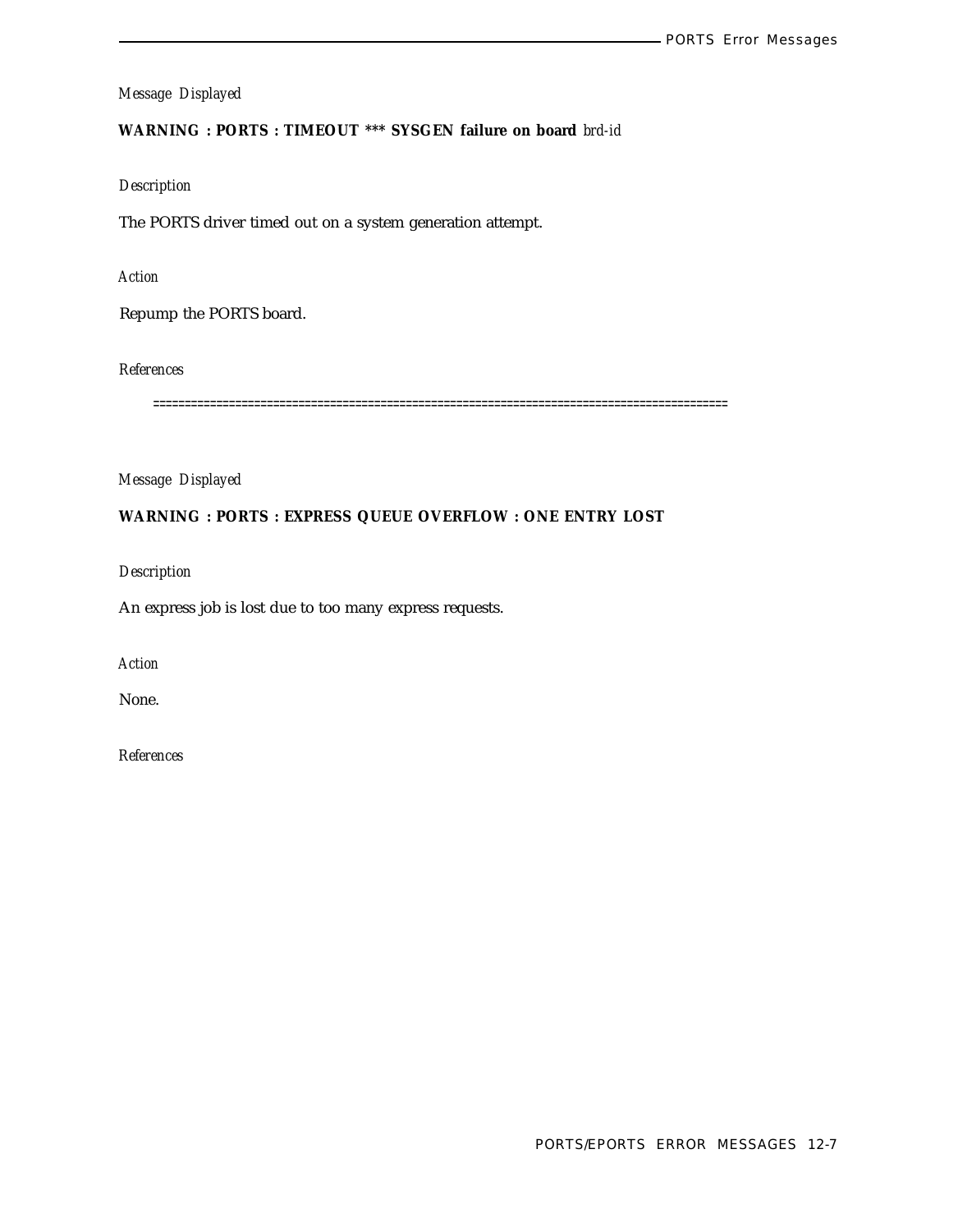# **WARNING : PORTS : TIMEOUT \*\*\* SYSGEN failure on board** *brd-id*

# *Description*

The PORTS driver timed out on a system generation attempt.

# *Action*

Repump the PORTS board.

*References*

===========================================================================================

*Message Displayed*

# **WARNING : PORTS : EXPRESS QUEUE OVERFLOW : ONE ENTRY LOST**

*Description*

An express job is lost due to too many express requests.

*Action*

None.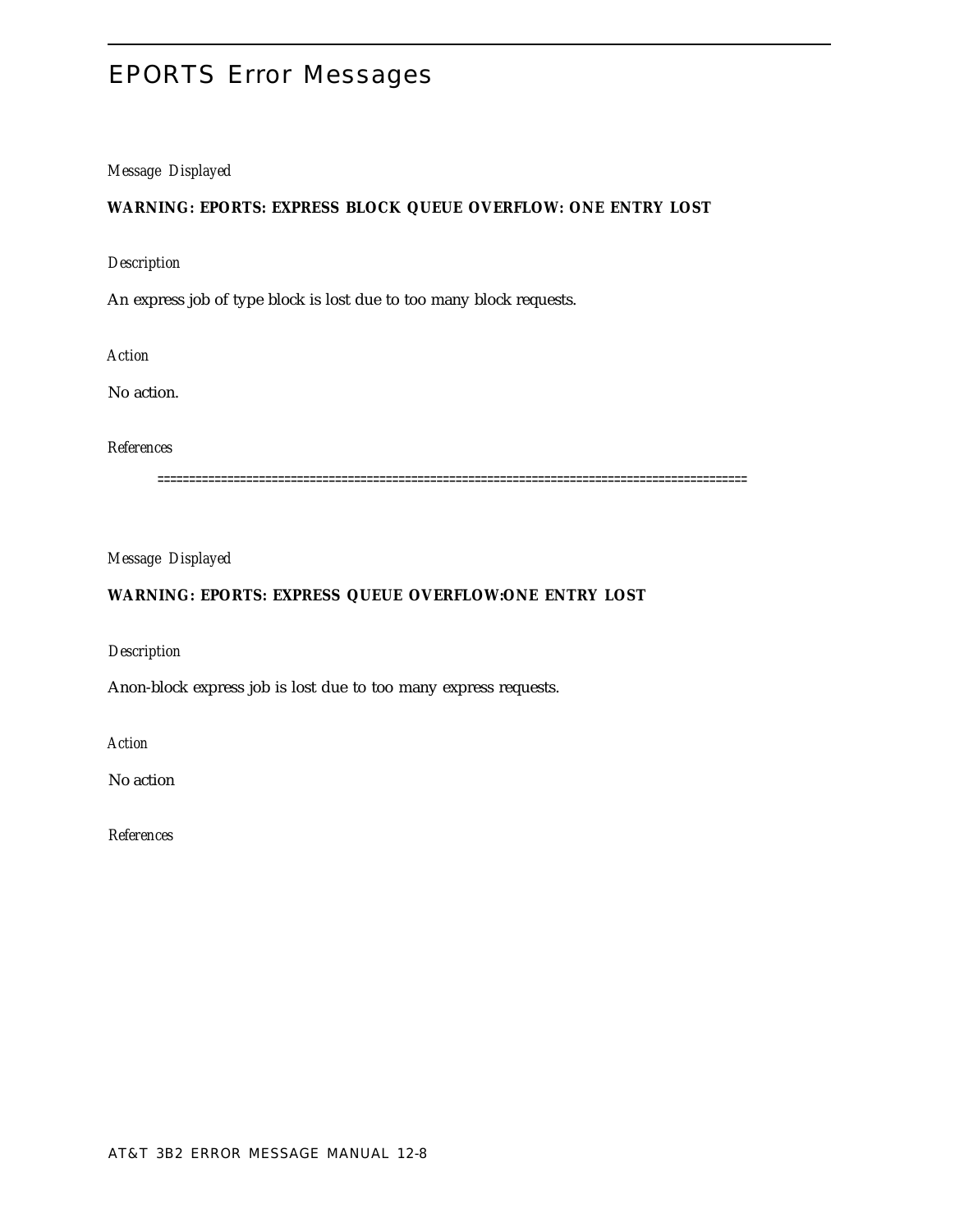# EPORTS Error Messages

# *Message Displayed*

# **WARNING: EPORTS: EXPRESS BLOCK QUEUE OVERFLOW: ONE ENTRY LOST**

# *Description*

An express job of type block is lost due to too many block requests.

*Action*

No action.

*References*

=============================================================================================

*Message Displayed*

# **WARNING: EPORTS: EXPRESS QUEUE OVERFLOW:ONE ENTRY LOST**

*Description*

Anon-block express job is lost due to too many express requests.

*Action*

No action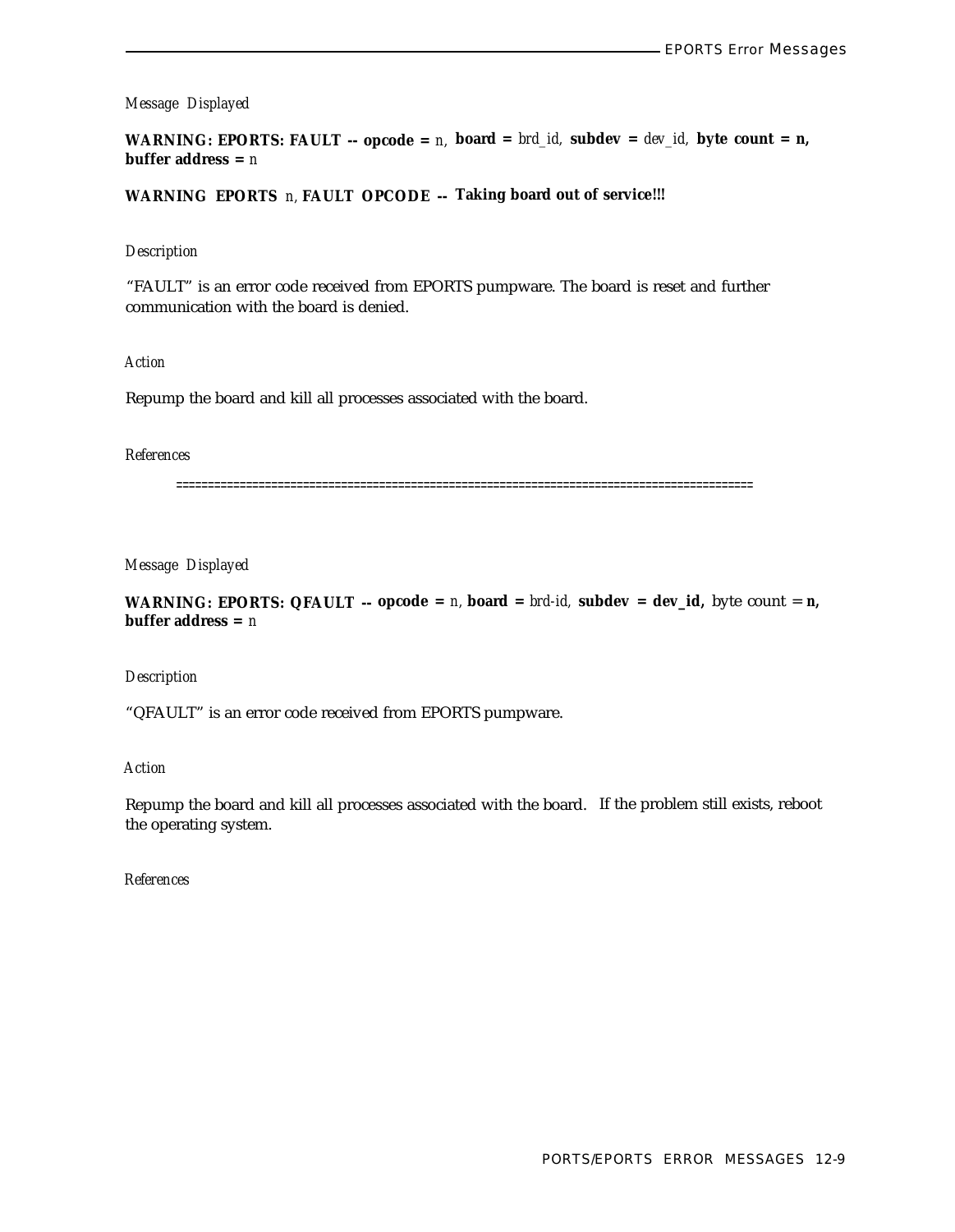**WARNING: EPORTS: FAULT -- opcode =** *n,* **board =** *brd\_id,* **subdev =** *dev\_id,* **byte count = n, buffer address =** *n*

**WARNING EPORTS** *n,* **FAULT OPCODE -- Taking board out of service!!!**

#### *Description*

"FAULT" is an error code received from EPORTS pumpware. The board is reset and further communication with the board is denied.

*Action*

Repump the board and kill all processes associated with the board.

#### *References*

===========================================================================================

*Message Displayed*

**WARNING: EPORTS: QFAULT** --  $\Delta$  **opcode** = *n*,  $\Delta$  **board** =  $\Delta$ *brd-id*,  $\Delta$ **subdev** =  $\Delta$ **ev\_id**,  $\Delta$ *byte count = n*, **buffer address =** *n*

#### *Description*

"QFAULT" is an error code received from EPORTS pumpware.

*Action*

Repump the board and kill all processes associated with the board. If the problem still exists, reboot the operating system.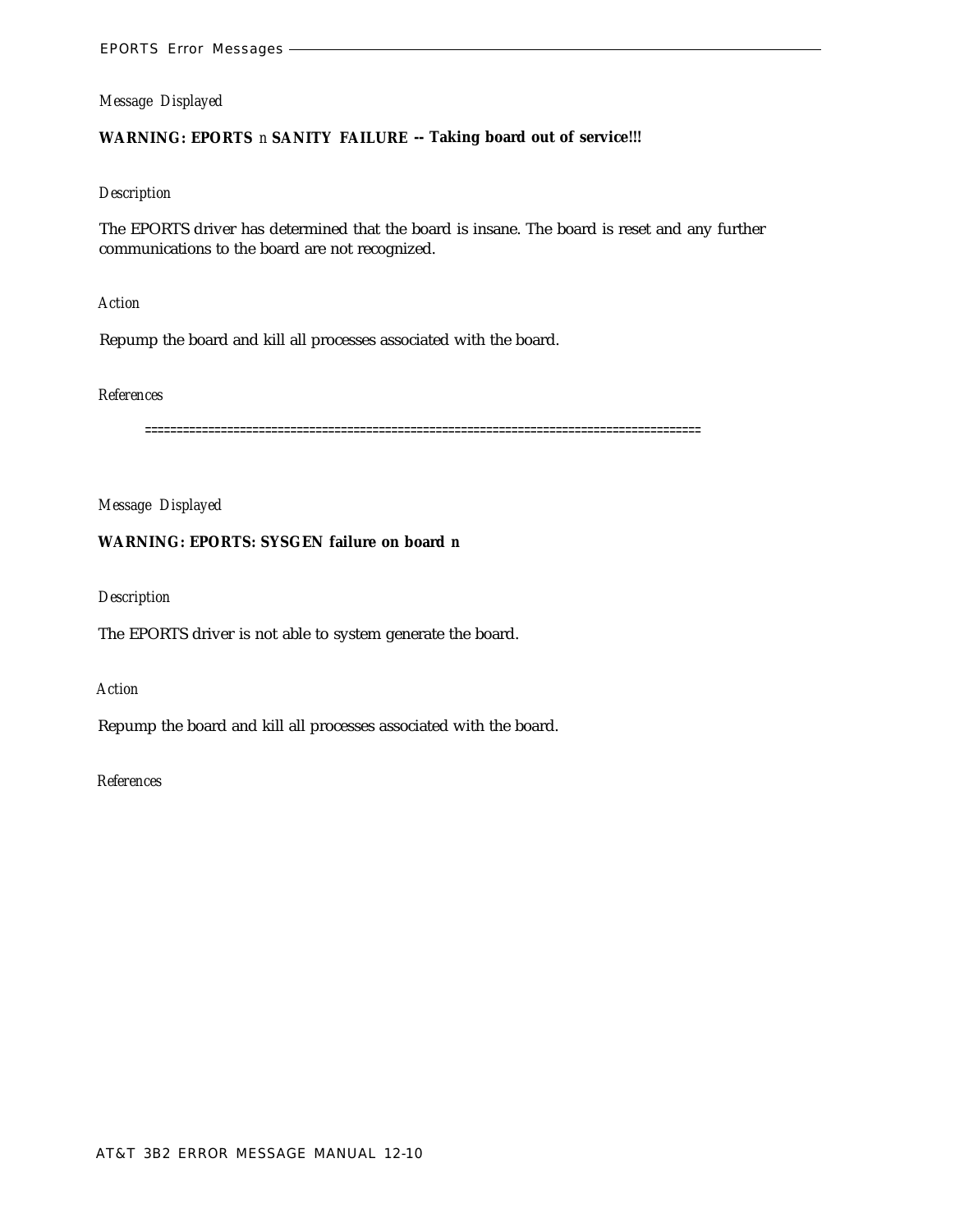# **WARNING: EPORTS** *n* **SANITY FAILURE -- Taking board out of service!!!**

#### *Description*

The EPORTS driver has determined that the board is insane. The board is reset and any further communications to the board are not recognized.

#### *Action*

Repump the board and kill all processes associated with the board.

#### *References*

========================================================================================

# *Message Displayed*

# **WARNING: EPORTS: SYSGEN failure on board** *n*

# *Description*

The EPORTS driver is not able to system generate the board.

#### *Action*

Repump the board and kill all processes associated with the board.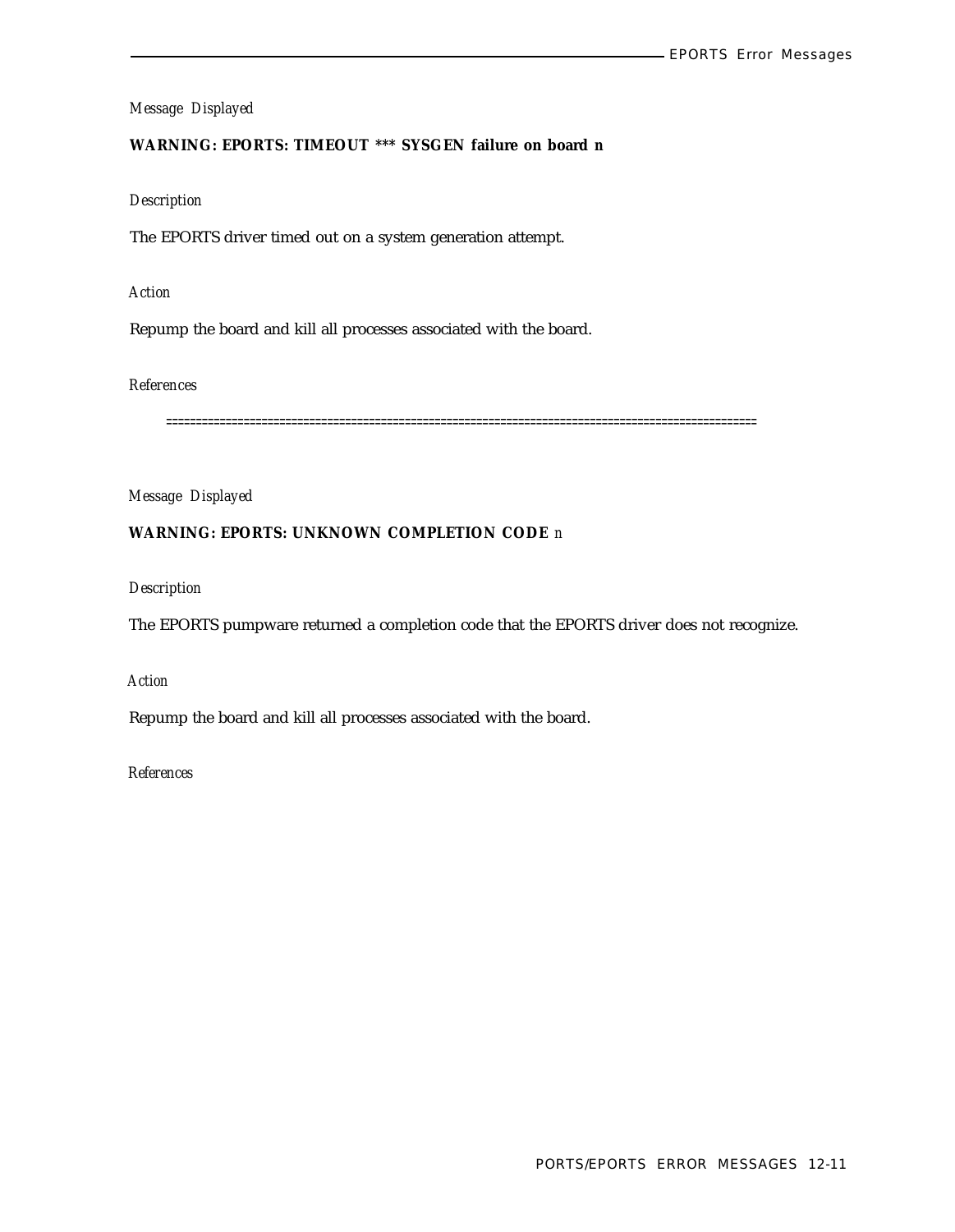# **WARNING: EPORTS: TIMEOUT \*\*\* SYSGEN failure on board** *n*

#### *Description*

The EPORTS driver timed out on a system generation attempt.

# *Action*

Repump the board and kill all processes associated with the board.

# *References*

===================================================================================================

# *Message Displayed*

# **WARNING: EPORTS: UNKNOWN COMPLETION CODE** *n*

*Description*

The EPORTS pumpware returned a completion code that the EPORTS driver does not recognize.

# *Action*

Repump the board and kill all processes associated with the board.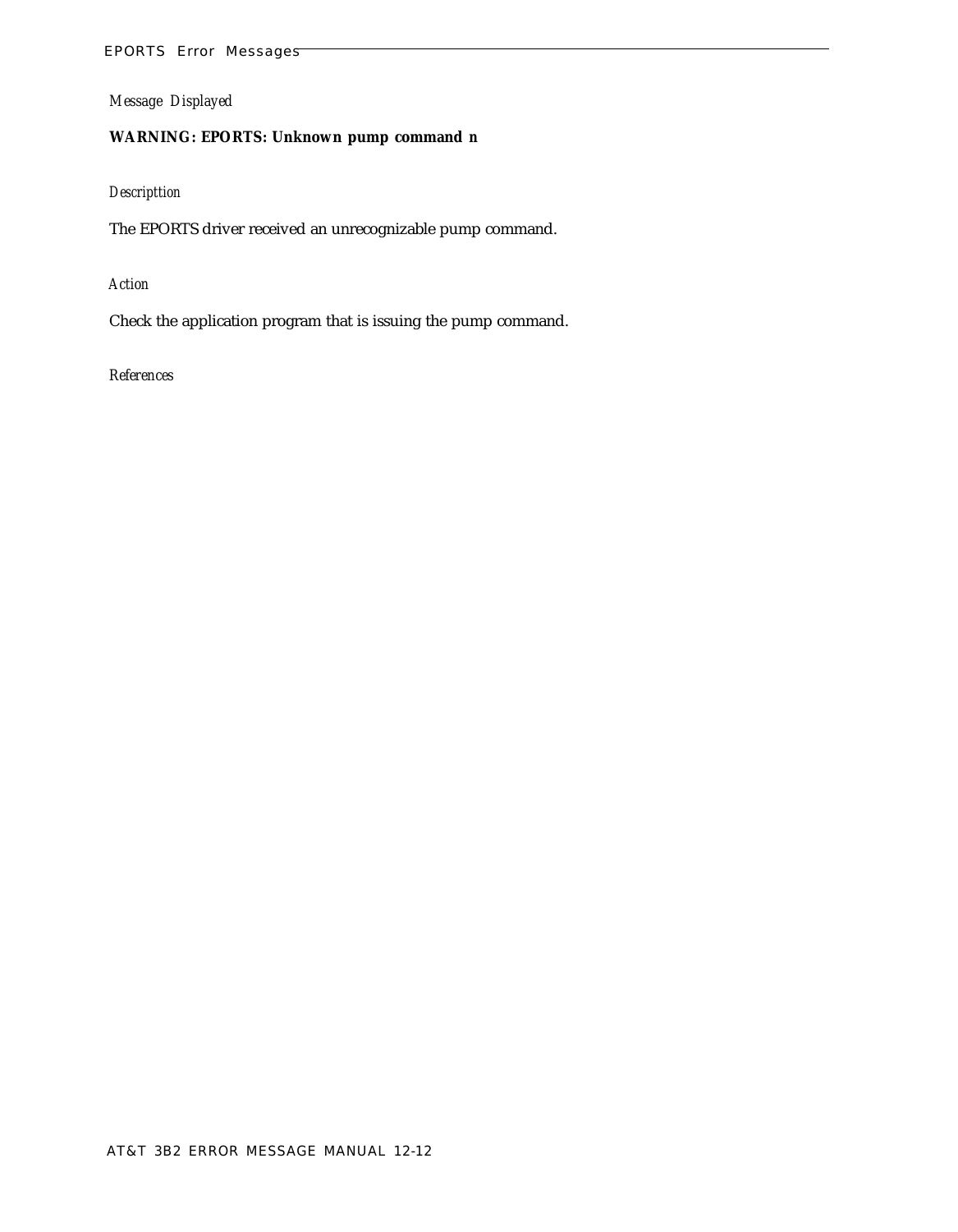# EPORTS Error Messages

*Message Displayed*

# **WARNING: EPORTS: Unknown pump command** *n*

# *Descripttion*

The EPORTS driver received an unrecognizable pump command.

# *Action*

Check the application program that is issuing the pump command.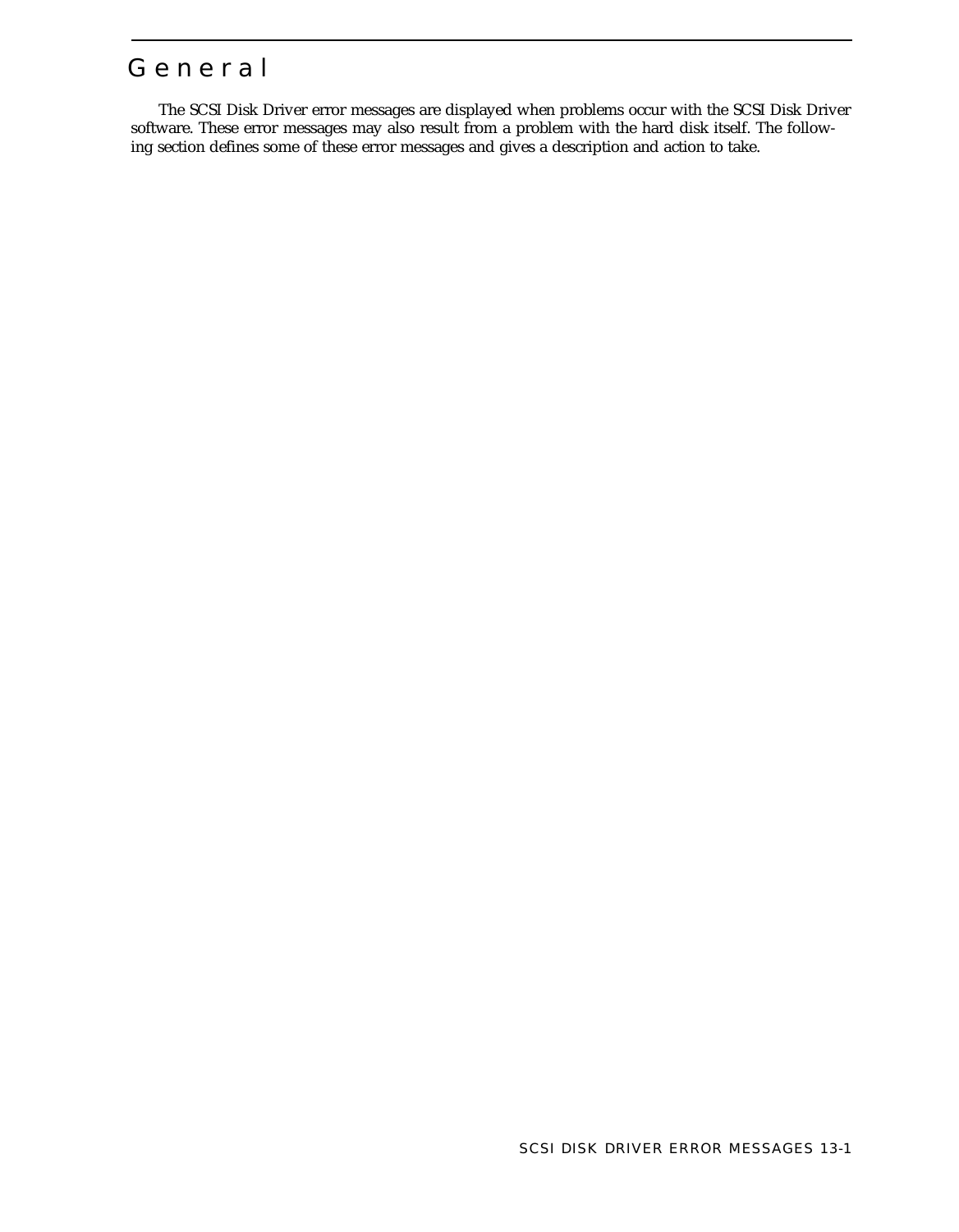# Genera l

The SCSI Disk Driver error messages are displayed when problems occur with the SCSI Disk Driver software. These error messages may also result from a problem with the hard disk itself. The following section defines some of these error messages and gives a description and action to take.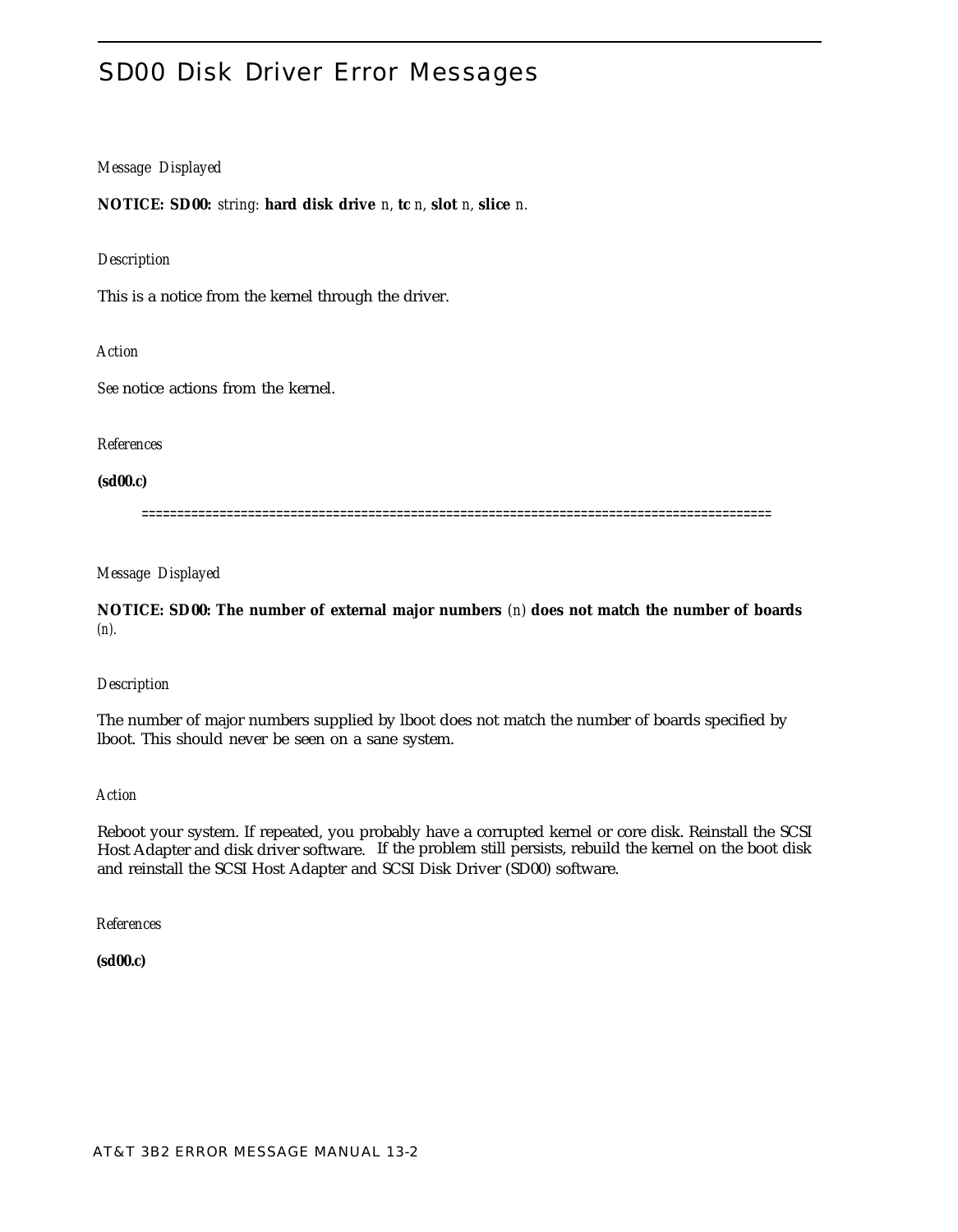# SD00 Disk Driver Error Messages

# *Message Displayed*

**NOTICE: SD00:** *string:* **hard disk drive** *n,* **tc** *n,* **slot** *n,* **slice** *n.*

# *Description*

This is a notice from the kernel through the driver.

*Action*

*See* notice actions from the kernel.

*References*

**(sd00.c)**

=========================================================================================

*Message Displayed*

**NOTICE: SD00: The number of external major numbers** *(n)* **does not match the number of boards** *(n).*

#### *Description*

The number of major numbers supplied by lboot does not match the number of boards specified by lboot. This should never be seen on a sane system.

*Action*

Reboot your system. If repeated, you probably have a corrupted kernel or core disk. Reinstall the SCSI Host Adapter and disk driver software. If the problem still persists, rebuild the kernel on the boot disk and reinstall the SCSI Host Adapter and SCSI Disk Driver (SD00) software.

*References*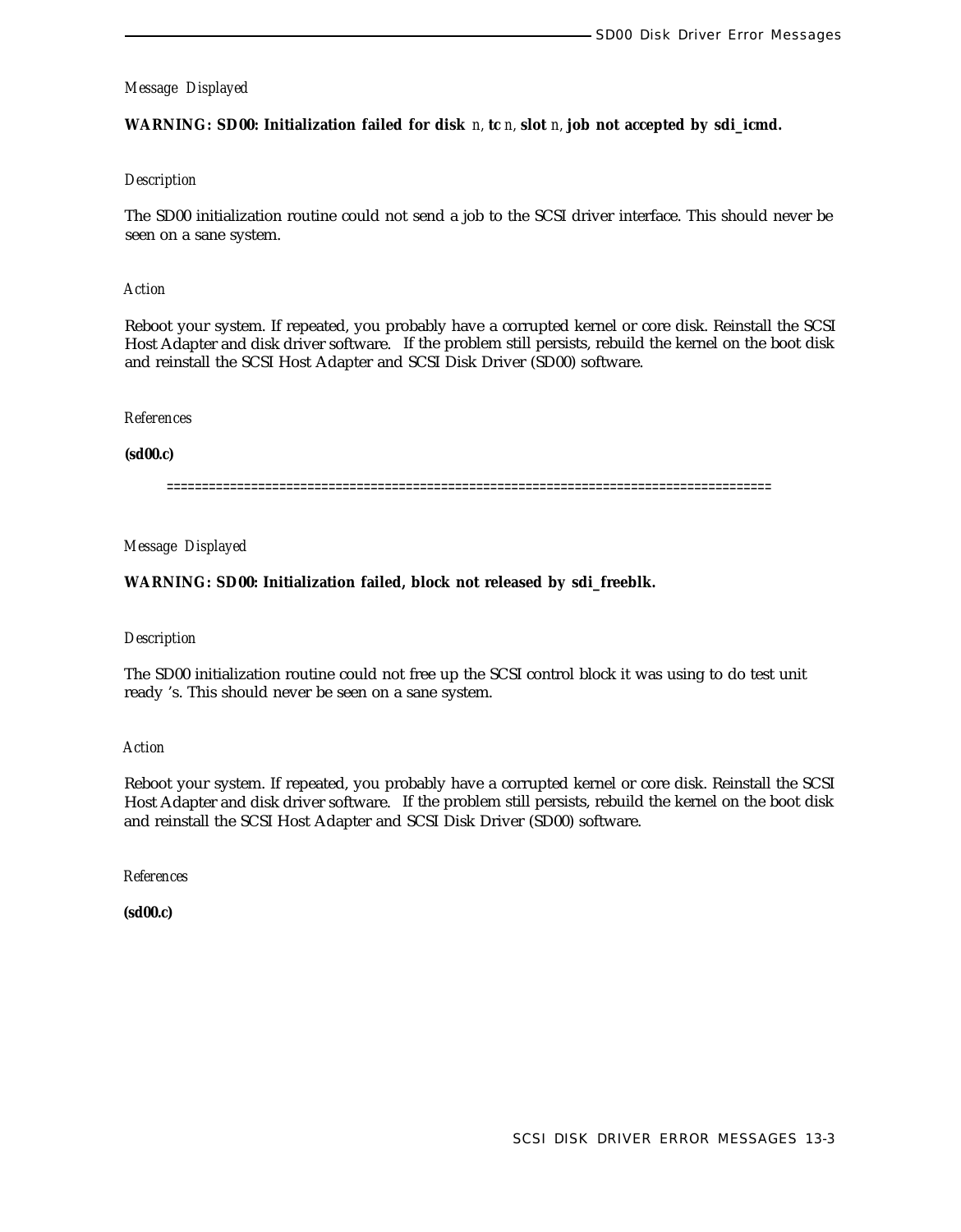**WARNING: SD00: Initialization failed for disk** *n,* **tc** *n,* **slot** *n,* **job not accepted by sdi\_icmd.**

#### *Description*

The SD00 initialization routine could not send a job to the SCSI driver interface. This should never be seen on a sane system.

#### *Action*

Reboot your system. If repeated, you probably have a corrupted kernel or core disk. Reinstall the SCSI Host Adapter and disk driver software. If the problem still persists, rebuild the kernel on the boot disk and reinstall the SCSI Host Adapter and SCSI Disk Driver (SD00) software.

#### *References*

#### **(sd00.c)**

======================================================================================

# *Message Displayed*

# **WARNING: SD00: Initialization failed, block not released by sdi\_freeblk.**

#### *Description*

The SD00 initialization routine could not free up the SCSI control block it was using to do test unit ready 's. This should never be seen on a sane system.

#### *Action*

Reboot your system. If repeated, you probably have a corrupted kernel or core disk. Reinstall the SCSI Host Adapter and disk driver software. If the problem still persists, rebuild the kernel on the boot disk and reinstall the SCSI Host Adapter and SCSI Disk Driver (SD00) software.

*References*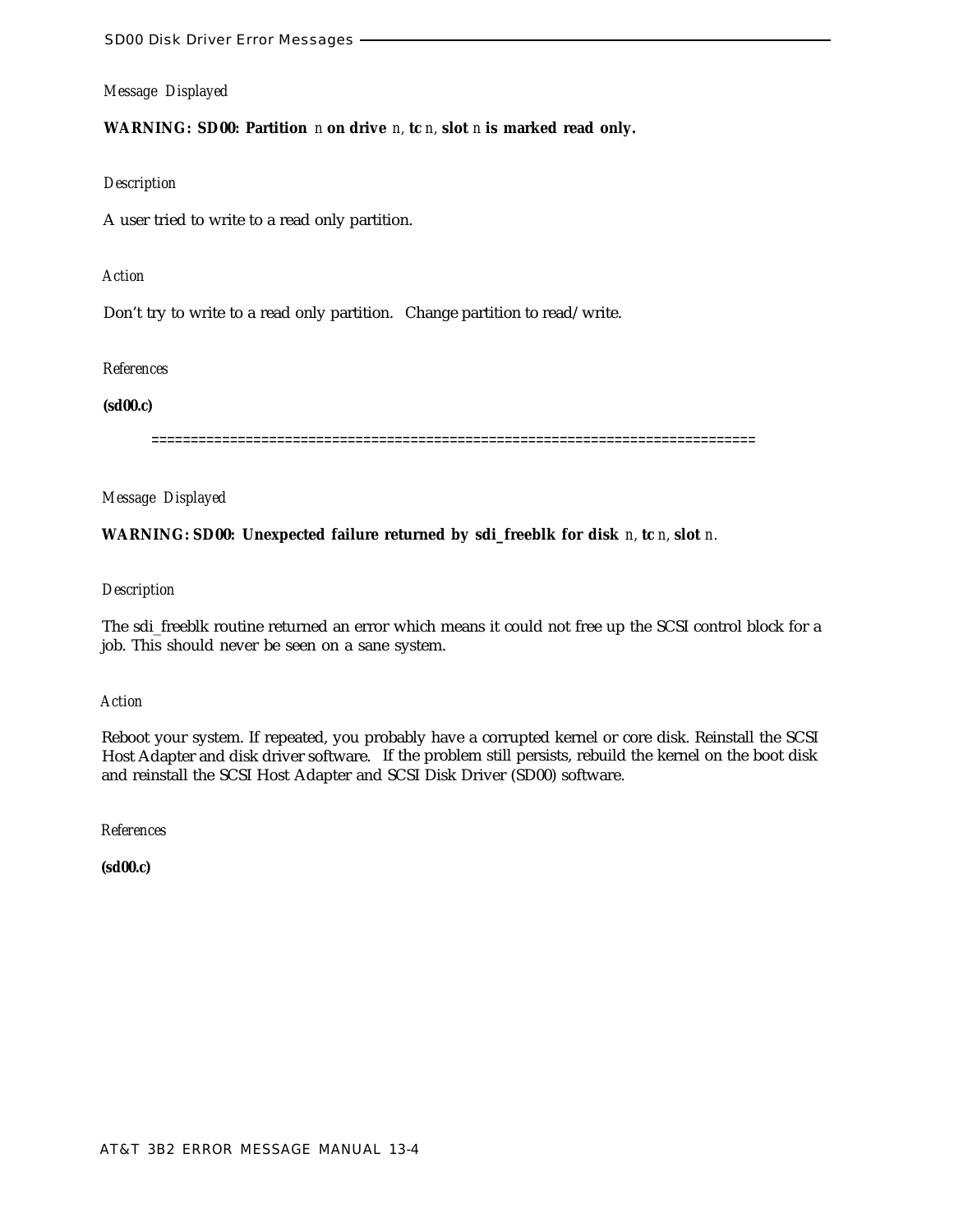**WARNING: SD00: Partition** *n* **on drive** *n,* **tc** *n,* **slot** *n* **is marked read only.**

# *Description*

A user tried to write to a read only partition.

# *Action*

Don't try to write to a read only partition. Change partition to read/write.

# *References*

# **(sd00.c)**

=============================================================================

# *Message Displayed*

# **WARNING: SD00: Unexpected failure returned by sdi\_freeblk for disk** *n,* **tc** *n,* **slot** *n.*

# *Description*

The sdi\_freeblk routine returned an error which means it could not free up the SCSI control block for a job. This should never be seen on a sane system.

# *Action*

Reboot your system. If repeated, you probably have a corrupted kernel or core disk. Reinstall the SCSI Host Adapter and disk driver software. If the problem still persists, rebuild the kernel on the boot disk and reinstall the SCSI Host Adapter and SCSI Disk Driver (SD00) software.

*References*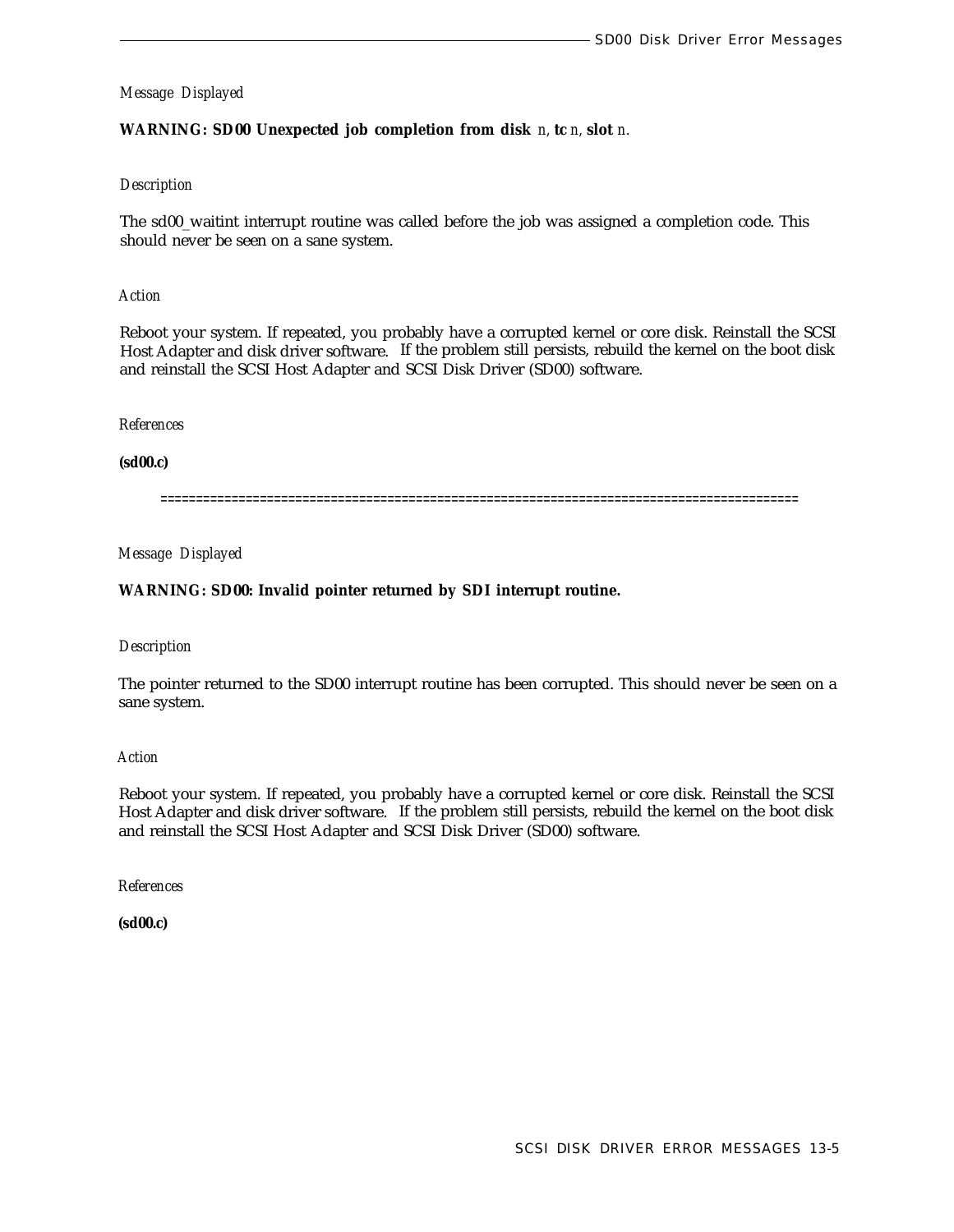# **WARNING: SD00 Unexpected job completion from disk** *n,* **tc** *n,* **slot** *n.*

# *Description*

The sd00\_waitint interrupt routine was called before the job was assigned a completion code. This should never be seen on a sane system.

#### *Action*

Reboot your system. If repeated, you probably have a corrupted kernel or core disk. Reinstall the SCSI Host Adapter and disk driver software. If the problem still persists, rebuild the kernel on the boot disk and reinstall the SCSI Host Adapter and SCSI Disk Driver (SD00) software.

#### *References*

**(sd00.c)**

==========================================================================================

*Message Displayed*

# **WARNING: SD00: Invalid pointer returned by SDI interrupt routine.**

#### *Description*

The pointer returned to the SD00 interrupt routine has been corrupted. This should never be seen on a sane system.

## *Action*

Reboot your system. If repeated, you probably have a corrupted kernel or core disk. Reinstall the SCSI Host Adapter and disk driver software. If the problem still persists, rebuild the kernel on the boot disk and reinstall the SCSI Host Adapter and SCSI Disk Driver (SD00) software.

*References*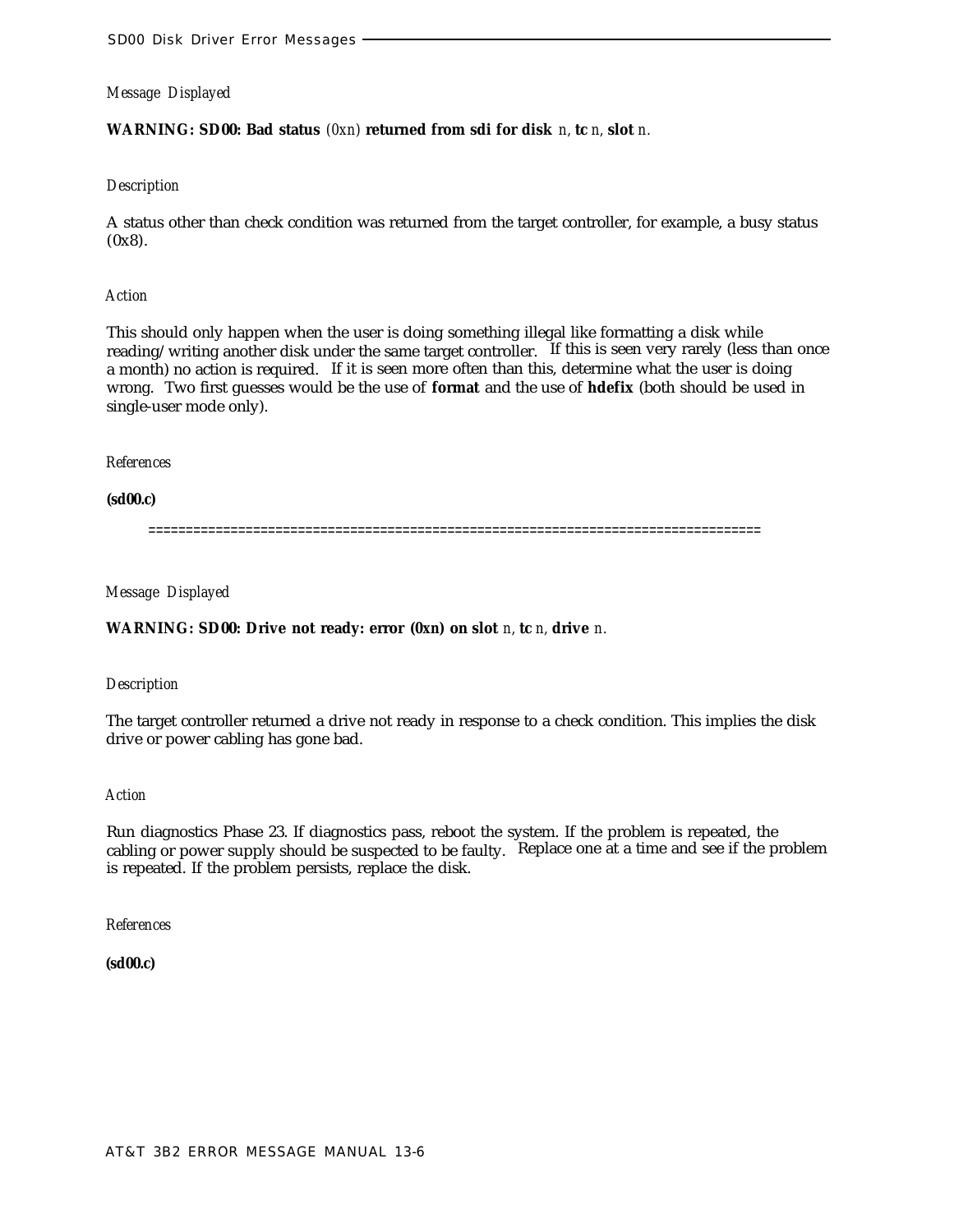# **WARNING: SD00: Bad status** *(0xn)* **returned from sdi for disk** *n,* **tc** *n,* **slot** *n.*

# *Description*

A status other than check condition was returned from the target controller, for example, a busy status  $(0x8)$ .

#### *Action*

This should only happen when the user is doing something illegal like formatting a disk while reading/writing another disk under the same target controller. If this is seen very rarely (less than once a month) no action is required. If it is seen more often than this, determine what the user is doing wrong. Two first guesses would be the use of **format** and the use of **hdefix** (both should be used in single-user mode only).

#### *References*

**(sd00.c)**

==================================================================================

*Message Displayed*

# **WARNING: SD00: Drive not ready: error** *(0xn)* **on slot** *n,* **tc** *n,* **drive** *n.*

#### *Description*

The target controller returned a drive not ready in response to a check condition. This implies the disk drive or power cabling has gone bad.

#### *Action*

Run diagnostics Phase 23. If diagnostics pass, reboot the system. If the problem is repeated, the cabling or power supply should be suspected to be faulty. Replace one at a time and see if the problem is repeated. If the problem persists, replace the disk.

*References*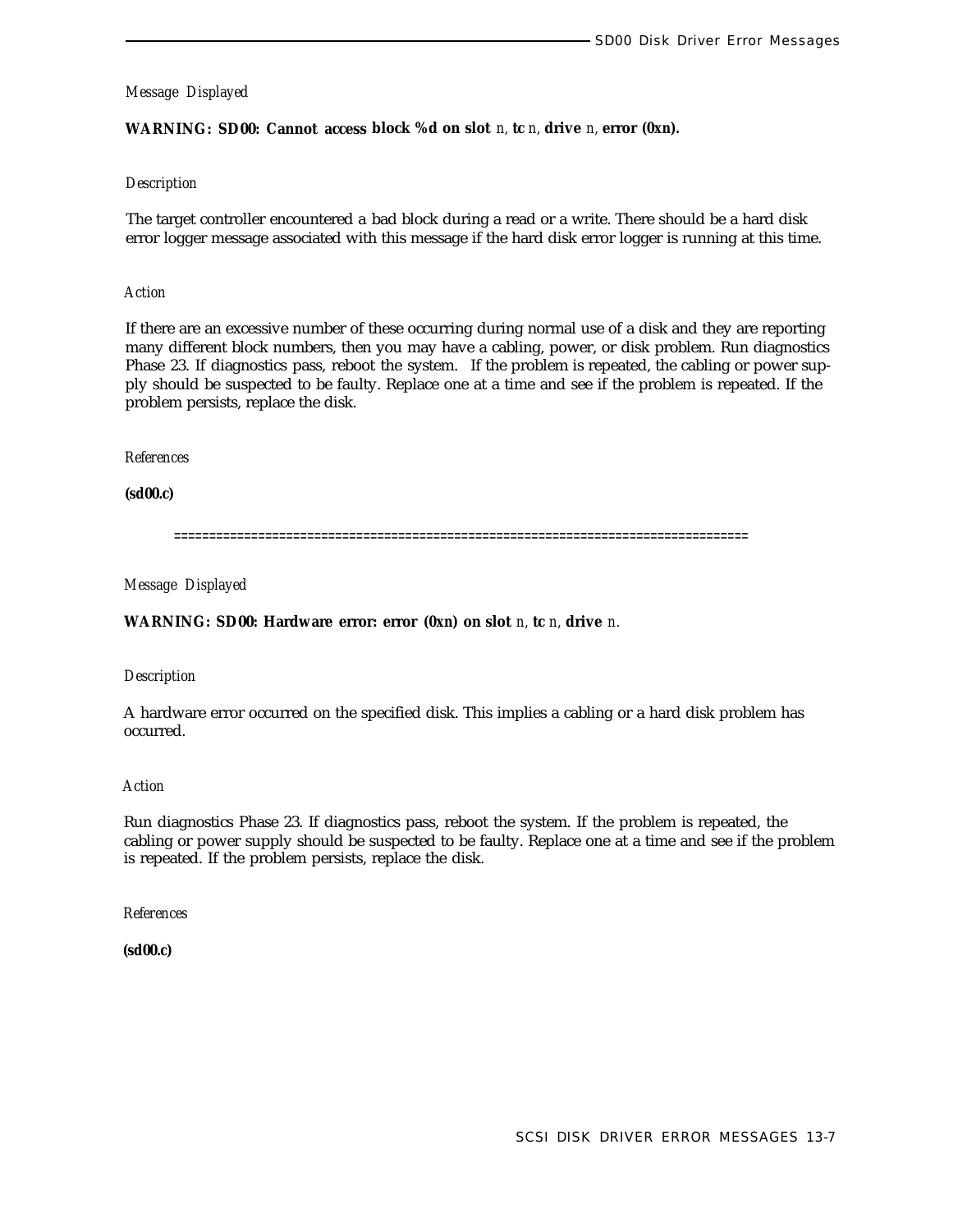# **WARNING: SD00: Cannot access block %d on slot** *n,* **tc** *n,* **drive** *n,* **error** *(0xn).*

#### *Description*

The target controller encountered a bad block during a read or a write. There should be a hard disk error logger message associated with this message if the hard disk error logger is running at this time.

#### *Action*

If there are an excessive number of these occurring during normal use of a disk and they are reporting many different block numbers, then you may have a cabling, power, or disk problem. Run diagnostics Phase 23. If diagnostics pass, reboot the system. If the problem is repeated, the cabling or power supply should be suspected to be faulty. Replace one at a time and see if the problem is repeated. If the problem persists, replace the disk.

#### *References*

**(sd00.c)**

==================================================================================

#### *Message Displayed*

**WARNING: SD00: Hardware error: error** *(0xn)* **on slot** *n,* **tc** *n,* **drive** *n.*

#### *Description*

A hardware error occurred on the specified disk. This implies a cabling or a hard disk problem has occurred.

#### *Action*

Run diagnostics Phase 23. If diagnostics pass, reboot the system. If the problem is repeated, the cabling or power supply should be suspected to be faulty. Replace one at a time and see if the problem is repeated. If the problem persists, replace the disk.

#### *References*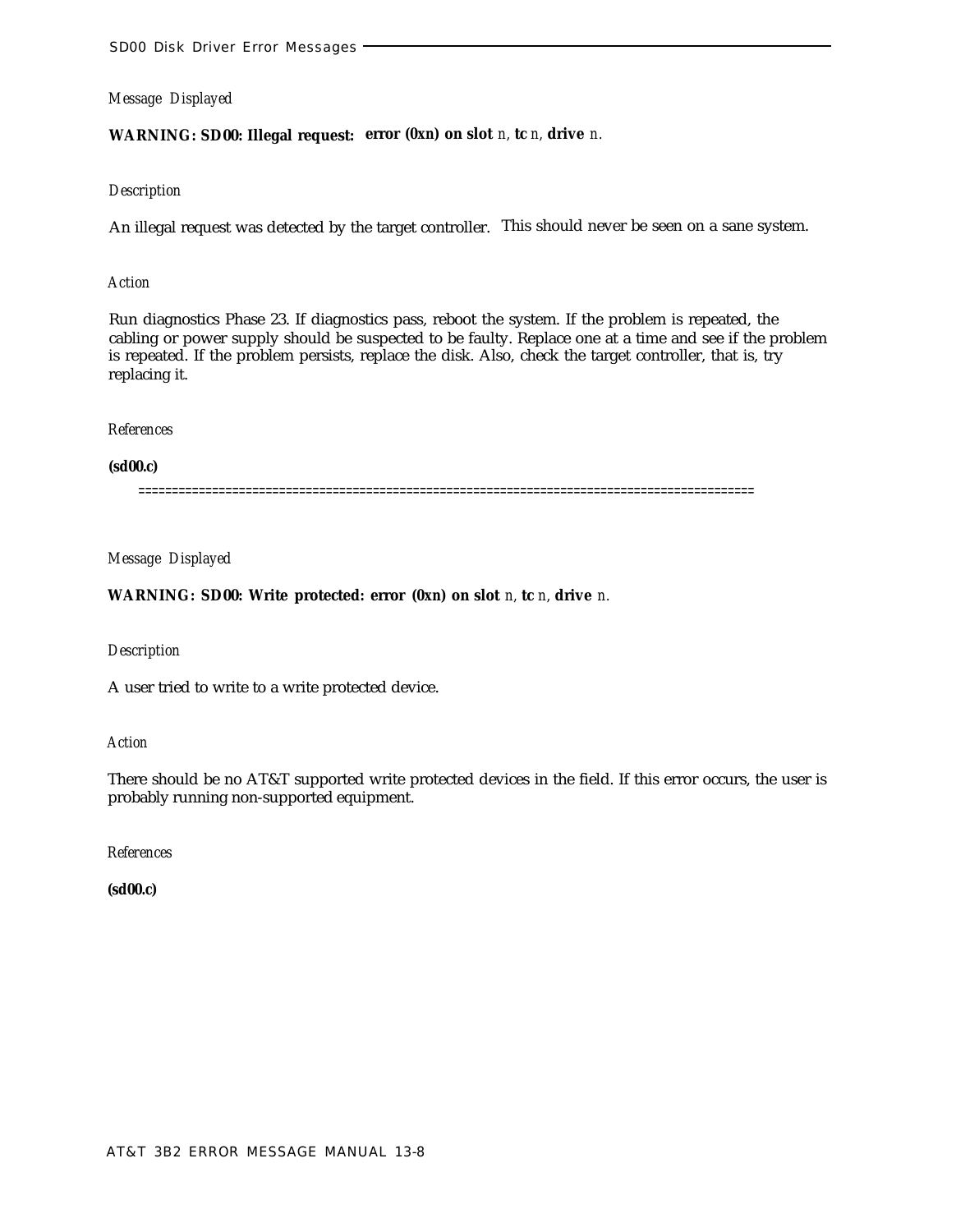# **WARNING: SD00: Illegal request: error** *(0xn)* **on slot** *n,* **tc** *n,* **drive** *n.*

# *Description*

An illegal request was detected by the target controller. This should never be seen on a sane system.

# *Action*

Run diagnostics Phase 23. If diagnostics pass, reboot the system. If the problem is repeated, the cabling or power supply should be suspected to be faulty. Replace one at a time and see if the problem is repeated. If the problem persists, replace the disk. Also, check the target controller, that is, try replacing it.

#### *References*

#### **(sd00.c)**

============================================================================================

# *Message Displayed*

# **WARNING: SD00: Write protected: error** *(0xn)* **on slot** *n,* **tc** *n,* **drive** *n.*

#### *Description*

A user tried to write to a write protected device.

#### *Action*

There should be no AT&T supported write protected devices in the field. If this error occurs, the user is probably running non-supported equipment.

*References*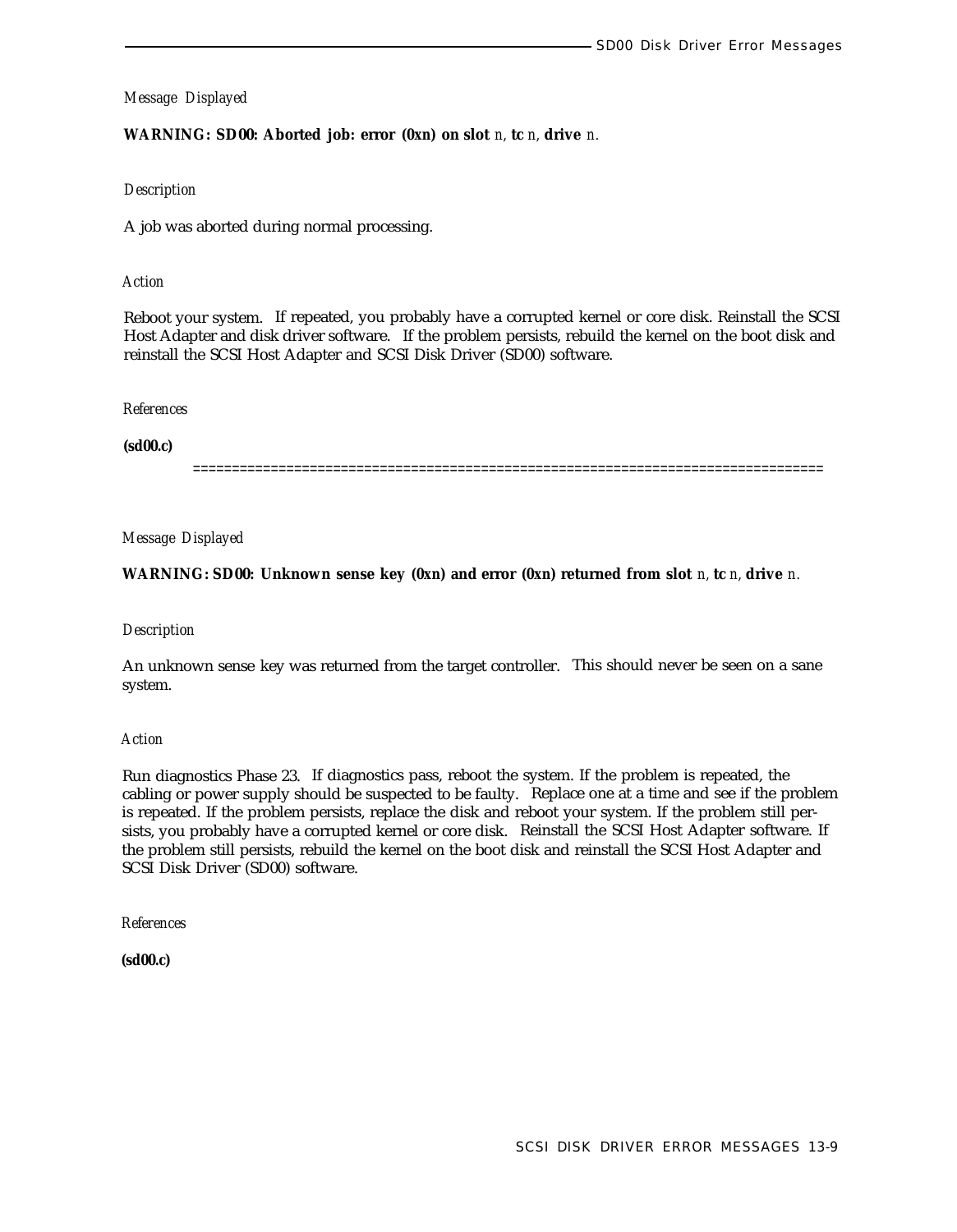# **WARNING: SD00: Aborted job: error** *(0xn)* **on slot** *n,* **tc** *n,* **drive** *n.*

# *Description*

A job was aborted during normal processing.

# *Action*

Reboot your system. If repeated, you probably have a corrupted kernel or core disk. Reinstall the SCSI Host Adapter and disk driver software. If the problem persists, rebuild the kernel on the boot disk and reinstall the SCSI Host Adapter and SCSI Disk Driver (SD00) software.

# *References*

**(sd00.c)**

=================================================================================

# *Message Displayed*

**WARNING: SD00: Unknown sense key** *(0xn)* **and error** *(0xn)* **returned from slot** *n,* **tc** *n,* **drive** *n.*

# *Description*

An unknown sense key was returned from the target controller. This should never be seen on a sane system.

# *Action*

Run diagnostics Phase 23. If diagnostics pass, reboot the system. If the problem is repeated, the cabling or power supply should be suspected to be faulty. Replace one at a time and see if the problem is repeated. If the problem persists, replace the disk and reboot your system. If the problem still persists, you probably have a corrupted kernel or core disk. Reinstall the SCSI Host Adapter software. If the problem still persists, rebuild the kernel on the boot disk and reinstall the SCSI Host Adapter and SCSI Disk Driver (SD00) software.

*References*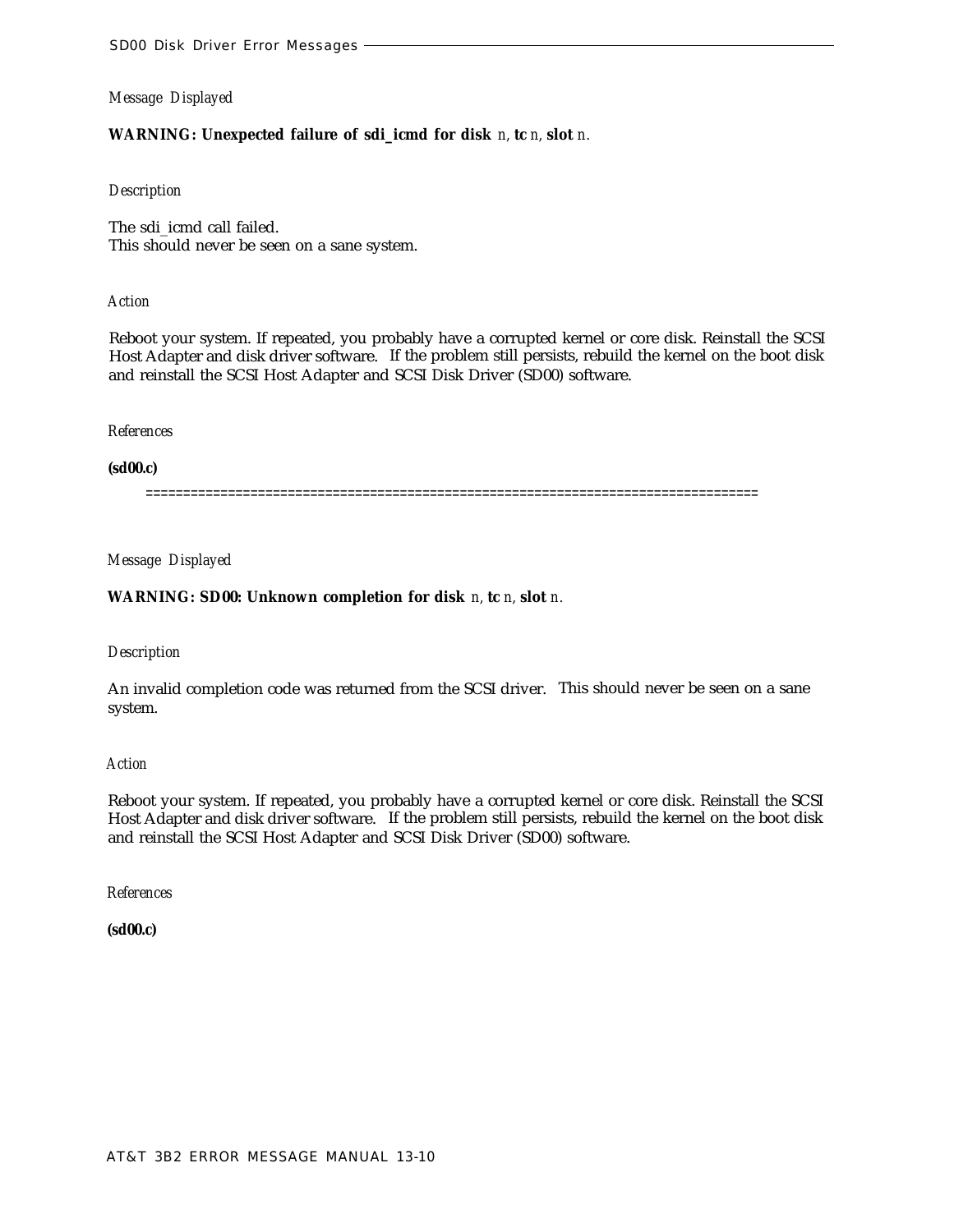# **WARNING: Unexpected failure of sdi\_icmd for disk** *n,* **tc** *n,* **slot** *n.*

#### *Description*

The sdi\_icmd call failed. This should never be seen on a sane system.

#### *Action*

Reboot your system. If repeated, you probably have a corrupted kernel or core disk. Reinstall the SCSI Host Adapter and disk driver software. If the problem still persists, rebuild the kernel on the boot disk and reinstall the SCSI Host Adapter and SCSI Disk Driver (SD00) software.

#### *References*

#### **(sd00.c)**

==================================================================================

# *Message Displayed*

## **WARNING: SD00: Unknown completion for disk** *n,* **tc** *n,* **slot** *n.*

#### *Description*

An invalid completion code was returned from the SCSI driver. This should never be seen on a sane system.

#### *Action*

Reboot your system. If repeated, you probably have a corrupted kernel or core disk. Reinstall the SCSI Host Adapter and disk driver software. If the problem still persists, rebuild the kernel on the boot disk and reinstall the SCSI Host Adapter and SCSI Disk Driver (SD00) software.

*References*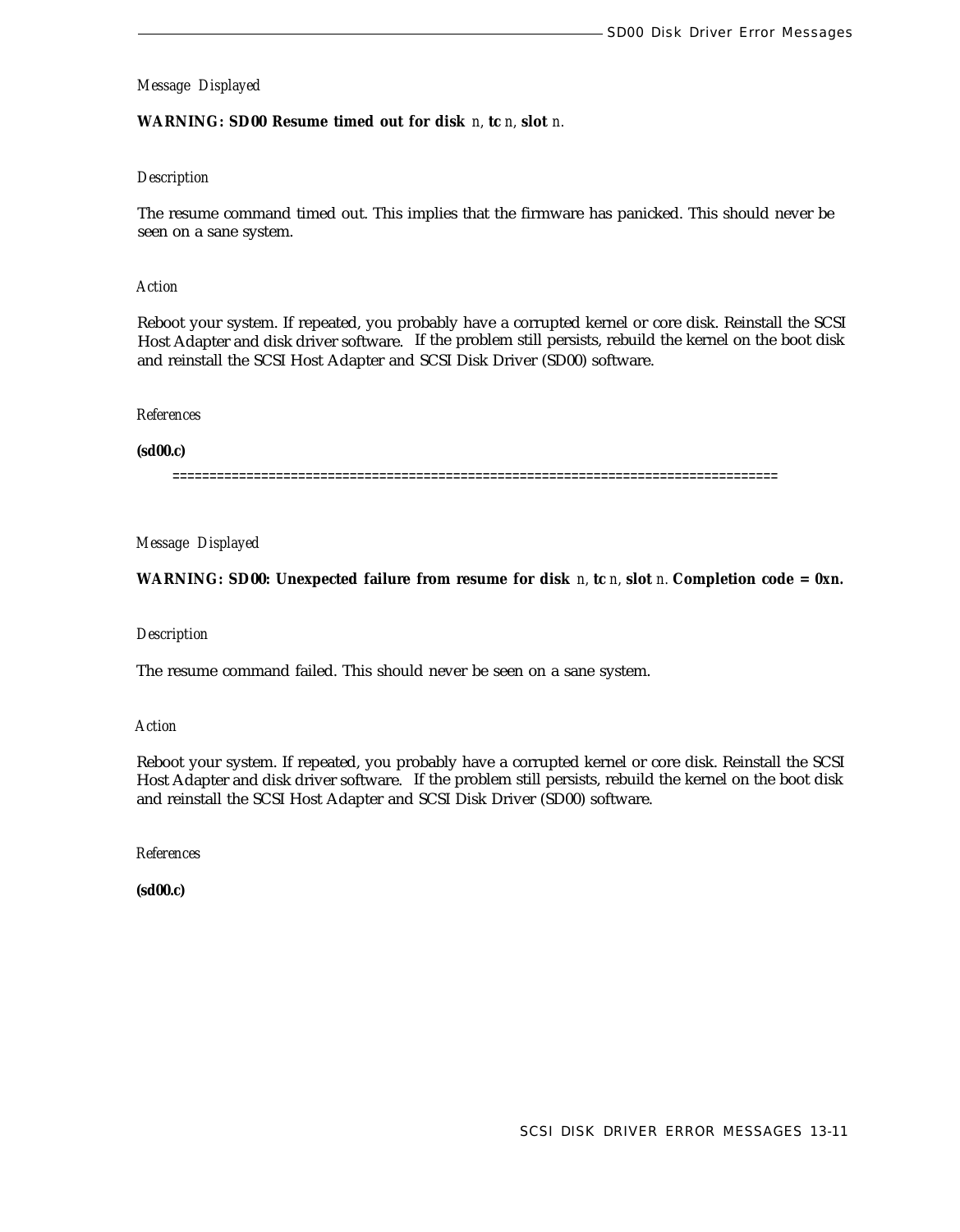# **WARNING: SD00 Resume timed out for disk** *n,* **tc** *n,* **slot** *n.*

# *Description*

The resume command timed out. This implies that the firmware has panicked. This should never be seen on a sane system.

#### *Action*

Reboot your system. If repeated, you probably have a corrupted kernel or core disk. Reinstall the SCSI Host Adapter and disk driver software. If the problem still persists, rebuild the kernel on the boot disk and reinstall the SCSI Host Adapter and SCSI Disk Driver (SD00) software.

#### *References*

**(sd00.c)**

==================================================================================

*Message Displayed*

**WARNING: SD00: Unexpected failure from resume for disk** *n,* **tc** *n,* **slot** *n.* **Completion code =** *0xn.*

#### *Description*

The resume command failed. This should never be seen on a sane system.

*Action*

Reboot your system. If repeated, you probably have a corrupted kernel or core disk. Reinstall the SCSI Host Adapter and disk driver software. If the problem still persists, rebuild the kernel on the boot disk and reinstall the SCSI Host Adapter and SCSI Disk Driver (SD00) software.

*References*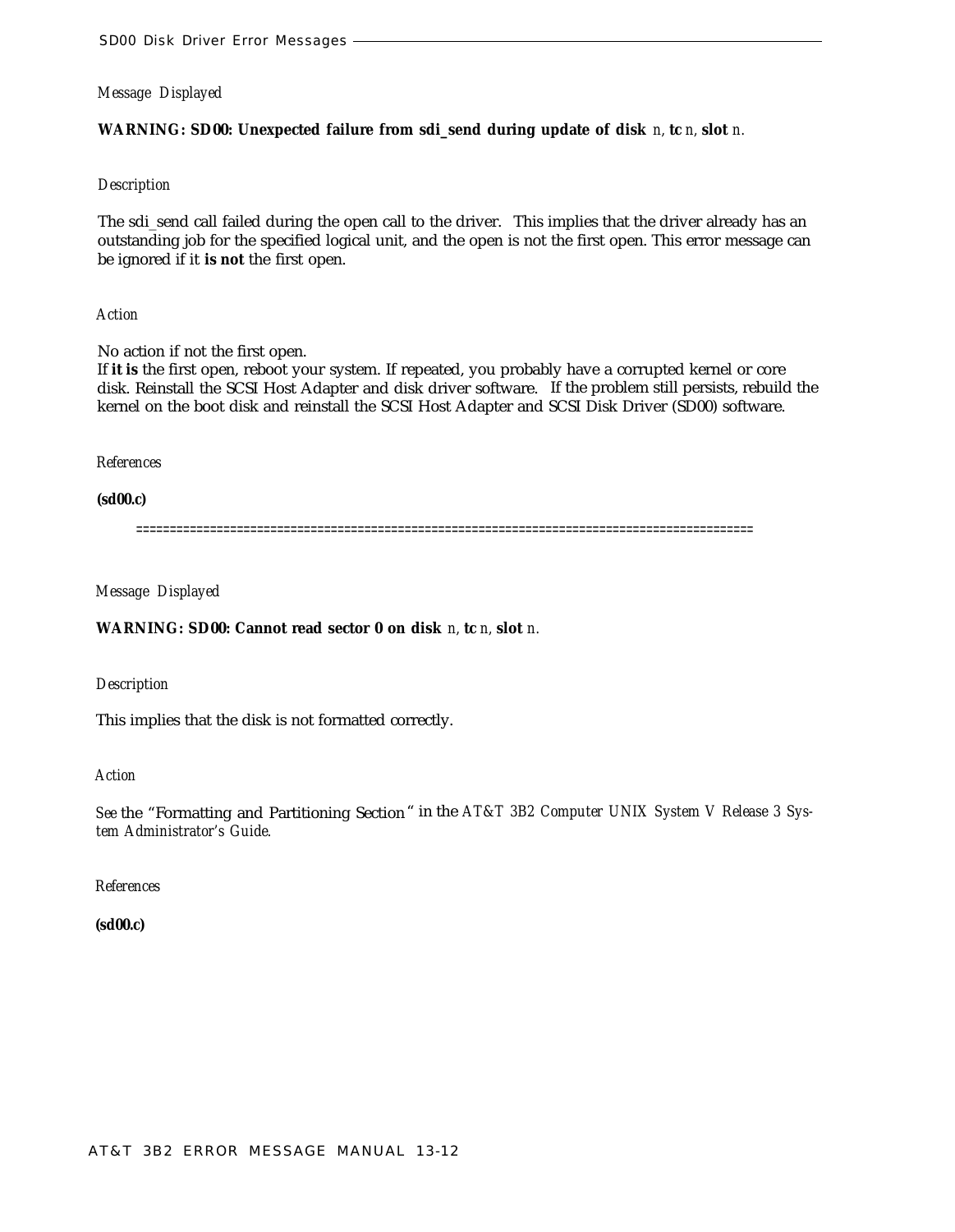# **WARNING: SD00: Unexpected failure from sdi\_send during update of disk** *n,* **tc** *n,* **slot** *n.*

#### *Description*

The sdi\_send call failed during the open call to the driver. This implies that the driver already has an outstanding job for the specified logical unit, and the open is not the first open. This error message can be ignored if it **is not** the first open.

*Action*

No action if not the first open.

If **it is** the first open, reboot your system. If repeated, you probably have a corrupted kernel or core disk. Reinstall the SCSI Host Adapter and disk driver software. If the problem still persists, rebuild the kernel on the boot disk and reinstall the SCSI Host Adapter and SCSI Disk Driver (SD00) software.

*References*

**(sd00.c)**

============================================================================================

*Message Displayed*

**WARNING: SD00: Cannot read sector 0 on disk** *n,* **tc** *n,* **slot** *n.*

*Description*

This implies that the disk is not formatted correctly.

*Action*

*See* the "Formatting and Partitioning Section" in the *AT&T 3B2 Computer UNIX System V Release 3 System Administrator's Guide.*

*References*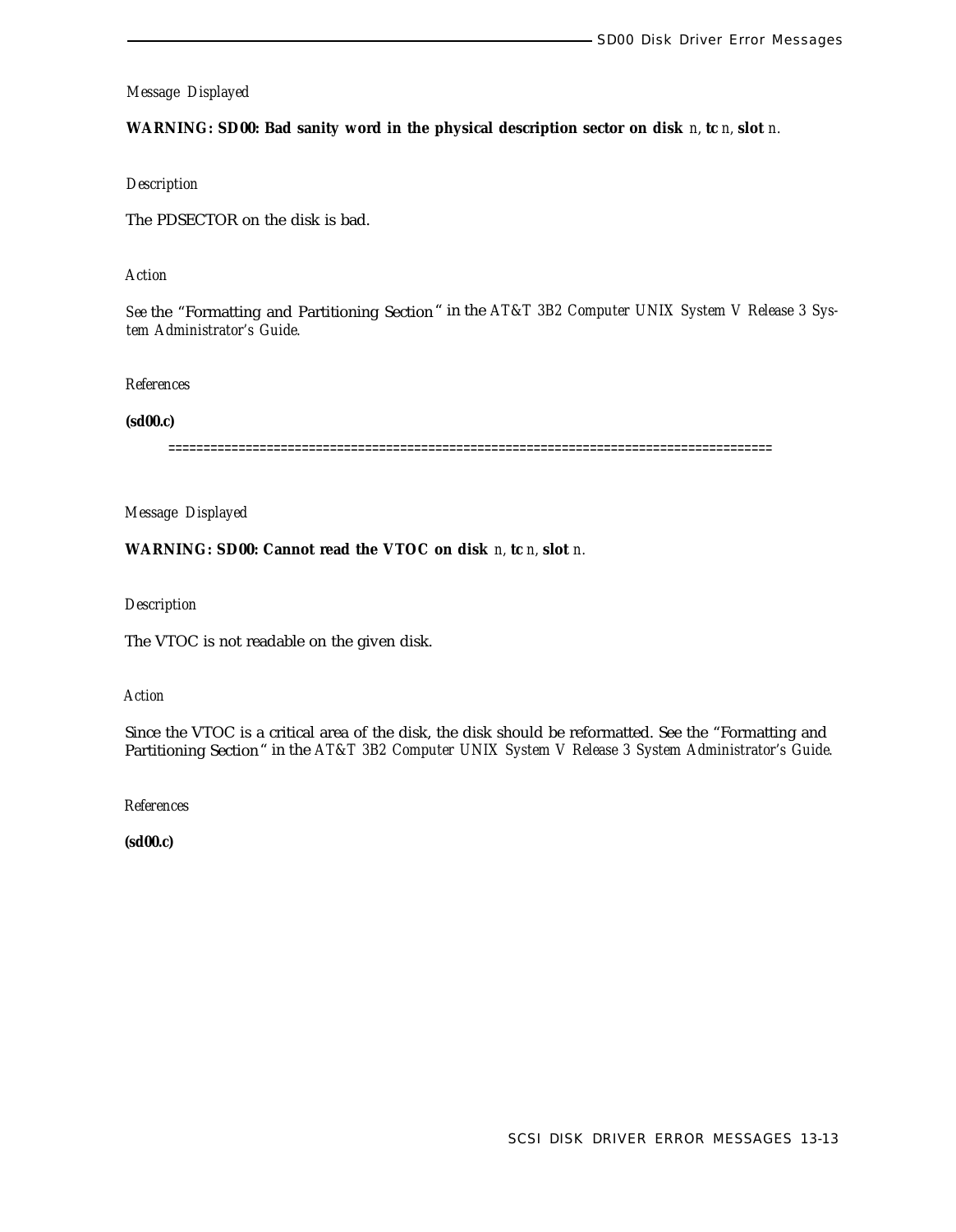**WARNING: SD00: Bad sanity word in the physical description sector on disk** *n,* **tc** *n,* **slot** *n.*

*Description*

The PDSECTOR on the disk is bad.

*Action*

*See* the "Formatting and Partitioning Section" in the *AT&T 3B2 Computer UNIX System V Release 3 System Administrator's Guide.*

*References*

**(sd00.c)**

======================================================================================

*Message Displayed*

**WARNING: SD00: Cannot read the VTOC on disk** *n,* **tc** *n,* **slot** *n.*

*Description*

The VTOC is not readable on the given disk.

*Action*

Since the VTOC is a critical area of the disk, the disk should be reformatted. See the "Formatting and Partitioning Section" in the *AT&T 3B2 Computer UNIX System V Release 3 System Administrator's Guide.*

*References*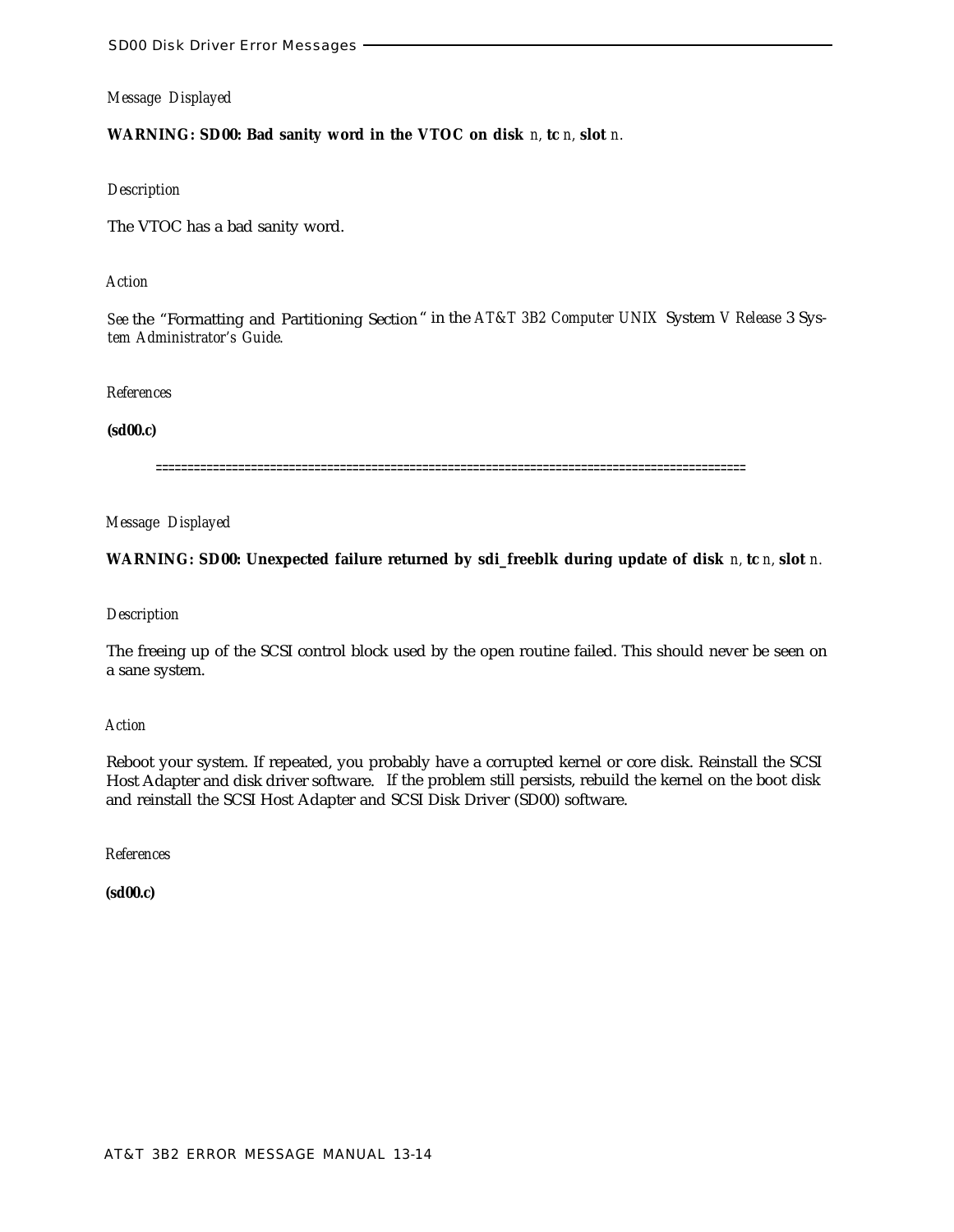**WARNING: SD00: Bad sanity word in the VTOC on disk** *n,* **tc** *n,* **slot** *n.*

#### *Description*

The VTOC has a bad sanity word.

# *Action*

*See* the "Formatting and Partitioning Section" in the *AT&T 3B2 Computer UNIX* System *V Release* 3 Sys*tem Administrator's Guide.*

#### *References*

# **(sd00.c)**

=============================================================================================

*Message Displayed*

# **WARNING: SD00: Unexpected failure returned by sdi\_freeblk during update of disk** *n,* **tc** *n,* **slot** *n.*

# *Description*

The freeing up of the SCSI control block used by the open routine failed. This should never be seen on a sane system.

#### *Action*

Reboot your system. If repeated, you probably have a corrupted kernel or core disk. Reinstall the SCSI Host Adapter and disk driver software. If the problem still persists, rebuild the kernel on the boot disk and reinstall the SCSI Host Adapter and SCSI Disk Driver (SD00) software.

*References*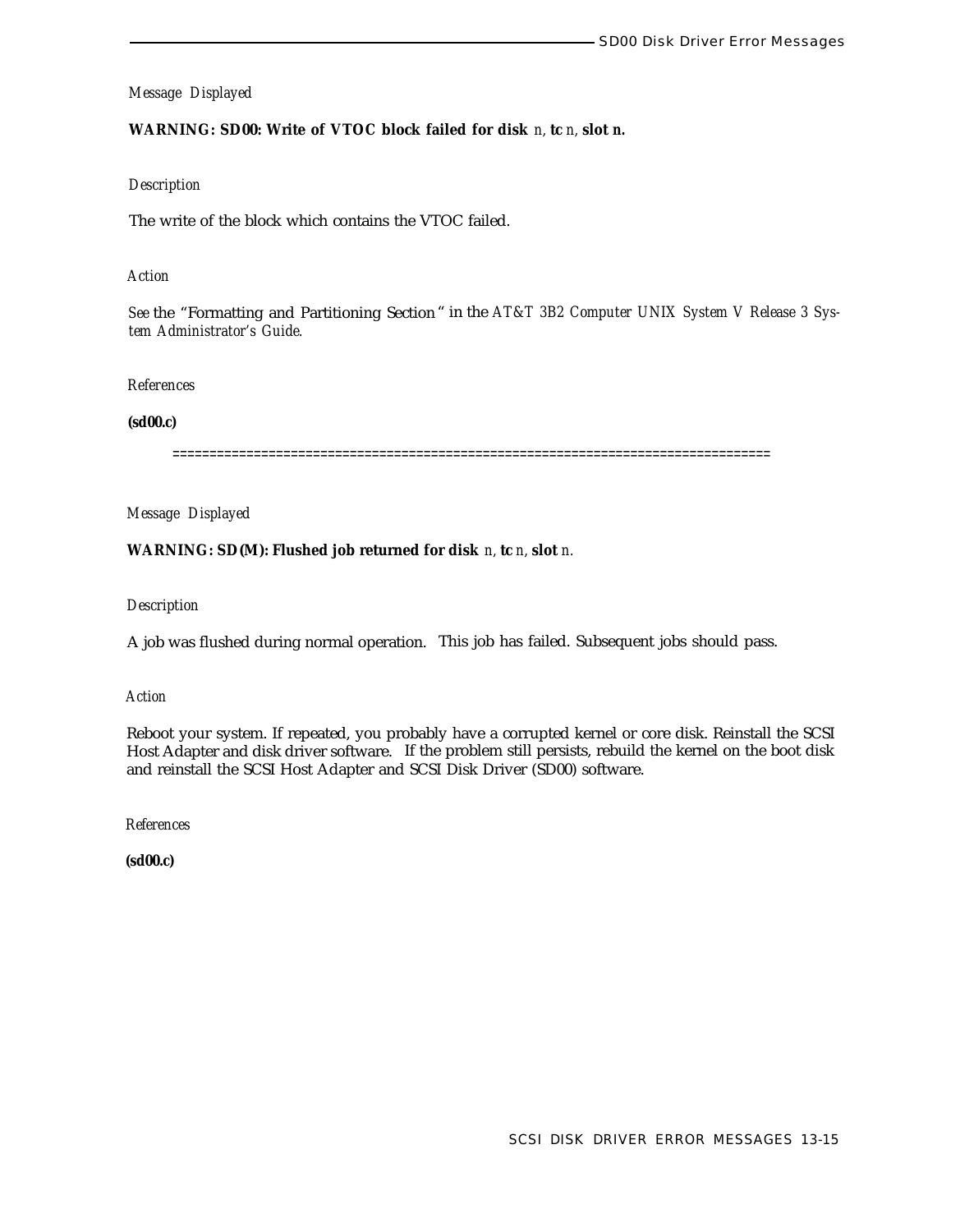# **WARNING: SD00: Write of VTOC block failed for disk** *n,* **tc** *n,* **slot** *n.*

#### *Description*

The write of the block which contains the VTOC failed.

#### *Action*

*See* the "Formatting and Partitioning Section " in the *AT&T 3B2 Computer UNIX System V Release 3 System Administrator's Guide.*

#### *References*

#### **(sd00.c)**

=================

*Message Displayed*

#### **WARNING: SD(M): Flushed job returned for disk** *n,* **tc** *n,* **slot** *n.*

## *Description*

A job was flushed during normal operation. This job has failed. Subsequent jobs should pass.

#### *Action*

Reboot your system. If repeated, you probably have a corrupted kernel or core disk. Reinstall the SCSI Host Adapter and disk driver software. If the problem still persists, rebuild the kernel on the boot disk and reinstall the SCSI Host Adapter and SCSI Disk Driver (SD00) software.

*References*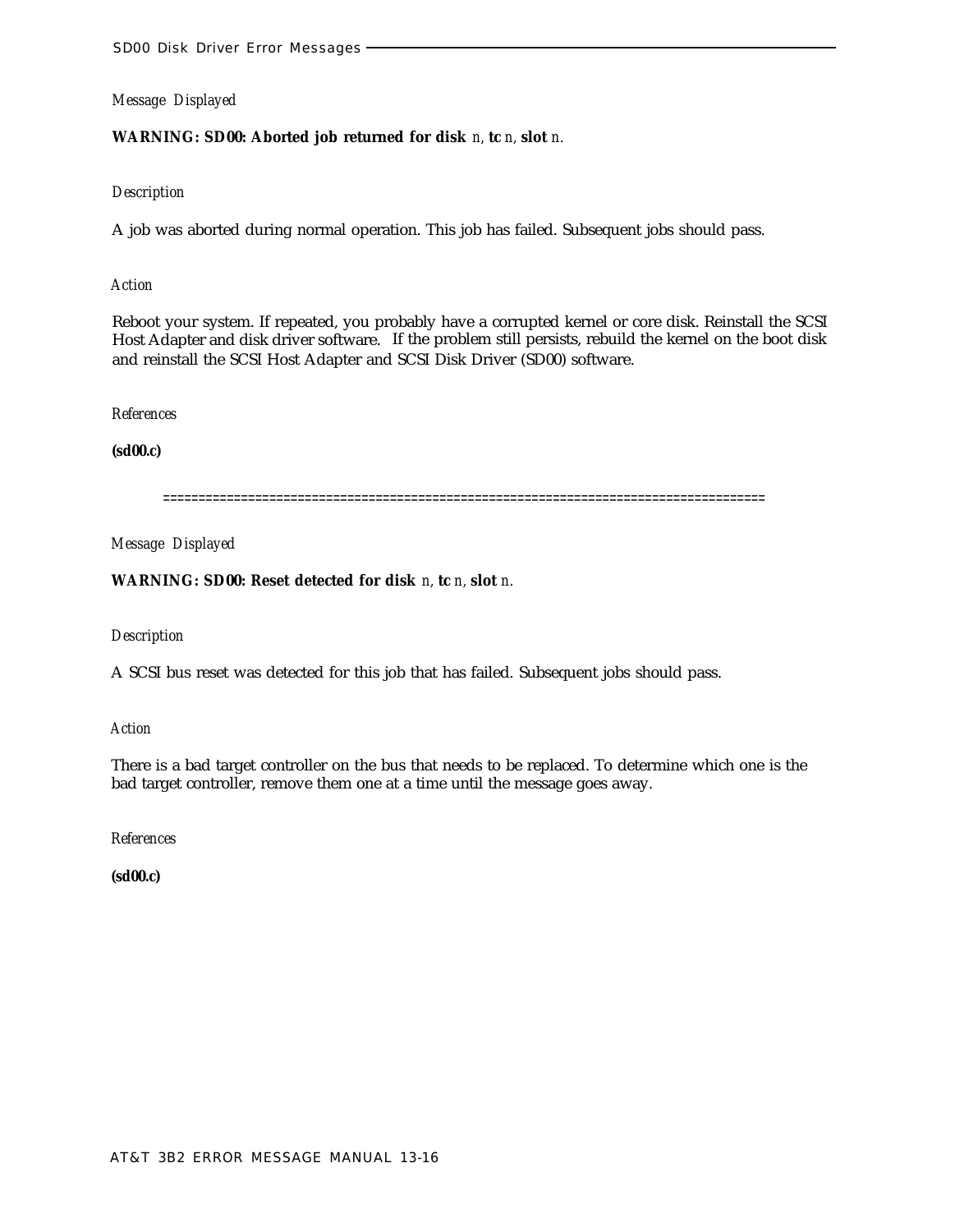# **WARNING: SD00: Aborted job returned for disk** *n,* **tc** *n,* **slot** *n.*

# *Description*

A job was aborted during normal operation. This job has failed. Subsequent jobs should pass.

#### *Action*

Reboot your system. If repeated, you probably have a corrupted kernel or core disk. Reinstall the SCSI Host Adapter and disk driver software. If the problem still persists, rebuild the kernel on the boot disk and reinstall the SCSI Host Adapter and SCSI Disk Driver (SD00) software.

#### *References*

# **(sd00.c)**

=====================================================================================

# *Message Displayed*

# **WARNING: SD00: Reset detected for disk** *n,* **tc** *n,* **slot** *n.*

# *Description*

A SCSI bus reset was detected for this job that has failed. Subsequent jobs should pass.

#### *Action*

There is a bad target controller on the bus that needs to be replaced. To determine which one is the bad target controller, remove them one at a time until the message goes away.

# *References*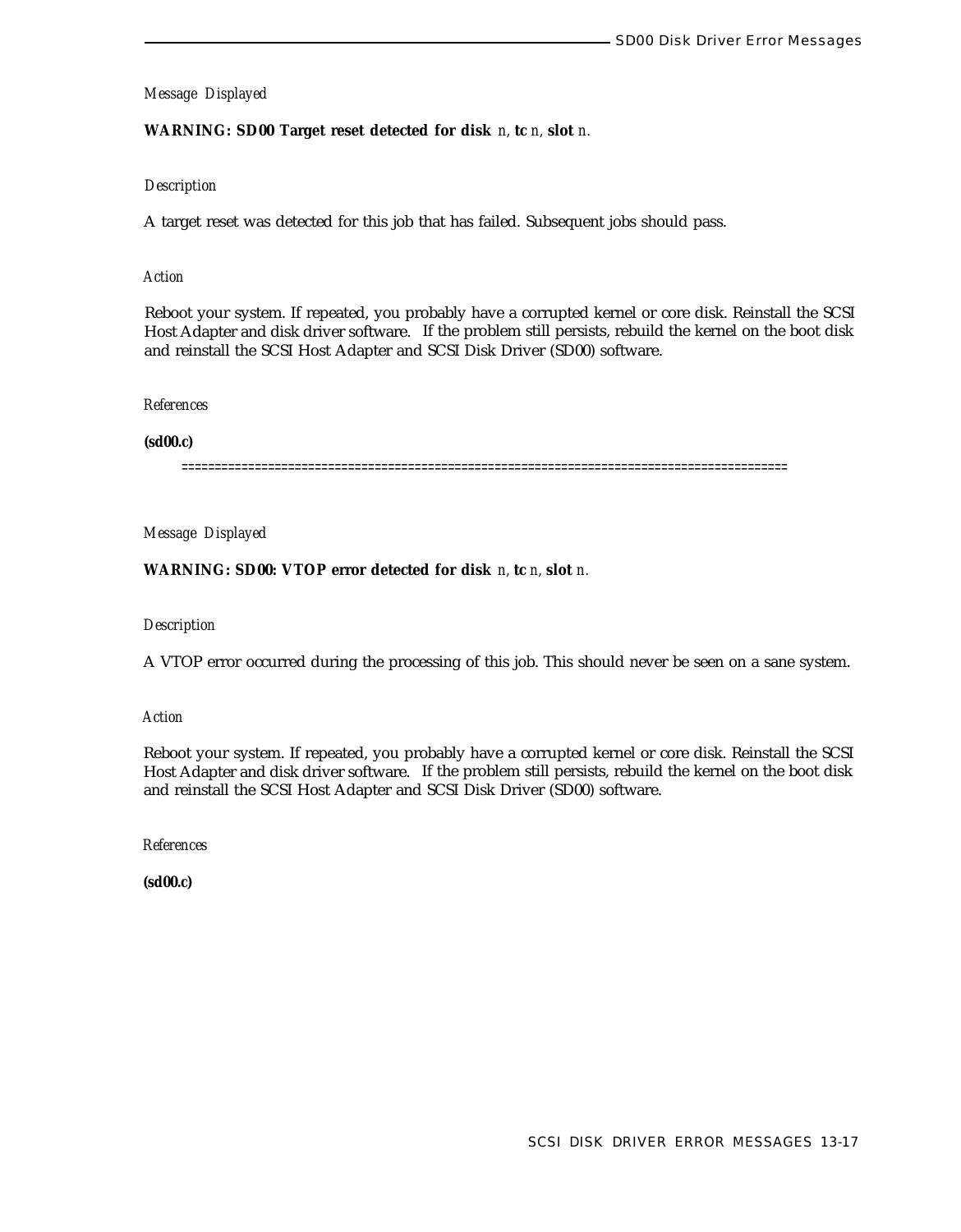**WARNING: SD00 Target reset detected for disk** *n,* **tc** *n,* **slot** *n.*

## *Description*

A target reset was detected for this job that has failed. Subsequent jobs should pass.

## *Action*

Reboot your system. If repeated, you probably have a corrupted kernel or core disk. Reinstall the SCSI Host Adapter and disk driver software. If the problem still persists, rebuild the kernel on the boot disk and reinstall the SCSI Host Adapter and SCSI Disk Driver (SD00) software.

#### *References*

#### **(sd00.c)**

===========================================================================================

*Message Displayed*

**WARNING: SD00: VTOP error detected for disk** *n,* **tc** *n,* **slot** *n.*

# *Description*

A VTOP error occurred during the processing of this job. This should never be seen on a sane system.

*Action*

Reboot your system. If repeated, you probably have a corrupted kernel or core disk. Reinstall the SCSI Host Adapter and disk driver software. If the problem still persists, rebuild the kernel on the boot disk and reinstall the SCSI Host Adapter and SCSI Disk Driver (SD00) software.

*References*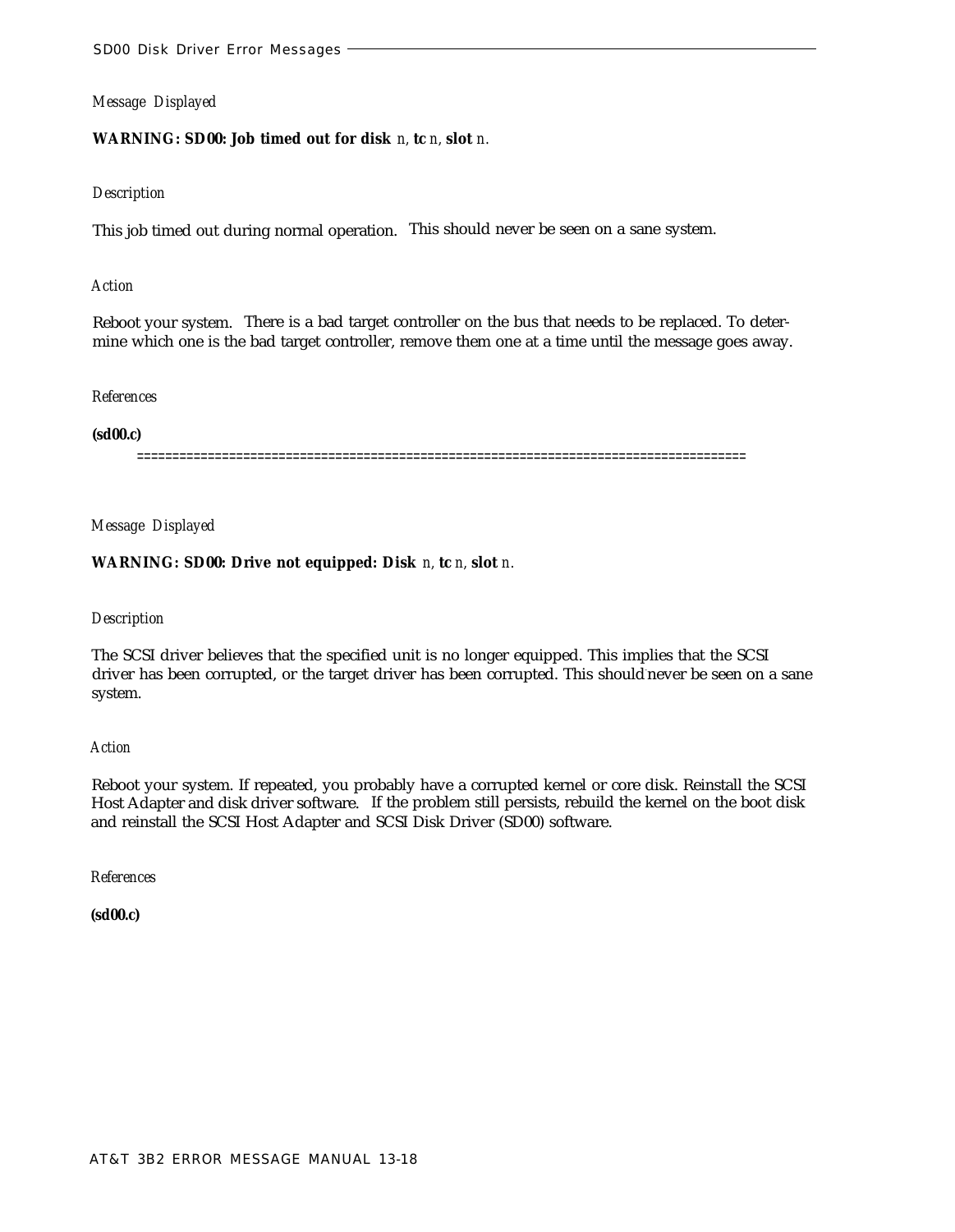**WARNING: SD00: Job timed out for disk** *n,* **tc** *n,* **slot** *n.*

#### *Description*

This job timed out during normal operation. This should never be seen on a sane system.

#### *Action*

Reboot your system. There is a bad target controller on the bus that needs to be replaced. To determine which one is the bad target controller, remove them one at a time until the message goes away.

#### *References*

### **(sd00.c)**

======================================================================================

#### *Message Displayed*

# **WARNING: SD00: Drive not equipped: Disk** *n,* **tc** *n,* **slot** *n.*

#### *Description*

The SCSI driver believes that the specified unit is no longer equipped. This implies that the SCSI driver has been corrupted, or the target driver has been corrupted. This should-never be seen on a sane system.

#### *Action*

Reboot your system. If repeated, you probably have a corrupted kernel or core disk. Reinstall the SCSI Host Adapter and disk driver software. If the problem still persists, rebuild the kernel on the boot disk and reinstall the SCSI Host Adapter and SCSI Disk Driver (SD00) software.

*References*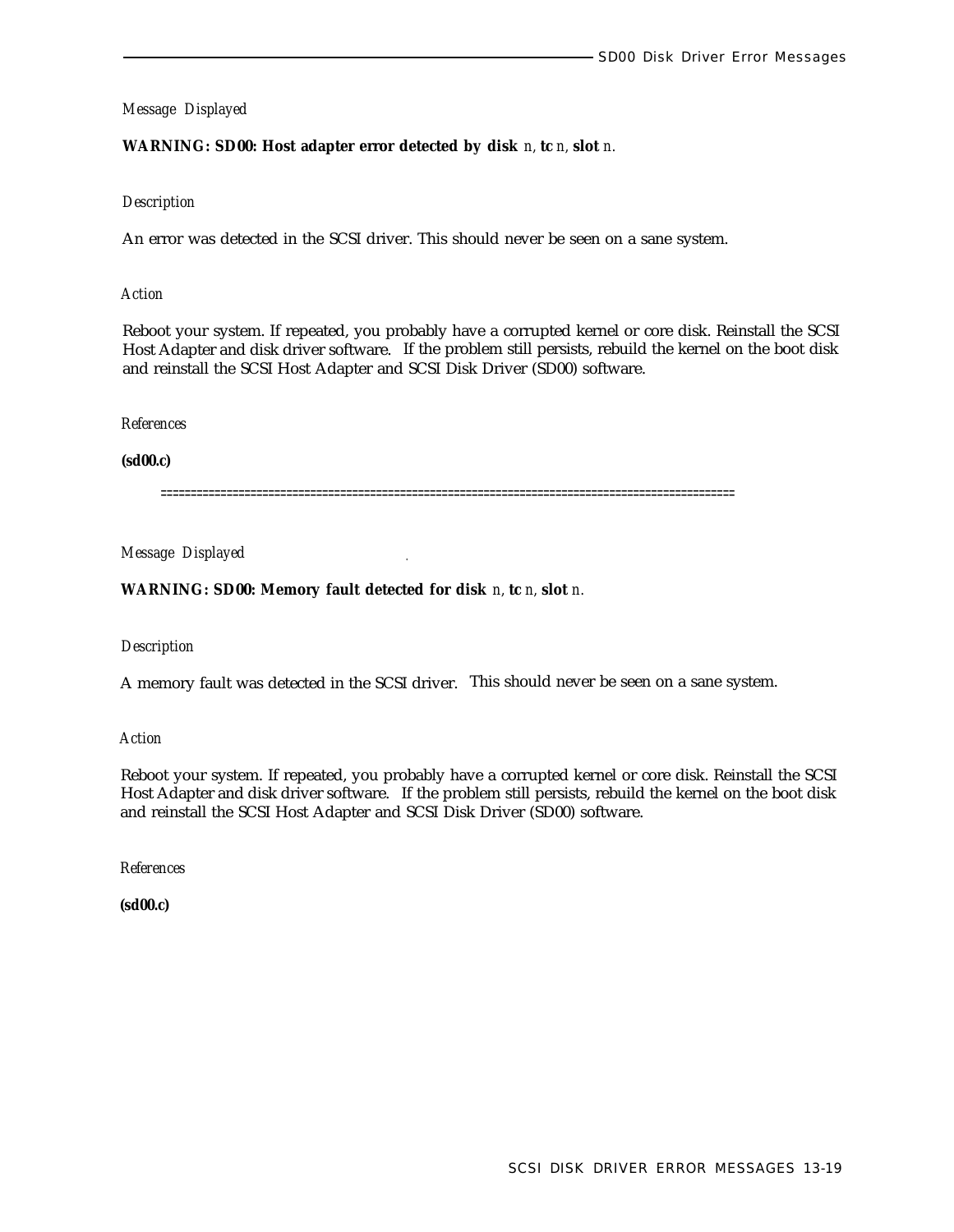# **WARNING: SD00: Host adapter error detected by disk** *n,* **tc** *n,* **slot** *n.*

#### *Description*

An error was detected in the SCSI driver. This should never be seen on a sane system.

#### *Action*

Reboot your system. If repeated, you probably have a corrupted kernel or core disk. Reinstall the SCSI Host Adapter and disk driver software. If the problem still persists, rebuild the kernel on the boot disk and reinstall the SCSI Host Adapter and SCSI Disk Driver (SD00) software.

#### *References*

#### **(sd00.c)**

================================================================================================

# *Message Displayed .*

## **WARNING: SD00: Memory fault detected for disk** *n,* **tc** *n,* **slot** *n.*

#### *Description*

A memory fault was detected in the SCSI driver. This should never be seen on a sane system.

*Action*

Reboot your system. If repeated, you probably have a corrupted kernel or core disk. Reinstall the SCSI Host Adapter and disk driver software. If the problem still persists, rebuild the kernel on the boot disk and reinstall the SCSI Host Adapter and SCSI Disk Driver (SD00) software.

*References*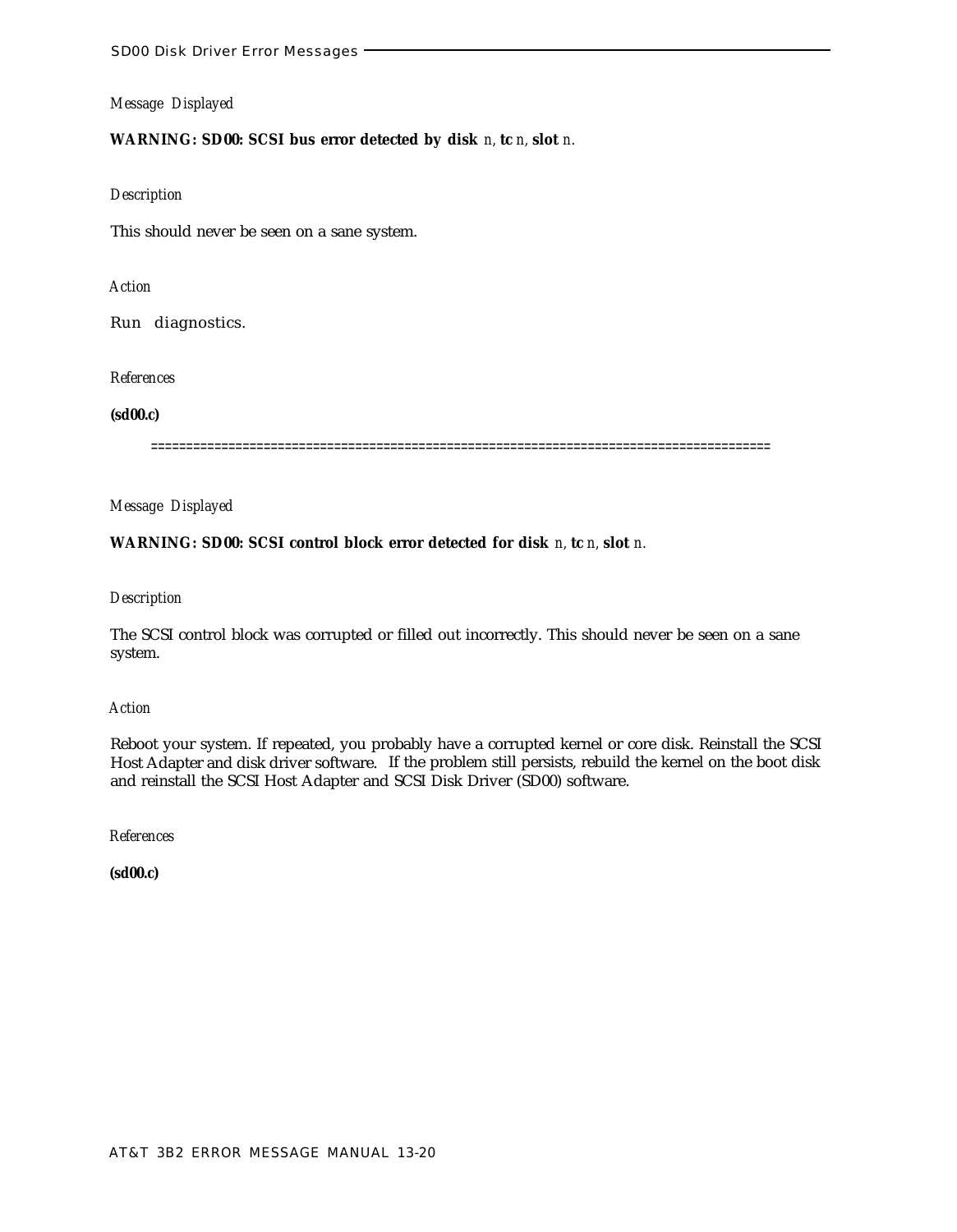# **WARNING: SD00: SCSI bus error detected by disk** *n,* **tc** *n,* **slot** *n.*

#### *Description*

This should never be seen on a sane system.

# *Action*

Run diagnostics.

#### *References*

#### **(sd00.c)**

========================================================================================

*Message Displayed*

# **WARNING: SD00: SCSI control block error detected for disk** *n,* **tc** *n,* **slot** *n.*

#### *Description*

The SCSI control block was corrupted or filled out incorrectly. This should never be seen on a sane system.

#### *Action*

Reboot your system. If repeated, you probably have a corrupted kernel or core disk. Reinstall the SCSI Host Adapter and disk driver software. If the problem still persists, rebuild the kernel on the boot disk and reinstall the SCSI Host Adapter and SCSI Disk Driver (SD00) software.

*References*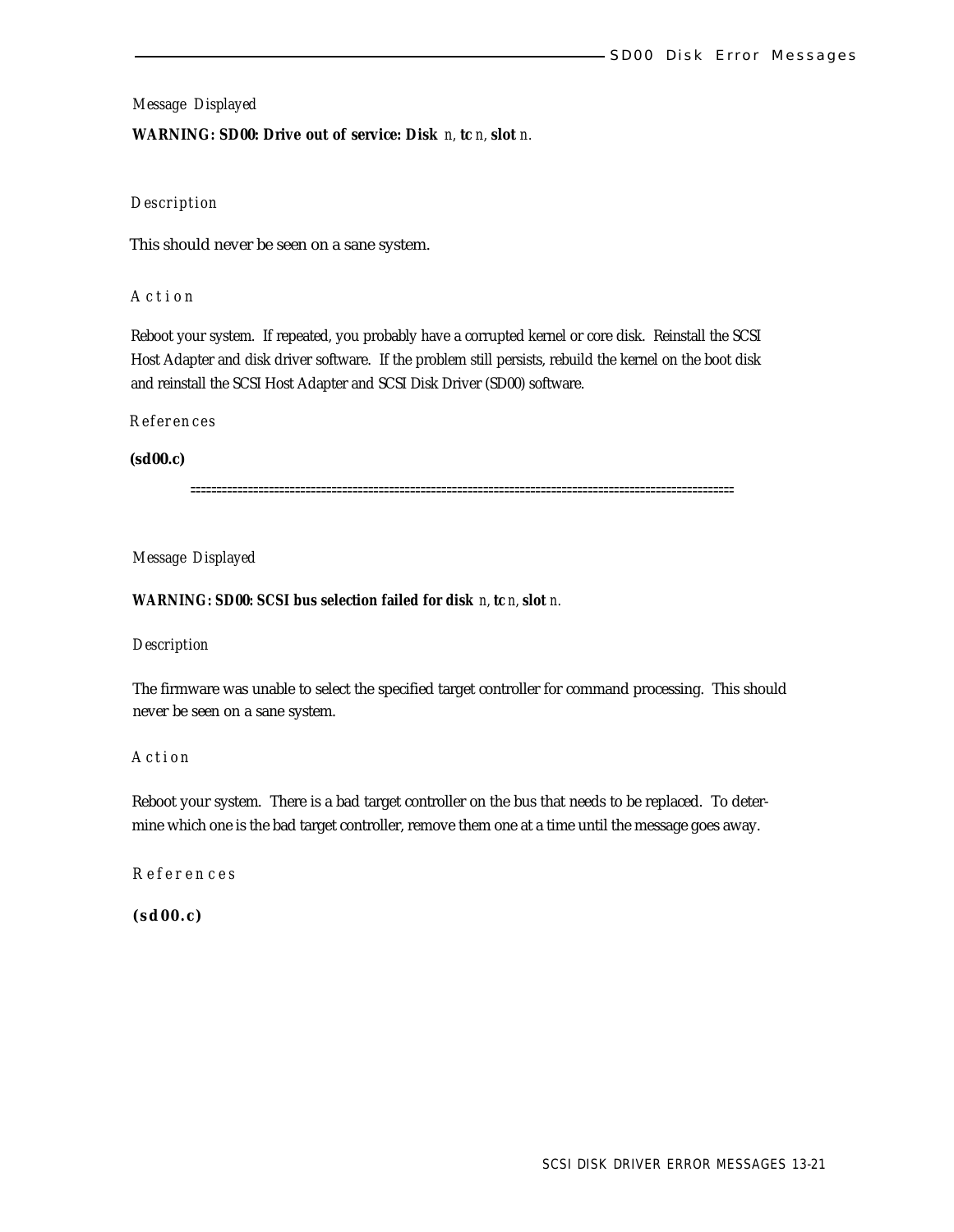#### **WARNING: SD00: Drive out of service: Disk** *n,* **tc** *n,* **slot** *n.*

# *Description*

This should never be seen on a sane system.

## *Actio n*

Reboot your system. If repeated, you probably have a corrupted kernel or core disk. Reinstall the SCSI Host Adapter and disk driver software. If the problem still persists, rebuild the kernel on the boot disk and reinstall the SCSI Host Adapter and SCSI Disk Driver (SD00) software.

# *References*

## **(sd00.c)**

========================================================================================================

# *Message Displayed*

# **WARNING: SD00: SCSI bus selection failed for disk** *n,* **tc** *n,* **slot** *n.*

# *Description*

The firmware was unable to select the specified target controller for command processing. This should never be seen on a sane system.

# *Action*

Reboot your system. There is a bad target controller on the bus that needs to be replaced. To determine which one is the bad target controller, remove them one at a time until the message goes away.

# *Reference s*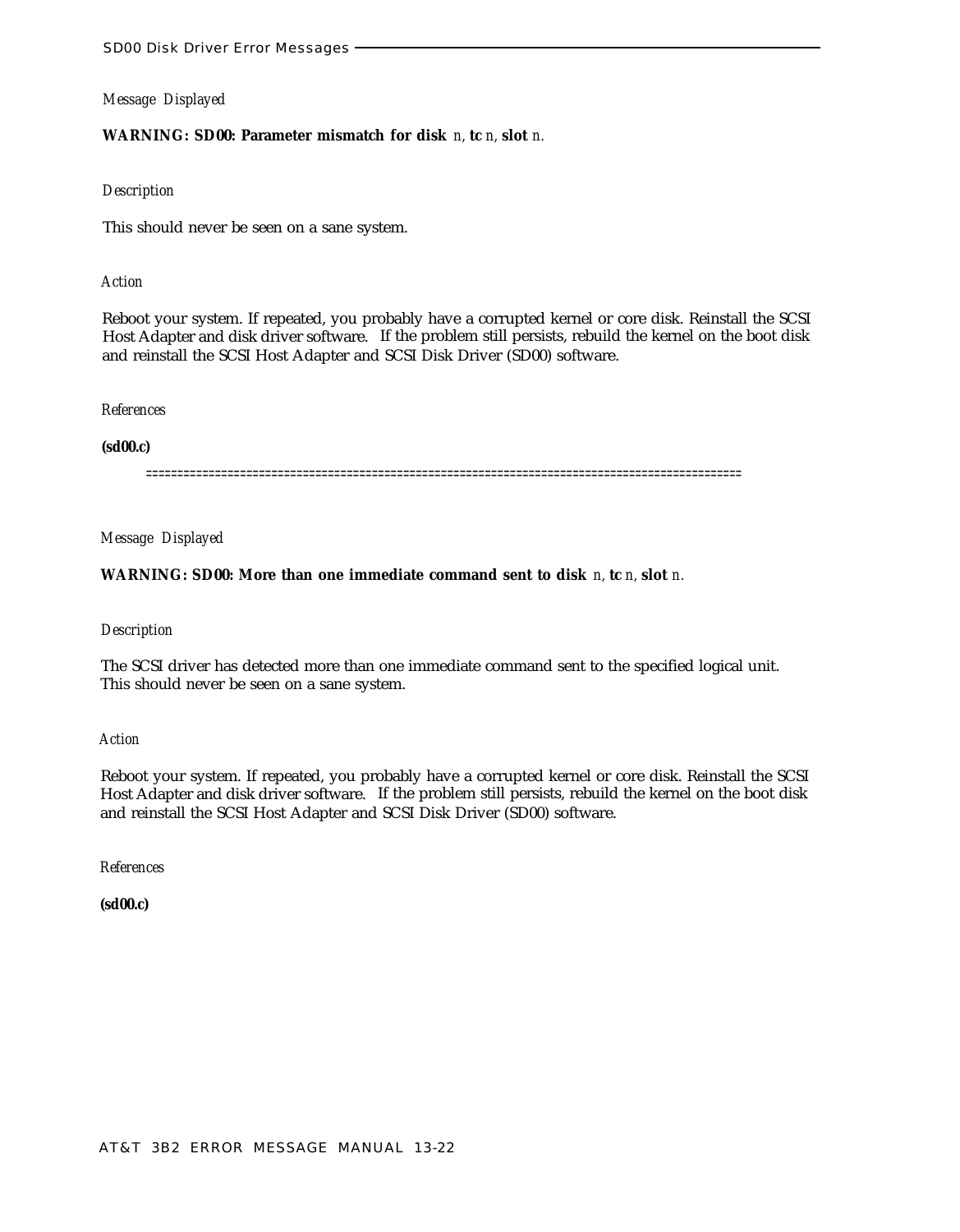# **WARNING: SD00: Parameter mismatch for disk** *n,* **tc** *n,* **slot** *n.*

#### *Description*

This should never be seen on a sane system.

## *Action*

Reboot your system. If repeated, you probably have a corrupted kernel or core disk. Reinstall the SCSI Host Adapter and disk driver software. If the problem still persists, rebuild the kernel on the boot disk and reinstall the SCSI Host Adapter and SCSI Disk Driver (SD00) software.

#### *References*

# **(sd00.c)**

===============================================================================================

# *Message Displayed*

# **WARNING: SD00: More than one immediate command sent to disk** *n,* **tc** *n,* **slot** *n.*

# *Description*

The SCSI driver has detected more than one immediate command sent to the specified logical unit. This should never be seen on a sane system.

#### *Action*

Reboot your system. If repeated, you probably have a corrupted kernel or core disk. Reinstall the SCSI Host Adapter and disk driver software. If the problem still persists, rebuild the kernel on the boot disk and reinstall the SCSI Host Adapter and SCSI Disk Driver (SD00) software.

*References*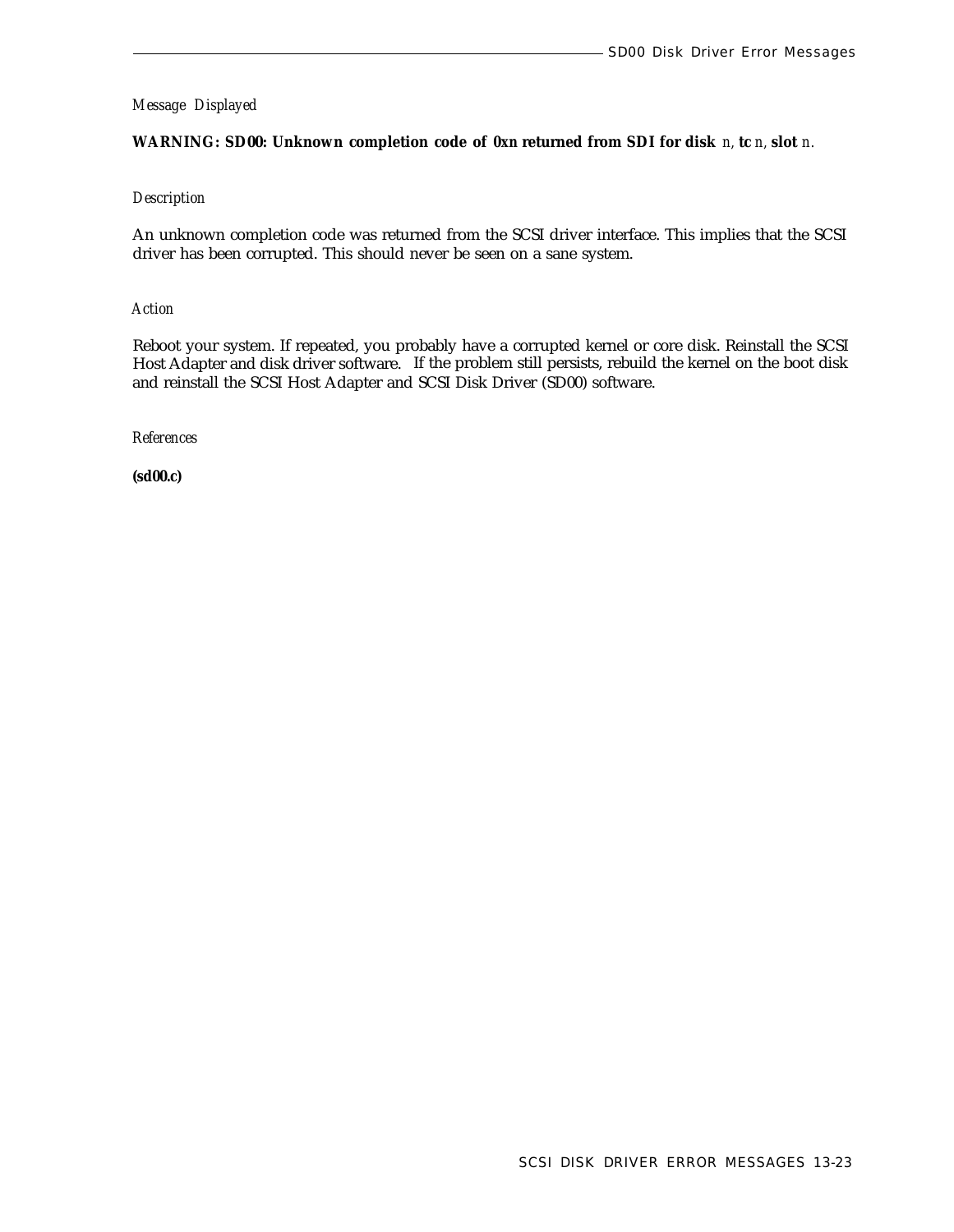# **WARNING: SD00: Unknown completion code of** *0xn* **returned from SDI for disk** *n,* **tc** *n,* **slot** *n.*

# *Description*

An unknown completion code was returned from the SCSI driver interface. This implies that the SCSI driver has been corrupted. This should never be seen on a sane system.

*Action*

Reboot your system. If repeated, you probably have a corrupted kernel or core disk. Reinstall the SCSI Host Adapter and disk driver software. If the problem still persists, rebuild the kernel on the boot disk and reinstall the SCSI Host Adapter and SCSI Disk Driver (SD00) software.

*References*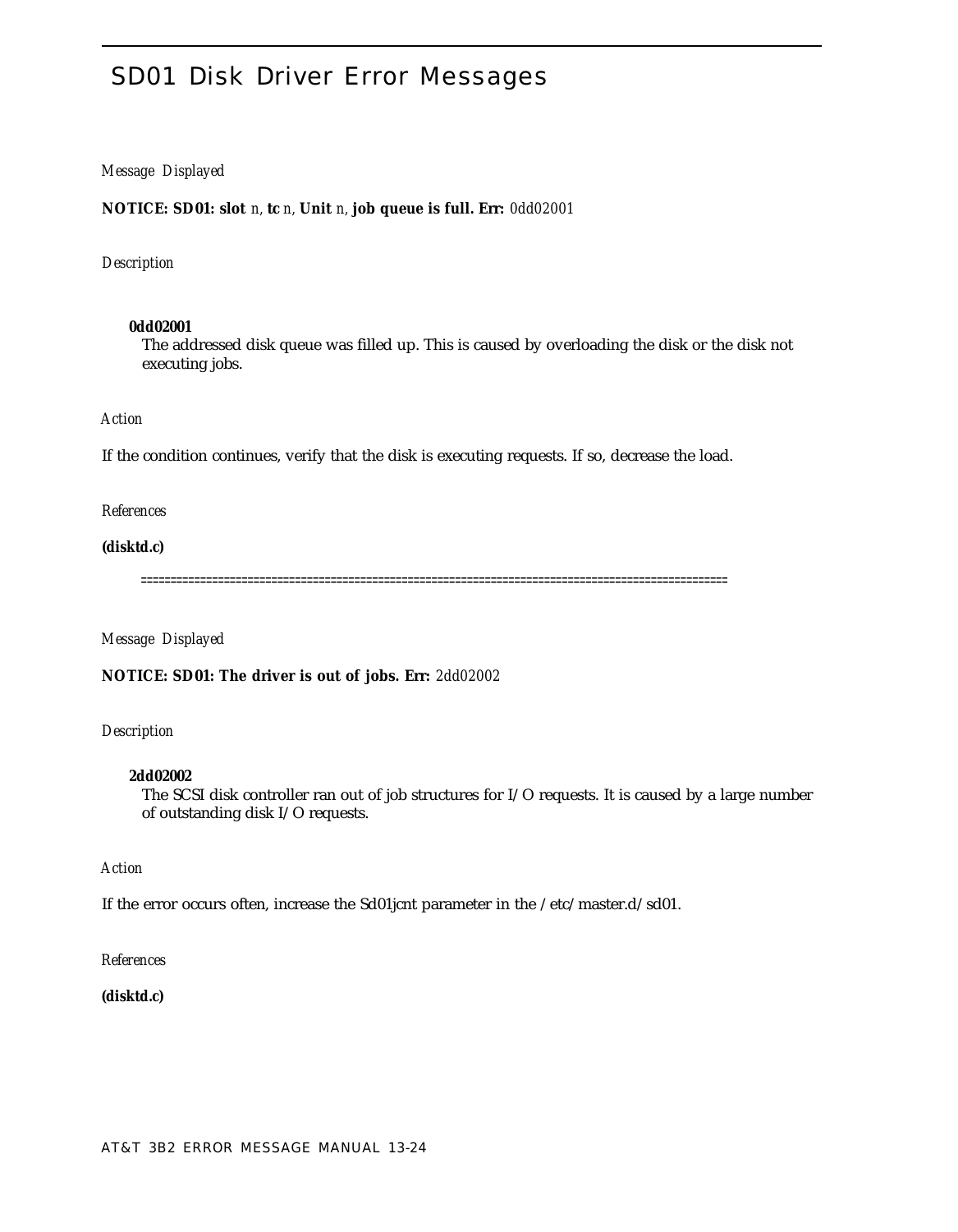# SD01 Disk Driver Error Messages

# *Message Displayed*

**NOTICE: SD01: slot** *n,* **tc** *n,* **Unit** *n,* **job queue is full. Err:** *0dd02001*

# *Description*

#### **0dd02001**

The addressed disk queue was filled up. This is caused by overloading the disk or the disk not executing jobs.

### *Action*

If the condition continues, verify that the disk is executing requests. If so, decrease the load.

#### *References*

# **(disktd.c)**

===================================================================================================

# *Message Displayed*

**NOTICE: SD01: The driver is out of jobs. Err:** *2dd02002*

# *Description*

#### **2dd02002**

The SCSI disk controller ran out of job structures for I/O requests. It is caused by a large number of outstanding disk I/O requests.

# *Action*

If the error occurs often, increase the Sd01jcnt parameter in the /etc/master.d/sd01.

#### *References*

# **(disktd.c)**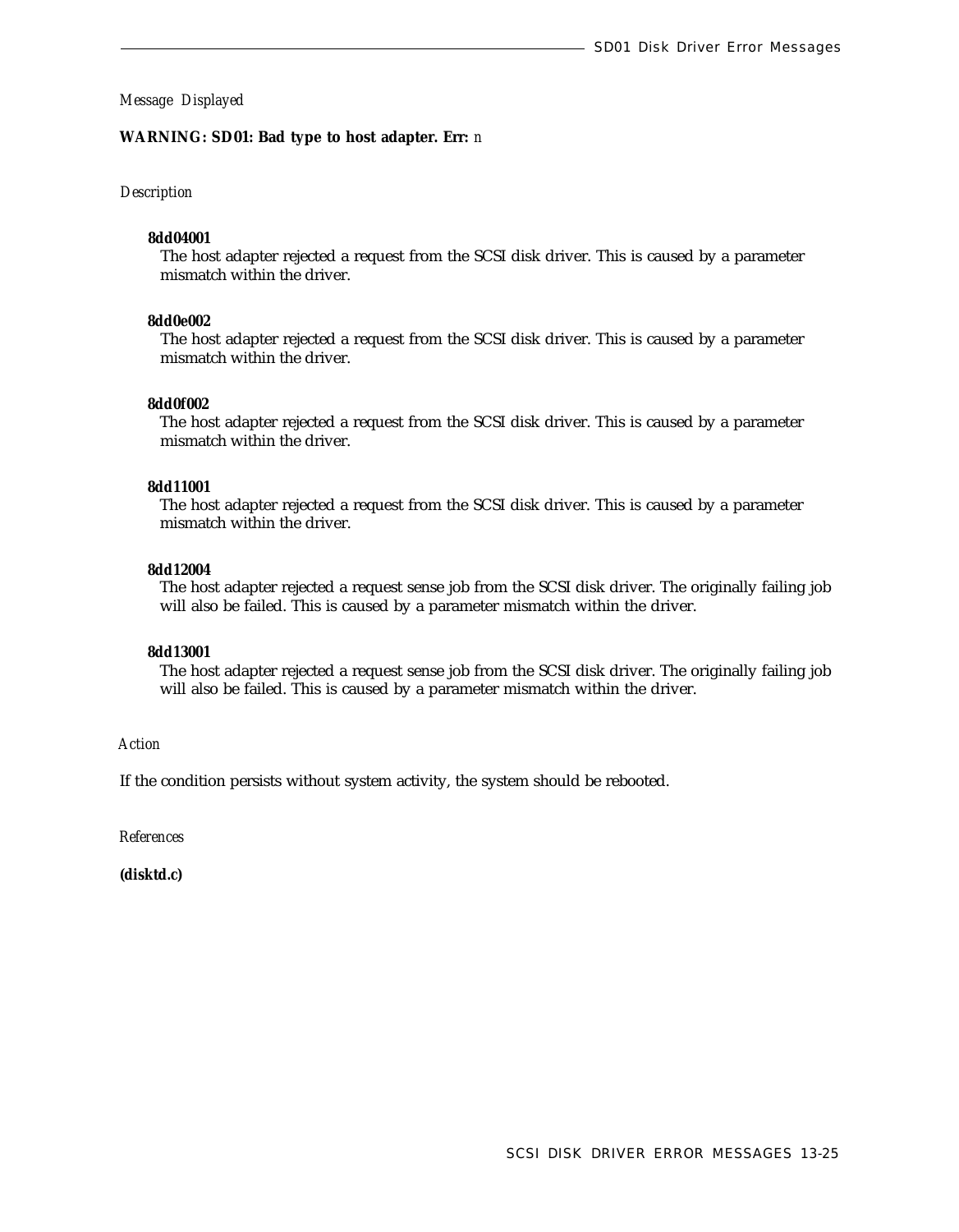#### **WARNING: SD01: Bad type to host adapter. Err:** *n*

#### *Description*

#### **8dd04001**

The host adapter rejected a request from the SCSI disk driver. This is caused by a parameter mismatch within the driver.

#### **8dd0e002**

The host adapter rejected a request from the SCSI disk driver. This is caused by a parameter mismatch within the driver.

## **8dd0f002**

The host adapter rejected a request from the SCSI disk driver. This is caused by a parameter mismatch within the driver.

#### **8dd11001**

The host adapter rejected a request from the SCSI disk driver. This is caused by a parameter mismatch within the driver.

## **8dd12004**

The host adapter rejected a request sense job from the SCSI disk driver. The originally failing job will also be failed. This is caused by a parameter mismatch within the driver.

#### **8dd13001**

The host adapter rejected a request sense job from the SCSI disk driver. The originally failing job will also be failed. This is caused by a parameter mismatch within the driver.

## *Action*

If the condition persists without system activity, the system should be rebooted.

*References*

**(disktd.c)**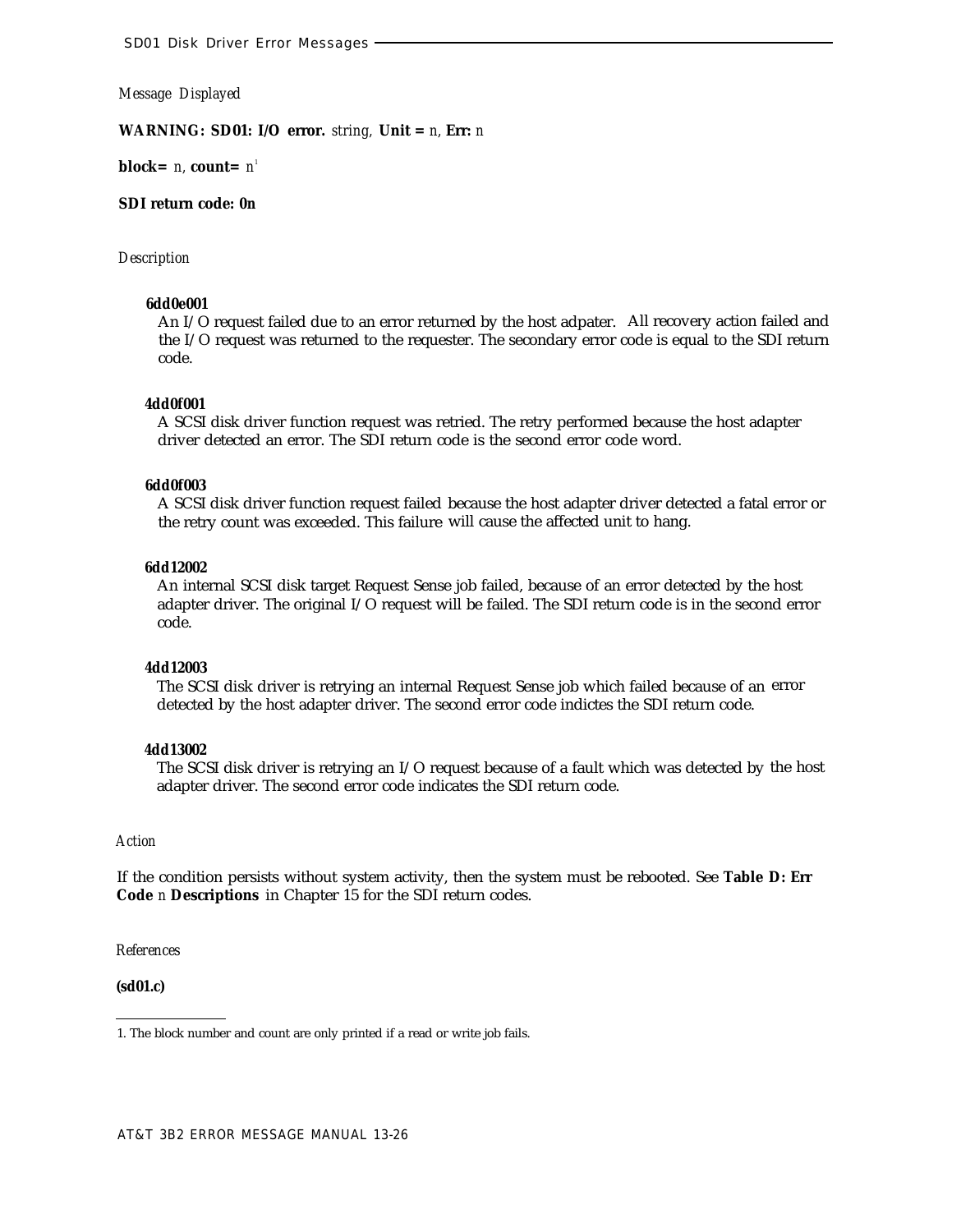**WARNING: SD01: I/O error.** *string,* **Unit =** *n,* **Err:** *n*

**block=** *n,* **count=** *n 1*

# **SDI return code:** *0n*

#### *Description*

# **6dd0e001**

An I/O request failed due to an error returned by the host adpater. All recovery action failed and the I/O request was returned to the requester. The secondary error code is equal to the SDI return code.

#### **4dd0f001**

A SCSI disk driver function request was retried. The retry performed because the host adapter driver detected an error. The SDI return code is the second error code word.

#### **6dd0f003**

A SCSI disk driver function request failed because the host adapter driver detected a fatal error or the retry count was exceeded. This failure will cause the affected unit to hang.

#### **6dd12002**

An internal SCSI disk target Request Sense job failed, because of an error detected by the host adapter driver. The original I/O request will be failed. The SDI return code is in the second error code.

#### **4dd12003**

The SCSI disk driver is retrying an internal Request Sense job which failed because of an error detected by the host adapter driver. The second error code indictes the SDI return code.

#### **4dd13002**

The SCSI disk driver is retrying an I/O request because of a fault which was detected by the host adapter driver. The second error code indicates the SDI return code.

#### *Action*

If the condition persists without system activity, then the system must be rebooted. See **Table D: Err Code** *n* **Descriptions** in Chapter 15 for the SDI return codes.

*References*

**(sd01.c)**

<sup>1.</sup> The block number and count are only printed if a read or write job fails.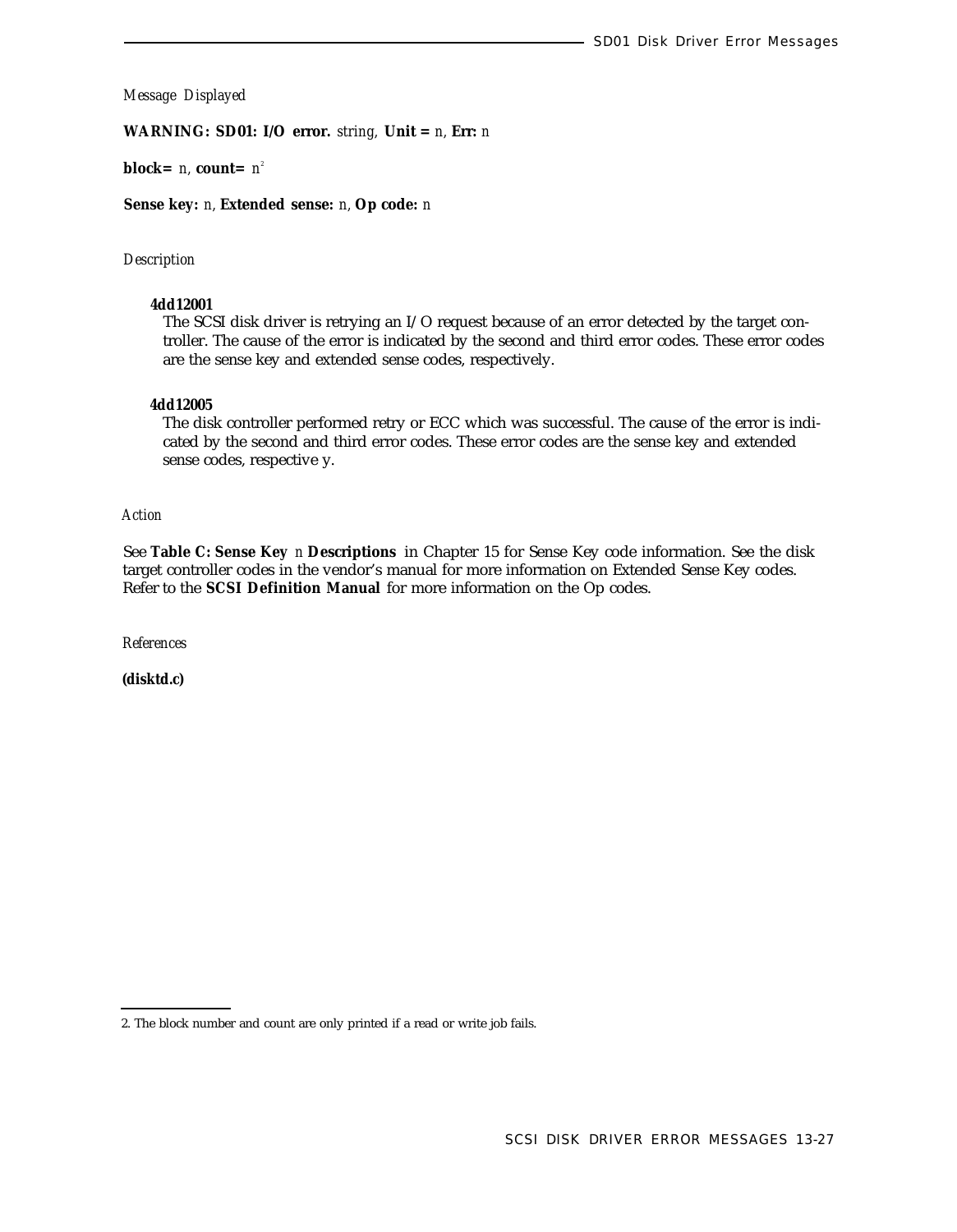**WARNING: SD01: I/O error.** *string,* **Unit =** *n,* **Err:** *n*

**block=** *n,* **count=** *n 2*

**Sense key:** *n,* **Extended sense:** *n,* **Op code:** *n*

# *Description*

### **4dd12001**

The SCSI disk driver is retrying an I/O request because of an error detected by the target controller. The cause of the error is indicated by the second and third error codes. These error codes are the sense key and extended sense codes, respectively.

#### **4dd12005**

The disk controller performed retry or ECC which was successful. The cause of the error is indicated by the second and third error codes. These error codes are the sense key and extended sense codes, respective y.

*Action*

See **Table C: Sense Key** *n* **Descriptions** in Chapter 15 for Sense Key code information. See the disk target controller codes in the vendor's manual for more information on Extended Sense Key codes. Refer to the **SCSI Definition Manual** for more information on the Op codes.

*References*

**(disktd.c)**

<sup>2.</sup> The block number and count are only printed if a read or write job fails.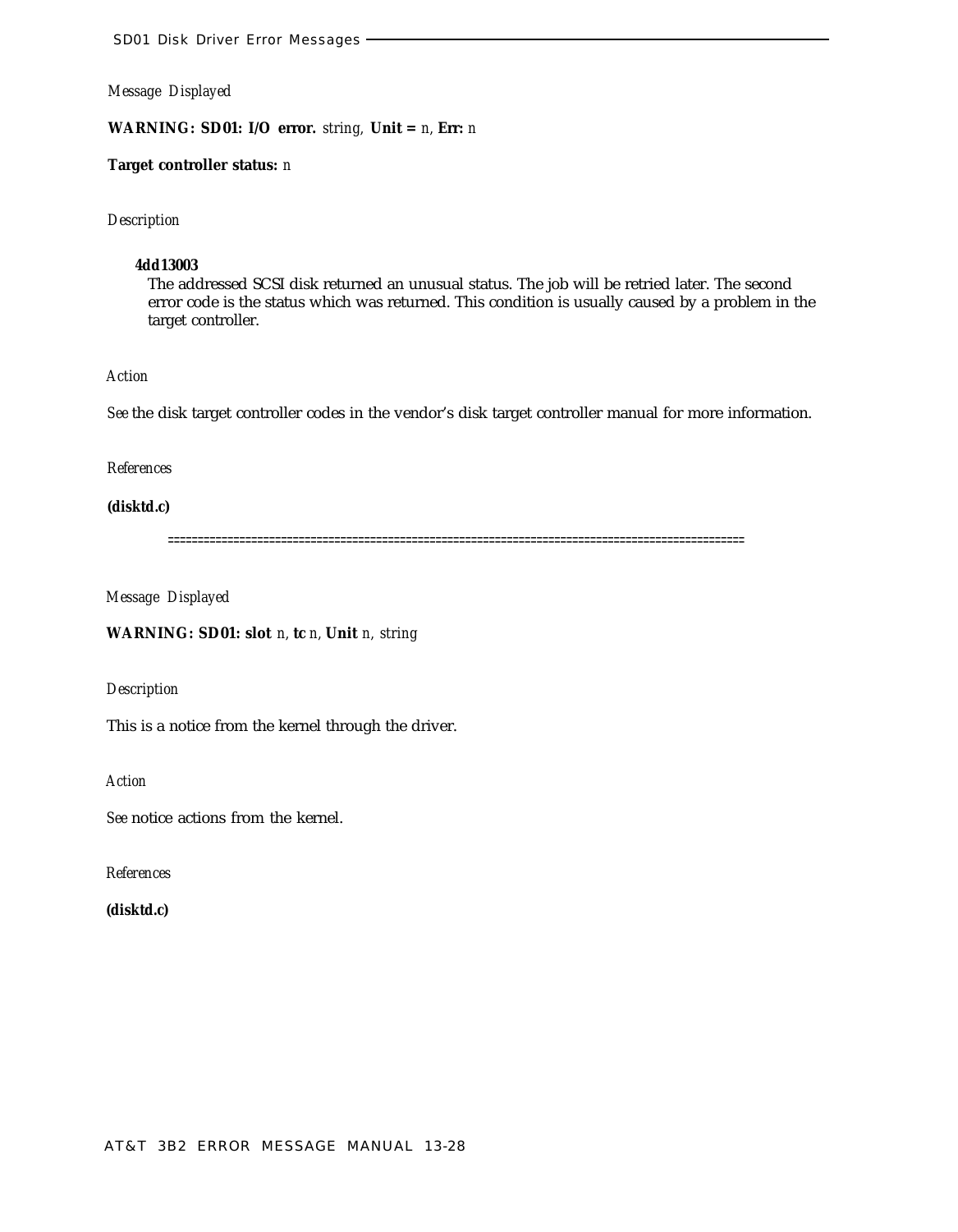**WARNING: SD01: I/O error.** *string,* **Unit =** *n,* **Err:** *n*

**Target controller status:** *n*

*Description*

# **4dd13003**

The addressed SCSI disk returned an unusual status. The job will be retried later. The second error code is the status which was returned. This condition is usually caused by a problem in the target controller.

# *Action*

*See* the disk target controller codes in the vendor's disk target controller manual for more information.

*References*

**(disktd.c)**

=================================================================================================

*Message Displayed*

**WARNING: SD01: slot** *n,* **tc** *n,* **Unit** *n, string*

*Description*

This is a notice from the kernel through the driver.

*Action*

*See* notice actions from the kernel.

*References*

**(disktd.c)**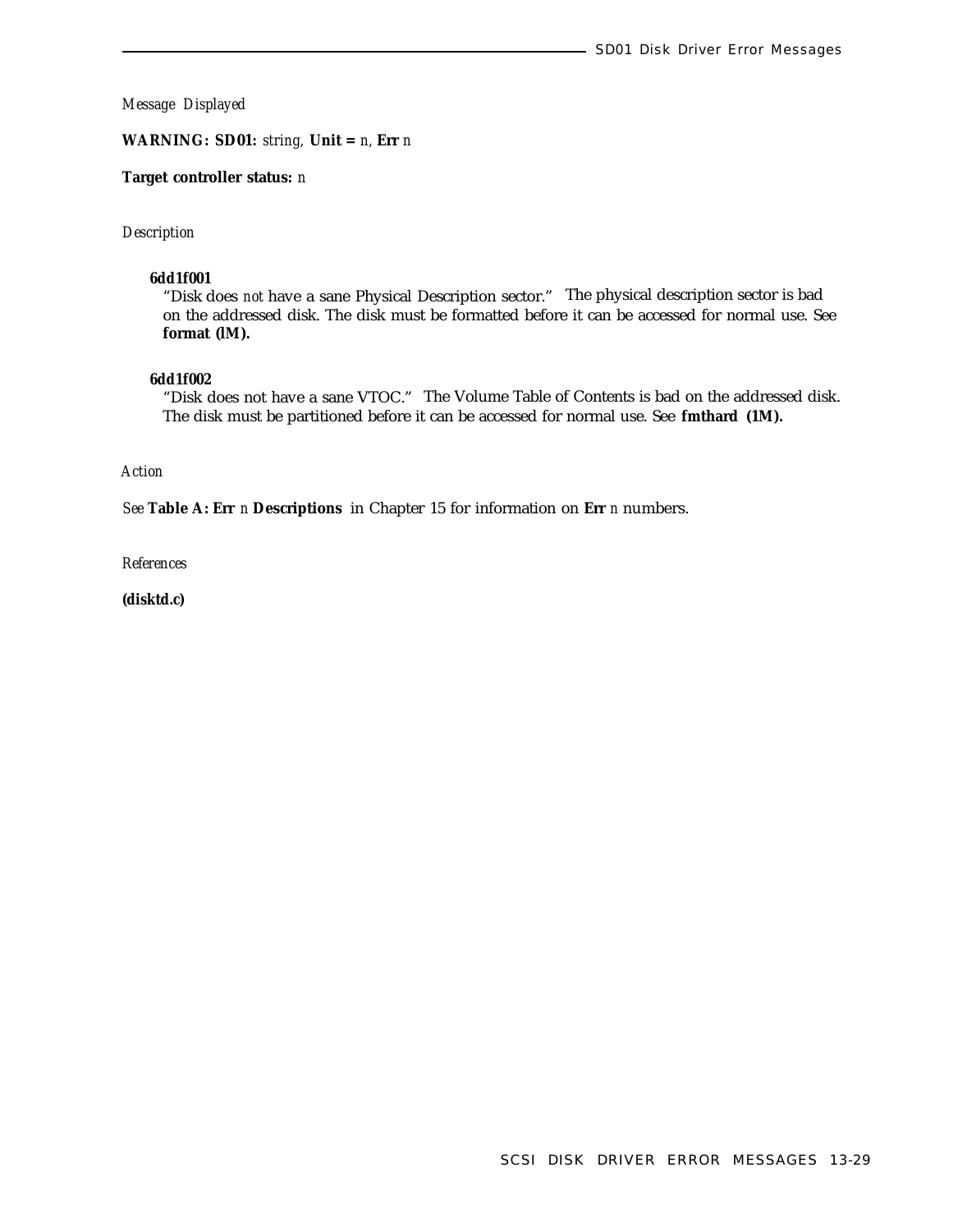**WARNING: SD01:** *string,* **Unit =** *n,* **Err** *n*

### **Target controller status:** *n*

#### *Description*

#### **6dd1f001**

"Disk does *not* have a sane Physical Description sector." The physical description sector is bad on the addressed disk. The disk must be formatted before it can be accessed for normal use. See **format (lM).**

# **6dd1f002**

"Disk does not have a sane VTOC." The Volume Table of Contents is bad on the addressed disk. The disk must be partitioned before it can be accessed for normal use. See **fmthard (1M).**

# *Action*

*See* **Table A: Err** *n* **Descriptions** in Chapter 15 for information on **Err** *n* numbers.

*References*

**(disktd.c)**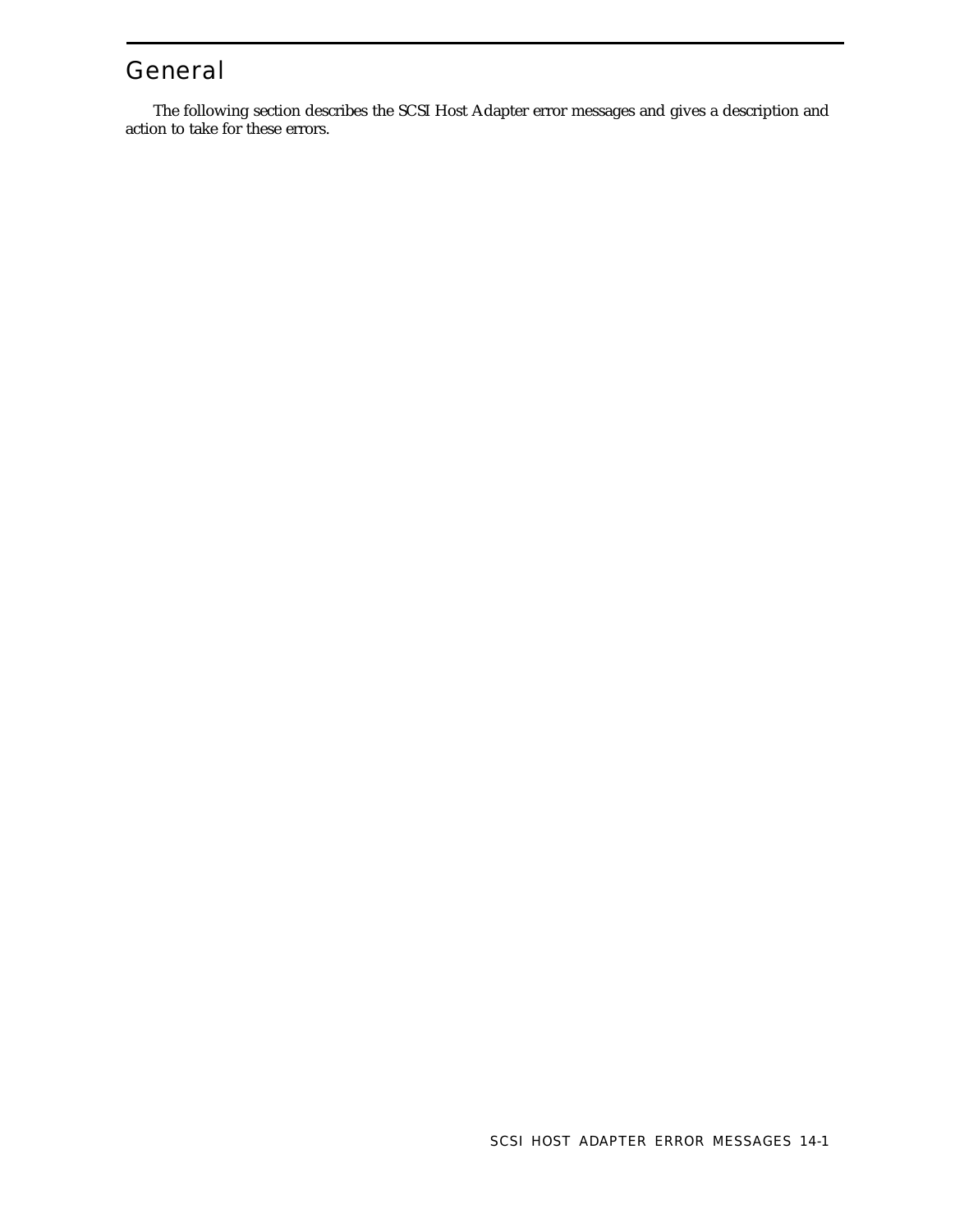# General

The following section describes the SCSI Host Adapter error messages and gives a description and action to take for these errors.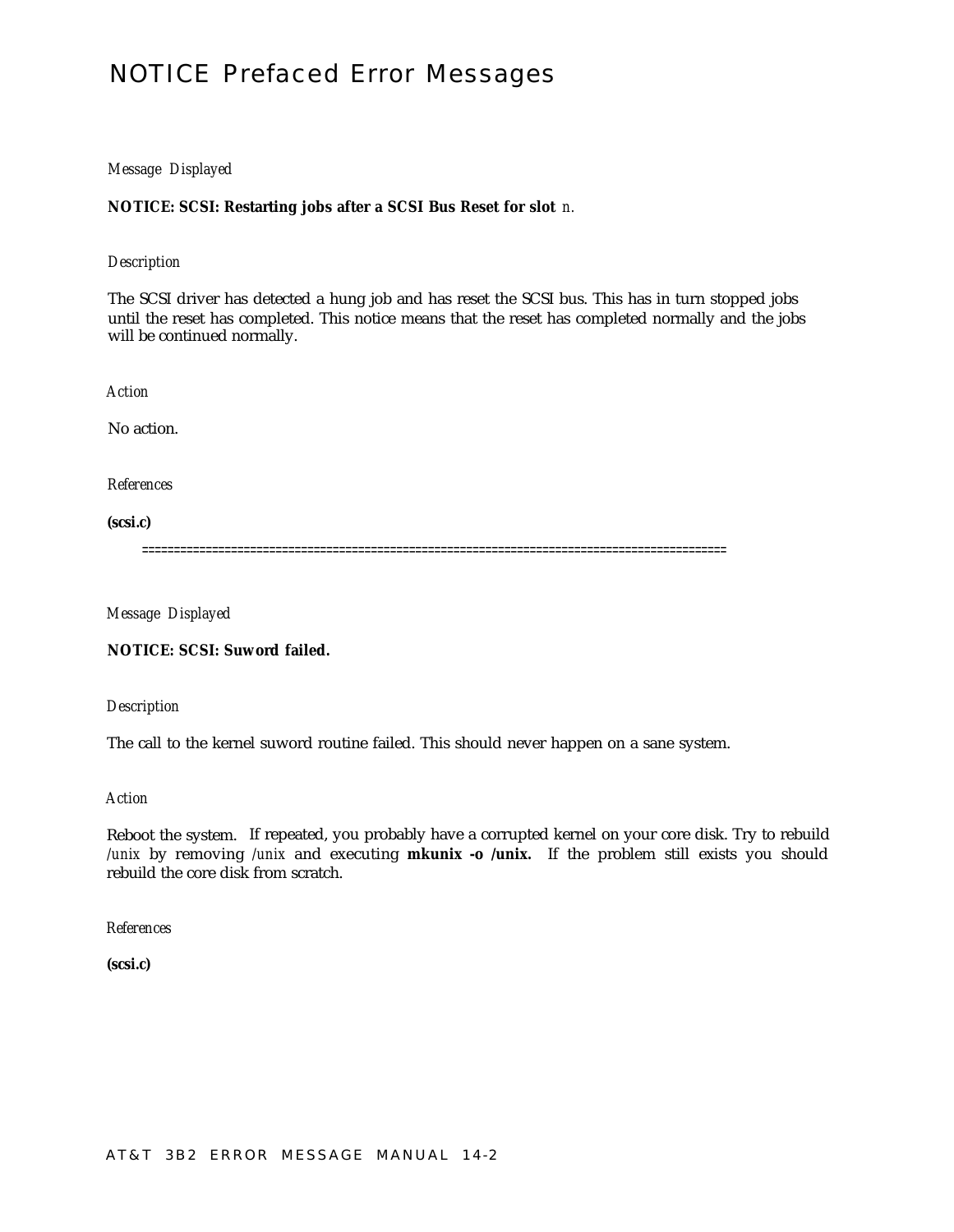# NOTICE Prefaced Error Messages

# *Message Displayed*

# **NOTICE: SCSI: Restarting jobs after a SCSI Bus Reset for slot** *n.*

### *Description*

The SCSI driver has detected a hung job and has reset the SCSI bus. This has in turn stopped jobs until the reset has completed. This notice means that the reset has completed normally and the jobs will be continued normally.

*Action*

No action.

*References*

**(scsi.c)**

============================================================================================

*Message Displayed*

**NOTICE: SCSI: Suword failed.**

*Description*

The call to the kernel suword routine failed. This should never happen on a sane system.

*Action*

Reboot the system. If repeated, you probably have a corrupted kernel on your core disk. Try to rebuild */unix* by removing */unix* and executing **mkunix -o /unix.** If the problem still exists you should rebuild the core disk from scratch.

*References*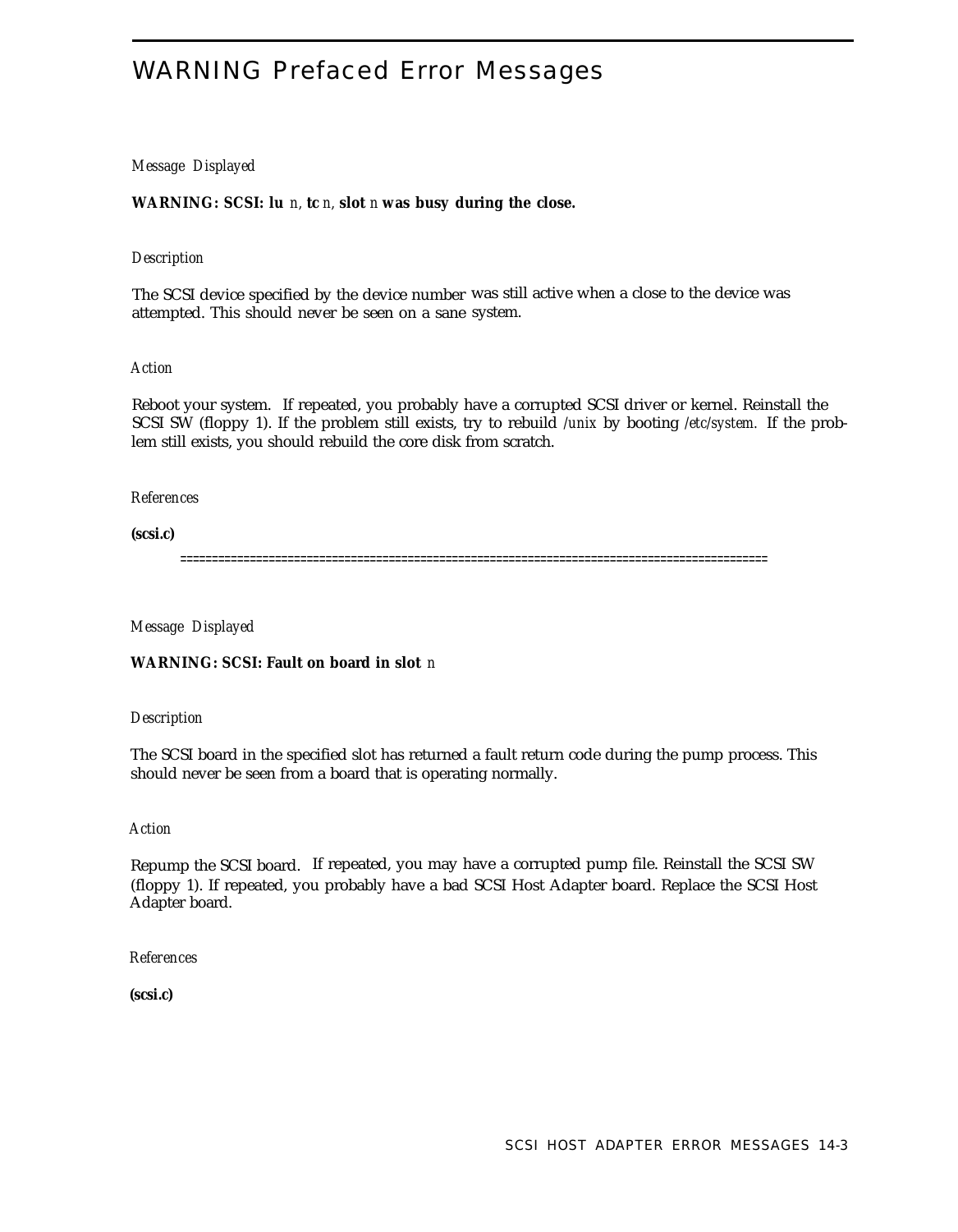# WARNING Prefaced Error Messages

# *Message Displayed*

**WARNING: SCSI: lu** *n,* **tc** *n,* **slot** *n* **was busy during the close.**

### *Description*

The SCSI device specified by the device number was still active when a close to the device was attempted. This should never be seen on a sane system.

### *Action*

Reboot your system. If repeated, you probably have a corrupted SCSI driver or kernel. Reinstall the SCSI SW (floppy 1). If the problem still exists, try to rebuild */unix* by booting */etc/system.* If the problem still exists, you should rebuild the core disk from scratch.

### *References*

**(scsi.c)**

=============================================================================================

*Message Displayed*

**WARNING: SCSI: Fault on board in slot** *n*

*Description*

The SCSI board in the specified slot has returned a fault return code during the pump process. This should never be seen from a board that is operating normally.

### *Action*

Repump the SCSI board. If repeated, you may have a corrupted pump file. Reinstall the SCSI SW (floppy 1). If repeated, you probably have a bad SCSI Host Adapter board. Replace the SCSI Host Adapter board.

*References*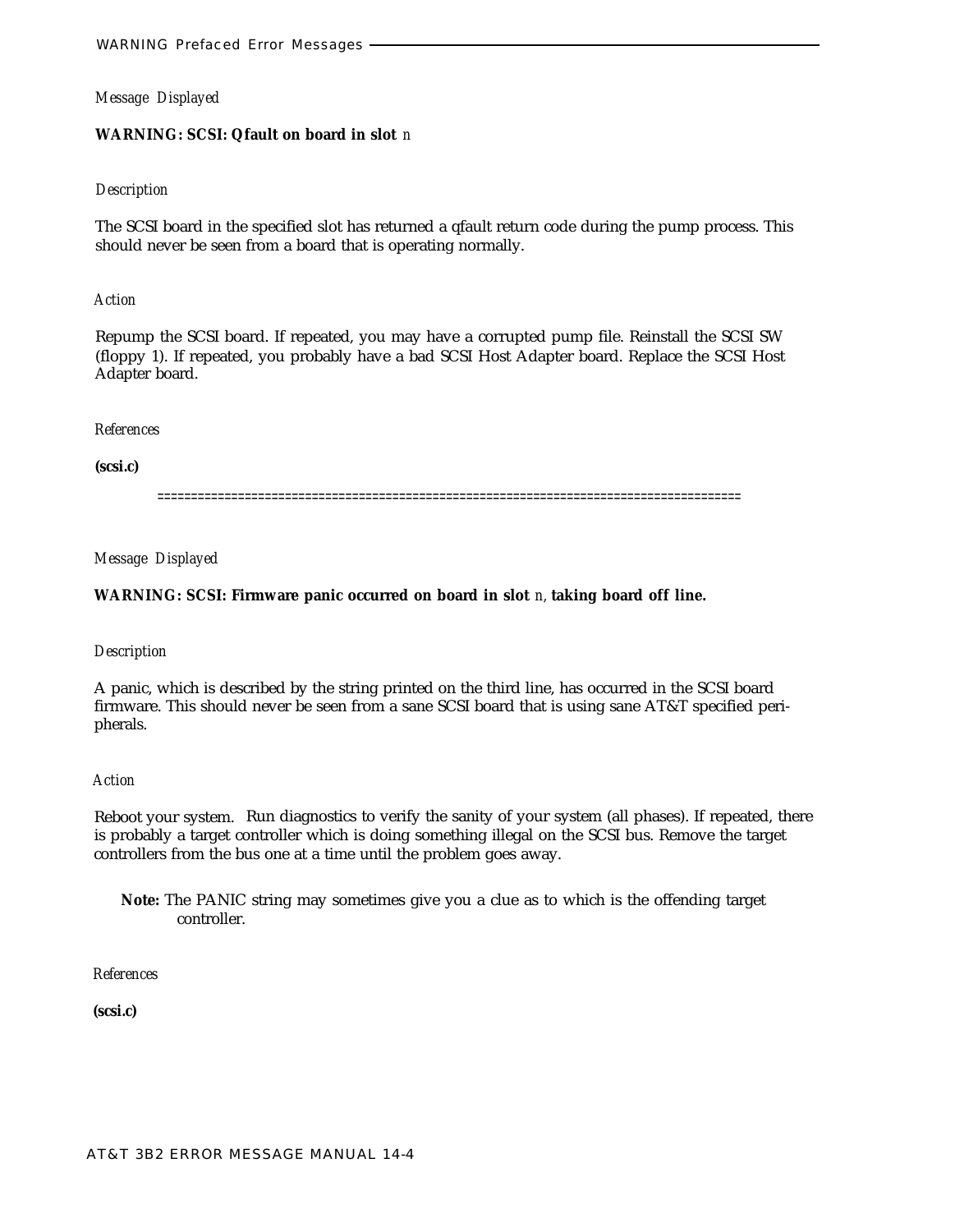### **WARNING: SCSI: Qfault on board in slot** *n*

# *Description*

The SCSI board in the specified slot has returned a qfault return code during the pump process. This should never be seen from a board that is operating normally.

# *Action*

Repump the SCSI board. If repeated, you may have a corrupted pump file. Reinstall the SCSI SW (floppy 1). If repeated, you probably have a bad SCSI Host Adapter board. Replace the SCSI Host Adapter board.

# *References*

**(scsi.c)**

=======================================================================================

# *Message Displayed*

# **WARNING: SCSI: Firmware panic occurred on board in slot** *n,* **taking board off line.**

### *Description*

A panic, which is described by the string printed on the third line, has occurred in the SCSI board firmware. This should never be seen from a sane SCSI board that is using sane AT&T specified peripherals.

### *Action*

Reboot your system. Run diagnostics to verify the sanity of your system (all phases). If repeated, there is probably a target controller which is doing something illegal on the SCSI bus. Remove the target controllers from the bus one at a time until the problem goes away.

**Note:** The PANIC string may sometimes give you a clue as to which is the offending target controller.

# *References*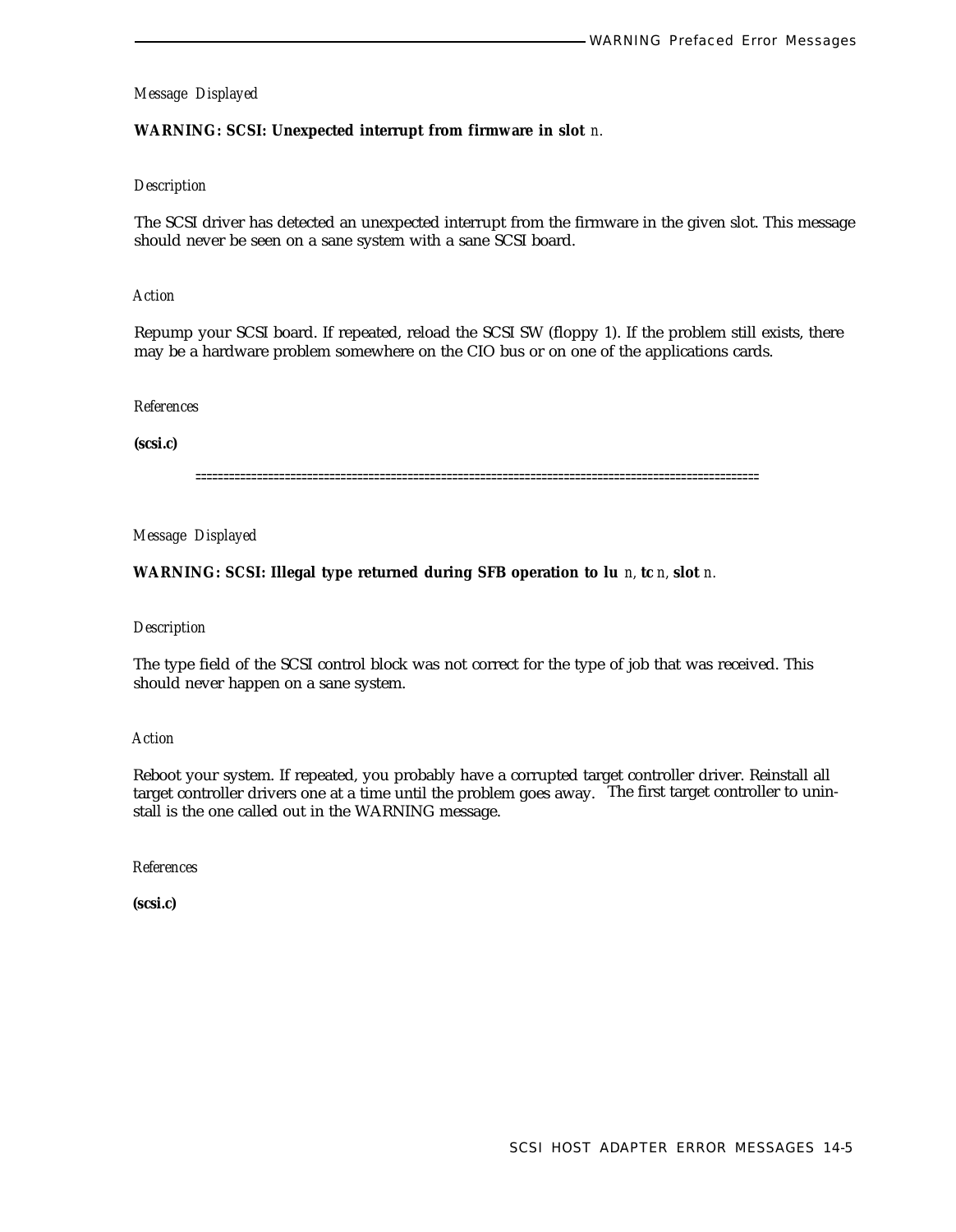# **WARNING: SCSI: Unexpected interrupt from firmware in slot** *n.*

# *Description*

The SCSI driver has detected an unexpected interrupt from the firmware in the given slot. This message should never be seen on a sane system with a sane SCSI board.

### *Action*

Repump your SCSI board. If repeated, reload the SCSI SW (floppy 1). If the problem still exists, there may be a hardware problem somewhere on the CIO bus or on one of the applications cards.

#### *References*

**(scsi.c)**

=====================================================================================================

*Message Displayed*

#### **WARNING: SCSI: Illegal type returned during SFB operation to lu** *n,* **tc** *n,* **slot** *n.*

#### *Description*

The type field of the SCSI control block was not correct for the type of job that was received. This should never happen on a sane system.

### *Action*

Reboot your system. If repeated, you probably have a corrupted target controller driver. Reinstall all target controller drivers one at a time until the problem goes away. The first target controller to uninstall is the one called out in the WARNING message.

*References*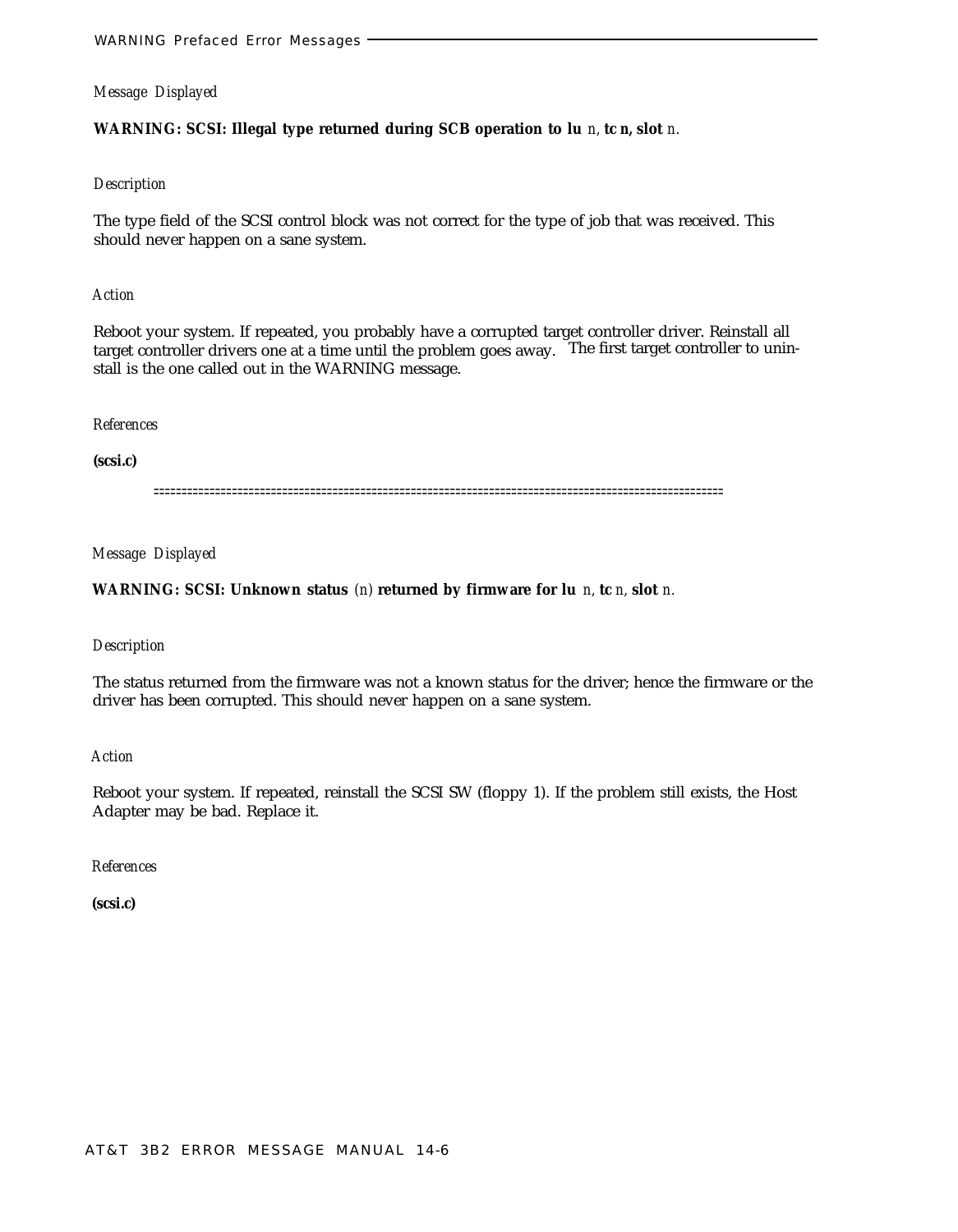# **WARNING: SCSI: Illegal type returned during SCB operation to lu** *n,* **tc** *n,* **slot** *n.*

# *Description*

The type field of the SCSI control block was not correct for the type of job that was received. This should never happen on a sane system.

#### *Action*

Reboot your system. If repeated, you probably have a corrupted target controller driver. Reinstall all target controller drivers one at a time until the problem goes away. The first target controller to uninstall is the one called out in the WARNING message.

### *References*

### **(scsi.c)**

======================================================================================================

#### *Message Displayed*

# **WARNING: SCSI: Unknown status** *(n)* **returned by firmware for lu** *n,* **tc** *n,* **slot** *n.*

#### *Description*

The status returned from the firmware was not a known status for the driver; hence the firmware or the driver has been corrupted. This should never happen on a sane system.

# *Action*

Reboot your system. If repeated, reinstall the SCSI SW (floppy 1). If the problem still exists, the Host Adapter may be bad. Replace it.

### *References*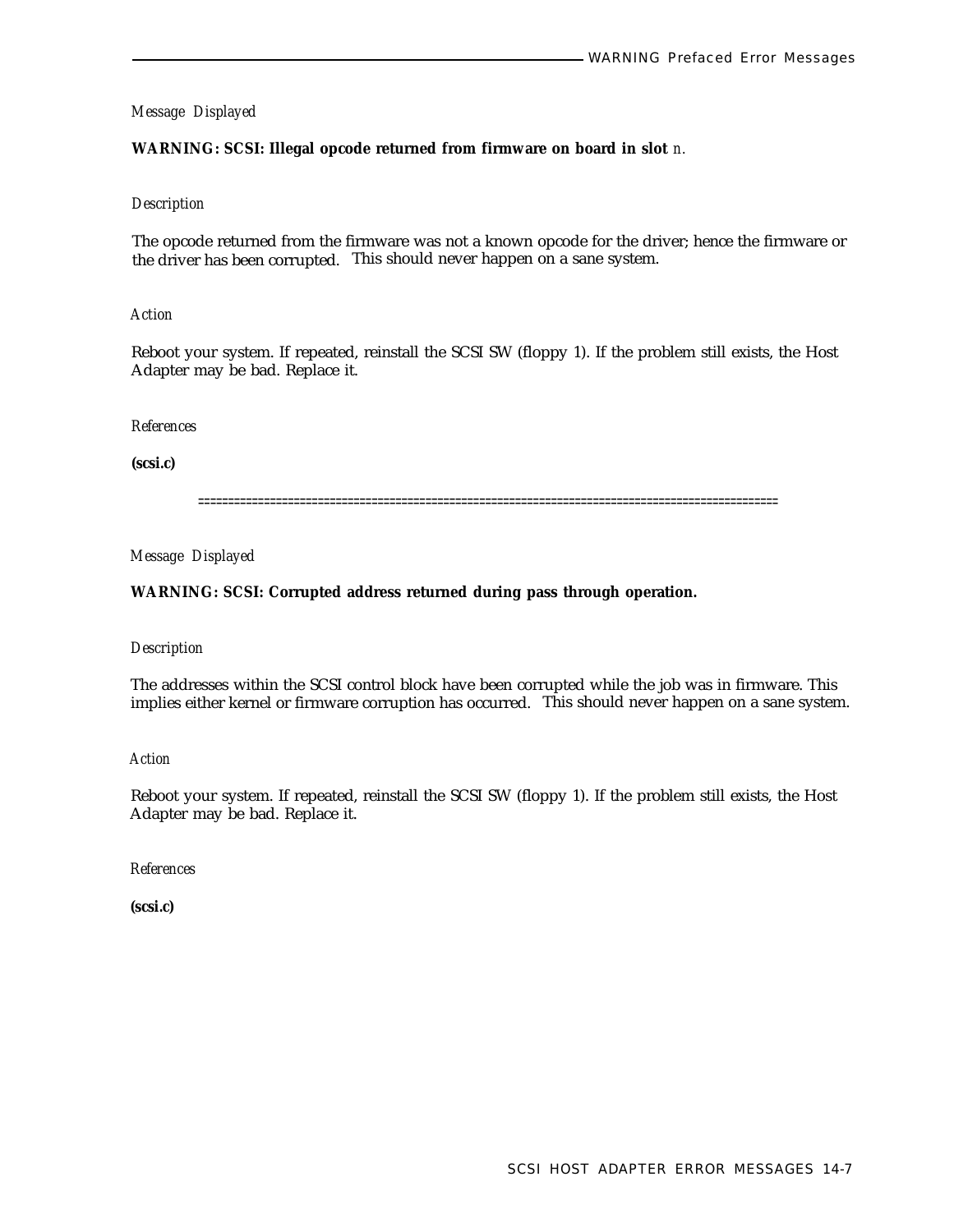# **WARNING: SCSI: Illegal opcode returned from firmware on board in slot** *n.*

### *Description*

The opcode returned from the firmware was not a known opcode for the driver; hence the firmware or the driver has been corrupted. This should never happen on a sane system.

### *Action*

Reboot your system. If repeated, reinstall the SCSI SW (floppy 1). If the problem still exists, the Host Adapter may be bad. Replace it.

### *References*

**(scsi.c)**

=================================================================================================

*Message Displayed*

# **WARNING: SCSI: Corrupted address returned during pass through operation.**

### *Description*

The addresses within the SCSI control block have been corrupted while the job was in firmware. This implies either kernel or firmware corruption has occurred. This should never happen on a sane system.

*Action*

Reboot your system. If repeated, reinstall the SCSI SW (floppy 1). If the problem still exists, the Host Adapter may be bad. Replace it.

*References*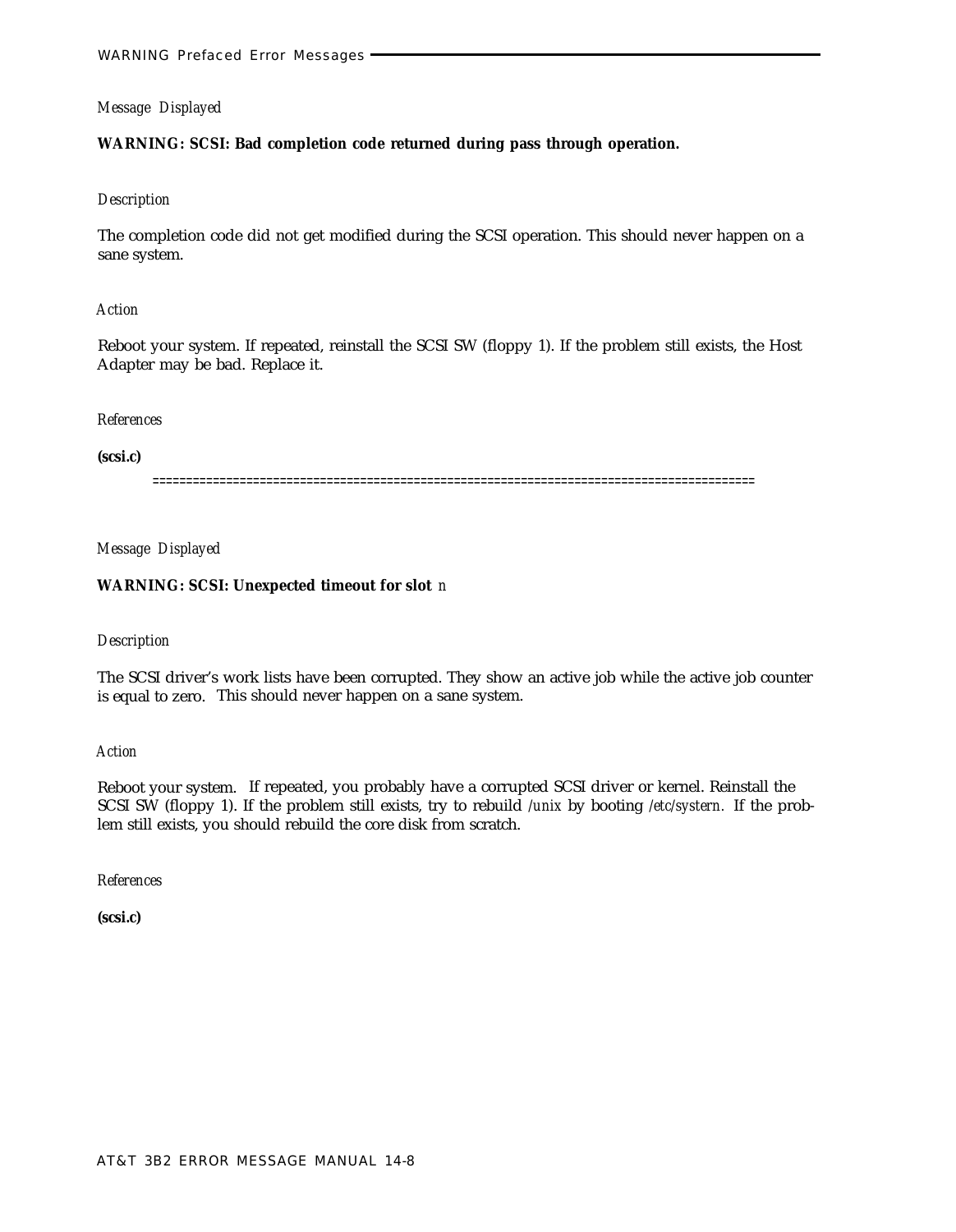# **WARNING: SCSI: Bad completion code returned during pass through operation.**

# *Description*

The completion code did not get modified during the SCSI operation. This should never happen on a sane system.

# *Action*

Reboot your system. If repeated, reinstall the SCSI SW (floppy 1). If the problem still exists, the Host Adapter may be bad. Replace it.

# *References*

**(scsi.c)**

==========================================================================================

*Message Displayed*

# **WARNING: SCSI: Unexpected timeout for slot** *n*

# *Description*

The SCSI driver's work lists have been corrupted. They show an active job while the active job counter is equal to zero. This should never happen on a sane system.

*Action*

Reboot your system. If repeated, you probably have a corrupted SCSI driver or kernel. Reinstall the SCSI SW (floppy 1). If the problem still exists, try to rebuild */unix* by booting */etc/systern.* If the problem still exists, you should rebuild the core disk from scratch.

*References*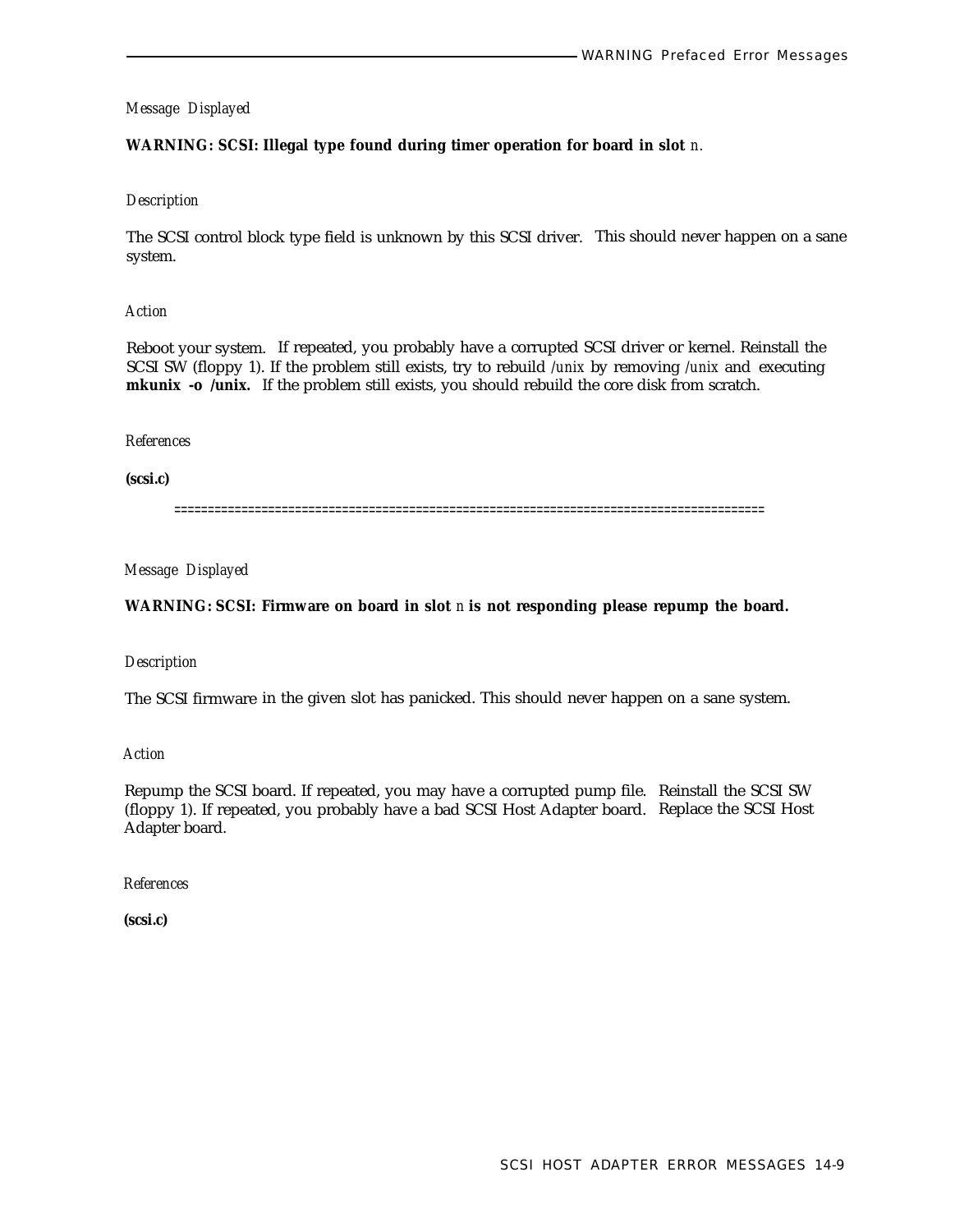# **WARNING: SCSI: Illegal type found during timer operation for board in slot** *n.*

### *Description*

The SCSI control block type field is unknown by this SCSI driver. This should never happen on a sane system.

# *Action*

Reboot your system. If repeated, you probably have a corrupted SCSI driver or kernel. Reinstall the SCSI SW (floppy 1). If the problem still exists, try to rebuild */unix* by removing */unix* and executing **mkunix -o /unix.** If the problem still exists, you should rebuild the core disk from scratch.

### *References*

**(scsi.c)**

========================================================================================

# *Message Displayed*

# **WARNING: SCSI: Firmware on board in slot** *n* **is not responding please repump the board.**

# *Description*

The SCSI firmware in the given slot has panicked. This should never happen on a sane system.

*Action*

Repump the SCSI board. If repeated, you may have a corrupted pump file. Reinstall the SCSI SW (floppy 1). If repeated, you probably have a bad SCSI Host Adapter board. Replace the SCSI Host Adapter board.

### *References*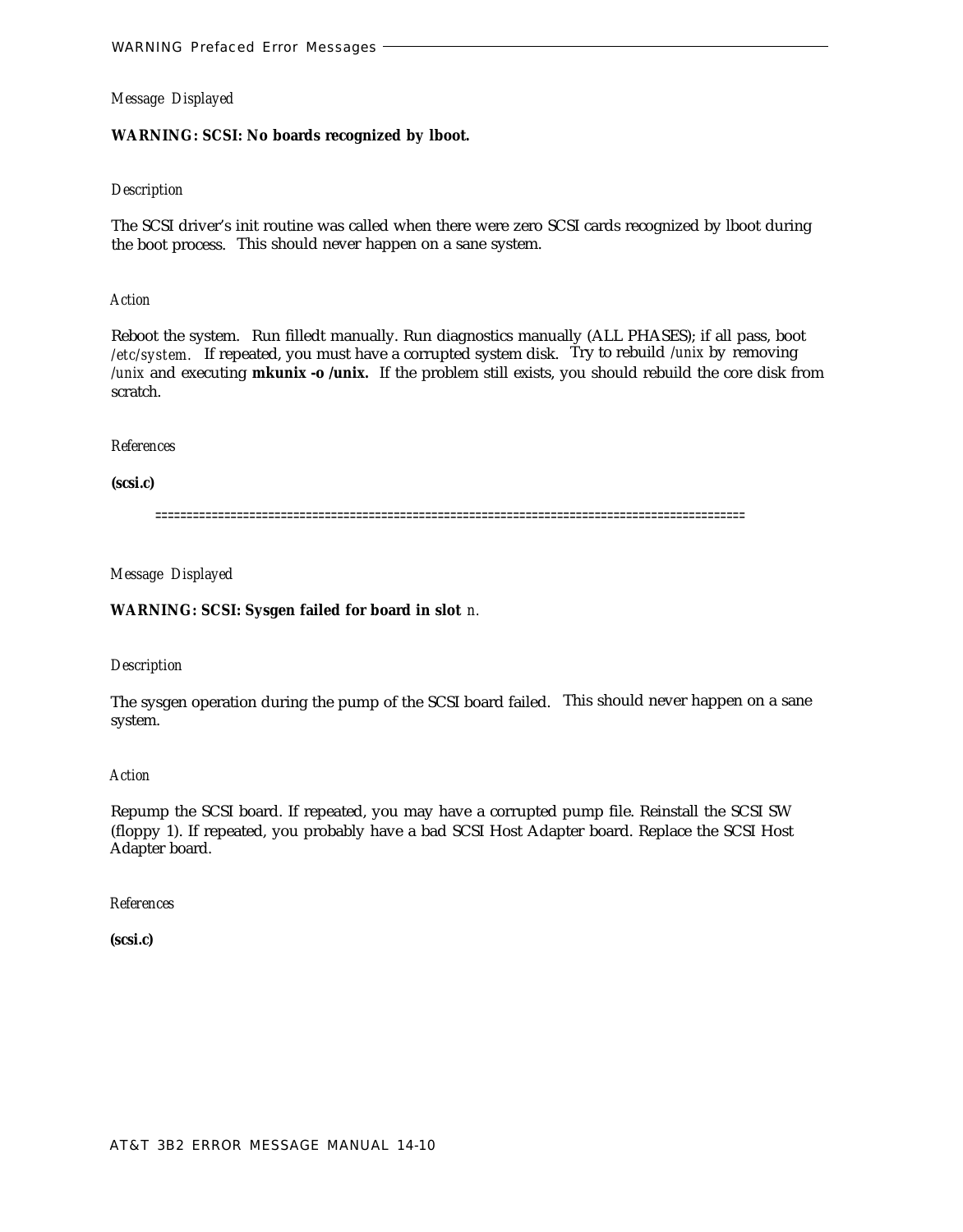# **WARNING: SCSI: No boards recognized by lboot.**

# *Description*

The SCSI driver's init routine was called when there were zero SCSI cards recognized by lboot during the boot process. This should never happen on a sane system.

### *Action*

Reboot the system. Run filledt manually. Run diagnostics manually (ALL PHASES); if all pass, boot /etc/system. If repeated, you must have a corrupted system disk. Try to rebuild /unix by removing */unix* and executing **mkunix -o /unix.** If the problem still exists, you should rebuild the core disk from scratch.

### *References*

**(scsi.c)**

==============================================================================================

*Message Displayed*

# **WARNING: SCSI: Sysgen failed for board in slot** *n.*

*Description*

The sysgen operation during the pump of the SCSI board failed. This should never happen on a sane system.

*Action*

Repump the SCSI board. If repeated, you may have a corrupted pump file. Reinstall the SCSI SW (floppy 1). If repeated, you probably have a bad SCSI Host Adapter board. Replace the SCSI Host Adapter board.

*References*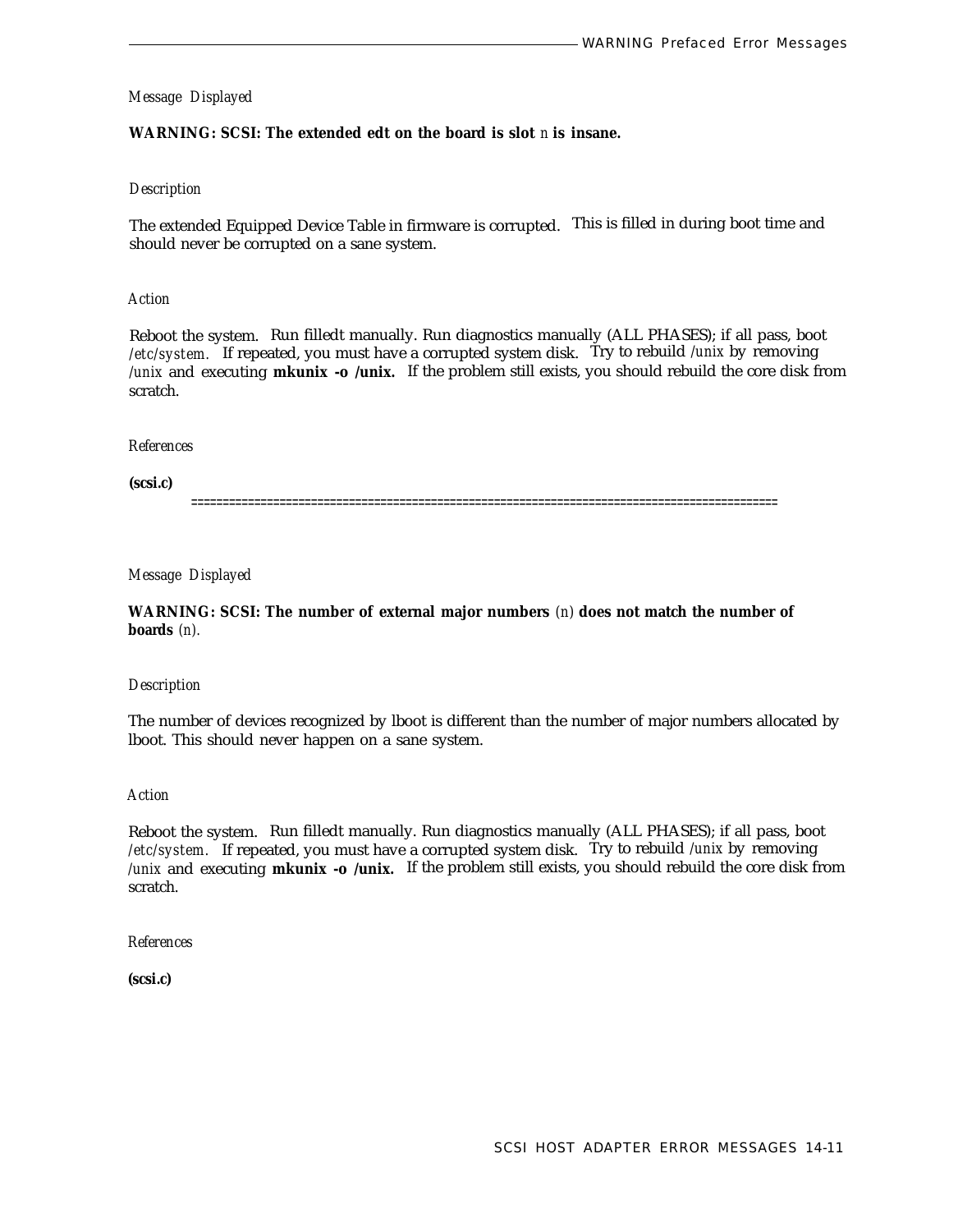# **WARNING: SCSI: The extended edt on the board is slot** *n* **is insane.**

### *Description*

The extended Equipped Device Table in firmware is corrupted. This is filled in during boot time and should never be corrupted on a sane system.

#### *Action*

Reboot the system. Run filledt manually. Run diagnostics manually (ALL PHASES); if all pass, boot */etc/system.* If repeated, you must have a corrupted system disk. Try to rebuild */unix* by removing */unix* and executing **mkunix -o /unix.** If the problem still exists, you should rebuild the core disk from scratch.

### *References*

**(scsi.c)**

=============================================================================================

*Message Displayed*

**WARNING: SCSI: The number of external major numbers** *(n)* **does not match the number of boards** *(n).*

### *Description*

The number of devices recognized by lboot is different than the number of major numbers allocated by lboot. This should never happen on a sane system.

# *Action*

Reboot the system. Run filledt manually. Run diagnostics manually (ALL PHASES); if all pass, boot */etc/system.* If repeated, you must have a corrupted system disk. Try to rebuild */unix* by removing */unix* and executing **mkunix -o /unix.** If the problem still exists, you should rebuild the core disk from scratch.

*References*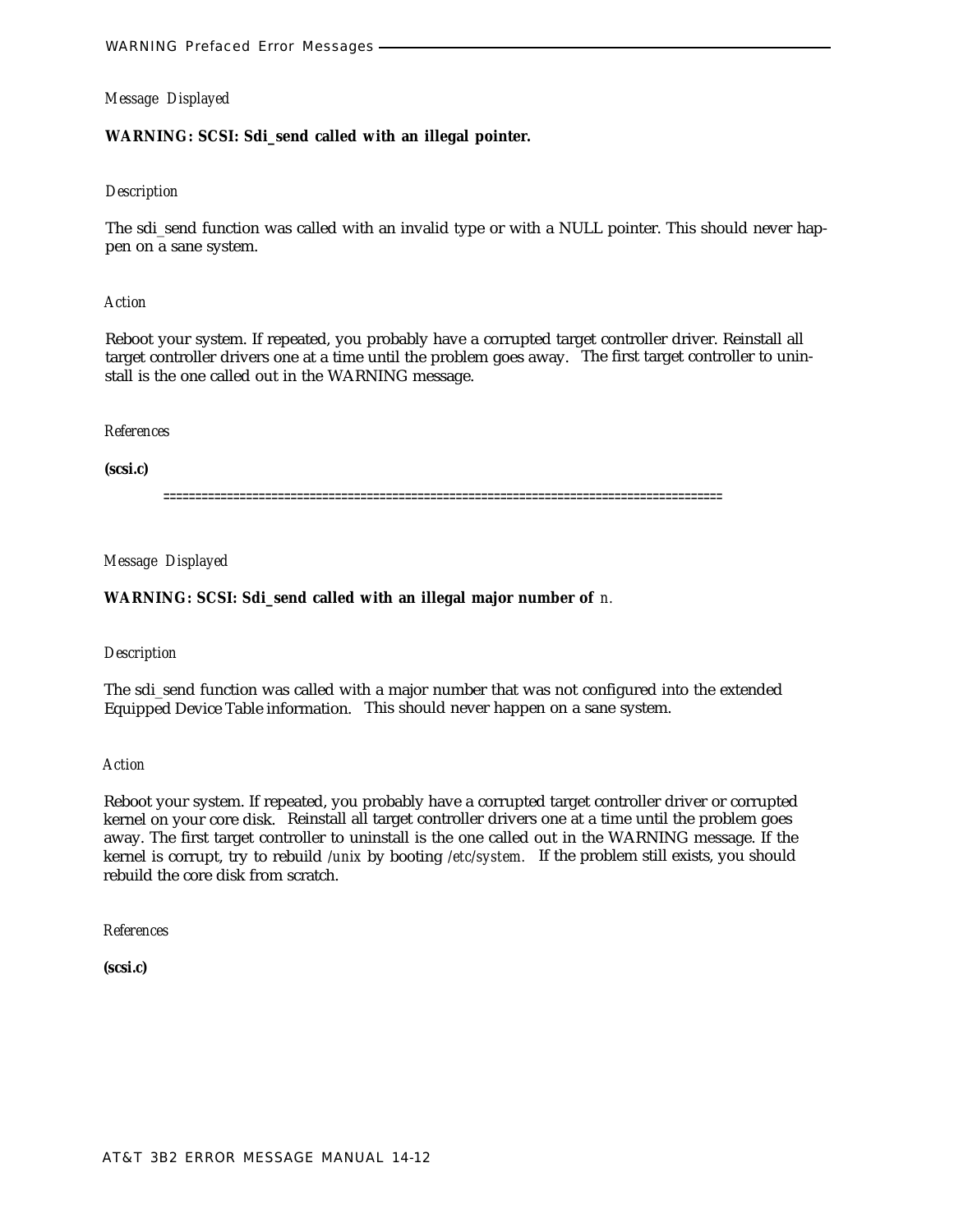# **WARNING: SCSI: Sdi\_send called with an illegal pointer.**

#### *Description*

The sdi\_send function was called with an invalid type or with a NULL pointer. This should never happen on a sane system.

### *Action*

Reboot your system. If repeated, you probably have a corrupted target controller driver. Reinstall all target controller drivers one at a time until the problem goes away. The first target controller to uninstall is the one called out in the WARNING message.

### *References*

**(scsi.c)**

========================================================================================

*Message Displayed*

#### **WARNING: SCSI: Sdi\_send called with an illegal major number of** *n.*

### *Description*

The sdi\_send function was called with a major number that was not configured into the extended Equipped Device Table information. This should never happen on a sane system.

*Action*

Reboot your system. If repeated, you probably have a corrupted target controller driver or corrupted kernel on your core disk. Reinstall all target controller drivers one at a time until the problem goes away. The first target controller to uninstall is the one called out in the WARNING message. If the kernel is corrupt, try to rebuild */unix* by booting */etc/system.* If the problem still exists, you should rebuild the core disk from scratch.

*References*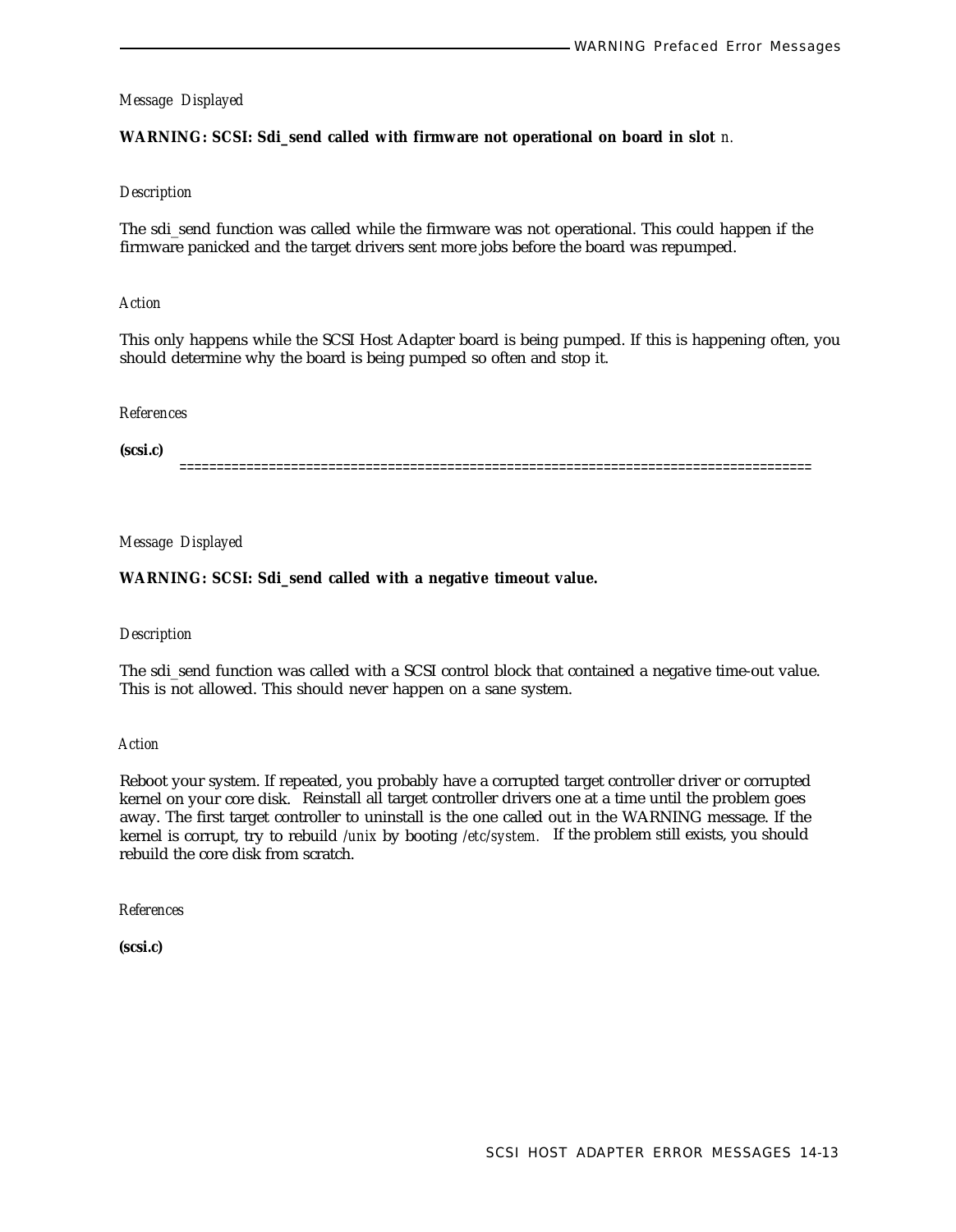#### **WARNING: SCSI: Sdi\_send called with firmware not operational on board in slot** *n.*

#### *Description*

The sdi\_send function was called while the firmware was not operational. This could happen if the firmware panicked and the target drivers sent more jobs before the board was repumped.

#### *Action*

This only happens while the SCSI Host Adapter board is being pumped. If this is happening often, you should determine why the board is being pumped so often and stop it.

### *References*

**(scsi.c)**

=====================================================================================

*Message Displayed*

#### **WARNING: SCSI: Sdi\_send called with a negative timeout value.**

#### *Description*

The sdi\_send function was called with a SCSI control block that contained a negative time-out value. This is not allowed. This should never happen on a sane system.

#### *Action*

Reboot your system. If repeated, you probably have a corrupted target controller driver or corrupted kernel on your core disk. Reinstall all target controller drivers one at a time until the problem goes away. The first target controller to uninstall is the one called out in the WARNING message. If the kernel is corrupt, try to rebuild */unix* by booting */etc/system.* If the problem still exists, you should rebuild the core disk from scratch.

*References*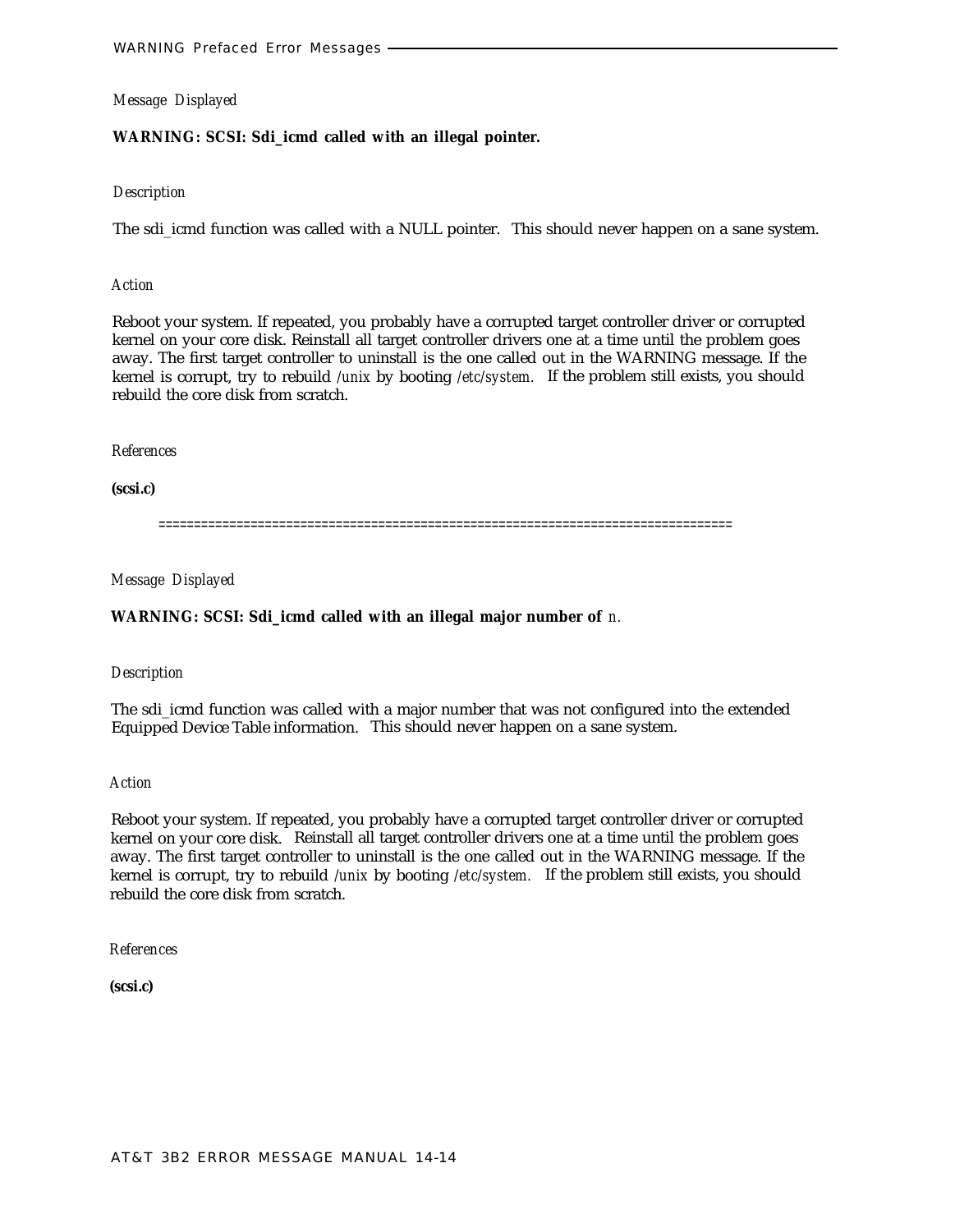# **WARNING: SCSI: Sdi\_icmd called with an illegal pointer.**

### *Description*

The sdi\_icmd function was called with a NULL pointer. This should never happen on a sane system.

### *Action*

Reboot your system. If repeated, you probably have a corrupted target controller driver or corrupted kernel on your core disk. Reinstall all target controller drivers one at a time until the problem goes away. The first target controller to uninstall is the one called out in the WARNING message. If the kernel is corrupt, try to rebuild */unix* by booting */etc/system.* If the problem still exists, you should rebuild the core disk from scratch.

### *References*

**(scsi.c)**

=================================================================================

*Message Displayed*

# **WARNING: SCSI: Sdi\_icmd called with an illegal major number of** *n.*

### *Description*

The sdi\_icmd function was called with a major number that was not configured into the extended Equipped Device Table information. This should never happen on a sane system.

### *Action*

Reboot your system. If repeated, you probably have a corrupted target controller driver or corrupted kernel on your core disk. Reinstall all target controller drivers one at a time until the problem goes away. The first target controller to uninstall is the one called out in the WARNING message. If the kernel is corrupt, try to rebuild */unix* by booting */etc/system.* If the problem still exists, you should rebuild the core disk from scratch.

*References*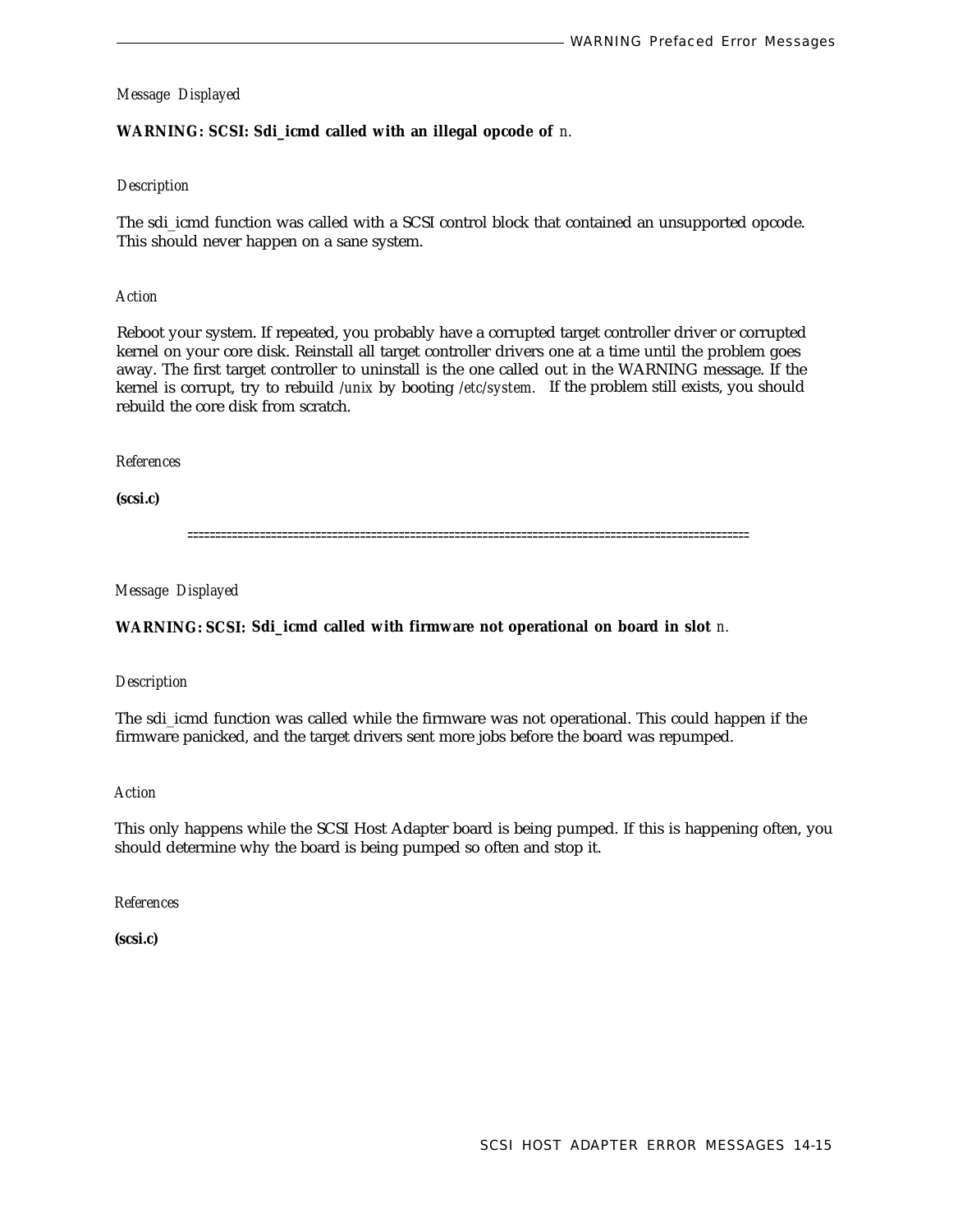# **WARNING: SCSI: Sdi\_icmd called with an illegal opcode of** *n.*

# *Description*

The sdi\_icmd function was called with a SCSI control block that contained an unsupported opcode. This should never happen on a sane system.

# *Action*

Reboot your system. If repeated, you probably have a corrupted target controller driver or corrupted kernel on your core disk. Reinstall all target controller drivers one at a time until the problem goes away. The first target controller to uninstall is the one called out in the WARNING message. If the kernel is corrupt, try to rebuild */unix* by booting */etc/system.* If the problem still exists, you should rebuild the core disk from scratch.

# *References*

**(scsi.c)**

=====================================================================================================

# *Message Displayed*

# **WARNING: SCSI: Sdi\_icmd called with firmware not operational on board in slot** *n.*

# *Description*

The sdi\_icmd function was called while the firmware was not operational. This could happen if the firmware panicked, and the target drivers sent more jobs before the board was repumped.

### *Action*

This only happens while the SCSI Host Adapter board is being pumped. If this is happening often, you should determine why the board is being pumped so often and stop it.

# *References*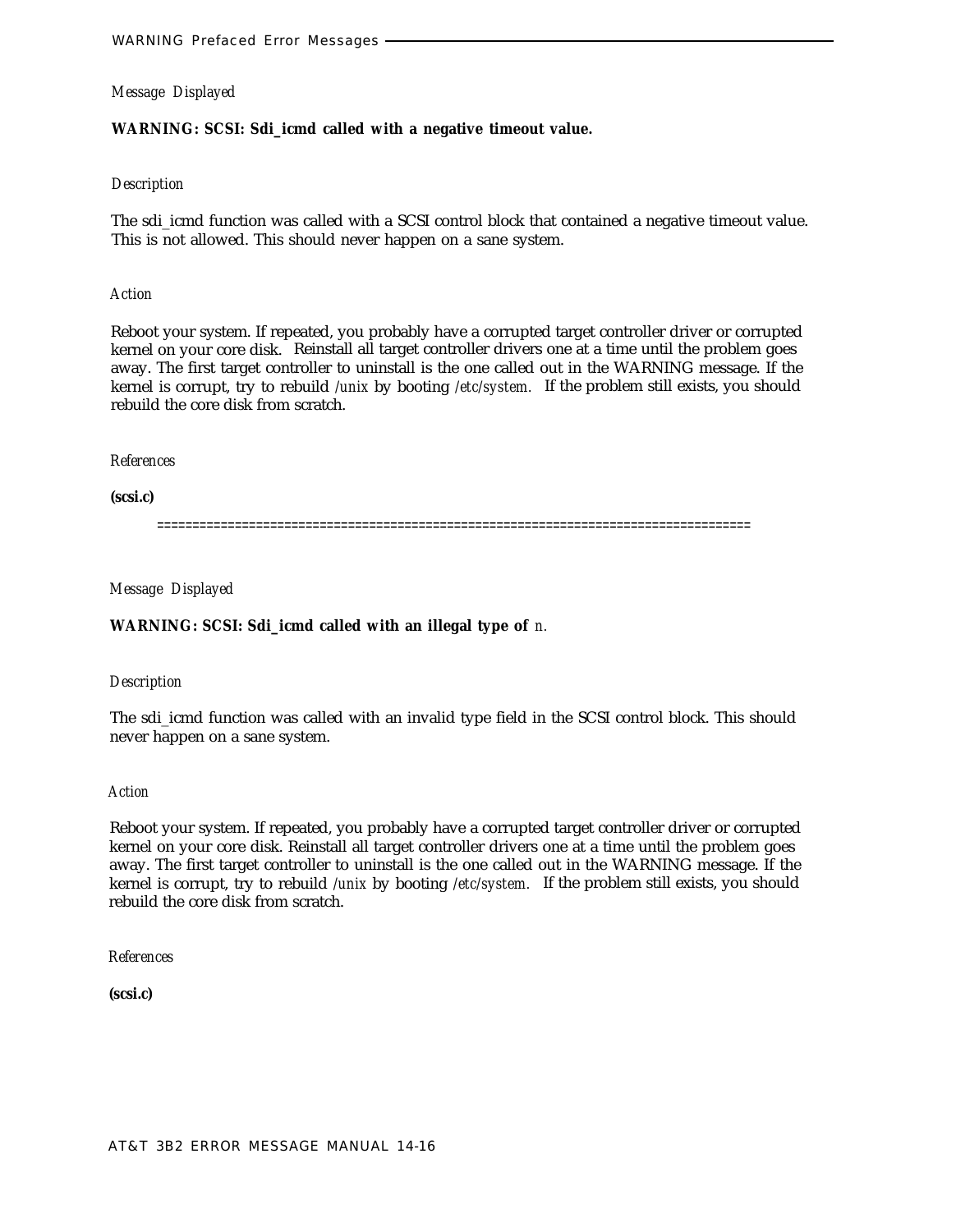# **WARNING: SCSI: Sdi\_icmd called with a negative timeout value.**

# *Description*

The sdi icmd function was called with a SCSI control block that contained a negative timeout value. This is not allowed. This should never happen on a sane system.

### *Action*

Reboot your system. If repeated, you probably have a corrupted target controller driver or corrupted kernel on your core disk. Reinstall all target controller drivers one at a time until the problem goes away. The first target controller to uninstall is the one called out in the WARNING message. If the kernel is corrupt, try to rebuild */unix* by booting */etc/system.* If the problem still exists, you should rebuild the core disk from scratch.

# *References*

**(scsi.c)**

====================================================================================

*Message Displayed*

# **WARNING: SCSI: Sdi\_icmd called with an illegal type of** *n.*

# *Description*

The sdi\_icmd function was called with an invalid type field in the SCSI control block. This should never happen on a sane system.

### *Action*

Reboot your system. If repeated, you probably have a corrupted target controller driver or corrupted kernel on your core disk. Reinstall all target controller drivers one at a time until the problem goes away. The first target controller to uninstall is the one called out in the WARNING message. If the kernel is corrupt, try to rebuild */unix* by booting */etc/system.* If the problem still exists, you should rebuild the core disk from scratch.

### *References*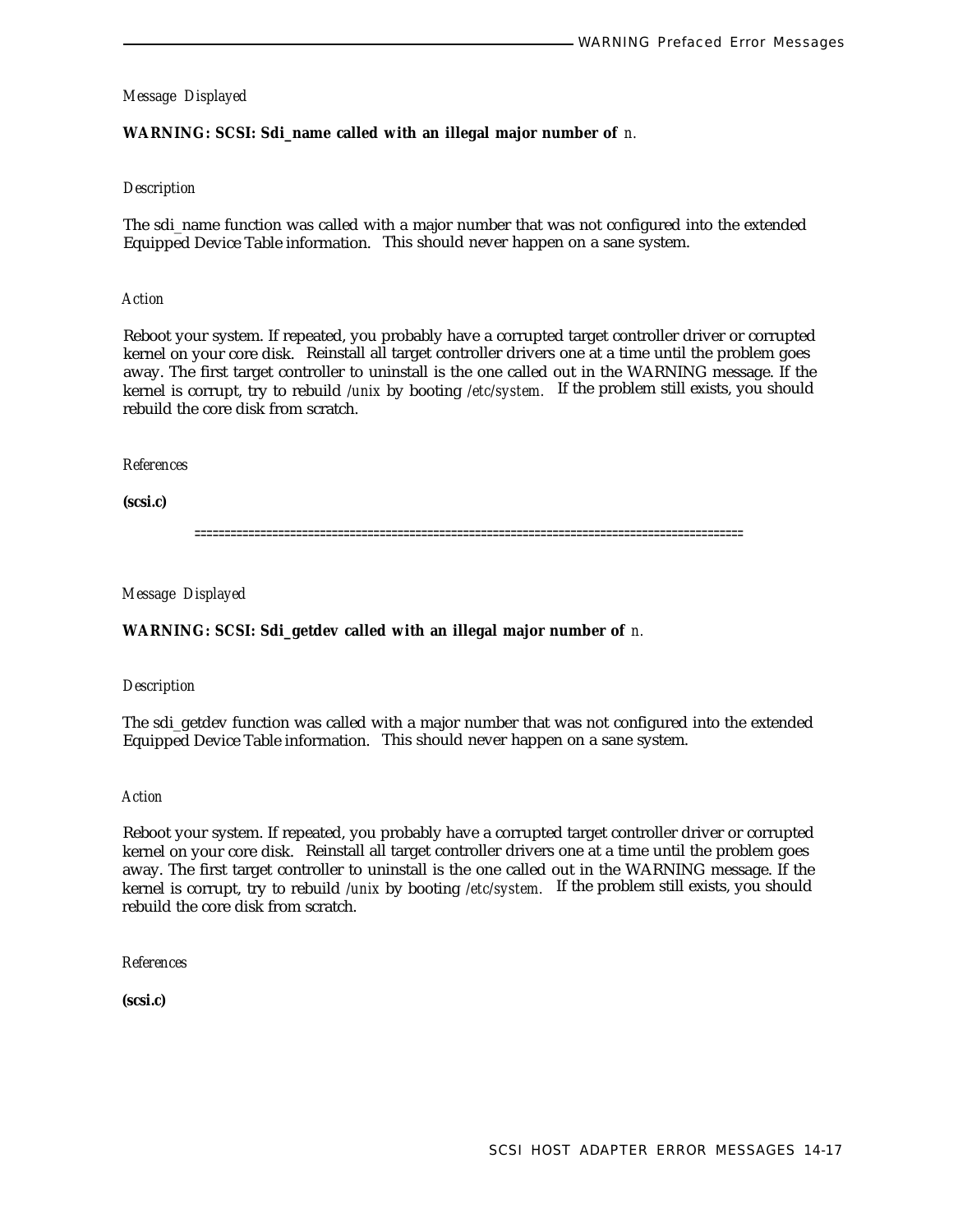# **WARNING: SCSI: Sdi\_name called with an illegal major number of** *n.*

### *Description*

The sdi\_name function was called with a major number that was not configured into the extended Equipped Device Table information. This should never happen on a sane system.

### *Action*

Reboot your system. If repeated, you probably have a corrupted target controller driver or corrupted kernel on your core disk. Reinstall all target controller drivers one at a time until the problem goes away. The first target controller to uninstall is the one called out in the WARNING message. If the kernel is corrupt, try to rebuild */unix* by booting */etc/system.* If the problem still exists, you should rebuild the core disk from scratch.

#### *References*

**(scsi.c)**

============================================================================================

*Message Displayed*

### **WARNING: SCSI: Sdi\_getdev called with an illegal major number of** *n.*

### *Description*

The sdi\_getdev function was called with a major number that was not configured into the extended Equipped Device Table information. This should never happen on a sane system.

#### *Action*

Reboot your system. If repeated, you probably have a corrupted target controller driver or corrupted kernel on your core disk. Reinstall all target controller drivers one at a time until the problem goes away. The first target controller to uninstall is the one called out in the WARNING message. If the kernel is corrupt, try to rebuild */unix* by booting */etc/system.* If the problem still exists, you should rebuild the core disk from scratch.

*References*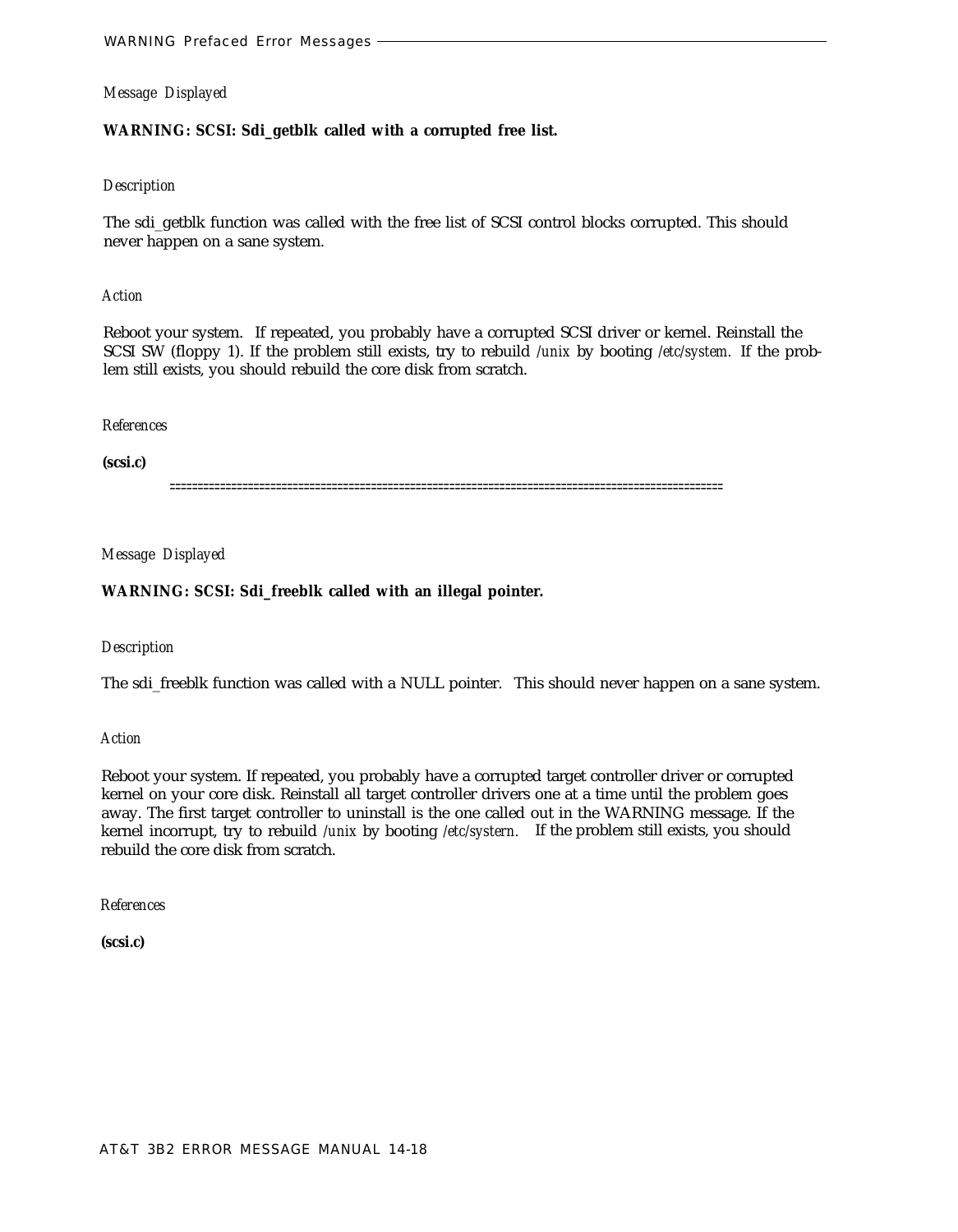# **WARNING: SCSI: Sdi\_getblk called with a corrupted free list.**

# *Description*

The sdi\_getblk function was called with the free list of SCSI control blocks corrupted. This should never happen on a sane system.

### *Action*

Reboot your system. If repeated, you probably have a corrupted SCSI driver or kernel. Reinstall the SCSI SW (floppy 1). If the problem still exists, try to rebuild */unix* by booting */etc/system.* If the problem still exists, you should rebuild the core disk from scratch.

### *References*

**(scsi.c)**

===================================================================================================

# *Message Displayed*

# **WARNING: SCSI: Sdi\_freeblk called with an illegal pointer.**

# *Description*

The sdi\_freeblk function was called with a NULL pointer. This should never happen on a sane system.

*Action*

Reboot your system. If repeated, you probably have a corrupted target controller driver or corrupted kernel on your core disk. Reinstall all target controller drivers one at a time until the problem goes away. The first target controller to uninstall is the one called out in the WARNING message. If the kernel incorrupt, try to rebuild */unix* by booting */etc/systern.* If the problem still exists, you should rebuild the core disk from scratch.

*References*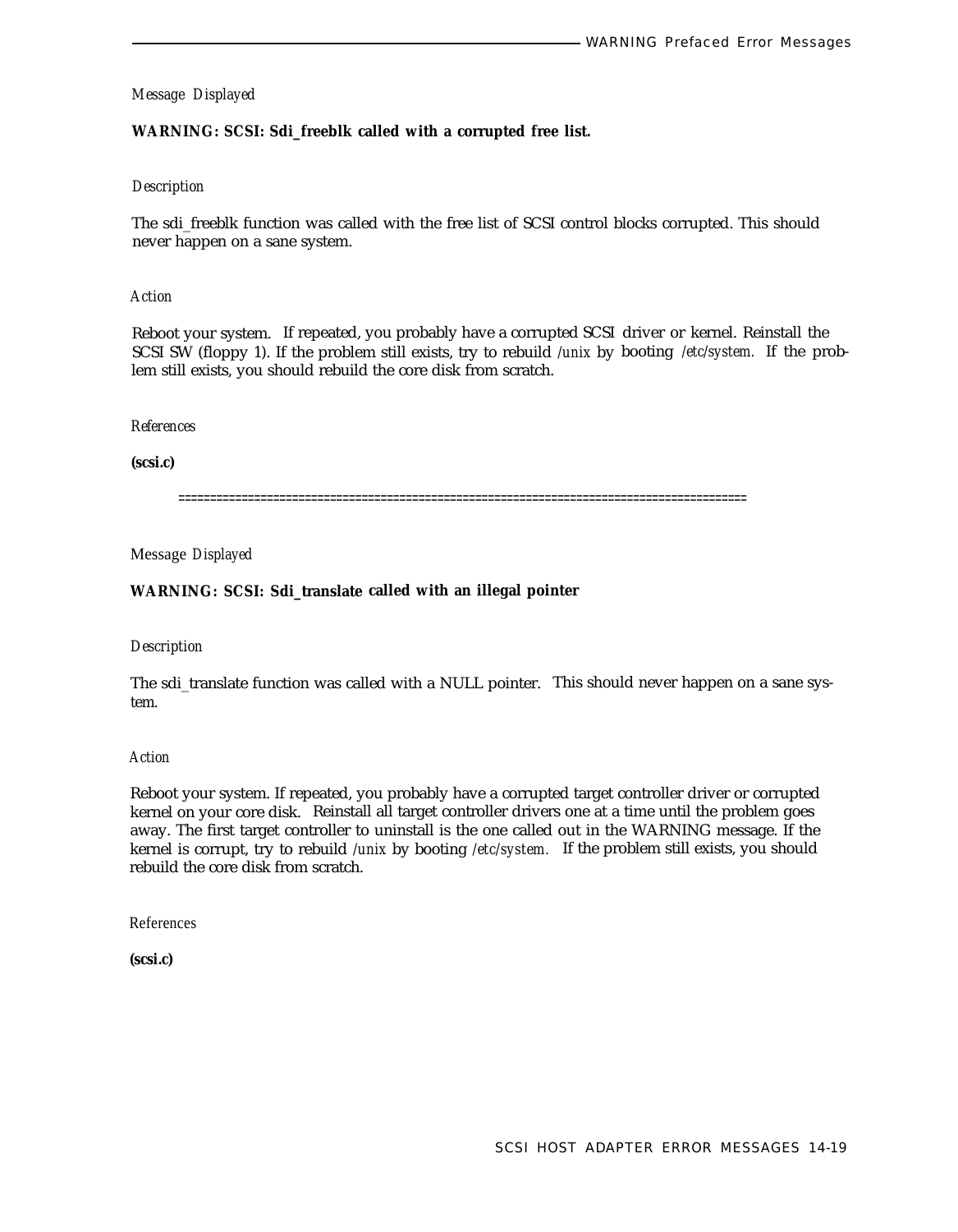# **WARNING: SCSI: Sdi\_freeblk called with a corrupted free list.**

# *Description*

The sdi\_freeblk function was called with the free list of SCSI control blocks corrupted. This should never happen on a sane system.

### *Action*

Reboot your system. If repeated, you probably have a corrupted SCSI driver or kernel. Reinstall the SCSI SW (floppy 1). If the problem still exists, try to rebuild */unix* by booting */etc/system.* If the prob lem still exists, you should rebuild the core disk from scratch.

#### *References*

**(scsi.c)**

==========================================================================================

Message *Displayed*

### **WARNING: SCSI: Sdi\_translate called with an illegal pointer**

#### *Description*

The sdi\_translate function was called with a NULL pointer. This should never happen on a sane system.

#### *Action*

Reboot your system. If repeated, you probably have a corrupted target controller driver or corrupted kernel on your core disk. Reinstall all target controller drivers one at a time until the problem goes away. The first target controller to uninstall is the one called out in the WARNING message. If the kernel is corrupt, try to rebuild */unix* by booting */etc/system.* If the problem still exists, you should rebuild the core disk from scratch.

References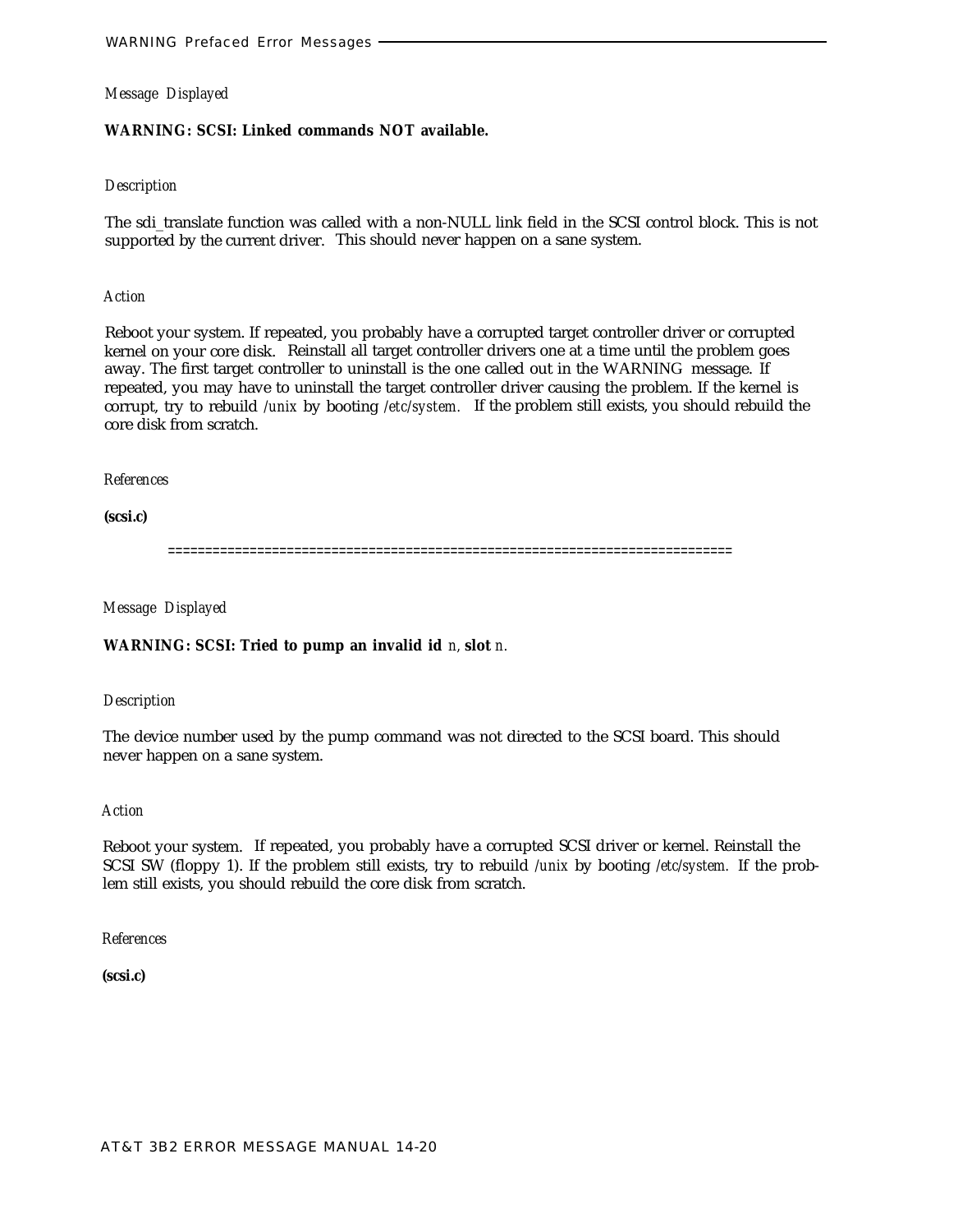# **WARNING: SCSI: Linked commands NOT available.**

# *Description*

The sdi\_translate function was called with a non-NULL link field in the SCSI control block. This is not supported by the current driver. This should never happen on a sane system.

### *Action*

Reboot your system. If repeated, you probably have a corrupted target controller driver or corrupted kernel on your core disk. Reinstall all target controller drivers one at a time until the problem goes away. The first target controller to uninstall is the one called out in the WARNING message. If repeated, you may have to uninstall the target controller driver causing the problem. If the kernel is corrupt, try to rebuild */unix* by booting */etc/system.* If the problem still exists, you should rebuild the core disk from scratch.

# *References*

**(scsi.c)**

============================================================================

*Message Displayed*

# **WARNING: SCSI: Tried to pump an invalid id** *n,* **slot** *n.*

### *Description*

The device number used by the pump command was not directed to the SCSI board. This should never happen on a sane system.

### *Action*

Reboot your system. If repeated, you probably have a corrupted SCSI driver or kernel. Reinstall the SCSI SW (floppy 1). If the problem still exists, try to rebuild */unix* by booting */etc/system.* If the problem still exists, you should rebuild the core disk from scratch.

### *References*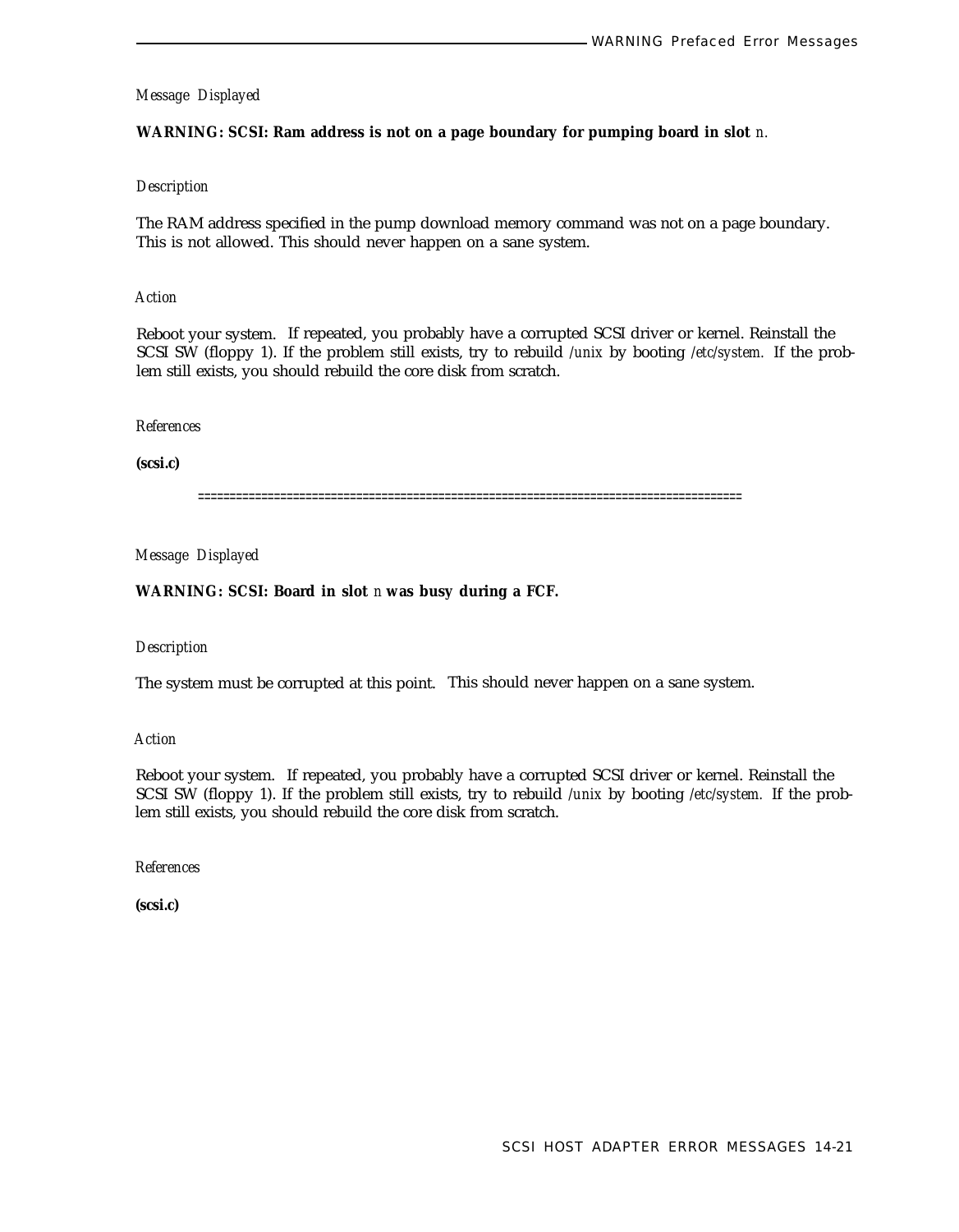# **WARNING: SCSI: Ram address is not on a page boundary for pumping board in slot** *n.*

# *Description*

The RAM address specified in the pump download memory command was not on a page boundary. This is not allowed. This should never happen on a sane system.

# *Action*

Reboot your system. If repeated, you probably have a corrupted SCSI driver or kernel. Reinstall the SCSI SW (floppy 1). If the problem still exists, try to rebuild */unix* by booting */etc/system.* If the problem still exists, you should rebuild the core disk from scratch.

#### *References*

**(scsi.c)**

======================================================================================

*Message Displayed*

**WARNING: SCSI: Board in slot** *n* **was busy during a FCF.**

#### *Description*

The system must be corrupted at this point. This should never happen on a sane system.

*Action*

Reboot your system. If repeated, you probably have a corrupted SCSI driver or kernel. Reinstall the SCSI SW (floppy 1). If the problem still exists, try to rebuild */unix* by booting */etc/system.* If the problem still exists, you should rebuild the core disk from scratch.

*References*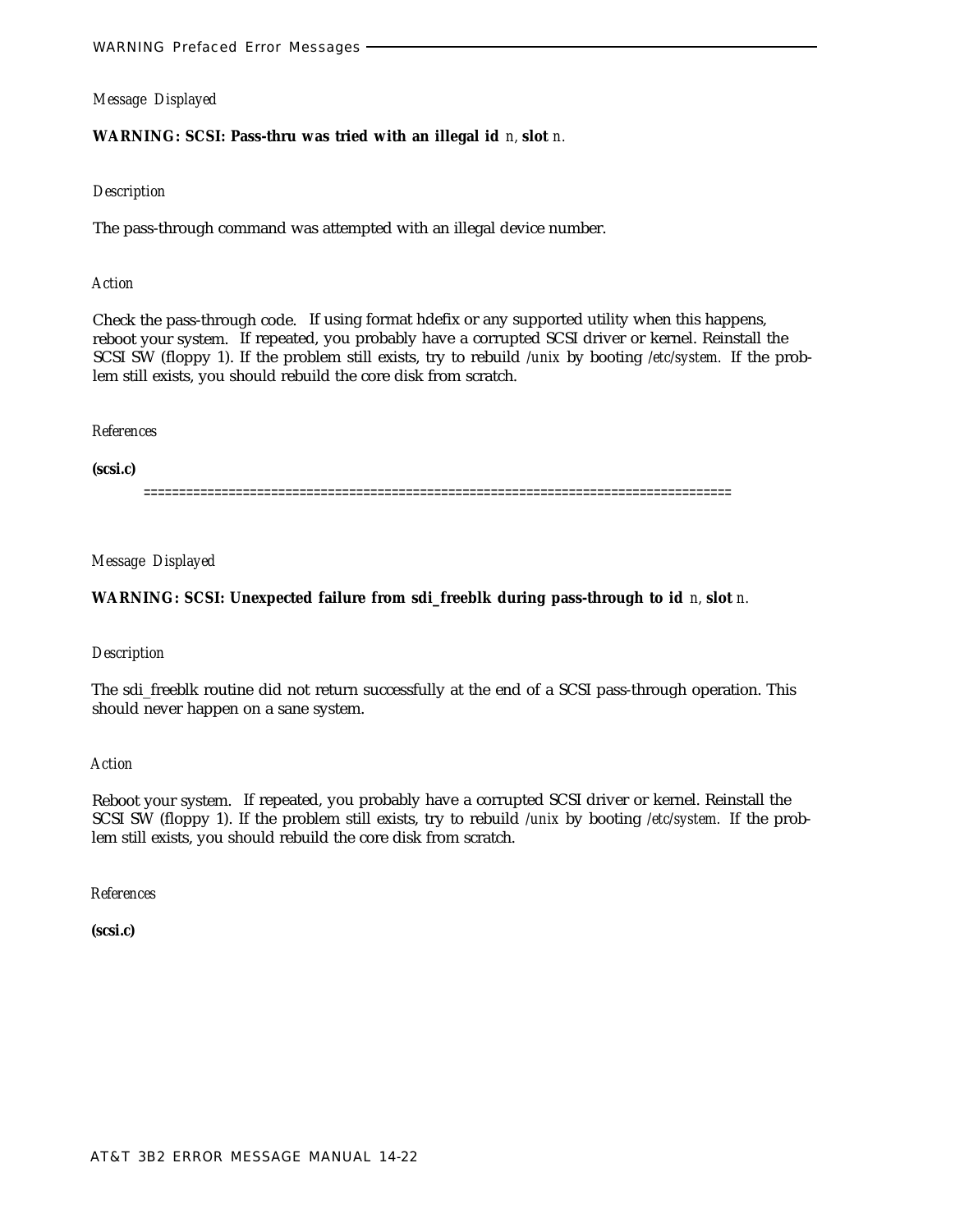# **WARNING: SCSI: Pass-thru was tried with an illegal id** *n,* **slot** *n.*

### *Description*

The pass-through command was attempted with an illegal device number.

### *Action*

Check the pass-through code. If using format hdefix or any supported utility when this happens, reboot your system. If repeated, you probably have a corrupted SCSI driver or kernel. Reinstall the SCSI SW (floppy 1). If the problem still exists, try to rebuild */unix* by booting */etc/system.* If the problem still exists, you should rebuild the core disk from scratch.

#### *References*

**(scsi.c)**

===================================================================================

### *Message Displayed*

### **WARNING: SCSI: Unexpected failure from sdi\_freeblk during pass-through to id** *n,* **slot** *n.*

### *Description*

The sdi\_freeblk routine did not return successfully at the end of a SCSI pass-through operation. This should never happen on a sane system.

#### *Action*

Reboot your system. If repeated, you probably have a corrupted SCSI driver or kernel. Reinstall the SCSI SW (floppy 1). If the problem still exists, try to rebuild */unix* by booting */etc/system.* If the problem still exists, you should rebuild the core disk from scratch.

*References*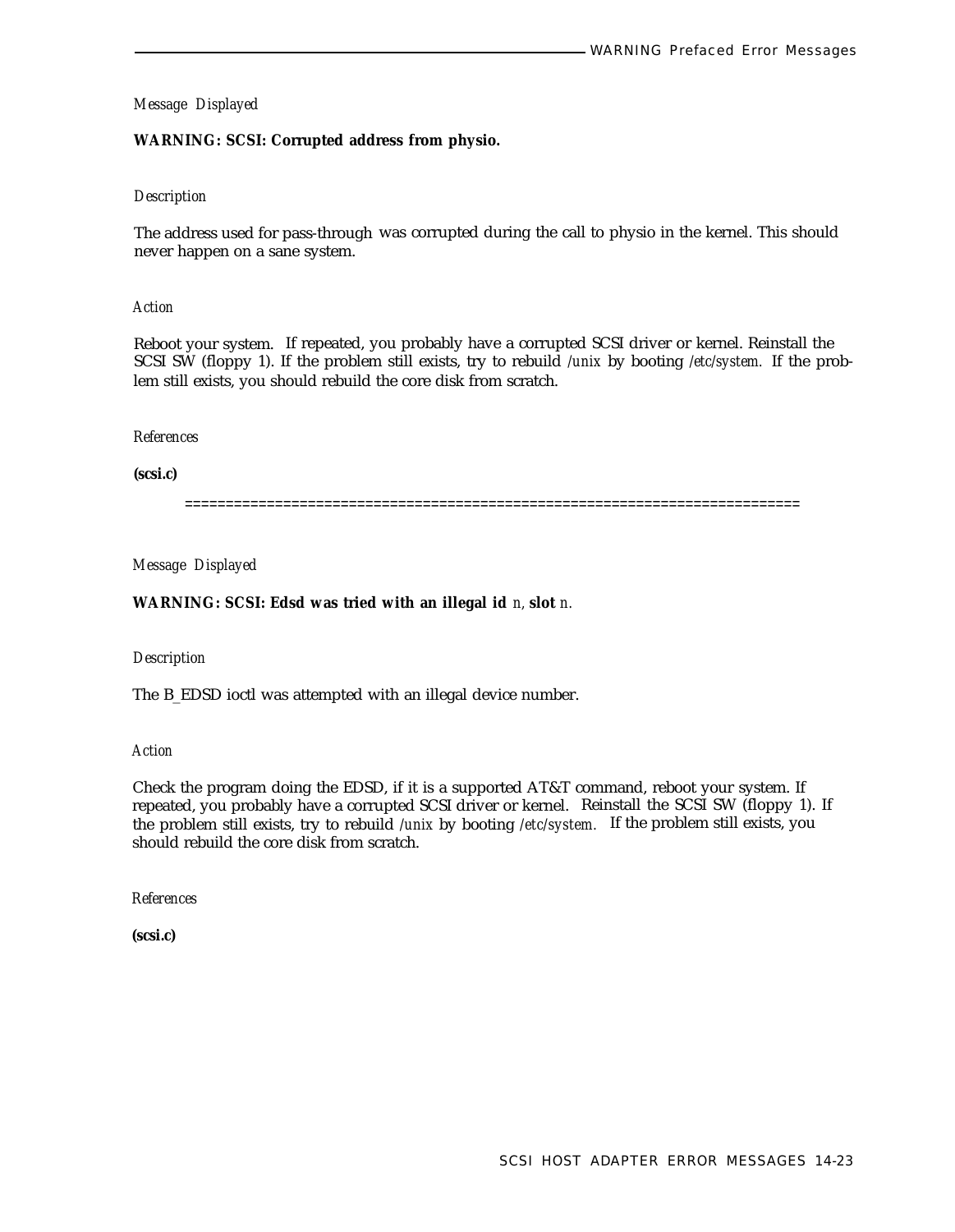# **WARNING: SCSI: Corrupted address from physio.**

### *Description*

The address used for pass-through was corrupted during the call to physio in the kernel. This should never happen on a sane system.

#### *Action*

Reboot your system. If repeated, you probably have a corrupted SCSI driver or kernel. Reinstall the SCSI SW (floppy 1). If the problem still exists, try to rebuild */unix* by booting */etc/system.* If the problem still exists, you should rebuild the core disk from scratch.

#### *References*

**(scsi.c)**

===========================================================================

*Message Displayed*

### **WARNING: SCSI: Edsd was tried with an illegal id** *n,* **slot** *n.*

### *Description*

The B\_EDSD ioctl was attempted with an illegal device number.

### *Action*

Check the program doing the EDSD, if it is a supported AT&T command, reboot your system. If repeated, you probably have a corrupted SCSI driver or kernel. Reinstall the SCSI SW (floppy 1). If the problem still exists, try to rebuild */unix* by booting */etc/system.* If the problem still exists, you should rebuild the core disk from scratch.

*References*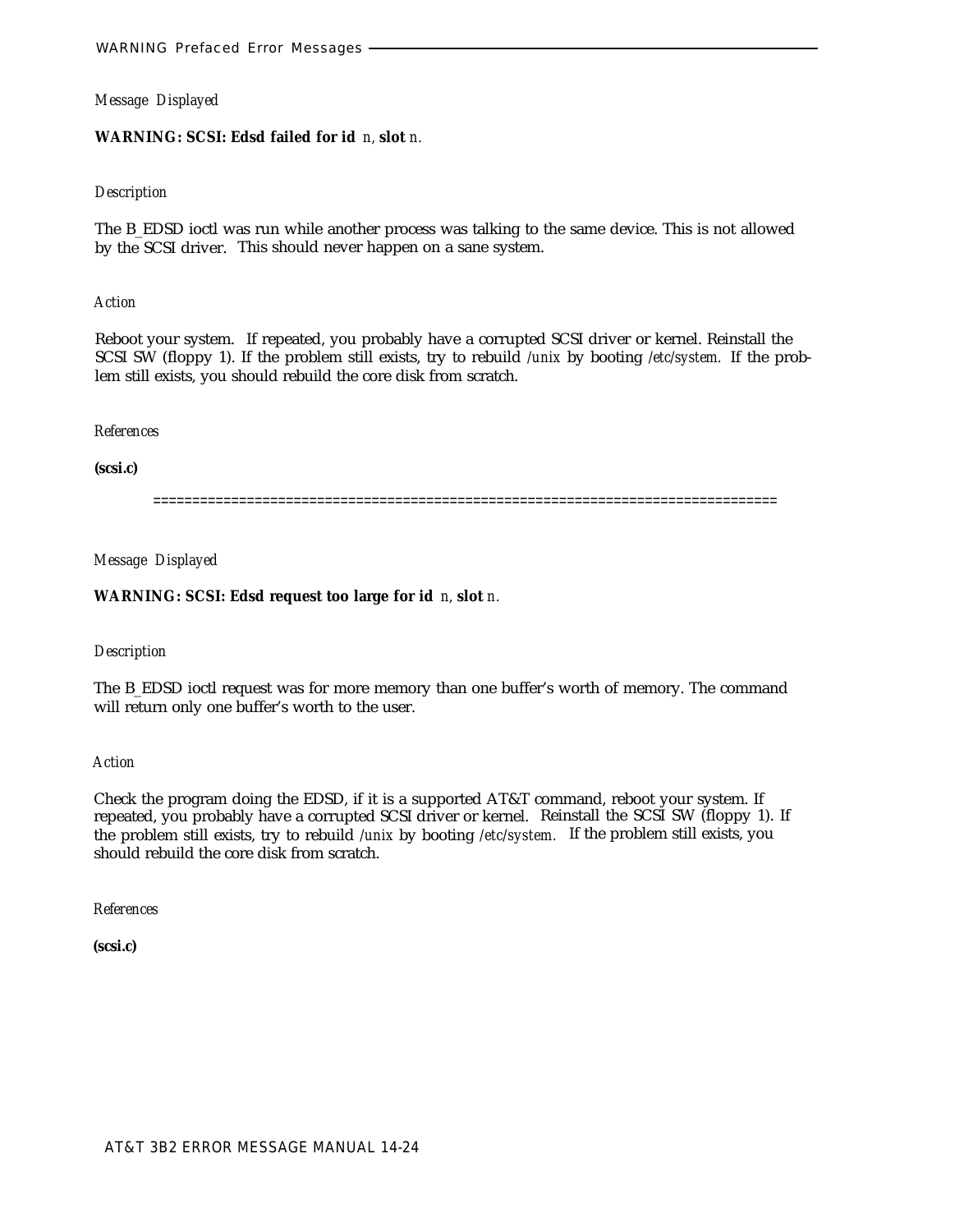# **WARNING: SCSI: Edsd failed for id** *n,* **slot** *n.*

### *Description*

The B\_EDSD ioctl was run while another process was talking to the same device. This is not allowed by the SCSI driver. This should never happen on a sane system.

### *Action*

Reboot your system. If repeated, you probably have a corrupted SCSI driver or kernel. Reinstall the SCSI SW (floppy 1). If the problem still exists, try to rebuild */unix* by booting */etc/system.* If the problem still exists, you should rebuild the core disk from scratch.

# *References*

# **(scsi.c)**

================================================================================

# *Message Displayed*

# **WARNING: SCSI: Edsd request too large for id** *n,* **slot** *n.*

# *Description*

The B\_EDSD ioctl request was for more memory than one buffer's worth of memory. The command will return only one buffer's worth to the user.

### *Action*

Check the program doing the EDSD, if it is a supported AT&T command, reboot your system. If repeated, you probably have a corrupted SCSI driver or kernel. Reinstall the SCSI SW (floppy 1). If the problem still exists, try to rebuild */unix* by booting */etc/system.* If the problem still exists, you should rebuild the core disk from scratch.

*References*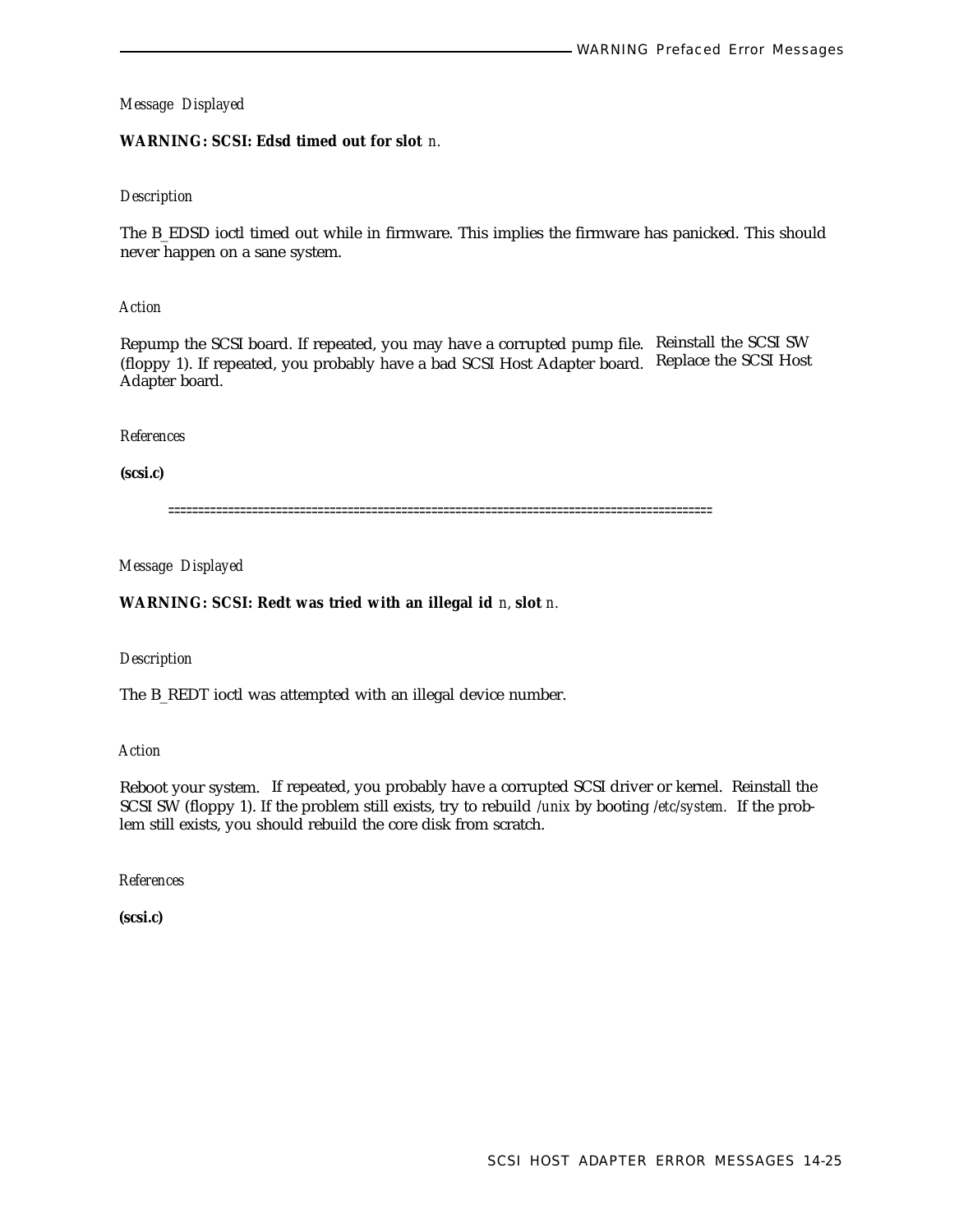# **WARNING: SCSI: Edsd timed out for slot** *n.*

# *Description*

The B\_EDSD ioctl timed out while in firmware. This implies the firmware has panicked. This should never happen on a sane system.

*Action*

Repump the SCSI board. If repeated, you may have a corrupted pump file. Reinstall the SCSI SW (floppy 1). If repeated, you probably have a bad SCSI Host Adapter board. Replace the SCSI Host Adapter board.

### *References*

**(scsi.c)**

===========================================================================================

*Message Displayed*

# **WARNING: SCSI: Redt was tried with an illegal id** *n,* **slot** *n.*

*Description*

The B\_REDT ioctl was attempted with an illegal device number.

*Action*

Reboot your system. If repeated, you probably have a corrupted SCSI driver or kernel. Reinstall the SCSI SW (floppy 1). If the problem still exists, try to rebuild */unix* by booting */etc/system.* If the problem still exists, you should rebuild the core disk from scratch.

*References*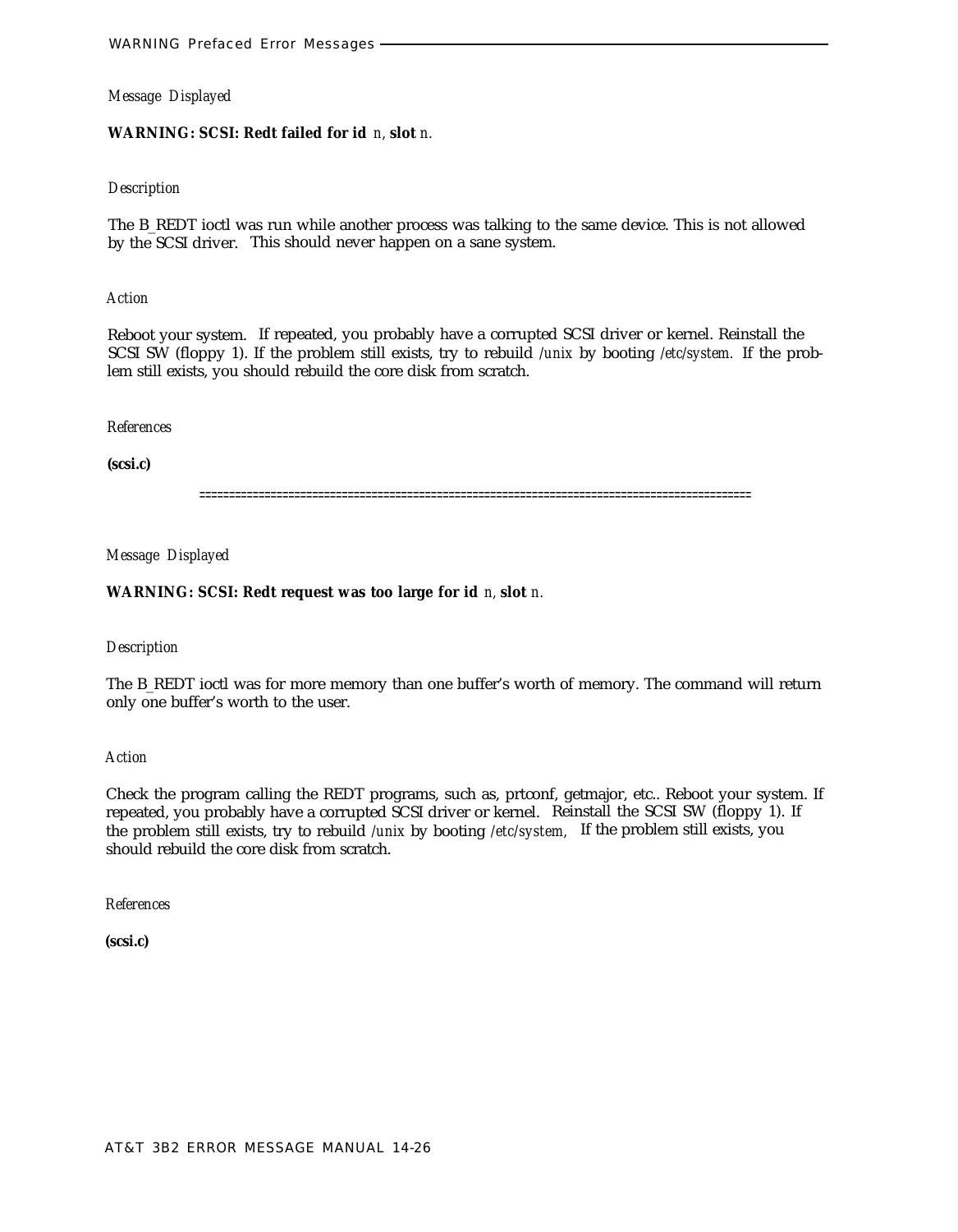### **WARNING: SCSI: Redt failed for id** *n,* **slot** *n.*

# *Description*

The B\_REDT ioctl was run while another process was talking to the same device. This is not allowed by the SCSI driver. This should never happen on a sane system.

#### *Action*

Reboot your system. If repeated, you probably have a corrupted SCSI driver or kernel. Reinstall the SCSI SW (floppy 1). If the problem still exists, try to rebuild */unix* by booting */etc/system.* If the problem still exists, you should rebuild the core disk from scratch.

#### *References*

**(scsi.c)**

=============================================================================================

# *Message Displayed*

### **WARNING: SCSI: Redt request was too large for id** *n,* **slot** *n.*

#### *Description*

The B\_REDT ioctl was for more memory than one buffer's worth of memory. The command will return only one buffer's worth to the user.

### *Action*

Check the program calling the REDT programs, such as, prtconf, getmajor, etc.. Reboot your system. If repeated, you probably have a corrupted SCSI driver or kernel. Reinstall the SCSI SW (floppy 1). If the problem still exists, try to rebuild */unix* by booting */etc/system,* If the problem still exists, you should rebuild the core disk from scratch.

*References*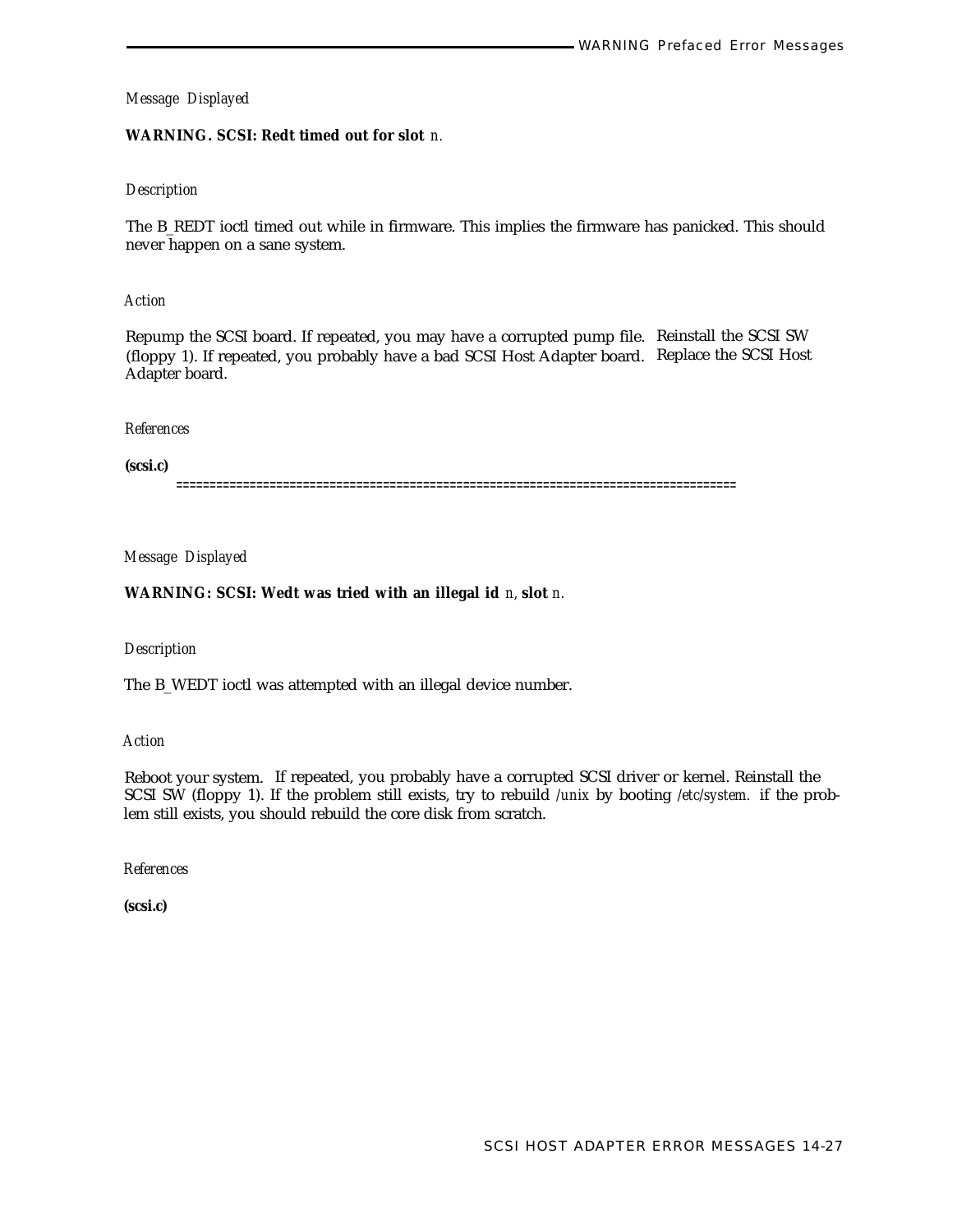# **WARNING. SCSI: Redt timed out for slot** *n.*

# *Description*

The B\_REDT ioctl timed out while in firmware. This implies the firmware has panicked. This should never happen on a sane system.

### *Action*

Repump the SCSI board. If repeated, you may have a corrupted pump file. Reinstall the SCSI SW (floppy 1). If repeated, you probably have a bad SCSI Host Adapter board. Replace the SCSI Host Adapter board.

# *References*

**(scsi.c)**

====================================================================================

# *Message Displayed*

# **WARNING: SCSI: Wedt was tried with an illegal id** *n,* **slot** *n.*

### *Description*

The B\_WEDT ioctl was attempted with an illegal device number.

### *Action*

Reboot your system. If repeated, you probably have a corrupted SCSI driver or kernel. Reinstall the SCSI SW (floppy 1). If the problem still exists, try to rebuild */unix* by booting */etc/system.* if the problem still exists, you should rebuild the core disk from scratch.

*References*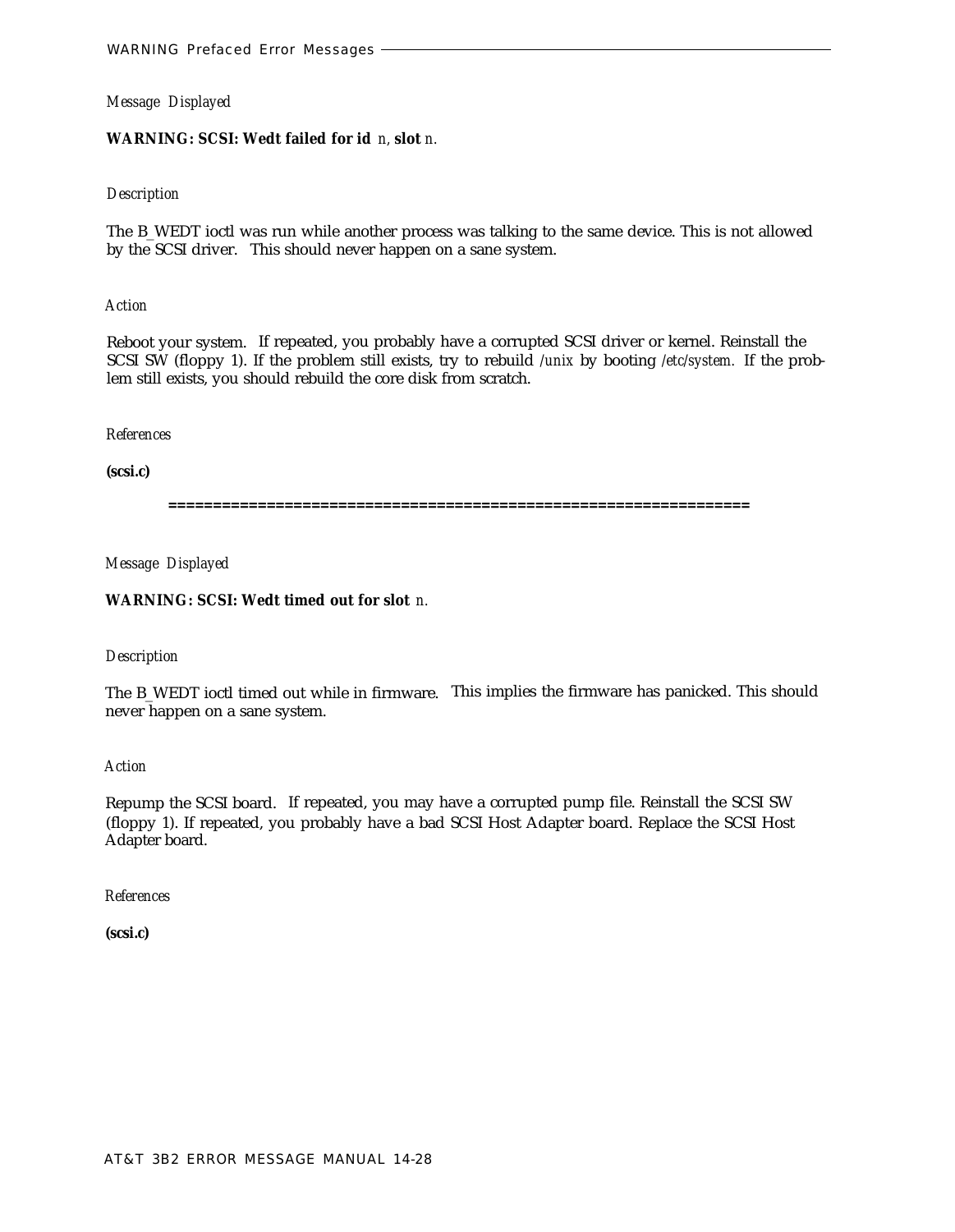# **WARNING: SCSI: Wedt failed for id** *n,* **slot** *n.*

### *Description*

The B\_WEDT ioctl was run while another process was talking to the same device. This is not allowed by the SCSI driver. This should never happen on a sane system.

# *Action*

Reboot your system. If repeated, you probably have a corrupted SCSI driver or kernel. Reinstall the SCSI SW (floppy 1). If the problem still exists, try to rebuild */unix* by booting */etc/system.* If the problem still exists, you should rebuild the core disk from scratch.

# *References*

**(scsi.c)**

**=================================================================**

*Message Displayed*

# **WARNING: SCSI: Wedt timed out for slot** *n.*

# *Description*

The B\_WEDT ioctl timed out while in firmware. This implies the firmware has panicked. This should never happen on a sane system.

*Action*

Repump the SCSI board. If repeated, you may have a corrupted pump file. Reinstall the SCSI SW (floppy 1). If repeated, you probably have a bad SCSI Host Adapter board. Replace the SCSI Host Adapter board.

*References*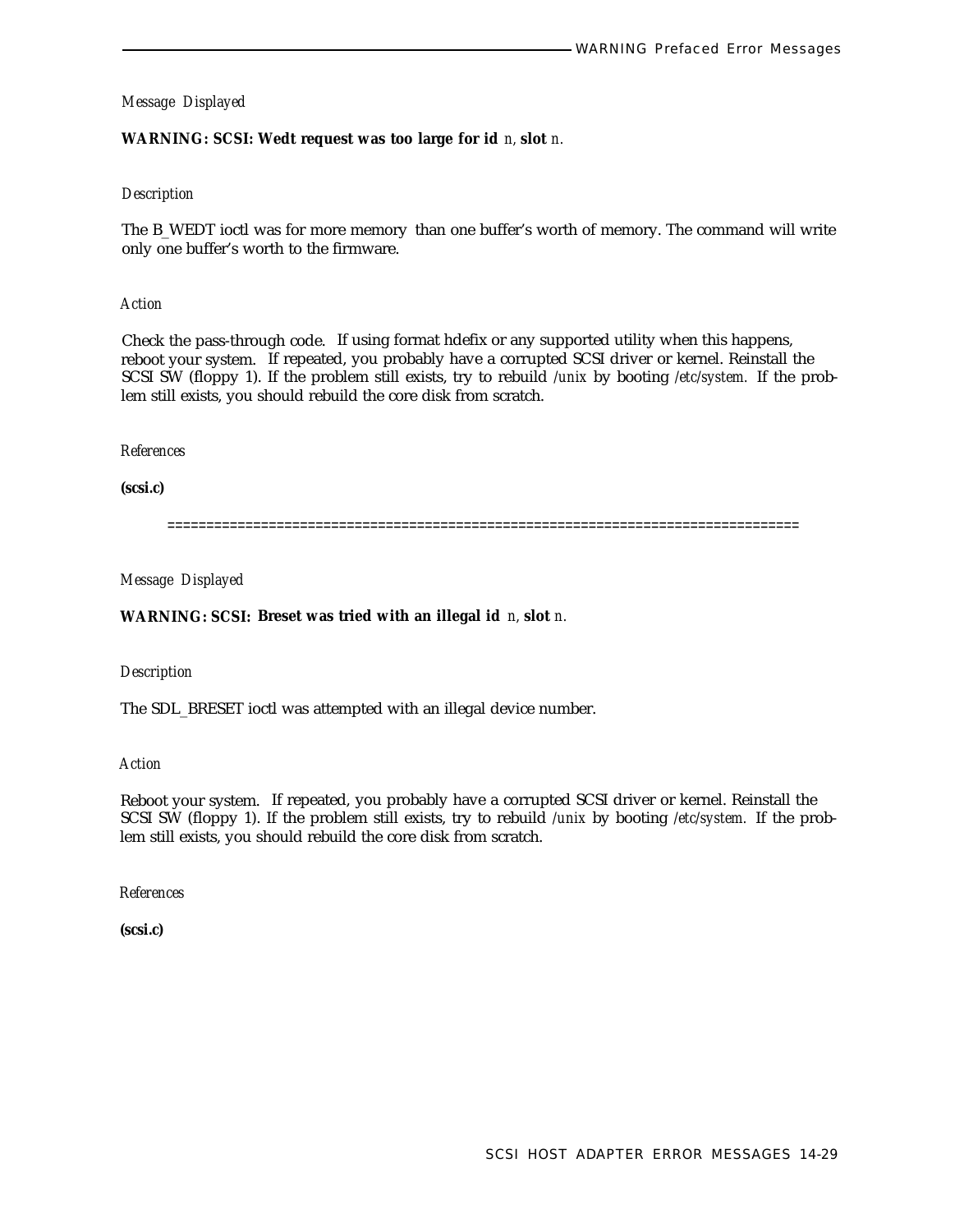# **WARNING: SCSI: Wedt request was too large for id** *n,* **slot** *n.*

### *Description*

The B\_WEDT ioctl was for more memory than one buffer's worth of memory. The command will write only one buffer's worth to the firmware.

### *Action*

Check the pass-through code. If using format hdefix or any supported utility when this happens, reboot your system. If repeated, you probably have a corrupted SCSI driver or kernel. Reinstall the SCSI SW (floppy 1). If the problem still exists, try to rebuild */unix* by booting */etc/system.* If the problem still exists, you should rebuild the core disk from scratch.

### *References*

**(scsi.c)**

=================================================================================

*Message Displayed*

# **WARNING: SCSI: Breset was tried with an illegal id** *n,* **slot** *n.*

### *Description*

The SDL\_BRESET ioctl was attempted with an illegal device number.

*Action*

Reboot your system. If repeated, you probably have a corrupted SCSI driver or kernel. Reinstall the SCSI SW (floppy 1). If the problem still exists, try to rebuild */unix* by booting */etc/system.* If the problem still exists, you should rebuild the core disk from scratch.

*References*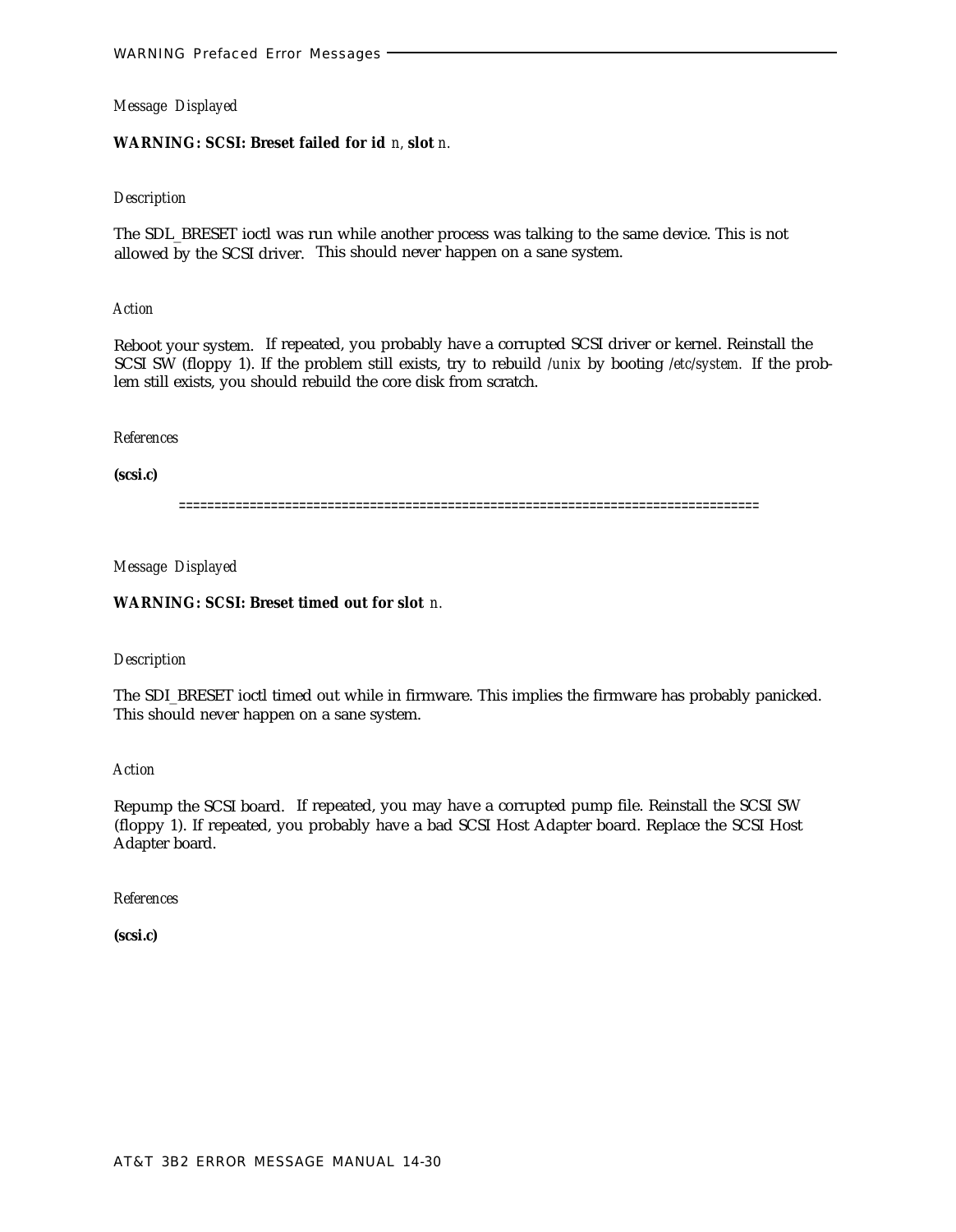# **WARNING: SCSI: Breset failed for id** *n,* **slot** *n.*

### *Description*

The SDL\_BRESET ioctl was run while another process was talking to the same device. This is not allowed by the SCSI driver. This should never happen on a sane system.

# *Action*

Reboot your system. If repeated, you probably have a corrupted SCSI driver or kernel. Reinstall the SCSI SW (floppy 1). If the problem still exists, try to rebuild */unix* by booting */etc/system.* If the problem still exists, you should rebuild the core disk from scratch.

# *References*

**(scsi.c)**

==================================================================================

# *Message Displayed*

**WARNING: SCSI: Breset timed out for slot** *n.*

# *Description*

The SDI\_BRESET ioctl timed out while in firmware. This implies the firmware has probably panicked. This should never happen on a sane system.

*Action*

Repump the SCSI board. If repeated, you may have a corrupted pump file. Reinstall the SCSI SW (floppy 1). If repeated, you probably have a bad SCSI Host Adapter board. Replace the SCSI Host Adapter board.

*References*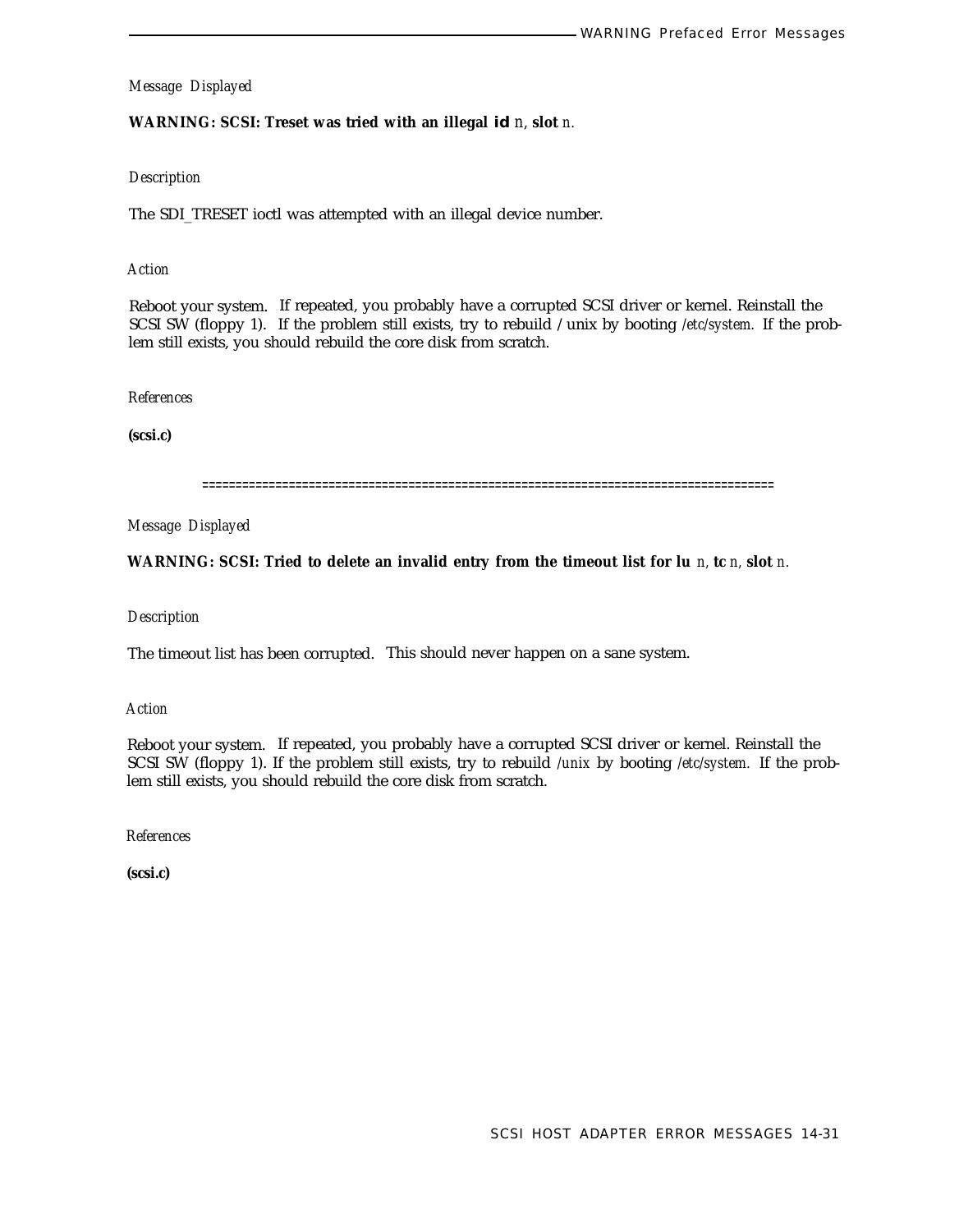# **WARNING: SCSI: Treset was tried with an illegal id** *n,* **slot** *n.*

# *Description*

The SDI\_TRESET ioctl was attempted with an illegal device number.

# *Action*

Reboot your system. If repeated, you probably have a corrupted SCSI driver or kernel. Reinstall the SCSI SW (floppy 1). If the problem still exists, try to rebuild /unix by booting */etc/system.* If the problem still exists, you should rebuild the core disk from scratch.

### *References*

**(scsi.c)**

======================================================================================

*Message Displayed*

**WARNING: SCSI: Tried to delete an invalid entry from the timeout list for lu** *n,* **tc** *n,* **slot** *n.*

# *Description*

The timeout list has been corrupted. This should never happen on a sane system.

*Action*

Reboot your system. If repeated, you probably have a corrupted SCSI driver or kernel. Reinstall the SCSI SW (floppy 1). If the problem still exists, try to rebuild */unix* by booting */etc/system.* If the problem still exists, you should rebuild the core disk from scratch.

*References*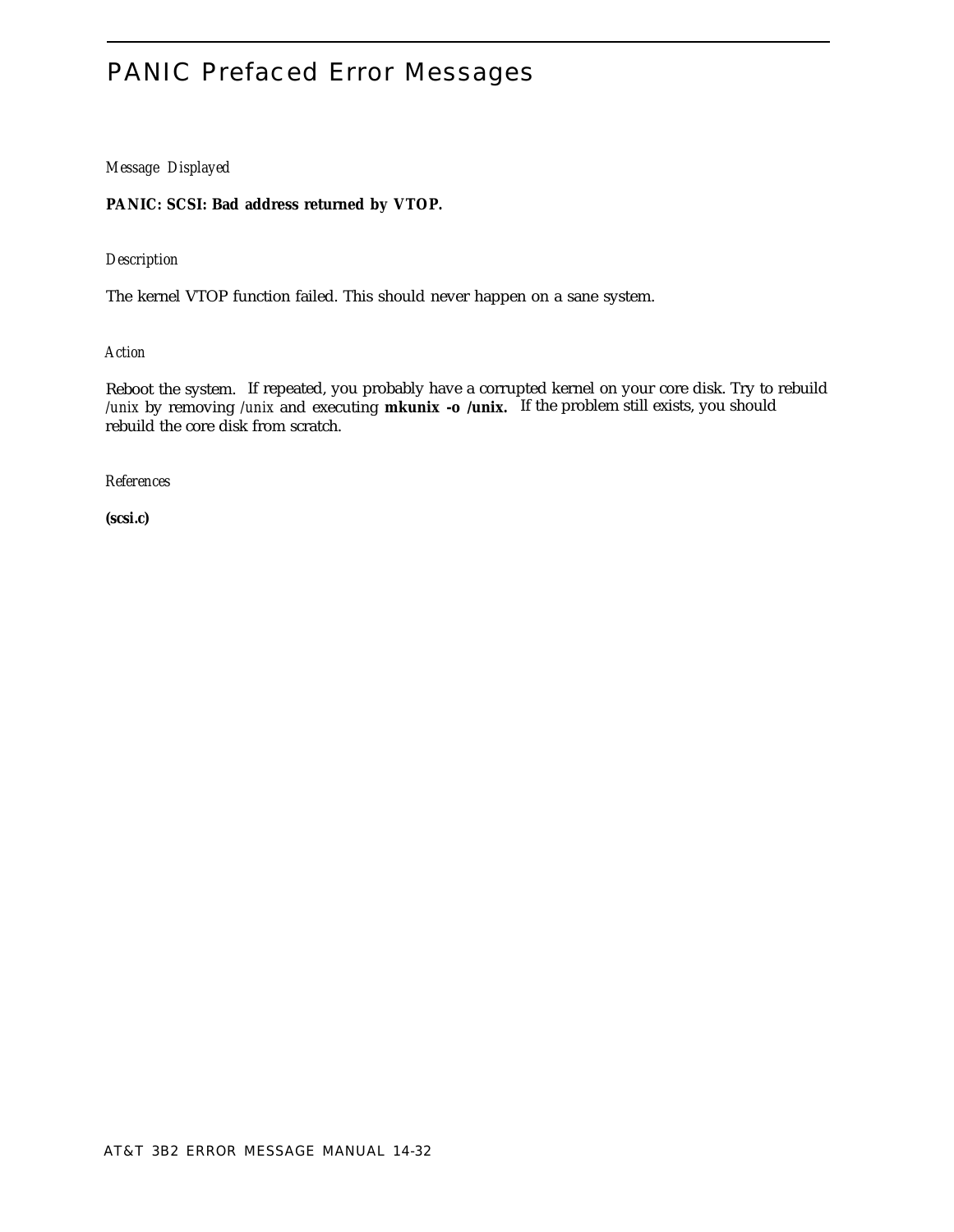# PANIC Prefaced Error Messages

# *Message Displayed*

# **PANIC: SCSI: Bad address returned by VTOP.**

# *Description*

The kernel VTOP function failed. This should never happen on a sane system.

# *Action*

Reboot the system. If repeated, you probably have a corrupted kernel on your core disk. Try to rebuild */unix* by removing */unix* and executing **mkunix -o /unix.** If the problem still exists, you should rebuild the core disk from scratch.

# *References*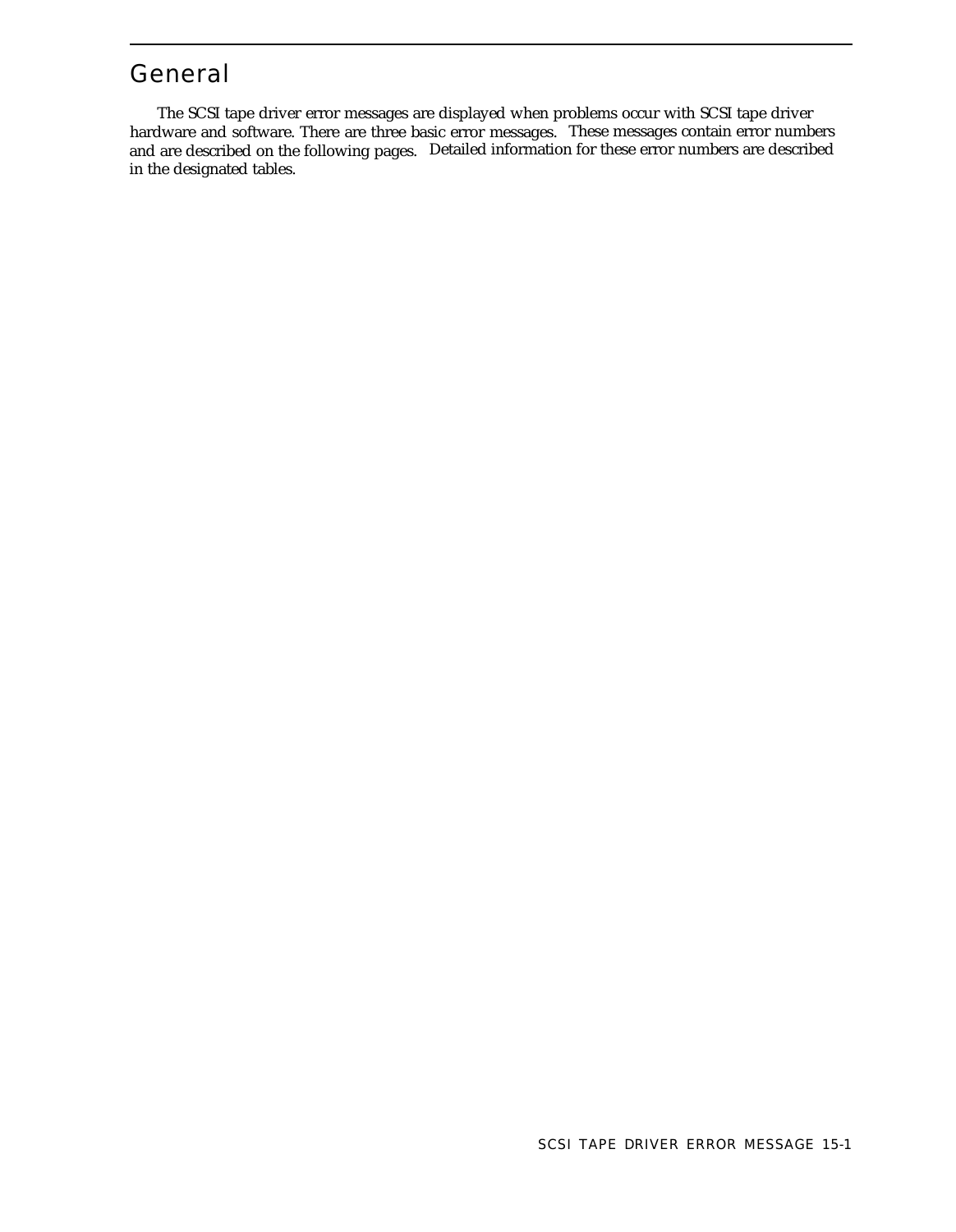# General

The SCSI tape driver error messages are displayed when problems occur with SCSI tape driver hardware and software. There are three basic error messages. These messages contain error numbers and are described on the following pages. Detailed information for these error numbers are described in the designated tables.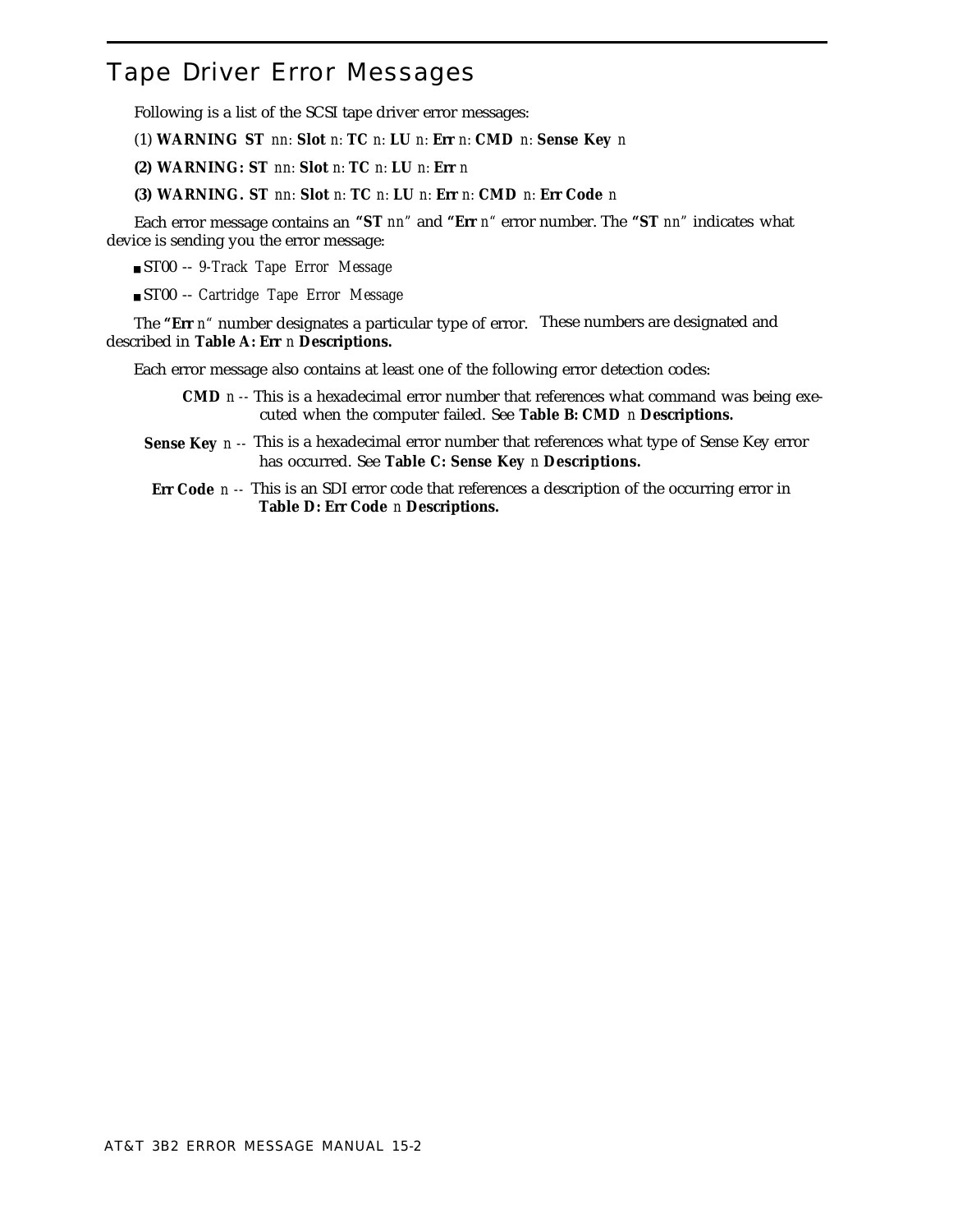# Tape Driver Error Messages

Following is a list of the SCSI tape driver error messages:

(1) **WARNING ST** *nn:* **Slot** *n:* **TC** *n:* **LU** *n:* **Err** *n:* **CMD** *n:* **Sense Key** *n*

**(2) WARNING: ST** *nn:* **Slot** *n:* **TC** *n:* **LU** *n:* **Err** *n*

**(3) WARNING. ST** *nn:* **Slot** *n:* **TC** *n:* **LU** *n:* **Err** *n:* **CMD** *n:* **Err Code** *n*

Each error message contains an **"ST** *nn"* and **"Err** *n"* error number. The **"ST** *nn"* indicates what device is sending you the error message:

■ ST00 -- *9-Track Tape Error Message*

■ ST00 -- *Cartridge Tape Error Message*

The **"Err** *n"* number designates a particular type of error. These numbers are designated and described in **Table A: Err** *n* **Descriptions.**

Each error message also contains at least one of the following error detection codes:

- **CMD** *n --* This is a hexadecimal error number that references what command was being executed when the computer failed. See **Table B: CMD** *n* **Descriptions.**
- **Sense Key** *n --* This is a hexadecimal error number that references what type of Sense Key error has occurred. See **Table C: Sense Key** *n* **Descriptions.**
- **Err Code** *n --* This is an SDI error code that references a description of the occurring error in **Table D: Err Code** *n* **Descriptions.**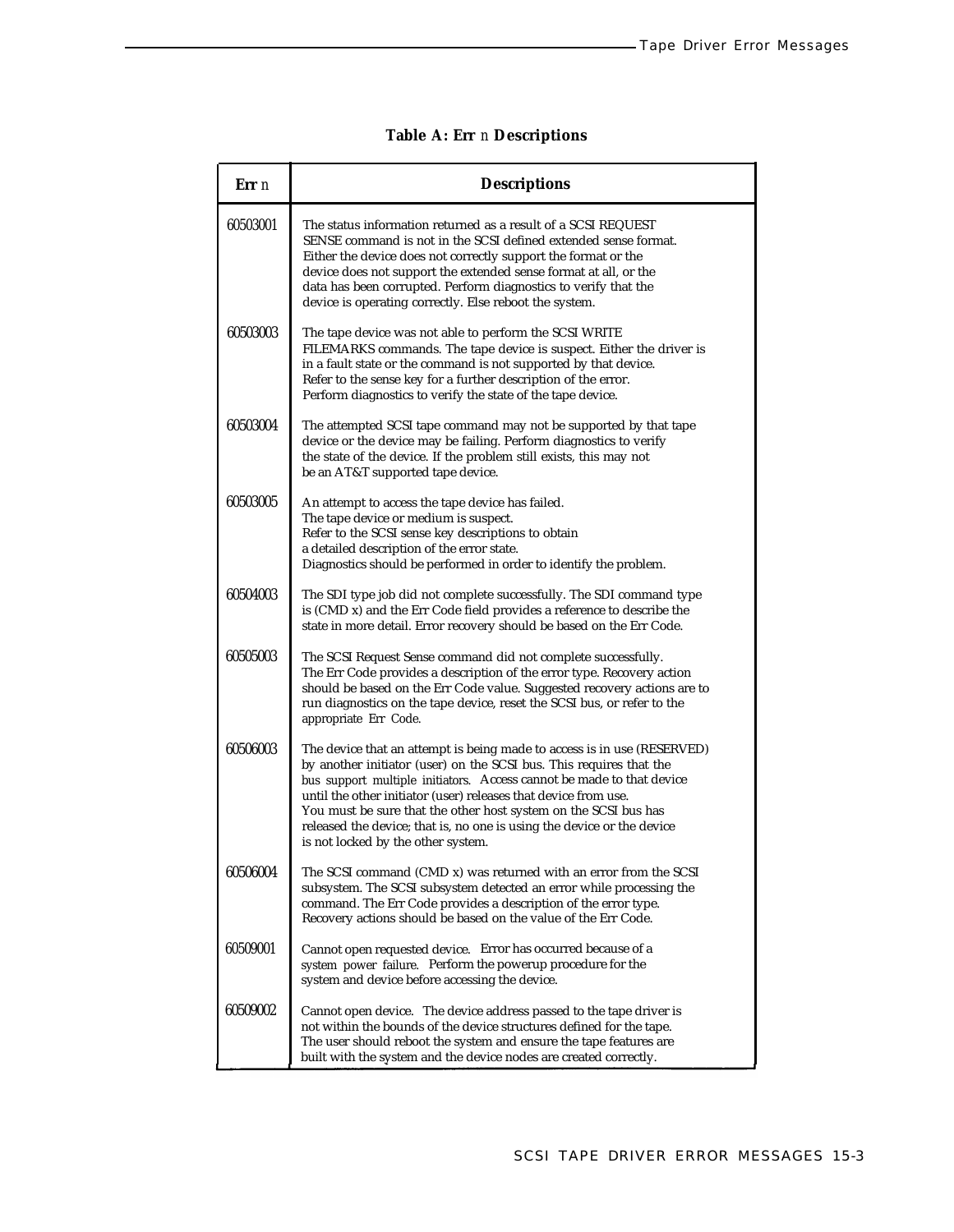| Err n    | <b>Descriptions</b>                                                                                                                                                                                                                                                                                                                                                                                                                                                           |
|----------|-------------------------------------------------------------------------------------------------------------------------------------------------------------------------------------------------------------------------------------------------------------------------------------------------------------------------------------------------------------------------------------------------------------------------------------------------------------------------------|
| 60503001 | The status information returned as a result of a SCSI REQUEST<br>SENSE command is not in the SCSI defined extended sense format.<br>Either the device does not correctly support the format or the<br>device does not support the extended sense format at all, or the<br>data has been corrupted. Perform diagnostics to verify that the<br>device is operating correctly. Else reboot the system.                                                                           |
| 60503003 | The tape device was not able to perform the SCSI WRITE<br>FILEMARKS commands. The tape device is suspect. Either the driver is<br>in a fault state or the command is not supported by that device.<br>Refer to the sense key for a further description of the error.<br>Perform diagnostics to verify the state of the tape device.                                                                                                                                           |
| 60503004 | The attempted SCSI tape command may not be supported by that tape<br>device or the device may be failing. Perform diagnostics to verify<br>the state of the device. If the problem still exists, this may not<br>be an AT&T supported tape device.                                                                                                                                                                                                                            |
| 60503005 | An attempt to access the tape device has failed.<br>The tape device or medium is suspect.<br>Refer to the SCSI sense key descriptions to obtain<br>a detailed description of the error state.<br>Diagnostics should be performed in order to identify the problem.                                                                                                                                                                                                            |
| 60504003 | The SDI type job did not complete successfully. The SDI command type<br>is (CMD x) and the Err Code field provides a reference to describe the<br>state in more detail. Error recovery should be based on the Err Code.                                                                                                                                                                                                                                                       |
| 60505003 | The SCSI Request Sense command did not complete successfully.<br>The Err Code provides a description of the error type. Recovery action<br>should be based on the Err Code value. Suggested recovery actions are to<br>run diagnostics on the tape device, reset the SCSI bus, or refer to the<br>appropriate Err Code.                                                                                                                                                       |
| 60506003 | The device that an attempt is being made to access is in use (RESERVED)<br>by another initiator (user) on the SCSI bus. This requires that the<br>bus support multiple initiators. Access cannot be made to that device<br>until the other initiator (user) releases that device from use.<br>You must be sure that the other host system on the SCSI bus has<br>released the device; that is, no one is using the device or the device<br>is not locked by the other system. |
| 60506004 | The SCSI command (CMD x) was returned with an error from the SCSI<br>subsystem. The SCSI subsystem detected an error while processing the<br>command. The Err Code provides a description of the error type.<br>Recovery actions should be based on the value of the Err Code.                                                                                                                                                                                                |
| 60509001 | Cannot open requested device. Error has occurred because of a<br>system power failure. Perform the powerup procedure for the<br>system and device before accessing the device.                                                                                                                                                                                                                                                                                                |
| 60509002 | Cannot open device. The device address passed to the tape driver is<br>not within the bounds of the device structures defined for the tape.<br>The user should reboot the system and ensure the tape features are<br>built with the system and the device nodes are created correctly.                                                                                                                                                                                        |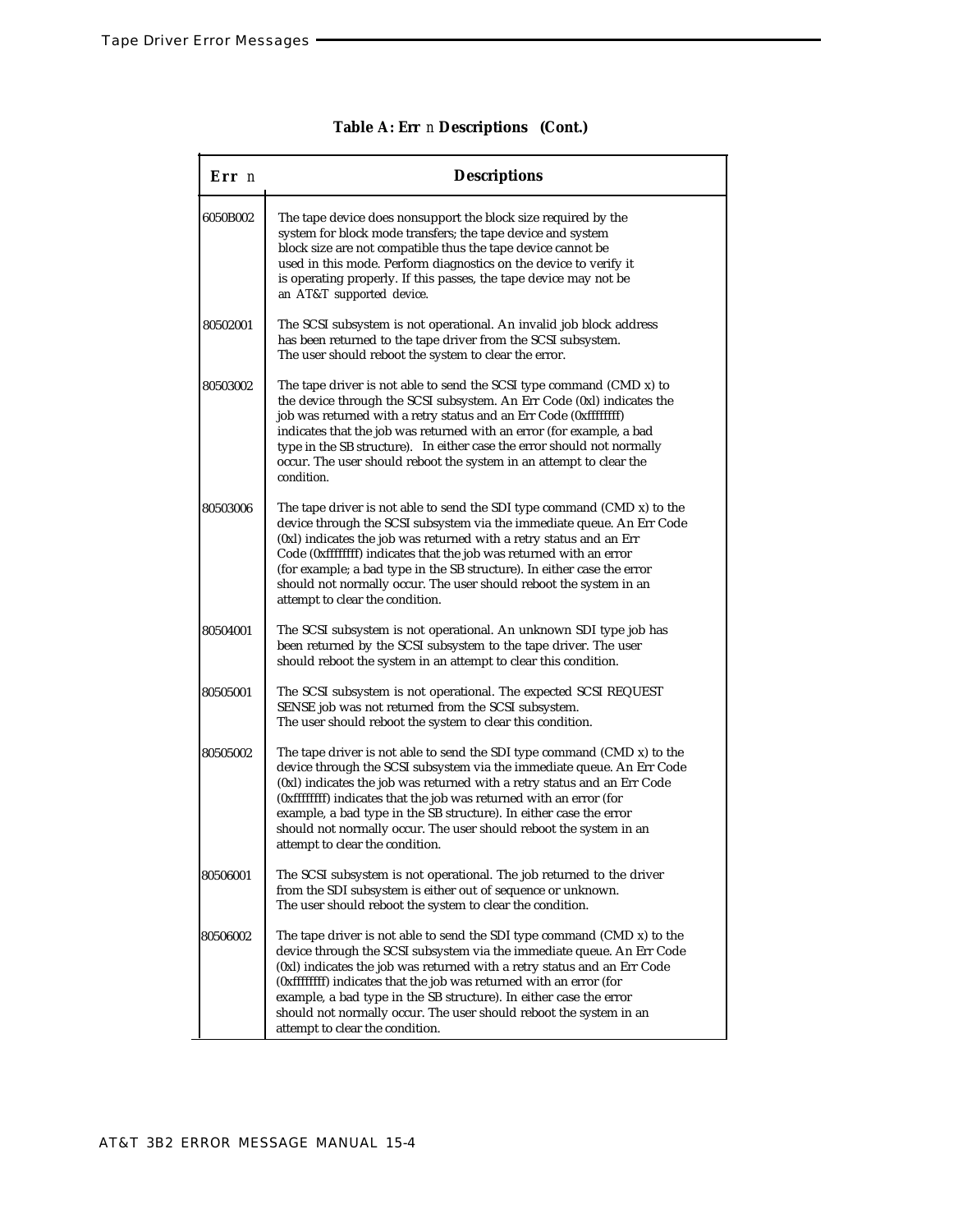| Err n    | <b>Descriptions</b>                                                                                                                                                                                                                                                                                                                                                                                                                                                                   |
|----------|---------------------------------------------------------------------------------------------------------------------------------------------------------------------------------------------------------------------------------------------------------------------------------------------------------------------------------------------------------------------------------------------------------------------------------------------------------------------------------------|
| 6050B002 | The tape device does nonsupport the block size required by the<br>system for block mode transfers; the tape device and system<br>block size are not compatible thus the tape device cannot be<br>used in this mode. Perform diagnostics on the device to verify it<br>is operating properly. If this passes, the tape device may not be<br>an AT&T supported device.                                                                                                                  |
| 80502001 | The SCSI subsystem is not operational. An invalid job block address<br>has been returned to the tape driver from the SCSI subsystem.<br>The user should reboot the system to clear the error.                                                                                                                                                                                                                                                                                         |
| 80503002 | The tape driver is not able to send the SCSI type command (CMD x) to<br>the device through the SCSI subsystem. An Err Code (0xl) indicates the<br>job was returned with a retry status and an Err Code (0xffffffff)<br>indicates that the job was returned with an error (for example, a bad<br>type in the SB structure). In either case the error should not normally<br>occur. The user should reboot the system in an attempt to clear the<br>condition.                          |
| 80503006 | The tape driver is not able to send the SDI type command $(CMD x)$ to the<br>device through the SCSI subsystem via the immediate queue. An Err Code<br>(0xl) indicates the job was returned with a retry status and an Err<br>Code (0xffffffff) indicates that the job was returned with an error<br>(for example; a bad type in the SB structure). In either case the error<br>should not normally occur. The user should reboot the system in an<br>attempt to clear the condition. |
| 80504001 | The SCSI subsystem is not operational. An unknown SDI type job has<br>been returned by the SCSI subsystem to the tape driver. The user<br>should reboot the system in an attempt to clear this condition.                                                                                                                                                                                                                                                                             |
| 80505001 | The SCSI subsystem is not operational. The expected SCSI REQUEST<br>SENSE job was not returned from the SCSI subsystem.<br>The user should reboot the system to clear this condition.                                                                                                                                                                                                                                                                                                 |
| 80505002 | The tape driver is not able to send the SDI type command (CMD x) to the<br>device through the SCSI subsystem via the immediate queue. An Err Code<br>(0xl) indicates the job was returned with a retry status and an Err Code<br>(0xffffffff) indicates that the job was returned with an error (for<br>example, a bad type in the SB structure). In either case the error<br>should not normally occur. The user should reboot the system in an<br>attempt to clear the condition.   |
| 80506001 | The SCSI subsystem is not operational. The job returned to the driver<br>from the SDI subsystem is either out of sequence or unknown.<br>The user should reboot the system to clear the condition.                                                                                                                                                                                                                                                                                    |
| 80506002 | The tape driver is not able to send the SDI type command (CMD x) to the<br>device through the SCSI subsystem via the immediate queue. An Err Code<br>(0xl) indicates the job was returned with a retry status and an Err Code<br>(0xffffffff) indicates that the job was returned with an error (for<br>example, a bad type in the SB structure). In either case the error<br>should not normally occur. The user should reboot the system in an<br>attempt to clear the condition.   |

## **Table A: Err** *n* **Descriptions (Cont.)**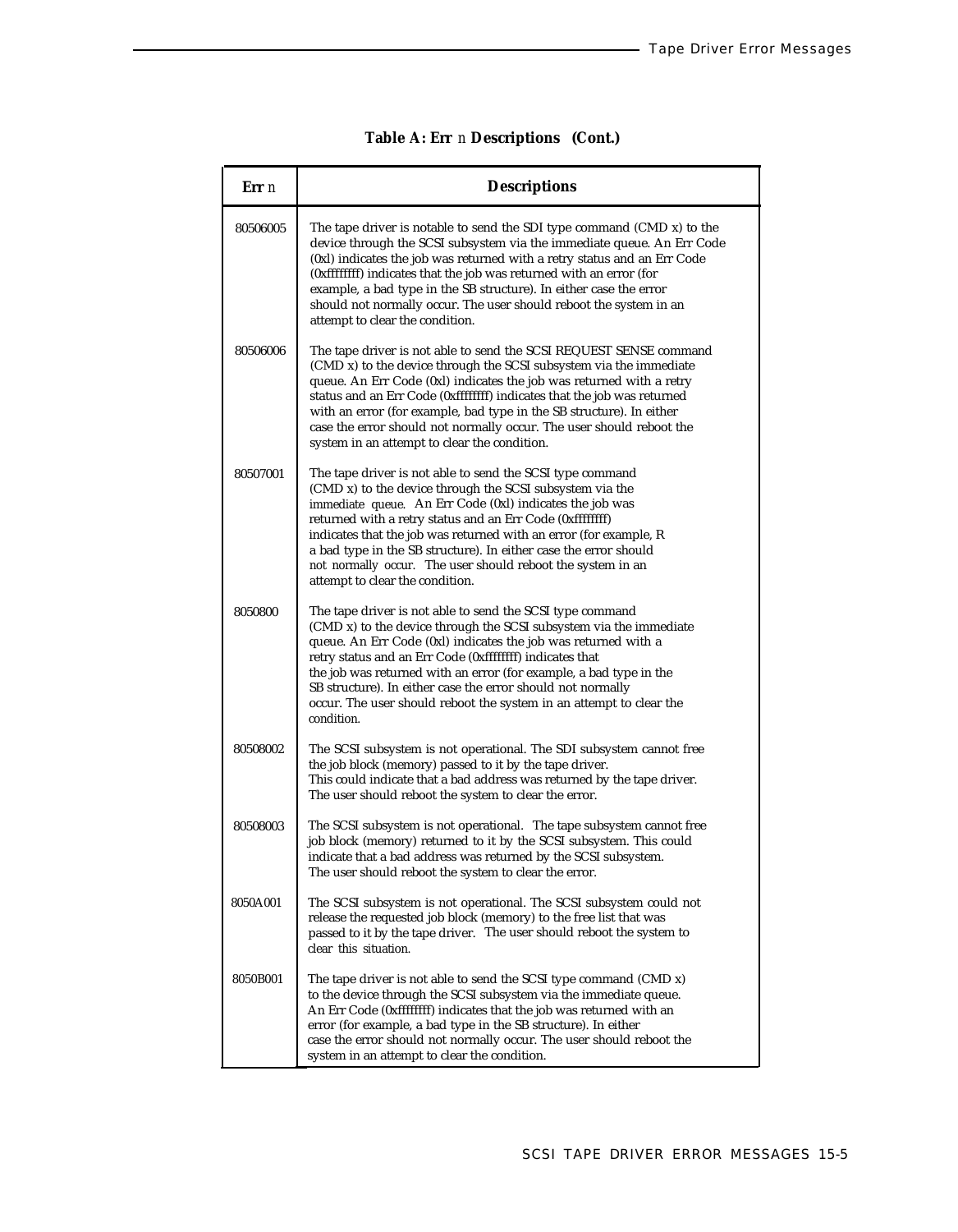|  | Table A: Err n Descriptions (Cont.) |  |
|--|-------------------------------------|--|
|--|-------------------------------------|--|

| Err n    | <b>Descriptions</b>                                                                                                                                                                                                                                                                                                                                                                                                                                                                         |  |  |
|----------|---------------------------------------------------------------------------------------------------------------------------------------------------------------------------------------------------------------------------------------------------------------------------------------------------------------------------------------------------------------------------------------------------------------------------------------------------------------------------------------------|--|--|
| 80506005 | The tape driver is notable to send the SDI type command (CMD x) to the<br>device through the SCSI subsystem via the immediate queue. An Err Code<br>(0xl) indicates the job was returned with a retry status and an Err Code<br>(0xffffffff) indicates that the job was returned with an error (for<br>example, a bad type in the SB structure). In either case the error<br>should not normally occur. The user should reboot the system in an<br>attempt to clear the condition.          |  |  |
| 80506006 | The tape driver is not able to send the SCSI REQUEST SENSE command<br>(CMD x) to the device through the SCSI subsystem via the immediate<br>queue. An Err Code (0xl) indicates the job was returned with a retry<br>status and an Err Code (0xffffffff) indicates that the job was returned<br>with an error (for example, bad type in the SB structure). In either<br>case the error should not normally occur. The user should reboot the<br>system in an attempt to clear the condition. |  |  |
| 80507001 | The tape driver is not able to send the SCSI type command<br>(CMD x) to the device through the SCSI subsystem via the<br>immediate queue. An Err Code (0xl) indicates the job was<br>returned with a retry status and an Err Code (0xffffffff)<br>indicates that the job was returned with an error (for example, R<br>a bad type in the SB structure). In either case the error should<br>not normally occur. The user should reboot the system in an<br>attempt to clear the condition.   |  |  |
| 8050800  | The tape driver is not able to send the SCSI type command<br>(CMD x) to the device through the SCSI subsystem via the immediate<br>queue. An Err Code (0xl) indicates the job was returned with a<br>retry status and an Err Code (0xffffffff) indicates that<br>the job was returned with an error (for example, a bad type in the<br>SB structure). In either case the error should not normally<br>occur. The user should reboot the system in an attempt to clear the<br>condition.     |  |  |
| 80508002 | The SCSI subsystem is not operational. The SDI subsystem cannot free<br>the job block (memory) passed to it by the tape driver.<br>This could indicate that a bad address was returned by the tape driver.<br>The user should reboot the system to clear the error.                                                                                                                                                                                                                         |  |  |
| 80508003 | The SCSI subsystem is not operational. The tape subsystem cannot free<br>job block (memory) returned to it by the SCSI subsystem. This could<br>indicate that a bad address was returned by the SCSI subsystem.<br>The user should reboot the system to clear the error.                                                                                                                                                                                                                    |  |  |
| 8050A001 | The SCSI subsystem is not operational. The SCSI subsystem could not<br>release the requested job block (memory) to the free list that was<br>passed to it by the tape driver. The user should reboot the system to<br>clear this situation.                                                                                                                                                                                                                                                 |  |  |
| 8050B001 | The tape driver is not able to send the SCSI type command (CMD x)<br>to the device through the SCSI subsystem via the immediate queue.<br>An Err Code (0xffffffff) indicates that the job was returned with an<br>error (for example, a bad type in the SB structure). In either<br>case the error should not normally occur. The user should reboot the<br>system in an attempt to clear the condition.                                                                                    |  |  |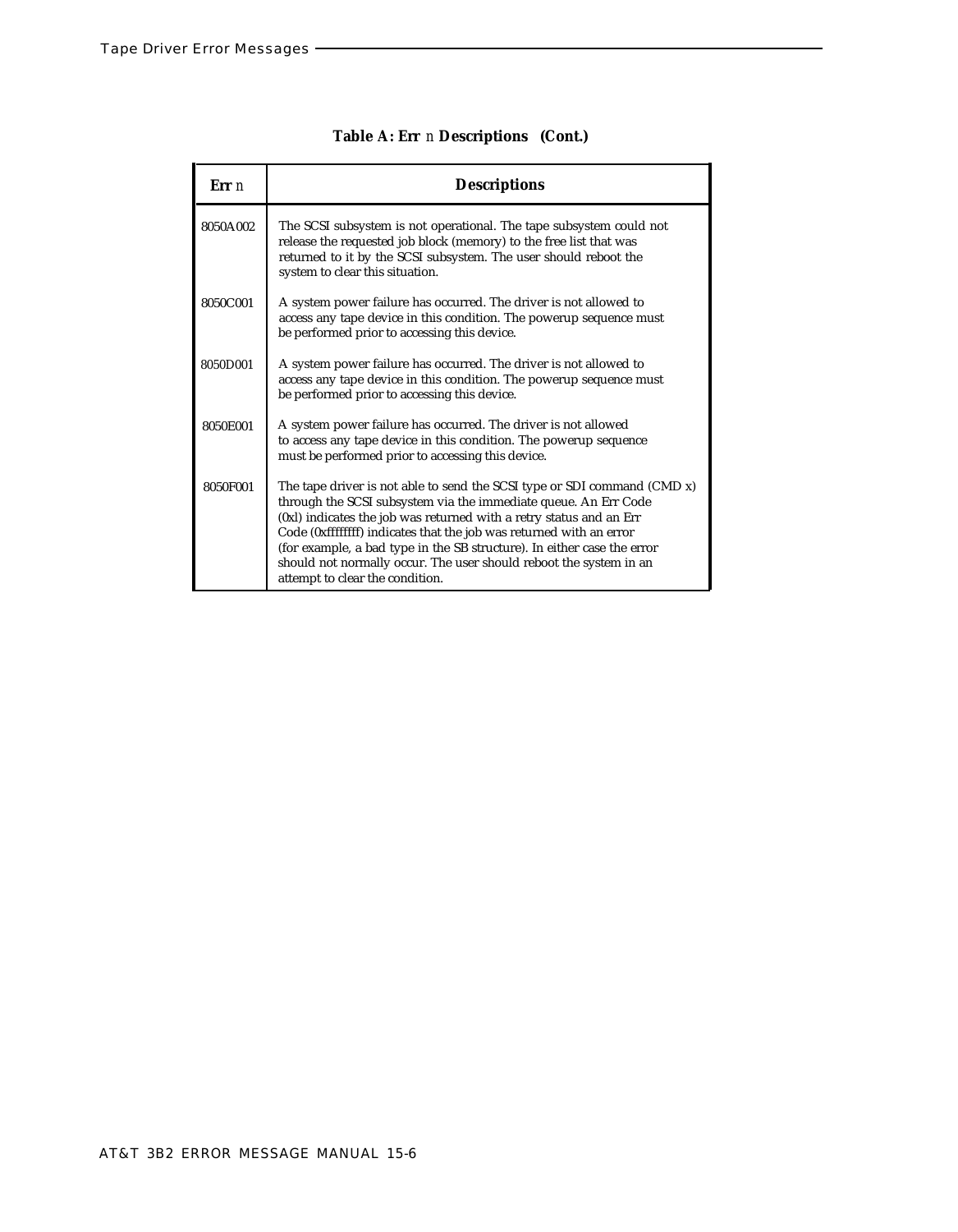| Err n    | <b>Descriptions</b>                                                                                                                                                                                                                                                                                                                                                                                                                                                             |
|----------|---------------------------------------------------------------------------------------------------------------------------------------------------------------------------------------------------------------------------------------------------------------------------------------------------------------------------------------------------------------------------------------------------------------------------------------------------------------------------------|
| 8050A002 | The SCSI subsystem is not operational. The tape subsystem could not<br>release the requested job block (memory) to the free list that was<br>returned to it by the SCSI subsystem. The user should reboot the<br>system to clear this situation.                                                                                                                                                                                                                                |
| 8050C001 | A system power failure has occurred. The driver is not allowed to<br>access any tape device in this condition. The powerup sequence must<br>be performed prior to accessing this device.                                                                                                                                                                                                                                                                                        |
| 8050D001 | A system power failure has occurred. The driver is not allowed to<br>access any tape device in this condition. The powerup sequence must<br>be performed prior to accessing this device.                                                                                                                                                                                                                                                                                        |
| 8050E001 | A system power failure has occurred. The driver is not allowed<br>to access any tape device in this condition. The powerup sequence<br>must be performed prior to accessing this device.                                                                                                                                                                                                                                                                                        |
| 8050F001 | The tape driver is not able to send the SCSI type or SDI command $(CMD x)$<br>through the SCSI subsystem via the immediate queue. An Err Code<br>(0xl) indicates the job was returned with a retry status and an Err<br>Code (0xffffffff) indicates that the job was returned with an error<br>(for example, a bad type in the SB structure). In either case the error<br>should not normally occur. The user should reboot the system in an<br>attempt to clear the condition. |

## **Table A: Err** *n* **Descriptions (Cont.)**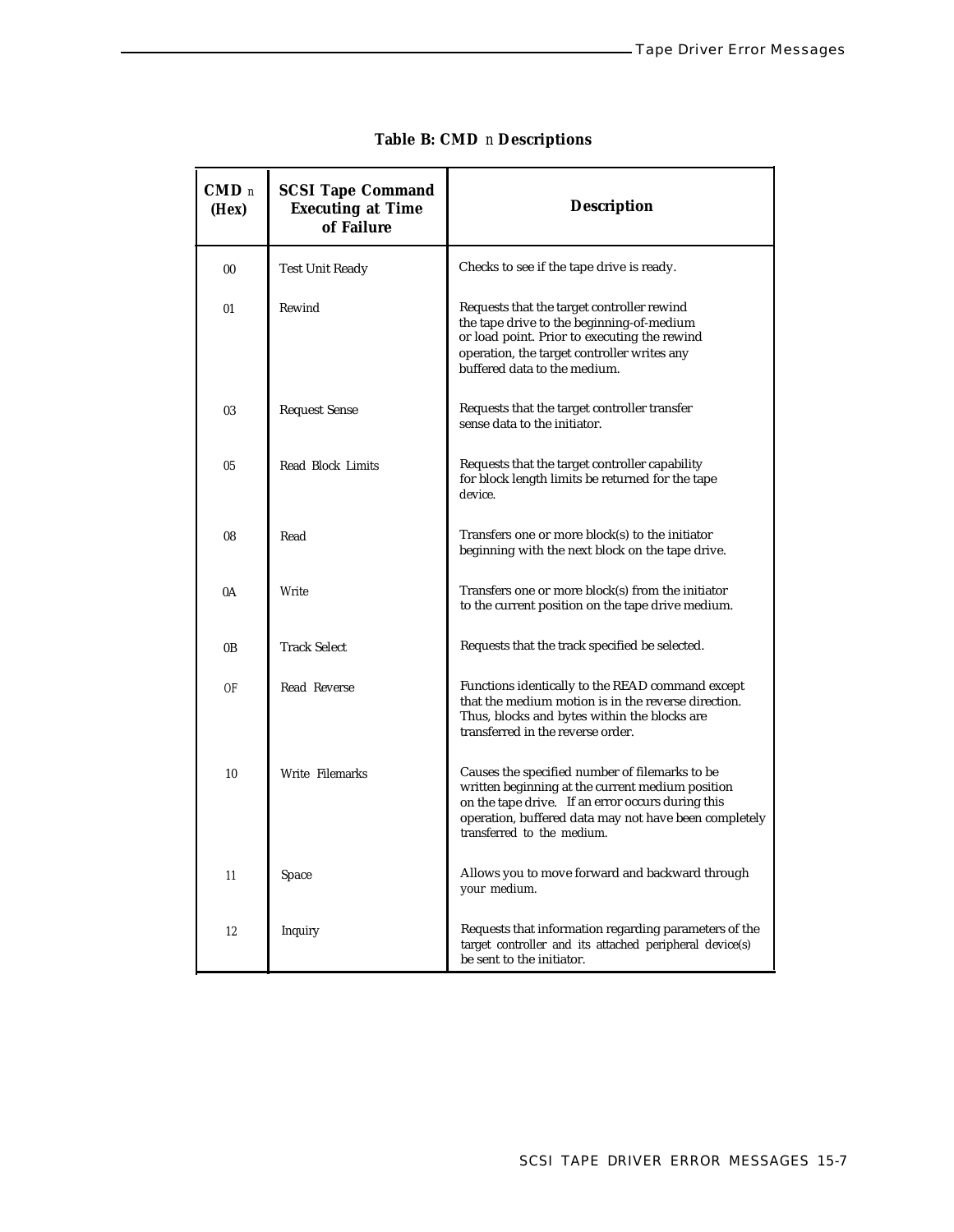ś

| $\mathbf{CMD}$ n<br>(Hex) | <b>SCSI Tape Command</b><br><b>Executing at Time</b><br>of Failure | <b>Description</b>                                                                                                                                                                                                                             |
|---------------------------|--------------------------------------------------------------------|------------------------------------------------------------------------------------------------------------------------------------------------------------------------------------------------------------------------------------------------|
| 0 <sub>0</sub>            | Test Unit Ready                                                    | Checks to see if the tape drive is ready.                                                                                                                                                                                                      |
| 01                        | Rewind                                                             | Requests that the target controller rewind<br>the tape drive to the beginning-of-medium<br>or load point. Prior to executing the rewind<br>operation, the target controller writes any<br>buffered data to the medium.                         |
| 03                        | <b>Request Sense</b>                                               | Requests that the target controller transfer<br>sense data to the initiator.                                                                                                                                                                   |
| 0 <sub>5</sub>            | Read Block Limits                                                  | Requests that the target controller capability<br>for block length limits be returned for the tape<br>device.                                                                                                                                  |
| 08                        | Read                                                               | Transfers one or more block(s) to the initiator<br>beginning with the next block on the tape drive.                                                                                                                                            |
| 0A                        | Write                                                              | Transfers one or more block(s) from the initiator<br>to the current position on the tape drive medium.                                                                                                                                         |
| 0 <sub>B</sub>            | <b>Track Select</b>                                                | Requests that the track specified be selected.                                                                                                                                                                                                 |
| OF                        | Read Reverse                                                       | Functions identically to the READ command except<br>that the medium motion is in the reverse direction.<br>Thus, blocks and bytes within the blocks are<br>transferred in the reverse order.                                                   |
| 10                        | Write Filemarks                                                    | Causes the specified number of filemarks to be<br>written beginning at the current medium position<br>on the tape drive. If an error occurs during this<br>operation, buffered data may not have been completely<br>transferred to the medium. |
| 11                        | Space                                                              | Allows you to move forward and backward through<br>your medium.                                                                                                                                                                                |
| 12                        | Inquiry                                                            | Requests that information regarding parameters of the<br>target controller and its attached peripheral device(s)<br>be sent to the initiator.                                                                                                  |

## **Table B: CMD** *n* **Descriptions**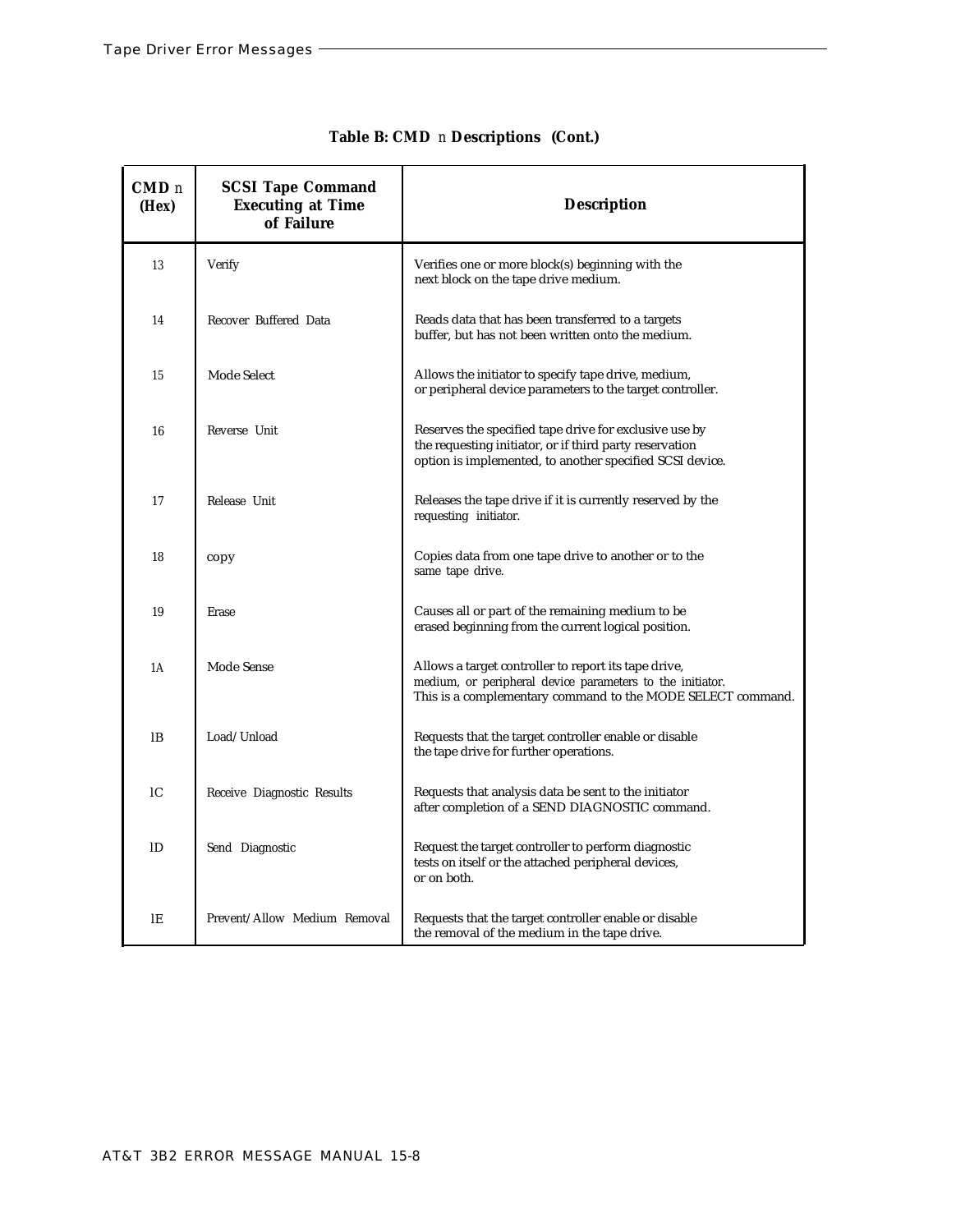| CMD <sub>n</sub><br>(Hex) | <b>SCSI Tape Command</b><br><b>Executing at Time</b><br>of Failure | <b>Description</b>                                                                                                                                                               |
|---------------------------|--------------------------------------------------------------------|----------------------------------------------------------------------------------------------------------------------------------------------------------------------------------|
| 13                        | Verify                                                             | Verifies one or more block(s) beginning with the<br>next block on the tape drive medium.                                                                                         |
| 14                        | Recover Buffered Data                                              | Reads data that has been transferred to a targets<br>buffer, but has not been written onto the medium.                                                                           |
| 15                        | Mode Select                                                        | Allows the initiator to specify tape drive, medium,<br>or peripheral device parameters to the target controller.                                                                 |
| 16                        | Reverse Unit                                                       | Reserves the specified tape drive for exclusive use by<br>the requesting initiator, or if third party reservation<br>option is implemented, to another specified SCSI device.    |
| 17                        | Release Unit                                                       | Releases the tape drive if it is currently reserved by the<br>requesting initiator.                                                                                              |
| 18                        | copy                                                               | Copies data from one tape drive to another or to the<br>same tape drive.                                                                                                         |
| 19                        | Erase                                                              | Causes all or part of the remaining medium to be<br>erased beginning from the current logical position.                                                                          |
| 1A                        | Mode Sense                                                         | Allows a target controller to report its tape drive,<br>medium, or peripheral device parameters to the initiator.<br>This is a complementary command to the MODE SELECT command. |
| 1B                        | Load/Unload                                                        | Requests that the target controller enable or disable<br>the tape drive for further operations.                                                                                  |
| <sub>1</sub> C            | Receive Diagnostic Results                                         | Requests that analysis data be sent to the initiator<br>after completion of a SEND DIAGNOSTIC command.                                                                           |
| ID                        | Send Diagnostic                                                    | Request the target controller to perform diagnostic<br>tests on itself or the attached peripheral devices,<br>or on both.                                                        |
| lE                        | Prevent/Allow Medium Removal                                       | Requests that the target controller enable or disable<br>the removal of the medium in the tape drive.                                                                            |

## **Table B: CMD** *n* **Descriptions (Cont.)**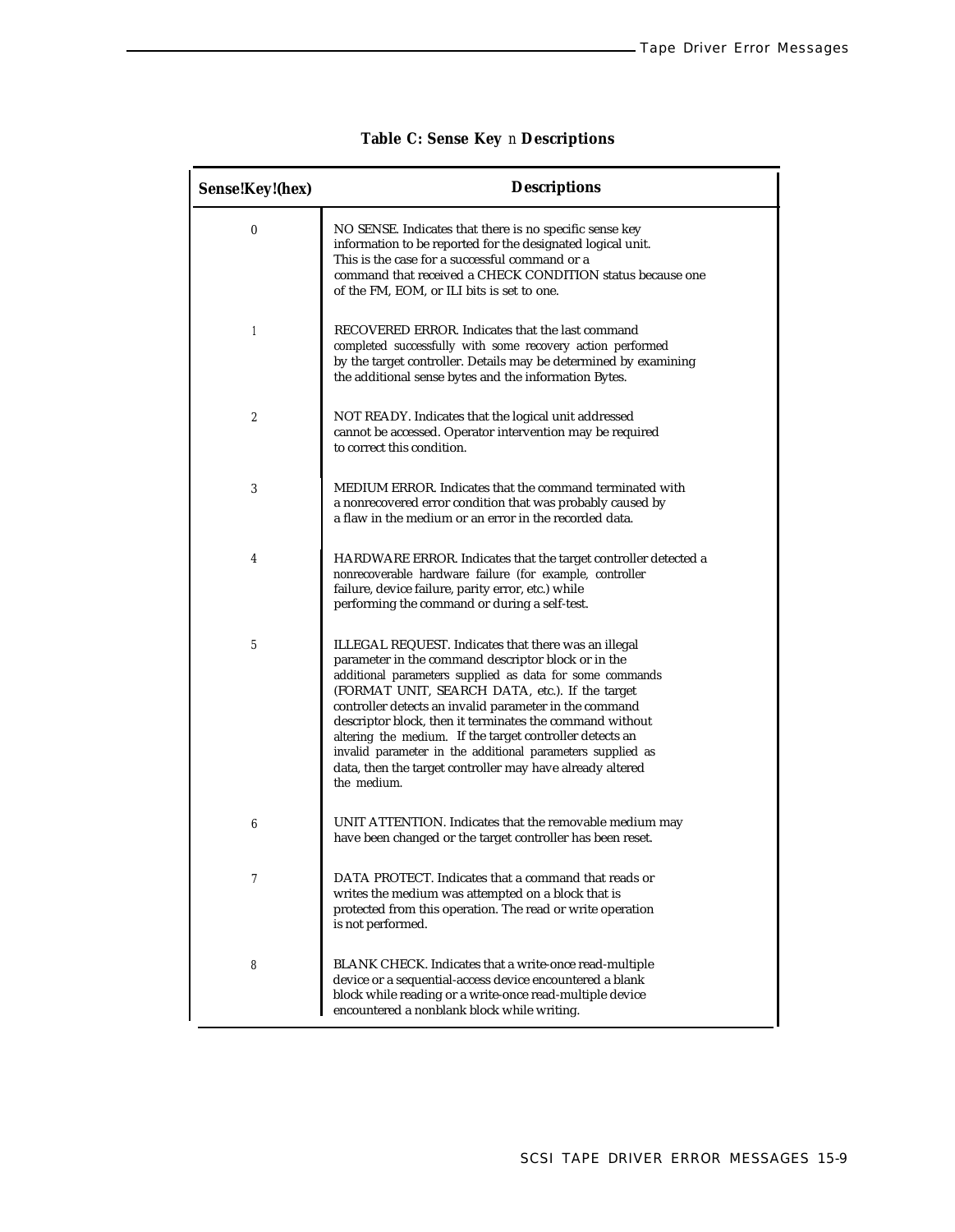| Sense!Key!(hex)  | <b>Descriptions</b>                                                                                                                                                                                                                                                                                                                                                                                                                                                                                                                                    |  |  |
|------------------|--------------------------------------------------------------------------------------------------------------------------------------------------------------------------------------------------------------------------------------------------------------------------------------------------------------------------------------------------------------------------------------------------------------------------------------------------------------------------------------------------------------------------------------------------------|--|--|
| $\boldsymbol{0}$ | NO SENSE. Indicates that there is no specific sense key<br>information to be reported for the designated logical unit.<br>This is the case for a successful command or a<br>command that received a CHECK CONDITION status because one<br>of the FM, EOM, or ILI bits is set to one.                                                                                                                                                                                                                                                                   |  |  |
| $\mathbf{1}$     | RECOVERED ERROR. Indicates that the last command<br>completed successfully with some recovery action performed<br>by the target controller. Details may be determined by examining<br>the additional sense bytes and the information Bytes.                                                                                                                                                                                                                                                                                                            |  |  |
| $\overline{c}$   | NOT READY. Indicates that the logical unit addressed<br>cannot be accessed. Operator intervention may be required<br>to correct this condition.                                                                                                                                                                                                                                                                                                                                                                                                        |  |  |
| 3                | MEDIUM ERROR. Indicates that the command terminated with<br>a nonrecovered error condition that was probably caused by<br>a flaw in the medium or an error in the recorded data.                                                                                                                                                                                                                                                                                                                                                                       |  |  |
| 4                | HARDWARE ERROR. Indicates that the target controller detected a<br>nonrecoverable hardware failure (for example, controller<br>failure, device failure, parity error, etc.) while<br>performing the command or during a self-test.                                                                                                                                                                                                                                                                                                                     |  |  |
| 5                | ILLEGAL REQUEST. Indicates that there was an illegal<br>parameter in the command descriptor block or in the<br>additional parameters supplied as data for some commands<br>(FORMAT UNIT, SEARCH DATA, etc.). If the target<br>controller detects an invalid parameter in the command<br>descriptor block, then it terminates the command without<br>altering the medium. If the target controller detects an<br>invalid parameter in the additional parameters supplied as<br>data, then the target controller may have already altered<br>the medium. |  |  |
| 6                | UNIT ATTENTION. Indicates that the removable medium may<br>have been changed or the target controller has been reset.                                                                                                                                                                                                                                                                                                                                                                                                                                  |  |  |
| 7                | DATA PROTECT. Indicates that a command that reads or<br>writes the medium was attempted on a block that is<br>protected from this operation. The read or write operation<br>is not performed.                                                                                                                                                                                                                                                                                                                                                          |  |  |
| 8                | BLANK CHECK. Indicates that a write-once read-multiple<br>device or a sequential-access device encountered a blank<br>block while reading or a write-once read-multiple device<br>encountered a nonblank block while writing.                                                                                                                                                                                                                                                                                                                          |  |  |

# **Table C: Sense Key** *n* **Descriptions**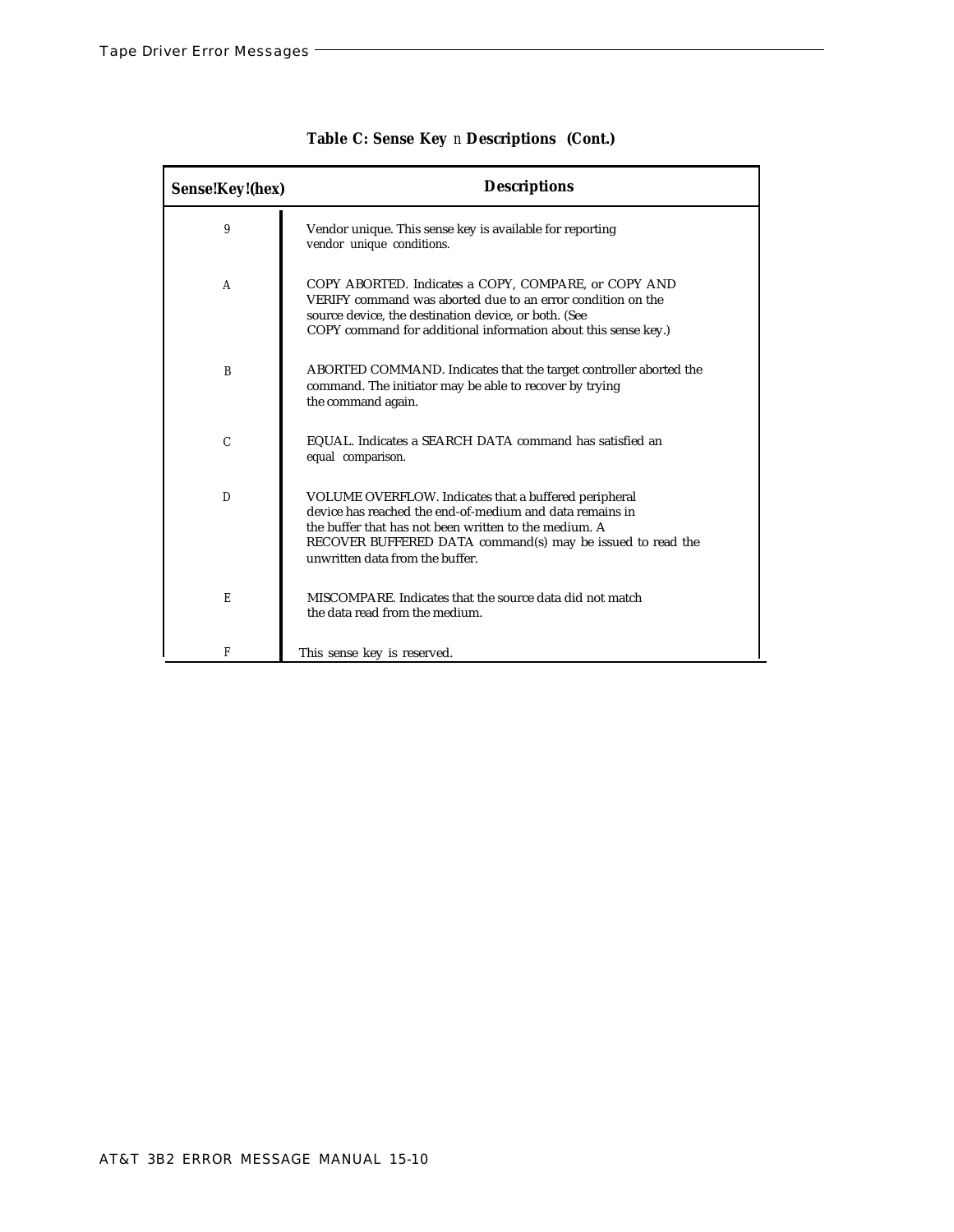| Sense!Key!(hex) | <b>Descriptions</b>                                                                                                                                                                                                                                                         |
|-----------------|-----------------------------------------------------------------------------------------------------------------------------------------------------------------------------------------------------------------------------------------------------------------------------|
| 9               | Vendor unique. This sense key is available for reporting<br>vendor unique conditions.                                                                                                                                                                                       |
| A               | COPY ABORTED. Indicates a COPY, COMPARE, or COPY AND<br>VERIFY command was aborted due to an error condition on the<br>source device, the destination device, or both. (See<br>COPY command for additional information about this sense key.)                               |
| B               | ABORTED COMMAND. Indicates that the target controller aborted the<br>command. The initiator may be able to recover by trying<br>the command again.                                                                                                                          |
| C               | EQUAL. Indicates a SEARCH DATA command has satisfied an<br>equal comparison.                                                                                                                                                                                                |
| D               | VOLUME OVERFLOW. Indicates that a buffered peripheral<br>device has reached the end-of-medium and data remains in<br>the buffer that has not been written to the medium. A<br>RECOVER BUFFERED DATA command(s) may be issued to read the<br>unwritten data from the buffer. |
| E               | MISCOMPARE. Indicates that the source data did not match<br>the data read from the medium.                                                                                                                                                                                  |
| F               | This sense key is reserved.                                                                                                                                                                                                                                                 |

|  |  | Table C: Sense Key n Descriptions (Cont.) |  |
|--|--|-------------------------------------------|--|
|--|--|-------------------------------------------|--|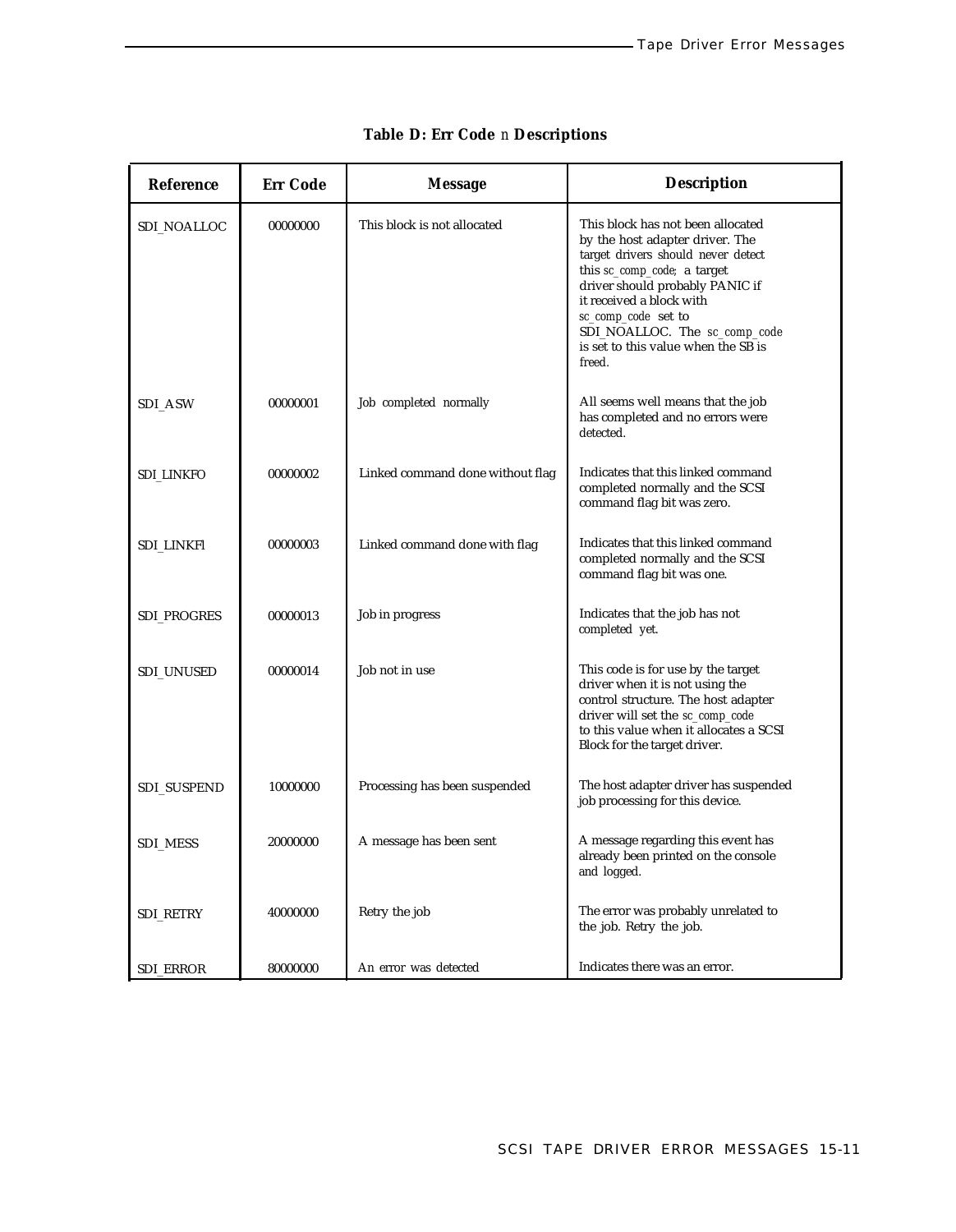| Reference         | <b>Err Code</b> | <b>Message</b>                   | <b>Description</b>                                                                                                                                                                                                                                                                                                |
|-------------------|-----------------|----------------------------------|-------------------------------------------------------------------------------------------------------------------------------------------------------------------------------------------------------------------------------------------------------------------------------------------------------------------|
| SDI_NOALLOC       | 00000000        | This block is not allocated      | This block has not been allocated<br>by the host adapter driver. The<br>target drivers should never detect<br>this sc_comp_code; a target<br>driver should probably PANIC if<br>it received a block with<br>sc_comp_code set to<br>SDI_NOALLOC. The sc_comp_code<br>is set to this value when the SB is<br>freed. |
| SDI_ASW           | 00000001        | Job completed normally           | All seems well means that the job<br>has completed and no errors were<br>detected.                                                                                                                                                                                                                                |
| <b>SDI_LINKFO</b> | 00000002        | Linked command done without flag | Indicates that this linked command<br>completed normally and the SCSI<br>command flag bit was zero.                                                                                                                                                                                                               |
| SDI_LINKFl        | 00000003        | Linked command done with flag    | Indicates that this linked command<br>completed normally and the SCSI<br>command flag bit was one.                                                                                                                                                                                                                |
| SDI_PROGRES       | 00000013        | Job in progress                  | Indicates that the job has not<br>completed yet.                                                                                                                                                                                                                                                                  |
| SDI_UNUSED        | 00000014        | Job not in use                   | This code is for use by the target<br>driver when it is not using the<br>control structure. The host adapter<br>driver will set the sc_comp_code<br>to this value when it allocates a SCSI<br>Block for the target driver.                                                                                        |
| SDI_SUSPEND       | 10000000        | Processing has been suspended    | The host adapter driver has suspended<br>job processing for this device.                                                                                                                                                                                                                                          |
| <b>SDI_MESS</b>   | 20000000        | A message has been sent          | A message regarding this event has<br>already been printed on the console<br>and logged.                                                                                                                                                                                                                          |
| SDI_RETRY         | 40000000        | Retry the job                    | The error was probably unrelated to<br>the job. Retry the job.                                                                                                                                                                                                                                                    |
| <b>SDI_ERROR</b>  | 80000000        | An error was detected            | Indicates there was an error.                                                                                                                                                                                                                                                                                     |

# **Table D: Err Code** *n* **Descriptions**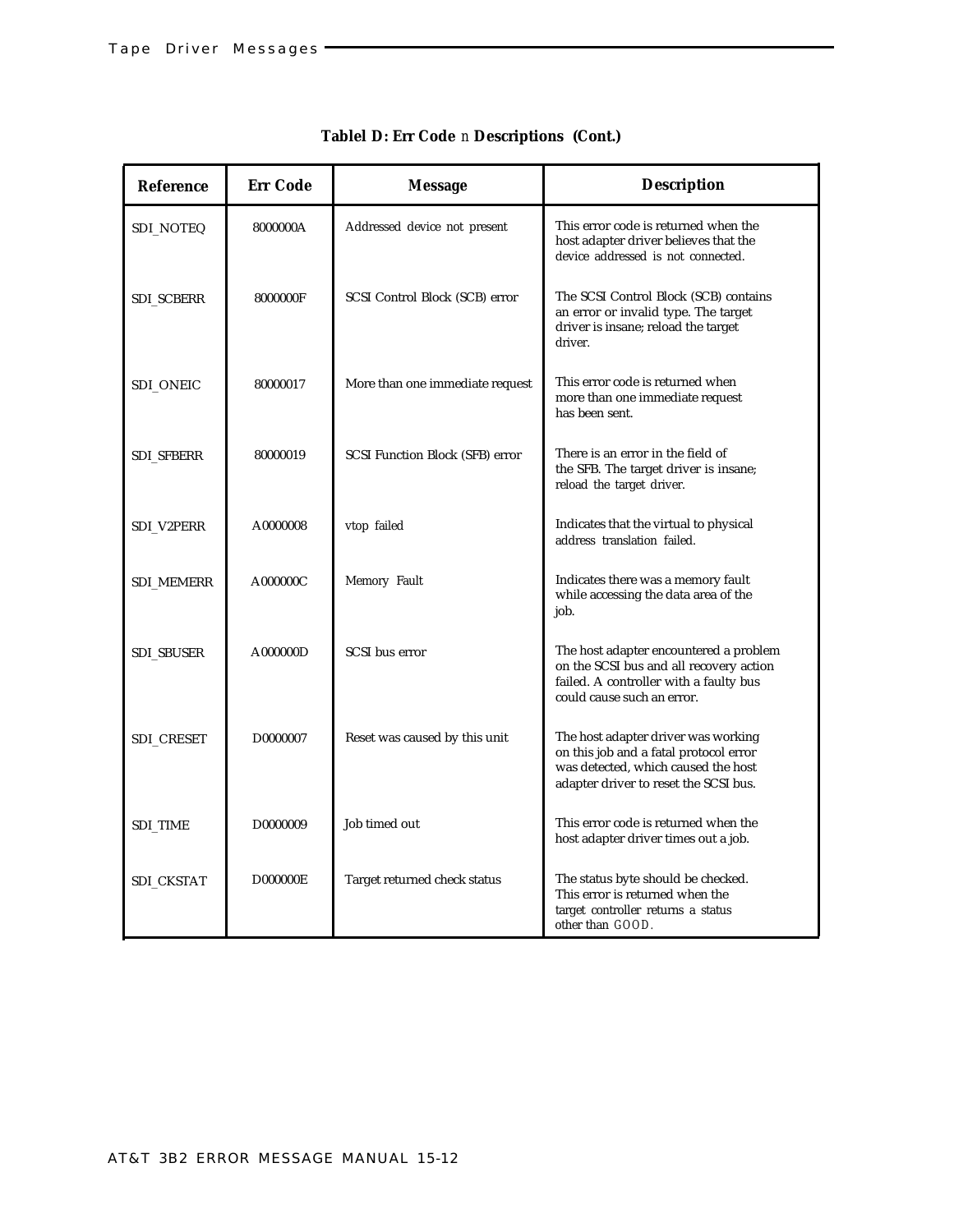| <b>Reference</b>  | <b>Err Code</b> | <b>Message</b>                         | <b>Description</b>                                                                                                                                            |
|-------------------|-----------------|----------------------------------------|---------------------------------------------------------------------------------------------------------------------------------------------------------------|
| SDI_NOTEQ         | 8000000A        | Addressed device not present           | This error code is returned when the<br>host adapter driver believes that the<br>device addressed is not connected.                                           |
| <b>SDI_SCBERR</b> | 8000000F        | SCSI Control Block (SCB) error         | The SCSI Control Block (SCB) contains<br>an error or invalid type. The target<br>driver is insane; reload the target<br>driver.                               |
| SDI ONEIC         | 80000017        | More than one immediate request        | This error code is returned when<br>more than one immediate request<br>has been sent.                                                                         |
| <b>SDI SFBERR</b> | 80000019        | <b>SCSI Function Block (SFB) error</b> | There is an error in the field of<br>the SFB. The target driver is insane;<br>reload the target driver.                                                       |
| SDI_V2PERR        | A0000008        | vtop failed                            | Indicates that the virtual to physical<br>address translation failed.                                                                                         |
| <b>SDI_MEMERR</b> | A000000C        | Memory Fault                           | Indicates there was a memory fault<br>while accessing the data area of the<br>job.                                                                            |
| <b>SDI_SBUSER</b> | A000000D        | SCSI bus error                         | The host adapter encountered a problem<br>on the SCSI bus and all recovery action<br>failed. A controller with a faulty bus<br>could cause such an error.     |
| SDI_CRESET        | D0000007        | Reset was caused by this unit          | The host adapter driver was working<br>on this job and a fatal protocol error<br>was detected, which caused the host<br>adapter driver to reset the SCSI bus. |
| <b>SDI_TIME</b>   | D0000009        | Job timed out                          | This error code is returned when the<br>host adapter driver times out a job.                                                                                  |
| SDI_CKSTAT        | <b>D000000E</b> | Target returned check status           | The status byte should be checked.<br>This error is returned when the<br>target controller returns a status<br>other than GOOD.                               |

## **Tablel D: Err Code** *n* **Descriptions (Cont.)**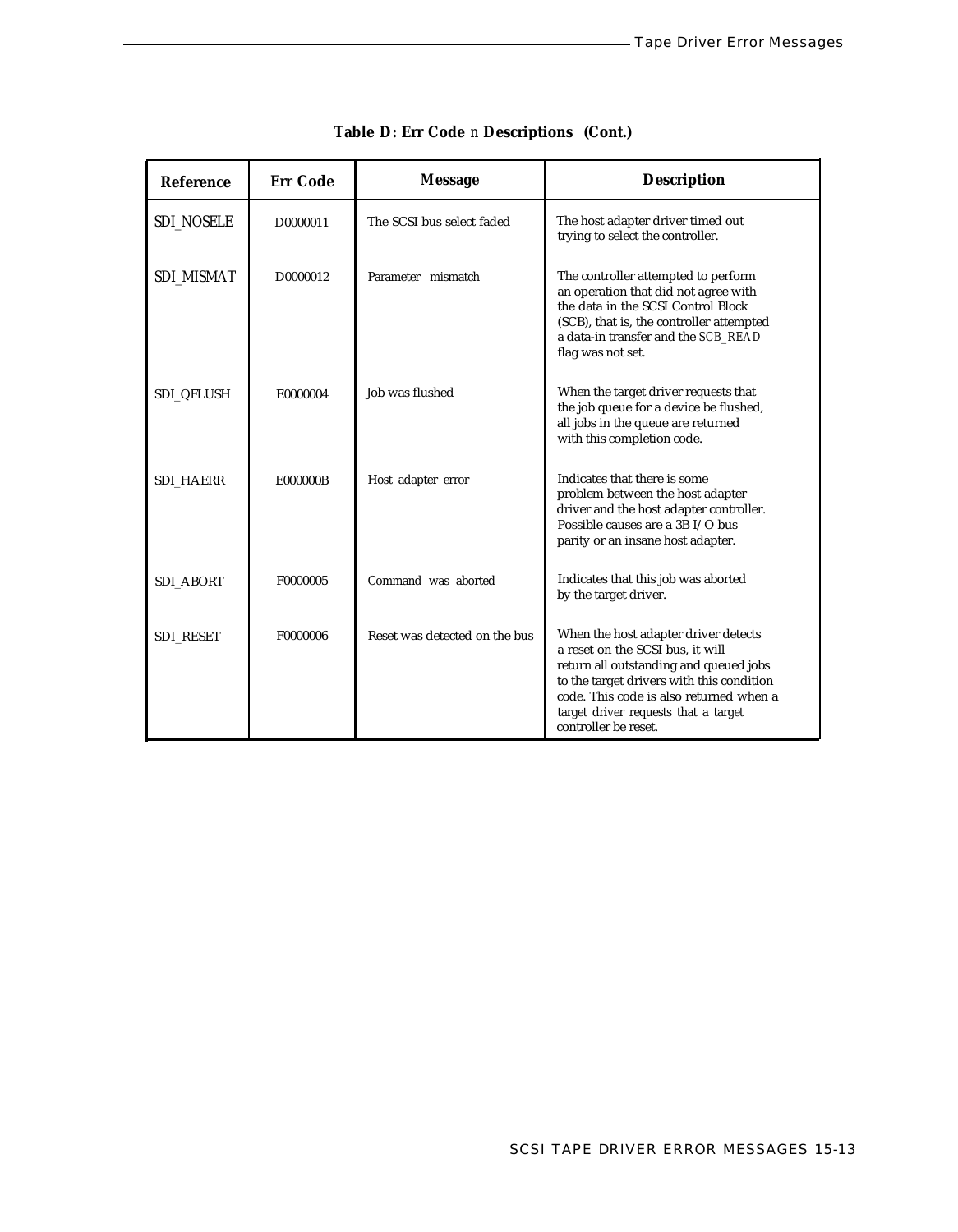| <b>Reference</b>  | <b>Err Code</b> | <b>Message</b>                | <b>Description</b>                                                                                                                                                                                                                                                         |
|-------------------|-----------------|-------------------------------|----------------------------------------------------------------------------------------------------------------------------------------------------------------------------------------------------------------------------------------------------------------------------|
| <b>SDI_NOSELE</b> | D0000011        | The SCSI bus select faded     | The host adapter driver timed out<br>trying to select the controller.                                                                                                                                                                                                      |
| SDI MISMAT        | D0000012        | Parameter mismatch            | The controller attempted to perform<br>an operation that did not agree with<br>the data in the SCSI Control Block<br>(SCB), that is, the controller attempted<br>a data-in transfer and the SCB_READ<br>flag was not set.                                                  |
| <b>SDI_QFLUSH</b> | E0000004        | Job was flushed               | When the target driver requests that<br>the job queue for a device be flushed,<br>all jobs in the queue are returned<br>with this completion code.                                                                                                                         |
| <b>SDI_HAERR</b>  | E000000B        | Host adapter error            | Indicates that there is some<br>problem between the host adapter<br>driver and the host adapter controller.<br>Possible causes are a 3B I/O bus<br>parity or an insane host adapter.                                                                                       |
| <b>SDI_ABORT</b>  | F0000005        | Command was aborted           | Indicates that this job was aborted<br>by the target driver.                                                                                                                                                                                                               |
| <b>SDI_RESET</b>  | F0000006        | Reset was detected on the bus | When the host adapter driver detects<br>a reset on the SCSI bus, it will<br>return all outstanding and queued jobs<br>to the target drivers with this condition<br>code. This code is also returned when a<br>target driver requests that a target<br>controller be reset. |

# **Table D: Err Code** *n* **Descriptions (Cont.)**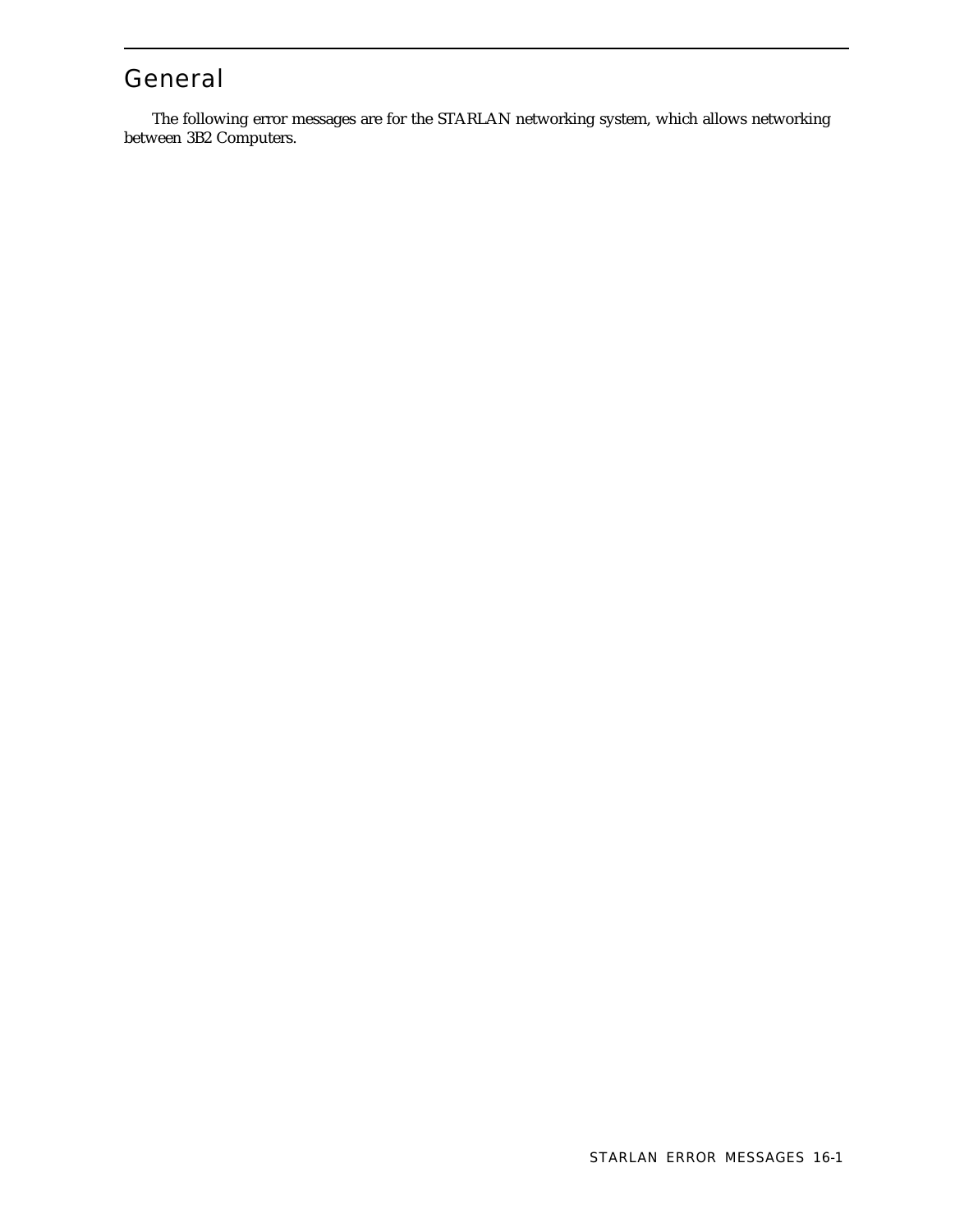# General

The following error messages are for the STARLAN networking system, which allows networking between 3B2 Computers.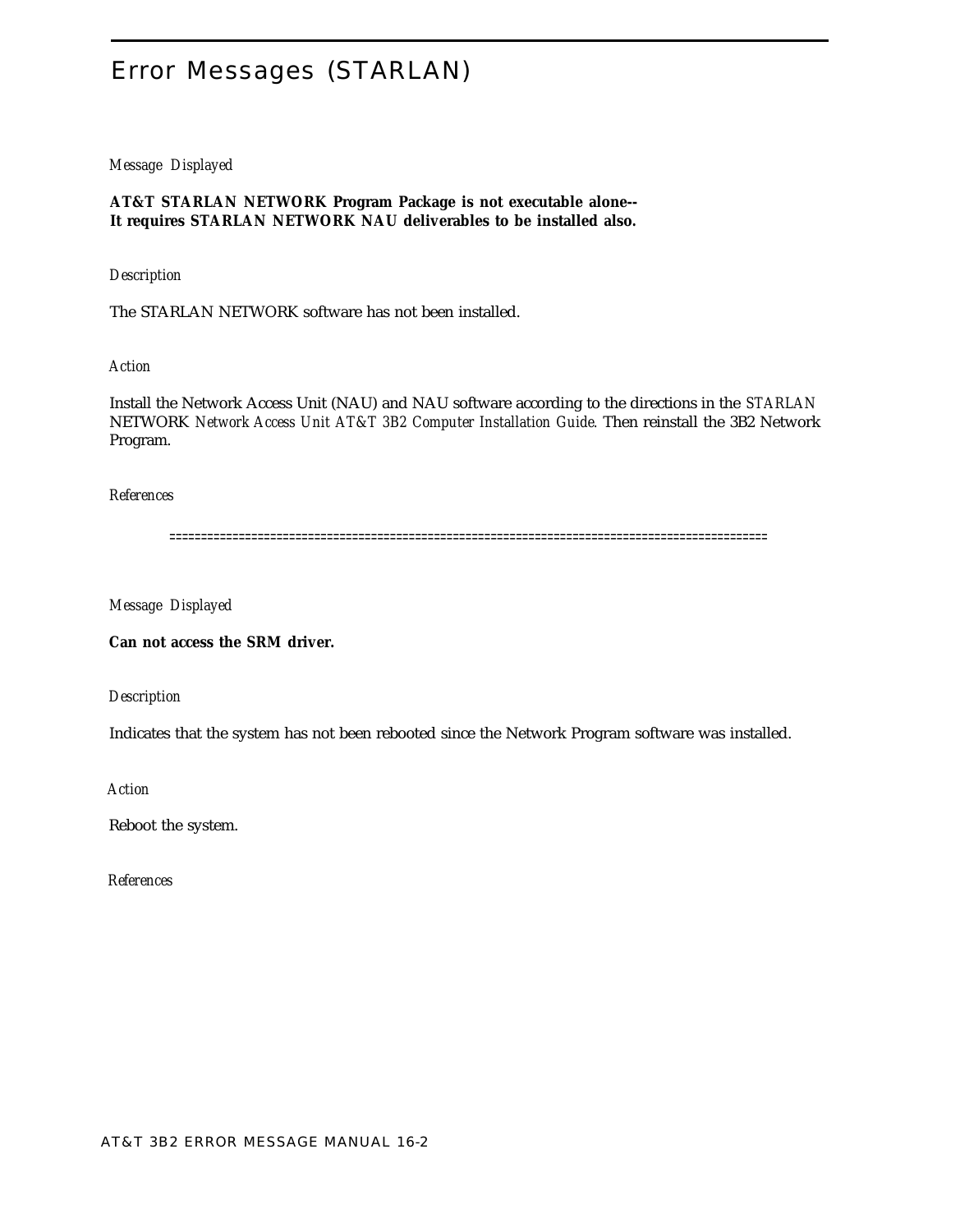# <span id="page-338-0"></span>Error Messages (STARLAN)

#### *Message Displayed*

**AT&T STARLAN NETWORK Program Package is not executable alone-- It requires STARLAN NETWORK NAU deliverables to be installed also.**

#### *Description*

The STARLAN NETWORK software has not been installed.

#### *Action*

Install the Network Access Unit (NAU) and NAU software according to the directions in the *STARLAN* NETWORK *Network Access Unit AT&T 3B2 Computer Installation Guide.* Then reinstall the 3B2 Network Program.

#### *References*

===============================================================================================

*Message Displayed*

**Can not access the SRM driver.**

#### *Description*

Indicates that the system has not been rebooted since the Network Program software was installed.

*Action*

Reboot the system.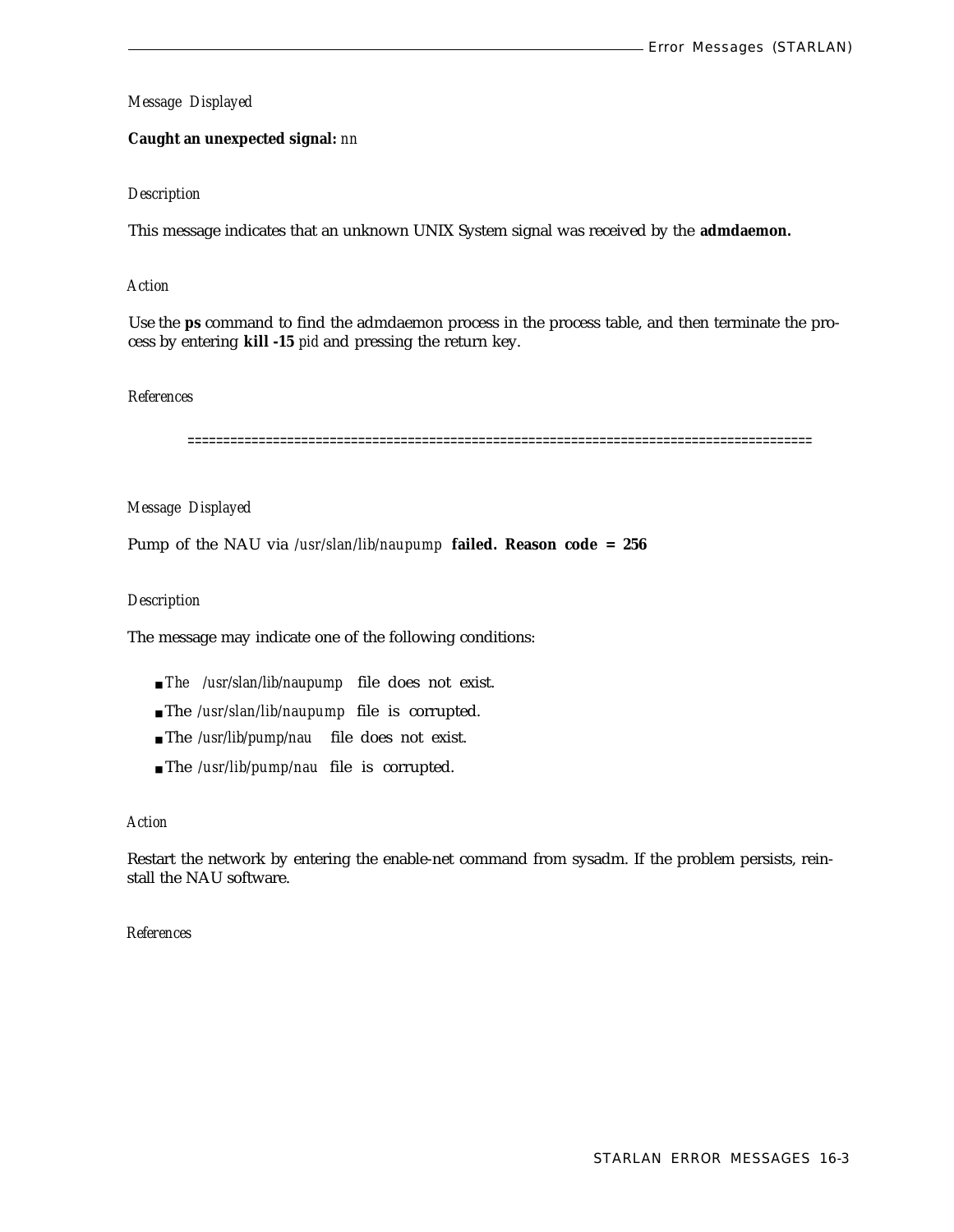#### <span id="page-339-0"></span>**Caught an unexpected signal:** *nn*

#### *Description*

This message indicates that an unknown UNIX System signal was received by the **admdaemon.**

#### *Action*

Use the **ps** command to find the admdaemon process in the process table, and then terminate the process by entering **kill -15** *pid* and pressing the return key.

#### *References*

========================================================================================

#### *Message Displayed*

Pump of the NAU via */usr/slan/lib/naupump* **failed. Reason code = 256**

#### *Description*

The message may indicate one of the following conditions:

- *The /usr/slan/lib/naupump* file does not exist.
- The */usr/slan/lib/naupump* file is corrupted.
- The */usr/lib/pump/nau* file does not exist.
- The */usr/lib/pump/nau* file is corrupted.

#### *Action*

Restart the network by entering the enable-net command from sysadm. If the problem persists, reinstall the NAU software.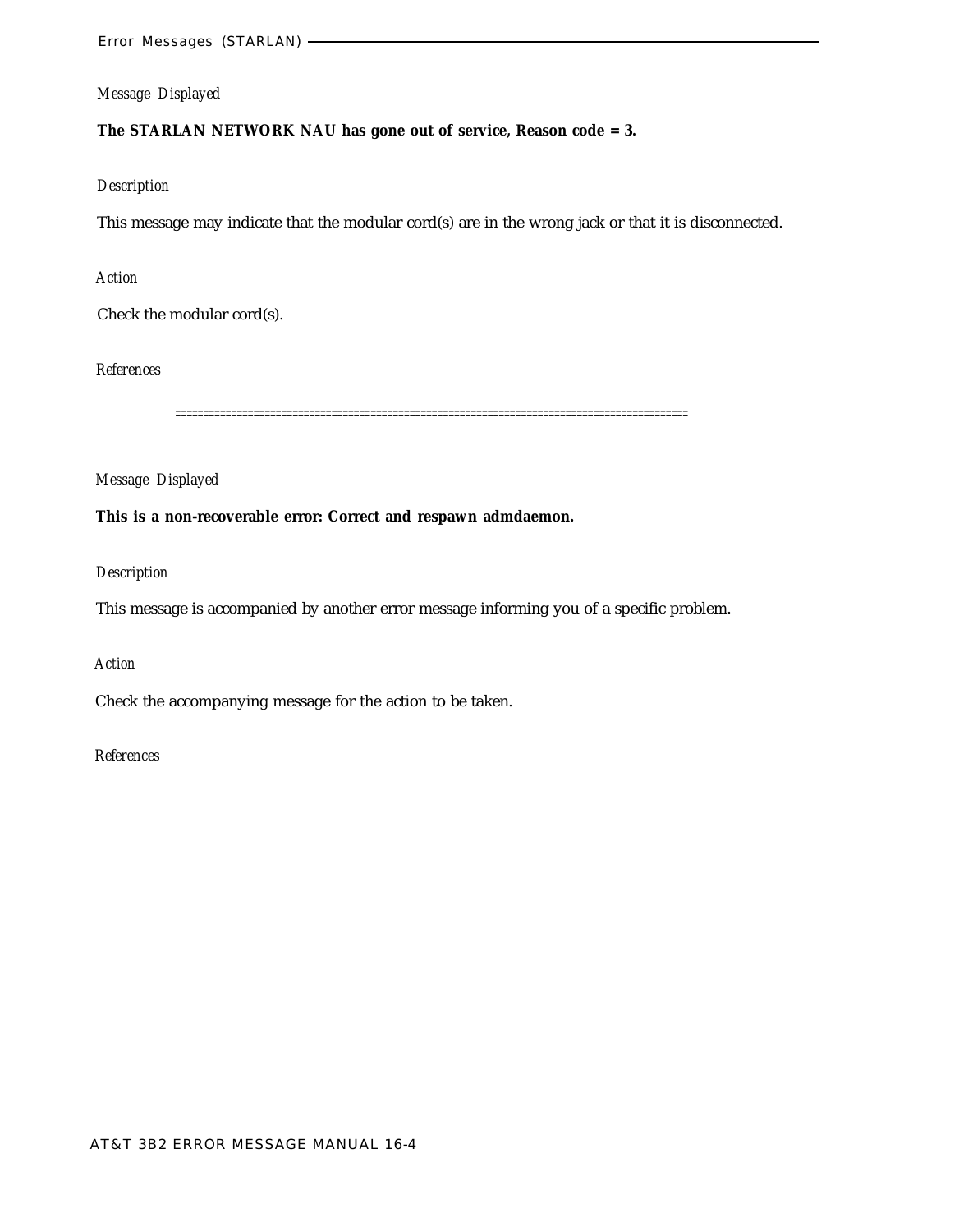### **The STARLAN NETWORK NAU has gone out of service, Reason code = 3.**

#### *Description*

This message may indicate that the modular cord(s) are in the wrong jack or that it is disconnected.

#### *Action*

Check the modular cord(s).

*References*

============================================================================================

*Message Displayed*

#### **This is a non-recoverable error: Correct and respawn admdaemon.**

#### *Description*

This message is accompanied by another error message informing you of a specific problem.

#### *Action*

Check the accompanying message for the action to be taken.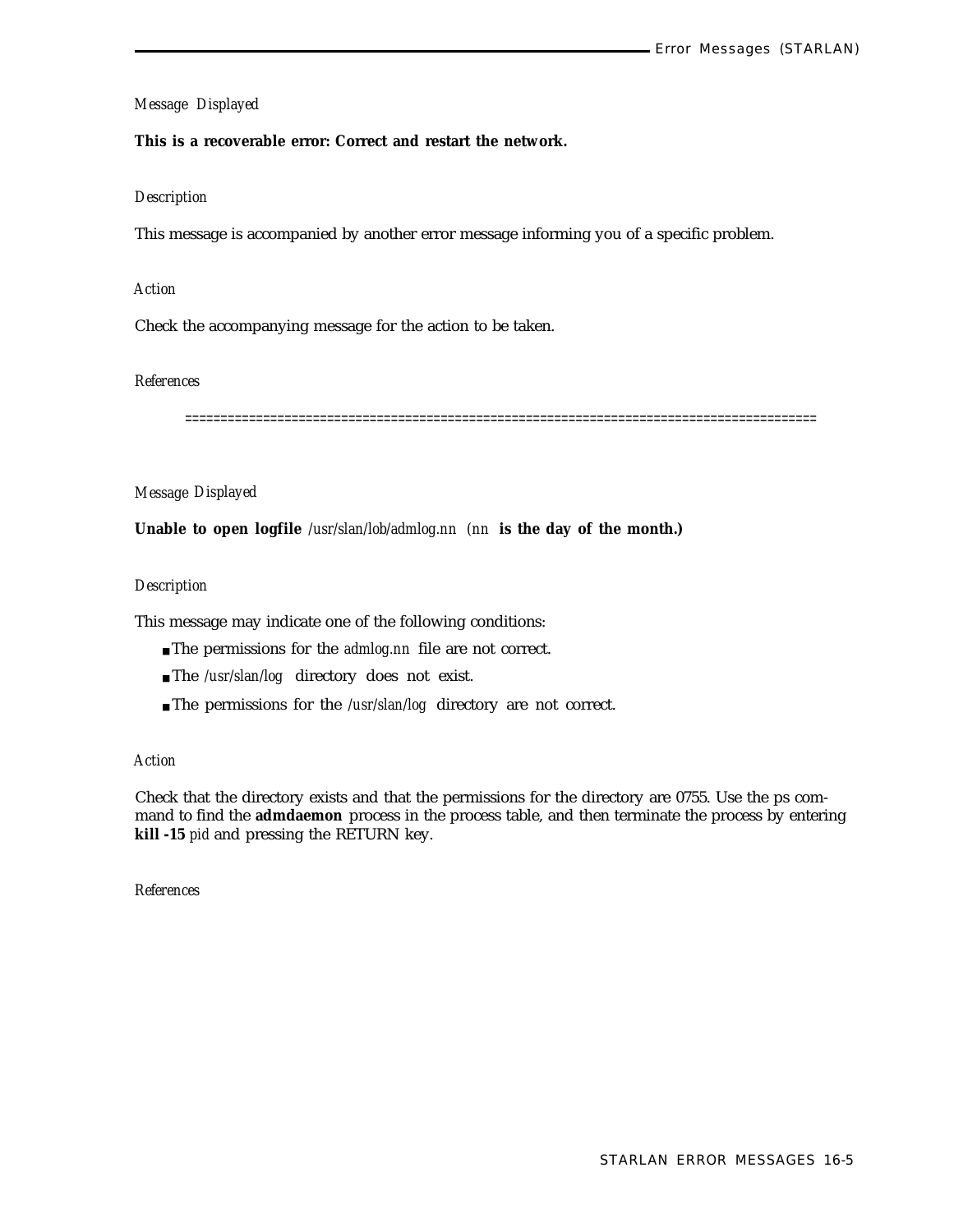#### **This is a recoverable error: Correct and restart the network.**

#### *Description*

This message is accompanied by another error message informing you of a specific problem.

#### *Action*

Check the accompanying message for the action to be taken.

#### *References*

=========================================================================================

#### *Message Displayed*

**Unable to open logfile** */usr/slan/lob/admlog.nn (nn* **is the day of the month.)**

#### *Description*

This message may indicate one of the following conditions:

- The permissions for the *admlog.nn* file are not correct.
- The /usr/slan/log directory does not exist.
- The permissions for the */usr/slan/log* directory are not correct.

#### *Action*

Check that the directory exists and that the permissions for the directory are 0755. Use the ps command to find the **admdaemon** process in the process table, and then terminate the process by entering **kill -15** *pid* and pressing the RETURN key.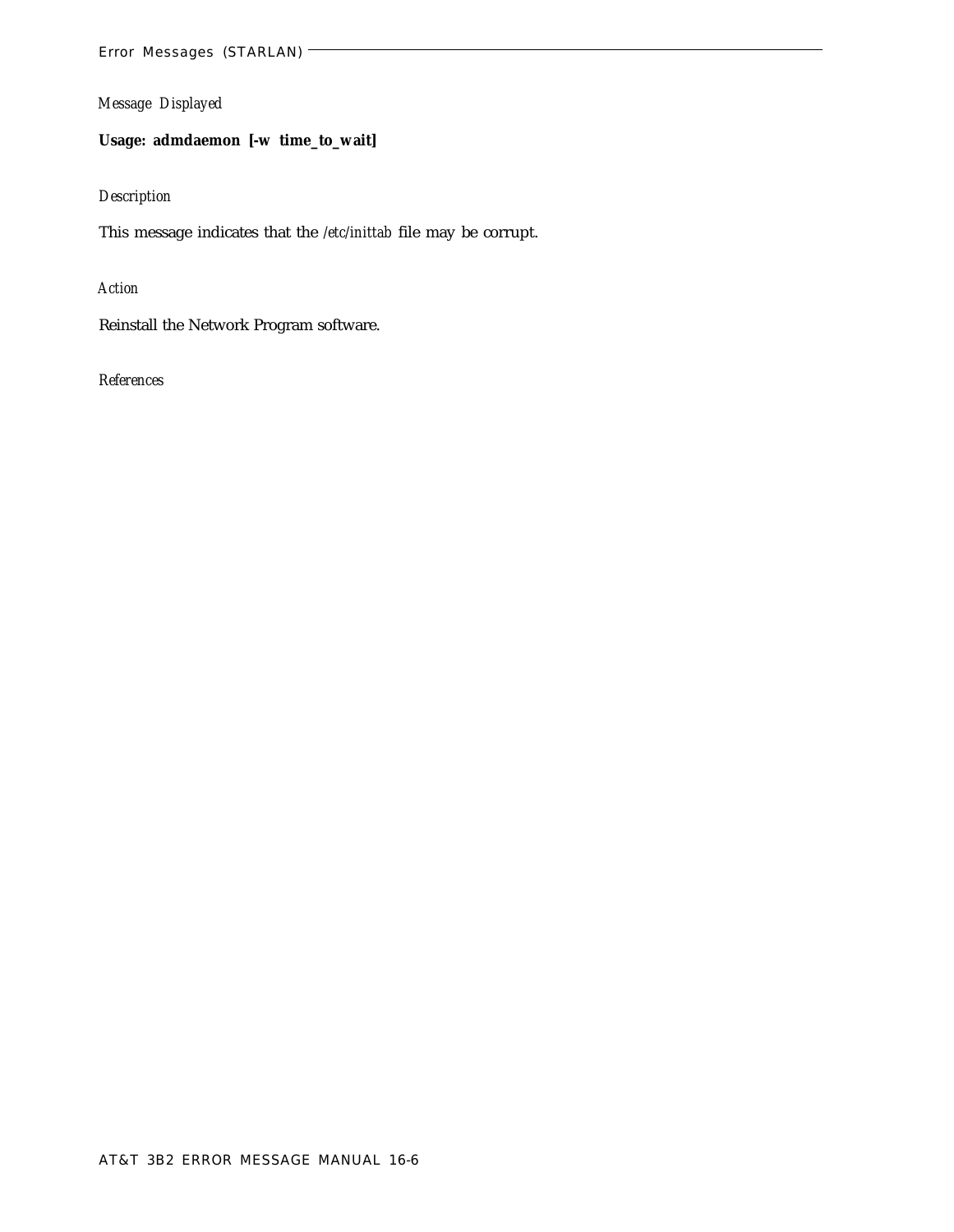**Usage: admdaemon [-w time\_to\_wait]**

#### *Description*

This message indicates that the */etc/inittab* file may be corrupt.

*Action*

Reinstall the Network Program software.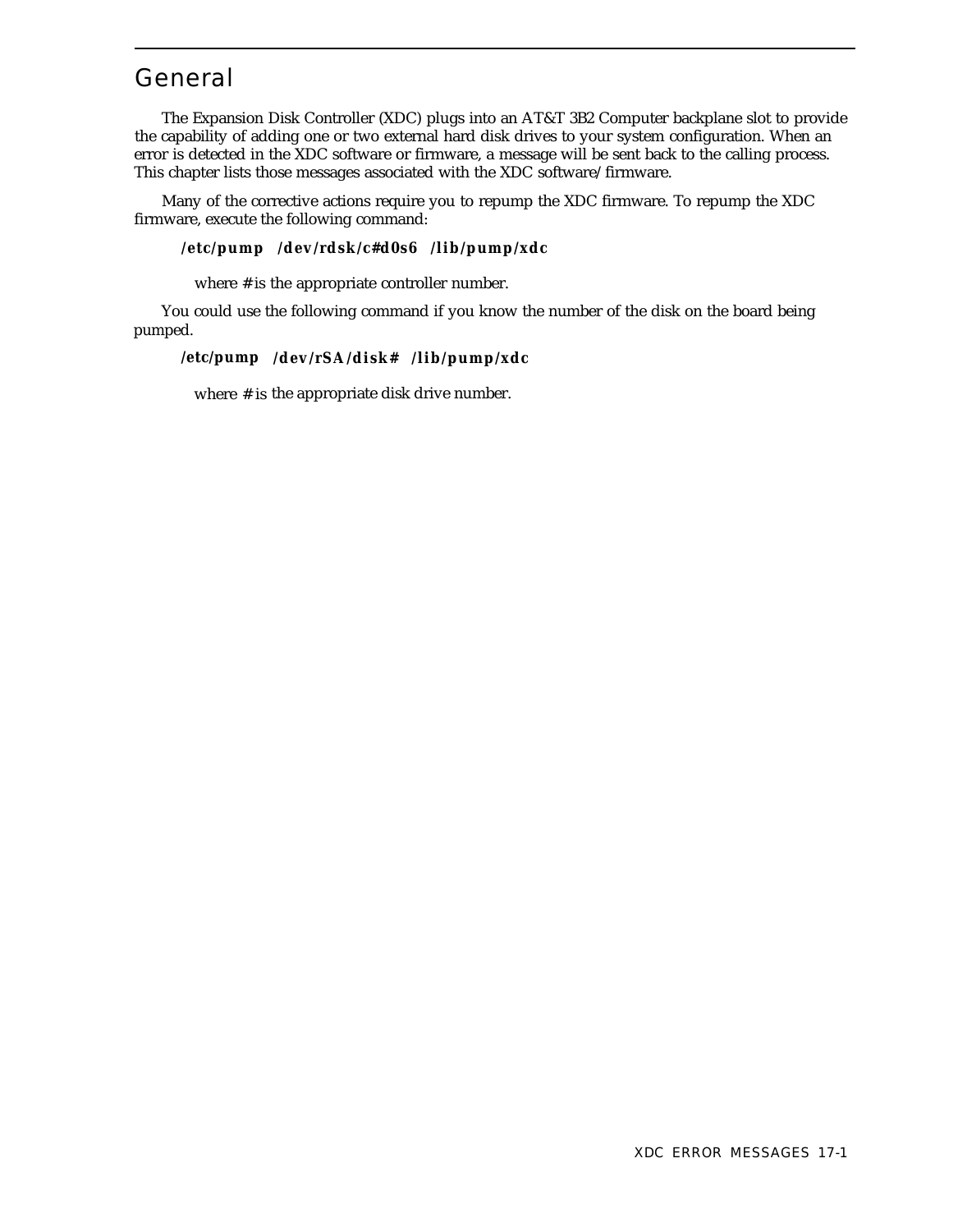# General

The Expansion Disk Controller (XDC) plugs into an AT&T 3B2 Computer backplane slot to provide the capability of adding one or two external hard disk drives to your system configuration. When an error is detected in the XDC software or firmware, a message will be sent back to the calling process. This chapter lists those messages associated with the XDC software/firmware.

Many of the corrective actions require you to repump the XDC firmware. To repump the XDC firmware, execute the following command:

#### **/etc/pump /dev/rdsk/c#d0s6 /lib/pump/xdc**

where # is the appropriate controller number.

You could use the following command if you know the number of the disk on the board being pumped.

#### **/etc/pump /dev/rSA/disk# /lib/pump/xdc**

where # is the appropriate disk drive number.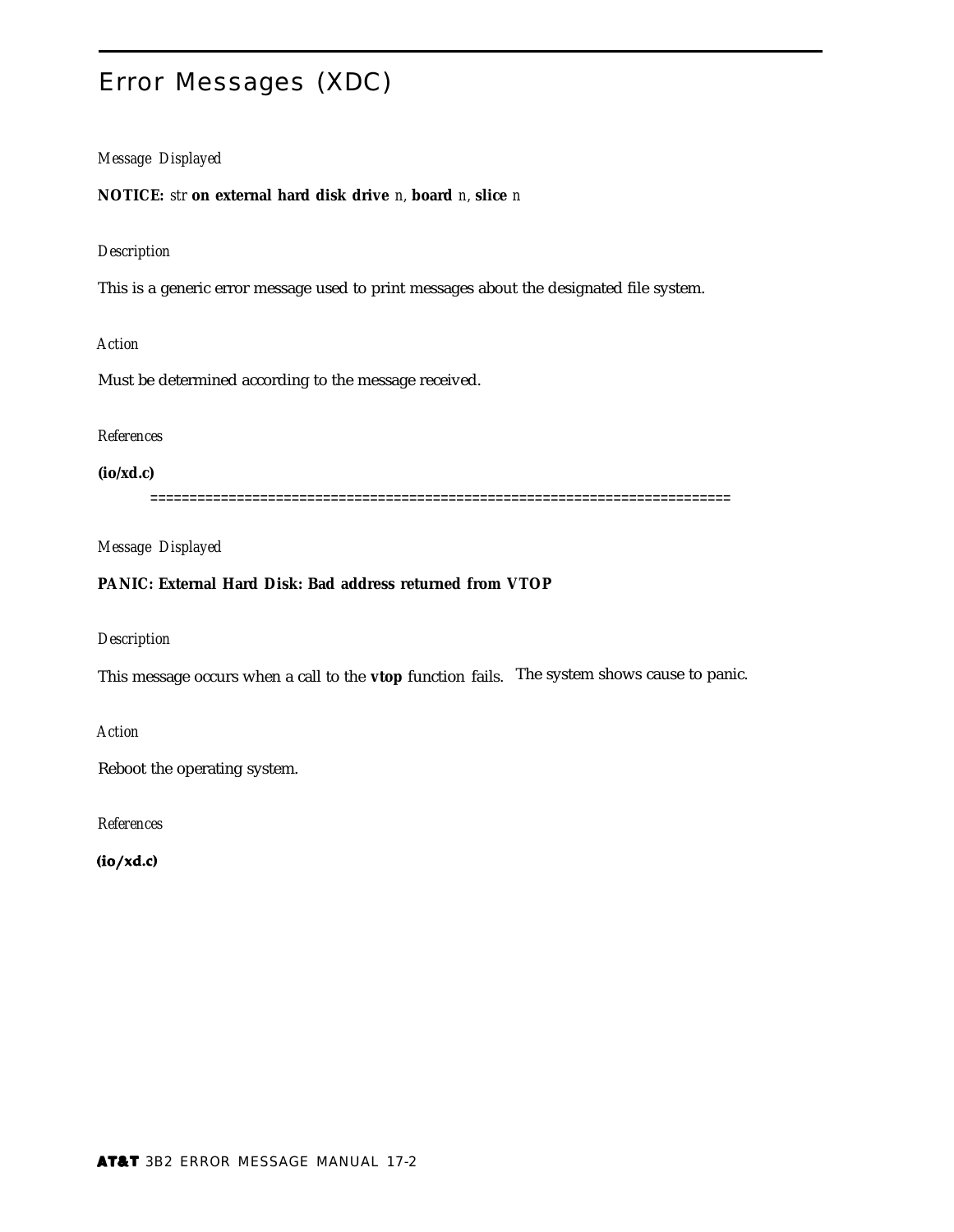# Error Messages (XDC)

#### *Message Displayed*

**NOTICE:** *str* **on external hard disk drive** *n,* **board** *n,* **slice** *n*

#### *Description*

This is a generic error message used to print messages about the designated file system.

*Action*

Must be determined according to the message received.

#### *References*

**(io/xd.c)**

==========================================================================

*Message Displayed*

#### **PANIC: External Hard Disk: Bad address returned from VTOP**

*Description*

This message occurs when a call to the **vtop** function fails. The system shows cause to panic.

*Action*

Reboot the operating system.

*References*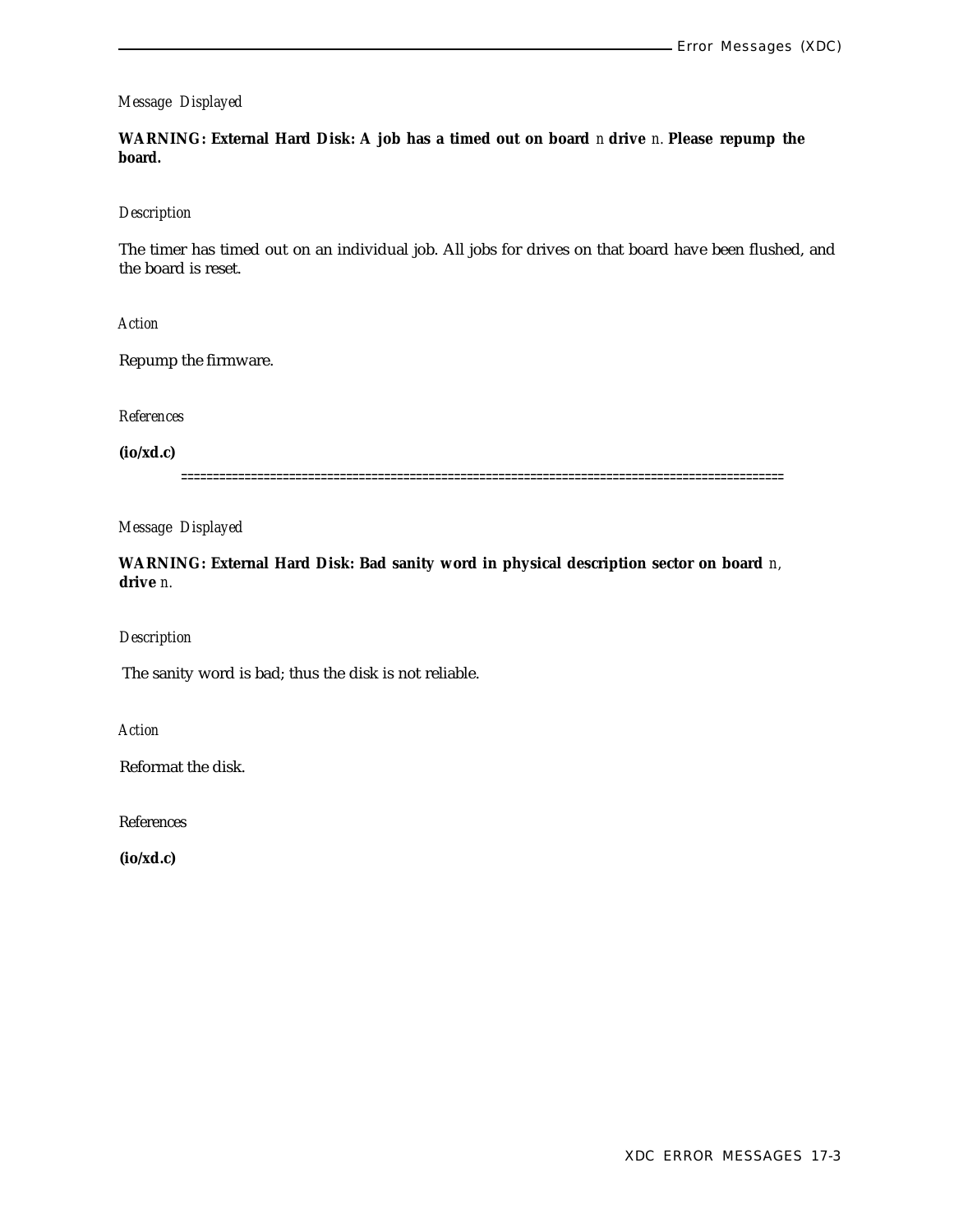**WARNING: External Hard Disk: A job has a timed out on board** *n* **drive** *n.* **Please repump the board.**

#### *Description*

The timer has timed out on an individual job. All jobs for drives on that board have been flushed, and the board is reset.

*Action*

Repump the firmware.

*References*

**(io/xd.c)**

===============================================================================================

*Message Displayed*

**WARNING: External Hard Disk: Bad sanity word in physical description sector on board** *n,* **drive** *n.*

#### *Description*

The sanity word is bad; thus the disk is not reliable.

*Action*

Reformat the disk.

References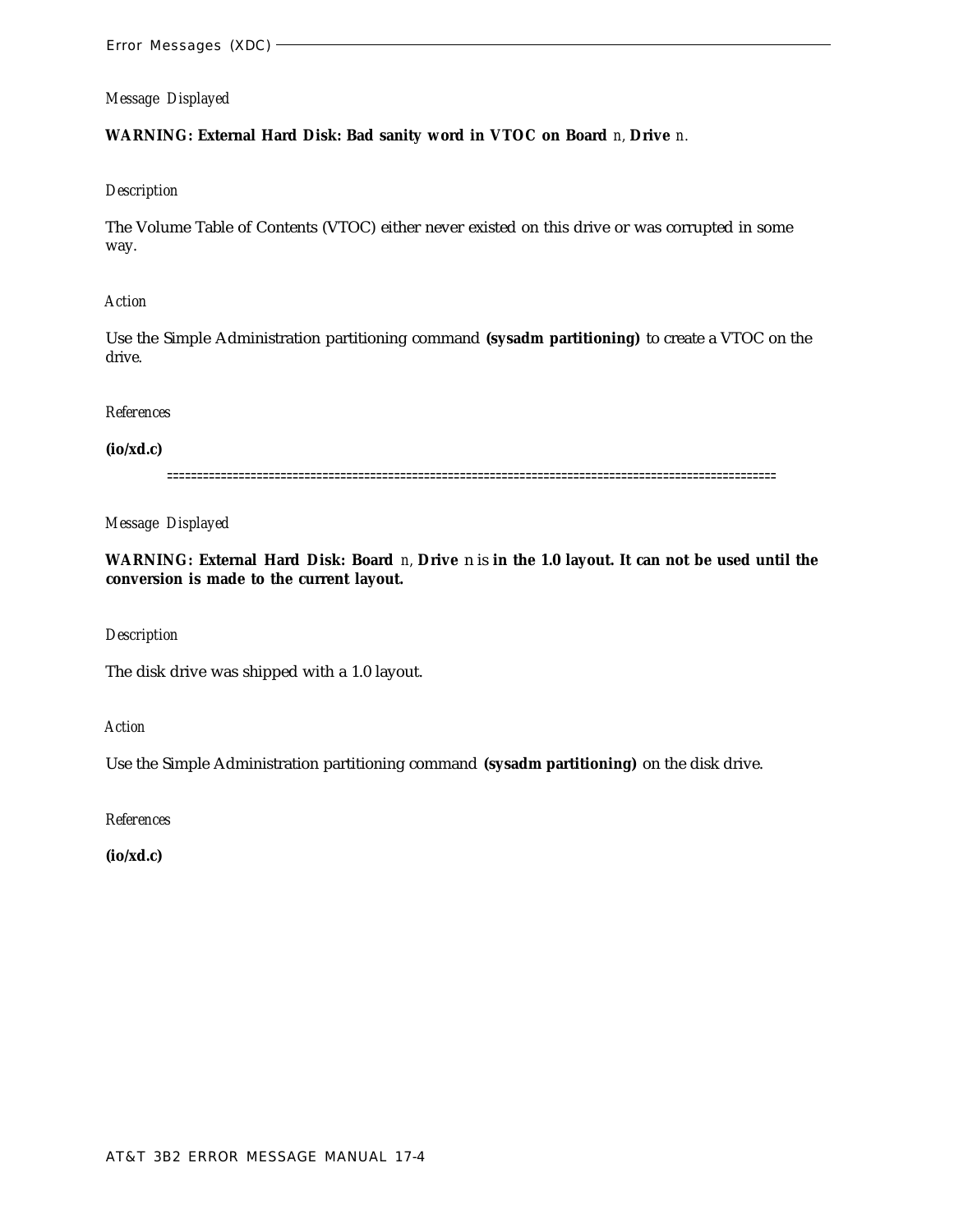#### **WARNING: External Hard Disk: Bad sanity word in VTOC on Board** *n,* **Drive** *n.*

#### *Description*

The Volume Table of Contents (VTOC) either never existed on this drive or was corrupted in some way.

#### *Action*

Use the Simple Administration partitioning command **(sysadm partitioning)** to create a VTOC on the drive.

#### *References*

#### **(io/xd.c)**

======================================================================================================

*Message Displayed*

**WARNING: External Hard Disk: Board** *n,* **Drive** n is **in the 1.0 layout. It can not be used until the conversion is made to the current layout.**

#### *Description*

The disk drive was shipped with a 1.0 layout.

*Action*

Use the Simple Administration partitioning command **(sysadm partitioning)** on the disk drive.

*References*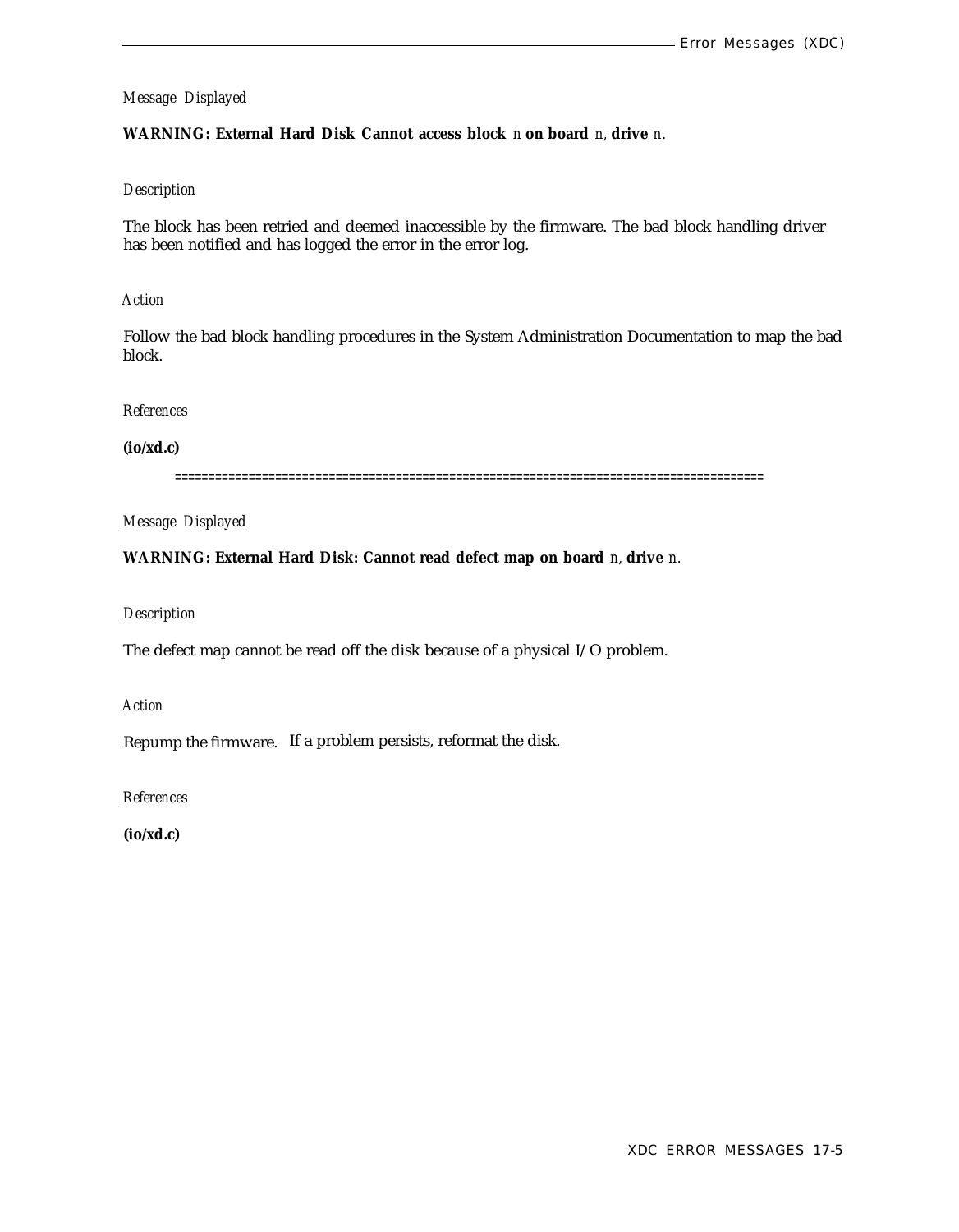#### **WARNING: External Hard Disk Cannot access block** *n* **on board** *n,* **drive** *n.*

#### *Description*

The block has been retried and deemed inaccessible by the firmware. The bad block handling driver has been notified and has logged the error in the error log.

#### *Action*

Follow the bad block handling procedures in the System Administration Documentation to map the bad block.

#### *References*

#### **(io/xd.c)**

========================================================================================

*Message Displayed*

#### **WARNING: External Hard Disk: Cannot read defect map on board** *n,* **drive** *n.*

#### *Description*

The defect map cannot be read off the disk because of a physical I/O problem.

*Action*

Repump the firmware. If a problem persists, reformat the disk.

*References*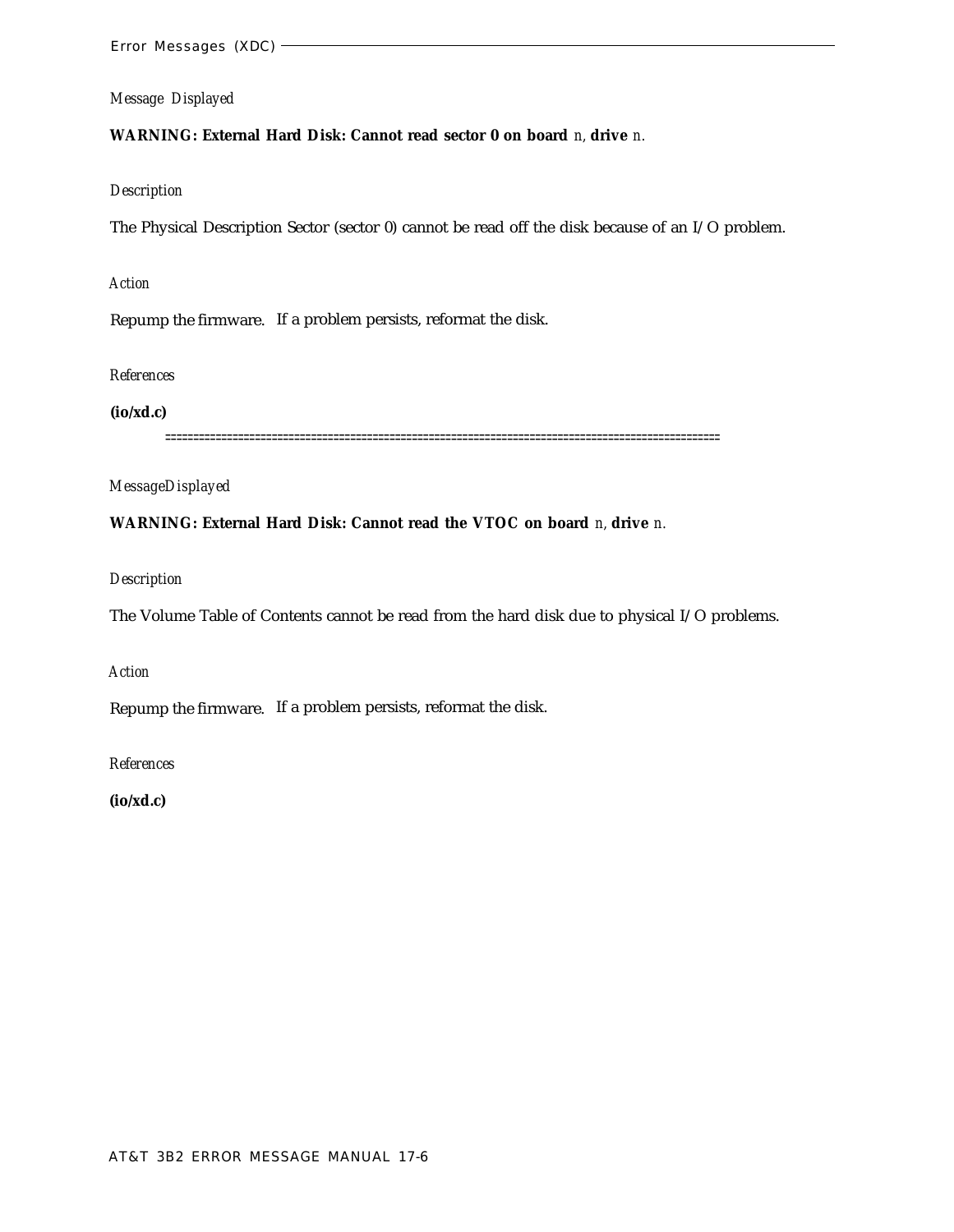#### **WARNING: External Hard Disk: Cannot read sector 0 on board** *n,* **drive** *n.*

#### *Description*

The Physical Description Sector (sector 0) cannot be read off the disk because of an I/O problem.

#### *Action*

Repump the firmware. If a problem persists, reformat the disk.

#### *References*

#### **(io/xd.c)**

===================================================================================================

#### *MessageDisplayed*

#### **WARNING: External Hard Disk: Cannot read the VTOC on board** *n,* **drive** *n.*

#### *Description*

The Volume Table of Contents cannot be read from the hard disk due to physical I/O problems.

#### *Action*

Repump the firmware. If a problem persists, reformat the disk.

#### *References*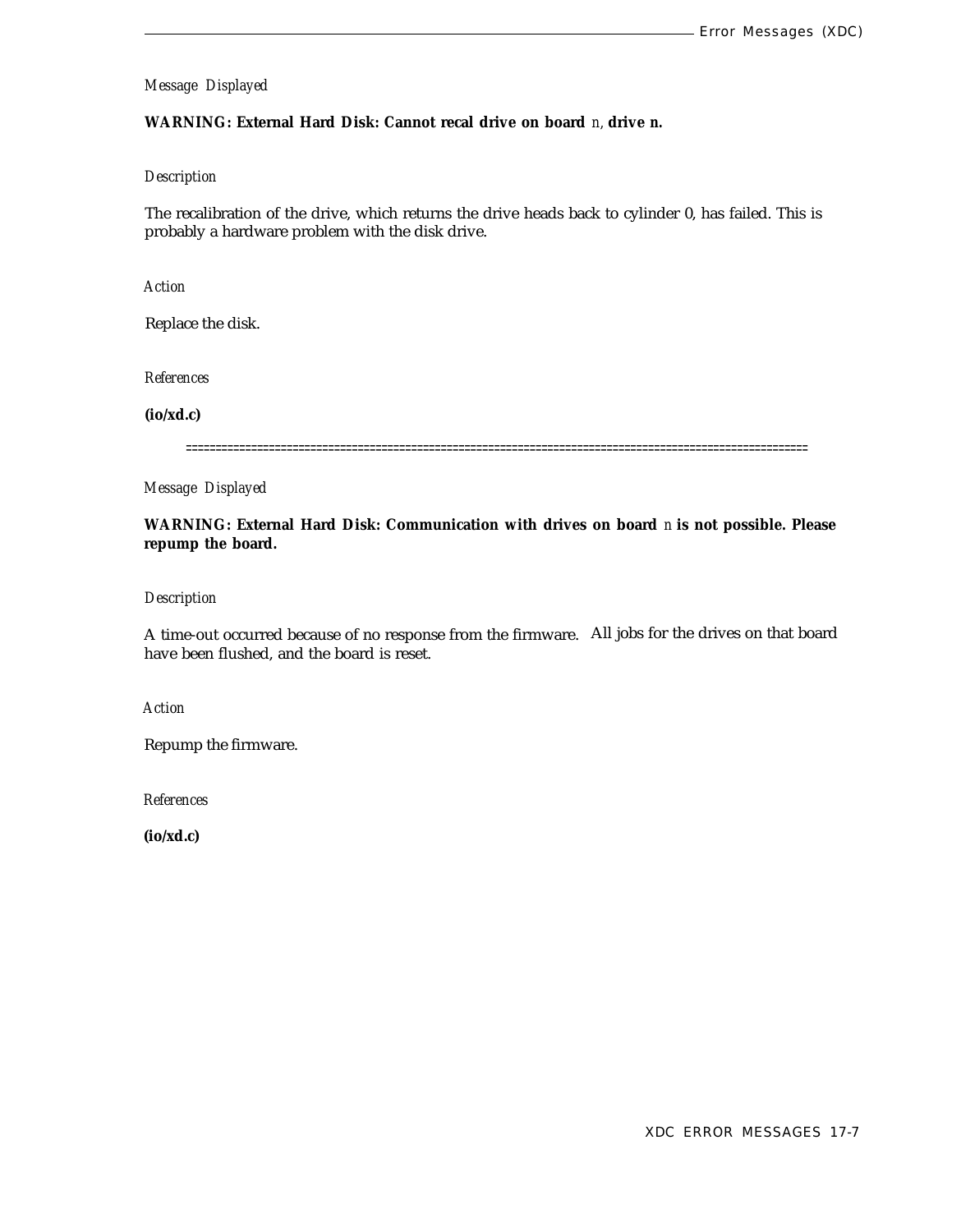#### **WARNING: External Hard Disk: Cannot recal drive on board** *n,* **drive** *n.*

#### *Description*

The recalibration of the drive, which returns the drive heads back to cylinder 0, has failed. This is probably a hardware problem with the disk drive.

*Action*

Replace the disk.

*References*

**(io/xd.c)**

=========================================================================================================

*Message Displayed*

**WARNING: External Hard Disk: Communication with drives on board** *n* **is not possible. Please repump the board.**

#### *Description*

A time-out occurred because of no response from the firmware. All jobs for the drives on that board have been flushed, and the board is reset.

*Action*

Repump the firmware.

*References*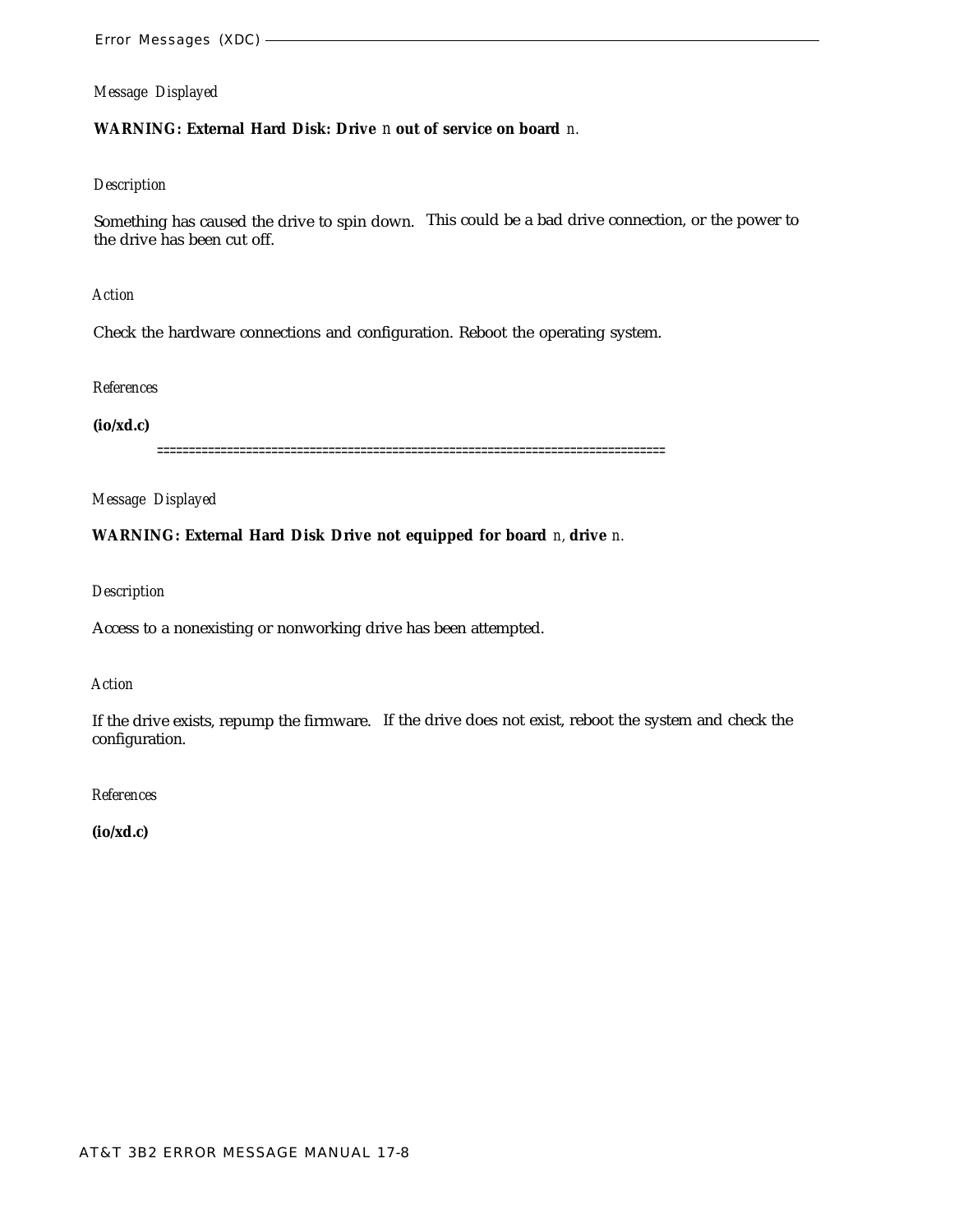#### **WARNING: External Hard Disk: Drive** *n* **out of service on board** *n.*

#### *Description*

Something has caused the drive to spin down. This could be a bad drive connection, or the power to the drive has been cut off.

*Action*

Check the hardware connections and configuration. Reboot the operating system.

#### *References*

**(io/xd.c)**

================================================================================

*Message Displayed*

**WARNING: External Hard Disk Drive not equipped for board** *n,* **drive** *n.*

*Description*

Access to a nonexisting or nonworking drive has been attempted.

#### *Action*

If the drive exists, repump the firmware. If the drive does not exist, reboot the system and check the configuration.

#### *References*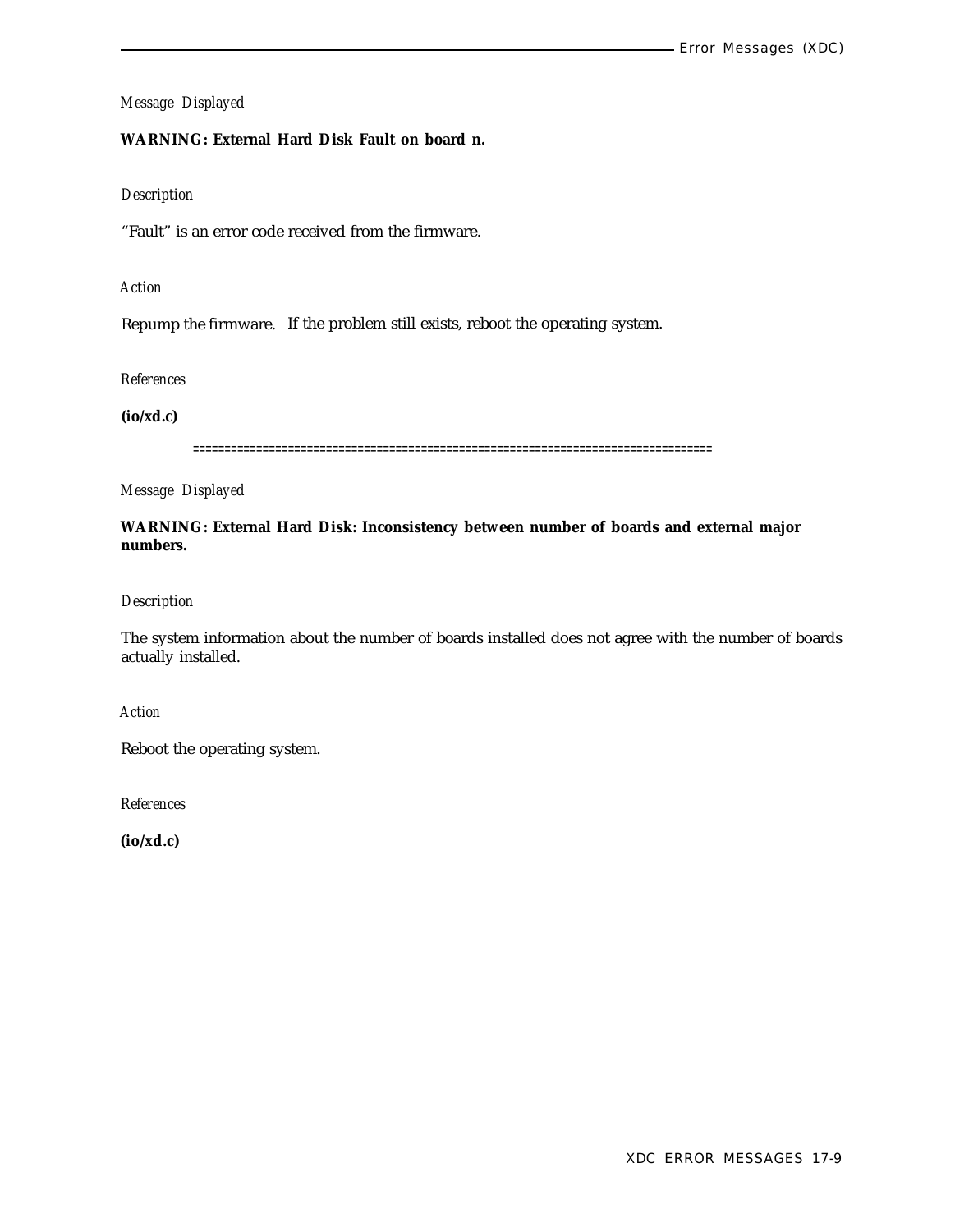### **WARNING: External Hard Disk Fault on board n.**

#### *Description*

"Fault" is an error code received from the firmware.

#### *Action*

Repump the firmware. If the problem still exists, reboot the operating system.

*References*

**(io/xd.c)**

==================================================================================

*Message Displayed*

**WARNING: External Hard Disk: Inconsistency between number of boards and external major numbers.**

*Description*

The system information about the number of boards installed does not agree with the number of boards actually installed.

*Action*

Reboot the operating system.

*References*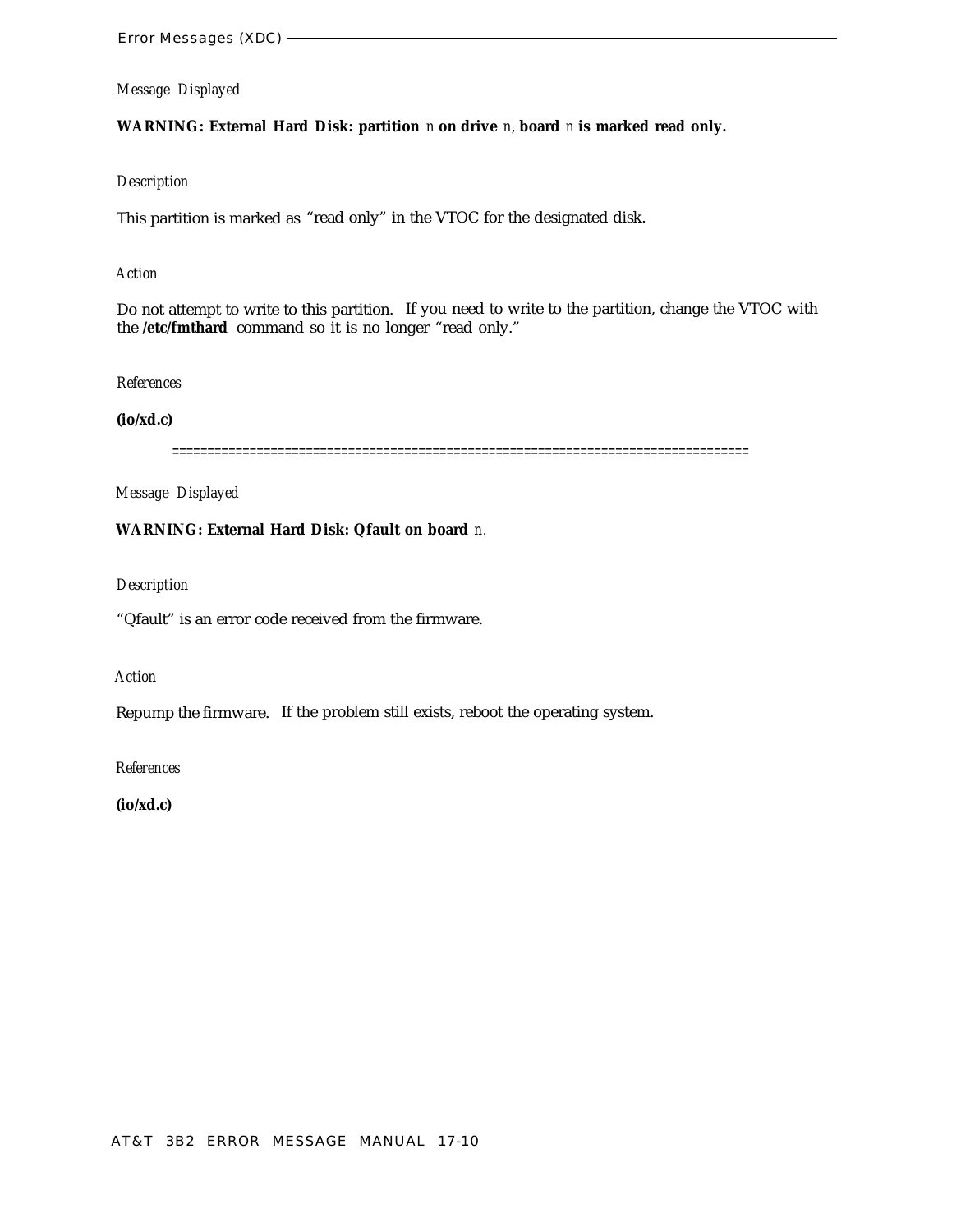**WARNING: External Hard Disk: partition** *n* **on drive** *n,* **board** *n* **is marked read only.**

#### *Description*

This partition is marked as "read only" in the VTOC for the designated disk.

#### *Action*

Do not attempt to write to this partition. If you need to write to the partition, change the VTOC with the **/etc/fmthard** command so it is no longer "read only."

#### *References*

#### **(io/xd.c)**

==================================================================================

*Message Displayed*

#### **WARNING: External Hard Disk: Qfault on board** *n.*

#### *Description*

"Qfault" is an error code received from the firmware.

#### *Action*

Repump the firmware. If the problem still exists, reboot the operating system.

#### *References*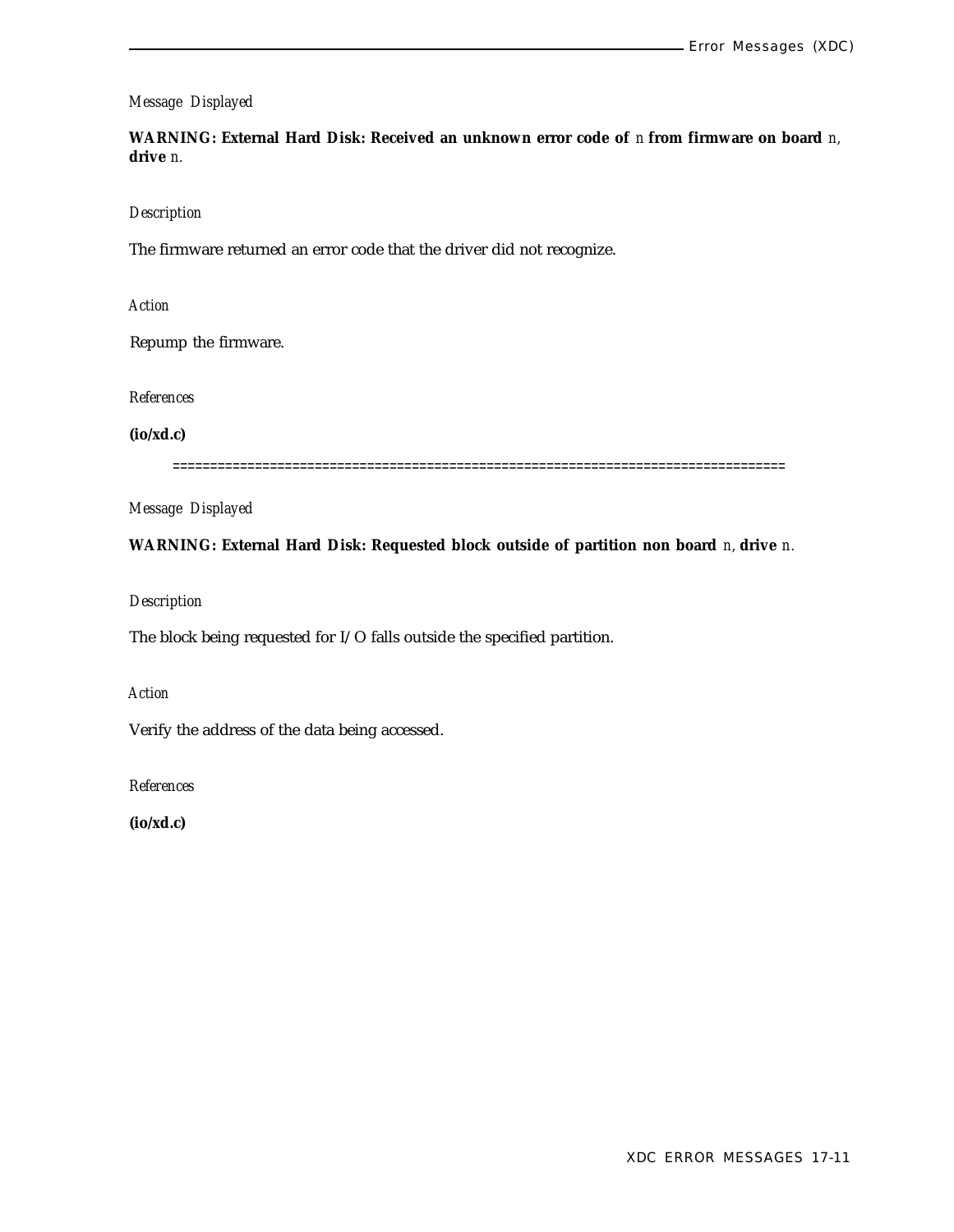**WARNING: External Hard Disk: Received an unknown error code of** *n* **from firmware on board** *n,* **drive** *n.*

#### *Description*

The firmware returned an error code that the driver did not recognize.

*Action*

Repump the firmware.

*References*

**(io/xd.c)**

==================================================================================

*Message Displayed*

**WARNING: External Hard Disk: Requested block outside of partition non board** *n,* **drive** *n.*

*Description*

The block being requested for I/O falls outside the specified partition.

*Action*

Verify the address of the data being accessed.

*References*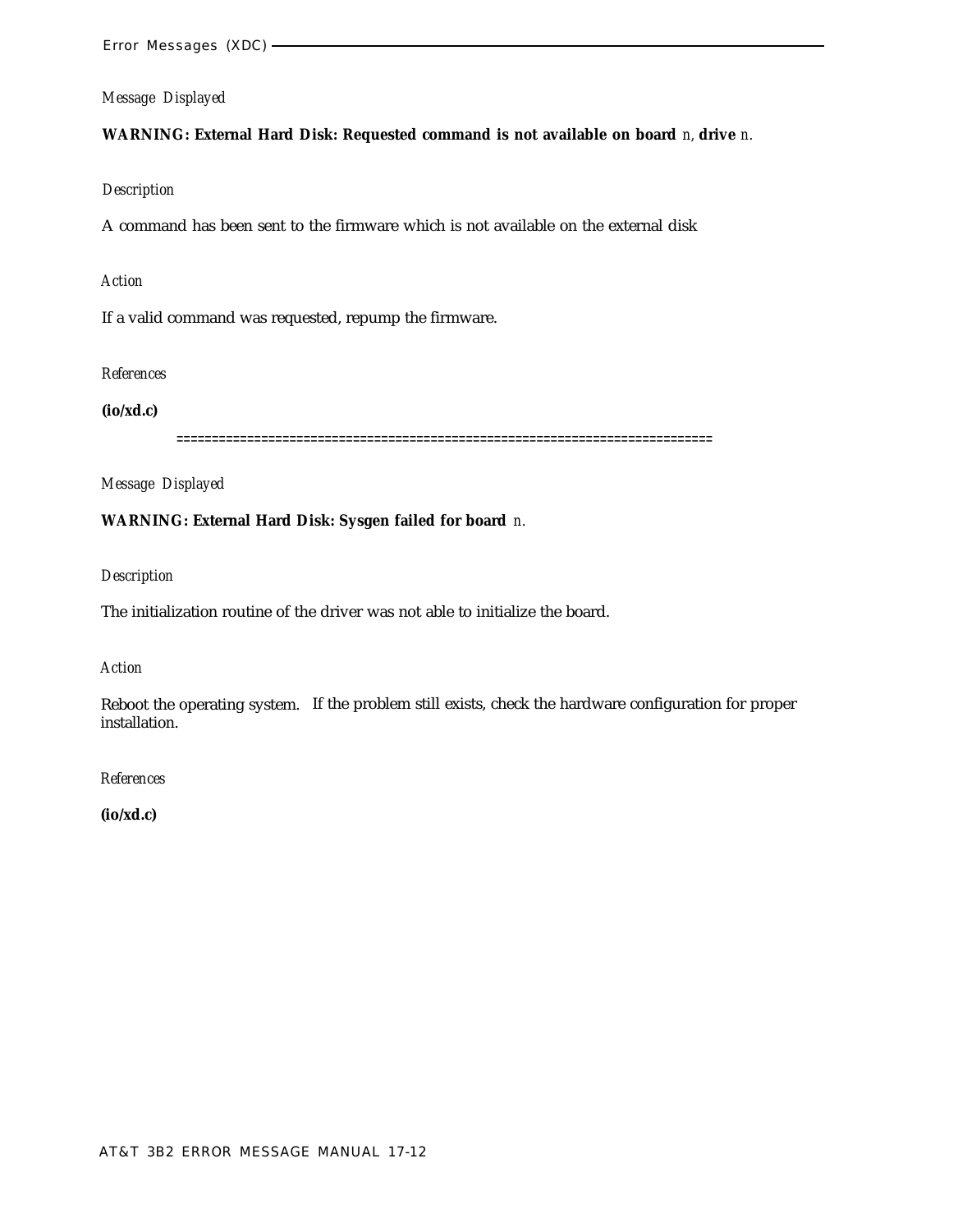**WARNING: External Hard Disk: Requested command is not available on board** *n,* **drive** *n.*

#### *Description*

A command has been sent to the firmware which is not available on the external disk

### *Action*

If a valid command was requested, repump the firmware.

#### *References*

**(io/xd.c)**

============================================================================

*Message Displayed*

### **WARNING: External Hard Disk: Sysgen failed for board** *n.*

*Description*

The initialization routine of the driver was not able to initialize the board.

#### *Action*

Reboot the operating system. If the problem still exists, check the hardware configuration for proper installation.

*References*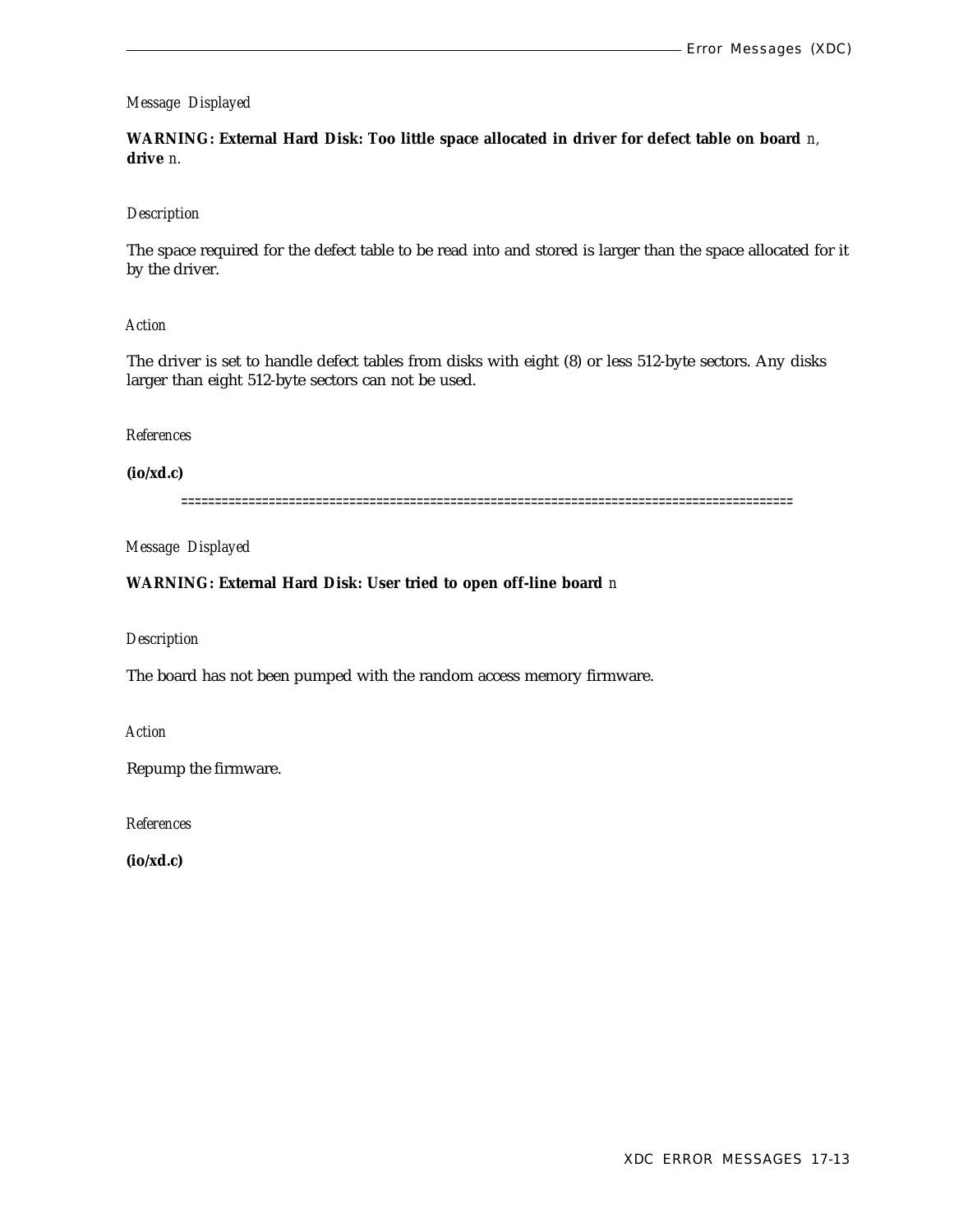**WARNING: External Hard Disk: Too little space allocated in driver for defect table on board** *n,* **drive** *n.*

#### *Description*

The space required for the defect table to be read into and stored is larger than the space allocated for it by the driver.

#### *Action*

The driver is set to handle defect tables from disks with eight (8) or less 512-byte sectors. Any disks larger than eight 512-byte sectors can not be used.

#### *References*

**(io/xd.c)**

===========================================================================================

*Message Displayed*

#### **WARNING: External Hard Disk: User tried to open off-line board** *n*

#### *Description*

The board has not been pumped with the random access memory firmware.

*Action*

Repump the firmware.

*References*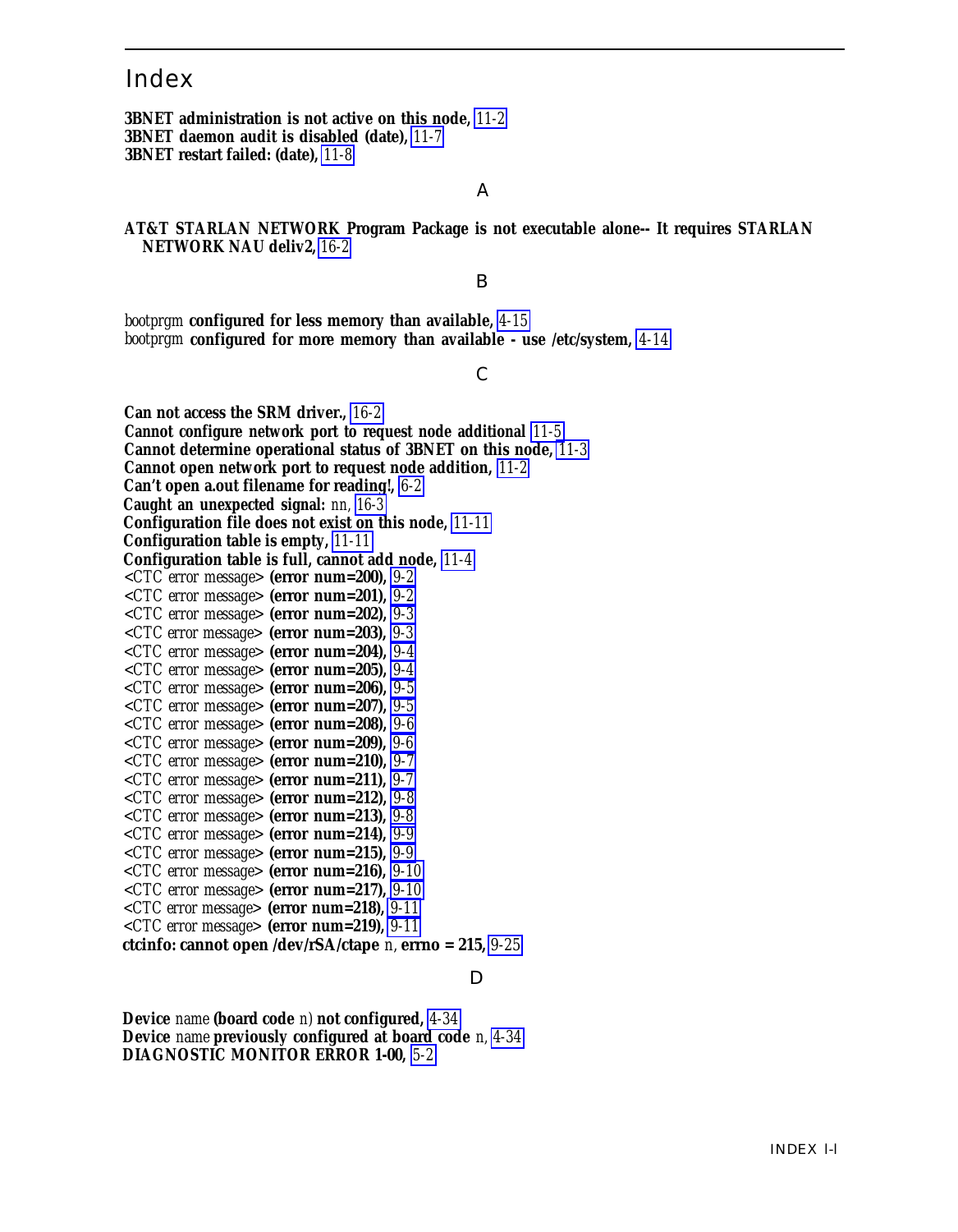# <span id="page-356-0"></span>Index

**3BNET administration is not active on this node,** *[11-2](#page-241-0)* **3BNET daemon audit is disabled (date),** *[11-7](#page-246-0)* **3BNET restart failed: (date),** *[11-8](#page-247-0)*

#### A

**AT&T STARLAN NETWORK Program Package is not executable alone-- It requires STARLAN NETWORK NAU deliv2,** *[16-2](#page-338-0)*

#### B

*bootprgm* **configured for less memory than available,** *[4-15](#page-64-0) bootprgm* **configured for more memory than available - use /etc/system,** *[4-14](#page-63-0)*

#### C

**Can not access the SRM driver.,** *[16-2](#page-338-0)* **Cannot configure network port to request node additional** *[11-5](#page-244-0)* **Cannot determine operational status of 3BNET on this node,** *[11-3](#page-242-0)* **Cannot open network port to request node addition,** *[11-2](#page-241-0)* **Can't open a.out filename for reading!,** *[6-2](#page-124-0)* **Caught an unexpected signal:** *nn, [16-3](#page-339-0)* **Configuration file does not exist on this node,** *[11-11](#page-250-0)* **Configuration table is empty,** *[11-11](#page-250-0)* **Configuration table is full, cannot add node,** *[11-4](#page-243-0) <CTC error message>* **(error num=200),** *[9-2](#page-214-0) <CTC error message>* **(error num=201),** *[9-2](#page-214-0) <CTC error message>* **(error num=202),** *[9-3](#page-215-0) <CTC error message>* **(error num=203),** *[9-3](#page-215-0) <CTC error message>* **(error num=204),** *[9-4](#page-216-0) <CTC error message>* **(error num=205),** *[9-4](#page-216-0) <CTC error message>* **(error num=206),** *[9-5](#page-217-0) <CTC error message>* **(error num=207),** *[9-5](#page-217-0) <CTC error message>* **(error num=208),** *[9-6](#page-218-0) <CTC error message>* **(error num=209),** *[9-6](#page-218-0) <CTC error message>* **(error num=210),** *[9-7](#page-219-0) <CTC error message>* **(error num=211),** *[9-7](#page-219-0) <CTC error message>* **(error num=212),** *[9-8](#page-220-0) <CTC error message>* **(error num=213),** *[9-8](#page-220-0) <CTC error message>* **(error num=214),** *[9-9](#page-221-0) <CTC error message>* **(error num=215),** *[9-9](#page-221-0) <CTC error message>* **(error num=216),** *[9-10](#page-222-0) <CTC error message>* **(error num=217),** *[9-10](#page-222-0) <CTC error message>* **(error num=218),** *[9-11](#page-223-0) <CTC error message>* **(error num=219),** *[9-11](#page-223-0)* **ctcinfo: cannot open /dev/rSA/ctape** *n,* **errno = 215,** *[9-25](#page-237-0)*

#### D

**Device** *name* **(board code** *n)* **not configured,** *[4-34](#page-83-0)* **Device** *name* **previously configured at board code** *n, [4-34](#page-83-0)* **DIAGNOSTIC MONITOR ERROR 1-00,** *[5-2](#page-113-0)*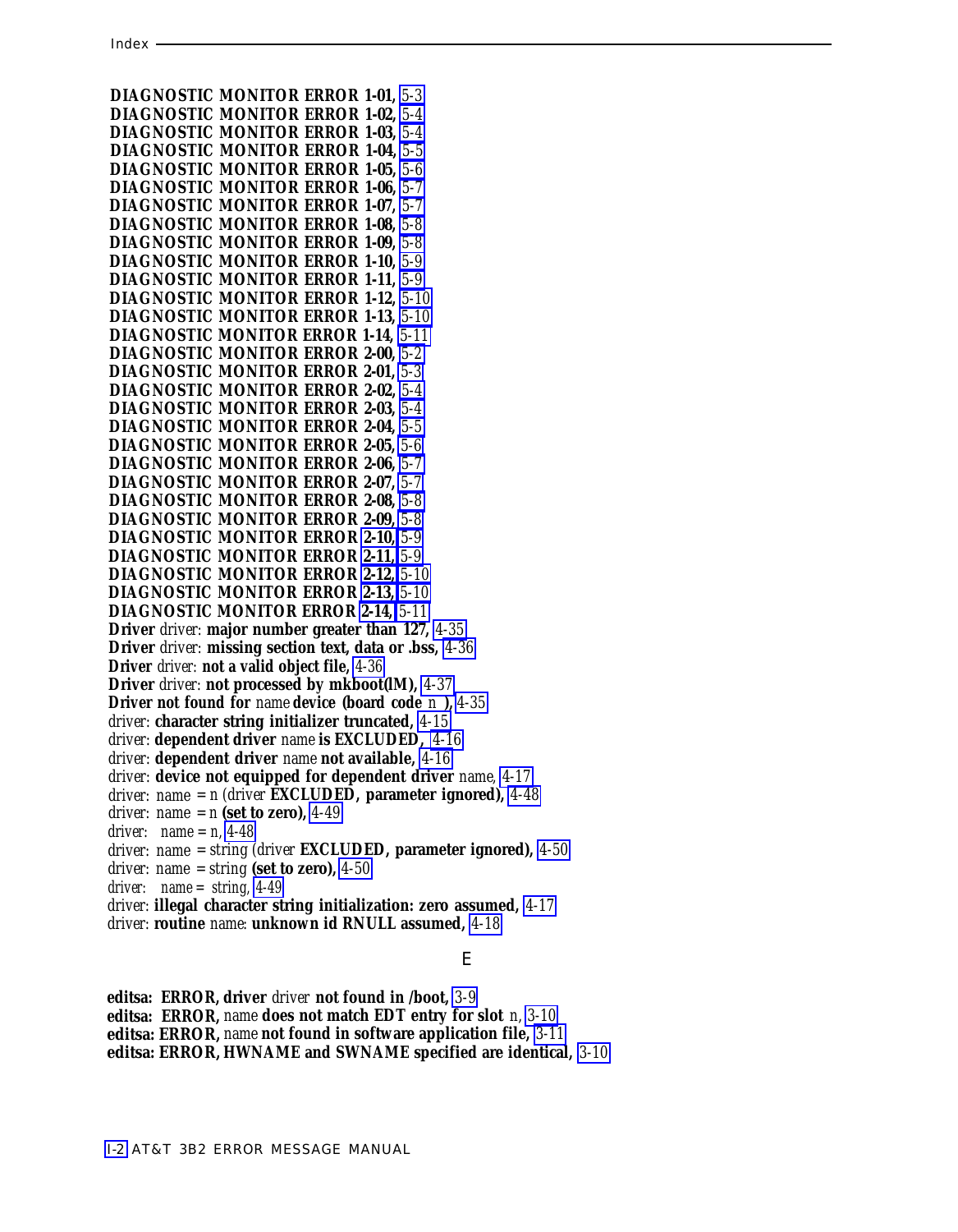<span id="page-357-0"></span>**DIAGNOSTIC MONITOR ERROR 1-01,** *[5-3](#page-114-0)* **DIAGNOSTIC MONITOR ERROR 1-02,** *[5-4](#page-115-0)* **DIAGNOSTIC MONITOR ERROR 1-03,** *[5-4](#page-115-0)* **DIAGNOSTIC MONITOR ERROR 1-04,** *[5-5](#page-116-0)* **DIAGNOSTIC MONITOR ERROR 1-05,** *[5-6](#page-117-0)* **DIAGNOSTIC MONITOR ERROR 1-06,** *[5-7](#page-118-0)* **DIAGNOSTIC MONITOR ERROR 1-07,** *[5-7](#page-118-0)* **DIAGNOSTIC MONITOR ERROR 1-08,** *[5-8](#page-119-0)* **DIAGNOSTIC MONITOR ERROR 1-09,** *[5-8](#page-119-0)* **DIAGNOSTIC MONITOR ERROR 1-10,** *[5-9](#page-120-0)* **DIAGNOSTIC MONITOR ERROR 1-11,** *[5-9](#page-120-0)* **DIAGNOSTIC MONITOR ERROR 1-12,** *[5-10](#page-121-0)* **DIAGNOSTIC MONITOR ERROR 1-13,** *[5-10](#page-121-0)* **DIAGNOSTIC MONITOR ERROR 1-14,** *[5-11](#page-122-0)* **DIAGNOSTIC MONITOR ERROR 2-00,** *[5-2](#page-113-1)* **DIAGNOSTIC MONITOR ERROR 2-01,** *[5-3](#page-114-0)* **DIAGNOSTIC MONITOR ERROR 2-02,** *[5-4](#page-115-0)* **DIAGNOSTIC MONITOR ERROR 2-03,** *[5-4](#page-115-0)* **DIAGNOSTIC MONITOR ERROR 2-04,** *[5-5](#page-116-0)* **DIAGNOSTIC MONITOR ERROR 2-05,** *[5-6](#page-117-0)* **DIAGNOSTIC MONITOR ERROR 2-06,** *[5-7](#page-118-0)* **DIAGNOSTIC MONITOR ERROR 2-07,** *[5-7](#page-118-0)* **DIAGNOSTIC MONITOR ERROR 2-08,** *[5-8](#page-119-0)* **DIAGNOSTIC MONITOR ERROR 2-09,** *[5-8](#page-119-0)* **DIAGNOSTIC MONITOR ERROR [2-10,](#page-19-0)** *[5-9](#page-120-0)* **DIAGNOSTIC MONITOR ERROR [2-11,](#page-20-0)** *[5-9](#page-120-0)* **DIAGNOSTIC MONITOR ERROR [2-12,](#page-21-0)** *[5-10](#page-121-0)* **DIAGNOSTIC MONITOR ERROR [2-13,](#page-22-0)** *[5-10](#page-121-0)* **DIAGNOSTIC MONITOR ERROR [2-14,](#page-23-0)** *[5-11](#page-122-0)* **Driver** *driver:* **major number greater than 127,** *[4-35](#page-84-0)* **Driver** *driver:* **missing section text, data or .bss,** *[4-36](#page-85-0)* **Driver** *driver:* **not a valid object file,** *[4-36](#page-85-0)* **Driver** *driver:* **not processed by mkboot(lM),** *[4-37](#page-86-0)* **Driver not found for** *name* **device (board code** *n* **),** *[4-35](#page-84-0) driver:* **character string initializer truncated,** *[4-15](#page-64-1) driver:* **dependent driver** *name* **is EXCLUDED,** *[4-16](#page-65-0) driver:* **dependent driver** *name* **not available,** *[4-16](#page-65-0) driver:* **device not equipped for dependent driver** *name, [4-17](#page-66-0) driver: name = n (driver* **EXCLUDED, parameter ignored),** *[4-48](#page-97-0) driver: name* =  $n$  (set to zero), [4-49](#page-98-0) *driver: name = n, [4-48](#page-97-0) driver: name = string (driver* **EXCLUDED, parameter ignored),** *[4-50](#page-99-0) driver: name = string* **(set to zero),** *[4-50](#page-99-0) driver: name = string, [4-49](#page-98-0) driver:* **illegal character string initialization: zero assumed,** *[4-17](#page-66-0) driver:* **routine** *name:* **unknown id RNULL assumed,** *[4-18](#page-67-0)*

#### E

**editsa: ERROR, driver** *driver* **not found in /boot,** *[3-9](#page-46-0)* **editsa: ERROR,** *name* **does not match EDT entry for slot** *n, [3-10](#page-47-0)* **editsa: ERROR,** *name* **not found in software application file,** *[3-11](#page-48-0)* **editsa: ERROR, HWNAME and SWNAME specified are identical,** *[3-10](#page-47-0)*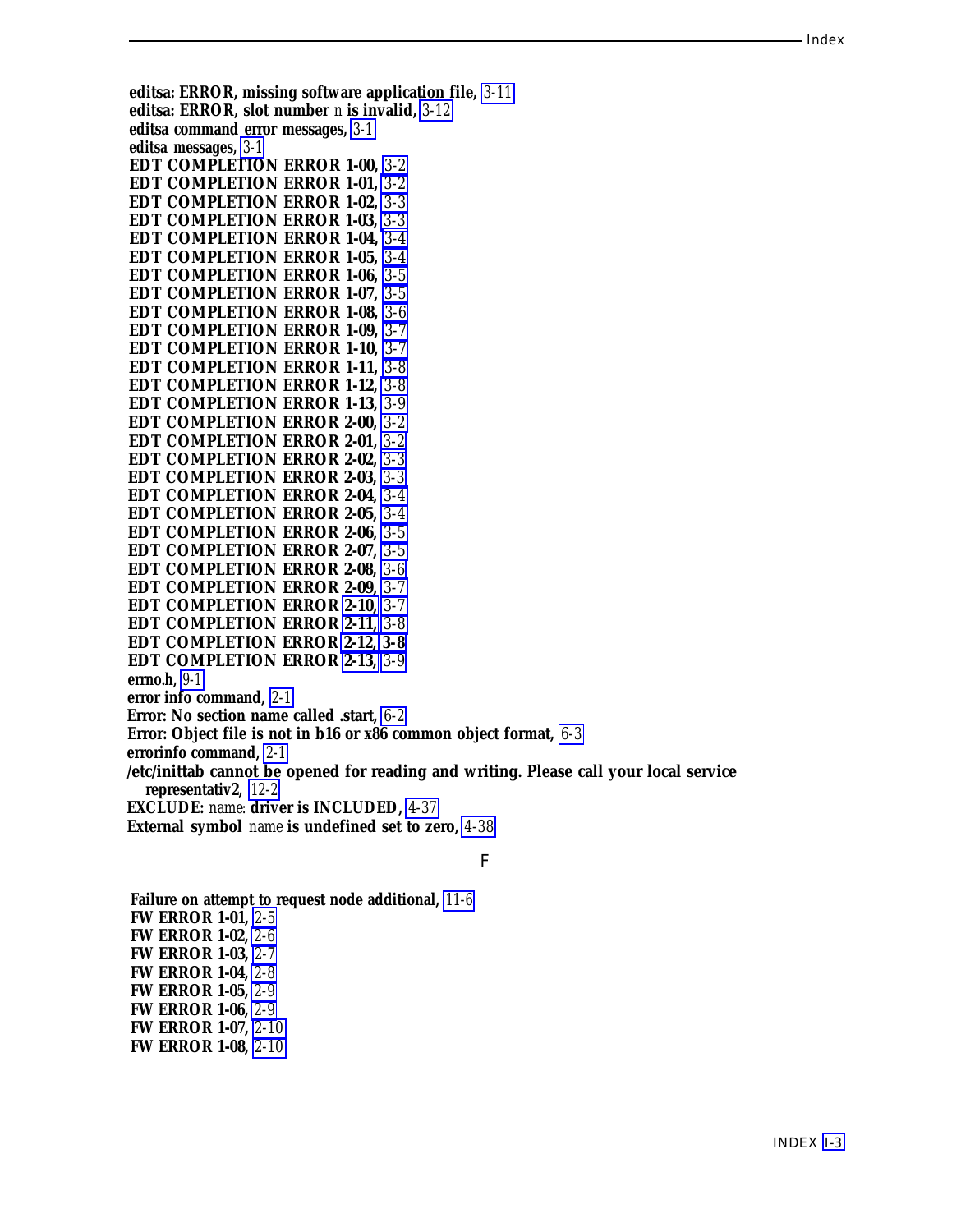<span id="page-358-0"></span>**editsa: ERROR, missing software application file,** *[3-11](#page-48-1)* **editsa: ERROR, slot number** *n* **is invalid,** *3-12* **editsa command error messages,** *[3-1](#page-38-0)* **editsa messages,** *[3-1](#page-38-0)* **EDT COMPLETION ERROR 1-00,** *[3-2](#page-39-0)* **EDT COMPLETION ERROR 1-01,** *[3-2](#page-39-0)* **EDT COMPLETION ERROR 1-02,** *[3-3](#page-40-0)* **EDT COMPLETION ERROR 1-03,** *[3-3](#page-40-0)* **EDT COMPLETION ERROR 1-04,** *[3-4](#page-41-0)* **EDT COMPLETION ERROR 1-05,** *[3-4](#page-41-0)* **EDT COMPLETION ERROR 1-06,** *[3-5](#page-42-0)* **EDT COMPLETION ERROR 1-07,** *[3-5](#page-42-0)* **EDT COMPLETION ERROR 1-08,** *[3-6](#page-43-0)* **EDT COMPLETION ERROR 1-09,** *[3-7](#page-44-0)* **EDT COMPLETION ERROR 1-10,** *[3-7](#page-44-0)* **EDT COMPLETION ERROR 1-11,** *[3-8](#page-45-0)* **EDT COMPLETION ERROR 1-12,** *[3-8](#page-45-0)* **EDT COMPLETION ERROR 1-13,** *[3-9](#page-46-1)* **EDT COMPLETION ERROR 2-00,** *[3-2](#page-39-0)* **EDT COMPLETION ERROR 2-01,** *[3-2](#page-39-0)* **EDT COMPLETION ERROR 2-02,** *[3-3](#page-40-0)* **EDT COMPLETION ERROR 2-03,** *[3-3](#page-40-0)* **EDT COMPLETION ERROR 2-04,** *[3-4](#page-41-0)* **EDT COMPLETION ERROR 2-05,** *[3-4](#page-41-0)* **EDT COMPLETION ERROR 2-06,** *[3-5](#page-42-0)* **EDT COMPLETION ERROR 2-07,** *[3-5](#page-42-0)* **EDT COMPLETION ERROR 2-08,** *[3-6](#page-43-0)* **EDT COMPLETION ERROR 2-09,** *[3-7](#page-44-0)* **EDT COMPLETION ERROR [2-10,](#page-19-1)** *[3-7](#page-44-0)* **EDT COMPLETION ERROR [2-11,](#page-20-1)** *[3-8](#page-45-0)* **EDT COMPLETION ERROR [2-12,](#page-21-1)** *[3-8](#page-45-0)* **EDT COMPLETION ERROR [2-13,](#page-22-1)** *[3-9](#page-46-1)* **errno.h,** *[9-1](#page-213-0)* **error info command,** *[2-1](#page-10-0)* **Error: No section name called .start,** *[6-2](#page-124-1)* **Error: Object file is not in b16 or x86 common object format,** *[6-3](#page-125-0)* **errorinfo command,** *[2-1](#page-10-0)* **/etc/inittab cannot be opened for reading and writing. Please call your local service representativ2,** *[12-2](#page-252-0)* **EXCLUDE:** *name:* **driver is INCLUDED,** *[4-37](#page-86-1)* **External symbol** *name* **is undefined set to zero,** *[4-38](#page-87-0)* F

**Failure on attempt to request node additional,** *[11-6](#page-245-0)* **FW ERROR 1-01,** *[2-5](#page-14-0)* **FW ERROR 1-02,** *[2-6](#page-15-0)* **FW ERROR 1-03,** *[2-7](#page-16-0)* **FW ERROR 1-04,** *[2-8](#page-17-0)* **FW ERROR 1-05,** *[2-9](#page-18-0)* **FW ERROR 1-06,** *[2-9](#page-18-0)* **FW ERROR 1-07,** *[2-10](#page-19-1)* **FW ERROR 1-08,** *[2-10](#page-19-1)*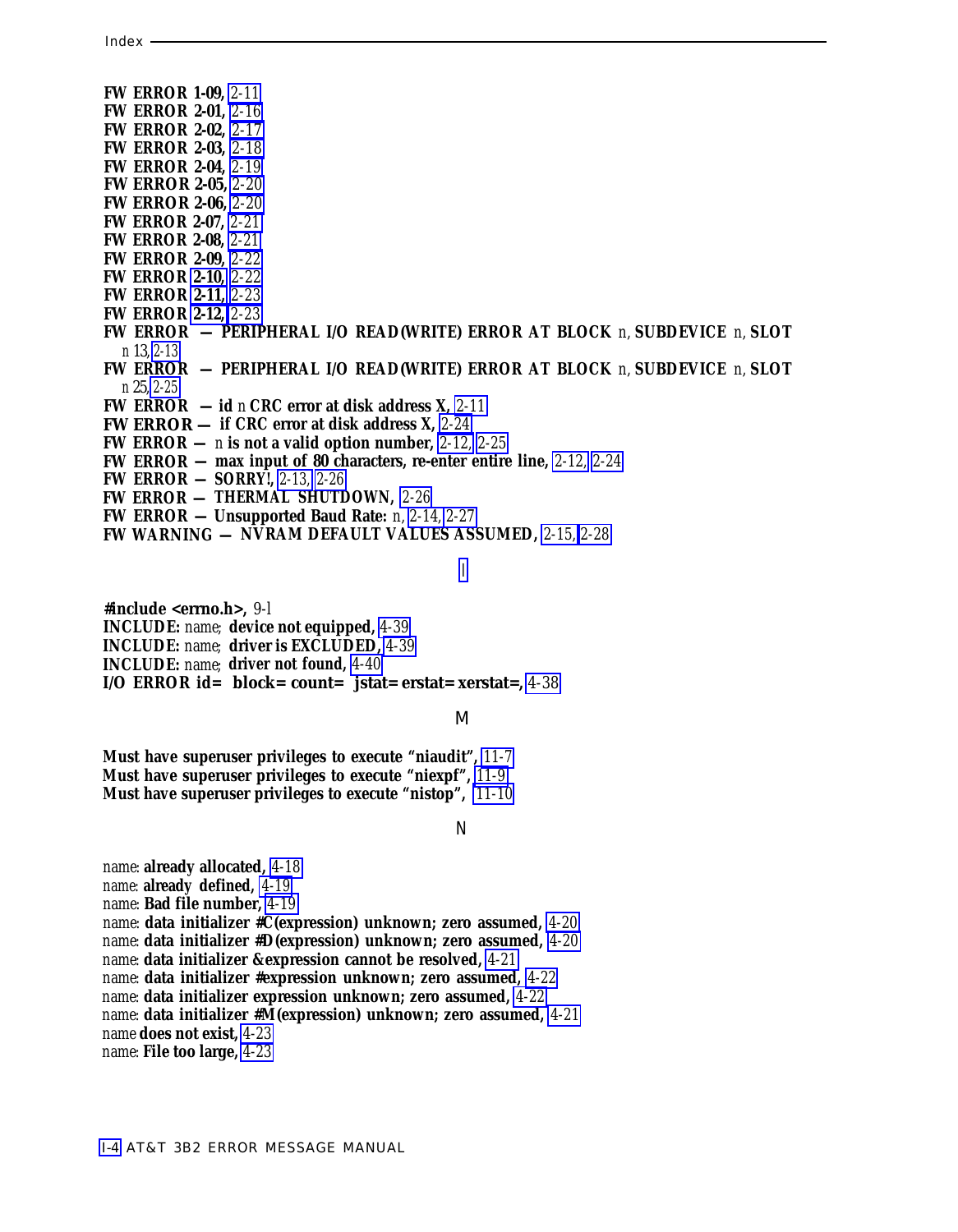- **FW ERROR 1-09,** *[2-11](#page-20-2)* **FW ERROR 2-01,** *[2-16](#page-25-0)*
- **FW ERROR 2-02,** *[2-17](#page-26-0)*
- **FW ERROR 2-03,** *[2-18](#page-27-0)*
- **FW ERROR 2-04,** *[2-19](#page-28-0)*
- **FW ERROR 2-05,** *[2-20](#page-29-0)*
- **FW ERROR 2-06,** *[2-20](#page-29-0)*
- **FW ERROR 2-07,** *[2-21](#page-30-0)*
- **FW ERROR 2-08,** *[2-21](#page-30-0)* **FW ERROR 2-09,** *[2-22](#page-31-0)*
- **FW ERROR [2-10,](#page-19-2)** *[2-22](#page-31-0)*
- **FW ERROR [2-11,](#page-20-2)** *[2-23](#page-32-0)*
- **FW ERROR [2-12,](#page-21-2)** *[2-23](#page-32-0)*
- **FW ERROR PERIPHERAL I/O READ(WRITE) ERROR AT BLOCK** *n,* **SUBDEVICE** *n,* **SLOT** *n* 13, *[2-13](#page-22-2)*
- **FW ERROR PERIPHERAL I/O READ(WRITE) ERROR AT BLOCK** *n,* **SUBDEVICE** *n,* **SLOT** *n* 25, *[2-25](#page-34-0)*
- **FW ERROR id** *n* **CRC error at disk address X,** *[2-11](#page-20-2)*
- **FW ERROR — if CRC error at disk address X,** *[2-24](#page-33-0)*
- **FW ERROR —** *n* **is not a valid option number,** *[2-12,](#page-21-2) [2-25](#page-34-0)*
- **FW ERROR max input of 80 characters, re-enter entire line,** *[2-12,](#page-21-2) [2-24](#page-33-0)*
- **FW ERROR SORRY!,** *[2-13,](#page-22-2) [2-26](#page-35-0)*
- **FW ERROR — THERMAL SHUTDOWN,** *[2-26](#page-35-0)*
- **FW ERROR Unsupported Baud Rate:** *n, [2-14,](#page-23-1) [2-27](#page-36-0)*
- **FW WARNING — NVRAM DEFAULT VALUES ASSUMED,** *[2-15,](#page-24-0) [2-28](#page-37-0)*

[I](#page-3-0)

**#include <errno.h>,** *9-l*

**INCLUDE:** *name;* **device not equipped,** *[4-39](#page-88-0)*

- **INCLUDE:** *name;* **driver is EXCLUDED,** *[4-39](#page-88-0)*
- **INCLUDE:** *name;* **driver not found,** *[4-40](#page-89-0)*
- **I/O ERROR id= block= count= jstat= erstat= xerstat=,** *[4-38](#page-87-1)*

#### M

**Must have superuser privileges to execute "niaudit",** *[11-7](#page-246-1)* **Must have superuser privileges to execute "niexpf",** *[11-9](#page-248-0)* **Must have superuser privileges to execute "nistop",** *[11-10](#page-249-0)*

#### N

*name:* **already allocated,** *[4-18](#page-67-1) name:* **already defined,** *[4-19](#page-68-0) name:* **Bad file number,** *[4-19](#page-68-0) name:* **data initializer #C(expression) unknown; zero assumed,** *[4-20](#page-69-0) name:* **data initializer #D(expression) unknown; zero assumed,** *[4-20](#page-69-0) name:* **data initializer &expression cannot be resolved,** *[4-21](#page-70-0) name:* **data initializer #expression unknown; zero assumed,** *[4-22](#page-71-0) name:* **data initializer expression unknown; zero assumed,** *[4-22](#page-71-0) name:* **data initializer #M(expression) unknown; zero assumed,** *[4-21](#page-70-0) name* **does not exist,** *[4-23](#page-72-0) name:* **File too large,** *[4-23](#page-72-0)*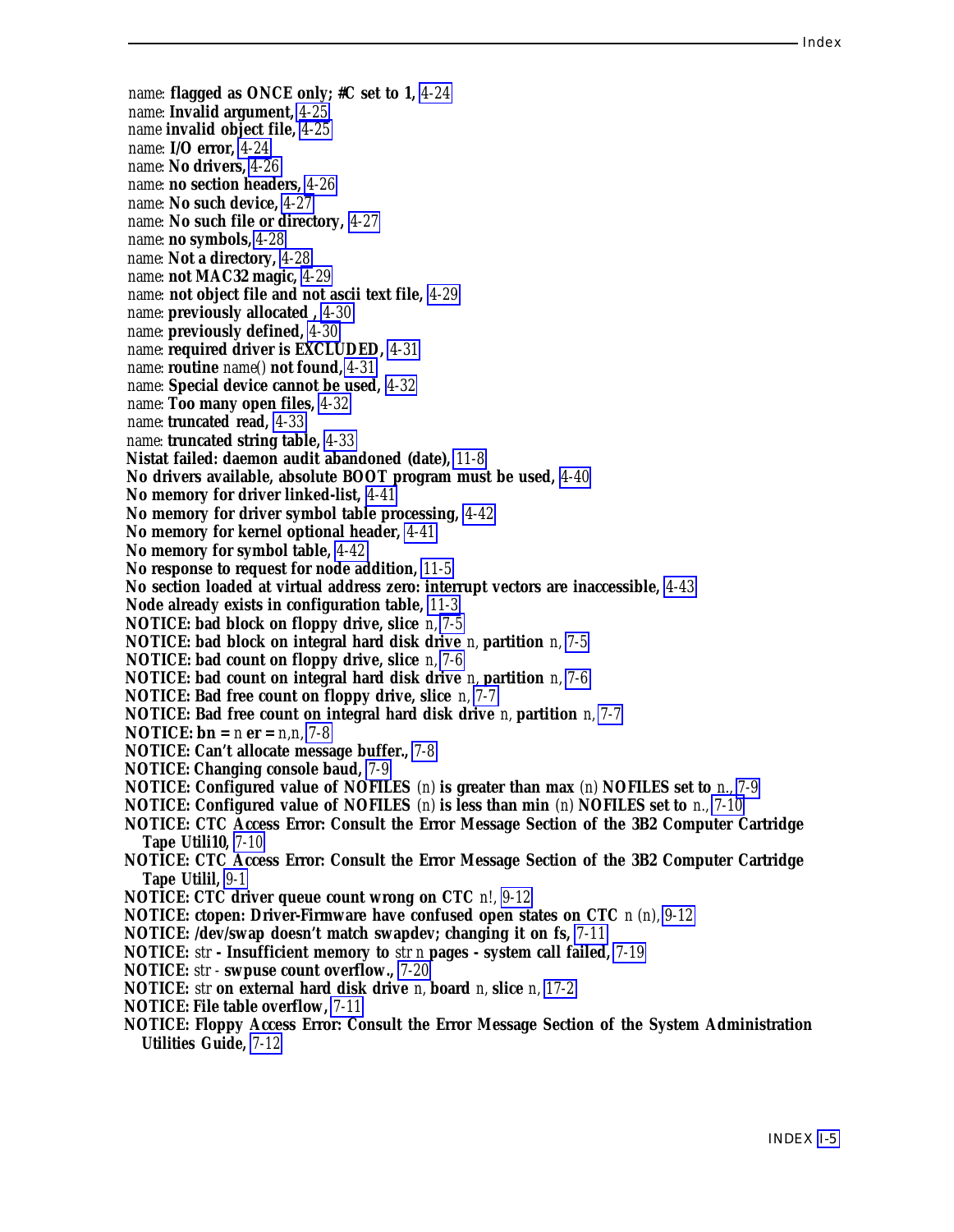*name:* **flagged as ONCE only; #C set to 1,** *[4-24](#page-73-0) name:* **Invalid argument,** *[4-25](#page-74-0) name* **invalid object file,** *[4-25](#page-74-0) name:* **I/O error,** *[4-24](#page-73-0) name:* **No drivers,** *[4-26](#page-75-0) name:* **no section headers,** *[4-26](#page-75-0) name:* **No such device,** *[4-27](#page-76-0) name:* **No such file or directory,** *[4-27](#page-76-0) name:* **no symbols,** *[4-28](#page-77-0) name:* **Not a directory,** *[4-28](#page-77-0) name:* **not MAC32 magic,** *[4-29](#page-78-0) name:* **not object file and not ascii text file,** *[4-29](#page-78-0) name:* **previously allocated ,** *[4-30](#page-79-0) name:* **previously defined,** *[4-30](#page-79-0) name:* **required driver is EXCLUDED,** *[4-31](#page-80-0) name:* **routine** *name()* **not found,** *[4-31](#page-80-0) name:* **Special device cannot be used,** *[4-32](#page-81-0) name:* **Too many open files,** *[4-32](#page-81-0) name:* **truncated read,** *[4-33](#page-82-0) name:* **truncated string table,** *[4-33](#page-82-0)* **Nistat failed: daemon audit abandoned (date),** *[11-8](#page-247-0)* **No drivers available, absolute BOOT program must be used,** *[4-40](#page-89-0)* **No memory for driver linked-list,** *[4-41](#page-90-0)* **No memory for driver symbol table processing,** *[4-42](#page-91-0)* **No memory for kernel optional header,** *[4-41](#page-90-0)* **No memory for symbol table,** *[4-42](#page-91-0)* **No response to request for node addition,** *[11-5](#page-244-0)* **No section loaded at virtual address zero: interrupt vectors are inaccessible,** *[4-43](#page-92-0)* **Node already exists in configuration table,** *[11-3](#page-242-0)* **NOTICE: bad block on floppy drive, slice** *n, [7-5](#page-136-0)* **NOTICE: bad block on integral hard disk drive** *n,* **partition** *n, [7-5](#page-136-0)* **NOTICE: bad count on floppy drive, slice** *n, [7-6](#page-137-0)* **NOTICE: bad count on integral hard disk drive** *n,* **partition** *n, [7-6](#page-137-0)* **NOTICE: Bad free count on floppy drive, slice** *n, [7-7](#page-138-0)* **NOTICE: Bad free count on integral hard disk drive** *n,* **partition** *n, [7-7](#page-138-0)* **NOTICE: bn =** *n* **er =** *n,n, [7-8](#page-139-0)* **NOTICE: Can't allocate message buffer.,** *[7-8](#page-139-0)* **NOTICE: Changing console baud,** *[7-9](#page-140-0)* **NOTICE: Configured value of NOFILES** *(n)* **is greater than max** *(n)* **NOFILES set to** *n., [7-9](#page-140-0)* **NOTICE: Configured value of NOFILES** *(n)* **is less than min** *(n)* **NOFILES set to** *n., [7-10](#page-141-0)* **NOTICE: CTC Access Error: Consult the Error Message Section of the 3B2 Computer Cartridge Tape Utili10,** *[7-10](#page-141-0)* **NOTICE: CTC Access Error: Consult the Error Message Section of the 3B2 Computer Cartridge Tape Utilil,** *[9-1](#page-213-0)* **NOTICE: CTC driver queue count wrong on CTC** *n!, [9-12](#page-224-0)* **NOTICE: ctopen: Driver-Firmware have confused open states on CTC** *n (n), [9-12](#page-224-0)* **NOTICE: /dev/swap doesn't match swapdev; changing it on fs,** *[7-11](#page-142-0)* **NOTICE:** *str* **- Insufficient memory to** *str n* **pages - system call failed,** *[7-19](#page-150-0)* **NOTICE:** *str -* **swpuse count overflow.,** *[7-20](#page-151-0)* **NOTICE:** *str* **on external hard disk drive** *n,* **board** *n,* **slice** *n, [17-2](#page-344-0)* **NOTICE: File table overflow,** *[7-11](#page-142-0)* **NOTICE: Floppy Access Error: Consult the Error Message Section of the System Administration Utilities Guide,** *[7-12](#page-143-0)*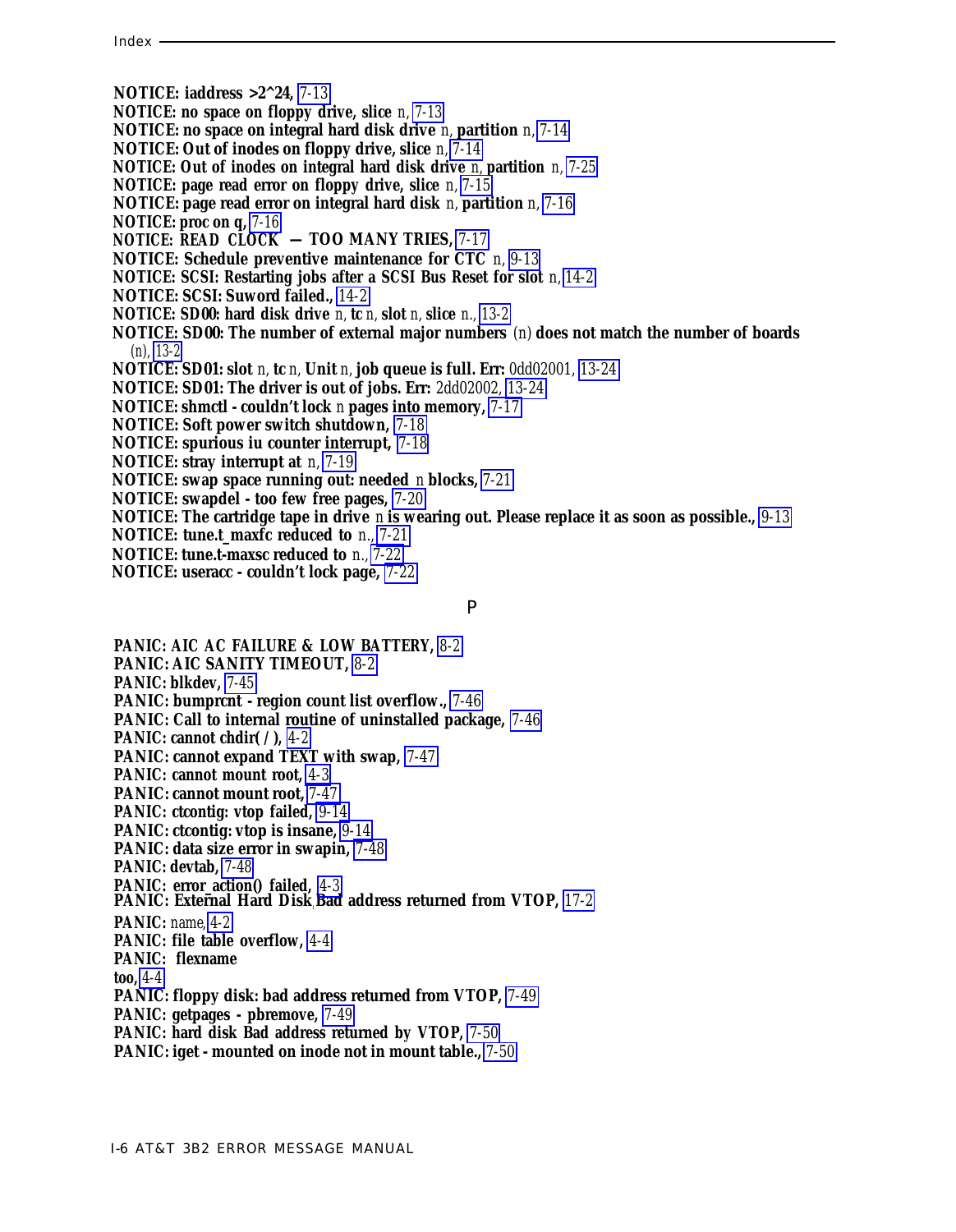- **NOTICE: iaddress >2^24,** *[7-13](#page-144-0)*
- **NOTICE: no space on floppy drive, slice** *n, [7-13](#page-144-0)*
- **NOTICE: no space on integral hard disk drive** *n,* **partition** *n, [7-14](#page-145-0)*
- **NOTICE: Out of inodes on floppy drive, slice** *n, [7-14](#page-145-0)*
- **NOTICE: Out of inodes on integral hard disk drive** *n,* **partition** *n, [7-25](#page-156-0)*
- **NOTICE: page read error on floppy drive, slice** *n, [7-15](#page-146-0)*
- **NOTICE: page read error on integral hard disk** *n,* **partition** *n, [7-16](#page-147-0)*
- **NOTICE: proc on q,** *[7-16](#page-147-0)*
- **NOTICE: READ CLOCK TOO MANY TRIES,** *[7-17](#page-148-0)*
- **NOTICE: Schedule preventive maintenance for CTC** *n, [9-13](#page-225-0)*
- **NOTICE: SCSI: Restarting jobs after a SCSI Bus Reset for slot** *n, [14-2](#page-293-0)*
- **NOTICE: SCSI: Suword failed.,** *[14-2](#page-293-0)*
- **NOTICE: SD00: hard disk drive** *n,* **tc** *n,* **slot** *n,* **slice** *n., [13-2](#page-264-0)*
- **NOTICE: SD00: The number of external major numbers** *(n)* **does not match the number of boards** *(n), [13-2](#page-264-0)*
- **NOTICE: SD01: slot** *n,* **tc** *n,* **Unit** *n,* **job queue is full. Err:** *0dd02001, [13-24](#page-286-0)*
- **NOTICE: SD01: The driver is out of jobs. Err:** *2dd02002, [13-24](#page-286-0)*
- **NOTICE: shmctl couldn't lock** *n* **pages into memory,** *[7-17](#page-148-0)*
- **NOTICE: Soft power switch shutdown,** *[7-18](#page-149-0)*
- **NOTICE: spurious iu counter interrupt,** *[7-18](#page-149-0)*
- **NOTICE: stray interrupt at** *n, [7-19](#page-150-1)*
- **NOTICE: swap space running out: needed** *n* **blocks,** *[7-21](#page-152-0)*
- **NOTICE: swapdel too few free pages,** *[7-20](#page-151-1)*
- **NOTICE: The cartridge tape in drive** *n* **is wearing out. Please replace it as soon as possible.,** *[9-13](#page-225-0)*
- **NOTICE: tune.t\_maxfc reduced to** *n., [7-21](#page-152-0)*
- **NOTICE: tune.t-maxsc reduced to** *n., [7-22](#page-153-0)*
- **NOTICE: useracc couldn't lock page,** *[7-22](#page-153-0)*

#### P

**PANIC: AIC AC FAILURE & LOW BATTERY,** *[8-2](#page-212-0)* **PANIC: AIC SANITY TIMEOUT,** *[8-2](#page-212-0)* **PANIC: blkdev,** *[7-45](#page-176-0)* **PANIC: bumprcnt - region count list overflow.,** *[7-46](#page-177-0)* **PANIC: Call to internal routine of uninstalled package,** *[7-46](#page-177-0)* **PANIC: cannot chdir( / ),** *[4-2](#page-51-0)* **PANIC: cannot expand TEXT with swap,** *[7-47](#page-178-0)* **PANIC: cannot mount root,** *[4-3](#page-52-0)* **PANIC: cannot mount root,** *[7-47](#page-178-0)* **PANIC: ctcontig: vtop failed,** *[9-14](#page-226-0)* **PANIC: ctcontig: vtop is insane,** *[9-14](#page-226-0)* **PANIC: data size error in swapin,** *[7-48](#page-179-0)* **PANIC: devtab,** *[7-48](#page-179-0)* **PANIC: error\_action() failed,** *[4-3](#page-52-0)* **PANIC: External Hard Disk: Bad address returned from VTOP,** *[17-2](#page-344-1)* **PANIC:** *name, [4-2](#page-51-0)* **PANIC: file table overflow,** *[4-4](#page-53-0)* **PANIC: flexname too,** *[4-4](#page-53-0)* **PANIC: floppy disk: bad address returned from VTOP,** *[7-49](#page-180-0)* **PANIC: getpages - pbremove,** *[7-49](#page-180-0)* **PANIC: hard disk Bad address returned by VTOP,** *[7-50](#page-181-0)* **PANIC: iget - mounted on inode not in mount table.,** *[7-50](#page-181-0)*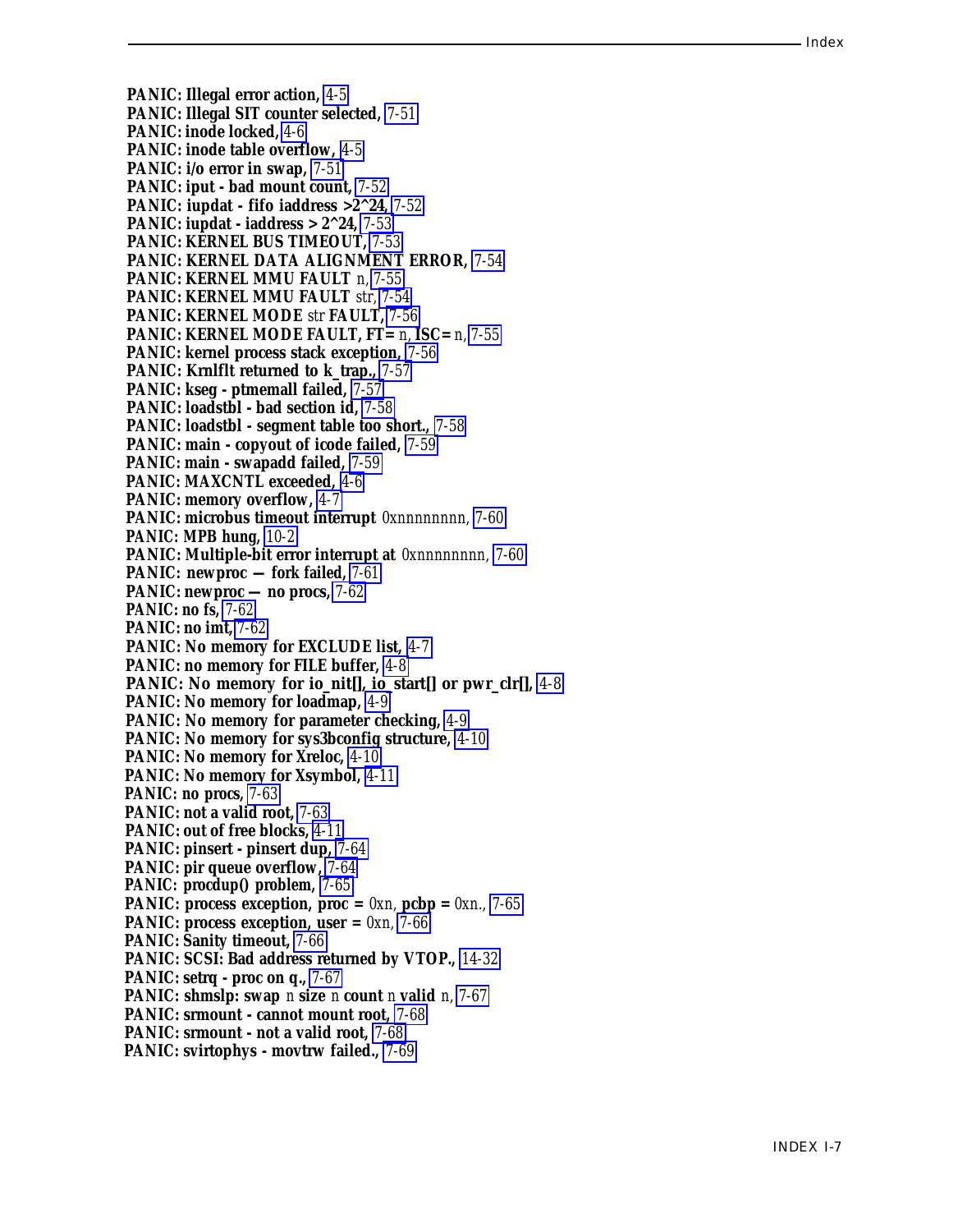**PANIC: Illegal error action,** *[4-5](#page-54-0)* **PANIC: Illegal SIT counter selected,** *[7-51](#page-182-0)* **PANIC: inode locked,** *[4-6](#page-55-0)* **PANIC: inode table overflow,** *[4-5](#page-54-0)* **PANIC: i/o error in swap,** *[7-51](#page-182-0)* **PANIC: iput - bad mount count,** *[7-52](#page-183-0)* **PANIC: iupdat - fifo iaddress >2^24,** *[7-52](#page-183-0)* **PANIC: iupdat - iaddress > 2^24,** *[7-53](#page-184-0)* **PANIC: KERNEL BUS TIMEOUT,** *[7-53](#page-184-0)* **PANIC: KERNEL DATA ALIGNMENT ERROR,** *[7-54](#page-185-0)* **PANIC: KERNEL MMU FAULT** *n, [7-55](#page-186-0)* **PANIC: KERNEL MMU FAULT** *str, [7-54](#page-185-0)* **PANIC: KERNEL MODE** *str* **FAULT,** *[7-56](#page-187-0)* **PANIC: KERNEL MODE FAULT, FT=** *n,* **ISC=** *n, [7-55](#page-186-0)* **PANIC: kernel process stack exception,** *[7-56](#page-187-0)* **PANIC: Krnlflt returned to k\_trap.,** *[7-57](#page-188-0)* **PANIC: kseg - ptmemall failed,** *[7-57](#page-188-0)* **PANIC: loadstbl - bad section id,** *[7-58](#page-189-0)* **PANIC: loadstbl - segment table too short.,** *[7-58](#page-189-0)* **PANIC: main - copyout of icode failed,** *[7-59](#page-190-0)* **PANIC: main - swapadd failed,** *[7-59](#page-190-0)* **PANIC: MAXCNTL exceeded,** *[4-6](#page-55-0)* **PANIC: memory overflow,** *[4-7](#page-56-0)* **PANIC: microbus timeout interrupt** *0xnnnnnnnn, [7-60](#page-191-0)* **PANIC: MPB hung,** *[10-2](#page-239-0)* **PANIC: Multiple-bit error interrupt at** *0xnnnnnnnn, [7-60](#page-191-0)* **PANIC: newproc — fork failed,** *[7-61](#page-192-0)* **PANIC: newproc — no procs,** *[7-62](#page-193-0)* **PANIC: no fs,** *[7-62](#page-193-0)* **PANIC: no imt,** *[7-62](#page-193-0)* **PANIC: No memory for EXCLUDE list,** *[4-7](#page-56-0)* **PANIC: no memory for FILE buffer,** *[4-8](#page-57-0)* **PANIC: No memory for io\_nit[], io\_start[] or pwr\_clr[],** *[4-8](#page-57-0)* **PANIC: No memory for loadmap,** *[4-9](#page-58-0)* **PANIC: No memory for parameter checking,** *[4-9](#page-58-0)* **PANIC: No memory for sys3bconfig structure,** *[4-10](#page-59-0)* **PANIC: No memory for Xreloc,** *[4-10](#page-59-0)* **PANIC: No memory for Xsymbol,** *[4-11](#page-60-0)* **PANIC: no procs,** *[7-63](#page-194-0)* **PANIC: not a valid root,** *[7-63](#page-194-0)* **PANIC: out of free blocks,** *[4-11](#page-60-0)* **PANIC: pinsert - pinsert dup,** *[7-64](#page-195-0)* **PANIC: pir queue overflow,** *[7-64](#page-195-0)* **PANIC: procdup() problem,** *[7-65](#page-196-0)* **PANIC: process exception, proc =**  $0xn$ **, pcbp =**  $0xn$ **, [7-65](#page-196-0) PANIC: process exception, user =** *0xn, [7-66](#page-197-0)* **PANIC: Sanity timeout,** *[7-66](#page-197-0)* **PANIC: SCSI: Bad address returned by VTOP.,** *[14-32](#page-323-0)* **PANIC: setrq - proc on q.,** *[7-67](#page-198-0)* **PANIC: shmslp: swap** *n* **size** *n* **count** *n* **valid** *n, [7-67](#page-198-0)* **PANIC: srmount - cannot mount root,** *[7-68](#page-199-0)* **PANIC: srmount - not a valid root,** *[7-68](#page-199-0)* **PANIC: svirtophys - movtrw failed.,** *[7-69](#page-200-0)*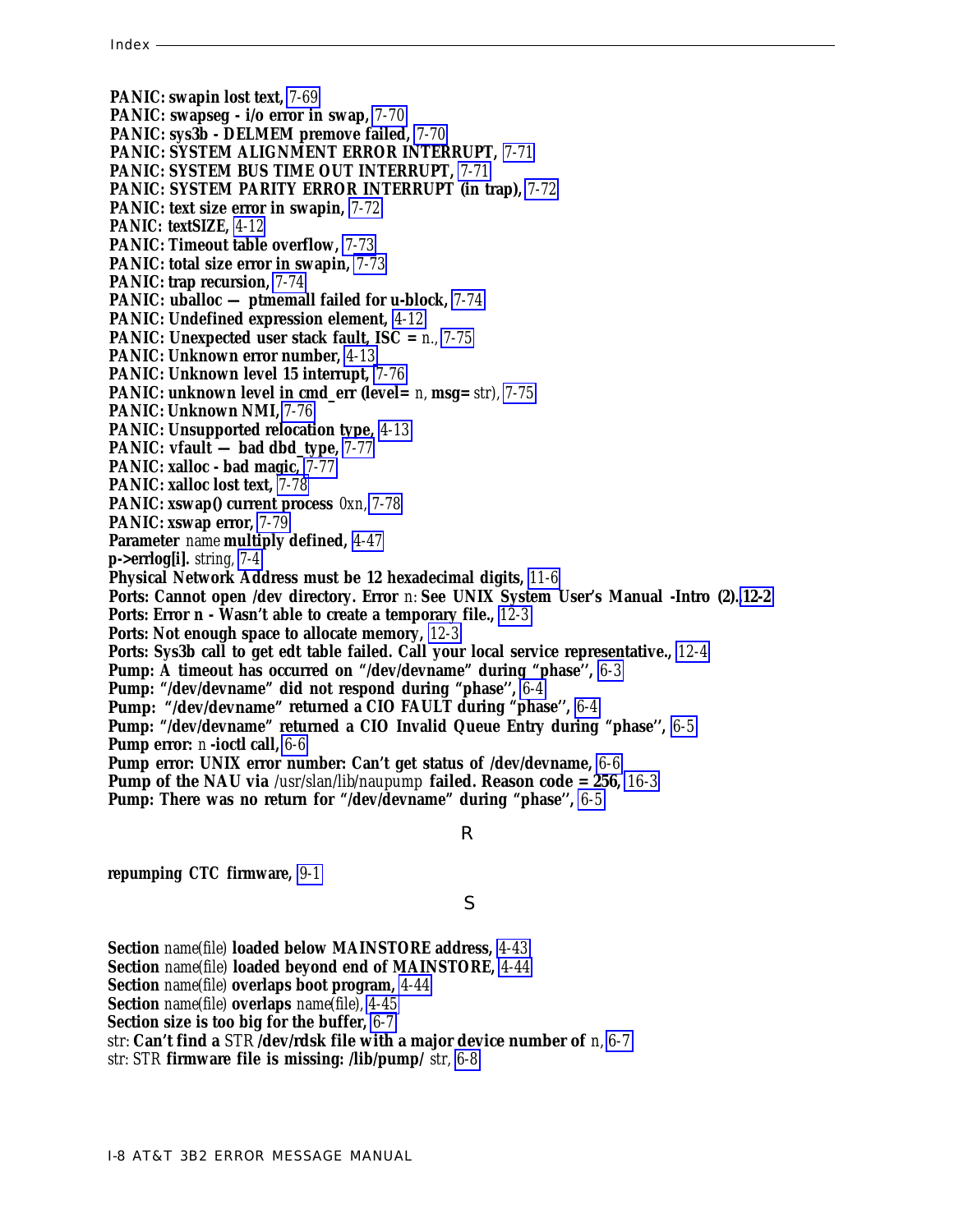**PANIC: swapin lost text,** *[7-69](#page-200-1)* **PANIC: swapseg - i/o error in swap,** *[7-70](#page-201-0)* **PANIC: sys3b - DELMEM premove failed,** *[7-70](#page-201-0)* **PANIC: SYSTEM ALIGNMENT ERROR INTERRUPT,** *[7-71](#page-202-0)* **PANIC: SYSTEM BUS TIME OUT INTERRUPT,** *[7-71](#page-202-0)* **PANIC: SYSTEM PARITY ERROR INTERRUPT (in trap),** *[7-72](#page-203-0)* **PANIC: text size error in swapin,** *[7-72](#page-203-0)* **PANIC: textSIZE,** *[4-12](#page-61-0)* **PANIC: Timeout table overflow,** *[7-73](#page-204-0)* **PANIC: total size error in swapin,** *[7-73](#page-204-0)* **PANIC: trap recursion,** *[7-74](#page-205-0)* **PANIC: uballoc — ptmemall failed for u-block,** *[7-74](#page-205-0)* **PANIC: Undefined expression element,** *[4-12](#page-61-0)* **PANIC: Unexpected user stack fault, ISC =** *n., [7-75](#page-206-0)* **PANIC: Unknown error number,** *[4-13](#page-62-0)* **PANIC: Unknown level 15 interrupt,** *[7-76](#page-207-0)* **PANIC: unknown level in cmd\_err (level=** *n,* **msg=** *str), [7-75](#page-206-0)* **PANIC: Unknown NMI,** *[7-76](#page-207-0)* **PANIC: Unsupported relocation type,** *[4-13](#page-62-0)* **PANIC: vfault — bad dbd\_type,** *[7-77](#page-208-0)* **PANIC: xalloc - bad magic,** *[7-77](#page-208-0)* **PANIC: xalloc lost text,** *[7-78](#page-209-0)* **PANIC: xswap() current process** *0xn, [7-78](#page-209-0)* **PANIC: xswap error,** *[7-79](#page-210-0)* **Parameter** *name* **multiply defined,** *[4-47](#page-96-0)* **p->errlog[i].** *string, [7-4](#page-135-0)* **Physical Network Address must be 12 hexadecimal digits,** *[11-6](#page-245-0)* **Ports: Cannot open /dev directory. Error** *n:* **See UNIX System User's Manual -Intro (2).[,12-2](#page-252-0) Ports: Error n - Wasn't able to create a temporary file.,** *[12-3](#page-253-0)* **Ports: Not enough space to allocate memory,** *[12-3](#page-253-0)* **Ports: Sys3b call to get edt table failed. Call your local service representative.,** *[12-4](#page-254-0)* **Pump: A timeout has occurred on "/dev/devname" during "phase'',** *[6-3](#page-125-0)* **Pump: "/dev/devname" did not respond during "phase'',** *[6-4](#page-126-0)* **Pump: "/dev/devname" returned a CIO FAULT during "phase'',** *[6-4](#page-126-0)* **Pump: "/dev/devname" returned a CIO Invalid Queue Entry during "phase'',** *[6-5](#page-127-0)* **Pump error:** *n* **-ioctl call,** *[6-6](#page-128-0)* **Pump error: UNIX error number: Can't get status of /dev/devname,** *[6-6](#page-128-0)* **Pump of the NAU via** */usr/slan/lib/naupump* **failed. Reason code = 256,** *[16-3](#page-339-0)* **Pump: There was no return for "/dev/devname" during "phase'',** *[6-5](#page-127-0)*

#### R

**repumping CTC firmware,** *[9-1](#page-213-1)*

## S

**Section** *name(file)* **loaded below MAINSTORE address,** *[4-43](#page-92-1)*

**Section** *name(file)* **loaded beyond end of MAINSTORE,** *[4-44](#page-93-0)*

**Section** *name(file)* **overlaps boot program,** *[4-44](#page-93-0)*

**Section** *name(file)* **overlaps** *name(file), [4-45](#page-94-0)*

**Section size is too big for the buffer,** *[6-7](#page-129-0)*

*str:* **Can't find a** *STR* **/dev/rdsk file with a major device number of** *n, [6-7](#page-129-0)*

*str: STR* **firmware file is missing: /lib/pump/** *str, [6-8](#page-130-0)*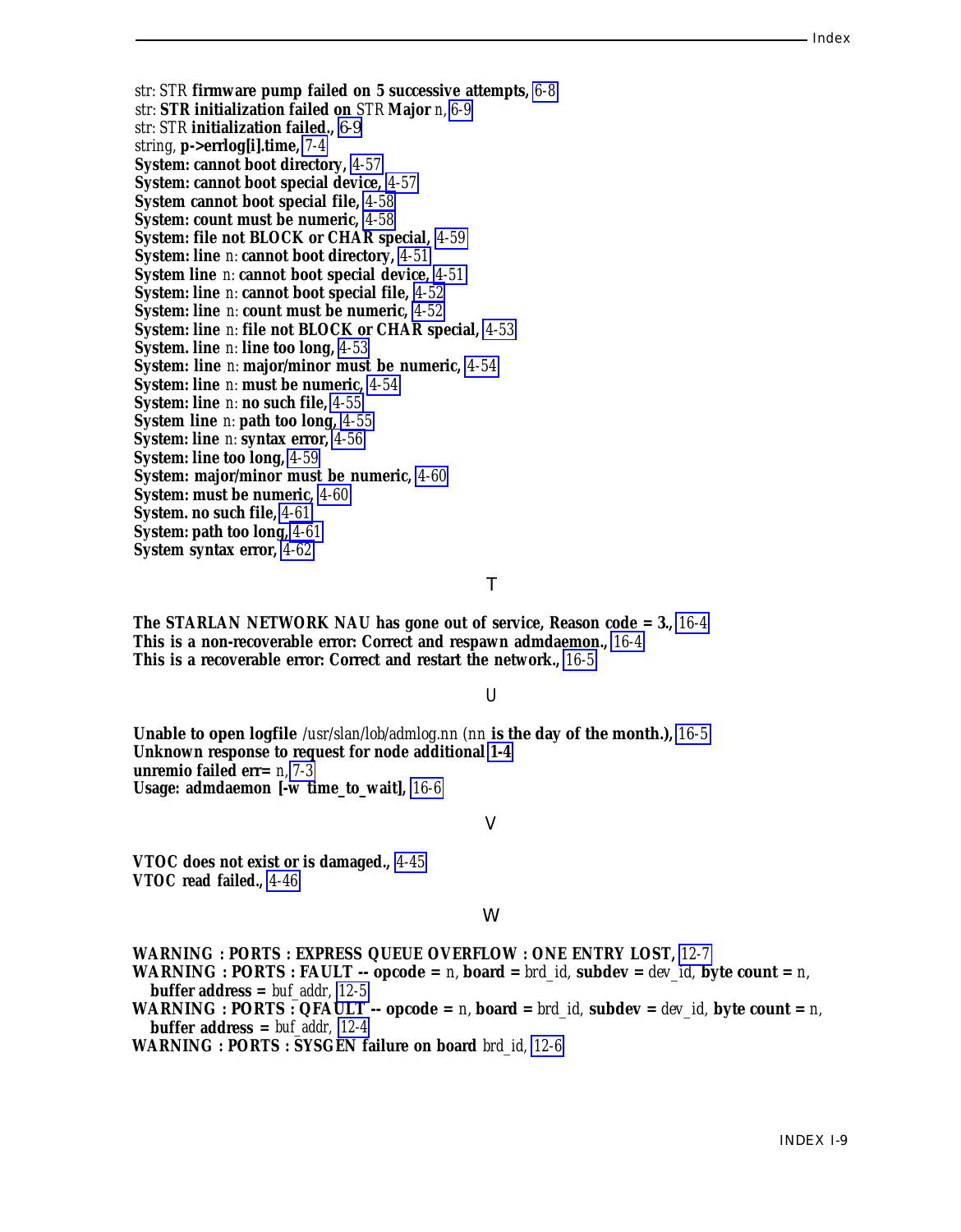*str: STR* **firmware pump failed on 5 successive attempts,** *[6-8](#page-130-1) str:* **STR initialization failed on** *STR* **Major** *n, [6-9](#page-131-0) str: STR* **initialization failed.,** [6-9](#page-131-0) *string,* **p->errlog[i].time,** *[7-4](#page-135-1)* **System: cannot boot directory,** *[4-57](#page-106-0)* **System: cannot boot special device,** *[4-57](#page-106-0)* **System cannot boot special file,** *[4-58](#page-107-0)* **System: count must be numeric,** *[4-58](#page-107-0)* **System: file not BLOCK or CHAR special,** *[4-59](#page-108-0)* **System: line** *n:* **cannot boot directory,** *[4-51](#page-100-0)* **System line** *n:* **cannot boot special device,** *[4-51](#page-100-0)* **System: line** *n:* **cannot boot special file,** *[4-52](#page-101-0)* **System: line** *n:* **count must be numeric,** *[4-52](#page-101-0)* **System: line** *n:* **file not BLOCK or CHAR special,** *[4-53](#page-102-0)* **System. line** *n:* **line too long,** *[4-53](#page-102-0)* **System: line** *n:* **major/minor must be numeric,** *[4-54](#page-103-0)* **System: line** *n:* **must be numeric,** *[4-54](#page-103-0)* **System: line** *n:* **no such file,** *[4-55](#page-104-0)* **System line** *n:* **path too long,** *[4-55](#page-104-0)* **System: line** *n:* **syntax error,** *[4-56](#page-105-0)* **System: line too long,** *[4-59](#page-108-0)* **System: major/minor must be numeric,** *[4-60](#page-109-0)* **System: must be numeric,** *[4-60](#page-109-0)* **System. no such file,** *[4-61](#page-110-0)* **System: path too long,** *[4-61](#page-110-0)* **System syntax error,** *[4-62](#page-111-0)*

#### T

**The STARLAN NETWORK NAU has gone out of service, Reason code = 3.,** *[16-4](#page-340-0)* **This is a non-recoverable error: Correct and respawn admdaemon.,** *[16-4](#page-340-0)* **This is a recoverable error: Correct and restart the network.,** *[16-5](#page-341-0)*

## U

**Unable to open logfile** */usr/slan/lob/admlog.nn (nn* **is the day of the month.),** *[16-5](#page-341-0)* **Unknown response to request for node additional [1-4](#page-9-0) unremio failed err=** *n, [7-3](#page-134-0)* **Usage: admdaemon [-w time\_to\_wait],** *[16-6](#page-342-0)*

#### V

**VTOC does not exist or is damaged.,** *[4-45](#page-94-1)* **VTOC read failed.,** *[4-46](#page-95-0)*

## W

**WARNING : PORTS : EXPRESS QUEUE OVERFLOW : ONE ENTRY LOST,** *[12-7](#page-257-0)* **WARNING : PORTS : FAULT** -- opcode = *n*, board = *brd id*, subdev = *dev id*, byte count = *n*, **buffer address =** *buf\_addr, [12-5](#page-255-0)* **WARNING : PORTS : QFAULT** -- opcode =  $n$ , board =  $brd\_id$ , subdev =  $dev\_id$ , byte count =  $n$ ,

**buffer address =** *buf\_addr, [12-4](#page-254-1)*

**WARNING : PORTS : SYSGEN failure on board** *brd\_id, [12-6](#page-256-0)*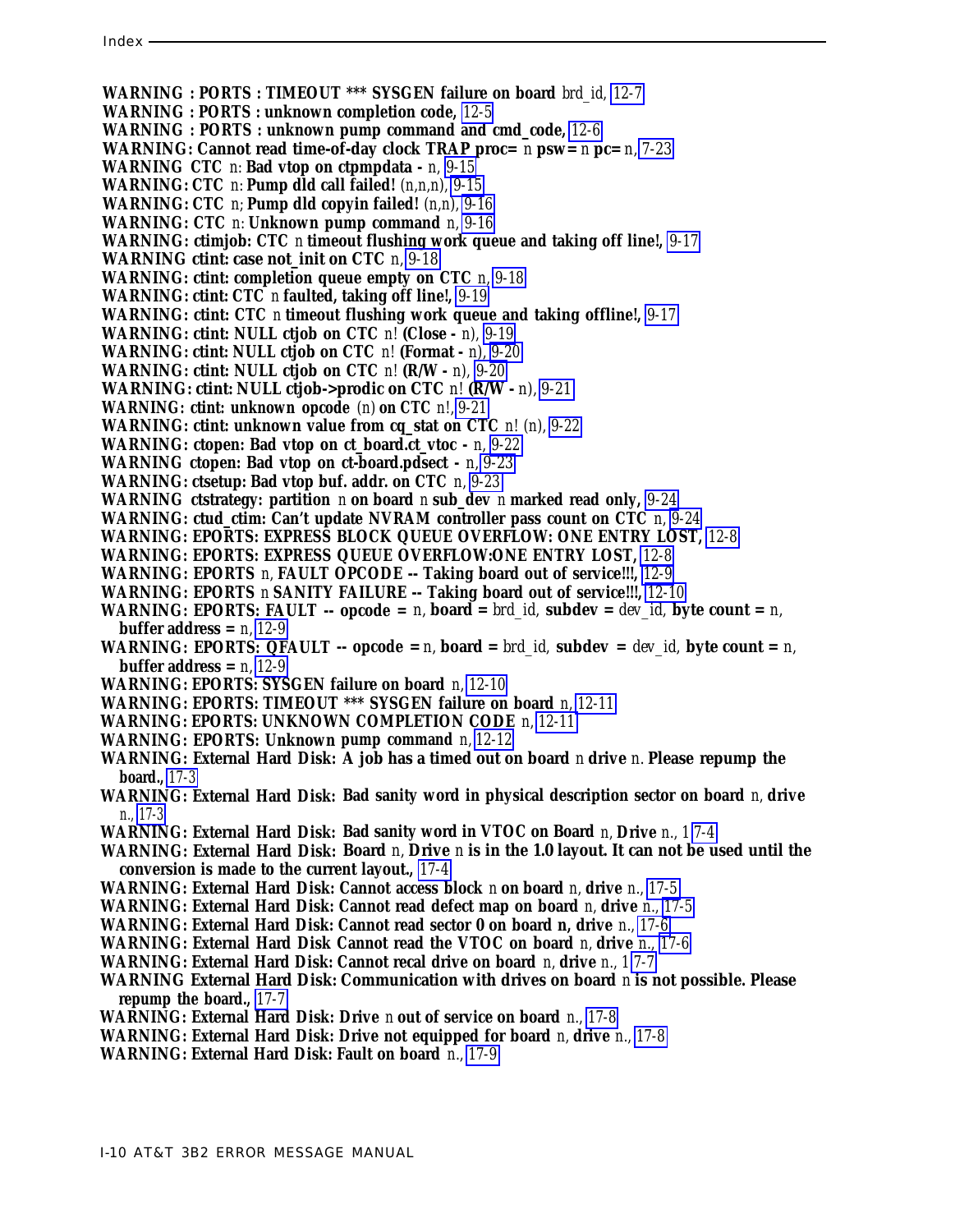**WARNING : PORTS : TIMEOUT \*\*\* SYSGEN failure on board** *brd\_id, [12-7](#page-257-1)*

- **WARNING : PORTS : unknown completion code,** *[12-5](#page-255-1)*
- **WARNING : PORTS : unknown pump command and cmd\_code,** *[12-6](#page-256-1)*
- **WARNING: Cannot read time-of-day clock TRAP proc=** *n* **psw=** *n* **pc=** *n, [7-23](#page-154-0)*
- **WARNING CTC** *n:* **Bad vtop on ctpmpdata -** *n, [9-15](#page-227-0)*
- **WARNING: CTC** *n:* **Pump dld call failed!** *(n,n,n), [9-15](#page-227-0)*
- **WARNING: CTC** *n;* **Pump dld copyin failed!** *(n,n), [9-16](#page-228-0)*
- **WARNING: CTC** *n:* **Unknown pump command** *n, [9-16](#page-228-0)*
- **WARNING: ctimjob: CTC** *n* **timeout flushing work queue and taking off line!,** *[9-17](#page-229-0)*
- **WARNING ctint: case not\_init on CTC** *n, [9-18](#page-230-0)*
- **WARNING: ctint: completion queue empty on CTC** *n, [9-18](#page-230-0)*
- **WARNING: ctint: CTC** *n* **faulted, taking off line!,** *[9-19](#page-231-0)*
- **WARNING: ctint: CTC** *n* **timeout flushing work queue and taking offline!,** *[9-17](#page-229-0)*
- **WARNING: ctint: NULL ctjob on CTC** *n!* **(Close** *n), [9-19](#page-231-0)*
- **WARNING: ctint: NULL ctjob on CTC** *n!* **(Format** *n), [9-20](#page-232-0)*
- **WARNING: ctint: NULL ctjob on CTC** *n!* **(R/W** *n), [9-20](#page-232-0)*
- **WARNING: ctint: NULL ctjob->prodic on CTC** *n!* **(R/W** *n), [9-21](#page-233-0)*
- **WARNING: ctint: unknown opcode** *(n)* **on CTC** *n!, [9-21](#page-233-0)*
- **WARNING: ctint: unknown value from cq\_stat on CTC** *n! (n), [9-22](#page-234-0)*
- **WARNING: ctopen: Bad vtop on ct\_board.ct\_vtoc -** *n, [9-22](#page-234-0)*
- **WARNING ctopen: Bad vtop on ct-board.pdsect -** *n, [9-23](#page-235-0)*
- **WARNING: ctsetup: Bad vtop buf. addr. on CTC** *n, [9-23](#page-235-0)*
- **WARNING ctstrategy: partition** *n* **on board** *n* **sub\_dev** *n* **marked read only,** *[9-24](#page-236-0)*
- **WARNING: ctud\_ctim: Can't update NVRAM controller pass count on CTC** *n, [9-24](#page-236-0)*
- **WARNING: EPORTS: EXPRESS BLOCK QUEUE OVERFLOW: ONE ENTRY LOST,** *[12-8](#page-258-0)*
- **WARNING: EPORTS: EXPRESS QUEUE OVERFLOW:ONE ENTRY LOST,** *[12-8](#page-258-0)*
- **WARNING: EPORTS** *n,* **FAULT OPCODE -- Taking board out of service!!!,** *[12-9](#page-259-0)*
- **WARNING: EPORTS** *n* **SANITY FAILURE -- Taking board out of service!!!,** *[12-10](#page-260-0)*
- **WARNING: EPORTS: FAULT -- opcode =** *n,* **board =** *brd\_id,* **subdev =** *dev\_id,* **byte count =** *n,* **buffer address =** *n, [12-9](#page-259-0)*
- **WARNING: EPORTS: QFAULT -- opcode =** *n,* **board =** *brd\_id,* **subdev =** *dev\_id,* **byte count =** *n,* **buffer address =** *n, [12-9](#page-259-0)*
- **WARNING: EPORTS: SYSGEN failure on board** *n, [12-10](#page-260-0)*
- **WARNING: EPORTS: TIMEOUT \*\*\* SYSGEN failure on board** *n, [12-11](#page-261-0)*
- **WARNING: EPORTS: UNKNOWN COMPLETION CODE** *n, [12-11](#page-261-0)*
- **WARNING: EPORTS: Unknown pump command** *n, [12-12](#page-262-0)*
- **WARNING: External Hard Disk: A job has a timed out on board** *n* **drive** *n.* **Please repump the board.,** *[17-3](#page-345-0)*
- **WARNING: External Hard Disk: Bad sanity word in physical description sector on board** *n,* **drive** *n., [17-3](#page-345-0)*
- **WARNING: External Hard Disk: Bad sanity word in VTOC on Board** *n,* **Drive** *n., 1 [7-4](#page-135-2)*
- **WARNING: External Hard Disk: Board** *n,* **Drive** *n* **is in the 1.0 layout. It can not be used until the conversion is made to the current layout.,** *[17-4](#page-346-0)*
- **WARNING: External Hard Disk: Cannot access block** *n* **on board** *n,* **drive** *n., [17-5](#page-347-0)*
- **WARNING: External Hard Disk: Cannot read defect map on board** *n,* **drive** *n., [17-5](#page-347-0)*
- **WARNING: External Hard Disk: Cannot read sector 0 on board n, drive** *n., [17-6](#page-348-0)*
- **WARNING: External Hard Disk Cannot read the VTOC on board** *n,* **drive** *n., [17-6](#page-348-0)*
- **WARNING: External Hard Disk: Cannot recal drive on board** *n,* **drive** *n., 1 [7-7](#page-138-1)*
- **WARNING External Hard Disk: Communication with drives on board** *n* **is not possible. Please repump the board.,** *[17-7](#page-349-0)*
- **WARNING: External Hard Disk: Drive** *n* **out of service on board** *n., [17-8](#page-350-0)*
- **WARNING: External Hard Disk: Drive not equipped for board** *n,* **drive** *n., [17-8](#page-350-0)*
- **WARNING: External Hard Disk: Fault on board** *n., [17-9](#page-351-0)*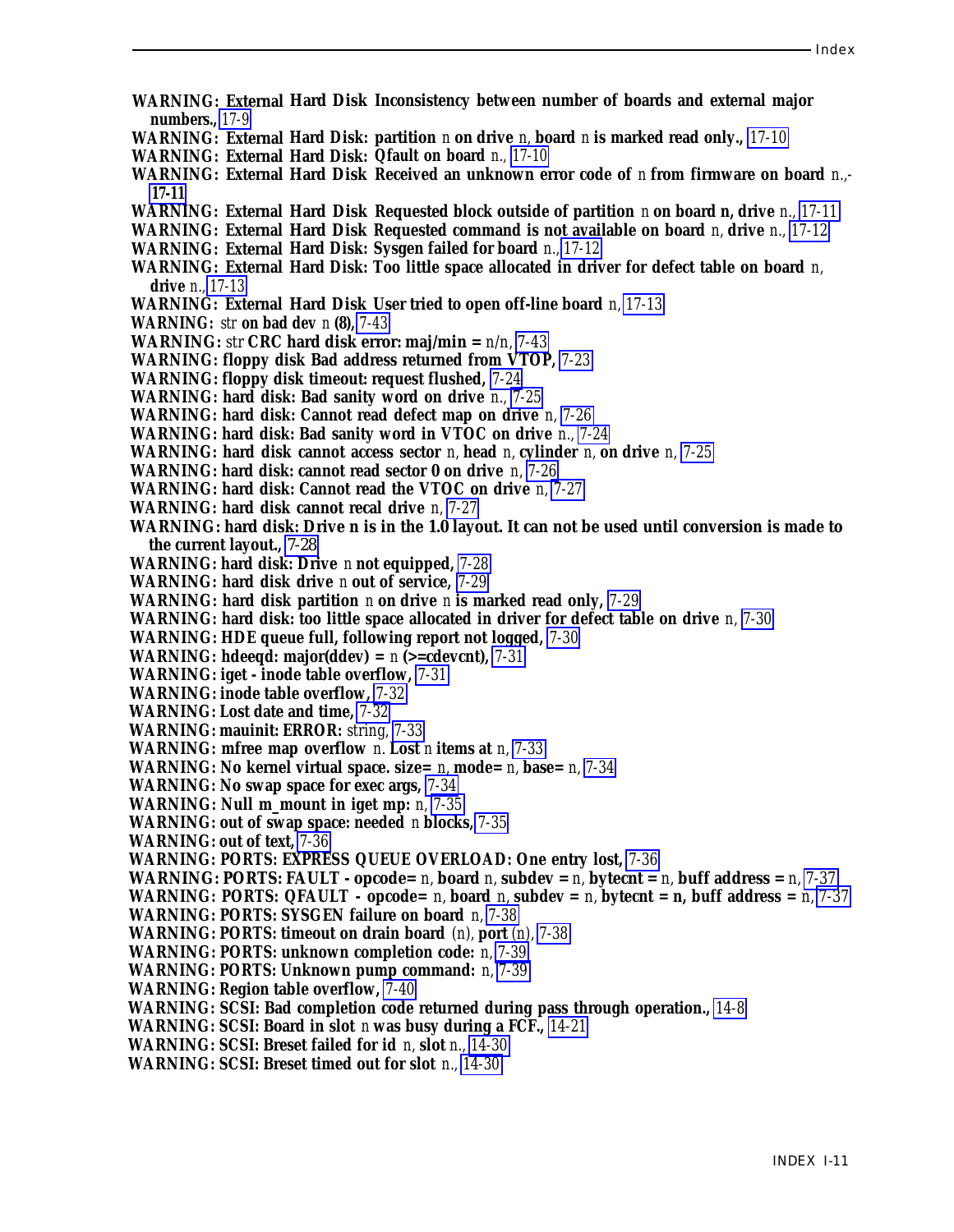- **WARNING: External Hard Disk Inconsistency between number of boards and external major numbers.,** *[17-9](#page-351-1)*
- **WARNING: External Hard Disk: partition** *n* **on drive** *n,* **board** *n* **is marked read only.,** *[17-10](#page-352-0)*
- **WARNING: External Hard Disk: Qfault on board** *n., [17-10](#page-352-0)*
- **WARNING: External Hard Disk Received an unknown error code of** *n* **from firmware on board** *n.,-* **[17-11](#page-353-0)**
- **WARNING: External Hard Disk Requested block outside of partition** *n* **on board n, drive** *n., [17-11](#page-353-0)*
- **WARNING: External Hard Disk Requested command is not available on board** *n,* **drive** *n., [17-12](#page-354-0)*
- **WARNING: External Hard Disk: Sysgen failed for board** *n., [17-12](#page-354-0)*
- **WARNING: External Hard Disk: Too little space allocated in driver for defect table on board** *n,* **drive** *n., [17-13](#page-355-0)*
- **WARNING: External Hard Disk User tried to open off-line board** *n, [17-13](#page-355-0)*
- **WARNING:** *str* **on bad dev** *n* **(8),** *[7-43](#page-174-0)*
- **WARNING:** *str* **CRC hard disk error: maj/min =** *n/n, [7-43](#page-174-0)*
- **WARNING: floppy disk Bad address returned from VTOP,** *[7-23](#page-154-1)*
- **WARNING: floppy disk timeout: request flushed,** *[7-24](#page-155-0)*
- **WARNING: hard disk: Bad sanity word on drive** *n., [7-25](#page-156-1)*
- **WARNING: hard disk: Cannot read defect map on drive** *n, [7-26](#page-157-0)*
- **WARNING: hard disk: Bad sanity word in VTOC on drive** *n., [7-24](#page-155-0)*
- **WARNING: hard disk cannot access sector** *n,* **head** *n,* **cylinder** *n,* **on drive** *n, [7-25](#page-156-1)*
- **WARNING: hard disk: cannot read sector 0 on drive** *n, [7-26](#page-157-0)*
- **WARNING: hard disk: Cannot read the VTOC on drive** *n, [7-27](#page-158-0)*
- **WARNING: hard disk cannot recal drive** *n, [7-27](#page-158-0)*
- **WARNING: hard disk: Drive n is in the 1.0 layout. It can not be used until conversion is made to the current layout.,** [7-28](#page-159-0)
- **WARNING: hard disk: Drive** *n* **not equipped,** *[7-28](#page-159-0)*
- **WARNING: hard disk drive** *n* **out of service,** *[7-29](#page-160-0)*
- **WARNING: hard disk partition** *n* **on drive** *n* **is marked read only,** *[7-29](#page-160-0)*
- **WARNING: hard disk: too little space allocated in driver for defect table on drive** *n, [7-30](#page-161-0)*
- **WARNING: HDE queue full, following report not logged,** *[7-30](#page-161-0)*
- **WARNING: hdeeqd: major(ddev) =** *n* **(>=cdevcnt),** *[7-31](#page-162-0)*
- **WARNING: iget inode table overflow,** *[7-31](#page-162-0)*
- **WARNING: inode table overflow,** *[7-32](#page-163-0)*
- **WARNING: Lost date and time,** *[7-32](#page-163-0)*
- **WARNING: mauinit: ERROR:** *string, [7-33](#page-164-0)*
- **WARNING: mfree map overflow** *n.* **Lost** *n* **items at** *n, [7-33](#page-164-0)*
- **WARNING: No kernel virtual space. size=** *n,* **mode=** *n,* **base=** *n, [7-34](#page-165-0)*
- **WARNING: No swap space for exec args,** *[7-34](#page-165-0)*
- **WARNING: Null m\_mount in iget mp:** *n, [7-35](#page-166-0)*
- **WARNING: out of swap space: needed** *n* **blocks,** *[7-35](#page-166-0)*
- **WARNING: out of text,** *[7-36](#page-167-0)*
- **WARNING: PORTS: EXPRESS QUEUE OVERLOAD: One entry lost,** *[7-36](#page-167-0)*
- **WARNING: PORTS: FAULT opcode=**  $n$ **, board**  $n$ **, subdev =**  $n$ **, bytecnt =**  $n$ **, buff address =**  $n$ **,**  $7-37$
- **WARNING: PORTS: QFAULT opcode=** *n,* **board** *n,* **subdev =** *n,* **bytecnt = n, buff address =** *n, [7-37](#page-168-0)*
- **WARNING: PORTS: SYSGEN failure on board** *n, [7-38](#page-169-0)*
- **WARNING: PORTS: timeout on drain board** *(n),* **port** *(n), [7-38](#page-169-0)*
- **WARNING: PORTS: unknown completion code:** *n, [7-39](#page-170-0)*
- **WARNING: PORTS: Unknown pump command:** *n, [7-39](#page-170-0)*
- **WARNING: Region table overflow,** *[7-40](#page-171-0)*
- **WARNING: SCSI: Bad completion code returned during pass through operation.,** *[14-8](#page-299-0)*
- **WARNING: SCSI: Board in slot** *n* **was busy during a FCF.,** *[14-21](#page-312-0)*
- **WARNING: SCSI: Breset failed for id** *n,* **slot** *n., [14-30](#page-321-0)*
- **WARNING: SCSI: Breset timed out for slot** *n., [14-30](#page-321-0)*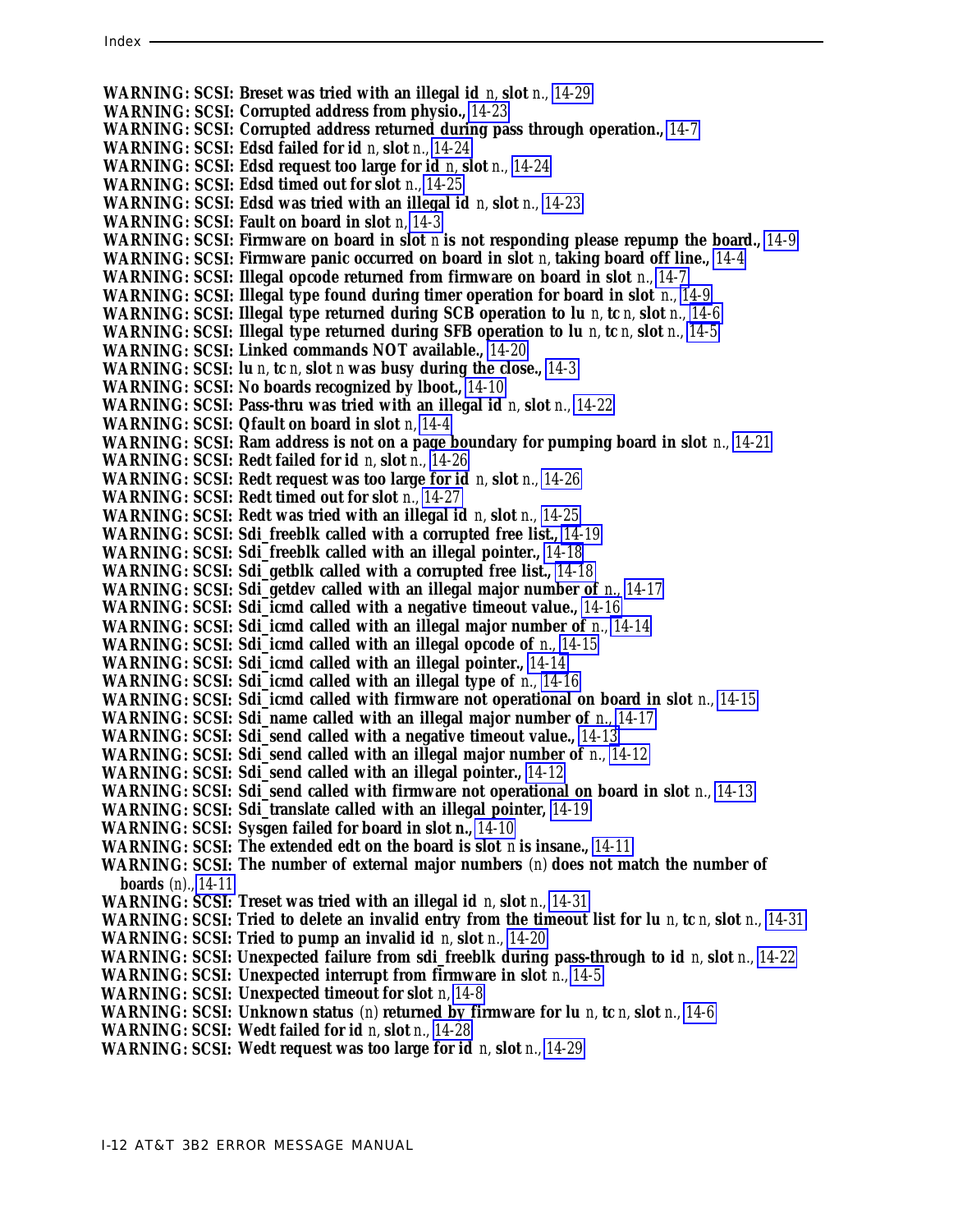**WARNING: SCSI: Breset was tried with an illegal id** *n,* **slot** *n., [14-29](#page-320-0)* **WARNING: SCSI: Corrupted address from physio.,** *[14-23](#page-314-0)* **WARNING: SCSI: Corrupted address returned during pass through operation.,** *[14-7](#page-298-0)* **WARNING: SCSI: Edsd failed for id** *n,* **slot** *n., [14-24](#page-315-0)* **WARNING: SCSI: Edsd request too large for id** *n,* **slot** *n., [14-24](#page-315-0)* **WARNING: SCSI: Edsd timed out for slot** *n., [14-25](#page-316-0)* **WARNING: SCSI: Edsd was tried with an illegal id** *n,* **slot** *n., [14-23](#page-314-0)* **WARNING: SCSI: Fault on board in slot** *n, [14-3](#page-294-0)* **WARNING: SCSI: Firmware on board in slot** *n* **is not responding please repump the board.,** *[14-9](#page-300-0)* **WARNING: SCSI: Firmware panic occurred on board in slot** *n,* **taking board off line.,** *[14-4](#page-295-0)* **WARNING: SCSI: Illegal opcode returned from firmware on board in slot** *n., [14-7](#page-298-0)* **WARNING: SCSI: Illegal type found during timer operation for board in slot** *n., [14-9](#page-300-0)* **WARNING: SCSI: Illegal type returned during SCB operation to lu** *n,* **tc** *n,* **slot** *n., [14-6](#page-297-0)* **WARNING: SCSI: Illegal type returned during SFB operation to lu** *n,* **tc** *n,* **slot** *n., [14-5](#page-296-0)* **WARNING: SCSI: Linked commands NOT available.,** *[14-20](#page-311-0)* **WARNING: SCSI: lu** *n,* **tc** *n,* **slot** *n* **was busy during the close.,** *[14-3](#page-294-0)* **WARNING: SCSI: No boards recognized by lboot.,** *[14-10](#page-301-0)* **WARNING: SCSI: Pass-thru was tried with an illegal id** *n,* **slot** *n., [14-22](#page-313-0)* **WARNING: SCSI: Qfault on board in slot** *n, [14-4](#page-295-0)* **WARNING: SCSI: Ram address is not on a page boundary for pumping board in slot** *n., [14-21](#page-312-1)* **WARNING: SCSI: Redt failed for id** *n,* **slot** *n., [14-26](#page-317-0)* **WARNING: SCSI: Redt request was too large for id** *n,* **slot** *n., [14-26](#page-317-0)* **WARNING: SCSI: Redt timed out for slot** *n., [14-27](#page-318-0)* **WARNING: SCSI: Redt was tried with an illegal id** *n,* **slot** *n., [14-25](#page-316-0)* **WARNING: SCSI: Sdi\_freeblk called with a corrupted free list.,** *[14-19](#page-310-0)* **WARNING: SCSI: Sdi\_freeblk called with an illegal pointer.,** *[14-18](#page-309-0)* **WARNING: SCSI: Sdi\_getblk called with a corrupted free list.,** *[14-18](#page-309-0)* **WARNING: SCSI: Sdi\_getdev called with an illegal major number of** *n., [14-17](#page-308-0)* **WARNING: SCSI: Sdi\_icmd called with a negative timeout value.,** *[14-16](#page-307-0)* **WARNING: SCSI: Sdi\_icmd called with an illegal major number of** *n., [14-14](#page-305-0)* **WARNING: SCSI: Sdi\_icmd called with an illegal opcode of** *n., [14-15](#page-306-0)* **WARNING: SCSI: Sdi\_icmd called with an illegal pointer.,** *[14-14](#page-305-0)* **WARNING: SCSI: Sdi\_icmd called with an illegal type of** *n., [14-16](#page-307-0)* **WARNING: SCSI: Sdi\_icmd called with firmware not operational on board in slot** *n., [14-15](#page-306-0)* **WARNING: SCSI: Sdi\_name called with an illegal major number of** *n., [14-17](#page-308-0)* **WARNING: SCSI: Sdi\_send called with a negative timeout value.,** *[14-13](#page-304-0)* **WARNING: SCSI: Sdi\_send called with an illegal major number of** *n., [14-12](#page-303-0)* **WARNING: SCSI: Sdi\_send called with an illegal pointer.,** *[14-12](#page-303-0)* WARNING: SCSI: Sdi\_send called with firmware not operational on board in slot *n., [14-13](#page-304-0)* **WARNING: SCSI: Sdi\_translate called with an illegal pointer,** *[14-19](#page-310-0)* **WARNING: SCSI: Sysgen failed for board in slot n.,** *[14-10](#page-301-0)* **WARNING: SCSI: The extended edt on the board is slot** *n* **is insane.,** *[14-11](#page-302-0)* **WARNING: SCSI: The number of external major numbers** *(n)* **does not match the number of boards** *(n)., [14-11](#page-302-0)* **WARNING: SCSI: Treset was tried with an illegal id** *n,* **slot** *n., [14-31](#page-322-0)* **WARNING: SCSI: Tried to delete an invalid entry from the timeout list for lu** *n,* **tc** *n,* **slot** *n., [14-31](#page-322-0)* **WARNING: SCSI: Tried to pump an invalid id** *n,* **slot** *n., [14-20](#page-311-0)* **WARNING: SCSI: Unexpected failure from sdi\_freeblk during pass-through to id** *n,* **slot** *n., [14-22](#page-313-0)* **WARNING: SCSI: Unexpected interrupt from firmware in slot** *n., [14-5](#page-296-0)* **WARNING: SCSI: Unexpected timeout for slot** *n, [14-8](#page-299-1)* **WARNING: SCSI: Unknown status** *(n)* **returned by firmware for lu** *n,* **tc** *n,* **slot** *n., [14-6](#page-297-0)* **WARNING: SCSI: Wedt failed for id** *n,* **slot** *n., [14-28](#page-319-0)* **WARNING: SCSI: Wedt request was too large for id** *n,* **slot** *n., [14-29](#page-320-0)*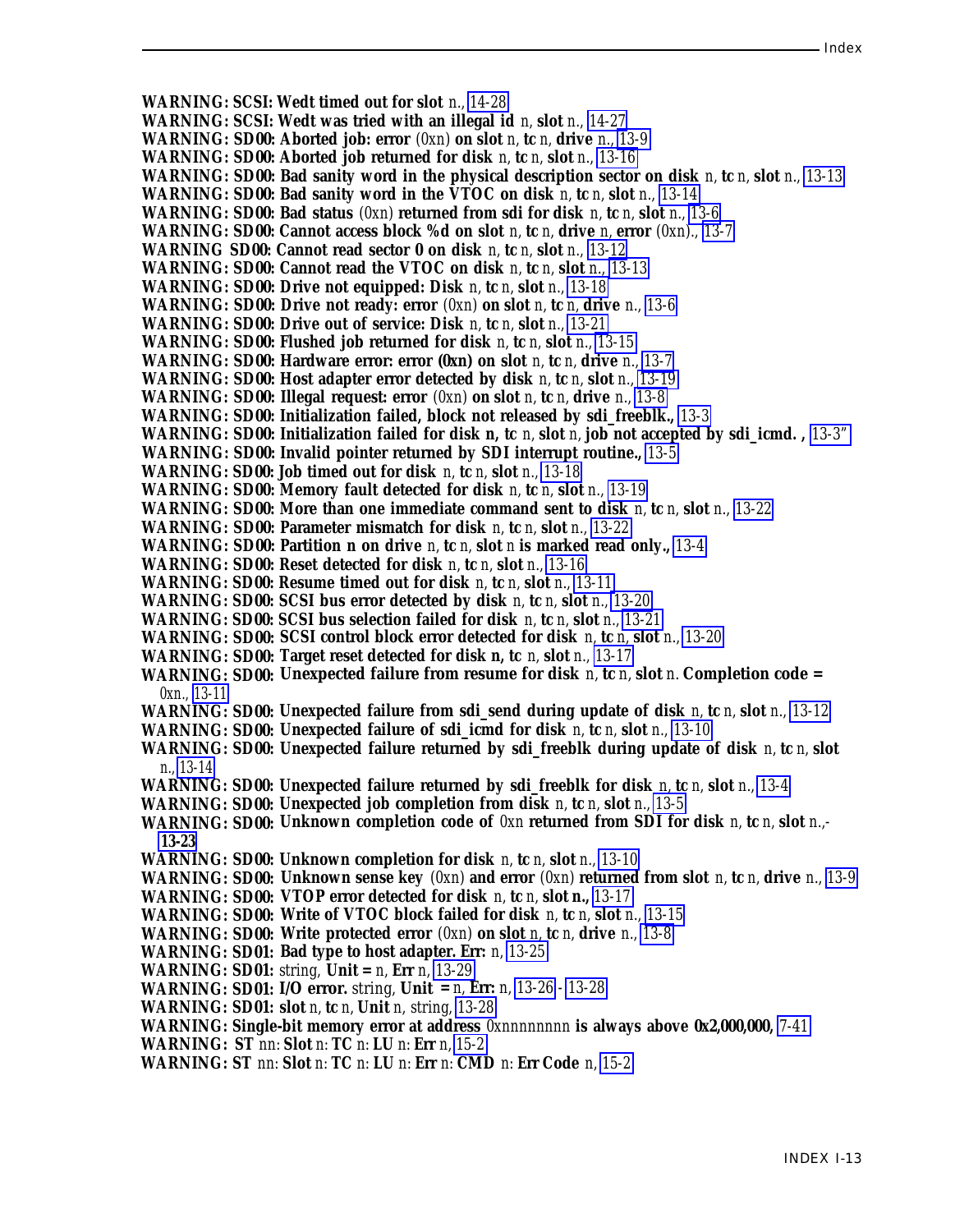**WARNING: SCSI: Wedt timed out for slot** *n., [14-28](#page-319-1)* **WARNING: SCSI: Wedt was tried with an illegal id** *n,* **slot** *n., [14-27](#page-318-1)* **WARNING: SD00: Aborted job: error** *(0xn)* **on slot** *n,* **tc** *n,* **drive** *n., [13-9](#page-271-0)* **WARNING: SD00: Aborted job returned for disk** *n,* **tc** *n,* **slot** *n., [13-16](#page-278-0)* **WARNING: SD00: Bad sanity word in the physical description sector on disk** *n,* **tc** *n,* **slot** *n., [13-13](#page-275-0)* **WARNING: SD00: Bad sanity word in the VTOC on disk** *n,* **tc** *n,* **slot** *n., [13-14](#page-276-0)* **WARNING: SD00: Bad status** *(0xn)* **returned from sdi for disk** *n,* **tc** *n,* **slot** *n., [13-6](#page-268-0)* **WARNING: SD00: Cannot access block %d on slot** *n,* **tc** *n,* **drive** *n,* **error** *(0xn)., [13-7](#page-269-0)* **WARNING SD00: Cannot read sector 0 on disk** *n,* **tc** *n,* **slot** *n., [13-12](#page-274-0)* **WARNING: SD00: Cannot read the VTOC on disk** *n,* **tc** *n,* **slot** *n., [13-13](#page-275-0)* **WARNING: SD00: Drive not equipped: Disk** *n,* **tc** *n,* **slot** *n., [13-18](#page-280-0)* **WARNING: SD00: Drive not ready: error** *(0xn)* **on slot** *n,* **tc** *n,* **drive** *n., [13-6](#page-268-0)* **WARNING: SD00: Drive out of service: Disk** *n,* **tc** *n,* **slot** *n., [13-21](#page-283-0)* **WARNING: SD00: Flushed job returned for disk** *n,* **tc** *n,* **slot** *n., [13-15](#page-277-0)* **WARNING: SD00: Hardware error: error (0xn) on slot** *n,* **tc** *n,* **drive** *n., [13-7](#page-269-0)* **WARNING: SD00: Host adapter error detected by disk** *n,* **tc** *n,* **slot** *n., [13-19](#page-281-0)* **WARNING: SD00: Illegal request: error** *(0xn)* **on slot** *n,* **tc** *n,* **drive** *n., [13-8](#page-270-0)* **WARNING: SD00: Initialization failed, block not released by sdi\_freeblk.,** *[13-3](#page-265-0)* **WARNING: SD00: Initialization failed for disk n, tc** *n,* **slot** *n,* **job not accepted by sdi\_icmd. ,** *[13-3"](#page-265-1)* **WARNING: SD00: Invalid pointer returned by SDI interrupt routine.,** *[13-5](#page-267-0)* **WARNING: SD00: Job timed out for disk** *n,* **tc** *n,* **slot** *n., [13-18](#page-280-0)* **WARNING: SD00: Memory fault detected for disk** *n,* **tc** *n,* **slot** *n., [13-19](#page-281-0)* **WARNING: SD00: More than one immediate command sent to disk** *n,* **tc** *n,* **slot** *n., [13-22](#page-284-0)* **WARNING: SD00: Parameter mismatch for disk** *n,* **tc** *n,* **slot** *n., [13-22](#page-284-0)* **WARNING: SD00: Partition n on drive** *n,* **tc** *n,* **slot** *n* **is marked read only.,** *[13-4](#page-266-0)* **WARNING: SD00: Reset detected for disk** *n,* **tc** *n,* **slot** *n., [13-16](#page-278-0)* **WARNING: SD00: Resume timed out for disk** *n,* **tc** *n,* **slot** *n., [13-11](#page-273-0)* **WARNING: SD00: SCSI bus error detected by disk** *n,* **tc** *n,* **slot** *n., [13-20](#page-282-0)* **WARNING: SD00: SCSI bus selection failed for disk** *n,* **tc** *n,* **slot** *n., [13-21](#page-283-0)* **WARNING: SD00: SCSI control block error detected for disk** *n,* **tc** *n,* **slot** *n., [13-20](#page-282-0)* **WARNING: SD00: Target reset detected for disk n, tc** *n,* **slot** *n., [13-17](#page-279-0)* **WARNING: SD00: Unexpected failure from resume for disk** *n,* **tc** *n,* **slot** *n.* **Completion code =** *0xn., [13-11](#page-273-0)* **WARNING: SD00: Unexpected failure from sdi\_send during update of disk** *n,* **tc** *n,* **slot** *n., [13-12](#page-274-0)* **WARNING: SD00: Unexpected failure of sdi\_icmd for disk** *n,* **tc** *n,* **slot** *n., [13-10](#page-272-0)* **WARNING: SD00: Unexpected failure returned by sdi\_freeblk during update of disk** *n,* **tc** *n,* **slot** *n., [13-14](#page-276-0)* **WARNING: SD00: Unexpected failure returned by sdi\_freeblk for disk** *n,* **tc** *n,* **slot** *n., [13-4](#page-266-0)* **WARNING: SD00: Unexpected job completion from disk** *n,* **tc** *n,* **slot** *n., [13-5](#page-267-0)* **WARNING: SD00: Unknown completion code of** *0xn* **returned from SDI for disk** *n,* **tc** *n,* **slot** *n.,-* **[13-23](#page-285-0) WARNING: SD00: Unknown completion for disk** *n,* **tc** *n,* **slot** *n., [13-10](#page-272-0)* **WARNING: SD00: Unknown sense key** *(0xn)* **and error** *(0xn)* **returned from slot** *n,* **tc** *n,* **drive** *n., [13-9](#page-271-0)* **WARNING: SD00: VTOP error detected for disk** *n,* **tc** *n,* **slot n.,** *[13-17](#page-279-0)* **WARNING: SD00: Write of VTOC block failed for disk** *n,* tc *n,* slot *n.,* [13-15](#page-277-0) **WARNING: SD00: Write protected error** *(0xn)* on slot *n,* tc *n,* drive *n.,* [13-8](#page-270-0) **WARNING: SD01: Bad type to host adapter. Err:** *n, [13-25](#page-287-0)* **WARNING: SD01:** *string,* **Unit =** *n,* **Err** *n, [13-29](#page-291-0)* **WARNING: SD01: I/O error.** *string,* **Unit =** *n,* **Err:** *n, [13-26](#page-288-0) - [13-28](#page-290-0)* **WARNING: SD01: slot** *n,* **tc** *n,* **Unit** *n, string, [13-28](#page-290-0)* **WARNING: Single-bit memory error at address** *0xnnnnnnnn* **is always above 0x2,000,000,** *[7-41](#page-172-0)* **WARNING: ST** *nn:* **Slot** *n:* **TC** *n:* **LU** *n:* **Err** *n, [15-2](#page-325-0)* **WARNING: ST** *nn:* **Slot** *n:* **TC** *n:* **LU** *n:* **Err** *n:* **CMD** *n:* **Err Code** *n, [15-2](#page-325-0)*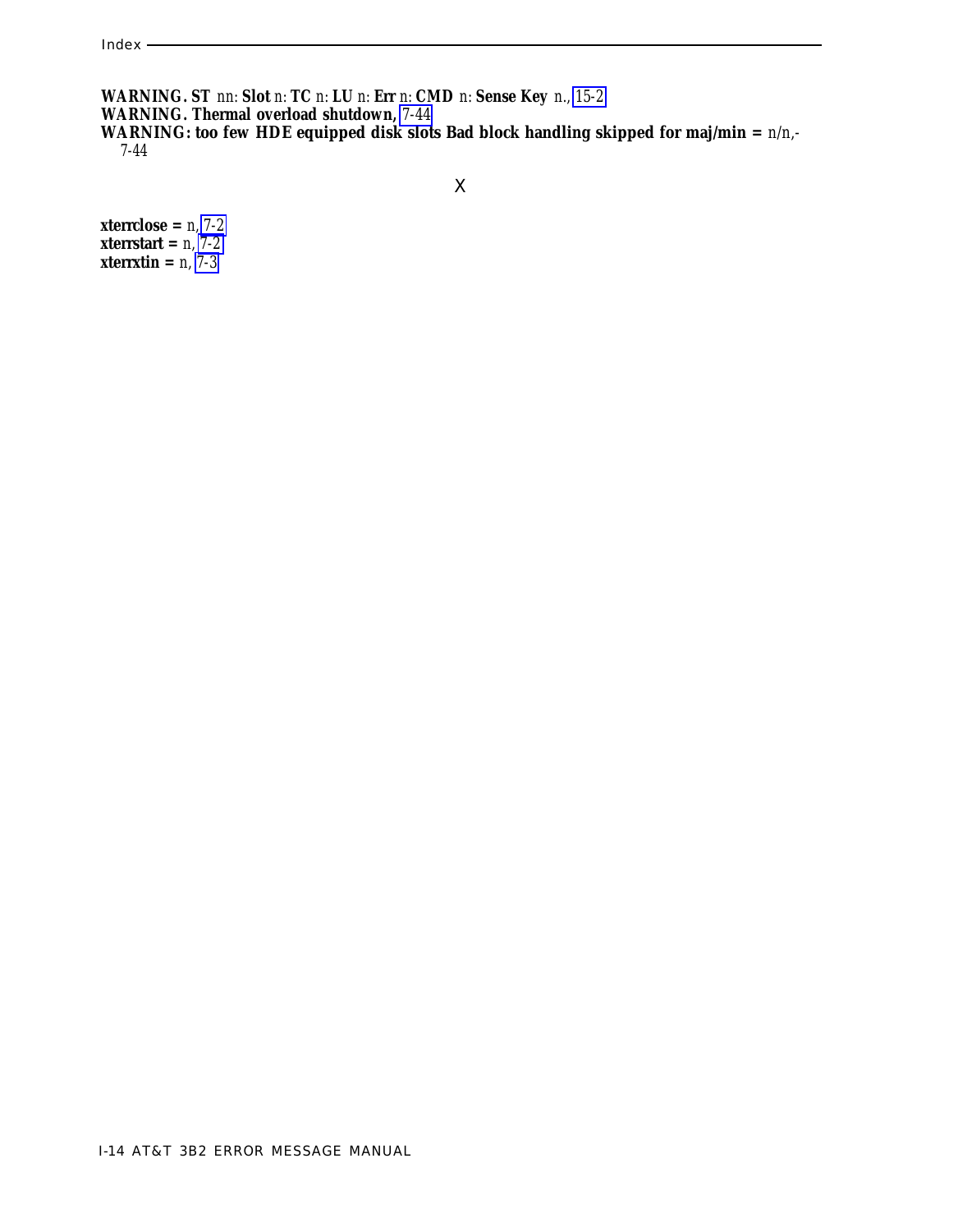**WARNING. ST** *nn:* **Slot** *n:* **TC** *n:* **LU** *n:* **Err** *n:* **CMD** *n:* **Sense Key** *n., [15-2](#page-325-1)* **WARNING. Thermal overload shutdown,** *[7-44](#page-175-0)* WARNING: too few HDE equipped disk slots Bad block handling skipped for maj/min =  $n/n$ . *7-44*

**xterrclose =** *n, [7-2](#page-133-0)* **xterrstart =** *n, [7-2](#page-133-0)* **xterrxtin =** *n, [7-3](#page-134-1)*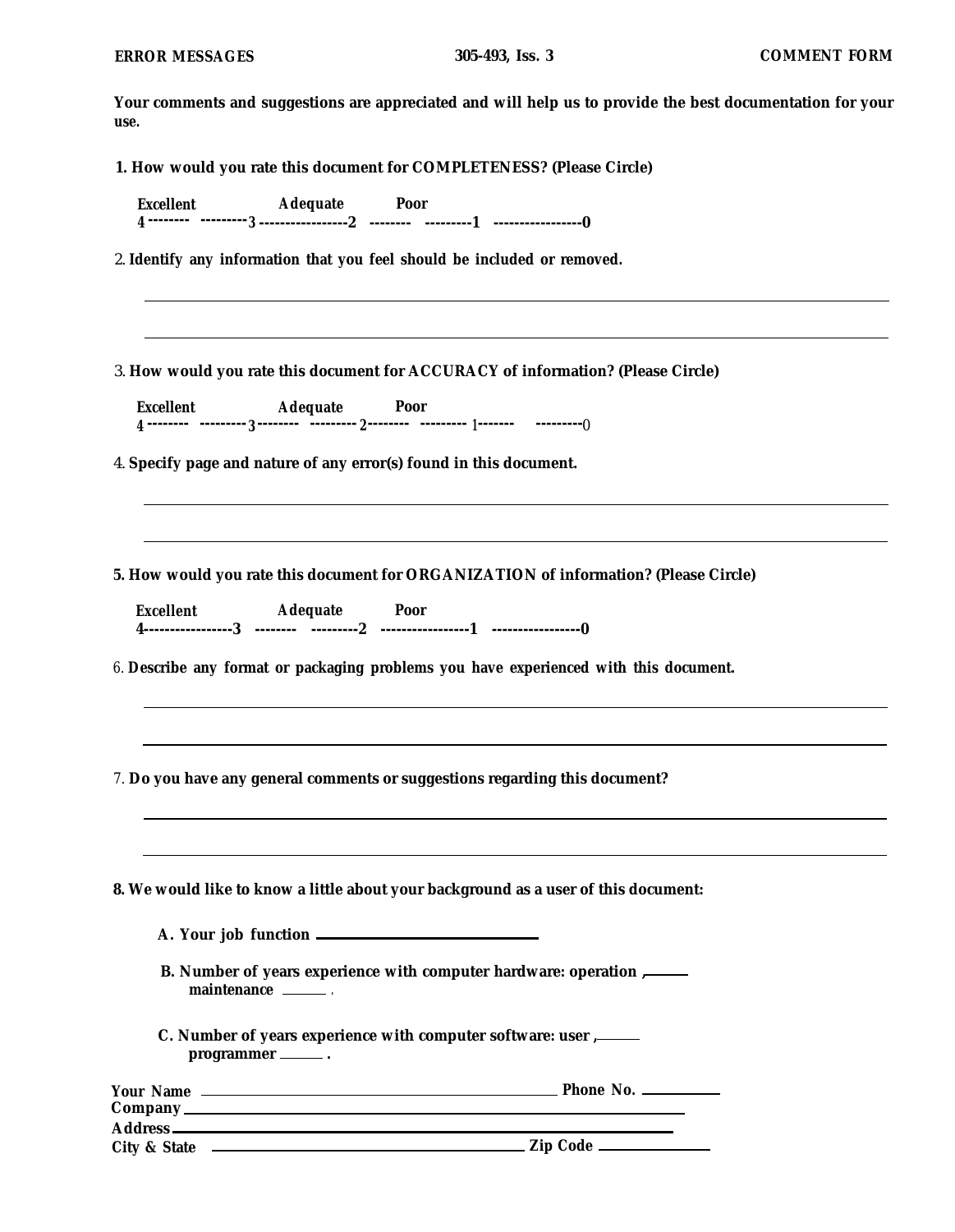**Your comments and suggestions are appreciated and will help us to provide the best documentation for your use.**

**1. How would you rate this document for COMPLETENESS? (Please Circle)**

| <b>Excellent</b> | Adequate | Poor |  |
|------------------|----------|------|--|
|                  |          |      |  |

2. **Identify any information that you feel should be included or removed.**

3. **How would you rate this document for ACCURACY of information? (Please Circle)**

**Excellent Adequate Poor <sup>4</sup> -------- --------- -------- --------- -------- --------- ------- --------- <sup>3</sup> <sup>2</sup> <sup>1</sup>** 0

4. **Specify page and nature of any error(s) found in this document.**

**5. How would you rate this document for ORGANIZATION of information? (Please Circle)**

| Excellent | Adequate  | Poor |  |
|-----------|-----------|------|--|
|           | --------- |      |  |

*6.* **Describe any format or packaging problems you have experienced with this document.**

*7.* **Do you have any general comments or suggestions regarding this document?**

**8. We would like to know a little about your background as a user of this document:**

|  | A. Your job function |  |
|--|----------------------|--|
|  |                      |  |

**B. Number of years experience with computer hardware: operation , maintenance .**

**C. Number of years experience with computer software: user , programmer .**

| <b>Your Name</b>        | Phone No. $\frac{1}{2}$ |
|-------------------------|-------------------------|
| Company                 |                         |
| <b>Address</b> –        |                         |
| <b>City &amp; State</b> |                         |